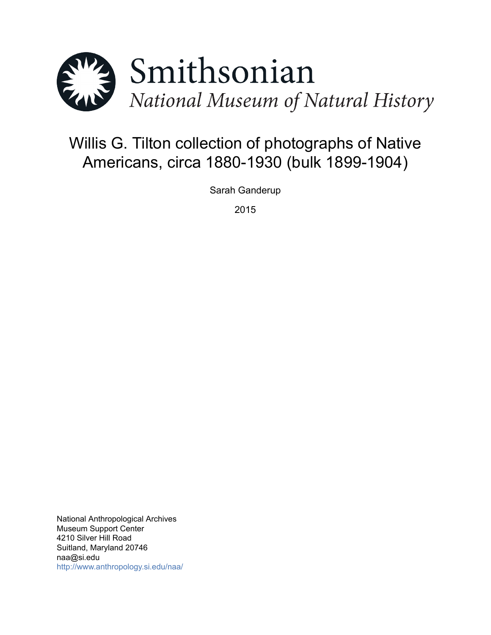

# Willis G. Tilton collection of photographs of Native Americans, circa 1880-1930 (bulk 1899-1904)

Sarah Ganderup

2015

National Anthropological Archives Museum Support Center 4210 Silver Hill Road Suitland, Maryland 20746 naa@si.edu <http://www.anthropology.si.edu/naa/>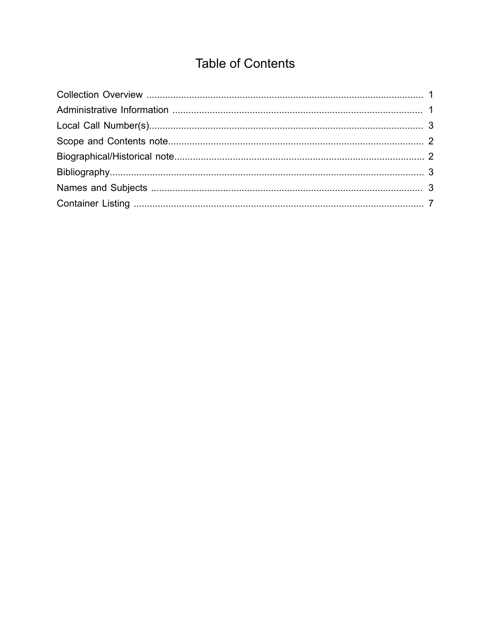# **Table of Contents**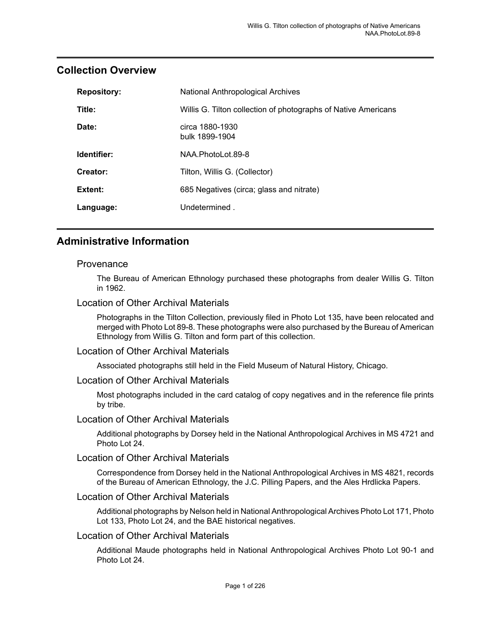| <b>Repository:</b> | National Anthropological Archives                              |  |
|--------------------|----------------------------------------------------------------|--|
| Title:             | Willis G. Tilton collection of photographs of Native Americans |  |
| Date:              | circa 1880-1930<br>bulk 1899-1904                              |  |
| Identifier:        | NAA.PhotoLot.89-8                                              |  |
| Creator:           | Tilton, Willis G. (Collector)                                  |  |
| Extent:            | 685 Negatives (circa; glass and nitrate)                       |  |
| Language:          | Undetermined.                                                  |  |

### <span id="page-2-0"></span>**Collection Overview**

### <span id="page-2-1"></span>**Administrative Information**

#### **Provenance**

The Bureau of American Ethnology purchased these photographs from dealer Willis G. Tilton in 1962.

#### Location of Other Archival Materials

Photographs in the Tilton Collection, previously filed in Photo Lot 135, have been relocated and merged with Photo Lot 89-8. These photographs were also purchased by the Bureau of American Ethnology from Willis G. Tilton and form part of this collection.

#### Location of Other Archival Materials

Associated photographs still held in the Field Museum of Natural History, Chicago.

#### Location of Other Archival Materials

Most photographs included in the card catalog of copy negatives and in the reference file prints by tribe.

#### Location of Other Archival Materials

Additional photographs by Dorsey held in the National Anthropological Archives in MS 4721 and Photo Lot 24.

#### Location of Other Archival Materials

Correspondence from Dorsey held in the National Anthropological Archives in MS 4821, records of the Bureau of American Ethnology, the J.C. Pilling Papers, and the Ales Hrdlicka Papers.

#### Location of Other Archival Materials

Additional photographs by Nelson held in National Anthropological Archives Photo Lot 171, Photo Lot 133, Photo Lot 24, and the BAE historical negatives.

#### Location of Other Archival Materials

Additional Maude photographs held in National Anthropological Archives Photo Lot 90-1 and Photo Lot 24.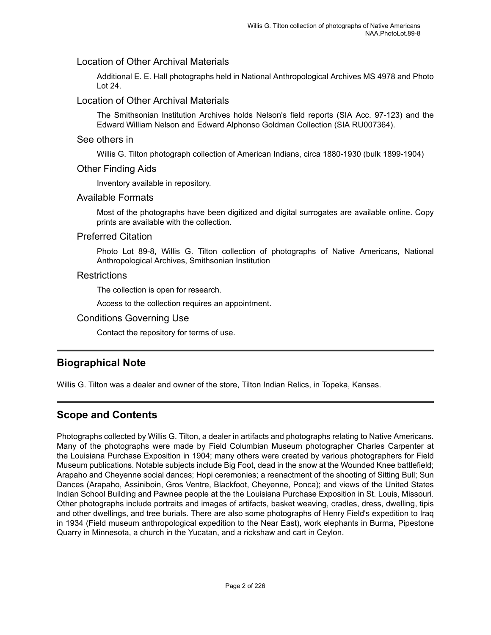#### Location of Other Archival Materials

Additional E. E. Hall photographs held in National Anthropological Archives MS 4978 and Photo Lot 24.

#### Location of Other Archival Materials

The Smithsonian Institution Archives holds Nelson's field reports (SIA Acc. 97-123) and the Edward William Nelson and Edward Alphonso Goldman Collection (SIA RU007364).

#### See others in

Willis G. Tilton photograph collection of American Indians, circa 1880-1930 (bulk 1899-1904)

#### Other Finding Aids

Inventory available in repository.

#### Available Formats

Most of the photographs have been digitized and digital surrogates are available online. Copy prints are available with the collection.

#### Preferred Citation

Photo Lot 89-8, Willis G. Tilton collection of photographs of Native Americans, National Anthropological Archives, Smithsonian Institution

#### **Restrictions**

The collection is open for research.

Access to the collection requires an appointment.

#### Conditions Governing Use

Contact the repository for terms of use.

### <span id="page-3-1"></span>**Biographical Note**

Willis G. Tilton was a dealer and owner of the store, Tilton Indian Relics, in Topeka, Kansas.

### <span id="page-3-0"></span>**Scope and Contents**

Photographs collected by Willis G. Tilton, a dealer in artifacts and photographs relating to Native Americans. Many of the photographs were made by Field Columbian Museum photographer Charles Carpenter at the Louisiana Purchase Exposition in 1904; many others were created by various photographers for Field Museum publications. Notable subjects include Big Foot, dead in the snow at the Wounded Knee battlefield; Arapaho and Cheyenne social dances; Hopi ceremonies; a reenactment of the shooting of Sitting Bull; Sun Dances (Arapaho, Assiniboin, Gros Ventre, Blackfoot, Cheyenne, Ponca); and views of the United States Indian School Building and Pawnee people at the the Louisiana Purchase Exposition in St. Louis, Missouri. Other photographs include portraits and images of artifacts, basket weaving, cradles, dress, dwelling, tipis and other dwellings, and tree burials. There are also some photographs of Henry Field's expedition to Iraq in 1934 (Field museum anthropological expedition to the Near East), work elephants in Burma, Pipestone Quarry in Minnesota, a church in the Yucatan, and a rickshaw and cart in Ceylon.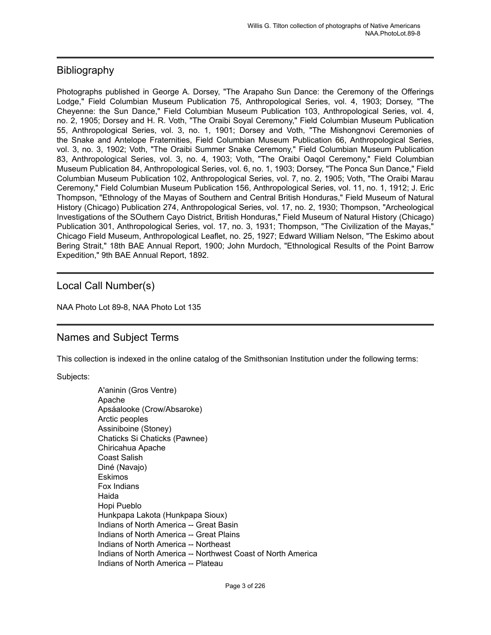### <span id="page-4-1"></span>**Bibliography**

Photographs published in George A. Dorsey, "The Arapaho Sun Dance: the Ceremony of the Offerings Lodge," Field Columbian Museum Publication 75, Anthropological Series, vol. 4, 1903; Dorsey, "The Cheyenne: the Sun Dance," Field Columbian Museum Publication 103, Anthropological Series, vol. 4, no. 2, 1905; Dorsey and H. R. Voth, "The Oraibi Soyal Ceremony," Field Columbian Museum Publication 55, Anthropological Series, vol. 3, no. 1, 1901; Dorsey and Voth, "The Mishongnovi Ceremonies of the Snake and Antelope Fraternities, Field Columbian Museum Publication 66, Anthropological Series, vol. 3, no. 3, 1902; Voth, "The Oraibi Summer Snake Ceremony," Field Columbian Museum Publication 83, Anthropological Series, vol. 3, no. 4, 1903; Voth, "The Oraibi Oaqol Ceremony," Field Columbian Museum Publication 84, Anthropological Series, vol. 6, no. 1, 1903; Dorsey, "The Ponca Sun Dance," Field Columbian Museum Publication 102, Anthropological Series, vol. 7, no. 2, 1905; Voth, "The Oraibi Marau Ceremony," Field Columbian Museum Publication 156, Anthropological Series, vol. 11, no. 1, 1912; J. Eric Thompson, "Ethnology of the Mayas of Southern and Central British Honduras," Field Museum of Natural History (Chicago) Publication 274, Anthropological Series, vol. 17, no. 2, 1930; Thompson, "Archeological Investigations of the SOuthern Cayo District, British Honduras," Field Museum of Natural History (Chicago) Publication 301, Anthropological Series, vol. 17, no. 3, 1931; Thompson, "The Civilization of the Mayas," Chicago Field Museum, Anthropological Leaflet, no. 25, 1927; Edward William Nelson, "The Eskimo about Bering Strait," 18th BAE Annual Report, 1900; John Murdoch, "Ethnological Results of the Point Barrow Expedition," 9th BAE Annual Report, 1892.

#### <span id="page-4-0"></span>Local Call Number(s)

NAA Photo Lot 89-8, NAA Photo Lot 135

### <span id="page-4-2"></span>Names and Subject Terms

This collection is indexed in the online catalog of the Smithsonian Institution under the following terms:

Subjects:

A'aninin (Gros Ventre) Apache Apsáalooke (Crow/Absaroke) Arctic peoples Assiniboine (Stoney) Chaticks Si Chaticks (Pawnee) Chiricahua Apache Coast Salish Diné (Navajo) Eskimos Fox Indians Haida Hopi Pueblo Hunkpapa Lakota (Hunkpapa Sioux) Indians of North America -- Great Basin Indians of North America -- Great Plains Indians of North America -- Northeast Indians of North America -- Northwest Coast of North America Indians of North America -- Plateau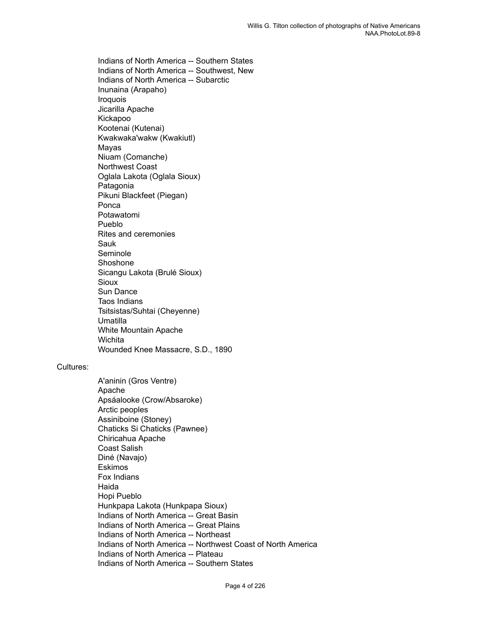Indians of North America -- Southern States Indians of North America -- Southwest, New Indians of North America -- Subarctic Inunaina (Arapaho) Iroquois Jicarilla Apache Kickapoo Kootenai (Kutenai) Kwakwaka'wakw (Kwakiutl) Mayas Niuam (Comanche) Northwest Coast Oglala Lakota (Oglala Sioux) Patagonia Pikuni Blackfeet (Piegan) Ponca Potawatomi Pueblo Rites and ceremonies Sauk Seminole Shoshone Sicangu Lakota (Brulé Sioux) Sioux Sun Dance Taos Indians Tsitsistas/Suhtai (Cheyenne) Umatilla White Mountain Apache **Wichita** Wounded Knee Massacre, S.D., 1890

#### Cultures:

A'aninin (Gros Ventre) Apache Apsáalooke (Crow/Absaroke) Arctic peoples Assiniboine (Stoney) Chaticks Si Chaticks (Pawnee) Chiricahua Apache Coast Salish Diné (Navajo) Eskimos Fox Indians Haida Hopi Pueblo Hunkpapa Lakota (Hunkpapa Sioux) Indians of North America -- Great Basin Indians of North America -- Great Plains Indians of North America -- Northeast Indians of North America -- Northwest Coast of North America Indians of North America -- Plateau Indians of North America -- Southern States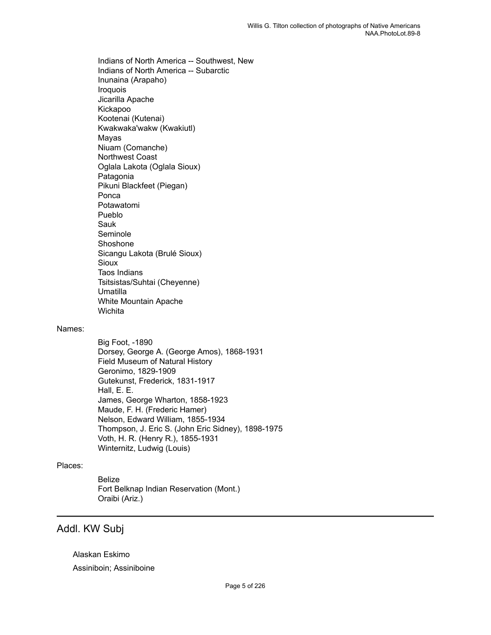Indians of North America -- Southwest, New Indians of North America -- Subarctic Inunaina (Arapaho) Iroquois Jicarilla Apache Kickapoo Kootenai (Kutenai) Kwakwaka'wakw (Kwakiutl) Mayas Niuam (Comanche) Northwest Coast Oglala Lakota (Oglala Sioux) Patagonia Pikuni Blackfeet (Piegan) Ponca Potawatomi Pueblo Sauk Seminole Shoshone Sicangu Lakota (Brulé Sioux) **Sioux** Taos Indians Tsitsistas/Suhtai (Cheyenne) Umatilla White Mountain Apache **Wichita** 

#### Names:

Big Foot, -1890 Dorsey, George A. (George Amos), 1868-1931 Field Museum of Natural History Geronimo, 1829-1909 Gutekunst, Frederick, 1831-1917 Hall, E. E. James, George Wharton, 1858-1923 Maude, F. H. (Frederic Hamer) Nelson, Edward William, 1855-1934 Thompson, J. Eric S. (John Eric Sidney), 1898-1975 Voth, H. R. (Henry R.), 1855-1931 Winternitz, Ludwig (Louis)

#### Places:

Belize Fort Belknap Indian Reservation (Mont.) Oraibi (Ariz.)

#### Addl. KW Subj

Alaskan Eskimo Assiniboin; Assiniboine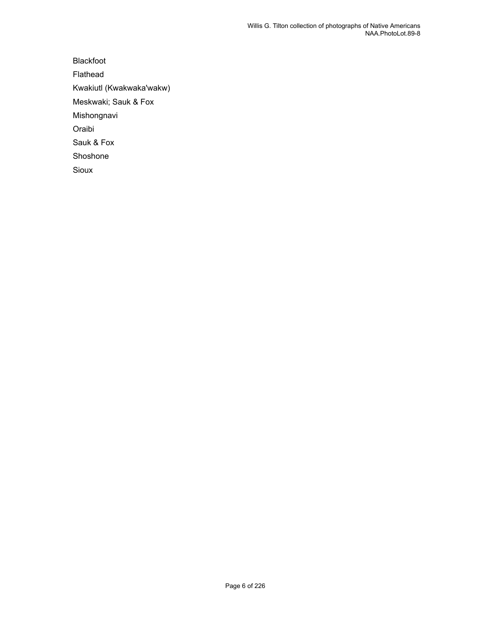Blackfoot Flathead Kwakiutl (Kwakwaka'wakw) Meskwaki; Sauk & Fox Mishongnavi Oraibi Sauk & Fox Shoshone Sioux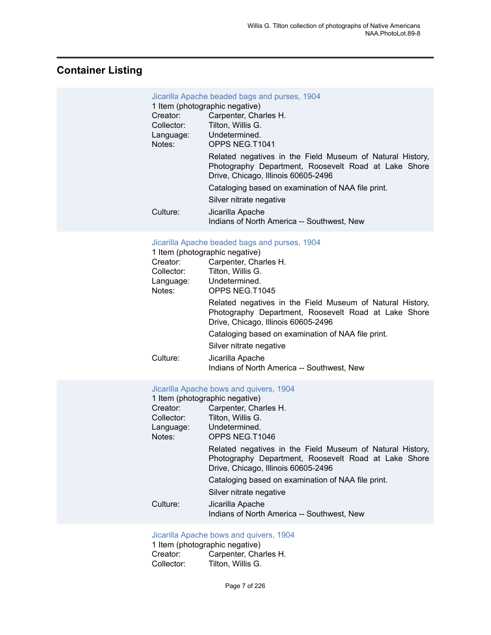# <span id="page-8-0"></span>**Container Listing**

| Jicarilla Apache beaded bags and purses, 1904<br>1 Item (photographic negative)<br>Carpenter, Charles H.<br>Creator: |                                                                                                                                                          |  |  |
|----------------------------------------------------------------------------------------------------------------------|----------------------------------------------------------------------------------------------------------------------------------------------------------|--|--|
| Collector:                                                                                                           | Tilton, Willis G.<br>Language: Undetermined.                                                                                                             |  |  |
| Notes:                                                                                                               | OPPS NEG.T1041                                                                                                                                           |  |  |
|                                                                                                                      | Related negatives in the Field Museum of Natural History,<br>Photography Department, Roosevelt Road at Lake Shore<br>Drive, Chicago, Illinois 60605-2496 |  |  |
|                                                                                                                      | Cataloging based on examination of NAA file print.                                                                                                       |  |  |
|                                                                                                                      | Silver nitrate negative                                                                                                                                  |  |  |
| Culture:                                                                                                             | Jicarilla Apache<br>Indians of North America -- Southwest, New                                                                                           |  |  |

#### [Jicarilla Apache beaded bags and purses, 1904](https://ids.si.edu/ids/deliveryService?id=NMNH-T1045-000001)

|  |  |  |  | 1 Item (photographic negative) |
|--|--|--|--|--------------------------------|
|--|--|--|--|--------------------------------|

| Creator:   | Carpenter, Charles H.                                                                                                                                    |  |  |
|------------|----------------------------------------------------------------------------------------------------------------------------------------------------------|--|--|
| Collector: | Tilton, Willis G.                                                                                                                                        |  |  |
| Language:  | Undetermined.                                                                                                                                            |  |  |
| Notes:     | OPPS NEG.T1045                                                                                                                                           |  |  |
|            | Related negatives in the Field Museum of Natural History,<br>Photography Department, Roosevelt Road at Lake Shore<br>Drive, Chicago, Illinois 60605-2496 |  |  |
|            | Cataloging based on examination of NAA file print.                                                                                                       |  |  |
|            | Silver nitrate negative                                                                                                                                  |  |  |
| Culture:   | Jicarilla Apache<br>Indians of North America -- Southwest, New                                                                                           |  |  |

#### [Jicarilla Apache bows and quivers, 1904](https://ids.si.edu/ids/deliveryService?id=NMNH-T1046-000001)

|            | 1 Item (photographic negative)                                                                                                                           |  |  |
|------------|----------------------------------------------------------------------------------------------------------------------------------------------------------|--|--|
| Creator:   | Carpenter, Charles H.                                                                                                                                    |  |  |
| Collector: | Tilton, Willis G.                                                                                                                                        |  |  |
| Language:  | Undetermined.                                                                                                                                            |  |  |
| Notes:     | OPPS NEG.T1046                                                                                                                                           |  |  |
|            | Related negatives in the Field Museum of Natural History,<br>Photography Department, Roosevelt Road at Lake Shore<br>Drive, Chicago, Illinois 60605-2496 |  |  |
|            | Cataloging based on examination of NAA file print.                                                                                                       |  |  |
|            | Silver nitrate negative                                                                                                                                  |  |  |
| Culture:   | Jicarilla Apache<br>Indians of North America -- Southwest, New                                                                                           |  |  |
|            |                                                                                                                                                          |  |  |

#### [Jicarilla Apache bows and quivers, 1904](https://ids.si.edu/ids/deliveryService?id=NMNH-T1046a-000001)

| 1 Item (photographic negative) |                       |  |  |
|--------------------------------|-----------------------|--|--|
| Creator:                       | Carpenter, Charles H. |  |  |
| Collector:                     | Tilton. Willis G.     |  |  |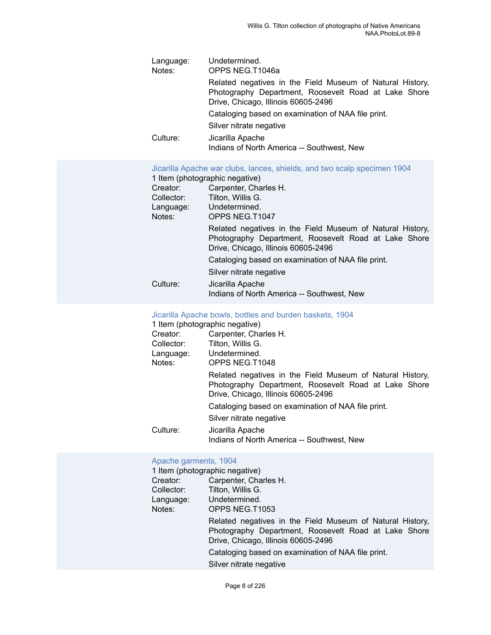| Language:<br>Notes: | Undetermined.<br>OPPS NEG.T1046a                                                                                                                         |  |  |  |
|---------------------|----------------------------------------------------------------------------------------------------------------------------------------------------------|--|--|--|
|                     | Related negatives in the Field Museum of Natural History,<br>Photography Department, Roosevelt Road at Lake Shore<br>Drive, Chicago, Illinois 60605-2496 |  |  |  |
|                     | Cataloging based on examination of NAA file print.                                                                                                       |  |  |  |
|                     | Silver nitrate negative                                                                                                                                  |  |  |  |
| Culture:            | Jicarilla Apache<br>Indians of North America -- Southwest, New                                                                                           |  |  |  |

[Jicarilla Apache war clubs, lances, shields, and two scalp specimen 1904](https://ids.si.edu/ids/deliveryService?id=NMNH-T1047-000001)

|            | 1 Item (photographic negative)                                                                                                                           |
|------------|----------------------------------------------------------------------------------------------------------------------------------------------------------|
| Creator:   | Carpenter, Charles H.                                                                                                                                    |
| Collector: | Tilton, Willis G.                                                                                                                                        |
| Language:  | Undetermined.                                                                                                                                            |
| Notes:     | OPPS NEG.T1047                                                                                                                                           |
|            | Related negatives in the Field Museum of Natural History,<br>Photography Department, Roosevelt Road at Lake Shore<br>Drive, Chicago, Illinois 60605-2496 |
|            | Cataloging based on examination of NAA file print.                                                                                                       |
|            | Silver nitrate negative                                                                                                                                  |
| Culture:   | Jicarilla Apache<br>Indians of North America -- Southwest, New                                                                                           |

#### [Jicarilla Apache bowls, bottles and burden baskets, 1904](https://ids.si.edu/ids/deliveryService?id=NMNH-T1048-000001)

|            | 1 Item (photographic negative)                                                                                                                           |
|------------|----------------------------------------------------------------------------------------------------------------------------------------------------------|
| Creator:   | Carpenter, Charles H.                                                                                                                                    |
| Collector: | Tilton, Willis G.                                                                                                                                        |
| Language:  | Undetermined.                                                                                                                                            |
| Notes:     | OPPS NEG.T1048                                                                                                                                           |
|            | Related negatives in the Field Museum of Natural History,<br>Photography Department, Roosevelt Road at Lake Shore<br>Drive, Chicago, Illinois 60605-2496 |
|            | Cataloging based on examination of NAA file print.                                                                                                       |
|            | Silver nitrate negative                                                                                                                                  |
| Culture:   | Jicarilla Apache<br>Indians of North America -- Southwest, New                                                                                           |

#### [Apache garments, 1904](https://ids.si.edu/ids/deliveryService?id=NMNH-T1053-000001)

| 1 Item (photographic negative) |                                                                                                                                                          |  |  |
|--------------------------------|----------------------------------------------------------------------------------------------------------------------------------------------------------|--|--|
| Creator:                       | Carpenter, Charles H.                                                                                                                                    |  |  |
| Collector:                     | Tilton, Willis G.                                                                                                                                        |  |  |
| Language:                      | Undetermined.                                                                                                                                            |  |  |
| Notes:                         | OPPS NEG.T1053                                                                                                                                           |  |  |
|                                | Related negatives in the Field Museum of Natural History,<br>Photography Department, Roosevelt Road at Lake Shore<br>Drive, Chicago, Illinois 60605-2496 |  |  |
|                                | Cataloging based on examination of NAA file print.                                                                                                       |  |  |
|                                | Silver nitrate negative                                                                                                                                  |  |  |
|                                |                                                                                                                                                          |  |  |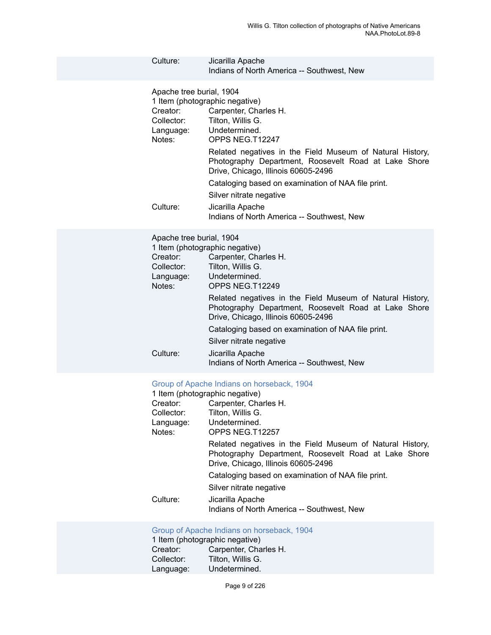| Culture:                                                                              | Jicarilla Apache<br>Indians of North America -- Southwest, New                                                                                                                                                                                                                                                                                                                                                                                                                |
|---------------------------------------------------------------------------------------|-------------------------------------------------------------------------------------------------------------------------------------------------------------------------------------------------------------------------------------------------------------------------------------------------------------------------------------------------------------------------------------------------------------------------------------------------------------------------------|
| Apache tree burial, 1904<br>Creator:<br>Collector:<br>Language:<br>Notes:<br>Culture: | 1 Item (photographic negative)<br>Carpenter, Charles H.<br>Tilton, Willis G.<br>Undetermined.<br>OPPS NEG.T12247<br>Related negatives in the Field Museum of Natural History,<br>Photography Department, Roosevelt Road at Lake Shore<br>Drive, Chicago, Illinois 60605-2496<br>Cataloging based on examination of NAA file print.<br>Silver nitrate negative<br>Jicarilla Apache<br>Indians of North America -- Southwest, New                                               |
| Apache tree burial, 1904<br>Creator:<br>Collector:<br>Language:<br>Notes:<br>Culture: | 1 Item (photographic negative)<br>Carpenter, Charles H.<br>Tilton, Willis G.<br>Undetermined.<br>OPPS NEG.T12249<br>Related negatives in the Field Museum of Natural History,<br>Photography Department, Roosevelt Road at Lake Shore<br>Drive, Chicago, Illinois 60605-2496<br>Cataloging based on examination of NAA file print.<br>Silver nitrate negative<br>Jicarilla Apache<br>Indians of North America -- Southwest, New                                               |
| Creator:<br>Collector:<br>Language:<br>Notes:<br>Culture:                             | Group of Apache Indians on horseback, 1904<br>1 Item (photographic negative)<br>Carpenter, Charles H.<br>Tilton, Willis G.<br>Undetermined.<br>OPPS NEG.T12257<br>Related negatives in the Field Museum of Natural History,<br>Photography Department, Roosevelt Road at Lake Shore<br>Drive, Chicago, Illinois 60605-2496<br>Cataloging based on examination of NAA file print.<br>Silver nitrate negative<br>Jicarilla Apache<br>Indians of North America -- Southwest, New |
| Creator:<br>Collector:<br>Language:                                                   | Group of Apache Indians on horseback, 1904<br>1 Item (photographic negative)<br>Carpenter, Charles H.<br>Tilton, Willis G.<br>Undetermined.                                                                                                                                                                                                                                                                                                                                   |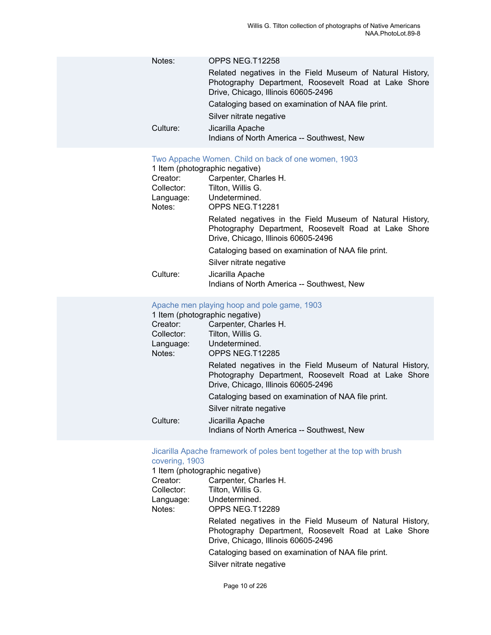| Notes:   | OPPS NEG.T12258                                                                                                                                          |
|----------|----------------------------------------------------------------------------------------------------------------------------------------------------------|
|          | Related negatives in the Field Museum of Natural History,<br>Photography Department, Roosevelt Road at Lake Shore<br>Drive, Chicago, Illinois 60605-2496 |
|          | Cataloging based on examination of NAA file print.                                                                                                       |
|          | Silver nitrate negative                                                                                                                                  |
| Culture: | Jicarilla Apache<br>Indians of North America -- Southwest, New                                                                                           |

#### Two [Appache](https://ids.si.edu/ids/deliveryService?id=NMNH-T12281-000001) Women. Child on back of one women, 1903

|            | 1 Item (photographic negative)                                                                                                                           |
|------------|----------------------------------------------------------------------------------------------------------------------------------------------------------|
| Creator:   | Carpenter, Charles H.                                                                                                                                    |
| Collector: | Tilton, Willis G.                                                                                                                                        |
| Language:  | Undetermined.                                                                                                                                            |
| Notes:     | OPPS NEG.T12281                                                                                                                                          |
|            | Related negatives in the Field Museum of Natural History,<br>Photography Department, Roosevelt Road at Lake Shore<br>Drive, Chicago, Illinois 60605-2496 |
|            | Cataloging based on examination of NAA file print.                                                                                                       |
|            | Silver nitrate negative                                                                                                                                  |
| Culture:   | Jicarilla Apache<br>Indians of North America -- Southwest, New                                                                                           |
|            |                                                                                                                                                          |

#### [Apache men playing hoop and pole game, 1903](https://ids.si.edu/ids/deliveryService?id=NMNH-T12285-000001)

|            | 1 Item (photographic negative)                                                                                                                           |
|------------|----------------------------------------------------------------------------------------------------------------------------------------------------------|
| Creator:   | Carpenter, Charles H.                                                                                                                                    |
| Collector: | Tilton, Willis G.                                                                                                                                        |
| Language:  | Undetermined.                                                                                                                                            |
| Notes:     | OPPS NEG.T12285                                                                                                                                          |
|            | Related negatives in the Field Museum of Natural History,<br>Photography Department, Roosevelt Road at Lake Shore<br>Drive, Chicago, Illinois 60605-2496 |
|            | Cataloging based on examination of NAA file print.                                                                                                       |
|            | Silver nitrate negative                                                                                                                                  |
| Culture:   | Jicarilla Apache<br>Indians of North America -- Southwest, New                                                                                           |

#### [Jicarilla Apache framework of poles bent together at the top with brush](https://ids.si.edu/ids/deliveryService?id=NMNH-T12289-000001) [covering, 1903](https://ids.si.edu/ids/deliveryService?id=NMNH-T12289-000001)

|            | 1 Item (photographic negative)                                                                                                                           |
|------------|----------------------------------------------------------------------------------------------------------------------------------------------------------|
| Creator:   | Carpenter, Charles H.                                                                                                                                    |
| Collector: | Tilton, Willis G.                                                                                                                                        |
| Language:  | Undetermined.                                                                                                                                            |
| Notes:     | OPPS NEG.T12289                                                                                                                                          |
|            | Related negatives in the Field Museum of Natural History,<br>Photography Department, Roosevelt Road at Lake Shore<br>Drive, Chicago, Illinois 60605-2496 |
|            | Cataloging based on examination of NAA file print.                                                                                                       |
|            | Silver nitrate negative                                                                                                                                  |
|            |                                                                                                                                                          |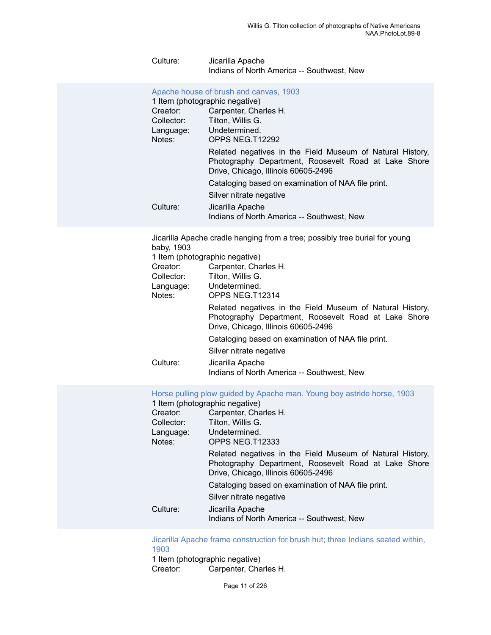#### Culture: Jicarilla Apache Indians of North America -- Southwest, New

|            | Apache house of brush and canvas, 1903<br>1 Item (photographic negative)                                                                                 |
|------------|----------------------------------------------------------------------------------------------------------------------------------------------------------|
| Creator:   | Carpenter, Charles H.                                                                                                                                    |
| Collector: | Tilton, Willis G.                                                                                                                                        |
| Language:  | Undetermined.                                                                                                                                            |
| Notes:     | OPPS NEG.T12292                                                                                                                                          |
|            | Related negatives in the Field Museum of Natural History,<br>Photography Department, Roosevelt Road at Lake Shore<br>Drive, Chicago, Illinois 60605-2496 |
|            | Cataloging based on examination of NAA file print.                                                                                                       |
|            | Silver nitrate negative                                                                                                                                  |
| Culture:   | Jicarilla Apache<br>Indians of North America -- Southwest, New                                                                                           |

Jicarilla Apache cradle hanging from a tree; possibly tree burial for young baby, 1903

|            | 1 Item (photographic negative)                                                                                                                           |
|------------|----------------------------------------------------------------------------------------------------------------------------------------------------------|
| Creator:   | Carpenter, Charles H.                                                                                                                                    |
| Collector: | Tilton, Willis G.                                                                                                                                        |
| Language:  | Undetermined.                                                                                                                                            |
| Notes:     | OPPS NEG.T12314                                                                                                                                          |
|            | Related negatives in the Field Museum of Natural History,<br>Photography Department, Roosevelt Road at Lake Shore<br>Drive, Chicago, Illinois 60605-2496 |
|            | Cataloging based on examination of NAA file print.                                                                                                       |
|            | Silver nitrate negative                                                                                                                                  |
| Culture:   | Jicarilla Apache<br>Indians of North America -- Southwest, New                                                                                           |

Horse pulling plow guided by [Apache](https://ids.si.edu/ids/deliveryService?id=NMNH-T12333-000001) man. Young boy astride horse, 1903

|            | 1 Item (photographic negative)                                                                                                                           |
|------------|----------------------------------------------------------------------------------------------------------------------------------------------------------|
| Creator:   | Carpenter, Charles H.                                                                                                                                    |
| Collector: | Tilton, Willis G.                                                                                                                                        |
| Language:  | Undetermined.                                                                                                                                            |
| Notes:     | OPPS NEG.T12333                                                                                                                                          |
|            | Related negatives in the Field Museum of Natural History,<br>Photography Department, Roosevelt Road at Lake Shore<br>Drive, Chicago, Illinois 60605-2496 |
|            | Cataloging based on examination of NAA file print.                                                                                                       |
|            | Silver nitrate negative                                                                                                                                  |
| Culture:   | Jicarilla Apache<br>Indians of North America -- Southwest, New                                                                                           |
|            |                                                                                                                                                          |

[Jicarilla Apache frame construction for brush hut; three Indians seated within,](https://ids.si.edu/ids/deliveryService?id=NMNH-T12371-000001) [1903](https://ids.si.edu/ids/deliveryService?id=NMNH-T12371-000001)

1 Item (photographic negative)<br>Creator: Carpenter, Cha Carpenter, Charles H.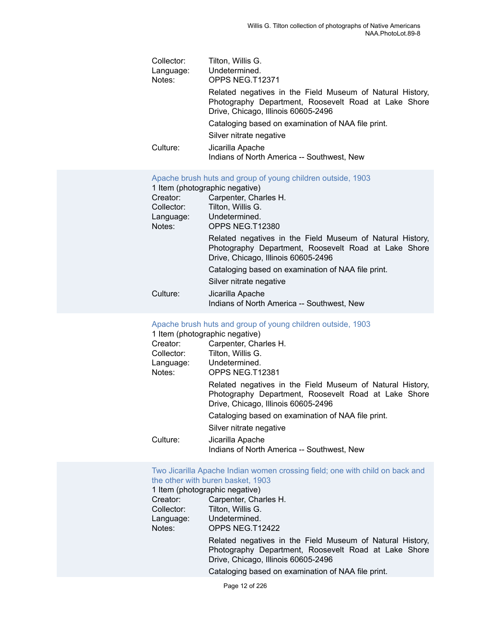| Collector: | Tilton, Willis G.                                                                                                                                        |
|------------|----------------------------------------------------------------------------------------------------------------------------------------------------------|
| Language:  | Undetermined.                                                                                                                                            |
| Notes:     | OPPS NEG.T12371                                                                                                                                          |
|            | Related negatives in the Field Museum of Natural History,<br>Photography Department, Roosevelt Road at Lake Shore<br>Drive, Chicago, Illinois 60605-2496 |
|            | Cataloging based on examination of NAA file print.                                                                                                       |
|            | Silver nitrate negative                                                                                                                                  |
| Culture:   | Jicarilla Apache<br>Indians of North America -- Southwest, New                                                                                           |

#### [Apache brush huts and group of young children outside, 1903](https://ids.si.edu/ids/deliveryService?id=NMNH-T12380-000001)

1 Item (photographic negative)

| Creator:   | Carpenter, Charles H.                                                                                                                                    |
|------------|----------------------------------------------------------------------------------------------------------------------------------------------------------|
| Collector: | Tilton, Willis G.                                                                                                                                        |
| Language:  | Undetermined.                                                                                                                                            |
| Notes:     | OPPS NEG.T12380                                                                                                                                          |
|            | Related negatives in the Field Museum of Natural History,<br>Photography Department, Roosevelt Road at Lake Shore<br>Drive, Chicago, Illinois 60605-2496 |
|            | Cataloging based on examination of NAA file print.                                                                                                       |
|            | Silver nitrate negative                                                                                                                                  |
| Culture:   | Jicarilla Apache<br>Indians of North America -- Southwest, New                                                                                           |

#### [Apache brush huts and group of young children outside, 1903](https://ids.si.edu/ids/deliveryService?id=NMNH-T12381-000001)

|            | 1 Item (photographic negative)                                                                                                                           |
|------------|----------------------------------------------------------------------------------------------------------------------------------------------------------|
| Creator:   | Carpenter, Charles H.                                                                                                                                    |
| Collector: | Tilton, Willis G.                                                                                                                                        |
| Language:  | Undetermined.                                                                                                                                            |
| Notes:     | OPPS NEG.T12381                                                                                                                                          |
|            | Related negatives in the Field Museum of Natural History,<br>Photography Department, Roosevelt Road at Lake Shore<br>Drive, Chicago, Illinois 60605-2496 |
|            | Cataloging based on examination of NAA file print.                                                                                                       |
|            | Silver nitrate negative                                                                                                                                  |
| Culture:   | Jicarilla Apache<br>Indians of North America -- Southwest, New                                                                                           |

# Two Jicarilla Apache Indian women [crossing](https://ids.si.edu/ids/deliveryService?id=NMNH-T12422-000001) field; one with child on back and

|            | the other with buren basket, 1903                                                                                                                        |
|------------|----------------------------------------------------------------------------------------------------------------------------------------------------------|
|            | 1 Item (photographic negative)                                                                                                                           |
| Creator:   | Carpenter, Charles H.                                                                                                                                    |
| Collector: | Tilton, Willis G.                                                                                                                                        |
| Language:  | Undetermined.                                                                                                                                            |
| Notes:     | OPPS NEG.T12422                                                                                                                                          |
|            | Related negatives in the Field Museum of Natural History,<br>Photography Department, Roosevelt Road at Lake Shore<br>Drive, Chicago, Illinois 60605-2496 |
|            | Cataloging based on examination of NAA file print.                                                                                                       |
|            |                                                                                                                                                          |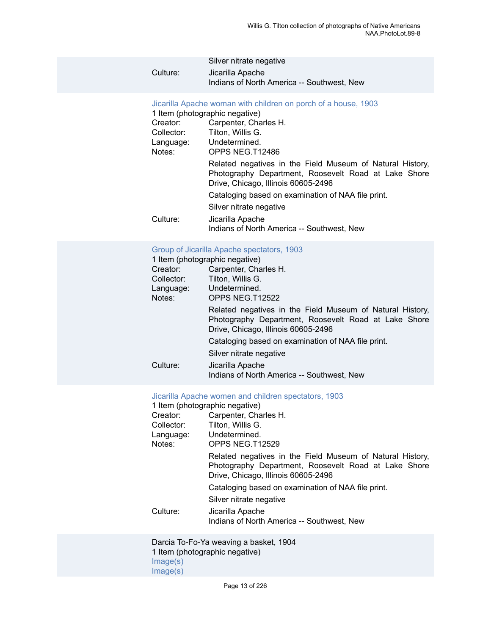|          | Silver nitrate negative                                        |
|----------|----------------------------------------------------------------|
| Culture: | Jicarilla Apache<br>Indians of North America -- Southwest, New |

#### [Jicarilla Apache woman with children on porch of a house, 1903](https://ids.si.edu/ids/deliveryService?id=NMNH-T12486-000001)

|                        | 1 Item (photographic negative)                                                                                                                           |  |  |
|------------------------|----------------------------------------------------------------------------------------------------------------------------------------------------------|--|--|
| Creator:<br>Collector: | Carpenter, Charles H.<br>Tilton, Willis G.<br>Undetermined.                                                                                              |  |  |
| Language:<br>Notes:    | OPPS NEG.T12486                                                                                                                                          |  |  |
|                        | Related negatives in the Field Museum of Natural History,<br>Photography Department, Roosevelt Road at Lake Shore<br>Drive, Chicago, Illinois 60605-2496 |  |  |
|                        | Cataloging based on examination of NAA file print.                                                                                                       |  |  |
|                        | Silver nitrate negative                                                                                                                                  |  |  |
| Culture:               | Jicarilla Apache<br>Indians of North America -- Southwest, New                                                                                           |  |  |

#### [Group of Jicarilla Apache spectators, 1903](https://ids.si.edu/ids/deliveryService?id=NMNH-T12522-000001)

| 1 Item (photographic negative) |                                                                                                                                                          |  |
|--------------------------------|----------------------------------------------------------------------------------------------------------------------------------------------------------|--|
| Creator:                       | Carpenter, Charles H.                                                                                                                                    |  |
| Collector:                     | Tilton, Willis G.                                                                                                                                        |  |
| Language:                      | Undetermined.                                                                                                                                            |  |
| Notes:                         | OPPS NEG.T12522                                                                                                                                          |  |
|                                | Related negatives in the Field Museum of Natural History,<br>Photography Department, Roosevelt Road at Lake Shore<br>Drive, Chicago, Illinois 60605-2496 |  |
|                                | Cataloging based on examination of NAA file print.                                                                                                       |  |
|                                | Silver nitrate negative                                                                                                                                  |  |
| Culture:                       | Jicarilla Apache<br>Indians of North America -- Southwest, New                                                                                           |  |

#### [Jicarilla Apache women and children spectators, 1903](https://ids.si.edu/ids/deliveryService?id=NMNH-T12529-000001)

| 1 Item (photographic negative) |                                                                                                                                                          |  |  |
|--------------------------------|----------------------------------------------------------------------------------------------------------------------------------------------------------|--|--|
| Creator:                       | Carpenter, Charles H.                                                                                                                                    |  |  |
| Collector:                     | Tilton, Willis G.                                                                                                                                        |  |  |
| Language:                      | Undetermined.                                                                                                                                            |  |  |
| Notes:                         | OPPS NEG.T12529                                                                                                                                          |  |  |
|                                | Related negatives in the Field Museum of Natural History,<br>Photography Department, Roosevelt Road at Lake Shore<br>Drive, Chicago, Illinois 60605-2496 |  |  |
|                                | Cataloging based on examination of NAA file print.                                                                                                       |  |  |
|                                | Silver nitrate negative                                                                                                                                  |  |  |
| Culture:                       | Jicarilla Apache<br>Indians of North America -- Southwest, New                                                                                           |  |  |

Darcia To-Fo-Ya weaving a basket, 1904 1 Item (photographic negative) [Image\(s\)](https://ids.si.edu/ids/deliveryService?id=NMNH-T15147-000001) [Image\(s\)](https://ids.si.edu/ids/deliveryService?id=NMNH-T15147no2-000001)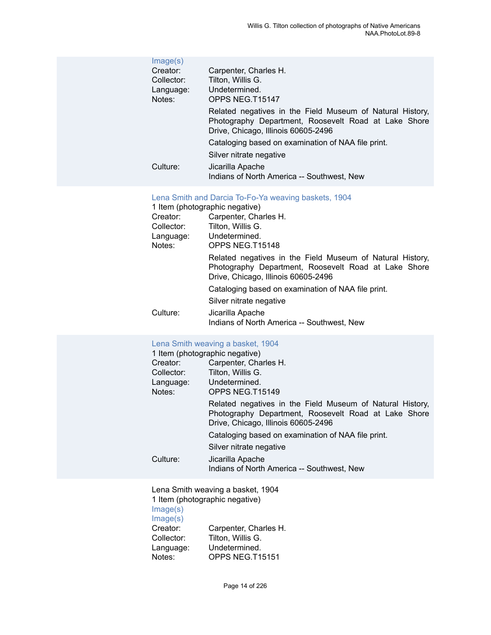| Image(s)<br>Creator:<br>Collector:<br>Language:<br>Notes:<br>Culture: | Carpenter, Charles H.<br>Tilton, Willis G.<br>Undetermined.<br>OPPS NEG.T15147<br>Related negatives in the Field Museum of Natural History,<br>Photography Department, Roosevelt Road at Lake Shore<br>Drive, Chicago, Illinois 60605-2496<br>Cataloging based on examination of NAA file print.<br>Silver nitrate negative<br>Jicarilla Apache<br>Indians of North America -- Southwest, New                                                                                           |
|-----------------------------------------------------------------------|-----------------------------------------------------------------------------------------------------------------------------------------------------------------------------------------------------------------------------------------------------------------------------------------------------------------------------------------------------------------------------------------------------------------------------------------------------------------------------------------|
| Creator:<br>Collector:<br>Language:<br>Notes:<br>Culture:             | Lena Smith and Darcia To-Fo-Ya weaving baskets, 1904<br>1 Item (photographic negative)<br>Carpenter, Charles H.<br>Tilton, Willis G.<br>Undetermined.<br>OPPS NEG.T15148<br>Related negatives in the Field Museum of Natural History,<br>Photography Department, Roosevelt Road at Lake Shore<br>Drive, Chicago, Illinois 60605-2496<br>Cataloging based on examination of NAA file print.<br>Silver nitrate negative<br>Jicarilla Apache<br>Indians of North America -- Southwest, New |
| Creator:<br>Collector:<br>Language:<br>Notes:<br>Culture:             | Lena Smith weaving a basket, 1904<br>1 Item (photographic negative)<br>Carpenter, Charles H.<br>Tilton, Willis G.<br>Undetermined.<br>OPPS NEG.T15149<br>Related negatives in the Field Museum of Natural History,<br>Photography Department, Roosevelt Road at Lake Shore<br>Drive, Chicago, Illinois 60605-2496<br>Cataloging based on examination of NAA file print.<br>Silver nitrate negative<br>Jicarilla Apache<br>Indians of North America -- Southwest, New                    |
| Image(s)<br>Image(s)<br>Creator:<br>Collector:<br>Language:<br>Notes: | Lena Smith weaving a basket, 1904<br>1 Item (photographic negative)<br>Carpenter, Charles H.<br>Tilton, Willis G.<br>Undetermined.<br>OPPS NEG.T15151                                                                                                                                                                                                                                                                                                                                   |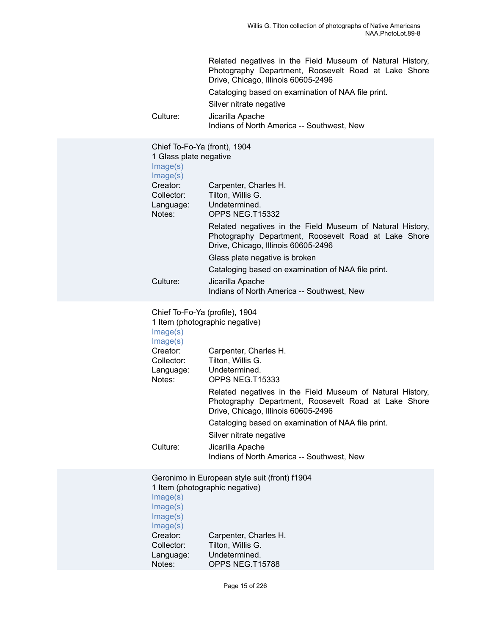| Culture:                                                                                                                                    | Related negatives in the Field Museum of Natural History,<br>Photography Department, Roosevelt Road at Lake Shore<br>Drive, Chicago, Illinois 60605-2496<br>Cataloging based on examination of NAA file print.<br>Silver nitrate negative<br>Jicarilla Apache<br>Indians of North America -- Southwest, New                                                                                                                     |
|---------------------------------------------------------------------------------------------------------------------------------------------|---------------------------------------------------------------------------------------------------------------------------------------------------------------------------------------------------------------------------------------------------------------------------------------------------------------------------------------------------------------------------------------------------------------------------------|
| Chief To-Fo-Ya (front), 1904<br>1 Glass plate negative<br>Image(s)<br>Image(s)<br>Creator:<br>Collector:<br>Language:<br>Notes:<br>Culture: | Carpenter, Charles H.<br>Tilton, Willis G.<br>Undetermined.<br>OPPS NEG.T15332<br>Related negatives in the Field Museum of Natural History,<br>Photography Department, Roosevelt Road at Lake Shore<br>Drive, Chicago, Illinois 60605-2496<br>Glass plate negative is broken<br>Cataloging based on examination of NAA file print.<br>Jicarilla Apache                                                                          |
|                                                                                                                                             | Indians of North America -- Southwest, New                                                                                                                                                                                                                                                                                                                                                                                      |
| Chief To-Fo-Ya (profile), 1904<br>Image(s)<br>Image(s)<br>Creator:<br>Collector:<br>Language:<br>Notes:<br>Culture:                         | 1 Item (photographic negative)<br>Carpenter, Charles H.<br>Tilton, Willis G.<br>Undetermined.<br>OPPS NEG.T15333<br>Related negatives in the Field Museum of Natural History,<br>Photography Department, Roosevelt Road at Lake Shore<br>Drive, Chicago, Illinois 60605-2496<br>Cataloging based on examination of NAA file print.<br>Silver nitrate negative<br>Jicarilla Apache<br>Indians of North America -- Southwest, New |
| Image(s)<br>Image(s)<br>Image(s)<br>Image(s)<br>Creator:<br>Collector:<br>Language:<br>Notes:                                               | Geronimo in European style suit (front) f1904<br>1 Item (photographic negative)<br>Carpenter, Charles H.<br>Tilton, Willis G.<br>Undetermined.<br>OPPS NEG.T15788                                                                                                                                                                                                                                                               |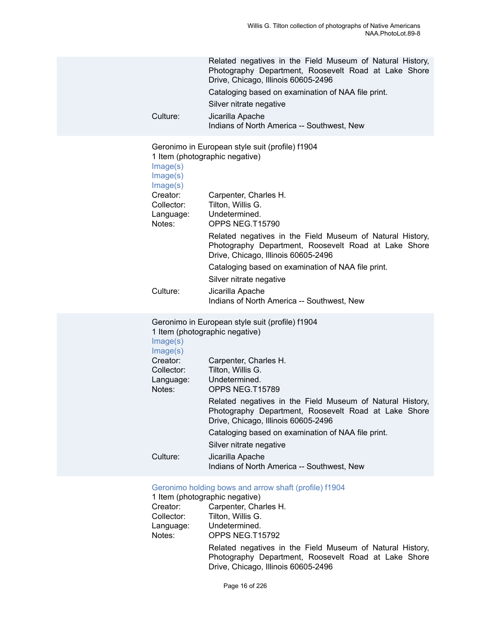| Culture:                                                                          | Related negatives in the Field Museum of Natural History,<br>Photography Department, Roosevelt Road at Lake Shore<br>Drive, Chicago, Illinois 60605-2496<br>Cataloging based on examination of NAA file print.<br>Silver nitrate negative<br>Jicarilla Apache<br>Indians of North America -- Southwest, New                                                                                                      |
|-----------------------------------------------------------------------------------|------------------------------------------------------------------------------------------------------------------------------------------------------------------------------------------------------------------------------------------------------------------------------------------------------------------------------------------------------------------------------------------------------------------|
| Image(s)<br>Image(s)<br>Image(s)<br>Creator:<br>Collector:<br>Language:<br>Notes: | Geronimo in European style suit (profile) f1904<br>1 Item (photographic negative)<br>Carpenter, Charles H.<br>Tilton, Willis G.<br>Undetermined.<br>OPPS NEG.T15790<br>Related negatives in the Field Museum of Natural History,<br>Photography Department, Roosevelt Road at Lake Shore<br>Drive, Chicago, Illinois 60605-2496<br>Cataloging based on examination of NAA file print.<br>Silver nitrate negative |
| Culture:                                                                          | Jicarilla Apache<br>Indians of North America -- Southwest, New                                                                                                                                                                                                                                                                                                                                                   |
| Image(s)<br>Image(s)<br>Creator:<br>Collector:<br>Language:<br>Notes:             | Geronimo in European style suit (profile) f1904<br>1 Item (photographic negative)<br>Carpenter, Charles H.<br>Tilton, Willis G.<br>Undetermined.<br>OPPS NEG.T15789<br>Related negatives in the Field Museum of Natural History,<br>Photography Department, Roosevelt Road at Lake Shore<br>Drive, Chicago, Illinois 60605-2496<br>Cataloging based on examination of NAA file print.<br>Silver nitrate negative |
| Culture:                                                                          | Jicarilla Apache<br>Indians of North America -- Southwest, New                                                                                                                                                                                                                                                                                                                                                   |
| Creator:                                                                          | Geronimo holding bows and arrow shaft (profile) f1904<br>1 Item (photographic negative)<br>Carpenter, Charles H.                                                                                                                                                                                                                                                                                                 |

| Creator:   | Carpenter, Charles H.                                                                                                                                    |
|------------|----------------------------------------------------------------------------------------------------------------------------------------------------------|
| Collector: | Tilton, Willis G.                                                                                                                                        |
| Language:  | Undetermined.                                                                                                                                            |
| Notes:     | OPPS NEG.T15792                                                                                                                                          |
|            | Related negatives in the Field Museum of Natural History,<br>Photography Department, Roosevelt Road at Lake Shore<br>Drive, Chicago, Illinois 60605-2496 |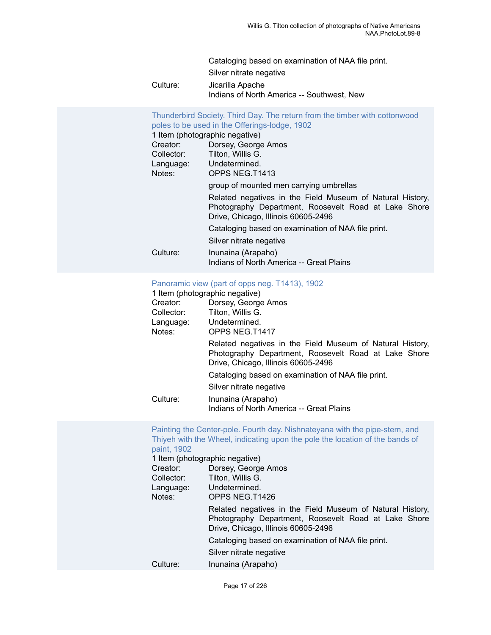Cataloging based on examination of NAA file print. Silver nitrate negative Culture: Jicarilla Apache Indians of North America -- Southwest, New

[Thunderbird](https://ids.si.edu/ids/deliveryService?id=NMNH-T1413-000001) Society. Third Day. The return from the timber with cottonwood poles to be used in the [Offerings-lodge,](https://ids.si.edu/ids/deliveryService?id=NMNH-T1413-000001) 1902 1 Item (photographic negative) Creator: Dorsey, George Amos<br>Collector: Tilton, Willis G. Tilton, Willis G. Language: Undetermined. Notes: OPPS NEG.T1413 group of mounted men carrying umbrellas Related negatives in the Field Museum of Natural History, Photography Department, Roosevelt Road at Lake Shore Drive, Chicago, Illinois 60605-2496 Cataloging based on examination of NAA file print. Silver nitrate negative Culture: Inunaina (Arapaho) Indians of North America -- Great Plains

#### [Panoramic view \(part of opps neg. T1413\), 1902](https://ids.si.edu/ids/deliveryService?id=NMNH-T1417-000001)

|            | 1 Item (photographic negative)                                                                                                                           |  |  |
|------------|----------------------------------------------------------------------------------------------------------------------------------------------------------|--|--|
| Creator:   | Dorsey, George Amos                                                                                                                                      |  |  |
| Collector: | Tilton, Willis G.                                                                                                                                        |  |  |
| Language:  | Undetermined.                                                                                                                                            |  |  |
| Notes:     | OPPS NEG.T1417                                                                                                                                           |  |  |
|            | Related negatives in the Field Museum of Natural History,<br>Photography Department, Roosevelt Road at Lake Shore<br>Drive, Chicago, Illinois 60605-2496 |  |  |
|            | Cataloging based on examination of NAA file print.                                                                                                       |  |  |
|            | Silver nitrate negative                                                                                                                                  |  |  |
| Culture:   | Inunaina (Arapaho)<br>Indians of North America -- Great Plains                                                                                           |  |  |

| paint, 1902         | Painting the Center-pole. Fourth day. Nishnateyana with the pipe-stem, and<br>Thiyeh with the Wheel, indicating upon the pole the location of the bands of<br>1 Item (photographic negative) |
|---------------------|----------------------------------------------------------------------------------------------------------------------------------------------------------------------------------------------|
| Creator:            | Dorsey, George Amos                                                                                                                                                                          |
| Collector:          | Tilton, Willis G.                                                                                                                                                                            |
| Language:<br>Notes: | Undetermined.<br>OPPS NEG.T1426                                                                                                                                                              |
|                     | Related negatives in the Field Museum of Natural History,<br>Photography Department, Roosevelt Road at Lake Shore<br>Drive, Chicago, Illinois 60605-2496                                     |
|                     | Cataloging based on examination of NAA file print.                                                                                                                                           |
|                     | Silver nitrate negative                                                                                                                                                                      |
| Culture:            | Inunaina (Arapaho)                                                                                                                                                                           |
|                     |                                                                                                                                                                                              |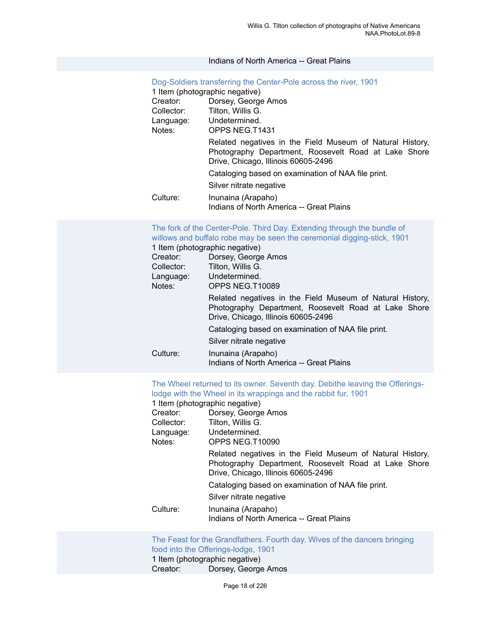#### Indians of North America -- Great Plains

|            | Dog-Soldiers transferring the Center-Pole across the river, 1901<br>1 Item (photographic negative)                                                       |  |  |
|------------|----------------------------------------------------------------------------------------------------------------------------------------------------------|--|--|
| Creator:   | Dorsey, George Amos                                                                                                                                      |  |  |
| Collector: | Tilton, Willis G.                                                                                                                                        |  |  |
|            | Language: Undetermined.                                                                                                                                  |  |  |
| Notes:     | OPPS NEG.T1431                                                                                                                                           |  |  |
|            | Related negatives in the Field Museum of Natural History,<br>Photography Department, Roosevelt Road at Lake Shore<br>Drive, Chicago, Illinois 60605-2496 |  |  |
|            | Cataloging based on examination of NAA file print.                                                                                                       |  |  |
|            | Silver nitrate negative                                                                                                                                  |  |  |
| Culture:   | Inunaina (Arapaho)<br>Indians of North America -- Great Plains                                                                                           |  |  |

#### The fork of the [Center-Pole.](https://ids.si.edu/ids/deliveryService?id=NMNH-T10089-000001) Third Day. Extending through the bundle of willows and buffalo robe may be seen the ceremonial [digging-stick,](https://ids.si.edu/ids/deliveryService?id=NMNH-T10089-000001) 1901

|            | 1 Item (photographic negative)                                                                                                                           |
|------------|----------------------------------------------------------------------------------------------------------------------------------------------------------|
| Creator:   | Dorsey, George Amos                                                                                                                                      |
| Collector: | Tilton, Willis G.                                                                                                                                        |
| Language:  | Undetermined.                                                                                                                                            |
| Notes:     | OPPS NEG.T10089                                                                                                                                          |
|            | Related negatives in the Field Museum of Natural History,<br>Photography Department, Roosevelt Road at Lake Shore<br>Drive, Chicago, Illinois 60605-2496 |
|            | Cataloging based on examination of NAA file print.                                                                                                       |
|            | Silver nitrate negative                                                                                                                                  |
| Culture:   | Inunaina (Arapaho)<br>Indians of North America -- Great Plains                                                                                           |

The Wheel returned to its owner. Seventh day. Debithe leaving the [Offerings](https://ids.si.edu/ids/deliveryService?id=NMNH-T10090-000001)lodge with the Wheel in its [wrappings](https://ids.si.edu/ids/deliveryService?id=NMNH-T10090-000001) and the rabbit fur, 1901

1 Item (photographic negative)<br>Creator: Dorsey George

| Creator:<br>Collector:<br>Language:<br>Notes: | Dorsey, George Amos<br>Tilton, Willis G.<br>Undetermined.<br>OPPS NEG.T10090                                                                             |
|-----------------------------------------------|----------------------------------------------------------------------------------------------------------------------------------------------------------|
|                                               | Related negatives in the Field Museum of Natural History,<br>Photography Department, Roosevelt Road at Lake Shore<br>Drive, Chicago, Illinois 60605-2496 |
|                                               | Cataloging based on examination of NAA file print.                                                                                                       |
|                                               | Silver nitrate negative                                                                                                                                  |
| Culture:                                      | Inunaina (Arapaho)<br>Indians of North America -- Great Plains                                                                                           |

The Feast for the [Grandfathers.](https://ids.si.edu/ids/deliveryService?id=NMNH-T10092-000001) Fourth day. Wives of the dancers bringing food into the [Offerings-lodge,](https://ids.si.edu/ids/deliveryService?id=NMNH-T10092-000001) 1901 1 Item (photographic negative)<br>Creator: Dorsey, George Dorsey, George Amos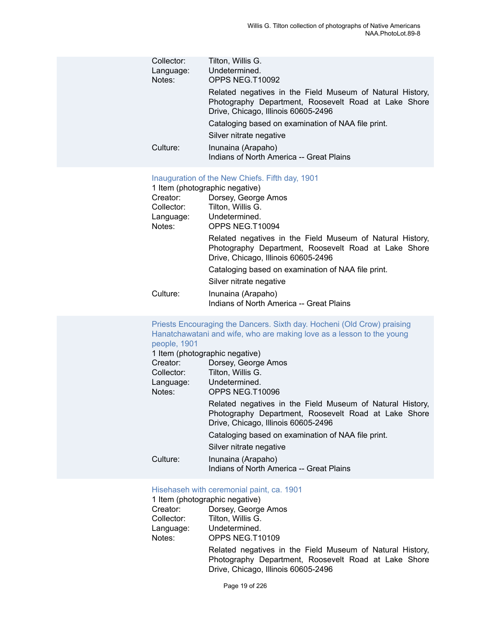| Collector:<br>Language:<br>Notes:             | Tilton, Willis G.<br>Undetermined.<br>OPPS NEG.T10092                                                                                                             |
|-----------------------------------------------|-------------------------------------------------------------------------------------------------------------------------------------------------------------------|
|                                               | Related negatives in the Field Museum of Natural History,<br>Photography Department, Roosevelt Road at Lake Shore<br>Drive, Chicago, Illinois 60605-2496          |
|                                               | Cataloging based on examination of NAA file print.                                                                                                                |
|                                               | Silver nitrate negative                                                                                                                                           |
| Culture:                                      | Inunaina (Arapaho)<br>Indians of North America -- Great Plains                                                                                                    |
| Creator:<br>Collector:<br>Language:<br>Notes: | Inauguration of the New Chiefs. Fifth day, 1901<br>1 Item (photographic negative)<br>Dorsey, George Amos<br>Tilton, Willis G.<br>Undetermined.<br>OPPS NEG.T10094 |
|                                               | Related negatives in the Field Museum of Natural History,<br>Photography Department, Roosevelt Road at Lake Shore<br>Drive, Chicago, Illinois 60605-2496          |
|                                               | Cataloging based on examination of NAA file print.<br>Silver nitrate negative                                                                                     |
| Culture:                                      | Inunaina (Arapaho)                                                                                                                                                |
|                                               | Indians of North America -- Great Plains                                                                                                                          |
| people, 1901                                  | Priests Encouraging the Dancers. Sixth day. Hocheni (Old Crow) praising<br>Hanatchawatani and wife, who are making love as a lesson to the young                  |
|                                               | 1 Item (photographic negative)                                                                                                                                    |
| Creator:<br>Collector:                        | Dorsey, George Amos<br>Tilton, Willis G.                                                                                                                          |
| Language:<br>Notes:                           | Undetermined.<br>OPPS NEG.T10096                                                                                                                                  |
|                                               | Related negatives in the Field Museum of Natural History,<br>Photography Department, Roosevelt Road at Lake Shore<br>Drive, Chicago, Illinois 60605-2496          |
|                                               | Cataloging based on examination of NAA file print.                                                                                                                |
|                                               | Silver nitrate negative                                                                                                                                           |
| Culture:                                      | Inunaina (Arapaho)<br>Indians of North America -- Great Plains                                                                                                    |
|                                               | Hisehaseh with ceremonial paint, ca. 1901                                                                                                                         |

# 1 Item (photographic negative)<br>Creator: Dorsey, George

| Creator:   | Dorsey, George Amos                                                                                               |
|------------|-------------------------------------------------------------------------------------------------------------------|
| Collector: | Tilton, Willis G.                                                                                                 |
| Language:  | Undetermined.                                                                                                     |
| Notes:     | OPPS NEG.T10109                                                                                                   |
|            | Related negatives in the Field Museum of Natural History,<br>Photography Department, Roosevelt Road at Lake Shore |
|            | Drive, Chicago, Illinois 60605-2496                                                                               |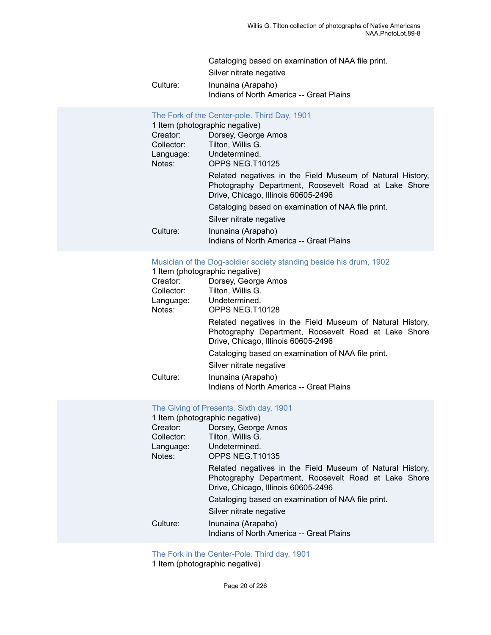Cataloging based on examination of NAA file print.

Silver nitrate negative

Culture: Inunaina (Arapaho) Indians of North America -- Great Plains

#### The Fork of the [Center-pole.](https://ids.si.edu/ids/deliveryService?id=NMNH-T10125-000001) Third Day, 1901

|            | 1 Item (photographic negative)                                                                                                                           |
|------------|----------------------------------------------------------------------------------------------------------------------------------------------------------|
| Creator:   | Dorsey, George Amos                                                                                                                                      |
| Collector: | Tilton, Willis G.                                                                                                                                        |
| Language:  | Undetermined.                                                                                                                                            |
| Notes:     | OPPS NEG.T10125                                                                                                                                          |
|            | Related negatives in the Field Museum of Natural History,<br>Photography Department, Roosevelt Road at Lake Shore<br>Drive, Chicago, Illinois 60605-2496 |
|            | Cataloging based on examination of NAA file print.                                                                                                       |
|            | Silver nitrate negative                                                                                                                                  |
| Culture:   | Inunaina (Arapaho)<br>Indians of North America -- Great Plains                                                                                           |

#### [Musician of the Dog-soldier society standing beside his drum, 1902](https://ids.si.edu/ids/deliveryService?id=NMNH-T10128-000001)

|            | 1 Item (photographic negative)                                                                                                                           |
|------------|----------------------------------------------------------------------------------------------------------------------------------------------------------|
| Creator:   | Dorsey, George Amos                                                                                                                                      |
| Collector: | Tilton, Willis G.                                                                                                                                        |
| Language:  | Undetermined.                                                                                                                                            |
| Notes:     | OPPS NEG.T10128                                                                                                                                          |
|            | Related negatives in the Field Museum of Natural History,<br>Photography Department, Roosevelt Road at Lake Shore<br>Drive, Chicago, Illinois 60605-2496 |
|            | Cataloging based on examination of NAA file print.                                                                                                       |
|            | Silver nitrate negative                                                                                                                                  |
| Culture:   | Inunaina (Arapaho)<br>Indians of North America -- Great Plains                                                                                           |

#### The Giving of [Presents.](https://ids.si.edu/ids/deliveryService?id=NMNH-T10135-000001) Sixth day, 1901

|            | 1 Item (photographic negative)                                                                                                                           |
|------------|----------------------------------------------------------------------------------------------------------------------------------------------------------|
| Creator:   | Dorsey, George Amos                                                                                                                                      |
| Collector: | Tilton, Willis G.                                                                                                                                        |
| Language:  | Undetermined.                                                                                                                                            |
| Notes:     | OPPS NEG.T10135                                                                                                                                          |
|            | Related negatives in the Field Museum of Natural History,<br>Photography Department, Roosevelt Road at Lake Shore<br>Drive, Chicago, Illinois 60605-2496 |
|            | Cataloging based on examination of NAA file print.                                                                                                       |
|            | Silver nitrate negative                                                                                                                                  |
| Culture:   | Inunaina (Arapaho)<br>Indians of North America -- Great Plains                                                                                           |

The Fork in the [Center-Pole.](https://ids.si.edu/ids/deliveryService?id=NMNH-T10138-000001) Third day, 1901

1 Item (photographic negative)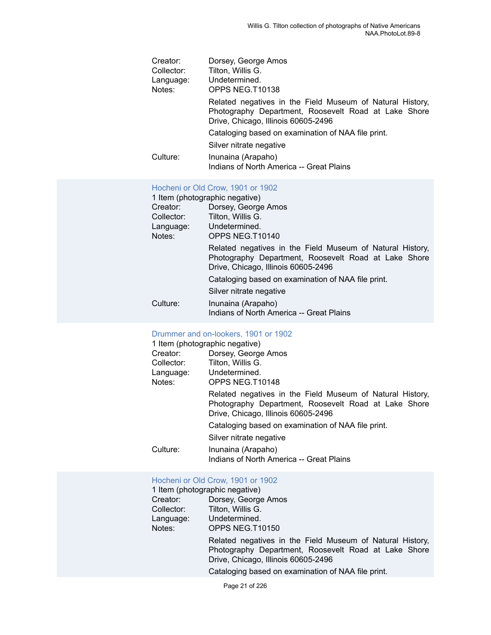| Creator:   | Dorsey, George Amos                                                                                                                                      |
|------------|----------------------------------------------------------------------------------------------------------------------------------------------------------|
| Collector: | Tilton, Willis G.                                                                                                                                        |
| Language:  | Undetermined.                                                                                                                                            |
| Notes:     | OPPS NEG.T10138                                                                                                                                          |
|            | Related negatives in the Field Museum of Natural History,<br>Photography Department, Roosevelt Road at Lake Shore<br>Drive, Chicago, Illinois 60605-2496 |
|            | Cataloging based on examination of NAA file print.                                                                                                       |
|            | Silver nitrate negative                                                                                                                                  |
| Culture:   | Inunaina (Arapaho)<br>Indians of North America -- Great Plains                                                                                           |

#### [Hocheni](https://ids.si.edu/ids/deliveryService?id=NMNH-T10140-000001) or Old Crow, 1901 or 1902

|            | 1 Item (photographic negative)                                                                                                                           |
|------------|----------------------------------------------------------------------------------------------------------------------------------------------------------|
| Creator:   | Dorsey, George Amos                                                                                                                                      |
| Collector: | Tilton, Willis G.                                                                                                                                        |
| Language:  | Undetermined.                                                                                                                                            |
| Notes:     | OPPS NEG.T10140                                                                                                                                          |
|            | Related negatives in the Field Museum of Natural History,<br>Photography Department, Roosevelt Road at Lake Shore<br>Drive, Chicago, Illinois 60605-2496 |
|            | Cataloging based on examination of NAA file print.                                                                                                       |
|            | Silver nitrate negative                                                                                                                                  |
| Culture:   | Inunaina (Arapaho)<br>Indians of North America -- Great Plains                                                                                           |

| Drummer and on-lookers, 1901 or 1902 |                                                                                                                                                          |  |
|--------------------------------------|----------------------------------------------------------------------------------------------------------------------------------------------------------|--|
| 1 Item (photographic negative)       |                                                                                                                                                          |  |
| Creator:                             | Dorsey, George Amos                                                                                                                                      |  |
| Collector:                           | Tilton, Willis G.                                                                                                                                        |  |
| Language: Undetermined.              |                                                                                                                                                          |  |
| Notes:                               | OPPS NEG.T10148                                                                                                                                          |  |
|                                      | Related negatives in the Field Museum of Natural History,<br>Photography Department, Roosevelt Road at Lake Shore<br>Drive, Chicago, Illinois 60605-2496 |  |
|                                      | Cataloging based on examination of NAA file print.                                                                                                       |  |
|                                      | Silver nitrate negative                                                                                                                                  |  |
| Culture:                             | Inunaina (Arapaho)<br>Indians of North America -- Great Plains                                                                                           |  |

#### [Hocheni](https://ids.si.edu/ids/deliveryService?id=NMNH-T10150-000001) or Old Crow, 1901 or 1902

| 1 Item (photographic negative) |                                                                                                                                                                                                                |  |
|--------------------------------|----------------------------------------------------------------------------------------------------------------------------------------------------------------------------------------------------------------|--|
| Creator:                       | Dorsey, George Amos                                                                                                                                                                                            |  |
| Collector:                     | Tilton, Willis G.                                                                                                                                                                                              |  |
| Language:                      | Undetermined.                                                                                                                                                                                                  |  |
| Notes:                         | OPPS NEG.T10150                                                                                                                                                                                                |  |
|                                | Related negatives in the Field Museum of Natural History,<br>Photography Department, Roosevelt Road at Lake Shore<br>Drive, Chicago, Illinois 60605-2496<br>Cataloging based on examination of NAA file print. |  |
|                                |                                                                                                                                                                                                                |  |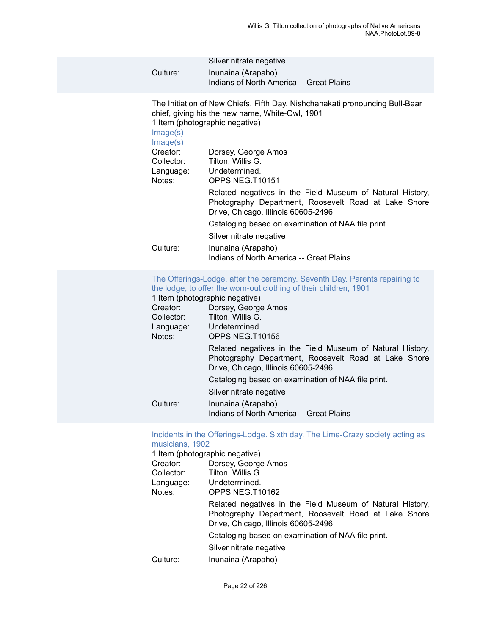| Culture:                         | Silver nitrate negative<br>Inunaina (Arapaho)<br>Indians of North America -- Great Plains                                                                         |
|----------------------------------|-------------------------------------------------------------------------------------------------------------------------------------------------------------------|
| Image(s)<br>Image(s)             | The Initiation of New Chiefs. Fifth Day. Nishchanakati pronouncing Bull-Bear<br>chief, giving his the new name, White-Owl, 1901<br>1 Item (photographic negative) |
| Creator:<br>Collector:<br>Notes: | Dorsey, George Amos<br>Tilton, Willis G.<br>Language: Undetermined.<br>OPPS NEG.T10151                                                                            |
|                                  | Related negatives in the Field Museum of Natural History,<br>Photography Department, Roosevelt Road at Lake Shore<br>Drive, Chicago, Illinois 60605-2496          |
|                                  | Cataloging based on examination of NAA file print.                                                                                                                |
|                                  | Silver nitrate negative                                                                                                                                           |
| Culture:                         | Inunaina (Arapaho)<br>Indians of North America -- Great Plains                                                                                                    |
|                                  |                                                                                                                                                                   |

The [Offerings-Lodge,](https://ids.si.edu/ids/deliveryService?id=NMNH-T10156-000001) after the ceremony. Seventh Day. Parents repairing to the lodge, to offer the [worn-out](https://ids.si.edu/ids/deliveryService?id=NMNH-T10156-000001) clothing of their children, 1901

|            | 1 Item (photographic negative)                                                                                                                           |
|------------|----------------------------------------------------------------------------------------------------------------------------------------------------------|
| Creator:   | Dorsey, George Amos                                                                                                                                      |
| Collector: | Tilton, Willis G.                                                                                                                                        |
| Language:  | Undetermined.                                                                                                                                            |
| Notes:     | OPPS NEG.T10156                                                                                                                                          |
|            | Related negatives in the Field Museum of Natural History,<br>Photography Department, Roosevelt Road at Lake Shore<br>Drive, Chicago, Illinois 60605-2496 |
|            | Cataloging based on examination of NAA file print.                                                                                                       |
|            | Silver nitrate negative                                                                                                                                  |
| Culture:   | Inunaina (Arapaho)<br>Indians of North America -- Great Plains                                                                                           |

#### Incidents in the [Offerings-Lodge.](https://ids.si.edu/ids/deliveryService?id=NMNH-T10162-000001) Sixth day. The Lime-Crazy society acting as [musicians, 1902](https://ids.si.edu/ids/deliveryService?id=NMNH-T10162-000001)

|            | 1 Item (photographic negative)                                                                                                                           |
|------------|----------------------------------------------------------------------------------------------------------------------------------------------------------|
| Creator:   | Dorsey, George Amos                                                                                                                                      |
| Collector: | Tilton, Willis G.                                                                                                                                        |
| Language:  | Undetermined.                                                                                                                                            |
| Notes:     | OPPS NEG.T10162                                                                                                                                          |
|            | Related negatives in the Field Museum of Natural History,<br>Photography Department, Roosevelt Road at Lake Shore<br>Drive, Chicago, Illinois 60605-2496 |
|            | Cataloging based on examination of NAA file print.                                                                                                       |
|            | Silver nitrate negative                                                                                                                                  |
| Culture:   | Inunaina (Arapaho)                                                                                                                                       |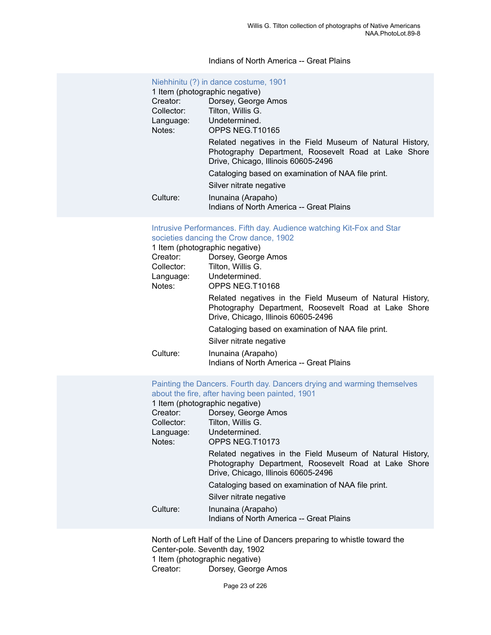#### Indians of North America -- Great Plains

|            | Niehhinitu (?) in dance costume, 1901                                                                                                                    |
|------------|----------------------------------------------------------------------------------------------------------------------------------------------------------|
|            | 1 Item (photographic negative)                                                                                                                           |
| Creator:   | Dorsey, George Amos                                                                                                                                      |
| Collector: | Tilton. Willis G.                                                                                                                                        |
|            | Language: Undetermined.                                                                                                                                  |
| Notes:     | OPPS NEG T10165                                                                                                                                          |
|            | Related negatives in the Field Museum of Natural History,<br>Photography Department, Roosevelt Road at Lake Shore<br>Drive, Chicago, Illinois 60605-2496 |
|            | Cataloging based on examination of NAA file print.                                                                                                       |
|            | Silver nitrate negative                                                                                                                                  |
| Culture:   | Inunaina (Arapaho)<br>Indians of North America -- Great Plains                                                                                           |

#### Intrusive [Performances.](https://ids.si.edu/ids/deliveryService?id=NMNH-T10168-000001) Fifth day. Audience watching Kit-Fox and Star [societies dancing the Crow dance, 1902](https://ids.si.edu/ids/deliveryService?id=NMNH-T10168-000001)

| 1 Item (photographic negative) |                                                                                                                                                          |
|--------------------------------|----------------------------------------------------------------------------------------------------------------------------------------------------------|
| Creator:                       | Dorsey, George Amos                                                                                                                                      |
| Collector:                     | Tilton, Willis G.                                                                                                                                        |
|                                | Language: Undetermined.                                                                                                                                  |
| Notes:                         | OPPS NEG.T10168                                                                                                                                          |
|                                | Related negatives in the Field Museum of Natural History,<br>Photography Department, Roosevelt Road at Lake Shore<br>Drive, Chicago, Illinois 60605-2496 |
|                                | Cataloging based on examination of NAA file print.                                                                                                       |
|                                | Silver nitrate negative                                                                                                                                  |
| Culture:                       | Inunaina (Arapaho)<br>Indians of North America -- Great Plains                                                                                           |

Painting the Dancers. Fourth day. Dancers drying and warming [themselves](https://ids.si.edu/ids/deliveryService?id=NMNH-T10173-000001) [about the fire, after having been painted, 1901](https://ids.si.edu/ids/deliveryService?id=NMNH-T10173-000001)

1 Item (photographic negative)

| Creator:   | Dorsey, George Amos                                                                                                                                      |
|------------|----------------------------------------------------------------------------------------------------------------------------------------------------------|
| Collector: | Tilton, Willis G.                                                                                                                                        |
| Language:  | Undetermined.                                                                                                                                            |
| Notes:     | OPPS NEG.T10173                                                                                                                                          |
|            | Related negatives in the Field Museum of Natural History,<br>Photography Department, Roosevelt Road at Lake Shore<br>Drive, Chicago, Illinois 60605-2496 |
|            | Cataloging based on examination of NAA file print.                                                                                                       |
|            | Silver nitrate negative                                                                                                                                  |
| Culture:   | Inunaina (Arapaho)<br>Indians of North America -- Great Plains                                                                                           |
|            |                                                                                                                                                          |

North of Left Half of the Line of Dancers preparing to whistle toward the Center-pole. Seventh day, 1902 1 Item (photographic negative)<br>Creator: Dorsey, George Dorsey, George Amos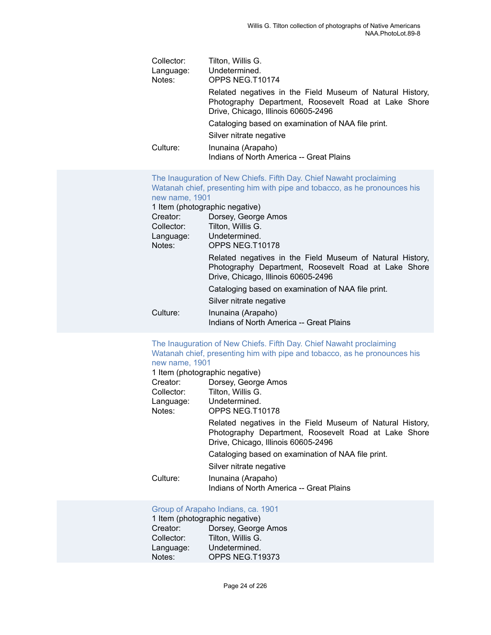| Collector: | Tilton, Willis G.                                                                                                                                        |
|------------|----------------------------------------------------------------------------------------------------------------------------------------------------------|
| Language:  | Undetermined.                                                                                                                                            |
| Notes:     | OPPS NEG.T10174                                                                                                                                          |
|            | Related negatives in the Field Museum of Natural History,<br>Photography Department, Roosevelt Road at Lake Shore<br>Drive, Chicago, Illinois 60605-2496 |
|            | Cataloging based on examination of NAA file print.                                                                                                       |
|            | Silver nitrate negative                                                                                                                                  |
| Culture:   | Inunaina (Arapaho)<br>Indians of North America -- Great Plains                                                                                           |

| new name, 1901                 | The Inauguration of New Chiefs. Fifth Day. Chief Nawaht proclaiming<br>Watanah chief, presenting him with pipe and tobacco, as he pronounces his         |
|--------------------------------|----------------------------------------------------------------------------------------------------------------------------------------------------------|
| 1 Item (photographic negative) |                                                                                                                                                          |
| Creator:                       | Dorsey, George Amos                                                                                                                                      |
|                                | Collector: Tilton, Willis G.                                                                                                                             |
|                                | Language: Undetermined.                                                                                                                                  |
| Notes:                         | OPPS NEG.T10178                                                                                                                                          |
|                                | Related negatives in the Field Museum of Natural History,<br>Photography Department, Roosevelt Road at Lake Shore<br>Drive, Chicago, Illinois 60605-2496 |
|                                | Cataloging based on examination of NAA file print.                                                                                                       |
|                                | Silver nitrate negative                                                                                                                                  |
| Culture:                       | Inunaina (Arapaho)<br>Indians of North America -- Great Plains                                                                                           |

#### The [Inauguration](https://ids.si.edu/ids/deliveryService?id=NMNH-T10178-000001) of New Chiefs. Fifth Day. Chief Nawaht proclaiming Watanah chief, presenting him with pipe and tobacco, as he [pronounces](https://ids.si.edu/ids/deliveryService?id=NMNH-T10178-000001) his [new name, 1901](https://ids.si.edu/ids/deliveryService?id=NMNH-T10178-000001)

|            | 1 Item (photographic negative)                                                                                                                           |
|------------|----------------------------------------------------------------------------------------------------------------------------------------------------------|
| Creator:   | Dorsey, George Amos                                                                                                                                      |
| Collector: | Tilton, Willis G.                                                                                                                                        |
| Language:  | Undetermined.                                                                                                                                            |
| Notes:     | OPPS NEG.T10178                                                                                                                                          |
|            | Related negatives in the Field Museum of Natural History,<br>Photography Department, Roosevelt Road at Lake Shore<br>Drive, Chicago, Illinois 60605-2496 |
|            | Cataloging based on examination of NAA file print.                                                                                                       |
|            | Silver nitrate negative                                                                                                                                  |
| Culture:   | Inunaina (Arapaho)<br>Indians of North America -- Great Plains                                                                                           |

#### [Group of Arapaho Indians, ca. 1901](https://ids.si.edu/ids/deliveryService?id=NMNH-T19373-000001)

| 1 Item (photographic negative) |                     |  |  |
|--------------------------------|---------------------|--|--|
| Creator:                       | Dorsey, George Amos |  |  |
| Collector:                     | Tilton, Willis G.   |  |  |
| Language:                      | Undetermined.       |  |  |
| Notes:                         | OPPS NEG.T19373     |  |  |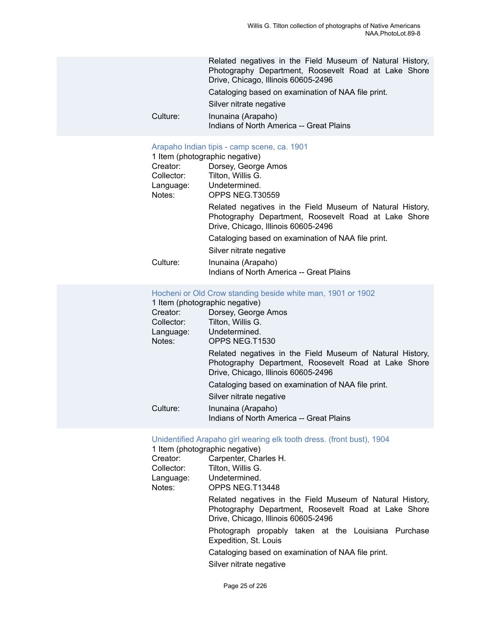|          | Related negatives in the Field Museum of Natural History,<br>Photography Department, Roosevelt Road at Lake Shore<br>Drive, Chicago, Illinois 60605-2496 |
|----------|----------------------------------------------------------------------------------------------------------------------------------------------------------|
|          | Cataloging based on examination of NAA file print.                                                                                                       |
|          | Silver nitrate negative                                                                                                                                  |
| Culture: | Inunaina (Arapaho)<br>Indians of North America -- Great Plains                                                                                           |

#### [Arapaho Indian tipis - camp scene, ca. 1901](https://ids.si.edu/ids/deliveryService?id=NMNH-T30559-000001)

|  | 1 Item (photographic negative) |  |
|--|--------------------------------|--|
|  |                                |  |

| Creator:   | Dorsey, George Amos                                                                                                                                      |
|------------|----------------------------------------------------------------------------------------------------------------------------------------------------------|
| Collector: | Tilton, Willis G.                                                                                                                                        |
| Language:  | Undetermined.                                                                                                                                            |
| Notes:     | OPPS NEG.T30559                                                                                                                                          |
|            | Related negatives in the Field Museum of Natural History,<br>Photography Department, Roosevelt Road at Lake Shore<br>Drive, Chicago, Illinois 60605-2496 |
|            | Cataloging based on examination of NAA file print.                                                                                                       |
|            | Silver nitrate negative                                                                                                                                  |
| Culture:   | Inunaina (Arapaho)<br>Indians of North America -- Great Plains                                                                                           |

#### [Hocheni or Old Crow standing beside white man, 1901 or 1902](https://ids.si.edu/ids/deliveryService?id=NMNH-T1530-000001)

|  |  | 1 Item (photographic negative) |  |  |
|--|--|--------------------------------|--|--|
|--|--|--------------------------------|--|--|

| Creator:   | Dorsey, George Amos                                                                                                                                      |
|------------|----------------------------------------------------------------------------------------------------------------------------------------------------------|
| Collector: | Tilton, Willis G.                                                                                                                                        |
| Language:  | Undetermined.                                                                                                                                            |
| Notes:     | OPPS NEG.T1530                                                                                                                                           |
|            | Related negatives in the Field Museum of Natural History,<br>Photography Department, Roosevelt Road at Lake Shore<br>Drive, Chicago, Illinois 60605-2496 |
|            | Cataloging based on examination of NAA file print.                                                                                                       |
|            | Silver nitrate negative                                                                                                                                  |
| Culture:   | Inunaina (Arapaho)<br>Indians of North America -- Great Plains                                                                                           |

|                        | Unidentified Arapaho girl wearing elk tooth dress. (front bust), 1904<br>1 Item (photographic negative)                                                  |
|------------------------|----------------------------------------------------------------------------------------------------------------------------------------------------------|
| Creator:<br>Collector: | Carpenter, Charles H.<br>Tilton, Willis G.                                                                                                               |
| Notes:                 | Language: Undetermined.<br>OPPS NEG.T13448                                                                                                               |
|                        | Related negatives in the Field Museum of Natural History,<br>Photography Department, Roosevelt Road at Lake Shore<br>Drive, Chicago, Illinois 60605-2496 |
|                        | Photograph propably taken at the Louisiana Purchase<br>Expedition, St. Louis                                                                             |
|                        | Cataloging based on examination of NAA file print.                                                                                                       |
|                        | Silver nitrate negative                                                                                                                                  |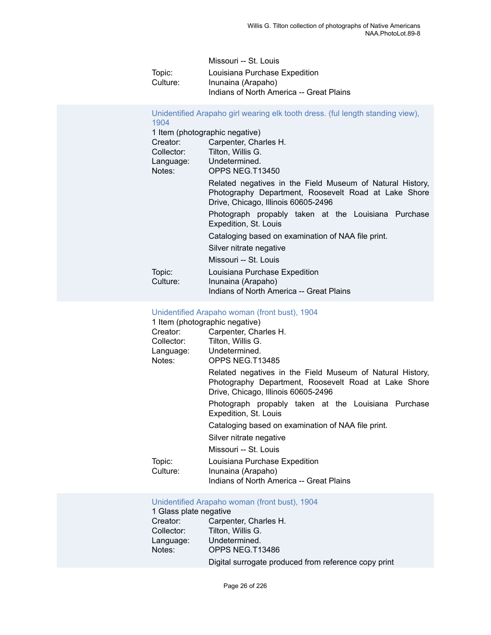| Missouri -- St. Louis                    |
|------------------------------------------|
| Louisiana Purchase Expedition            |
| Inunaina (Arapaho)                       |
| Indians of North America -- Great Plains |
|                                          |

[Unidentified Arapaho girl wearing elk tooth dress. \(ful length standing view\),](https://ids.si.edu/ids/deliveryService?id=NMNH-T13450-000001) [1904](https://ids.si.edu/ids/deliveryService?id=NMNH-T13450-000001)

| Creator:<br>Collector: | 1 Item (photographic negative)<br>Carpenter, Charles H.<br>Tilton, Willis G.                                                                             |
|------------------------|----------------------------------------------------------------------------------------------------------------------------------------------------------|
| Language:<br>Notes:    | Undetermined.<br>OPPS NEG.T13450                                                                                                                         |
|                        | Related negatives in the Field Museum of Natural History,<br>Photography Department, Roosevelt Road at Lake Shore<br>Drive, Chicago, Illinois 60605-2496 |
|                        | Photograph propably taken at the Louisiana Purchase<br>Expedition, St. Louis                                                                             |
|                        | Cataloging based on examination of NAA file print.                                                                                                       |
|                        | Silver nitrate negative                                                                                                                                  |
|                        | Missouri -- St. Louis                                                                                                                                    |
| Topic:<br>Culture:     | Louisiana Purchase Expedition<br>Inunaina (Arapaho)<br>Indians of North America -- Great Plains                                                          |

#### [Unidentified Arapaho woman \(front bust\), 1904](https://ids.si.edu/ids/deliveryService?id=NMNH-T13485-000001)

| 1 Item (photographic negative) |                                                                                                                                                          |
|--------------------------------|----------------------------------------------------------------------------------------------------------------------------------------------------------|
| Creator:                       | Carpenter, Charles H.                                                                                                                                    |
| Collector:                     | Tilton, Willis G.                                                                                                                                        |
|                                | Language: Undetermined.                                                                                                                                  |
| Notes:                         | OPPS NEG.T13485                                                                                                                                          |
|                                | Related negatives in the Field Museum of Natural History,<br>Photography Department, Roosevelt Road at Lake Shore<br>Drive, Chicago, Illinois 60605-2496 |
|                                | Photograph propably taken at the Louisiana Purchase<br>Expedition, St. Louis                                                                             |
|                                | Cataloging based on examination of NAA file print.                                                                                                       |
|                                | Silver nitrate negative                                                                                                                                  |
|                                | Missouri -- St. Louis                                                                                                                                    |
| Topic:                         | Louisiana Purchase Expedition                                                                                                                            |
| Culture:                       | Inunaina (Arapaho)                                                                                                                                       |
|                                | Indians of North America -- Great Plains                                                                                                                 |

#### [Unidentified Arapaho woman \(front bust\), 1904](https://ids.si.edu/ids/deliveryService?id=NMNH-T13486-000001)

| 1 Glass plate negative |                                                      |
|------------------------|------------------------------------------------------|
| Creator:               | Carpenter, Charles H.                                |
| Collector:             | Tilton, Willis G.                                    |
| Language:              | Undetermined.                                        |
| Notes:                 | OPPS NEG.T13486                                      |
|                        | Digital surrogate produced from reference copy print |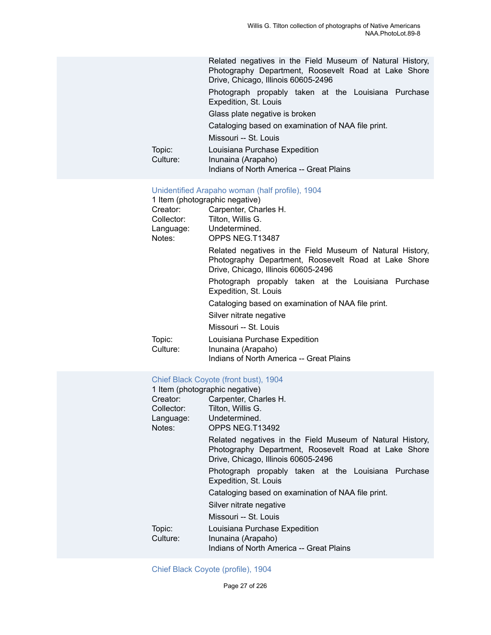|                    | Related negatives in the Field Museum of Natural History,<br>Photography Department, Roosevelt Road at Lake Shore<br>Drive, Chicago, Illinois 60605-2496 |
|--------------------|----------------------------------------------------------------------------------------------------------------------------------------------------------|
|                    | Photograph propably taken at the Louisiana Purchase<br>Expedition, St. Louis                                                                             |
|                    | Glass plate negative is broken                                                                                                                           |
|                    | Cataloging based on examination of NAA file print.                                                                                                       |
|                    | Missouri -- St. Louis                                                                                                                                    |
| Topic:<br>Culture: | Louisiana Purchase Expedition<br>Inunaina (Arapaho)<br>Indians of North America -- Great Plains                                                          |

#### [Unidentified Arapaho woman \(half profile\), 1904](https://ids.si.edu/ids/deliveryService?id=NMNH-T13487-000001)

| 1 Item (photographic negative) |                                                           |
|--------------------------------|-----------------------------------------------------------|
| Creator:                       | Carpenter, Charles H.                                     |
| Collector:                     | Tilton, Willis G.                                         |
|                                | Language: Undetermined.                                   |
| Notes:                         | OPPS NEG.T13487                                           |
|                                | Related negatives in the Field Museum of Natural History, |
|                                | Photography Department, Roosevelt Road at Lake Shore      |
|                                | Drive, Chicago, Illinois 60605-2496                       |
|                                | Photograph propably taken at the Louisiana Purchase       |
|                                | Expedition, St. Louis                                     |
|                                | Cataloging based on examination of NAA file print.        |
|                                | Silver nitrate negative                                   |
|                                | Missouri -- St. Louis                                     |
| Topic:                         | Louisiana Purchase Expedition                             |
| Culture:                       | Inunaina (Arapaho)                                        |
|                                | Indians of North America -- Great Plains                  |

#### [Chief Black Coyote \(front bust\), 1904](https://ids.si.edu/ids/deliveryService?id=NMNH-T13492-000001)

| 1 Item (photographic negative) |                                                                                                                                                          |
|--------------------------------|----------------------------------------------------------------------------------------------------------------------------------------------------------|
| Creator:                       | Carpenter, Charles H.                                                                                                                                    |
| Collector:                     | Tilton, Willis G.                                                                                                                                        |
| Language: Undetermined.        |                                                                                                                                                          |
| Notes:                         | OPPS NEG.T13492                                                                                                                                          |
|                                | Related negatives in the Field Museum of Natural History,<br>Photography Department, Roosevelt Road at Lake Shore<br>Drive, Chicago, Illinois 60605-2496 |
|                                | Photograph propably taken at the Louisiana Purchase<br>Expedition, St. Louis                                                                             |
|                                | Cataloging based on examination of NAA file print.                                                                                                       |
|                                | Silver nitrate negative                                                                                                                                  |
|                                | Missouri -- St. Louis                                                                                                                                    |
| Topic:<br>Culture:             | Louisiana Purchase Expedition<br>Inunaina (Arapaho)<br>Indians of North America -- Great Plains                                                          |

#### [Chief Black Coyote \(profile\), 1904](https://ids.si.edu/ids/deliveryService?id=NMNH-T13493-000001)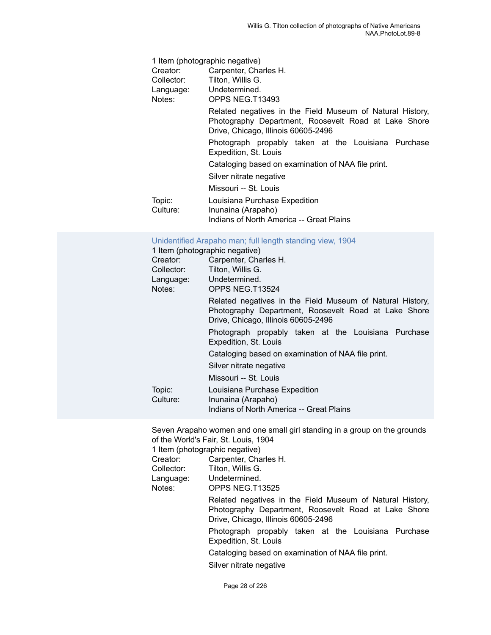| 1 Item (photographic negative) |                                                                                                                                                          |
|--------------------------------|----------------------------------------------------------------------------------------------------------------------------------------------------------|
| Creator:                       | Carpenter, Charles H.                                                                                                                                    |
| Collector:                     | Tilton, Willis G.                                                                                                                                        |
| Language:                      | Undetermined.                                                                                                                                            |
| Notes:                         | OPPS NEG.T13493                                                                                                                                          |
|                                | Related negatives in the Field Museum of Natural History,<br>Photography Department, Roosevelt Road at Lake Shore<br>Drive, Chicago, Illinois 60605-2496 |
|                                | Photograph propably taken at the Louisiana Purchase<br>Expedition, St. Louis                                                                             |
|                                | Cataloging based on examination of NAA file print.                                                                                                       |
|                                | Silver nitrate negative                                                                                                                                  |
|                                | Missouri -- St. Louis                                                                                                                                    |
| Topic:                         | Louisiana Purchase Expedition                                                                                                                            |
| Culture:                       | Inunaina (Arapaho)                                                                                                                                       |
|                                | Indians of North America -- Great Plains                                                                                                                 |

#### [Unidentified](https://ids.si.edu/ids/deliveryService?id=NMNH-T13524-000001) Arapaho man; full length standing view, 1904

1 Item (photographic negative)

| Carpenter, Charles H.<br>Tilton, Willis G.                                                                                                               |
|----------------------------------------------------------------------------------------------------------------------------------------------------------|
|                                                                                                                                                          |
| Undetermined.<br>OPPS NEG.T13524                                                                                                                         |
| Related negatives in the Field Museum of Natural History,<br>Photography Department, Roosevelt Road at Lake Shore<br>Drive, Chicago, Illinois 60605-2496 |
| Photograph propably taken at the Louisiana Purchase<br>Expedition, St. Louis                                                                             |
| Cataloging based on examination of NAA file print.                                                                                                       |
| Silver nitrate negative                                                                                                                                  |
| Missouri -- St. Louis                                                                                                                                    |
| Louisiana Purchase Expedition<br>Inunaina (Arapaho)<br>Indians of North America -- Great Plains                                                          |
|                                                                                                                                                          |

Seven Arapaho women and one small girl standing in a group on the grounds of the World's Fair, St. Louis, 1904

1 Item (photographic negative)<br>Creator: Carpenter, Cha

Creator: Carpenter, Charles H.<br>Collector: Tilton, Willis G. Tilton, Willis G.

Language: Undetermined.<br>
Notes: OPPS NEG.T1 OPPS NEG.T13525

> Related negatives in the Field Museum of Natural History, Photography Department, Roosevelt Road at Lake Shore Drive, Chicago, Illinois 60605-2496

> Photograph propably taken at the Louisiana Purchase Expedition, St. Louis

Cataloging based on examination of NAA file print.

Silver nitrate negative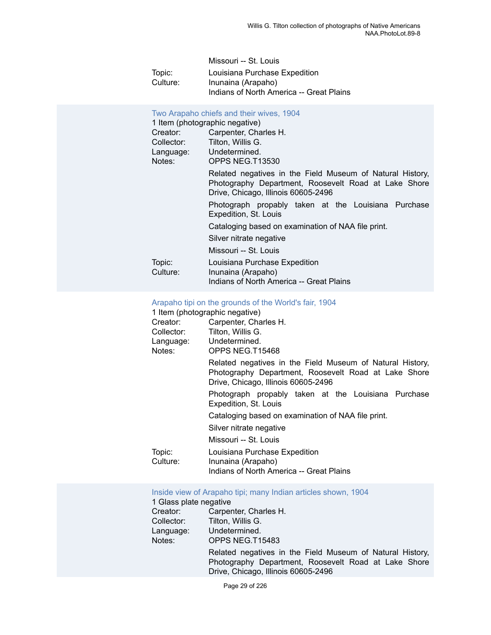| Missouri -- St. Louis                    |
|------------------------------------------|
| Louisiana Purchase Expedition            |
| Inunaina (Arapaho)                       |
| Indians of North America -- Great Plains |
|                                          |

| Notes:             | Two Arapaho chiefs and their wives, 1904<br>1 Item (photographic negative)<br>Creator: Carpenter, Charles H.<br>Collector: Tilton, Willis G.<br>Language: Undetermined.<br>OPPS NEG.T13530 |
|--------------------|--------------------------------------------------------------------------------------------------------------------------------------------------------------------------------------------|
|                    | Related negatives in the Field Museum of Natural History,<br>Photography Department, Roosevelt Road at Lake Shore<br>Drive, Chicago, Illinois 60605-2496                                   |
|                    | Photograph propably taken at the Louisiana Purchase<br>Expedition, St. Louis                                                                                                               |
|                    | Cataloging based on examination of NAA file print.                                                                                                                                         |
|                    | Silver nitrate negative                                                                                                                                                                    |
|                    | Missouri -- St. Louis                                                                                                                                                                      |
| Topic:<br>Culture: | Louisiana Purchase Expedition<br>Inunaina (Arapaho)<br>Indians of North America -- Great Plains                                                                                            |

[Arapaho](https://ids.si.edu/ids/deliveryService?id=NMNH-T15468-000001) tipi on the grounds of the World's fair, 1904

| 1 Item (photographic negative) |                                                                                                                                                          |  |
|--------------------------------|----------------------------------------------------------------------------------------------------------------------------------------------------------|--|
| Creator:                       | Carpenter, Charles H.                                                                                                                                    |  |
| Collector:                     | Tilton, Willis G.                                                                                                                                        |  |
| Language: Undetermined.        |                                                                                                                                                          |  |
| Notes:                         | OPPS NEG.T15468                                                                                                                                          |  |
|                                | Related negatives in the Field Museum of Natural History,<br>Photography Department, Roosevelt Road at Lake Shore<br>Drive, Chicago, Illinois 60605-2496 |  |
|                                | Photograph propably taken at the Louisiana Purchase<br>Expedition, St. Louis                                                                             |  |
|                                | Cataloging based on examination of NAA file print.                                                                                                       |  |
|                                | Silver nitrate negative                                                                                                                                  |  |
|                                | Missouri -- St. Louis                                                                                                                                    |  |
| Topic:<br>Culture:             | Louisiana Purchase Expedition<br>Inunaina (Arapaho)<br>Indians of North America -- Great Plains                                                          |  |

#### [Inside view of Arapaho tipi; many Indian articles shown, 1904](https://ids.si.edu/ids/deliveryService?id=NMNH-T15483-000001)

1 Glass plate negative<br>Creator: Carper Creator: Carpenter, Charles H.<br>Collector: Tilton, Willis G. Collector: Tilton, Willis G.<br>Language: Undetermined. Language: Undetermined.<br>
Notes: OPPS NEG.T1 OPPS NEG.T15483 Related negatives in the Field Museum of Natural History, Photography Department, Roosevelt Road at Lake Shore Drive, Chicago, Illinois 60605-2496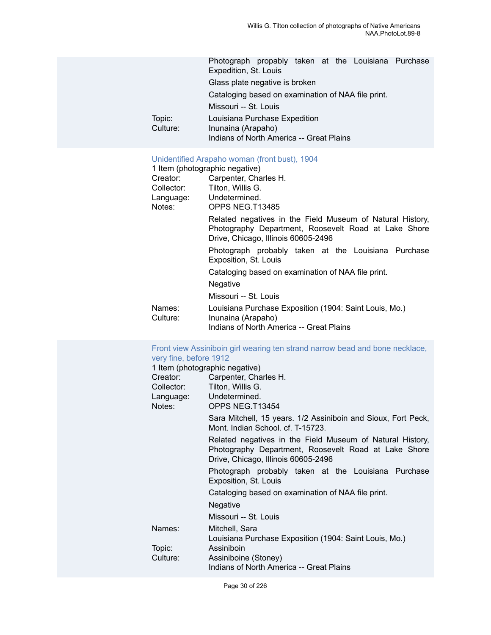Photograph propably taken at the Louisiana Purchase Expedition, St. Louis Glass plate negative is broken Cataloging based on examination of NAA file print. Missouri -- St. Louis Topic: Louisiana Purchase Expedition<br>Culture: Inunaina (Arapaho) Inunaina (Arapaho) Indians of North America -- Great Plains

# [Unidentified Arapaho woman \(front bust\), 1904](https://ids.si.edu/ids/deliveryService?id=NMNH-T13485-000001)

|                    | 1 Item (photographic negative)                                                                                                                           |
|--------------------|----------------------------------------------------------------------------------------------------------------------------------------------------------|
| Creator:           | Carpenter, Charles H.                                                                                                                                    |
| Collector:         | Tilton, Willis G.                                                                                                                                        |
| Language:          | Undetermined.                                                                                                                                            |
| Notes:             | OPPS NEG.T13485                                                                                                                                          |
|                    | Related negatives in the Field Museum of Natural History,<br>Photography Department, Roosevelt Road at Lake Shore<br>Drive, Chicago, Illinois 60605-2496 |
|                    | Photograph probably taken at the Louisiana Purchase<br>Exposition, St. Louis                                                                             |
|                    | Cataloging based on examination of NAA file print.                                                                                                       |
|                    | Negative                                                                                                                                                 |
|                    | Missouri -- St. Louis                                                                                                                                    |
| Names:<br>Culture: | Louisiana Purchase Exposition (1904: Saint Louis, Mo.)<br>Inunaina (Arapaho)                                                                             |
|                    | Indians of North America -- Great Plains                                                                                                                 |

| very fine, before 1912<br>Creator:<br>Notes: | Front view Assiniboin girl wearing ten strand narrow bead and bone necklace,<br>1 Item (photographic negative)<br>Carpenter, Charles H.<br>Collector: Tilton, Willis G.<br>Language: Undetermined.<br>OPPS NEG T13454<br>Sara Mitchell, 15 years. 1/2 Assiniboin and Sioux, Fort Peck,<br>Mont. Indian School. cf. T-15723.<br>Related negatives in the Field Museum of Natural History,<br>Photography Department, Roosevelt Road at Lake Shore<br>Drive, Chicago, Illinois 60605-2496<br>Photograph probably taken at the Louisiana Purchase<br>Exposition, St. Louis<br>Cataloging based on examination of NAA file print.<br>Negative |
|----------------------------------------------|-------------------------------------------------------------------------------------------------------------------------------------------------------------------------------------------------------------------------------------------------------------------------------------------------------------------------------------------------------------------------------------------------------------------------------------------------------------------------------------------------------------------------------------------------------------------------------------------------------------------------------------------|
|                                              | Missouri -- St. Louis                                                                                                                                                                                                                                                                                                                                                                                                                                                                                                                                                                                                                     |
| Names:<br>Topic:<br>Culture:                 | Mitchell, Sara<br>Louisiana Purchase Exposition (1904: Saint Louis, Mo.)<br>Assiniboin<br>Assiniboine (Stoney)<br>Indians of North America -- Great Plains                                                                                                                                                                                                                                                                                                                                                                                                                                                                                |
|                                              | Page 30 of 226                                                                                                                                                                                                                                                                                                                                                                                                                                                                                                                                                                                                                            |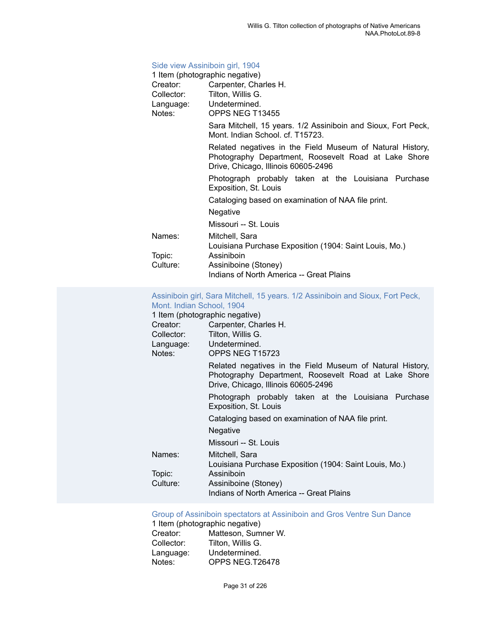## [Side view Assiniboin girl, 1904](https://ids.si.edu/ids/deliveryService?id=NMNH-T13455-000001)

|          | 1 Item (photographic negative)                                                                                                                           |
|----------|----------------------------------------------------------------------------------------------------------------------------------------------------------|
| Creator: | Carpenter, Charles H.                                                                                                                                    |
|          | Collector: Tilton, Willis G.                                                                                                                             |
|          | Language: Undetermined.                                                                                                                                  |
| Notes:   | OPPS NEG T13455                                                                                                                                          |
|          | Sara Mitchell, 15 years. 1/2 Assiniboin and Sioux, Fort Peck,<br>Mont. Indian School. cf. T15723.                                                        |
|          | Related negatives in the Field Museum of Natural History,<br>Photography Department, Roosevelt Road at Lake Shore<br>Drive, Chicago, Illinois 60605-2496 |
|          | Photograph probably taken at the Louisiana Purchase<br>Exposition, St. Louis                                                                             |
|          | Cataloging based on examination of NAA file print.                                                                                                       |
|          | Negative                                                                                                                                                 |
|          | Missouri -- St. Louis                                                                                                                                    |
| Names:   | Mitchell, Sara<br>Louisiana Purchase Exposition (1904: Saint Louis, Mo.)                                                                                 |
| Topic:   | Assiniboin                                                                                                                                               |
| Culture: | Assiniboine (Stoney)                                                                                                                                     |
|          | Indians of North America -- Great Plains                                                                                                                 |
|          |                                                                                                                                                          |

#### [Assiniboin girl, Sara Mitchell, 15 years. 1/2 Assiniboin and Sioux, Fort Peck,](https://ids.si.edu/ids/deliveryService?id=NMNH-T15723-000001) [Mont. Indian School, 1904](https://ids.si.edu/ids/deliveryService?id=NMNH-T15723-000001)

| 1 Item (photographic negative) |                                                                                                                                                          |  |
|--------------------------------|----------------------------------------------------------------------------------------------------------------------------------------------------------|--|
| Creator:                       | Carpenter, Charles H.                                                                                                                                    |  |
| Collector:                     | Tilton, Willis G.                                                                                                                                        |  |
| Language: Undetermined.        |                                                                                                                                                          |  |
| Notes:                         | OPPS NEG T15723                                                                                                                                          |  |
|                                | Related negatives in the Field Museum of Natural History,<br>Photography Department, Roosevelt Road at Lake Shore<br>Drive, Chicago, Illinois 60605-2496 |  |
|                                | Photograph probably taken at the Louisiana Purchase<br>Exposition, St. Louis                                                                             |  |
|                                | Cataloging based on examination of NAA file print.                                                                                                       |  |
|                                | Negative                                                                                                                                                 |  |
|                                | Missouri -- St. Louis                                                                                                                                    |  |
| Names:                         | Mitchell, Sara                                                                                                                                           |  |
|                                | Louisiana Purchase Exposition (1904: Saint Louis, Mo.)                                                                                                   |  |
| Topic:                         | Assiniboin                                                                                                                                               |  |
| Culture:                       | Assiniboine (Stoney)                                                                                                                                     |  |
|                                | Indians of North America -- Great Plains                                                                                                                 |  |

#### Group of Assiniboin [spectators](https://ids.si.edu/ids/deliveryService?id=NMNH-T26478-000001) at Assiniboin and Gros Ventre Sun Dance

1 Item (photographic negative) Creator: Matteson, Sumner W. Collector: Tilton, Willis G. Language: Undetermined.<br>Notes: OPPS NEG.T2 OPPS NEG.T26478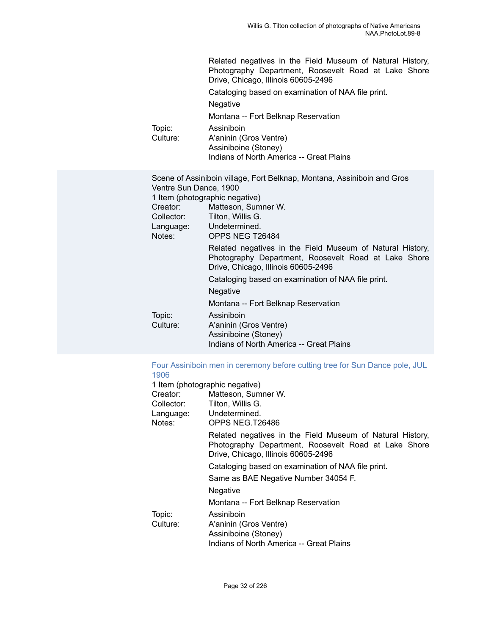|                    | Related negatives in the Field Museum of Natural History,<br>Photography Department, Roosevelt Road at Lake Shore<br>Drive, Chicago, Illinois 60605-2496 |
|--------------------|----------------------------------------------------------------------------------------------------------------------------------------------------------|
|                    | Cataloging based on examination of NAA file print.                                                                                                       |
|                    | <b>Negative</b>                                                                                                                                          |
|                    | Montana -- Fort Belknap Reservation                                                                                                                      |
| Topic:<br>Culture: | Assiniboin<br>A'aninin (Gros Ventre)<br>Assiniboine (Stoney)<br>Indians of North America -- Great Plains                                                 |
|                    |                                                                                                                                                          |

|                        | Scene of Assiniboin village, Fort Belknap, Montana, Assiniboin and Gros                                                                                  |
|------------------------|----------------------------------------------------------------------------------------------------------------------------------------------------------|
| Ventre Sun Dance, 1900 |                                                                                                                                                          |
|                        | 1 Item (photographic negative)                                                                                                                           |
| Creator:               | Matteson, Sumner W.                                                                                                                                      |
| Collector:             | Tilton, Willis G.                                                                                                                                        |
|                        | Language: Undetermined.                                                                                                                                  |
| Notes:                 | OPPS NEG T26484                                                                                                                                          |
|                        | Related negatives in the Field Museum of Natural History,<br>Photography Department, Roosevelt Road at Lake Shore<br>Drive, Chicago, Illinois 60605-2496 |
|                        | Cataloging based on examination of NAA file print.                                                                                                       |
|                        | <b>Negative</b>                                                                                                                                          |
|                        | Montana -- Fort Belknap Reservation                                                                                                                      |
| Topic:                 | Assiniboin                                                                                                                                               |
| Culture:               | A'aninin (Gros Ventre)                                                                                                                                   |
|                        | Assiniboine (Stoney)                                                                                                                                     |
|                        | Indians of North America -- Great Plains                                                                                                                 |

## [Four Assiniboin men in ceremony before cutting tree for Sun Dance pole, JUL](https://ids.si.edu/ids/deliveryService?id=NMNH-T26486-000001) [1906](https://ids.si.edu/ids/deliveryService?id=NMNH-T26486-000001)<br>1 Iten

|            | 1 Item (photographic negative)                                                                                                                           |
|------------|----------------------------------------------------------------------------------------------------------------------------------------------------------|
| Creator:   | Matteson, Sumner W.                                                                                                                                      |
| Collector: | Tilton, Willis G.                                                                                                                                        |
|            | Language: Undetermined.                                                                                                                                  |
| Notes:     | OPPS NEG.T26486                                                                                                                                          |
|            | Related negatives in the Field Museum of Natural History,<br>Photography Department, Roosevelt Road at Lake Shore<br>Drive, Chicago, Illinois 60605-2496 |
|            | Cataloging based on examination of NAA file print.                                                                                                       |
|            | Same as BAE Negative Number 34054 F.                                                                                                                     |
|            | <b>Negative</b>                                                                                                                                          |
|            | Montana -- Fort Belknap Reservation                                                                                                                      |
| Topic:     | Assiniboin                                                                                                                                               |
| Culture:   | A'aninin (Gros Ventre)                                                                                                                                   |
|            | Assiniboine (Stoney)                                                                                                                                     |
|            | Indians of North America -- Great Plains                                                                                                                 |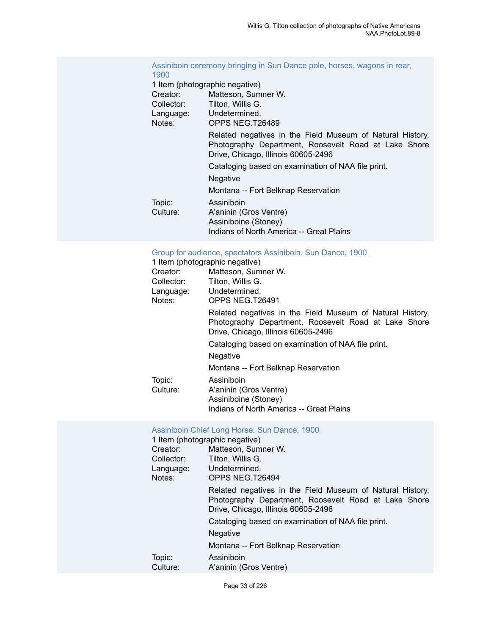#### [Assiniboin](https://ids.si.edu/ids/deliveryService?id=NMNH-T26489-000001) ceremony bringing in Sun Dance pole, horses, wagons in rear, [1900](https://ids.si.edu/ids/deliveryService?id=NMNH-T26489-000001)

|            | 1 Item (photographic negative)                                                                                                                           |
|------------|----------------------------------------------------------------------------------------------------------------------------------------------------------|
| Creator:   | Matteson, Sumner W.                                                                                                                                      |
| Collector: | Tilton, Willis G.                                                                                                                                        |
| Language:  | Undetermined.                                                                                                                                            |
| Notes:     | OPPS NEG.T26489                                                                                                                                          |
|            | Related negatives in the Field Museum of Natural History,<br>Photography Department, Roosevelt Road at Lake Shore<br>Drive, Chicago, Illinois 60605-2496 |
|            | Cataloging based on examination of NAA file print.                                                                                                       |
|            | <b>Negative</b>                                                                                                                                          |
|            | Montana -- Fort Belknap Reservation                                                                                                                      |
| Topic:     | Assiniboin                                                                                                                                               |
| Culture:   | A'aninin (Gros Ventre)                                                                                                                                   |
|            | Assiniboine (Stoney)                                                                                                                                     |
|            | Indians of North America -- Great Plains                                                                                                                 |

#### [Group for audience, spectators Assiniboin. Sun Dance, 1900](https://ids.si.edu/ids/deliveryService?id=NMNH-T26491-000001)

1 Item (photographic negative)

|            | <u>I Item (priotographic Hegative)</u>                                                                                                                   |
|------------|----------------------------------------------------------------------------------------------------------------------------------------------------------|
| Creator:   | Matteson, Sumner W.                                                                                                                                      |
| Collector: | Tilton, Willis G.                                                                                                                                        |
| Language:  | Undetermined.                                                                                                                                            |
| Notes:     | OPPS NEG.T26491                                                                                                                                          |
|            | Related negatives in the Field Museum of Natural History,<br>Photography Department, Roosevelt Road at Lake Shore<br>Drive, Chicago, Illinois 60605-2496 |
|            | Cataloging based on examination of NAA file print.                                                                                                       |
|            | <b>Negative</b>                                                                                                                                          |
|            | Montana -- Fort Belknap Reservation                                                                                                                      |
| Topic:     | Assiniboin                                                                                                                                               |
| Culture:   | A'aninin (Gros Ventre)                                                                                                                                   |
|            | Assiniboine (Stoney)                                                                                                                                     |
|            | Indians of North America -- Great Plains                                                                                                                 |
|            |                                                                                                                                                          |

#### [Assiniboin Chief Long Horse. Sun Dance, 1900](https://ids.si.edu/ids/deliveryService?id=NMNH-T26494-000001)

| 1 Item (photographic negative) |            |                                                                                                                                                          |
|--------------------------------|------------|----------------------------------------------------------------------------------------------------------------------------------------------------------|
|                                | Creator:   | Matteson, Sumner W.                                                                                                                                      |
|                                | Collector: | Tilton, Willis G.                                                                                                                                        |
|                                | Language:  | Undetermined.                                                                                                                                            |
|                                | Notes:     | OPPS NEG.T26494                                                                                                                                          |
|                                |            | Related negatives in the Field Museum of Natural History,<br>Photography Department, Roosevelt Road at Lake Shore<br>Drive, Chicago, Illinois 60605-2496 |
|                                |            | Cataloging based on examination of NAA file print.                                                                                                       |
|                                |            | <b>Negative</b>                                                                                                                                          |
|                                |            | Montana -- Fort Belknap Reservation                                                                                                                      |
|                                | Topic:     | Assiniboin                                                                                                                                               |
|                                | Culture:   | A'aninin (Gros Ventre)                                                                                                                                   |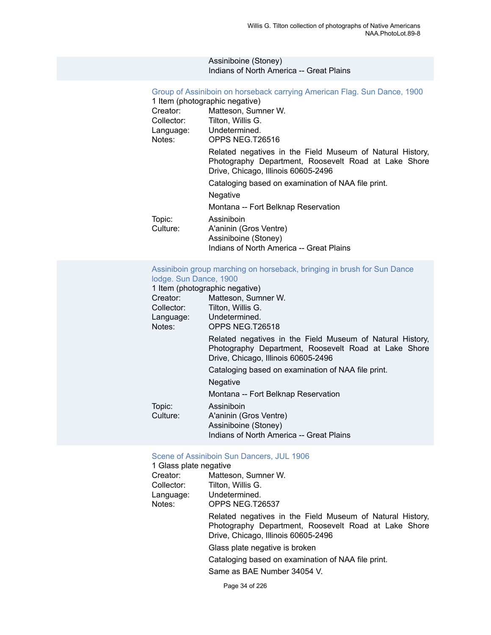#### Assiniboine (Stoney) Indians of North America -- Great Plains

### [Group of Assiniboin on horseback carrying American Flag. Sun Dance, 1900](https://ids.si.edu/ids/deliveryService?id=NMNH-T26516-000001)

|            | 1 Item (photographic negative)                                                                                                                           |
|------------|----------------------------------------------------------------------------------------------------------------------------------------------------------|
| Creator:   | Matteson, Sumner W.                                                                                                                                      |
| Collector: | Tilton, Willis G.                                                                                                                                        |
| Language:  | Undetermined.                                                                                                                                            |
| Notes:     | OPPS NEG.T26516                                                                                                                                          |
|            | Related negatives in the Field Museum of Natural History,<br>Photography Department, Roosevelt Road at Lake Shore<br>Drive, Chicago, Illinois 60605-2496 |
|            | Cataloging based on examination of NAA file print.                                                                                                       |
|            | <b>Negative</b>                                                                                                                                          |
|            | Montana -- Fort Belknap Reservation                                                                                                                      |
| Topic:     | Assiniboin                                                                                                                                               |
| Culture:   | A'aninin (Gros Ventre)                                                                                                                                   |
|            | Assiniboine (Stoney)                                                                                                                                     |
|            | Indians of North America -- Great Plains                                                                                                                 |

#### [Assiniboin group marching on horseback, bringing in brush for Sun Dance](https://ids.si.edu/ids/deliveryService?id=NMNH-T26518-000001) [lodge. Sun Dance, 1900](https://ids.si.edu/ids/deliveryService?id=NMNH-T26518-000001)

|            | 1 Item (photographic negative)                                                                                                                           |
|------------|----------------------------------------------------------------------------------------------------------------------------------------------------------|
| Creator:   | Matteson, Sumner W.                                                                                                                                      |
| Collector: | Tilton, Willis G.                                                                                                                                        |
| Language:  | Undetermined.                                                                                                                                            |
| Notes:     | OPPS NEG.T26518                                                                                                                                          |
|            | Related negatives in the Field Museum of Natural History,<br>Photography Department, Roosevelt Road at Lake Shore<br>Drive, Chicago, Illinois 60605-2496 |
|            | Cataloging based on examination of NAA file print.                                                                                                       |
|            | <b>Negative</b>                                                                                                                                          |
|            | Montana -- Fort Belknap Reservation                                                                                                                      |
| Topic:     | Assiniboin                                                                                                                                               |
| Culture:   | A'aninin (Gros Ventre)                                                                                                                                   |
|            | Assiniboine (Stoney)                                                                                                                                     |
|            | Indians of North America -- Great Plains                                                                                                                 |

#### [Scene of Assiniboin Sun Dancers, JUL 1906](https://ids.si.edu/ids/deliveryService?id=NMNH-T26537-000001)

| 1 Glass plate negative |                                                                                                                                                          |
|------------------------|----------------------------------------------------------------------------------------------------------------------------------------------------------|
| Creator:               | Matteson, Sumner W.                                                                                                                                      |
| Collector:             | Tilton, Willis G.                                                                                                                                        |
|                        | Language: Undetermined.                                                                                                                                  |
| Notes:                 | OPPS NEG.T26537                                                                                                                                          |
|                        | Related negatives in the Field Museum of Natural History,<br>Photography Department, Roosevelt Road at Lake Shore<br>Drive, Chicago, Illinois 60605-2496 |
|                        | Glass plate negative is broken                                                                                                                           |
|                        | Cataloging based on examination of NAA file print.                                                                                                       |
|                        | Same as BAE Number 34054 V.                                                                                                                              |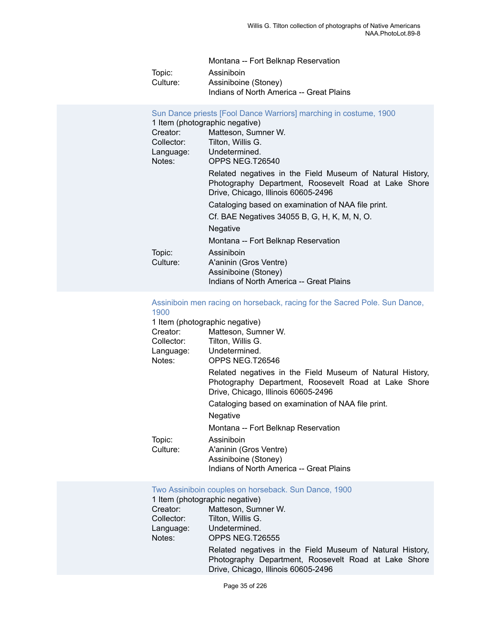|          | Montana -- Fort Belknap Reservation      |
|----------|------------------------------------------|
| Topic:   | Assiniboin                               |
| Culture: | Assiniboine (Stoney)                     |
|          | Indians of North America -- Great Plains |

| 1 Item (photographic negative) | Sun Dance priests [Fool Dance Warriors] marching in costume, 1900                                                                                        |  |
|--------------------------------|----------------------------------------------------------------------------------------------------------------------------------------------------------|--|
| Creator:                       | Matteson, Sumner W.                                                                                                                                      |  |
| Collector:                     | Tilton, Willis G.                                                                                                                                        |  |
| Language: Undetermined.        |                                                                                                                                                          |  |
| Notes:                         | OPPS NEG.T26540                                                                                                                                          |  |
|                                | Related negatives in the Field Museum of Natural History,<br>Photography Department, Roosevelt Road at Lake Shore<br>Drive, Chicago, Illinois 60605-2496 |  |
|                                | Cataloging based on examination of NAA file print.                                                                                                       |  |
|                                | Cf. BAE Negatives 34055 B, G, H, K, M, N, O.                                                                                                             |  |
|                                | <b>Negative</b>                                                                                                                                          |  |
|                                | Montana -- Fort Belknap Reservation                                                                                                                      |  |
| Topic:                         | Assiniboin                                                                                                                                               |  |
| Culture:                       | A'aninin (Gros Ventre)                                                                                                                                   |  |
|                                | Assiniboine (Stoney)                                                                                                                                     |  |
|                                | Indians of North America -- Great Plains                                                                                                                 |  |

#### [Assiniboin men racing on horseback, racing for the Sacred Pole. Sun Dance,](https://ids.si.edu/ids/deliveryService?id=NMNH-T26546-000001) [1900](https://ids.si.edu/ids/deliveryService?id=NMNH-T26546-000001)

|            | 1 Item (photographic negative)                                                                                                                           |
|------------|----------------------------------------------------------------------------------------------------------------------------------------------------------|
| Creator:   | Matteson, Sumner W.                                                                                                                                      |
| Collector: | Tilton, Willis G.                                                                                                                                        |
| Language:  | Undetermined.                                                                                                                                            |
| Notes:     | OPPS NEG.T26546                                                                                                                                          |
|            | Related negatives in the Field Museum of Natural History,<br>Photography Department, Roosevelt Road at Lake Shore<br>Drive, Chicago, Illinois 60605-2496 |
|            | Cataloging based on examination of NAA file print.                                                                                                       |
|            | <b>Negative</b>                                                                                                                                          |
|            | Montana -- Fort Belknap Reservation                                                                                                                      |
| Topic:     | Assiniboin                                                                                                                                               |
| Culture:   | A'aninin (Gros Ventre)                                                                                                                                   |
|            | Assiniboine (Stoney)                                                                                                                                     |
|            | Indians of North America -- Great Plains                                                                                                                 |
|            |                                                                                                                                                          |

## Two Assiniboin couples on [horseback.](https://ids.si.edu/ids/deliveryService?id=NMNH-T26555-000001) Sun Dance, 1900

|            | 1 Item (photographic negative)                                                                                                                           |  |
|------------|----------------------------------------------------------------------------------------------------------------------------------------------------------|--|
| Creator:   | Matteson, Sumner W.                                                                                                                                      |  |
| Collector: | Tilton, Willis G.                                                                                                                                        |  |
| Language:  | Undetermined.                                                                                                                                            |  |
| Notes:     | OPPS NEG.T26555                                                                                                                                          |  |
|            | Related negatives in the Field Museum of Natural History,<br>Photography Department, Roosevelt Road at Lake Shore<br>Drive, Chicago, Illinois 60605-2496 |  |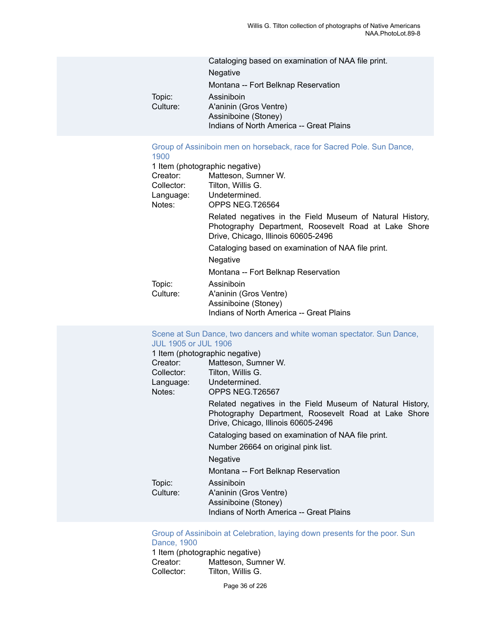|          | Cataloging based on examination of NAA file print. |
|----------|----------------------------------------------------|
|          | <b>Negative</b>                                    |
|          | Montana -- Fort Belknap Reservation                |
| Topic:   | Assiniboin                                         |
| Culture: | A'aninin (Gros Ventre)                             |
|          | Assiniboine (Stoney)                               |
|          | Indians of North America -- Great Plains           |

## [Group of Assiniboin men on horseback, race for Sacred Pole. Sun Dance,](https://ids.si.edu/ids/deliveryService?id=NMNH-T26564-000001)

| 1900       |                                                                                                                                                          |
|------------|----------------------------------------------------------------------------------------------------------------------------------------------------------|
|            | 1 Item (photographic negative)                                                                                                                           |
| Creator:   | Matteson, Sumner W.                                                                                                                                      |
| Collector: | Tilton, Willis G.                                                                                                                                        |
|            | Language: Undetermined.                                                                                                                                  |
| Notes:     | OPPS NEG.T26564                                                                                                                                          |
|            | Related negatives in the Field Museum of Natural History,<br>Photography Department, Roosevelt Road at Lake Shore<br>Drive, Chicago, Illinois 60605-2496 |
|            | Cataloging based on examination of NAA file print.                                                                                                       |
|            | Negative                                                                                                                                                 |
|            | Montana -- Fort Belknap Reservation                                                                                                                      |
| Topic:     | Assiniboin                                                                                                                                               |
| Culture:   | A'aninin (Gros Ventre)                                                                                                                                   |
|            | Assiniboine (Stoney)                                                                                                                                     |
|            | Indians of North America -- Great Plains                                                                                                                 |

#### Scene at Sun Dance, two dancers and white woman [spectator.](https://ids.si.edu/ids/deliveryService?id=NMNH-T26567-000001) Sun Dance, [JUL 1905 or JUL 1906](https://ids.si.edu/ids/deliveryService?id=NMNH-T26567-000001)

| 1 Item (photographic negative) |                                                                                                                                                          |  |
|--------------------------------|----------------------------------------------------------------------------------------------------------------------------------------------------------|--|
| Creator:                       | Matteson, Sumner W.                                                                                                                                      |  |
| Collector:                     | Tilton, Willis G.                                                                                                                                        |  |
|                                | Language: Undetermined.                                                                                                                                  |  |
| Notes:                         | OPPS NEG.T26567                                                                                                                                          |  |
|                                | Related negatives in the Field Museum of Natural History,<br>Photography Department, Roosevelt Road at Lake Shore<br>Drive, Chicago, Illinois 60605-2496 |  |
|                                | Cataloging based on examination of NAA file print.                                                                                                       |  |
|                                | Number 26664 on original pink list.                                                                                                                      |  |
|                                | <b>Negative</b>                                                                                                                                          |  |
|                                | Montana -- Fort Belknap Reservation                                                                                                                      |  |
| Topic:                         | Assiniboin                                                                                                                                               |  |
| Culture:                       | A'aninin (Gros Ventre)<br>Assiniboine (Stoney)                                                                                                           |  |
|                                | Indians of North America -- Great Plains                                                                                                                 |  |

Group of Assiniboin at [Celebration,](https://ids.si.edu/ids/deliveryService?id=NMNH-T26659-000001) laying down presents for the poor. Sun [Dance, 1900](https://ids.si.edu/ids/deliveryService?id=NMNH-T26659-000001)

1 Item (photographic negative)<br>Creator: Matteson, Sum Creator: Matteson, Sumner W.<br>Collector: Tilton. Willis G. Tilton, Willis G.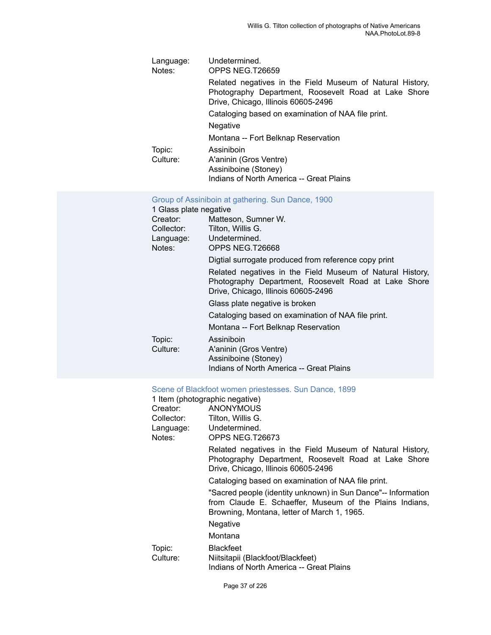| Language:<br>Notes: | Undetermined.<br>OPPS NEG.T26659                                                                                                                         |
|---------------------|----------------------------------------------------------------------------------------------------------------------------------------------------------|
|                     | Related negatives in the Field Museum of Natural History,<br>Photography Department, Roosevelt Road at Lake Shore<br>Drive, Chicago, Illinois 60605-2496 |
|                     | Cataloging based on examination of NAA file print.                                                                                                       |
|                     | <b>Negative</b>                                                                                                                                          |
|                     | Montana -- Fort Belknap Reservation                                                                                                                      |
| Topic:              | Assiniboin                                                                                                                                               |
| Culture:            | A'aninin (Gros Ventre)                                                                                                                                   |
|                     | Assiniboine (Stoney)                                                                                                                                     |
|                     | Indians of North America -- Great Plains                                                                                                                 |

#### [Group of Assiniboin at gathering. Sun Dance, 1900](https://ids.si.edu/ids/deliveryService?id=NMNH-T26668-000001)

### 1 Glass plate negative Creator: Matteson, Sumner W. Collector: Tilton, Willis G.<br>Language: Undetermined. Language: Notes: OPPS NEG.T26668 Digtial surrogate produced from reference copy print Related negatives in the Field Museum of Natural History, Photography Department, Roosevelt Road at Lake Shore Drive, Chicago, Illinois 60605-2496 Glass plate negative is broken Cataloging based on examination of NAA file print. Montana -- Fort Belknap Reservation Topic: Assiniboin<br>Culture: A'aninin (G A'aninin (Gros Ventre) Assiniboine (Stoney) Indians of North America -- Great Plains

#### [Scene of Blackfoot women priestesses. Sun Dance, 1899](https://ids.si.edu/ids/deliveryService?id=NMNH-T26673-000001)

|                    | 1 Item (photographic negative)                                                                                                                                          |
|--------------------|-------------------------------------------------------------------------------------------------------------------------------------------------------------------------|
| Creator: www.      | ANONYMOUS                                                                                                                                                               |
| Collector:         | Tilton, Willis G.                                                                                                                                                       |
|                    | Language: Undetermined.                                                                                                                                                 |
| Notes:             | OPPS NEG.T26673                                                                                                                                                         |
|                    | Related negatives in the Field Museum of Natural History,<br>Photography Department, Roosevelt Road at Lake Shore<br>Drive, Chicago, Illinois 60605-2496                |
|                    | Cataloging based on examination of NAA file print.                                                                                                                      |
|                    | "Sacred people (identity unknown) in Sun Dance"-- Information<br>from Claude E. Schaeffer, Museum of the Plains Indians,<br>Browning, Montana, letter of March 1, 1965. |
|                    | Negative                                                                                                                                                                |
|                    | Montana                                                                                                                                                                 |
| Topic:<br>Culture: | <b>Blackfeet</b><br>Niitsitapii (Blackfoot/Blackfeet)<br>Indians of North America -- Great Plains                                                                       |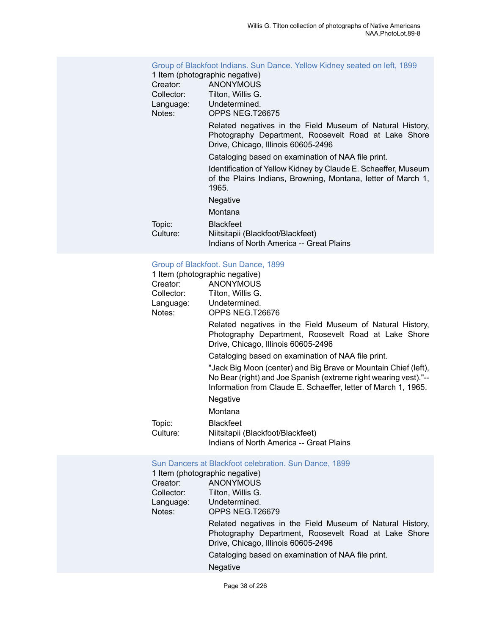### Group of [Blackfoot](https://ids.si.edu/ids/deliveryService?id=NMNH-T26675-000001) Indians. Sun Dance. Yellow Kidney seated on left, 1899 1 Item (photographic negative) Creator: ANONYMOUS<br>Collector: Tilton. Willis G. Tilton, Willis G. Language: Undetermined. Notes: OPPS NEG.T26675 Related negatives in the Field Museum of Natural History, Photography Department, Roosevelt Road at Lake Shore Drive, Chicago, Illinois 60605-2496 Cataloging based on examination of NAA file print. Identification of Yellow Kidney by Claude E. Schaeffer, Museum of the Plains Indians, Browning, Montana, letter of March 1, 1965. **Negative** Montana Topic: Blackfeet<br>Culture: Niitsitapii Niitsitapii (Blackfoot/Blackfeet) Indians of North America -- Great Plains

#### [Group of Blackfoot. Sun Dance, 1899](https://ids.si.edu/ids/deliveryService?id=NMNH-T26676-000001)

| 1 Item (photographic negative) |                                                                                                                                                                                                       |
|--------------------------------|-------------------------------------------------------------------------------------------------------------------------------------------------------------------------------------------------------|
| <b>ANONYMOUS</b><br>Creator:   |                                                                                                                                                                                                       |
| Collector:                     | Tilton, Willis G.                                                                                                                                                                                     |
| Language:                      | Undetermined.                                                                                                                                                                                         |
| Notes:                         | OPPS NEG.T26676                                                                                                                                                                                       |
|                                | Related negatives in the Field Museum of Natural History,<br>Photography Department, Roosevelt Road at Lake Shore<br>Drive, Chicago, Illinois 60605-2496                                              |
|                                | Cataloging based on examination of NAA file print.                                                                                                                                                    |
|                                | "Jack Big Moon (center) and Big Brave or Mountain Chief (left),<br>No Bear (right) and Joe Spanish (extreme right wearing vest)."--<br>Information from Claude E. Schaeffer, letter of March 1, 1965. |
|                                | Negative                                                                                                                                                                                              |
|                                | Montana                                                                                                                                                                                               |
| Topic:<br>Culture:             | <b>Blackfeet</b><br>Niitsitapii (Blackfoot/Blackfeet)<br>Indians of North America -- Great Plains                                                                                                     |
|                                |                                                                                                                                                                                                       |

#### [Sun Dancers at Blackfoot celebration. Sun Dance, 1899](https://ids.si.edu/ids/deliveryService?id=NMNH-T26679-000001)

| 1 Item (photographic negative) |                                                                                                                                                          |
|--------------------------------|----------------------------------------------------------------------------------------------------------------------------------------------------------|
| Creator:                       | <b>ANONYMOUS</b>                                                                                                                                         |
| Collector:                     | Tilton, Willis G.                                                                                                                                        |
| Language:                      | Undetermined.                                                                                                                                            |
| Notes:                         | OPPS NEG.T26679                                                                                                                                          |
|                                | Related negatives in the Field Museum of Natural History,<br>Photography Department, Roosevelt Road at Lake Shore<br>Drive, Chicago, Illinois 60605-2496 |
|                                | Cataloging based on examination of NAA file print.                                                                                                       |
|                                | <b>Negative</b>                                                                                                                                          |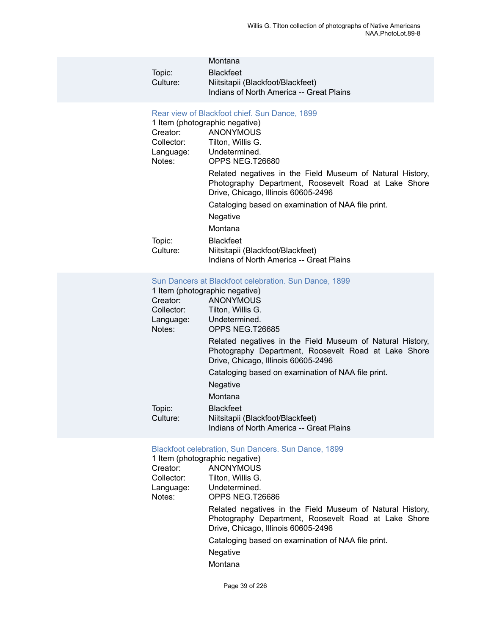|          | Montana                                  |
|----------|------------------------------------------|
| Topic:   | <b>Blackfeet</b>                         |
| Culture: | Niitsitapii (Blackfoot/Blackfeet)        |
|          | Indians of North America -- Great Plains |

#### [Rear view of Blackfoot chief. Sun Dance, 1899](https://ids.si.edu/ids/deliveryService?id=NMNH-T26680-000001)

|            | 1 Item (photographic negative)                                                                                                                           |
|------------|----------------------------------------------------------------------------------------------------------------------------------------------------------|
| Creator:   | <b>ANONYMOUS</b>                                                                                                                                         |
| Collector: | Tilton, Willis G.                                                                                                                                        |
| Language:  | Undetermined.                                                                                                                                            |
| Notes:     | OPPS NEG.T26680                                                                                                                                          |
|            | Related negatives in the Field Museum of Natural History,<br>Photography Department, Roosevelt Road at Lake Shore<br>Drive, Chicago, Illinois 60605-2496 |
|            | Cataloging based on examination of NAA file print.                                                                                                       |
|            | Negative                                                                                                                                                 |
|            | Montana                                                                                                                                                  |
| Topic:     | <b>Blackfeet</b>                                                                                                                                         |
| Culture:   | Niitsitapii (Blackfoot/Blackfeet)                                                                                                                        |
|            | Indians of North America -- Great Plains                                                                                                                 |

#### [Sun Dancers at Blackfoot celebration. Sun Dance, 1899](https://ids.si.edu/ids/deliveryService?id=NMNH-T26685-000001)

|            | 1 Item (photographic negative)                                                                                                                           |
|------------|----------------------------------------------------------------------------------------------------------------------------------------------------------|
| Creator:   | <b>ANONYMOUS</b>                                                                                                                                         |
| Collector: | Tilton, Willis G.                                                                                                                                        |
| Language:  | Undetermined.                                                                                                                                            |
| Notes:     | OPPS NEG.T26685                                                                                                                                          |
|            | Related negatives in the Field Museum of Natural History,<br>Photography Department, Roosevelt Road at Lake Shore<br>Drive, Chicago, Illinois 60605-2496 |
|            | Cataloging based on examination of NAA file print.                                                                                                       |
|            | Negative                                                                                                                                                 |
|            | Montana                                                                                                                                                  |
| Topic:     | <b>Blackfeet</b>                                                                                                                                         |
| Culture:   | Niitsitapii (Blackfoot/Blackfeet)                                                                                                                        |
|            | Indians of North America -- Great Plains                                                                                                                 |

## [Blackfoot celebration, Sun Dancers. Sun Dance, 1899](https://ids.si.edu/ids/deliveryService?id=NMNH-T26686-000001)

| 1 Item (photographic negative)                                                                                                                           |
|----------------------------------------------------------------------------------------------------------------------------------------------------------|
| ANONYMOUS                                                                                                                                                |
| Tilton, Willis G.                                                                                                                                        |
| Undetermined.                                                                                                                                            |
| OPPS NEG.T26686                                                                                                                                          |
| Related negatives in the Field Museum of Natural History,<br>Photography Department, Roosevelt Road at Lake Shore<br>Drive, Chicago, Illinois 60605-2496 |
| Cataloging based on examination of NAA file print.                                                                                                       |
| <b>Negative</b>                                                                                                                                          |
| Montana                                                                                                                                                  |
|                                                                                                                                                          |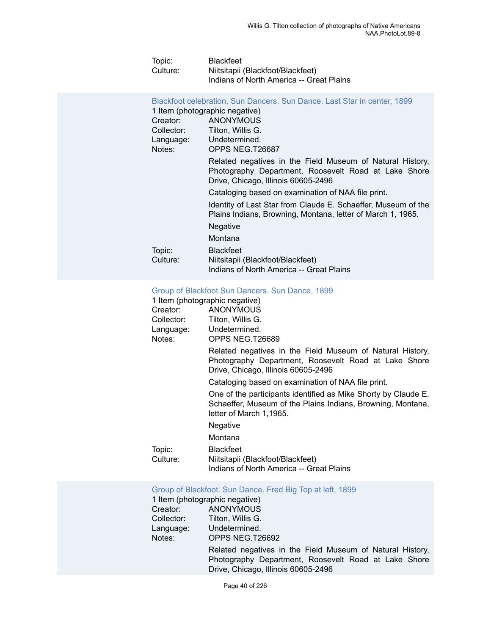| Topic:   | <b>Blackfeet</b>                         |
|----------|------------------------------------------|
| Culture: | Niitsitapii (Blackfoot/Blackfeet)        |
|          | Indians of North America -- Great Plains |

Blackfoot [celebration,](https://ids.si.edu/ids/deliveryService?id=NMNH-T26687-000001) Sun Dancers. Sun Dance. Last Star in center, 1899

|            | 1 Item (photographic negative)                                                                                                                           |
|------------|----------------------------------------------------------------------------------------------------------------------------------------------------------|
| Creator:   | <b>ANONYMOUS</b>                                                                                                                                         |
| Collector: | Tilton, Willis G.                                                                                                                                        |
| Language:  | Undetermined.                                                                                                                                            |
| Notes:     | OPPS NEG.T26687                                                                                                                                          |
|            | Related negatives in the Field Museum of Natural History,<br>Photography Department, Roosevelt Road at Lake Shore<br>Drive, Chicago, Illinois 60605-2496 |
|            | Cataloging based on examination of NAA file print.                                                                                                       |
|            | Identity of Last Star from Claude E. Schaeffer, Museum of the<br>Plains Indians, Browning, Montana, letter of March 1, 1965.                             |
|            | Negative                                                                                                                                                 |
|            | Montana                                                                                                                                                  |
| Topic:     | <b>Blackfeet</b>                                                                                                                                         |
| Culture:   | Niitsitapii (Blackfoot/Blackfeet)                                                                                                                        |
|            | Indians of North America -- Great Plains                                                                                                                 |

#### [Group of Blackfoot Sun Dancers. Sun Dance, 1899](https://ids.si.edu/ids/deliveryService?id=NMNH-T26689-000001)

| 1 Item (photographic negative)                                                                                                                           |  |
|----------------------------------------------------------------------------------------------------------------------------------------------------------|--|
| <b>ANONYMOUS</b>                                                                                                                                         |  |
| Tilton, Willis G.                                                                                                                                        |  |
| Language: Undetermined.                                                                                                                                  |  |
| OPPS NEG.T26689                                                                                                                                          |  |
| Related negatives in the Field Museum of Natural History,<br>Photography Department, Roosevelt Road at Lake Shore<br>Drive, Chicago, Illinois 60605-2496 |  |
| Cataloging based on examination of NAA file print.                                                                                                       |  |
| One of the participants identified as Mike Shorty by Claude E.<br>Schaeffer, Museum of the Plains Indians, Browning, Montana,<br>letter of March 1,1965. |  |
| Negative                                                                                                                                                 |  |
| Montana                                                                                                                                                  |  |
| <b>Blackfeet</b><br>Niitsitapii (Blackfoot/Blackfeet)<br>Indians of North America -- Great Plains                                                        |  |
|                                                                                                                                                          |  |

## Group of [Blackfoot.](https://ids.si.edu/ids/deliveryService?id=NMNH-T26692-000001) Sun Dance. Fred Big Top at left, 1899

|            | 1 Item (photographic negative)                                                                                                                           |
|------------|----------------------------------------------------------------------------------------------------------------------------------------------------------|
| Creator:   | <b>ANONYMOUS</b>                                                                                                                                         |
| Collector: | Tilton, Willis G.                                                                                                                                        |
| Language:  | Undetermined.                                                                                                                                            |
| Notes:     | OPPS NEG.T26692                                                                                                                                          |
|            | Related negatives in the Field Museum of Natural History,<br>Photography Department, Roosevelt Road at Lake Shore<br>Drive, Chicago, Illinois 60605-2496 |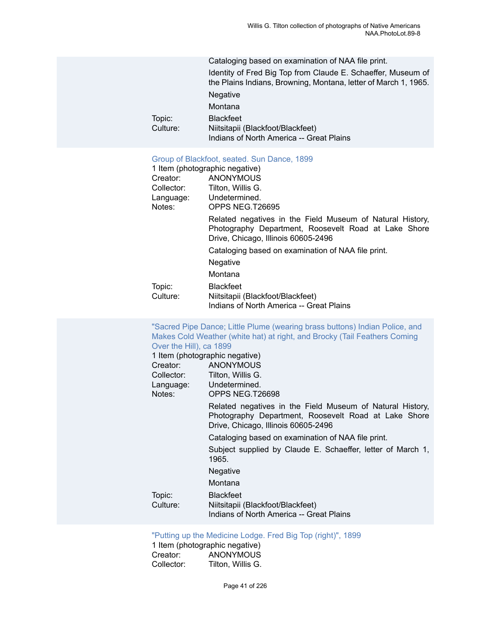|                    | Cataloging based on examination of NAA file print.                                                                              |
|--------------------|---------------------------------------------------------------------------------------------------------------------------------|
|                    | Identity of Fred Big Top from Claude E. Schaeffer, Museum of<br>the Plains Indians, Browning, Montana, letter of March 1, 1965. |
|                    | <b>Negative</b>                                                                                                                 |
|                    | Montana                                                                                                                         |
| Topic:<br>Culture: | <b>Blackfeet</b><br>Niitsitapii (Blackfoot/Blackfeet)                                                                           |
|                    | Indians of North America -- Great Plains                                                                                        |
|                    |                                                                                                                                 |

#### [Group of Blackfoot, seated. Sun Dance, 1899](https://ids.si.edu/ids/deliveryService?id=NMNH-T26695-000001)

|            | 1 Item (photographic negative)                                                                                                                           |
|------------|----------------------------------------------------------------------------------------------------------------------------------------------------------|
| Creator:   | ANONYMOUS                                                                                                                                                |
| Collector: | Tilton, Willis G.                                                                                                                                        |
| Language:  | Undetermined.                                                                                                                                            |
| Notes:     | OPPS NEG.T26695                                                                                                                                          |
|            | Related negatives in the Field Museum of Natural History,<br>Photography Department, Roosevelt Road at Lake Shore<br>Drive, Chicago, Illinois 60605-2496 |
|            | Cataloging based on examination of NAA file print.                                                                                                       |
|            | <b>Negative</b>                                                                                                                                          |
|            | Montana                                                                                                                                                  |
| Topic:     | <b>Blackfeet</b>                                                                                                                                         |
| Culture:   | Niitsitapii (Blackfoot/Blackfeet)                                                                                                                        |
|            | Indians of North America -- Great Plains                                                                                                                 |

#### ["Sacred Pipe Dance; Little Plume \(wearing brass buttons\) Indian Police, and](https://ids.si.edu/ids/deliveryService?id=NMNH-T26698-000001) Makes Cold Weather (white hat) at right, and Brocky (Tail [Feathers](https://ids.si.edu/ids/deliveryService?id=NMNH-T26698-000001) Coming [Over the Hill\), ca 1899](https://ids.si.edu/ids/deliveryService?id=NMNH-T26698-000001)

|            | 1 Item (photographic negative)                                                                                                                           |
|------------|----------------------------------------------------------------------------------------------------------------------------------------------------------|
| Creator:   | <b>ANONYMOUS</b>                                                                                                                                         |
| Collector: | Tilton, Willis G.                                                                                                                                        |
| Language:  | Undetermined.                                                                                                                                            |
| Notes:     | OPPS NEG.T26698                                                                                                                                          |
|            | Related negatives in the Field Museum of Natural History,<br>Photography Department, Roosevelt Road at Lake Shore<br>Drive, Chicago, Illinois 60605-2496 |
|            | Cataloging based on examination of NAA file print.                                                                                                       |
|            | Subject supplied by Claude E. Schaeffer, letter of March 1,<br>1965.                                                                                     |
|            | Negative                                                                                                                                                 |
|            | Montana                                                                                                                                                  |
| Topic:     | <b>Blackfeet</b>                                                                                                                                         |
| Culture:   | Niitsitapii (Blackfoot/Blackfeet)                                                                                                                        |
|            | Indians of North America -- Great Plains                                                                                                                 |

#### "Putting up the [Medicine](https://ids.si.edu/ids/deliveryService?id=NMNH-T26700-000001) Lodge. Fred Big Top (right)", 1899

1 Item (photographic negative) Creator: ANONYMOUS<br>Collector: Tilton, Willis G. Tilton, Willis G.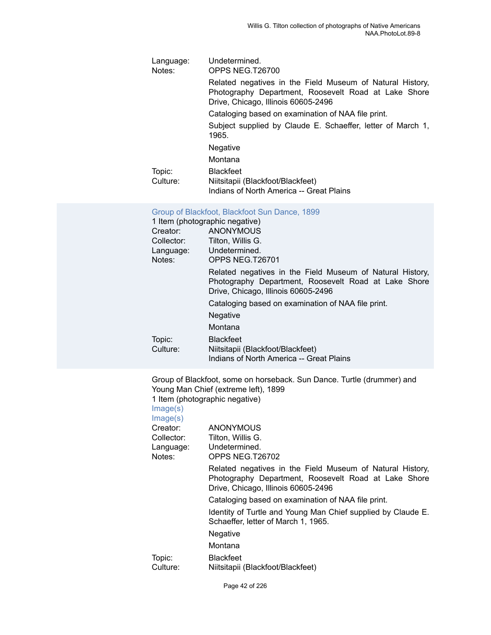| Language:<br>Notes: | Undetermined.<br>OPPS NEG.T26700                                                                                                                         |
|---------------------|----------------------------------------------------------------------------------------------------------------------------------------------------------|
|                     | Related negatives in the Field Museum of Natural History,<br>Photography Department, Roosevelt Road at Lake Shore<br>Drive, Chicago, Illinois 60605-2496 |
|                     | Cataloging based on examination of NAA file print.                                                                                                       |
|                     | Subject supplied by Claude E. Schaeffer, letter of March 1,<br>1965.                                                                                     |
|                     | <b>Negative</b>                                                                                                                                          |
|                     | Montana                                                                                                                                                  |
| Topic:<br>Culture:  | <b>Blackfeet</b><br>Niitsitapii (Blackfoot/Blackfeet)<br>Indians of North America -- Great Plains                                                        |

### [Group of Blackfoot, Blackfoot Sun Dance, 1899](https://ids.si.edu/ids/deliveryService?id=NMNH-T26701-000001)

|            | 1 Item (photographic negative)                                                                                                                           |
|------------|----------------------------------------------------------------------------------------------------------------------------------------------------------|
| Creator:   | ANONYMOUS                                                                                                                                                |
| Collector: | Tilton, Willis G.                                                                                                                                        |
| Language:  | Undetermined.                                                                                                                                            |
| Notes:     | OPPS NEG.T26701                                                                                                                                          |
|            | Related negatives in the Field Museum of Natural History,<br>Photography Department, Roosevelt Road at Lake Shore<br>Drive, Chicago, Illinois 60605-2496 |
|            | Cataloging based on examination of NAA file print.                                                                                                       |
|            | Negative                                                                                                                                                 |
|            | Montana                                                                                                                                                  |
| Topic:     | <b>Blackfeet</b>                                                                                                                                         |
| Culture:   | Niitsitapii (Blackfoot/Blackfeet)                                                                                                                        |
|            | Indians of North America -- Great Plains                                                                                                                 |

|            | Group of Blackfoot, some on horseback. Sun Dance. Turtle (drummer) and<br>Young Man Chief (extreme left), 1899                                           |
|------------|----------------------------------------------------------------------------------------------------------------------------------------------------------|
|            | 1 Item (photographic negative)                                                                                                                           |
| Image(s)   |                                                                                                                                                          |
| Image(s)   |                                                                                                                                                          |
| Creator:   | <b>ANONYMOUS</b>                                                                                                                                         |
| Collector: | Tilton, Willis G.                                                                                                                                        |
|            | Language: Undetermined.                                                                                                                                  |
| Notes:     | OPPS NEG.T26702                                                                                                                                          |
|            | Related negatives in the Field Museum of Natural History,<br>Photography Department, Roosevelt Road at Lake Shore<br>Drive, Chicago, Illinois 60605-2496 |
|            | Cataloging based on examination of NAA file print.                                                                                                       |
|            | Identity of Turtle and Young Man Chief supplied by Claude E.<br>Schaeffer, letter of March 1, 1965.                                                      |
|            | Negative                                                                                                                                                 |
|            | Montana                                                                                                                                                  |
| Topic:     | <b>Blackfeet</b>                                                                                                                                         |
| Culture:   | Niitsitapii (Blackfoot/Blackfeet)                                                                                                                        |
|            |                                                                                                                                                          |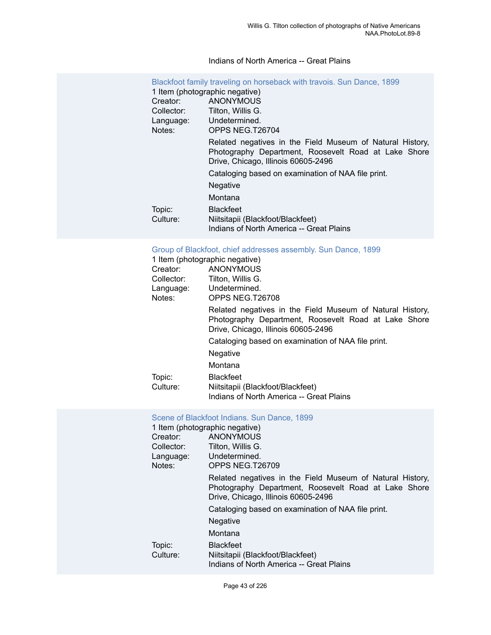### Indians of North America -- Great Plains

| Blackfoot family traveling on horseback with travois. Sun Dance, 1899<br>1 Item (photographic negative) |                                                                                                                                                          |  |
|---------------------------------------------------------------------------------------------------------|----------------------------------------------------------------------------------------------------------------------------------------------------------|--|
| <b>ANONYMOUS</b><br>Creator:                                                                            |                                                                                                                                                          |  |
| Collector:                                                                                              | Tilton, Willis G.                                                                                                                                        |  |
|                                                                                                         | Language: Undetermined.                                                                                                                                  |  |
| Notes:                                                                                                  | OPPS NEG.T26704                                                                                                                                          |  |
|                                                                                                         | Related negatives in the Field Museum of Natural History,<br>Photography Department, Roosevelt Road at Lake Shore<br>Drive, Chicago, Illinois 60605-2496 |  |
|                                                                                                         | Cataloging based on examination of NAA file print.                                                                                                       |  |
|                                                                                                         | Negative                                                                                                                                                 |  |
|                                                                                                         | Montana                                                                                                                                                  |  |
| Topic:                                                                                                  | <b>Blackfeet</b>                                                                                                                                         |  |
| Culture:                                                                                                | Niitsitapii (Blackfoot/Blackfeet)                                                                                                                        |  |
|                                                                                                         | Indians of North America -- Great Plains                                                                                                                 |  |

Group of Blackfoot, chief [addresses](https://ids.si.edu/ids/deliveryService?id=NMNH-T26708-000001) assembly. Sun Dance, 1899

|            | 1 Item (photographic negative)                                                                                                                           |
|------------|----------------------------------------------------------------------------------------------------------------------------------------------------------|
| Creator:   | <b>ANONYMOUS</b>                                                                                                                                         |
| Collector: | Tilton. Willis G.                                                                                                                                        |
| Language:  | Undetermined.                                                                                                                                            |
| Notes:     | OPPS NEG T26708                                                                                                                                          |
|            | Related negatives in the Field Museum of Natural History,<br>Photography Department, Roosevelt Road at Lake Shore<br>Drive, Chicago, Illinois 60605-2496 |
|            | Cataloging based on examination of NAA file print.                                                                                                       |
|            | Negative                                                                                                                                                 |
|            | Montana                                                                                                                                                  |
| Topic:     | <b>Blackfeet</b>                                                                                                                                         |
| Culture:   | Niitsitapii (Blackfoot/Blackfeet)                                                                                                                        |
|            | Indians of North America -- Great Plains                                                                                                                 |

#### [Scene of Blackfoot Indians. Sun Dance, 1899](https://ids.si.edu/ids/deliveryService?id=NMNH-T26709-000001)

|            | 1 Item (photographic negative)                                                                                                                           |  |  |
|------------|----------------------------------------------------------------------------------------------------------------------------------------------------------|--|--|
| Creator:   | <b>ANONYMOUS</b>                                                                                                                                         |  |  |
| Collector: | Tilton, Willis G.                                                                                                                                        |  |  |
| Language:  | Undetermined.                                                                                                                                            |  |  |
| Notes:     | OPPS NEG.T26709                                                                                                                                          |  |  |
|            | Related negatives in the Field Museum of Natural History,<br>Photography Department, Roosevelt Road at Lake Shore<br>Drive, Chicago, Illinois 60605-2496 |  |  |
|            | Cataloging based on examination of NAA file print.                                                                                                       |  |  |
|            | <b>Negative</b>                                                                                                                                          |  |  |
|            | Montana                                                                                                                                                  |  |  |
| Topic:     | <b>Blackfeet</b>                                                                                                                                         |  |  |
| Culture:   | Niitsitapii (Blackfoot/Blackfeet)                                                                                                                        |  |  |
|            | Indians of North America -- Great Plains                                                                                                                 |  |  |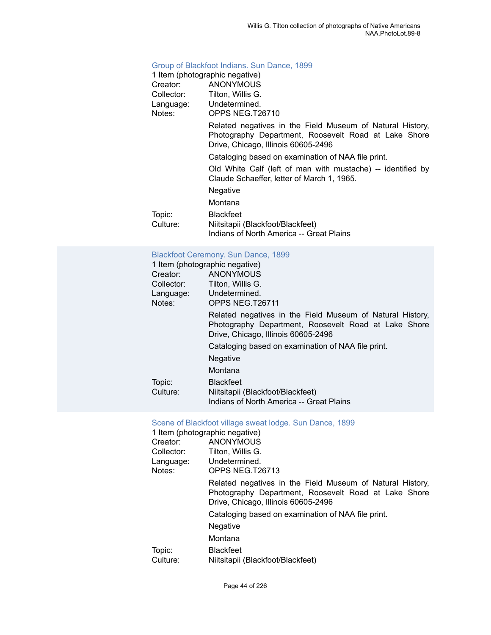#### [Group of Blackfoot Indians. Sun Dance, 1899](https://ids.si.edu/ids/deliveryService?id=NMNH-T26710-000001)

| GIUUD OI DIAGNOOL IHUMMIS. OUH DAHGE, TOSS                                                                                                               |  |  |
|----------------------------------------------------------------------------------------------------------------------------------------------------------|--|--|
| 1 Item (photographic negative)                                                                                                                           |  |  |
| Creator: ANONYMOUS                                                                                                                                       |  |  |
| Collector: Tilton, Willis G.                                                                                                                             |  |  |
| Language: Undetermined.                                                                                                                                  |  |  |
| OPPS NEG.T26710                                                                                                                                          |  |  |
| Related negatives in the Field Museum of Natural History,<br>Photography Department, Roosevelt Road at Lake Shore<br>Drive, Chicago, Illinois 60605-2496 |  |  |
| Cataloging based on examination of NAA file print.                                                                                                       |  |  |
| Old White Calf (left of man with mustache) -- identified by<br>Claude Schaeffer, letter of March 1, 1965.                                                |  |  |
| Negative                                                                                                                                                 |  |  |
| Montana                                                                                                                                                  |  |  |
| <b>Blackfeet</b>                                                                                                                                         |  |  |
| Niitsitapii (Blackfoot/Blackfeet)                                                                                                                        |  |  |
| Indians of North America -- Great Plains                                                                                                                 |  |  |
| Blackfoot Ceremony. Sun Dance, 1899                                                                                                                      |  |  |
| 1 Item (photographic negative)                                                                                                                           |  |  |
| Creator: ANONYMOUS                                                                                                                                       |  |  |
| Collector: Tilton, Willis G.                                                                                                                             |  |  |
|                                                                                                                                                          |  |  |

| Creator:   | <b>ANONYMOUS</b>                                                                                                                                         |
|------------|----------------------------------------------------------------------------------------------------------------------------------------------------------|
| Collector: | Tilton, Willis G.                                                                                                                                        |
| Language:  | Undetermined.                                                                                                                                            |
| Notes:     | OPPS NEG.T26711                                                                                                                                          |
|            | Related negatives in the Field Museum of Natural History,<br>Photography Department, Roosevelt Road at Lake Shore<br>Drive, Chicago, Illinois 60605-2496 |
|            | Cataloging based on examination of NAA file print.                                                                                                       |
|            | <b>Negative</b>                                                                                                                                          |
|            | Montana                                                                                                                                                  |
| Topic:     | <b>Blackfeet</b>                                                                                                                                         |
| Culture:   | Niitsitapii (Blackfoot/Blackfeet)                                                                                                                        |
|            | Indians of North America -- Great Plains                                                                                                                 |

## [Scene of Blackfoot village sweat lodge. Sun Dance, 1899](https://ids.si.edu/ids/deliveryService?id=NMNH-T26713-000001)

| 1 Item (photographic negative) |                    |                                                                                                                                                          |
|--------------------------------|--------------------|----------------------------------------------------------------------------------------------------------------------------------------------------------|
|                                | Creator:           | <b>ANONYMOUS</b>                                                                                                                                         |
|                                | Collector:         | Tilton, Willis G.                                                                                                                                        |
|                                | Language:          | Undetermined.                                                                                                                                            |
|                                | Notes:             | OPPS NEG.T26713                                                                                                                                          |
|                                |                    | Related negatives in the Field Museum of Natural History,<br>Photography Department, Roosevelt Road at Lake Shore<br>Drive, Chicago, Illinois 60605-2496 |
|                                |                    | Cataloging based on examination of NAA file print.                                                                                                       |
|                                |                    | <b>Negative</b>                                                                                                                                          |
|                                |                    | Montana                                                                                                                                                  |
|                                | Topic:<br>Culture: | <b>Blackfeet</b><br>Niitsitapii (Blackfoot/Blackfeet)                                                                                                    |
|                                |                    |                                                                                                                                                          |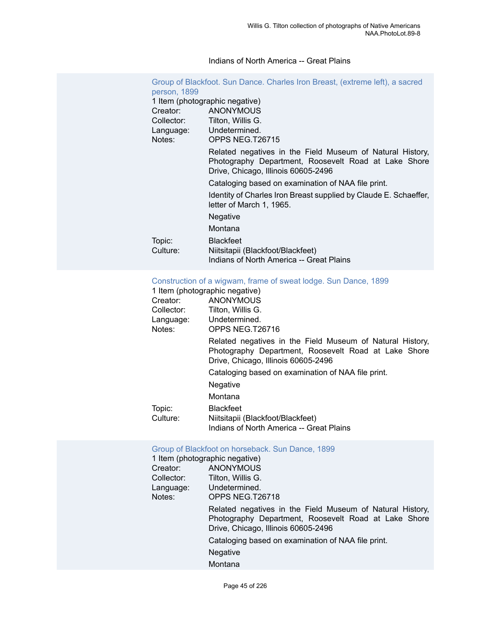#### Indians of North America -- Great Plains

| Group of Blackfoot. Sun Dance. Charles Iron Breast, (extreme left), a sacred<br>person, 1899 |                                                                                                                                                          |  |  |
|----------------------------------------------------------------------------------------------|----------------------------------------------------------------------------------------------------------------------------------------------------------|--|--|
|                                                                                              | 1 Item (photographic negative)                                                                                                                           |  |  |
| Creator:                                                                                     | ANONYMOUS                                                                                                                                                |  |  |
|                                                                                              | Collector: Tilton, Willis G.                                                                                                                             |  |  |
|                                                                                              | Language: Undetermined.                                                                                                                                  |  |  |
| Notes:                                                                                       | OPPS NEG.T26715                                                                                                                                          |  |  |
|                                                                                              | Related negatives in the Field Museum of Natural History,<br>Photography Department, Roosevelt Road at Lake Shore<br>Drive, Chicago, Illinois 60605-2496 |  |  |
|                                                                                              | Cataloging based on examination of NAA file print.                                                                                                       |  |  |
|                                                                                              | Identity of Charles Iron Breast supplied by Claude E. Schaeffer,<br>letter of March 1, 1965.                                                             |  |  |
|                                                                                              | Negative                                                                                                                                                 |  |  |
|                                                                                              | Montana                                                                                                                                                  |  |  |
| Topic:<br>Culture:                                                                           | <b>Blackfeet</b><br>Niitsitapii (Blackfoot/Blackfeet)<br>Indians of North America -- Great Plains                                                        |  |  |

#### [Construction of a wigwam, frame of sweat lodge. Sun Dance, 1899](https://ids.si.edu/ids/deliveryService?id=NMNH-T26716-000001)

|            | 1 Item (photographic negative)                                                                                                                           |
|------------|----------------------------------------------------------------------------------------------------------------------------------------------------------|
| Creator:   | <b>ANONYMOUS</b>                                                                                                                                         |
| Collector: | Tilton, Willis G.                                                                                                                                        |
| Language:  | Undetermined.                                                                                                                                            |
| Notes:     | OPPS NEG.T26716                                                                                                                                          |
|            | Related negatives in the Field Museum of Natural History,<br>Photography Department, Roosevelt Road at Lake Shore<br>Drive, Chicago, Illinois 60605-2496 |
|            | Cataloging based on examination of NAA file print.                                                                                                       |
|            | Negative                                                                                                                                                 |
|            | Montana                                                                                                                                                  |
| Topic:     | <b>Blackfeet</b>                                                                                                                                         |
| Culture:   | Niitsitapii (Blackfoot/Blackfeet)                                                                                                                        |
|            | Indians of North America -- Great Plains                                                                                                                 |

#### [Group of Blackfoot on horseback. Sun Dance, 1899](https://ids.si.edu/ids/deliveryService?id=NMNH-T26718-000001)

|            | 1 Item (photographic negative)                                                                                                                           |
|------------|----------------------------------------------------------------------------------------------------------------------------------------------------------|
| Creator:   | <b>ANONYMOUS</b>                                                                                                                                         |
| Collector: | Tilton, Willis G.                                                                                                                                        |
| Language:  | Undetermined.                                                                                                                                            |
| Notes:     | OPPS NEG.T26718                                                                                                                                          |
|            | Related negatives in the Field Museum of Natural History,<br>Photography Department, Roosevelt Road at Lake Shore<br>Drive, Chicago, Illinois 60605-2496 |
|            | Cataloging based on examination of NAA file print.                                                                                                       |
|            | Negative                                                                                                                                                 |
|            | Montana                                                                                                                                                  |
|            |                                                                                                                                                          |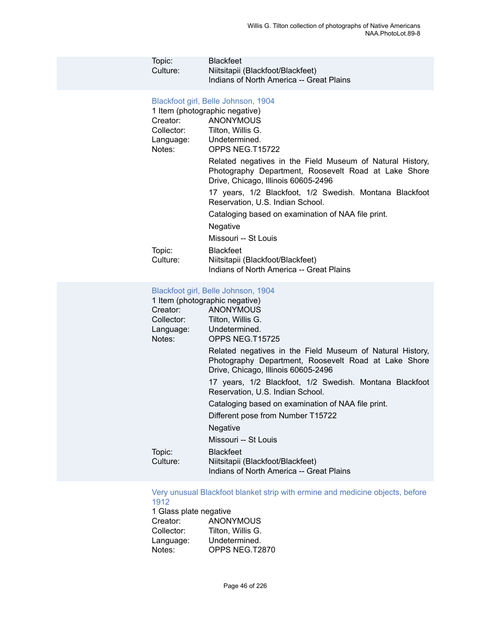| Topic:<br>Culture:                                                  | <b>Blackfeet</b><br>Niitsitapii (Blackfoot/Blackfeet)<br>Indians of North America -- Great Plains                                                                                                                                                                                                                                                                                                                                                                                                                                                                                                            |
|---------------------------------------------------------------------|--------------------------------------------------------------------------------------------------------------------------------------------------------------------------------------------------------------------------------------------------------------------------------------------------------------------------------------------------------------------------------------------------------------------------------------------------------------------------------------------------------------------------------------------------------------------------------------------------------------|
| Creator:<br>Collector:<br>Language:<br>Notes:<br>Topic:<br>Culture: | Blackfoot girl, Belle Johnson, 1904<br>1 Item (photographic negative)<br><b>ANONYMOUS</b><br>Tilton, Willis G.<br>Undetermined.<br>OPPS NEG.T15722<br>Related negatives in the Field Museum of Natural History,<br>Photography Department, Roosevelt Road at Lake Shore<br>Drive, Chicago, Illinois 60605-2496<br>17 years, 1/2 Blackfoot, 1/2 Swedish. Montana Blackfoot<br>Reservation, U.S. Indian School.<br>Cataloging based on examination of NAA file print.<br>Negative<br>Missouri -- St Louis<br><b>Blackfeet</b><br>Niitsitapii (Blackfoot/Blackfeet)<br>Indians of North America -- Great Plains |
|                                                                     | Blackfoot girl, Belle Johnson, 1904                                                                                                                                                                                                                                                                                                                                                                                                                                                                                                                                                                          |
|                                                                     | $\frac{1}{2}$                                                                                                                                                                                                                                                                                                                                                                                                                                                                                                                                                                                                |

| 1 Item (photographic negative) |                                                                                                                                                          |  |  |
|--------------------------------|----------------------------------------------------------------------------------------------------------------------------------------------------------|--|--|
|                                | Creator: ANONYMOUS                                                                                                                                       |  |  |
|                                | Collector: Tilton, Willis G.                                                                                                                             |  |  |
|                                | Language: Undetermined.                                                                                                                                  |  |  |
| Notes:<br>OPPS NEG.T15725      |                                                                                                                                                          |  |  |
|                                | Related negatives in the Field Museum of Natural History,<br>Photography Department, Roosevelt Road at Lake Shore<br>Drive, Chicago, Illinois 60605-2496 |  |  |
|                                | 17 years, 1/2 Blackfoot, 1/2 Swedish. Montana Blackfoot<br>Reservation, U.S. Indian School.                                                              |  |  |
|                                | Cataloging based on examination of NAA file print.                                                                                                       |  |  |
|                                | Different pose from Number T15722                                                                                                                        |  |  |
|                                | Negative                                                                                                                                                 |  |  |
|                                | Missouri -- St Louis                                                                                                                                     |  |  |
| Topic:<br>Culture:             | <b>Blackfeet</b><br>Niitsitapii (Blackfoot/Blackfeet)<br>Indians of North America -- Great Plains                                                        |  |  |

#### Very unusual [Blackfoot](https://ids.si.edu/ids/deliveryService?id=NMNH-T2870-000001) blanket strip with ermine and medicine objects, before [1912](https://ids.si.edu/ids/deliveryService?id=NMNH-T2870-000001)

1 Glass plate negative<br>Creator: ANON Creator: **ANONYMOUS**<br>Collector: Tilton, Willis G. Collector: Tilton, Willis G.<br>Language: Undetermined. Language: Undetermined.<br>Notes: OPPS NEG.T2 OPPS NEG.T2870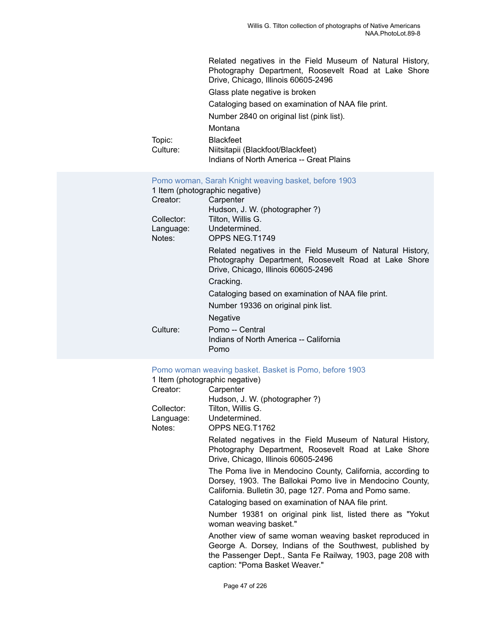| Topic:<br>Culture:                                                              | Related negatives in the Field Museum of Natural History,<br>Photography Department, Roosevelt Road at Lake Shore<br>Drive, Chicago, Illinois 60605-2496<br>Glass plate negative is broken<br>Cataloging based on examination of NAA file print.<br>Number 2840 on original list (pink list).<br>Montana<br><b>Blackfeet</b><br>Niitsitapii (Blackfoot/Blackfeet)<br>Indians of North America -- Great Plains |
|---------------------------------------------------------------------------------|---------------------------------------------------------------------------------------------------------------------------------------------------------------------------------------------------------------------------------------------------------------------------------------------------------------------------------------------------------------------------------------------------------------|
| 1 Item (photographic negative)<br>Creator:<br>Collector:<br>Language:<br>Notes: | Pomo woman, Sarah Knight weaving basket, before 1903<br>Carpenter<br>Hudson, J. W. (photographer?)<br>Tilton, Willis G.<br>Undetermined.<br>OPPS NEG.T1749                                                                                                                                                                                                                                                    |
|                                                                                 | Related negatives in the Field Museum of Natural History,<br>Photography Department, Roosevelt Road at Lake Shore<br>Drive, Chicago, Illinois 60605-2496<br>Cracking.<br>Cataloging based on examination of NAA file print.<br>Number 19336 on original pink list.<br>Negative                                                                                                                                |
| Culture:                                                                        | Pomo -- Central<br>Indians of North America -- California<br>Pomo                                                                                                                                                                                                                                                                                                                                             |

#### [Pomo woman weaving basket. Basket is Pomo, before 1903](https://ids.si.edu/ids/deliveryService?id=NMNH-T1762-000001)

| 1 Item (photographic negative) |                                                                                                                                                                                                                     |
|--------------------------------|---------------------------------------------------------------------------------------------------------------------------------------------------------------------------------------------------------------------|
| Creator:                       | Carpenter                                                                                                                                                                                                           |
|                                | Hudson, J. W. (photographer?)                                                                                                                                                                                       |
| Collector:                     | Tilton, Willis G.                                                                                                                                                                                                   |
| Language:                      | Undetermined.                                                                                                                                                                                                       |
| Notes:                         | OPPS NEG.T1762                                                                                                                                                                                                      |
|                                | Related negatives in the Field Museum of Natural History,<br>Photography Department, Roosevelt Road at Lake Shore<br>Drive, Chicago, Illinois 60605-2496                                                            |
|                                | The Poma live in Mendocino County, California, according to<br>Dorsey, 1903. The Ballokai Pomo live in Mendocino County,<br>California. Bulletin 30, page 127. Poma and Pomo same.                                  |
|                                | Cataloging based on examination of NAA file print.                                                                                                                                                                  |
|                                | Number 19381 on original pink list, listed there as "Yokut<br>woman weaving basket."                                                                                                                                |
|                                | Another view of same woman weaving basket reproduced in<br>George A. Dorsey, Indians of the Southwest, published by<br>the Passenger Dept., Santa Fe Railway, 1903, page 208 with<br>caption: "Poma Basket Weaver." |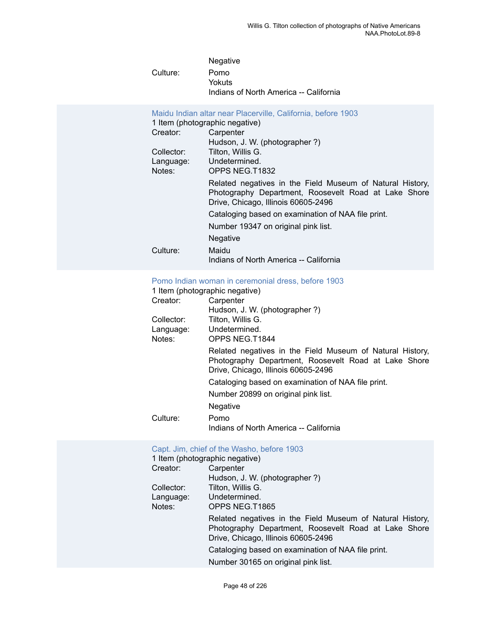|            | <b>Negative</b>                        |
|------------|----------------------------------------|
| Culture: . | Pomo                                   |
|            | Yokuts                                 |
|            | Indians of North America -- California |
|            |                                        |

| Maidu Indian altar near Placerville, California, before 1903<br>1 Item (photographic negative) |                                                                                                                                                          |  |
|------------------------------------------------------------------------------------------------|----------------------------------------------------------------------------------------------------------------------------------------------------------|--|
| Creator:                                                                                       | Carpenter                                                                                                                                                |  |
|                                                                                                | Hudson, J. W. (photographer?)                                                                                                                            |  |
| Collector:                                                                                     | Tilton, Willis G.                                                                                                                                        |  |
| Language:                                                                                      | Undetermined.                                                                                                                                            |  |
| Notes:                                                                                         | OPPS NEG.T1832                                                                                                                                           |  |
|                                                                                                | Related negatives in the Field Museum of Natural History,<br>Photography Department, Roosevelt Road at Lake Shore<br>Drive, Chicago, Illinois 60605-2496 |  |
|                                                                                                | Cataloging based on examination of NAA file print.                                                                                                       |  |
|                                                                                                | Number 19347 on original pink list.                                                                                                                      |  |
|                                                                                                | Negative                                                                                                                                                 |  |
| Culture:                                                                                       | Maidu                                                                                                                                                    |  |
|                                                                                                | Indians of North America -- California                                                                                                                   |  |

## [Pomo Indian woman in ceremonial dress, before 1903](https://ids.si.edu/ids/deliveryService?id=NMNH-T1844-000001)

|            | 1 Item (photographic negative)                                                                                                                           |
|------------|----------------------------------------------------------------------------------------------------------------------------------------------------------|
| Creator:   | Carpenter                                                                                                                                                |
|            | Hudson, J. W. (photographer?)                                                                                                                            |
| Collector: | Tilton, Willis G.                                                                                                                                        |
| Language:  | Undetermined.                                                                                                                                            |
| Notes:     | OPPS NEG.T1844                                                                                                                                           |
|            | Related negatives in the Field Museum of Natural History,<br>Photography Department, Roosevelt Road at Lake Shore<br>Drive, Chicago, Illinois 60605-2496 |
|            | Cataloging based on examination of NAA file print.                                                                                                       |
|            | Number 20899 on original pink list.                                                                                                                      |
|            | <b>Negative</b>                                                                                                                                          |
| Culture:   | Pomo                                                                                                                                                     |
|            | Indians of North America -- California                                                                                                                   |

## Capt. Jim, chief of the [Washo,](https://ids.si.edu/ids/deliveryService?id=NMNH-T1865-000001) before 1903

| 1 Item (photographic negative) |                                                                                                                                                                                                                                                       |  |
|--------------------------------|-------------------------------------------------------------------------------------------------------------------------------------------------------------------------------------------------------------------------------------------------------|--|
| Creator:                       | Carpenter                                                                                                                                                                                                                                             |  |
|                                | Hudson, J. W. (photographer ?)                                                                                                                                                                                                                        |  |
| Collector:                     | Tilton, Willis G.                                                                                                                                                                                                                                     |  |
| Language:                      | Undetermined.                                                                                                                                                                                                                                         |  |
| Notes:                         | OPPS NEG.T1865                                                                                                                                                                                                                                        |  |
|                                | Related negatives in the Field Museum of Natural History,<br>Photography Department, Roosevelt Road at Lake Shore<br>Drive, Chicago, Illinois 60605-2496<br>Cataloging based on examination of NAA file print.<br>Number 30165 on original pink list. |  |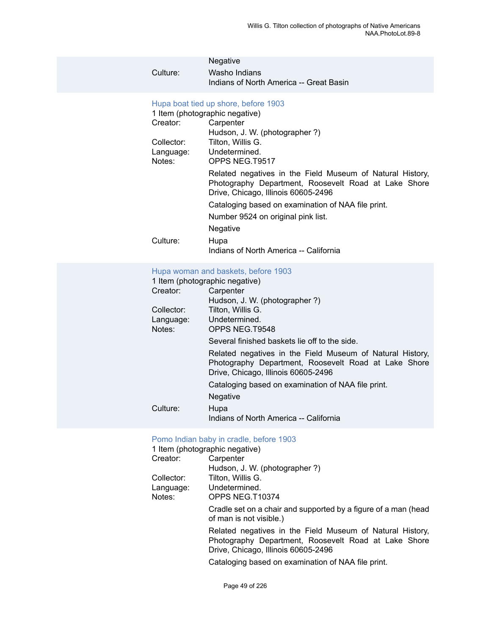| Culture:                                      | Negative<br>Washo Indians<br>Indians of North America -- Great Basin                                                                                                                                                                                                                                                                                                                                                                             |
|-----------------------------------------------|--------------------------------------------------------------------------------------------------------------------------------------------------------------------------------------------------------------------------------------------------------------------------------------------------------------------------------------------------------------------------------------------------------------------------------------------------|
| Creator:<br>Collector:<br>Language:<br>Notes: | Hupa boat tied up shore, before 1903<br>1 Item (photographic negative)<br>Carpenter<br>Hudson, J. W. (photographer?)<br>Tilton, Willis G.<br>Undetermined.<br>OPPS NEG.T9517<br>Related negatives in the Field Museum of Natural History,<br>Photography Department, Roosevelt Road at Lake Shore<br>Drive, Chicago, Illinois 60605-2496<br>Cataloging based on examination of NAA file print.<br>Number 9524 on original pink list.<br>Negative |
| Culture:                                      | Hupa<br>Indians of North America -- California                                                                                                                                                                                                                                                                                                                                                                                                   |
|                                               |                                                                                                                                                                                                                                                                                                                                                                                                                                                  |

## [Hupa woman and baskets, before 1903](https://ids.si.edu/ids/deliveryService?id=NMNH-T9548-000001)

|            | 1 Item (photographic negative)                                                                                                                           |
|------------|----------------------------------------------------------------------------------------------------------------------------------------------------------|
| Creator:   | Carpenter                                                                                                                                                |
|            | Hudson, J. W. (photographer?)                                                                                                                            |
| Collector: | Tilton, Willis G.                                                                                                                                        |
| Language:  | Undetermined.                                                                                                                                            |
| Notes:     | OPPS NEG.T9548                                                                                                                                           |
|            | Several finished baskets lie off to the side.                                                                                                            |
|            | Related negatives in the Field Museum of Natural History,<br>Photography Department, Roosevelt Road at Lake Shore<br>Drive, Chicago, Illinois 60605-2496 |
|            | Cataloging based on examination of NAA file print.                                                                                                       |
|            | Negative                                                                                                                                                 |
| Culture:   | Hupa                                                                                                                                                     |
|            | Indians of North America -- California                                                                                                                   |

## [Pomo Indian baby in cradle, before 1903](https://ids.si.edu/ids/deliveryService?id=NMNH-T10374-000001)

|            | 1 Item (photographic negative)                                                                                                                           |
|------------|----------------------------------------------------------------------------------------------------------------------------------------------------------|
| Creator:   | Carpenter                                                                                                                                                |
|            | Hudson, J. W. (photographer?)                                                                                                                            |
| Collector: | Tilton, Willis G.                                                                                                                                        |
| Language:  | Undetermined.                                                                                                                                            |
| Notes:     | OPPS NEG.T10374                                                                                                                                          |
|            | Cradle set on a chair and supported by a figure of a man (head<br>of man is not visible.)                                                                |
|            | Related negatives in the Field Museum of Natural History,<br>Photography Department, Roosevelt Road at Lake Shore<br>Drive, Chicago, Illinois 60605-2496 |
|            | Cataloging based on examination of NAA file print.                                                                                                       |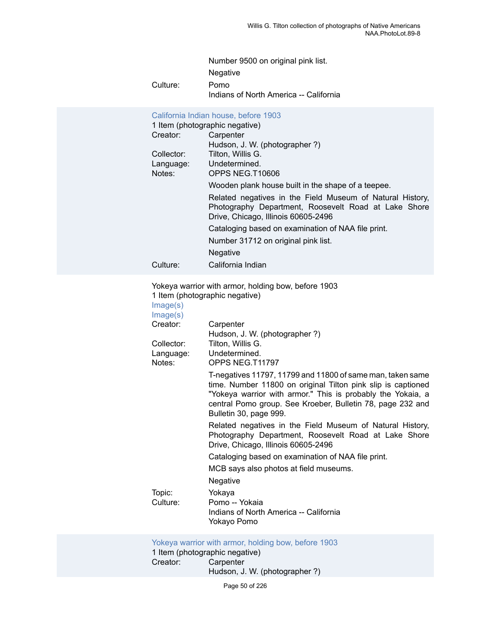Number 9500 on original pink list.

Negative

Culture: Pomo

Indians of North America -- California

|                                | California Indian house, before 1903                                                                                                                     |
|--------------------------------|----------------------------------------------------------------------------------------------------------------------------------------------------------|
| 1 Item (photographic negative) |                                                                                                                                                          |
| Creator:                       | Carpenter                                                                                                                                                |
|                                | Hudson, J. W. (photographer?)                                                                                                                            |
| Collector:                     | Tilton, Willis G.                                                                                                                                        |
| Language:                      | Undetermined.                                                                                                                                            |
| Notes:                         | OPPS NEG.T10606                                                                                                                                          |
|                                | Wooden plank house built in the shape of a teepee.                                                                                                       |
|                                | Related negatives in the Field Museum of Natural History,<br>Photography Department, Roosevelt Road at Lake Shore<br>Drive, Chicago, Illinois 60605-2496 |
|                                | Cataloging based on examination of NAA file print.                                                                                                       |
|                                | Number 31712 on original pink list.                                                                                                                      |
|                                | Negative                                                                                                                                                 |
| Culture:                       | California Indian                                                                                                                                        |
|                                | Yokeya warrior with armor, holding bow, before 1903<br>1 Itam (photographic pogotivo)                                                                    |

1 Item (photographic negative) Ima

| Image(s)<br>Image(s)              |                                                                                                                                                                                                                                                                                   |
|-----------------------------------|-----------------------------------------------------------------------------------------------------------------------------------------------------------------------------------------------------------------------------------------------------------------------------------|
| Creator:                          | Carpenter                                                                                                                                                                                                                                                                         |
| Collector:<br>Language:<br>Notes: | Hudson, J. W. (photographer?)<br>Tilton, Willis G.<br>Undetermined.<br>OPPS NEG.T11797                                                                                                                                                                                            |
|                                   | T-negatives 11797, 11799 and 11800 of same man, taken same<br>time. Number 11800 on original Tilton pink slip is captioned<br>"Yokeya warrior with armor." This is probably the Yokaia, a<br>central Pomo group. See Kroeber, Bulletin 78, page 232 and<br>Bulletin 30, page 999. |
|                                   | Related negatives in the Field Museum of Natural History,<br>Photography Department, Roosevelt Road at Lake Shore<br>Drive, Chicago, Illinois 60605-2496                                                                                                                          |
|                                   | Cataloging based on examination of NAA file print.                                                                                                                                                                                                                                |
|                                   | MCB says also photos at field museums.                                                                                                                                                                                                                                            |
|                                   | Negative                                                                                                                                                                                                                                                                          |
| Topic:<br>Culture:                | Yokaya<br>Pomo -- Yokaia<br>Indians of North America -- California<br>Yokayo Pomo                                                                                                                                                                                                 |

[Yokeya](https://ids.si.edu/ids/deliveryService?id=NMNH-T11799-000001) warrior with armor, holding bow, before 1903

1 Item (photographic negative)<br>Creator: Carpenter Carpenter Hudson, J. W. (photographer ?)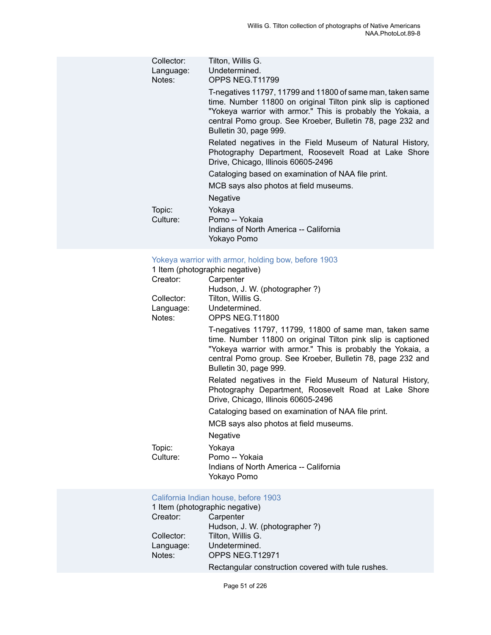| Tilton, Willis G.<br>Undetermined.<br>OPPS NEG.T11799                                                                                                                                                                                                                             |
|-----------------------------------------------------------------------------------------------------------------------------------------------------------------------------------------------------------------------------------------------------------------------------------|
| T-negatives 11797, 11799 and 11800 of same man, taken same<br>time. Number 11800 on original Tilton pink slip is captioned<br>"Yokeya warrior with armor." This is probably the Yokaia, a<br>central Pomo group. See Kroeber, Bulletin 78, page 232 and<br>Bulletin 30, page 999. |
| Related negatives in the Field Museum of Natural History,<br>Photography Department, Roosevelt Road at Lake Shore<br>Drive, Chicago, Illinois 60605-2496                                                                                                                          |
| Cataloging based on examination of NAA file print.                                                                                                                                                                                                                                |
| MCB says also photos at field museums.                                                                                                                                                                                                                                            |
| Negative                                                                                                                                                                                                                                                                          |
| Yokaya<br>Pomo -- Yokaia<br>Indians of North America -- California<br>Yokayo Pomo                                                                                                                                                                                                 |
|                                                                                                                                                                                                                                                                                   |

|                     | Yokeya warrior with armor, holding bow, before 1903<br>1 Item (photographic negative)                                                                                                                                                                                          |
|---------------------|--------------------------------------------------------------------------------------------------------------------------------------------------------------------------------------------------------------------------------------------------------------------------------|
| Creator:            | Carpenter                                                                                                                                                                                                                                                                      |
|                     | Hudson, J. W. (photographer ?)                                                                                                                                                                                                                                                 |
| Collector:          | Tilton, Willis G.                                                                                                                                                                                                                                                              |
| Language:<br>Notes: | Undetermined.<br>OPPS NEG.T11800                                                                                                                                                                                                                                               |
|                     | T-negatives 11797, 11799, 11800 of same man, taken same<br>time. Number 11800 on original Tilton pink slip is captioned<br>"Yokeya warrior with armor." This is probably the Yokaia, a<br>central Pomo group. See Kroeber, Bulletin 78, page 232 and<br>Bulletin 30, page 999. |
|                     | Related negatives in the Field Museum of Natural History,<br>Photography Department, Roosevelt Road at Lake Shore<br>Drive, Chicago, Illinois 60605-2496                                                                                                                       |
|                     | Cataloging based on examination of NAA file print.                                                                                                                                                                                                                             |
|                     | MCB says also photos at field museums.                                                                                                                                                                                                                                         |
|                     | Negative                                                                                                                                                                                                                                                                       |
| Topic:<br>Culture:  | Yokaya<br>Pomo -- Yokaia<br>Indians of North America -- California<br>Yokayo Pomo                                                                                                                                                                                              |

## [California Indian house, before 1903](https://ids.si.edu/ids/deliveryService?id=NMNH-T12971-000001)

|            | 1 Item (photographic negative)                     |
|------------|----------------------------------------------------|
| Creator:   | Carpenter                                          |
|            | Hudson, J. W. (photographer?)                      |
| Collector: | Tilton, Willis G.                                  |
| Language:  | Undetermined.                                      |
| Notes:     | OPPS NEG.T12971                                    |
|            | Rectangular construction covered with tule rushes. |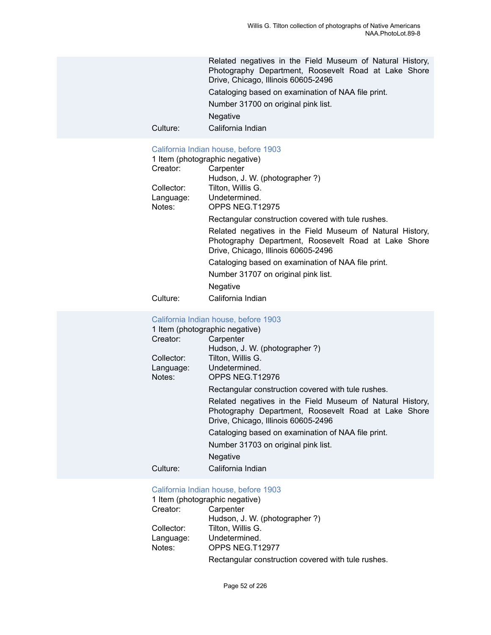Related negatives in the Field Museum of Natural History, Photography Department, Roosevelt Road at Lake Shore Drive, Chicago, Illinois 60605-2496

Cataloging based on examination of NAA file print.

Number 31700 on original pink list.

Negative

Culture: California Indian

#### [California Indian house, before 1903](https://ids.si.edu/ids/deliveryService?id=NMNH-T12975-000001)

|            | 1 Item (photographic negative)                                                                                                                           |
|------------|----------------------------------------------------------------------------------------------------------------------------------------------------------|
| Creator:   | Carpenter                                                                                                                                                |
|            | Hudson, J. W. (photographer?)                                                                                                                            |
| Collector: | Tilton, Willis G.                                                                                                                                        |
| Language:  | Undetermined.                                                                                                                                            |
| Notes:     | OPPS NEG.T12975                                                                                                                                          |
|            | Rectangular construction covered with tule rushes.                                                                                                       |
|            | Related negatives in the Field Museum of Natural History,<br>Photography Department, Roosevelt Road at Lake Shore<br>Drive, Chicago, Illinois 60605-2496 |
|            | Cataloging based on examination of NAA file print.                                                                                                       |
|            | Number 31707 on original pink list.                                                                                                                      |
|            | <b>Negative</b>                                                                                                                                          |
|            |                                                                                                                                                          |

Culture: California Indian

#### [California Indian house, before 1903](https://ids.si.edu/ids/deliveryService?id=NMNH-T12976-000001)

| 1 Item (photographic negative) |                                                                                                                                                          |  |
|--------------------------------|----------------------------------------------------------------------------------------------------------------------------------------------------------|--|
| Creator:                       | Carpenter                                                                                                                                                |  |
|                                | Hudson, J. W. (photographer?)                                                                                                                            |  |
| Collector:                     | Tilton, Willis G.                                                                                                                                        |  |
|                                | Language: Undetermined.                                                                                                                                  |  |
| Notes:                         | OPPS NEG.T12976                                                                                                                                          |  |
|                                | Rectangular construction covered with tule rushes.                                                                                                       |  |
|                                | Related negatives in the Field Museum of Natural History,<br>Photography Department, Roosevelt Road at Lake Shore<br>Drive, Chicago, Illinois 60605-2496 |  |
|                                | Cataloging based on examination of NAA file print.                                                                                                       |  |
|                                | Number 31703 on original pink list.                                                                                                                      |  |
|                                | Negative                                                                                                                                                 |  |
| Culture:                       | California Indian                                                                                                                                        |  |

#### [California Indian house, before 1903](https://ids.si.edu/ids/deliveryService?id=NMNH-T12977-000001)

|            | 1 Item (photographic negative)                     |
|------------|----------------------------------------------------|
| Creator:   | Carpenter                                          |
|            | Hudson, J. W. (photographer?)                      |
| Collector: | Tilton, Willis G.                                  |
| Language:  | Undetermined.                                      |
| Notes:     | OPPS NEG.T12977                                    |
|            | Rectangular construction covered with tule rushes. |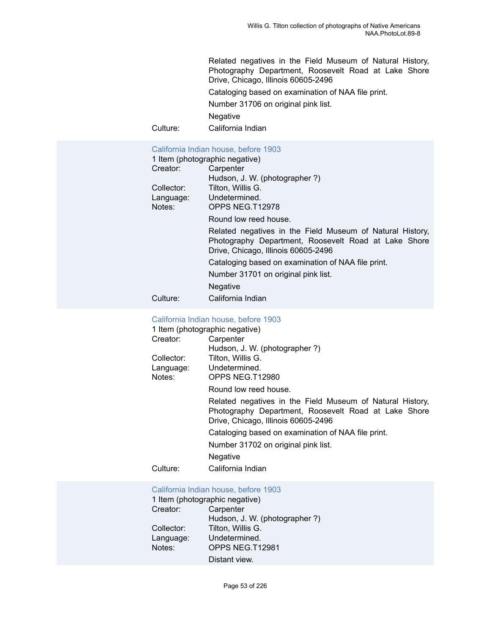Related negatives in the Field Museum of Natural History, Photography Department, Roosevelt Road at Lake Shore Drive, Chicago, Illinois 60605-2496

Cataloging based on examination of NAA file print.

Number 31706 on original pink list.

Negative

Culture: California Indian

#### [California Indian house, before 1903](https://ids.si.edu/ids/deliveryService?id=NMNH-T12978-000001)

| 1 Item (photographic negative) |                                                                                                                                                          |
|--------------------------------|----------------------------------------------------------------------------------------------------------------------------------------------------------|
| Creator:                       | Carpenter                                                                                                                                                |
|                                | Hudson, J. W. (photographer?)                                                                                                                            |
| Collector:                     | Tilton, Willis G.                                                                                                                                        |
| Language:                      | Undetermined.                                                                                                                                            |
| Notes:                         | OPPS NEG.T12978                                                                                                                                          |
|                                | Round low reed house.                                                                                                                                    |
|                                | Related negatives in the Field Museum of Natural History,<br>Photography Department, Roosevelt Road at Lake Shore<br>Drive, Chicago, Illinois 60605-2496 |
|                                | Cataloging based on examination of NAA file print.                                                                                                       |
|                                | Number 31701 on original pink list.                                                                                                                      |
|                                | Negative                                                                                                                                                 |
| Culture:                       | California Indian                                                                                                                                        |

#### [California Indian house, before 1903](https://ids.si.edu/ids/deliveryService?id=NMNH-T12980-000001)

| 1 Item (photographic negative) |                                                                                                                                                          |
|--------------------------------|----------------------------------------------------------------------------------------------------------------------------------------------------------|
| Creator:                       | Carpenter                                                                                                                                                |
|                                | Hudson, J. W. (photographer?)                                                                                                                            |
| Collector:                     | Tilton, Willis G.                                                                                                                                        |
|                                | Language: Undetermined.                                                                                                                                  |
| Notes:                         | OPPS NEG.T12980                                                                                                                                          |
|                                | Round low reed house.                                                                                                                                    |
|                                | Related negatives in the Field Museum of Natural History,<br>Photography Department, Roosevelt Road at Lake Shore<br>Drive, Chicago, Illinois 60605-2496 |
|                                | Cataloging based on examination of NAA file print.                                                                                                       |
|                                | Number 31702 on original pink list.                                                                                                                      |
|                                | <b>Negative</b>                                                                                                                                          |
| Culture:                       | California Indian                                                                                                                                        |

#### [California Indian house, before 1903](https://ids.si.edu/ids/deliveryService?id=NMNH-T12981-000001) 1 Item (photographic negative)

|            | 1 Item (photographic negative) |
|------------|--------------------------------|
| Creator:   | Carpenter                      |
|            | Hudson, J. W. (photographer?)  |
| Collector: | Tilton, Willis G.              |
| Language:  | Undetermined.                  |
| Notes:     | OPPS NEG.T12981                |
|            | Distant view.                  |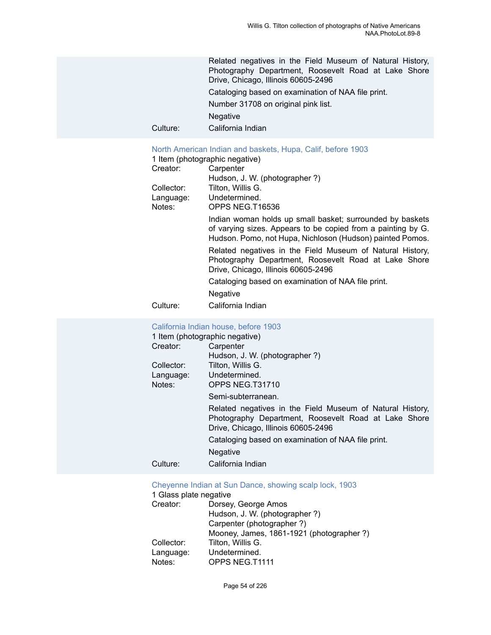Related negatives in the Field Museum of Natural History, Photography Department, Roosevelt Road at Lake Shore Drive, Chicago, Illinois 60605-2496 Cataloging based on examination of NAA file print. Number 31708 on original pink list.

Negative

Culture: California Indian

## [North American Indian and baskets, Hupa, Calif, before 1903](https://ids.si.edu/ids/deliveryService?id=NMNH-T16536-000001)<br>1 Itom (photographic pogative)

|            | 1 Item (photographic negative)                                                                                                                                                         |
|------------|----------------------------------------------------------------------------------------------------------------------------------------------------------------------------------------|
| Creator:   | Carpenter                                                                                                                                                                              |
|            | Hudson, J. W. (photographer?)                                                                                                                                                          |
| Collector: | Tilton, Willis G.                                                                                                                                                                      |
| Language:  | Undetermined.                                                                                                                                                                          |
| Notes:     | OPPS NEG.T16536                                                                                                                                                                        |
|            | Indian woman holds up small basket; surrounded by baskets<br>of varying sizes. Appears to be copied from a painting by G.<br>Hudson. Pomo, not Hupa, Nichloson (Hudson) painted Pomos. |
|            | Related negatives in the Field Museum of Natural History,<br>Photography Department, Roosevelt Road at Lake Shore<br>Drive, Chicago, Illinois 60605-2496                               |
|            | Cataloging based on examination of NAA file print.                                                                                                                                     |
|            | Negative                                                                                                                                                                               |
|            |                                                                                                                                                                                        |

Culture: California Indian

#### [California Indian house, before 1903](https://ids.si.edu/ids/deliveryService?id=NMNH-T31710-000001)

|            | 1 Item (photographic negative)                                                                                                                           |
|------------|----------------------------------------------------------------------------------------------------------------------------------------------------------|
| Creator:   | Carpenter                                                                                                                                                |
|            | Hudson, J. W. (photographer?)                                                                                                                            |
| Collector: | Tilton, Willis G.                                                                                                                                        |
| Language:  | Undetermined.                                                                                                                                            |
| Notes:     | OPPS NEG.T31710                                                                                                                                          |
|            | Semi-subterranean.                                                                                                                                       |
|            | Related negatives in the Field Museum of Natural History,<br>Photography Department, Roosevelt Road at Lake Shore<br>Drive, Chicago, Illinois 60605-2496 |
|            | Cataloging based on examination of NAA file print.                                                                                                       |
|            | <b>Negative</b>                                                                                                                                          |
| Culture:   | California Indian                                                                                                                                        |
|            |                                                                                                                                                          |

[Cheyenne Indian at Sun Dance, showing scalp lock, 1903](https://ids.si.edu/ids/deliveryService?id=NMNH-T1111-000001)

| 1 Glass plate negative |                                          |
|------------------------|------------------------------------------|
| Creator:               | Dorsey, George Amos                      |
|                        | Hudson, J. W. (photographer?)            |
|                        | Carpenter (photographer?)                |
|                        | Mooney, James, 1861-1921 (photographer?) |
| Collector:             | Tilton, Willis G.                        |
| Language:              | Undetermined.                            |
| Notes:                 | OPPS NEG.T1111                           |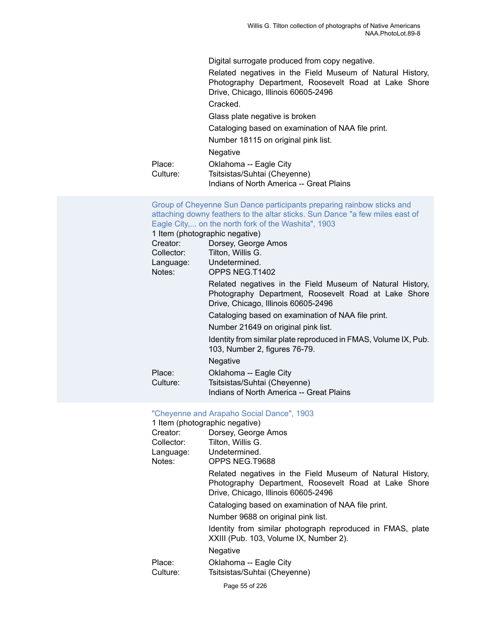Digital surrogate produced from copy negative.

Related negatives in the Field Museum of Natural History, Photography Department, Roosevelt Road at Lake Shore Drive, Chicago, Illinois 60605-2496

Cracked.

Glass plate negative is broken

Cataloging based on examination of NAA file print.

Number 18115 on original pink list.

Negative

| Place:     | Oklahoma -- Eagle City                   |
|------------|------------------------------------------|
| Culture: . | Tsitsistas/Suhtai (Cheyenne)             |
|            | Indians of North America -- Great Plains |

[Group of Cheyenne Sun Dance participants preparing rainbow sticks and](https://ids.si.edu/ids/deliveryService?id=NMNH-T1402-000001) [attaching downy feathers to the altar sticks. Sun Dance "a few miles east of](https://ids.si.edu/ids/deliveryService?id=NMNH-T1402-000001) Eagle City,... on the north fork of the [Washita",](https://ids.si.edu/ids/deliveryService?id=NMNH-T1402-000001) 1903 1 Item (photographic negative) Creator: Dorsey, George Amos Collector: Tilton, Willis G. Language: Undetermined. Notes: OPPS NEG.T1402

> Related negatives in the Field Museum of Natural History, Photography Department, Roosevelt Road at Lake Shore Drive, Chicago, Illinois 60605-2496

Cataloging based on examination of NAA file print.

Number 21649 on original pink list.

Identity from similar plate reproduced in FMAS, Volume IX, Pub. 103, Number 2, figures 76-79.

Negative

| Place:     | Oklahoma -- Eagle City                   |
|------------|------------------------------------------|
| Culture: . | Tsitsistas/Suhtai (Cheyenne)             |
|            | Indians of North America -- Great Plains |

#### ["Cheyenne and Arapaho Social Dance", 1903](https://ids.si.edu/ids/deliveryService?id=NMNH-T9688-000001)

1 Item (photographic negative)

| Creator:           | Dorsey, George Amos                                                                                                                                      |  |
|--------------------|----------------------------------------------------------------------------------------------------------------------------------------------------------|--|
| Collector:         | Tilton, Willis G.                                                                                                                                        |  |
| Language:          | Undetermined.                                                                                                                                            |  |
| Notes:             | OPPS NEG.T9688                                                                                                                                           |  |
|                    | Related negatives in the Field Museum of Natural History,<br>Photography Department, Roosevelt Road at Lake Shore<br>Drive, Chicago, Illinois 60605-2496 |  |
|                    | Cataloging based on examination of NAA file print.                                                                                                       |  |
|                    | Number 9688 on original pink list.                                                                                                                       |  |
|                    | Identity from similar photograph reproduced in FMAS, plate<br>XXIII (Pub. 103, Volume IX, Number 2).                                                     |  |
|                    | Negative                                                                                                                                                 |  |
| Place:<br>Culture: | Oklahoma -- Eagle City<br>Tsitsistas/Suhtai (Cheyenne)                                                                                                   |  |
|                    |                                                                                                                                                          |  |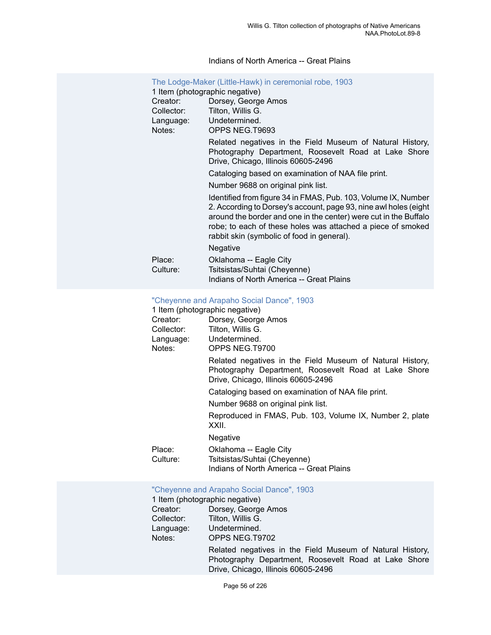#### Indians of North America -- Great Plains

| The Lodge-Maker (Little-Hawk) in ceremonial robe, 1903<br>1 Item (photographic negative) |                                                                                                                                                                                                                                                                                                                     |  |
|------------------------------------------------------------------------------------------|---------------------------------------------------------------------------------------------------------------------------------------------------------------------------------------------------------------------------------------------------------------------------------------------------------------------|--|
| Creator:                                                                                 | Dorsey, George Amos                                                                                                                                                                                                                                                                                                 |  |
| Collector:                                                                               | Tilton, Willis G.                                                                                                                                                                                                                                                                                                   |  |
| Language:<br>Notes:                                                                      | Undetermined.<br>OPPS NEG.T9693                                                                                                                                                                                                                                                                                     |  |
|                                                                                          | Related negatives in the Field Museum of Natural History,<br>Photography Department, Roosevelt Road at Lake Shore<br>Drive, Chicago, Illinois 60605-2496                                                                                                                                                            |  |
|                                                                                          | Cataloging based on examination of NAA file print.                                                                                                                                                                                                                                                                  |  |
|                                                                                          | Number 9688 on original pink list.                                                                                                                                                                                                                                                                                  |  |
|                                                                                          | Identified from figure 34 in FMAS, Pub. 103, Volume IX, Number<br>2. According to Dorsey's account, page 93, nine awl holes (eight<br>around the border and one in the center) were cut in the Buffalo<br>robe; to each of these holes was attached a piece of smoked<br>rabbit skin (symbolic of food in general). |  |
|                                                                                          | Negative                                                                                                                                                                                                                                                                                                            |  |
| Place:<br>Culture:                                                                       | Oklahoma -- Eagle City<br>Tsitsistas/Suhtai (Cheyenne)<br>Indians of North America -- Great Plains                                                                                                                                                                                                                  |  |

# ["Cheyenne and Arapaho Social Dance", 1903](https://ids.si.edu/ids/deliveryService?id=NMNH-T9700-000001)

|                    | 1 Item (photographic negative)                                                                                                                           |  |
|--------------------|----------------------------------------------------------------------------------------------------------------------------------------------------------|--|
| Creator:           | Dorsey, George Amos                                                                                                                                      |  |
| Collector:         | Tilton, Willis G.                                                                                                                                        |  |
|                    | Language: Undetermined.                                                                                                                                  |  |
| Notes:             | OPPS NEG.T9700                                                                                                                                           |  |
|                    | Related negatives in the Field Museum of Natural History,<br>Photography Department, Roosevelt Road at Lake Shore<br>Drive, Chicago, Illinois 60605-2496 |  |
|                    | Cataloging based on examination of NAA file print.                                                                                                       |  |
|                    | Number 9688 on original pink list.                                                                                                                       |  |
|                    | Reproduced in FMAS, Pub. 103, Volume IX, Number 2, plate<br>XXII.                                                                                        |  |
|                    | Negative                                                                                                                                                 |  |
| Place:<br>Culture: | Oklahoma -- Eagle City<br>Tsitsistas/Suhtai (Cheyenne)<br>Indians of North America -- Great Plains                                                       |  |
|                    |                                                                                                                                                          |  |

## ["Cheyenne and Arapaho Social Dance", 1903](https://ids.si.edu/ids/deliveryService?id=NMNH-T9702-000001)

|            | 1 Item (photographic negative)                                                                                                                           |
|------------|----------------------------------------------------------------------------------------------------------------------------------------------------------|
| Creator:   | Dorsey, George Amos                                                                                                                                      |
| Collector: | Tilton, Willis G.                                                                                                                                        |
| Language:  | Undetermined.                                                                                                                                            |
| Notes:     | OPPS NEG.T9702                                                                                                                                           |
|            | Related negatives in the Field Museum of Natural History,<br>Photography Department, Roosevelt Road at Lake Shore<br>Drive, Chicago, Illinois 60605-2496 |
|            |                                                                                                                                                          |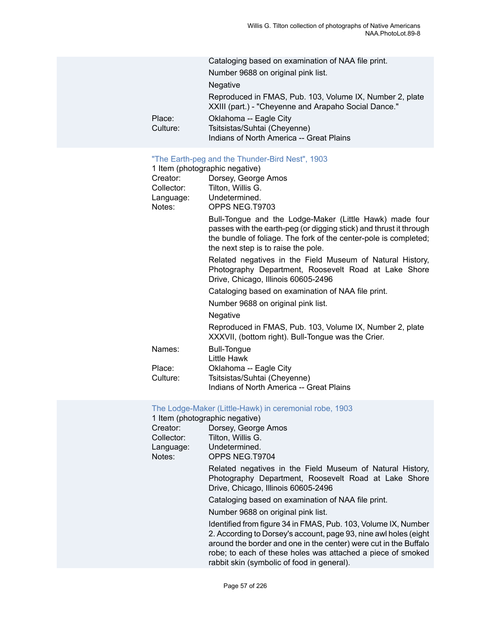|                    | Cataloging based on examination of NAA file print.                                                               |
|--------------------|------------------------------------------------------------------------------------------------------------------|
|                    | Number 9688 on original pink list.                                                                               |
|                    | <b>Negative</b>                                                                                                  |
|                    | Reproduced in FMAS, Pub. 103, Volume IX, Number 2, plate<br>XXIII (part.) - "Cheyenne and Arapaho Social Dance." |
| Place:<br>Culture: | Oklahoma -- Eagle City<br>Tsitsistas/Suhtai (Cheyenne)<br>Indians of North America -- Great Plains               |
|                    |                                                                                                                  |

### ["The Earth-peg and the Thunder-Bird Nest", 1903](https://ids.si.edu/ids/deliveryService?id=NMNH-T9703-000001)

|            | 1 Item (photographic negative)                                                                                                                                                                                                           |  |  |
|------------|------------------------------------------------------------------------------------------------------------------------------------------------------------------------------------------------------------------------------------------|--|--|
| Creator:   | Dorsey, George Amos                                                                                                                                                                                                                      |  |  |
| Collector: | Tilton, Willis G.                                                                                                                                                                                                                        |  |  |
| Language:  | Undetermined.                                                                                                                                                                                                                            |  |  |
| Notes:     | OPPS NEG.T9703                                                                                                                                                                                                                           |  |  |
|            | Bull-Tongue and the Lodge-Maker (Little Hawk) made four<br>passes with the earth-peg (or digging stick) and thrust it through<br>the bundle of foliage. The fork of the center-pole is completed;<br>the next step is to raise the pole. |  |  |
|            | Related negatives in the Field Museum of Natural History,<br>Photography Department, Roosevelt Road at Lake Shore<br>Drive, Chicago, Illinois 60605-2496                                                                                 |  |  |
|            | Cataloging based on examination of NAA file print.                                                                                                                                                                                       |  |  |
|            | Number 9688 on original pink list.                                                                                                                                                                                                       |  |  |
|            | Negative                                                                                                                                                                                                                                 |  |  |
|            | Reproduced in FMAS, Pub. 103, Volume IX, Number 2, plate<br>XXXVII, (bottom right). Bull-Tongue was the Crier.                                                                                                                           |  |  |
| Names:     | <b>Bull-Tongue</b><br>Little Hawk                                                                                                                                                                                                        |  |  |
| Place:     | Oklahoma -- Eagle City                                                                                                                                                                                                                   |  |  |
| Culture:   | Tsitsistas/Suhtai (Cheyenne)                                                                                                                                                                                                             |  |  |
|            | Indians of North America -- Great Plains                                                                                                                                                                                                 |  |  |

#### [The Lodge-Maker \(Little-Hawk\) in ceremonial robe, 1903](https://ids.si.edu/ids/deliveryService?id=NMNH-T9704-000001)

| 1 Item (photographic negative) |                                                                                                                                                                                                                                                                                                                     |  |
|--------------------------------|---------------------------------------------------------------------------------------------------------------------------------------------------------------------------------------------------------------------------------------------------------------------------------------------------------------------|--|
| Creator:                       | Dorsey, George Amos                                                                                                                                                                                                                                                                                                 |  |
| Collector:                     | Tilton, Willis G.                                                                                                                                                                                                                                                                                                   |  |
| Language:                      | Undetermined.                                                                                                                                                                                                                                                                                                       |  |
| Notes:                         | OPPS NEG.T9704                                                                                                                                                                                                                                                                                                      |  |
|                                | Related negatives in the Field Museum of Natural History,<br>Photography Department, Roosevelt Road at Lake Shore<br>Drive, Chicago, Illinois 60605-2496                                                                                                                                                            |  |
|                                | Cataloging based on examination of NAA file print.                                                                                                                                                                                                                                                                  |  |
|                                | Number 9688 on original pink list.                                                                                                                                                                                                                                                                                  |  |
|                                | Identified from figure 34 in FMAS, Pub. 103, Volume IX, Number<br>2. According to Dorsey's account, page 93, nine awl holes (eight<br>around the border and one in the center) were cut in the Buffalo<br>robe; to each of these holes was attached a piece of smoked<br>rabbit skin (symbolic of food in general). |  |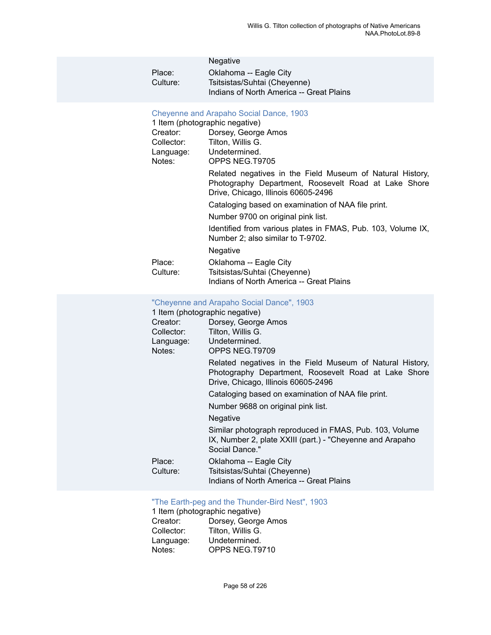|          | <b>Negative</b>                          |
|----------|------------------------------------------|
| Place:   | Oklahoma -- Eagle City                   |
| Culture: | Tsitsistas/Suhtai (Cheyenne)             |
|          | Indians of North America -- Great Plains |

#### [Cheyenne and Arapaho Social Dance, 1903](https://ids.si.edu/ids/deliveryService?id=NMNH-T9705-000001)

| 1 Item (photographic negative) |                                                                                                                                                          |  |
|--------------------------------|----------------------------------------------------------------------------------------------------------------------------------------------------------|--|
| Creator:                       | Dorsey, George Amos                                                                                                                                      |  |
| Collector:                     | Tilton, Willis G.                                                                                                                                        |  |
| Language:                      | Undetermined.                                                                                                                                            |  |
| Notes:                         | OPPS NEG.T9705                                                                                                                                           |  |
|                                | Related negatives in the Field Museum of Natural History,<br>Photography Department, Roosevelt Road at Lake Shore<br>Drive, Chicago, Illinois 60605-2496 |  |
|                                | Cataloging based on examination of NAA file print.                                                                                                       |  |
|                                | Number 9700 on original pink list.                                                                                                                       |  |
|                                | Identified from various plates in FMAS, Pub. 103, Volume IX,<br>Number 2; also similar to T-9702.                                                        |  |
|                                | Negative                                                                                                                                                 |  |
| Place:<br>Culture:             | Oklahoma -- Eagle City<br>Tsitsistas/Suhtai (Cheyenne)<br>Indians of North America -- Great Plains                                                       |  |

## ["Cheyenne and Arapaho Social Dance", 1903](https://ids.si.edu/ids/deliveryService?id=NMNH-T9709-000001)

| 1 Item (photographic negative) |                                                                                                                                                          |  |
|--------------------------------|----------------------------------------------------------------------------------------------------------------------------------------------------------|--|
| Creator:                       | Dorsey, George Amos                                                                                                                                      |  |
| Collector:                     | Tilton, Willis G.                                                                                                                                        |  |
|                                | Language: Undetermined.                                                                                                                                  |  |
| Notes:                         | OPPS NEG.T9709                                                                                                                                           |  |
|                                | Related negatives in the Field Museum of Natural History,<br>Photography Department, Roosevelt Road at Lake Shore<br>Drive, Chicago, Illinois 60605-2496 |  |
|                                | Cataloging based on examination of NAA file print.                                                                                                       |  |
|                                | Number 9688 on original pink list.                                                                                                                       |  |
|                                | <b>Negative</b>                                                                                                                                          |  |
|                                | Similar photograph reproduced in FMAS, Pub. 103, Volume<br>IX, Number 2, plate XXIII (part.) - "Cheyenne and Arapaho<br>Social Dance."                   |  |
| Place:<br>Culture:             | Oklahoma -- Eagle City<br>Tsitsistas/Suhtai (Cheyenne)<br>Indians of North America -- Great Plains                                                       |  |

## ["The Earth-peg and the Thunder-Bird Nest", 1903](https://ids.si.edu/ids/deliveryService?id=NMNH-T9710-000001)

| 1 Item (photographic negative) |                     |  |
|--------------------------------|---------------------|--|
| Creator:                       | Dorsey, George Amos |  |
| Collector:                     | Tilton, Willis G.   |  |
| Language:                      | Undetermined.       |  |
| Notes:                         | OPPS NEG.T9710      |  |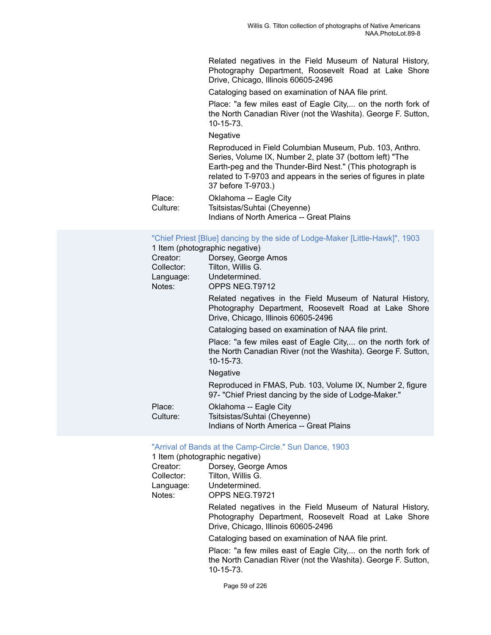Related negatives in the Field Museum of Natural History, Photography Department, Roosevelt Road at Lake Shore Drive, Chicago, Illinois 60605-2496

Cataloging based on examination of NAA file print.

Place: "a few miles east of Eagle City,... on the north fork of the North Canadian River (not the Washita). George F. Sutton, 10-15-73.

#### Negative

Reproduced in Field Columbian Museum, Pub. 103, Anthro. Series, Volume IX, Number 2, plate 37 (bottom left) "The Earth-peg and the Thunder-Bird Nest." (This photograph is related to T-9703 and appears in the series of figures in plate 37 before T-9703.)

Place: Oklahoma -- Eagle City Culture: Tsitsistas/Suhtai (Cheyenne) Indians of North America -- Great Plains

#### ["Chief Priest \[Blue\] dancing by the side of Lodge-Maker \[Little-Hawk\]", 1903](https://ids.si.edu/ids/deliveryService?id=NMNH-T9712-000001)

|                    | 1 Item (photographic negative)                                                                                                                           |
|--------------------|----------------------------------------------------------------------------------------------------------------------------------------------------------|
| Creator:           | Dorsey, George Amos                                                                                                                                      |
| Collector:         | Tilton, Willis G.                                                                                                                                        |
| Language:          | Undetermined.                                                                                                                                            |
| Notes:             | OPPS NEG.T9712                                                                                                                                           |
|                    | Related negatives in the Field Museum of Natural History,<br>Photography Department, Roosevelt Road at Lake Shore<br>Drive, Chicago, Illinois 60605-2496 |
|                    | Cataloging based on examination of NAA file print.                                                                                                       |
|                    | Place: "a few miles east of Eagle City, on the north fork of<br>the North Canadian River (not the Washita). George F. Sutton,<br>$10 - 15 - 73$ .        |
|                    | <b>Negative</b>                                                                                                                                          |
|                    | Reproduced in FMAS, Pub. 103, Volume IX, Number 2, figure<br>97- "Chief Priest dancing by the side of Lodge-Maker."                                      |
| Place:<br>Culture: | Oklahoma -- Eagle City<br>Tsitsistas/Suhtai (Cheyenne)<br>Indians of North America -- Great Plains                                                       |

#### ["Arrival of Bands at the Camp-Circle." Sun Dance, 1903](https://ids.si.edu/ids/deliveryService?id=NMNH-T9721-000001)

|            | 1 Item (photographic negative)                                                                                                                           |
|------------|----------------------------------------------------------------------------------------------------------------------------------------------------------|
| Creator:   | Dorsey, George Amos                                                                                                                                      |
| Collector: | Tilton, Willis G.                                                                                                                                        |
| Language:  | Undetermined.                                                                                                                                            |
| Notes:     | OPPS NEG.T9721                                                                                                                                           |
|            | Related negatives in the Field Museum of Natural History,<br>Photography Department, Roosevelt Road at Lake Shore<br>Drive, Chicago, Illinois 60605-2496 |
|            | Cataloging based on examination of NAA file print.                                                                                                       |
|            | Place: "a few miles east of Eagle City, on the north fork of<br>the North Canadian River (not the Washita). George F. Sutton,<br>10-15-73.               |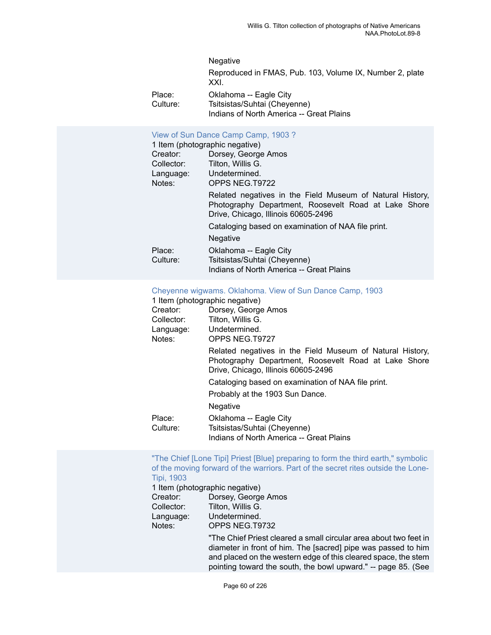## Negative Reproduced in FMAS, Pub. 103, Volume IX, Number 2, plate XXI. Place: Oklahoma -- Eagle City

Culture: Tsitsistas/Suhtai (Cheyenne) Indians of North America -- Great Plains

#### View of Sun Dance Camp [Camp,](https://ids.si.edu/ids/deliveryService?id=NMNH-T9722-000001) 1903 ?

|            | 1 Item (photographic negative)                                                                                                                           |
|------------|----------------------------------------------------------------------------------------------------------------------------------------------------------|
| Creator:   | Dorsey, George Amos                                                                                                                                      |
| Collector: | Tilton, Willis G.                                                                                                                                        |
| Language:  | Undetermined.                                                                                                                                            |
| Notes:     | OPPS NEG.T9722                                                                                                                                           |
|            | Related negatives in the Field Museum of Natural History,<br>Photography Department, Roosevelt Road at Lake Shore<br>Drive, Chicago, Illinois 60605-2496 |
|            | Cataloging based on examination of NAA file print.                                                                                                       |
|            | <b>Negative</b>                                                                                                                                          |
| Place:     | Oklahoma -- Eagle City                                                                                                                                   |
| Culture:   | Tsitsistas/Suhtai (Cheyenne)                                                                                                                             |
|            | Indians of North America -- Great Plains                                                                                                                 |

#### Cheyenne wigwams. [Oklahoma.](https://ids.si.edu/ids/deliveryService?id=NMNH-T9727-000001) View of Sun Dance Camp, 1903

| 1 Item (photographic negative) |                                                                                                                                                          |
|--------------------------------|----------------------------------------------------------------------------------------------------------------------------------------------------------|
| Creator:                       | Dorsey, George Amos                                                                                                                                      |
| Collector:                     | Tilton, Willis G.                                                                                                                                        |
|                                | Language: Undetermined.                                                                                                                                  |
| Notes:                         | OPPS NEG.T9727                                                                                                                                           |
|                                | Related negatives in the Field Museum of Natural History,<br>Photography Department, Roosevelt Road at Lake Shore<br>Drive, Chicago, Illinois 60605-2496 |
|                                | Cataloging based on examination of NAA file print.                                                                                                       |
|                                | Probably at the 1903 Sun Dance.                                                                                                                          |
|                                | <b>Negative</b>                                                                                                                                          |
| Place:<br>Culture:             | Oklahoma -- Eagle City<br>Tsitsistas/Suhtai (Cheyenne)<br>Indians of North America -- Great Plains                                                       |
|                                |                                                                                                                                                          |

#### "The Chief [Lone Tipi] Priest [Blue] [preparing](https://ids.si.edu/ids/deliveryService?id=NMNH-T9732-000001) to form the third earth," symbolic [of the moving forward of the warriors. Part of the secret rites outside the Lone-](https://ids.si.edu/ids/deliveryService?id=NMNH-T9732-000001)Tipi, [1903](https://ids.si.edu/ids/deliveryService?id=NMNH-T9732-000001)

pointing toward the south, the bowl upward." -- page 85. (See

1 Item (photographic negative) Creator: Dorsey, George Amos Collector: Tilton, Willis G. Language: Undetermined. Notes: OPPS NEG.T9732 "The Chief Priest cleared a small circular area about two feet in diameter in front of him. The [sacred] pipe was passed to him and placed on the western edge of this cleared space, the stem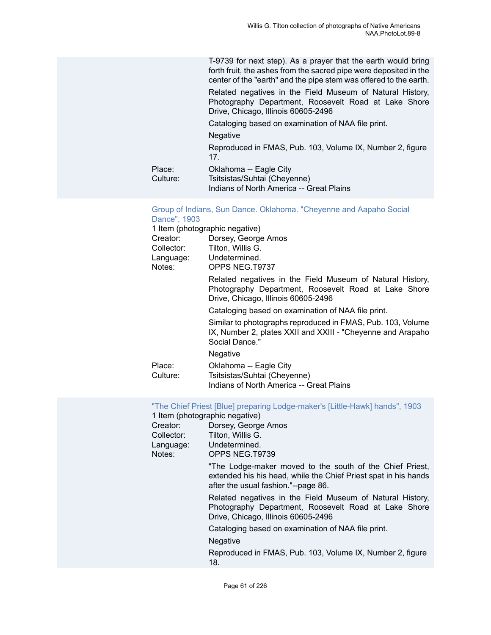T-9739 for next step). As a prayer that the earth would bring forth fruit, the ashes from the sacred pipe were deposited in the center of the "earth" and the pipe stem was offered to the earth.

Related negatives in the Field Museum of Natural History, Photography Department, Roosevelt Road at Lake Shore Drive, Chicago, Illinois 60605-2496

Cataloging based on examination of NAA file print.

Negative

Reproduced in FMAS, Pub. 103, Volume IX, Number 2, figure 17.

| Place:     | Oklahoma -- Eagle City                   |
|------------|------------------------------------------|
| Culture: . | Tsitsistas/Suhtai (Cheyenne)             |
|            | Indians of North America -- Great Plains |

#### [Group of Indians, Sun Dance. Oklahoma. "Cheyenne and Aapaho Social](https://ids.si.edu/ids/deliveryService?id=NMNH-T9737-000001) [Dance", 1903](https://ids.si.edu/ids/deliveryService?id=NMNH-T9737-000001)

|                    | 1 Item (photographic negative)                                                                                                                           |
|--------------------|----------------------------------------------------------------------------------------------------------------------------------------------------------|
| Creator:           | Dorsey, George Amos                                                                                                                                      |
| Collector:         | Tilton, Willis G.                                                                                                                                        |
| Language:          | Undetermined.                                                                                                                                            |
| Notes:             | OPPS NEG.T9737                                                                                                                                           |
|                    | Related negatives in the Field Museum of Natural History,<br>Photography Department, Roosevelt Road at Lake Shore<br>Drive, Chicago, Illinois 60605-2496 |
|                    | Cataloging based on examination of NAA file print.                                                                                                       |
|                    | Similar to photographs reproduced in FMAS, Pub. 103, Volume<br>IX, Number 2, plates XXII and XXIII - "Cheyenne and Arapaho"<br>Social Dance."            |
|                    | <b>Negative</b>                                                                                                                                          |
| Place:<br>Culture: | Oklahoma -- Eagle City<br>Tsitsistas/Suhtai (Cheyenne)                                                                                                   |
|                    | Indians of North America -- Great Plains                                                                                                                 |

["The Chief Priest \[Blue\] preparing Lodge-maker's \[Little-Hawk\] hands", 1903](https://ids.si.edu/ids/deliveryService?id=NMNH-T9739-000001)

| 1 Item (photographic negative) |                                                                                                                                                                    |
|--------------------------------|--------------------------------------------------------------------------------------------------------------------------------------------------------------------|
| Creator:                       | Dorsey, George Amos                                                                                                                                                |
| Collector:                     | Tilton, Willis G.                                                                                                                                                  |
| Language:                      | Undetermined.                                                                                                                                                      |
| Notes:                         | OPPS NEG.T9739                                                                                                                                                     |
|                                | "The Lodge-maker moved to the south of the Chief Priest,<br>extended his his head, while the Chief Priest spat in his hands<br>after the usual fashion."--page 86. |
|                                | Related negatives in the Field Museum of Natural History,<br>Photography Department, Roosevelt Road at Lake Shore<br>Drive, Chicago, Illinois 60605-2496           |
|                                | Cataloging based on examination of NAA file print.                                                                                                                 |
|                                | Negative                                                                                                                                                           |
|                                | Reproduced in FMAS, Pub. 103, Volume IX, Number 2, figure<br>18.                                                                                                   |
|                                |                                                                                                                                                                    |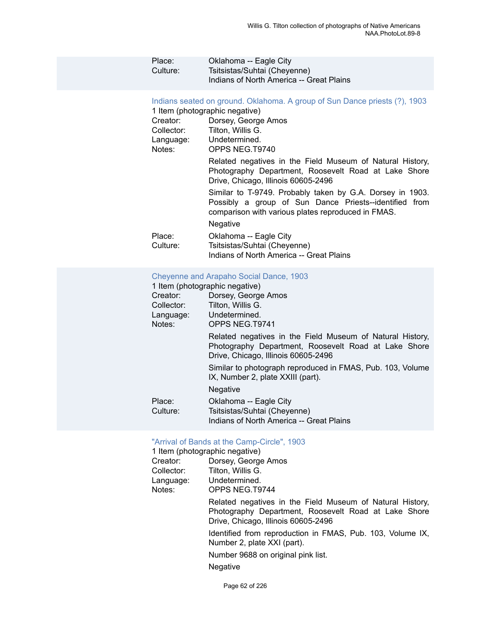| Place:<br>Culture: | Oklahoma -- Eagle City<br>Tsitsistas/Suhtai (Cheyenne)<br>Indians of North America -- Great Plains                                  |
|--------------------|-------------------------------------------------------------------------------------------------------------------------------------|
| Creator:           | Indians seated on ground. Oklahoma. A group of Sun Dance priests (?), 1903<br>1 Item (photographic negative)<br>Dorsey, George Amos |

| Greator.<br>Collector:<br>Language:<br>Notes: | DOISEY, GEORGE AIROS<br>Tilton, Willis G.<br>Undetermined.<br>OPPS NEG.T9740                                                                                              |
|-----------------------------------------------|---------------------------------------------------------------------------------------------------------------------------------------------------------------------------|
|                                               | Related negatives in the Field Museum of Natural History,<br>Photography Department, Roosevelt Road at Lake Shore<br>Drive, Chicago, Illinois 60605-2496                  |
|                                               | Similar to T-9749. Probably taken by G.A. Dorsey in 1903.<br>Possibly a group of Sun Dance Priests--identified from<br>comparison with various plates reproduced in FMAS. |
|                                               | <b>Negative</b>                                                                                                                                                           |
| Place:<br>Culture:                            | Oklahoma -- Eagle City<br>Tsitsistas/Suhtai (Cheyenne)<br>Indians of North America -- Great Plains                                                                        |

#### [Cheyenne and Arapaho Social Dance, 1903](https://ids.si.edu/ids/deliveryService?id=NMNH-T9741-000001)

|            | 1 Item (photographic negative)                                                                                                                           |
|------------|----------------------------------------------------------------------------------------------------------------------------------------------------------|
| Creator:   | Dorsey, George Amos                                                                                                                                      |
| Collector: | Tilton, Willis G.                                                                                                                                        |
| Language:  | Undetermined.                                                                                                                                            |
| Notes:     | OPPS NEG.T9741                                                                                                                                           |
|            | Related negatives in the Field Museum of Natural History,<br>Photography Department, Roosevelt Road at Lake Shore<br>Drive, Chicago, Illinois 60605-2496 |
|            | Similar to photograph reproduced in FMAS, Pub. 103, Volume<br>IX, Number 2, plate XXIII (part).                                                          |
|            | <b>Negative</b>                                                                                                                                          |
| Place:     | Oklahoma -- Eagle City                                                                                                                                   |
| Culture:   | Tsitsistas/Suhtai (Cheyenne)                                                                                                                             |
|            | Indians of North America -- Great Plains                                                                                                                 |

## ["Arrival of Bands at the Camp-Circle", 1903](https://ids.si.edu/ids/deliveryService?id=NMNH-T9744-000001)<br>1 Item (photographic negative)

|            | 1 Item (photographic negative)                                                                                                                           |
|------------|----------------------------------------------------------------------------------------------------------------------------------------------------------|
| Creator:   | Dorsey, George Amos                                                                                                                                      |
| Collector: | Tilton, Willis G.                                                                                                                                        |
| Language:  | Undetermined.                                                                                                                                            |
| Notes:     | OPPS NEG.T9744                                                                                                                                           |
|            | Related negatives in the Field Museum of Natural History,<br>Photography Department, Roosevelt Road at Lake Shore<br>Drive, Chicago, Illinois 60605-2496 |
|            | Identified from reproduction in FMAS, Pub. 103, Volume IX,<br>Number 2, plate XXI (part).                                                                |
|            | Number 9688 on original pink list.                                                                                                                       |
|            | <b>Negative</b>                                                                                                                                          |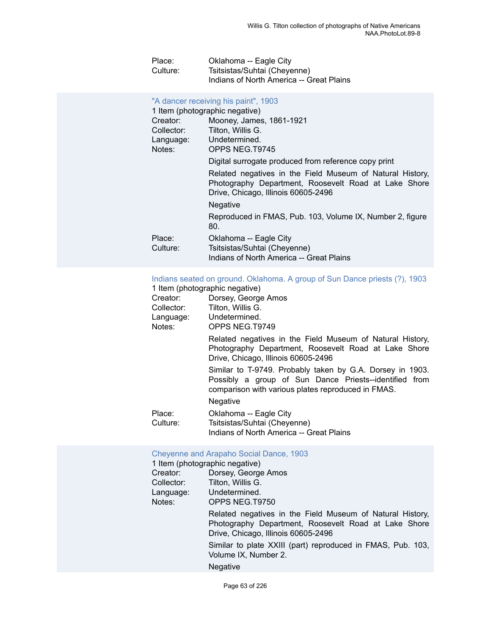| Place:   | Oklahoma -- Eagle City                   |
|----------|------------------------------------------|
| Culture: | Tsitsistas/Suhtai (Cheyenne)             |
|          | Indians of North America -- Great Plains |

## ["A dancer receiving his paint", 1903](https://ids.si.edu/ids/deliveryService?id=NMNH-T9745-000001)

| 1 Item (photographic negative)                                                                                                                           |  |
|----------------------------------------------------------------------------------------------------------------------------------------------------------|--|
| Mooney, James, 1861-1921                                                                                                                                 |  |
| Tilton, Willis G.                                                                                                                                        |  |
| Undetermined.                                                                                                                                            |  |
| OPPS NEG.T9745                                                                                                                                           |  |
| Digital surrogate produced from reference copy print                                                                                                     |  |
| Related negatives in the Field Museum of Natural History,<br>Photography Department, Roosevelt Road at Lake Shore<br>Drive, Chicago, Illinois 60605-2496 |  |
| <b>Negative</b>                                                                                                                                          |  |
| Reproduced in FMAS, Pub. 103, Volume IX, Number 2, figure<br>80.                                                                                         |  |
| Oklahoma -- Eagle City<br>Tsitsistas/Suhtai (Cheyenne)<br>Indians of North America -- Great Plains                                                       |  |
|                                                                                                                                                          |  |

## [Indians seated on ground. Oklahoma. A group of Sun Dance priests \(?\), 1903](https://ids.si.edu/ids/deliveryService?id=NMNH-T9749-000001)

|            | 1 Item (photographic negative)                                                                                                                                                               |
|------------|----------------------------------------------------------------------------------------------------------------------------------------------------------------------------------------------|
| Creator:   | Dorsey, George Amos                                                                                                                                                                          |
| Collector: | Tilton, Willis G.                                                                                                                                                                            |
| Language:  | Undetermined.                                                                                                                                                                                |
| Notes:     | OPPS NEG.T9749                                                                                                                                                                               |
|            | Related negatives in the Field Museum of Natural History,<br>Photography Department, Roosevelt Road at Lake Shore<br>Drive, Chicago, Illinois 60605-2496                                     |
|            | Similar to T-9749. Probably taken by G.A. Dorsey in 1903.<br>Possibly a group of Sun Dance Priests--identified from<br>comparison with various plates reproduced in FMAS.<br><b>Negative</b> |
|            |                                                                                                                                                                                              |
| Place:     | Oklahoma -- Eagle City                                                                                                                                                                       |
| Culture:   | Tsitsistas/Suhtai (Cheyenne)                                                                                                                                                                 |
|            | Indians of North America -- Great Plains                                                                                                                                                     |

## [Cheyenne and Arapaho Social Dance, 1903](https://ids.si.edu/ids/deliveryService?id=NMNH-T9750-000001)

|            | 1 Item (photographic negative)                                                                                                                           |
|------------|----------------------------------------------------------------------------------------------------------------------------------------------------------|
| Creator:   | Dorsey, George Amos                                                                                                                                      |
| Collector: | Tilton, Willis G.                                                                                                                                        |
| Language:  | Undetermined.                                                                                                                                            |
| Notes:     | OPPS NEG.T9750                                                                                                                                           |
|            | Related negatives in the Field Museum of Natural History,<br>Photography Department, Roosevelt Road at Lake Shore<br>Drive, Chicago, Illinois 60605-2496 |
|            | Similar to plate XXIII (part) reproduced in FMAS, Pub. 103,<br>Volume IX, Number 2.                                                                      |
|            | <b>Negative</b>                                                                                                                                          |
|            |                                                                                                                                                          |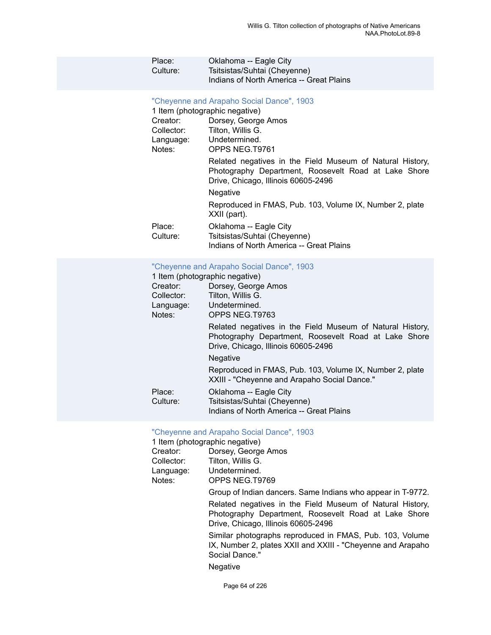| Place:<br>Culture:                                                                                              | Oklahoma -- Eagle City<br>Tsitsistas/Suhtai (Cheyenne)<br>Indians of North America -- Great Plains                                                                                                                                                         |
|-----------------------------------------------------------------------------------------------------------------|------------------------------------------------------------------------------------------------------------------------------------------------------------------------------------------------------------------------------------------------------------|
| 1 Item (photographic negative)<br>Creator:<br>Collector: Tilton, Willis G.<br>Language: Undetermined.<br>Notes: | "Cheyenne and Arapaho Social Dance", 1903<br>Dorsey, George Amos<br>OPPS NEG.T9761<br>Related negatives in the Field Museum of Natural History,<br>Photography Department, Roosevelt Road at Lake Shore<br>Drive, Chicago, Illinois 60605-2496<br>Negative |
| Place:<br>Culture:                                                                                              | Reproduced in FMAS, Pub. 103, Volume IX, Number 2, plate<br>XXII (part).<br>Oklahoma -- Eagle City<br>Tsitsistas/Suhtai (Cheyenne)<br>Indians of North America -- Great Plains                                                                             |
| 1 Item (photographic negative)<br>Creator:<br>Collector:                                                        | "Cheyenne and Arapaho Social Dance", 1903<br>Dorsey, George Amos<br>Tilton, Willis G.                                                                                                                                                                      |

| Collector:<br>Language:<br>Notes: | Tilton, Willis G.<br>Undetermined.<br>OPPS NEG.T9763                                                                                                     |
|-----------------------------------|----------------------------------------------------------------------------------------------------------------------------------------------------------|
|                                   | Related negatives in the Field Museum of Natural History,<br>Photography Department, Roosevelt Road at Lake Shore<br>Drive, Chicago, Illinois 60605-2496 |
|                                   | Negative                                                                                                                                                 |
|                                   | Reproduced in FMAS, Pub. 103, Volume IX, Number 2, plate<br>XXIII - "Cheyenne and Arapaho Social Dance."                                                 |
| Place:<br>Culture:                | Oklahoma -- Eagle City<br>Tsitsistas/Suhtai (Cheyenne)<br>Indians of North America -- Great Plains                                                       |

| "Cheyenne and Arapaho Social Dance", 1903<br>1 Item (photographic negative) |                                                                                                                                                          |  |
|-----------------------------------------------------------------------------|----------------------------------------------------------------------------------------------------------------------------------------------------------|--|
| Creator:                                                                    | Dorsey, George Amos                                                                                                                                      |  |
| Collector:                                                                  | Tilton, Willis G.                                                                                                                                        |  |
| Language:<br>Notes:                                                         | Undetermined.<br>OPPS NEG.T9769                                                                                                                          |  |
|                                                                             | Group of Indian dancers. Same Indians who appear in T-9772.                                                                                              |  |
|                                                                             | Related negatives in the Field Museum of Natural History,<br>Photography Department, Roosevelt Road at Lake Shore<br>Drive, Chicago, Illinois 60605-2496 |  |
|                                                                             | Similar photographs reproduced in FMAS, Pub. 103, Volume<br>IX, Number 2, plates XXII and XXIII - "Cheyenne and Arapaho"<br>Social Dance."               |  |
|                                                                             | Negative                                                                                                                                                 |  |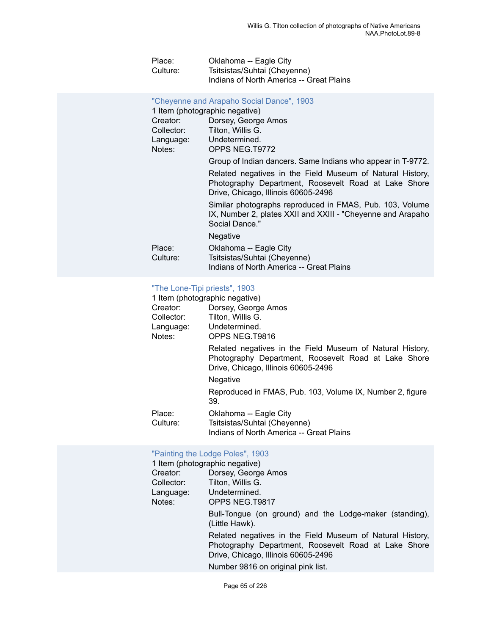| Place:   | Oklahoma -- Eagle City                   |
|----------|------------------------------------------|
| Culture: | Tsitsistas/Suhtai (Cheyenne)             |
|          | Indians of North America -- Great Plains |

#### ["Cheyenne and Arapaho Social Dance", 1903](https://ids.si.edu/ids/deliveryService?id=NMNH-T9772-000001)

| Dorsey, George Amos |
|---------------------|
| Tilton, Willis G.   |
| Undetermined.       |
| OPPS NEG.T9772      |
|                     |

Group of Indian dancers. Same Indians who appear in T-9772.

Related negatives in the Field Museum of Natural History, Photography Department, Roosevelt Road at Lake Shore Drive, Chicago, Illinois 60605-2496

Similar photographs reproduced in FMAS, Pub. 103, Volume IX, Number 2, plates XXII and XXIII - "Cheyenne and Arapaho Social Dance."

Negative

| Place:   | Oklahoma -- Eagle City                   |
|----------|------------------------------------------|
| Culture: | Tsitsistas/Suhtai (Cheyenne)             |
|          | Indians of North America -- Great Plains |

#### "The [Lone-Tipi](https://ids.si.edu/ids/deliveryService?id=NMNH-T9816-000001) priests", 1903

|                    | 1 Item (photographic negative)                                                                                                                           |
|--------------------|----------------------------------------------------------------------------------------------------------------------------------------------------------|
| Creator:           | Dorsey, George Amos                                                                                                                                      |
| Collector:         | Tilton, Willis G.                                                                                                                                        |
| Language:          | Undetermined.                                                                                                                                            |
| Notes:             | OPPS NEG.T9816                                                                                                                                           |
|                    | Related negatives in the Field Museum of Natural History,<br>Photography Department, Roosevelt Road at Lake Shore<br>Drive, Chicago, Illinois 60605-2496 |
|                    | <b>Negative</b>                                                                                                                                          |
|                    | Reproduced in FMAS, Pub. 103, Volume IX, Number 2, figure<br>39.                                                                                         |
| Place:<br>Culture: | Oklahoma -- Eagle City<br>Tsitsistas/Suhtai (Cheyenne)<br>Indians of North America -- Great Plains                                                       |

#### ["Painting the Lodge Poles", 1903](https://ids.si.edu/ids/deliveryService?id=NMNH-T9817-000001)

|            | 1 Item (photographic negative)                                                                                                                           |
|------------|----------------------------------------------------------------------------------------------------------------------------------------------------------|
| Creator:   | Dorsey, George Amos                                                                                                                                      |
| Collector: | Tilton, Willis G.                                                                                                                                        |
| Language:  | Undetermined.                                                                                                                                            |
| Notes:     | OPPS NEG.T9817                                                                                                                                           |
|            | Bull-Tongue (on ground) and the Lodge-maker (standing),<br>(Little Hawk).                                                                                |
|            | Related negatives in the Field Museum of Natural History,<br>Photography Department, Roosevelt Road at Lake Shore<br>Drive, Chicago, Illinois 60605-2496 |
|            | Number 9816 on original pink list.                                                                                                                       |
|            |                                                                                                                                                          |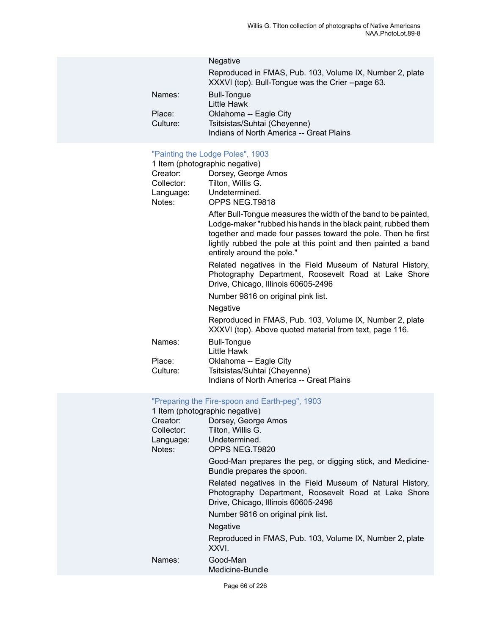| <b>Negative</b>                                                                                               |
|---------------------------------------------------------------------------------------------------------------|
| Reproduced in FMAS, Pub. 103, Volume IX, Number 2, plate<br>XXXVI (top). Bull-Tongue was the Crier --page 63. |
| <b>Bull-Tongue</b><br>Little Hawk                                                                             |
| Oklahoma -- Eagle City                                                                                        |
| Tsitsistas/Suhtai (Cheyenne)<br>Indians of North America -- Great Plains                                      |
|                                                                                                               |

## ["Painting the Lodge Poles", 1903](https://ids.si.edu/ids/deliveryService?id=NMNH-T9818-000001)

|            | <b>COLLUITY LIC LOUGE LOUGE</b> , 1909                                                                                                                                                                                                                                                          |
|------------|-------------------------------------------------------------------------------------------------------------------------------------------------------------------------------------------------------------------------------------------------------------------------------------------------|
|            | 1 Item (photographic negative)                                                                                                                                                                                                                                                                  |
| Creator:   | Dorsey, George Amos                                                                                                                                                                                                                                                                             |
| Collector: | Tilton, Willis G.                                                                                                                                                                                                                                                                               |
| Language:  | Undetermined.                                                                                                                                                                                                                                                                                   |
| Notes:     | OPPS NEG.T9818                                                                                                                                                                                                                                                                                  |
|            | After Bull-Tongue measures the width of the band to be painted,<br>Lodge-maker "rubbed his hands in the black paint, rubbed them<br>together and made four passes toward the pole. Then he first<br>lightly rubbed the pole at this point and then painted a band<br>entirely around the pole." |
|            | Related negatives in the Field Museum of Natural History,<br>Photography Department, Roosevelt Road at Lake Shore<br>Drive, Chicago, Illinois 60605-2496                                                                                                                                        |
|            | Number 9816 on original pink list.                                                                                                                                                                                                                                                              |
|            | Negative                                                                                                                                                                                                                                                                                        |
|            | Reproduced in FMAS, Pub. 103, Volume IX, Number 2, plate<br>XXXVI (top). Above quoted material from text, page 116.                                                                                                                                                                             |
| Names:     | <b>Bull-Tongue</b><br>Little Hawk                                                                                                                                                                                                                                                               |
| Place:     | Oklahoma -- Eagle City                                                                                                                                                                                                                                                                          |
| Culture:   | Tsitsistas/Suhtai (Cheyenne)                                                                                                                                                                                                                                                                    |
|            | Indians of North America -- Great Plains                                                                                                                                                                                                                                                        |

## ["Preparing the Fire-spoon and Earth-peg", 1903](https://ids.si.edu/ids/deliveryService?id=NMNH-T9820-000001)

|            | 1 Item (photographic negative)                                                                                                                           |
|------------|----------------------------------------------------------------------------------------------------------------------------------------------------------|
| Creator:   | Dorsey, George Amos                                                                                                                                      |
| Collector: | Tilton, Willis G.                                                                                                                                        |
| Language:  | Undetermined.                                                                                                                                            |
| Notes:     | OPPS NEG.T9820                                                                                                                                           |
|            | Good-Man prepares the peg, or digging stick, and Medicine-<br>Bundle prepares the spoon.                                                                 |
|            | Related negatives in the Field Museum of Natural History,<br>Photography Department, Roosevelt Road at Lake Shore<br>Drive, Chicago, Illinois 60605-2496 |
|            | Number 9816 on original pink list.                                                                                                                       |
|            | Negative                                                                                                                                                 |
|            | Reproduced in FMAS, Pub. 103, Volume IX, Number 2, plate<br>XXVI.                                                                                        |
| Names:     | Good-Man                                                                                                                                                 |
|            | Medicine-Bundle                                                                                                                                          |
|            |                                                                                                                                                          |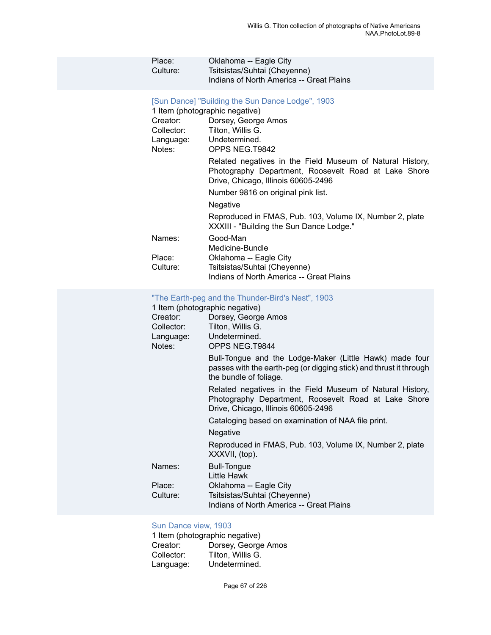| Place:<br>Culture:                            | Oklahoma -- Eagle City<br>Tsitsistas/Suhtai (Cheyenne)<br>Indians of North America -- Great Plains                                                                                                                                                                                                                                                                                                                                                                                      |
|-----------------------------------------------|-----------------------------------------------------------------------------------------------------------------------------------------------------------------------------------------------------------------------------------------------------------------------------------------------------------------------------------------------------------------------------------------------------------------------------------------------------------------------------------------|
| Creator:<br>Collector:<br>Language:<br>Notes: | [Sun Dance] "Building the Sun Dance Lodge", 1903<br>1 Item (photographic negative)<br>Dorsey, George Amos<br>Tilton, Willis G.<br>Undetermined.<br>OPPS NEG.T9842<br>Related negatives in the Field Museum of Natural History,<br>Photography Department, Roosevelt Road at Lake Shore<br>Drive, Chicago, Illinois 60605-2496<br>Number 9816 on original pink list.<br>Negative<br>Reproduced in FMAS, Pub. 103, Volume IX, Number 2, plate<br>XXXIII - "Building the Sun Dance Lodge." |
| Names:                                        | Good-Man<br>Medicine-Bundle                                                                                                                                                                                                                                                                                                                                                                                                                                                             |
| Place:<br>Culture:                            | Oklahoma -- Eagle City<br>Tsitsistas/Suhtai (Cheyenne)<br>Indians of North America -- Great Plains                                                                                                                                                                                                                                                                                                                                                                                      |
|                                               | "The Earth neg and the Thunder Rird's Nest" 1903                                                                                                                                                                                                                                                                                                                                                                                                                                        |

#### The Earth-peg and the Thunder-Bird's Nest", 1903

|            | 1 Item (photographic negative)                                                                                                                           |
|------------|----------------------------------------------------------------------------------------------------------------------------------------------------------|
| Creator:   | Dorsey, George Amos                                                                                                                                      |
| Collector: | Tilton, Willis G.                                                                                                                                        |
|            | Language: Undetermined.                                                                                                                                  |
| Notes:     | OPPS NEG.T9844                                                                                                                                           |
|            | Bull-Tongue and the Lodge-Maker (Little Hawk) made four<br>passes with the earth-peg (or digging stick) and thrust it through<br>the bundle of foliage.  |
|            | Related negatives in the Field Museum of Natural History,<br>Photography Department, Roosevelt Road at Lake Shore<br>Drive, Chicago, Illinois 60605-2496 |
|            | Cataloging based on examination of NAA file print.                                                                                                       |
|            | Negative                                                                                                                                                 |
|            | Reproduced in FMAS, Pub. 103, Volume IX, Number 2, plate<br>XXXVII, (top).                                                                               |
| Names:     | <b>Bull-Tongue</b><br>Little Hawk                                                                                                                        |
| Place:     | Oklahoma -- Eagle City                                                                                                                                   |
| Culture:   | Tsitsistas/Suhtai (Cheyenne)                                                                                                                             |
|            | Indians of North America -- Great Plains                                                                                                                 |

## Sun [Dance](https://ids.si.edu/ids/deliveryService?id=NMNH-T9859-000001) view, 1903

|            | 1 Item (photographic negative) |
|------------|--------------------------------|
| Creator:   | Dorsey, George Amos            |
| Collector: | Tilton, Willis G.              |
| Language:  | Undetermined.                  |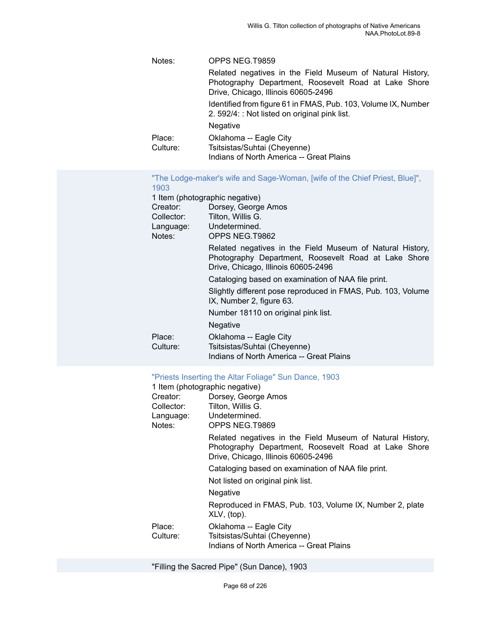| Notes:   | OPPS NEG.T9859                                                                                                                                           |
|----------|----------------------------------------------------------------------------------------------------------------------------------------------------------|
|          | Related negatives in the Field Museum of Natural History,<br>Photography Department, Roosevelt Road at Lake Shore<br>Drive, Chicago, Illinois 60605-2496 |
|          | Identified from figure 61 in FMAS, Pub. 103, Volume IX, Number<br>2. 592/4: : Not listed on original pink list.                                          |
|          | <b>Negative</b>                                                                                                                                          |
| Place:   | Oklahoma -- Eagle City                                                                                                                                   |
| Culture: | Tsitsistas/Suhtai (Cheyenne)                                                                                                                             |
|          | Indians of North America -- Great Plains                                                                                                                 |

| "The Lodge-maker's wife and Sage-Woman, [wife of the Chief Priest, Blue]", |  |  |
|----------------------------------------------------------------------------|--|--|
| 1903                                                                       |  |  |

|            | 1 Item (photographic negative)                                                                                                                           |
|------------|----------------------------------------------------------------------------------------------------------------------------------------------------------|
| Creator:   | Dorsey, George Amos                                                                                                                                      |
| Collector: | Tilton, Willis G.                                                                                                                                        |
| Language:  | Undetermined.                                                                                                                                            |
| Notes:     | OPPS NEG.T9862                                                                                                                                           |
|            | Related negatives in the Field Museum of Natural History,<br>Photography Department, Roosevelt Road at Lake Shore<br>Drive, Chicago, Illinois 60605-2496 |
|            | Cataloging based on examination of NAA file print.                                                                                                       |
|            | Slightly different pose reproduced in FMAS, Pub. 103, Volume<br>IX, Number 2, figure 63.                                                                 |
|            | Number 18110 on original pink list.                                                                                                                      |
|            | Negative                                                                                                                                                 |
| Place:     | Oklahoma -- Eagle City                                                                                                                                   |
| Culture:   | Tsitsistas/Suhtai (Cheyenne)                                                                                                                             |
|            | Indians of North America -- Great Plains                                                                                                                 |

## ["Priests Inserting the Altar Foliage" Sun Dance, 1903](https://ids.si.edu/ids/deliveryService?id=NMNH-T9869-000001)

|                    | 1 Item (photographic negative)                                                                                                                           |
|--------------------|----------------------------------------------------------------------------------------------------------------------------------------------------------|
| Creator:           | Dorsey, George Amos                                                                                                                                      |
| Collector:         | Tilton, Willis G.                                                                                                                                        |
|                    | Language: Undetermined.                                                                                                                                  |
| Notes:             | OPPS NEG.T9869                                                                                                                                           |
|                    | Related negatives in the Field Museum of Natural History,<br>Photography Department, Roosevelt Road at Lake Shore<br>Drive, Chicago, Illinois 60605-2496 |
|                    | Cataloging based on examination of NAA file print.                                                                                                       |
|                    | Not listed on original pink list.                                                                                                                        |
|                    | Negative                                                                                                                                                 |
|                    | Reproduced in FMAS, Pub. 103, Volume IX, Number 2, plate<br>XLV, (top).                                                                                  |
| Place:<br>Culture: | Oklahoma -- Eagle City<br>Tsitsistas/Suhtai (Cheyenne)                                                                                                   |
|                    | Indians of North America -- Great Plains                                                                                                                 |

"Filling the Sacred Pipe" (Sun Dance), 1903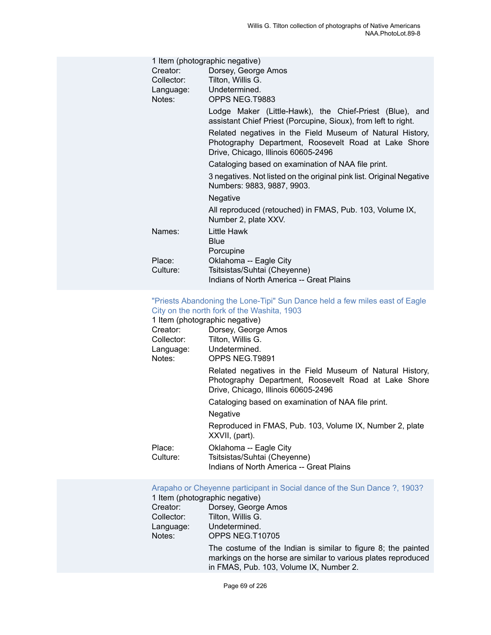|           | 1 Item (photographic negative)                                                                                                                           |
|-----------|----------------------------------------------------------------------------------------------------------------------------------------------------------|
| Creator:  | Dorsey, George Amos                                                                                                                                      |
|           | Collector: Tilton, Willis G.                                                                                                                             |
| Language: | Undetermined.                                                                                                                                            |
| Notes:    | OPPS NEG.T9883                                                                                                                                           |
|           | Lodge Maker (Little-Hawk), the Chief-Priest (Blue), and<br>assistant Chief Priest (Porcupine, Sioux), from left to right.                                |
|           | Related negatives in the Field Museum of Natural History,<br>Photography Department, Roosevelt Road at Lake Shore<br>Drive, Chicago, Illinois 60605-2496 |
|           | Cataloging based on examination of NAA file print.                                                                                                       |
|           | 3 negatives. Not listed on the original pink list. Original Negative<br>Numbers: 9883, 9887, 9903.                                                       |
|           | <b>Negative</b>                                                                                                                                          |
|           | All reproduced (retouched) in FMAS, Pub. 103, Volume IX,<br>Number 2, plate XXV.                                                                         |
| Names:    | Little Hawk                                                                                                                                              |
|           | Blue                                                                                                                                                     |
|           | Porcupine                                                                                                                                                |
| Place:    | Oklahoma -- Eagle City                                                                                                                                   |
| Culture:  | Tsitsistas/Suhtai (Cheyenne)                                                                                                                             |
|           | Indians of North America -- Great Plains                                                                                                                 |

#### "Priests [Abandoning](https://ids.si.edu/ids/deliveryService?id=NMNH-T9891-000001) the Lone-Tipi" Sun Dance held a few miles east of Eagle City on the north fork of the [Washita,](https://ids.si.edu/ids/deliveryService?id=NMNH-T9891-000001) 1903

|                    | 1 Item (photographic negative)                                                                                                                           |
|--------------------|----------------------------------------------------------------------------------------------------------------------------------------------------------|
| Creator:           | Dorsey, George Amos                                                                                                                                      |
| Collector:         | Tilton, Willis G.                                                                                                                                        |
|                    | Language: Undetermined.                                                                                                                                  |
| Notes:             | OPPS NEG.T9891                                                                                                                                           |
|                    | Related negatives in the Field Museum of Natural History,<br>Photography Department, Roosevelt Road at Lake Shore<br>Drive, Chicago, Illinois 60605-2496 |
|                    | Cataloging based on examination of NAA file print.                                                                                                       |
|                    | <b>Negative</b>                                                                                                                                          |
|                    | Reproduced in FMAS, Pub. 103, Volume IX, Number 2, plate<br>XXVII, (part).                                                                               |
| Place:<br>Culture: | Oklahoma -- Eagle City<br>Tsitsistas/Suhtai (Cheyenne)<br>Indians of North America -- Great Plains                                                       |
|                    |                                                                                                                                                          |

[Arapaho or Cheyenne participant in Social dance of the Sun Dance ?, 1903?](https://ids.si.edu/ids/deliveryService?id=NMNH-T10705-000001)

# 1 Item (photographic negative)<br>Creator: Dorsey, George

| Creator:   | Dorsey, George Amos                                                                                                                                                        |
|------------|----------------------------------------------------------------------------------------------------------------------------------------------------------------------------|
| Collector: | Tilton, Willis G.                                                                                                                                                          |
| Language:  | Undetermined.                                                                                                                                                              |
| Notes:     | OPPS NEG.T10705                                                                                                                                                            |
|            | The costume of the Indian is similar to figure 8; the painted<br>markings on the horse are similar to various plates reproduced<br>in FMAS, Pub. 103, Volume IX, Number 2. |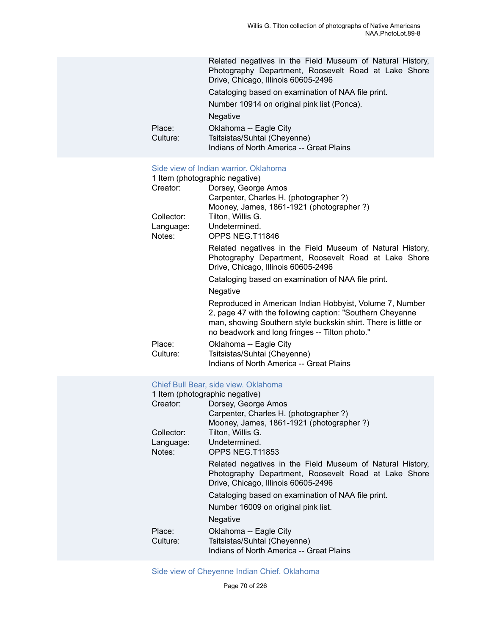|          | Related negatives in the Field Museum of Natural History,<br>Photography Department, Roosevelt Road at Lake Shore<br>Drive, Chicago, Illinois 60605-2496 |
|----------|----------------------------------------------------------------------------------------------------------------------------------------------------------|
|          | Cataloging based on examination of NAA file print.                                                                                                       |
|          | Number 10914 on original pink list (Ponca).                                                                                                              |
|          | <b>Negative</b>                                                                                                                                          |
| Place:   | Oklahoma -- Eagle City                                                                                                                                   |
| Culture: | Tsitsistas/Suhtai (Cheyenne)                                                                                                                             |
|          | Indians of North America -- Great Plains                                                                                                                 |

### Side view of Indian warrior. [Oklahoma](https://ids.si.edu/ids/deliveryService?id=NMNH-T11846-000001)

| 1 Item (photographic negative) |                                                                                                                                                                                                                                           |  |
|--------------------------------|-------------------------------------------------------------------------------------------------------------------------------------------------------------------------------------------------------------------------------------------|--|
| Creator:                       | Dorsey, George Amos                                                                                                                                                                                                                       |  |
|                                | Carpenter, Charles H. (photographer?)                                                                                                                                                                                                     |  |
|                                | Mooney, James, 1861-1921 (photographer?)                                                                                                                                                                                                  |  |
| Collector:                     | Tilton, Willis G.                                                                                                                                                                                                                         |  |
| Language:                      | Undetermined.                                                                                                                                                                                                                             |  |
| Notes:                         | OPPS NEG.T11846                                                                                                                                                                                                                           |  |
|                                | Related negatives in the Field Museum of Natural History,<br>Photography Department, Roosevelt Road at Lake Shore<br>Drive, Chicago, Illinois 60605-2496                                                                                  |  |
|                                | Cataloging based on examination of NAA file print.                                                                                                                                                                                        |  |
|                                | Negative                                                                                                                                                                                                                                  |  |
|                                | Reproduced in American Indian Hobbyist, Volume 7, Number<br>2, page 47 with the following caption: "Southern Cheyenne<br>man, showing Southern style buckskin shirt. There is little or<br>no beadwork and long fringes -- Tilton photo." |  |
| Place:<br>Culture:             | Oklahoma -- Eagle City<br>Tsitsistas/Suhtai (Cheyenne)<br>Indians of North America -- Great Plains                                                                                                                                        |  |

## Chief Bull Bear, side view. [Oklahoma](https://ids.si.edu/ids/deliveryService?id=NMNH-T11853-000001)

| 1 Item (photographic negative) |                                                                                                                                                          |  |
|--------------------------------|----------------------------------------------------------------------------------------------------------------------------------------------------------|--|
| Creator:                       | Dorsey, George Amos                                                                                                                                      |  |
|                                | Carpenter, Charles H. (photographer ?)                                                                                                                   |  |
|                                | Mooney, James, 1861-1921 (photographer ?)                                                                                                                |  |
| Collector:                     | Tilton, Willis G.                                                                                                                                        |  |
| Language:                      | Undetermined.                                                                                                                                            |  |
| Notes:                         | OPPS NEG.T11853                                                                                                                                          |  |
|                                | Related negatives in the Field Museum of Natural History,<br>Photography Department, Roosevelt Road at Lake Shore<br>Drive, Chicago, Illinois 60605-2496 |  |
|                                | Cataloging based on examination of NAA file print.                                                                                                       |  |
|                                | Number 16009 on original pink list.                                                                                                                      |  |
|                                | <b>Negative</b>                                                                                                                                          |  |
| Place:                         | Oklahoma -- Eagle City                                                                                                                                   |  |
| Culture:                       | Tsitsistas/Suhtai (Cheyenne)                                                                                                                             |  |
|                                | Indians of North America -- Great Plains                                                                                                                 |  |

[Side view of Cheyenne Indian Chief. Oklahoma](https://ids.si.edu/ids/deliveryService?id=NMNH-T11855-000001)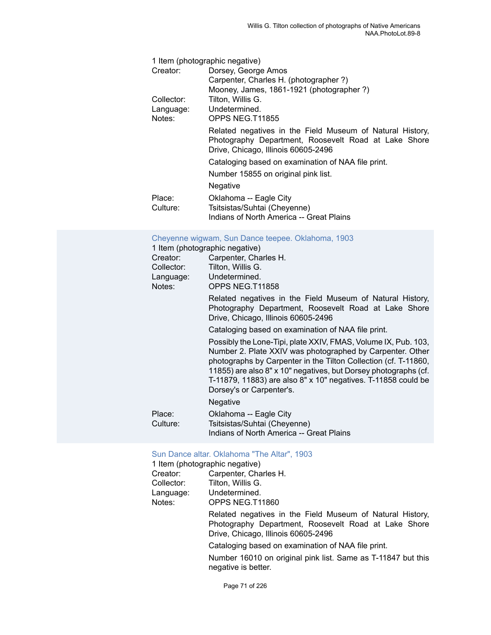| 1 Item (photographic negative) |                                                                                                                                                          |  |
|--------------------------------|----------------------------------------------------------------------------------------------------------------------------------------------------------|--|
| Creator:                       | Dorsey, George Amos                                                                                                                                      |  |
|                                | Carpenter, Charles H. (photographer ?)                                                                                                                   |  |
|                                | Mooney, James, 1861-1921 (photographer ?)                                                                                                                |  |
| Collector:                     | Tilton, Willis G.                                                                                                                                        |  |
| Language:                      | Undetermined.                                                                                                                                            |  |
| Notes:                         | OPPS NEG.T11855                                                                                                                                          |  |
|                                | Related negatives in the Field Museum of Natural History,<br>Photography Department, Roosevelt Road at Lake Shore<br>Drive, Chicago, Illinois 60605-2496 |  |
|                                | Cataloging based on examination of NAA file print.                                                                                                       |  |
|                                | Number 15855 on original pink list.                                                                                                                      |  |
|                                | Negative                                                                                                                                                 |  |
| Place:                         | Oklahoma -- Eagle City                                                                                                                                   |  |
| Culture:                       | Tsitsistas/Suhtai (Cheyenne)                                                                                                                             |  |
|                                | Indians of North America -- Great Plains                                                                                                                 |  |

#### [Cheyenne wigwam, Sun Dance teepee. Oklahoma, 1903](https://ids.si.edu/ids/deliveryService?id=NMNH-T11858-000001)

| 1 Item (photographic negative) |                                                                                                                                                                                                                                                                                                                                                                |  |
|--------------------------------|----------------------------------------------------------------------------------------------------------------------------------------------------------------------------------------------------------------------------------------------------------------------------------------------------------------------------------------------------------------|--|
| Creator:                       | Carpenter, Charles H.                                                                                                                                                                                                                                                                                                                                          |  |
| Collector:                     | Tilton, Willis G.                                                                                                                                                                                                                                                                                                                                              |  |
| Language:<br>Notes:            | Undetermined.<br>OPPS NEG.T11858                                                                                                                                                                                                                                                                                                                               |  |
|                                | Related negatives in the Field Museum of Natural History,<br>Photography Department, Roosevelt Road at Lake Shore<br>Drive, Chicago, Illinois 60605-2496                                                                                                                                                                                                       |  |
|                                | Cataloging based on examination of NAA file print.                                                                                                                                                                                                                                                                                                             |  |
|                                | Possibly the Lone-Tipi, plate XXIV, FMAS, Volume IX, Pub. 103,<br>Number 2. Plate XXIV was photographed by Carpenter. Other<br>photographs by Carpenter in the Tilton Collection (cf. T-11860,<br>11855) are also 8" x 10" negatives, but Dorsey photographs (cf.<br>T-11879, 11883) are also 8" x 10" negatives. T-11858 could be<br>Dorsey's or Carpenter's. |  |
|                                | <b>Negative</b>                                                                                                                                                                                                                                                                                                                                                |  |
| Place:<br>Culture:             | Oklahoma -- Eagle City<br>Tsitsistas/Suhtai (Cheyenne)<br>Indians of North America -- Great Plains                                                                                                                                                                                                                                                             |  |

#### Sun Dance altar. [Oklahoma](https://ids.si.edu/ids/deliveryService?id=NMNH-T11860-000001) "The Altar", 1903

| 1 Item (photographic negative) |                                                                                                                                                          |  |
|--------------------------------|----------------------------------------------------------------------------------------------------------------------------------------------------------|--|
| Creator:                       | Carpenter, Charles H.                                                                                                                                    |  |
| Collector:                     | Tilton, Willis G.                                                                                                                                        |  |
| Language:                      | Undetermined.                                                                                                                                            |  |
| Notes:                         | OPPS NEG.T11860                                                                                                                                          |  |
|                                | Related negatives in the Field Museum of Natural History,<br>Photography Department, Roosevelt Road at Lake Shore<br>Drive, Chicago, Illinois 60605-2496 |  |
|                                | Cataloging based on examination of NAA file print.                                                                                                       |  |
|                                | Number 16010 on original pink list. Same as T-11847 but this<br>negative is better.                                                                      |  |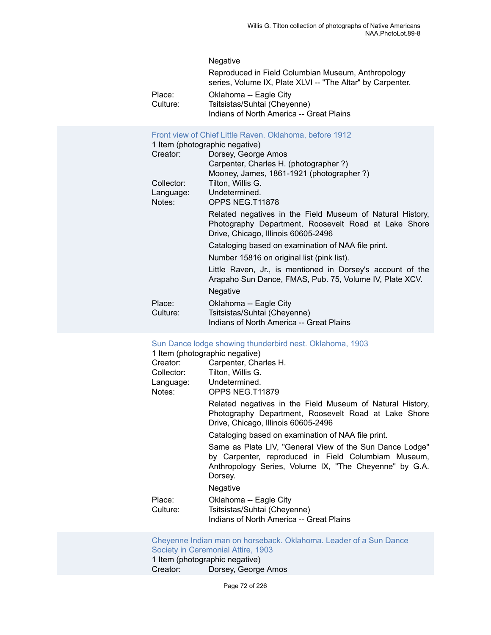#### Negative

|          | Reproduced in Field Columbian Museum, Anthropology<br>series, Volume IX, Plate XLVI -- "The Altar" by Carpenter. |
|----------|------------------------------------------------------------------------------------------------------------------|
| Place:   | Oklahoma -- Eagle City                                                                                           |
| Culture: | Tsitsistas/Suhtai (Cheyenne)                                                                                     |
|          | Indians of North America -- Great Plains                                                                         |

#### [Front view of Chief Little Raven. Oklahoma, before 1912](https://ids.si.edu/ids/deliveryService?id=NMNH-T11878-000001)

1 Item (photographic negative)

| Creator:           | Dorsey, George Amos                                                                                                                                      |
|--------------------|----------------------------------------------------------------------------------------------------------------------------------------------------------|
|                    | Carpenter, Charles H. (photographer ?)                                                                                                                   |
|                    | Mooney, James, 1861-1921 (photographer?)                                                                                                                 |
| Collector:         | Tilton, Willis G.                                                                                                                                        |
| Language:          | Undetermined.                                                                                                                                            |
| Notes:             | OPPS NEG.T11878                                                                                                                                          |
|                    | Related negatives in the Field Museum of Natural History,<br>Photography Department, Roosevelt Road at Lake Shore<br>Drive, Chicago, Illinois 60605-2496 |
|                    | Cataloging based on examination of NAA file print.                                                                                                       |
|                    | Number 15816 on original list (pink list).                                                                                                               |
|                    | Little Raven, Jr., is mentioned in Dorsey's account of the<br>Arapaho Sun Dance, FMAS, Pub. 75, Volume IV, Plate XCV.                                    |
|                    | Negative                                                                                                                                                 |
| Place:<br>Culture: | Oklahoma -- Eagle City<br>Tsitsistas/Suhtai (Cheyenne)                                                                                                   |
|                    | Indians of North America -- Great Plains                                                                                                                 |

#### [Sun Dance lodge showing thunderbird nest. Oklahoma, 1903](https://ids.si.edu/ids/deliveryService?id=NMNH-T11879-000001)

| 1 Item (photographic negative) |                                                                                                                                                                                      |  |
|--------------------------------|--------------------------------------------------------------------------------------------------------------------------------------------------------------------------------------|--|
| Creator:                       | Carpenter, Charles H.                                                                                                                                                                |  |
| Collector:                     | Tilton, Willis G.                                                                                                                                                                    |  |
|                                | Language: Undetermined.                                                                                                                                                              |  |
| Notes:                         | OPPS NEG.T11879                                                                                                                                                                      |  |
|                                | Related negatives in the Field Museum of Natural History,<br>Photography Department, Roosevelt Road at Lake Shore<br>Drive, Chicago, Illinois 60605-2496                             |  |
|                                | Cataloging based on examination of NAA file print.                                                                                                                                   |  |
|                                | Same as Plate LIV, "General View of the Sun Dance Lodge"<br>by Carpenter, reproduced in Field Columbiam Museum,<br>Anthropology Series, Volume IX, "The Cheyenne" by G.A.<br>Dorsey. |  |
|                                | <b>Negative</b>                                                                                                                                                                      |  |
| Place:<br>Culture:             | Oklahoma -- Eagle City<br>Tsitsistas/Suhtai (Cheyenne)<br>Indians of North America -- Great Plains                                                                                   |  |

[Cheyenne Indian man on horseback. Oklahoma. Leader of a Sun Dance](https://ids.si.edu/ids/deliveryService?id=NMNH-T11883-000001) [Society in Ceremonial Attire, 1903](https://ids.si.edu/ids/deliveryService?id=NMNH-T11883-000001) 1 Item (photographic negative)<br>Creator: Dorsey, George Dorsey, George Amos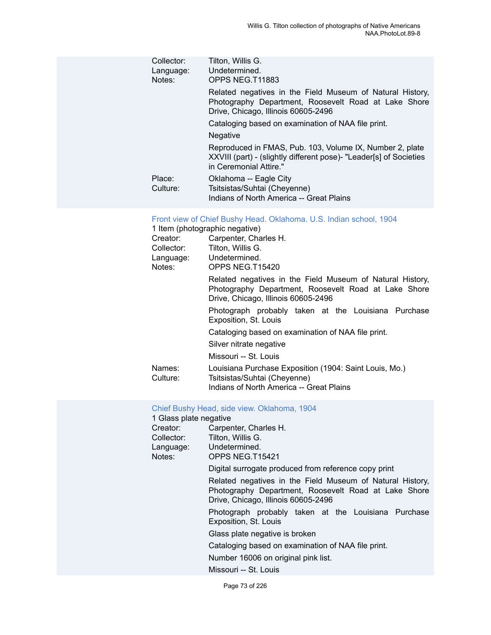| Collector:<br>Language:<br>Notes: | Tilton, Willis G.<br>Undetermined.<br>OPPS NEG.T11883                                                                                                     |
|-----------------------------------|-----------------------------------------------------------------------------------------------------------------------------------------------------------|
|                                   | Related negatives in the Field Museum of Natural History,<br>Photography Department, Roosevelt Road at Lake Shore<br>Drive, Chicago, Illinois 60605-2496  |
|                                   | Cataloging based on examination of NAA file print.                                                                                                        |
|                                   | <b>Negative</b>                                                                                                                                           |
|                                   | Reproduced in FMAS, Pub. 103, Volume IX, Number 2, plate<br>XXVIII (part) - (slightly different pose) - "Leader[s] of Societies<br>in Ceremonial Attire." |
| Place:<br>Culture:                | Oklahoma -- Eagle City<br>Tsitsistas/Suhtai (Cheyenne)<br>Indians of North America -- Great Plains                                                        |

#### [Front view of Chief Bushy Head. Oklahoma. U.S. Indian school, 1904](https://ids.si.edu/ids/deliveryService?id=NMNH-T15420-000001)

| 1 Item (photographic negative) |                                                                                                                                                          |  |
|--------------------------------|----------------------------------------------------------------------------------------------------------------------------------------------------------|--|
| Creator:                       | Carpenter, Charles H.                                                                                                                                    |  |
| Collector:                     | Tilton, Willis G.                                                                                                                                        |  |
|                                | Language: Undetermined.                                                                                                                                  |  |
| Notes:                         | OPPS NEG.T15420                                                                                                                                          |  |
|                                | Related negatives in the Field Museum of Natural History,<br>Photography Department, Roosevelt Road at Lake Shore<br>Drive, Chicago, Illinois 60605-2496 |  |
|                                | Photograph probably taken at the Louisiana Purchase<br>Exposition, St. Louis                                                                             |  |
|                                | Cataloging based on examination of NAA file print.                                                                                                       |  |
|                                | Silver nitrate negative                                                                                                                                  |  |
|                                | Missouri -- St. Louis                                                                                                                                    |  |
| Names:<br>Culture:             | Louisiana Purchase Exposition (1904: Saint Louis, Mo.)<br>Tsitsistas/Suhtai (Cheyenne)                                                                   |  |
|                                | Indians of North America -- Great Plains                                                                                                                 |  |

# Chief Bushy Head, side view. [Oklahoma,](https://ids.si.edu/ids/deliveryService?id=NMNH-T15421-000001) 1904

| 1 Glass plate negative |                                                                                                                                                          |
|------------------------|----------------------------------------------------------------------------------------------------------------------------------------------------------|
| Creator:               | Carpenter, Charles H.                                                                                                                                    |
| Collector:             | Tilton, Willis G.                                                                                                                                        |
|                        | Language: Undetermined.                                                                                                                                  |
| Notes:                 | OPPS NEG.T15421                                                                                                                                          |
|                        | Digital surrogate produced from reference copy print                                                                                                     |
|                        | Related negatives in the Field Museum of Natural History,<br>Photography Department, Roosevelt Road at Lake Shore<br>Drive, Chicago, Illinois 60605-2496 |
|                        | Photograph probably taken at the Louisiana Purchase<br>Exposition, St. Louis                                                                             |
|                        | Glass plate negative is broken                                                                                                                           |
|                        | Cataloging based on examination of NAA file print.                                                                                                       |
|                        | Number 16006 on original pink list.                                                                                                                      |
|                        | Missouri -- St. Louis                                                                                                                                    |
|                        |                                                                                                                                                          |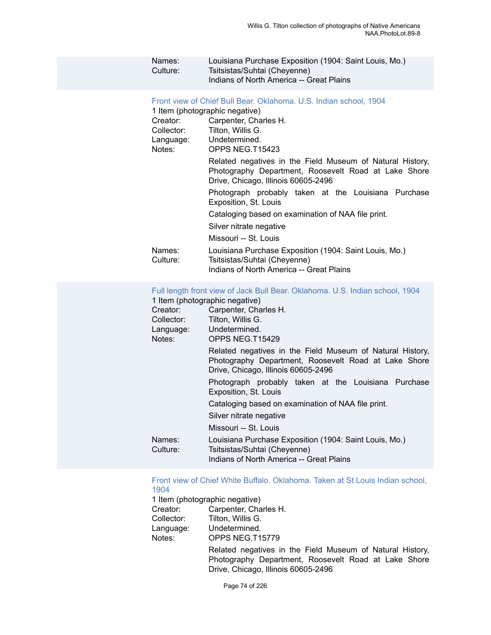| Names:   | Louisiana Purchase Exposition (1904: Saint Louis, Mo.) |
|----------|--------------------------------------------------------|
| Culture: | Tsitsistas/Suhtai (Cheyenne)                           |
|          | Indians of North America -- Great Plains               |

Front view of Chief Bull Bear. [Oklahoma.](https://ids.si.edu/ids/deliveryService?id=NMNH-T15423-000001) U.S. Indian school, 1904

| 1 Item (photographic negative) |                                                                                                                                                          |  |
|--------------------------------|----------------------------------------------------------------------------------------------------------------------------------------------------------|--|
| Creator:                       | Carpenter, Charles H.                                                                                                                                    |  |
| Collector:                     | Tilton, Willis G.                                                                                                                                        |  |
|                                | Language: Undetermined.                                                                                                                                  |  |
| Notes:                         | OPPS NEG.T15423                                                                                                                                          |  |
|                                | Related negatives in the Field Museum of Natural History,<br>Photography Department, Roosevelt Road at Lake Shore<br>Drive, Chicago, Illinois 60605-2496 |  |
|                                | Photograph probably taken at the Louisiana Purchase<br>Exposition, St. Louis                                                                             |  |
|                                | Cataloging based on examination of NAA file print.                                                                                                       |  |
|                                | Silver nitrate negative                                                                                                                                  |  |
|                                | Missouri -- St. Louis                                                                                                                                    |  |
| Names:<br>Culture:             | Louisiana Purchase Exposition (1904: Saint Louis, Mo.)<br>Tsitsistas/Suhtai (Cheyenne)<br>Indians of North America -- Great Plains                       |  |
|                                |                                                                                                                                                          |  |

### Full length front view of Jack Bull Bear. [Oklahoma.](https://ids.si.edu/ids/deliveryService?id=NMNH-T15429-000001) U.S. Indian school, 1904

| 1 Item (photographic negative) |                                                                                                                                                          |  |
|--------------------------------|----------------------------------------------------------------------------------------------------------------------------------------------------------|--|
| Creator:                       | Carpenter, Charles H.                                                                                                                                    |  |
| Collector:                     | Tilton, Willis G.                                                                                                                                        |  |
|                                | Language: Undetermined.                                                                                                                                  |  |
| Notes:                         | OPPS NEG.T15429                                                                                                                                          |  |
|                                | Related negatives in the Field Museum of Natural History,<br>Photography Department, Roosevelt Road at Lake Shore<br>Drive, Chicago, Illinois 60605-2496 |  |
|                                | Photograph probably taken at the Louisiana Purchase<br>Exposition, St. Louis                                                                             |  |
|                                | Cataloging based on examination of NAA file print.                                                                                                       |  |
|                                | Silver nitrate negative                                                                                                                                  |  |
|                                | Missouri -- St. Louis                                                                                                                                    |  |
| Names:<br>Culture:             | Louisiana Purchase Exposition (1904: Saint Louis, Mo.)<br>Tsitsistas/Suhtai (Cheyenne)<br>Indians of North America -- Great Plains                       |  |
|                                |                                                                                                                                                          |  |

Front view of Chief White Buffalo. [Oklahoma.](https://ids.si.edu/ids/deliveryService?id=NMNH-T15779-000001) Taken at St Louis Indian school, [1904](https://ids.si.edu/ids/deliveryService?id=NMNH-T15779-000001)

1 Item (photographic negative)<br>Creator: Carpenter. Cha

Creator: Carpenter, Charles H.<br>Collector: Tilton, Willis G.

- Tilton, Willis G.
- Language: Undetermined.<br>
Notes: OPPS NEG.T1
	- OPPS NEG.T15779

Related negatives in the Field Museum of Natural History, Photography Department, Roosevelt Road at Lake Shore Drive, Chicago, Illinois 60605-2496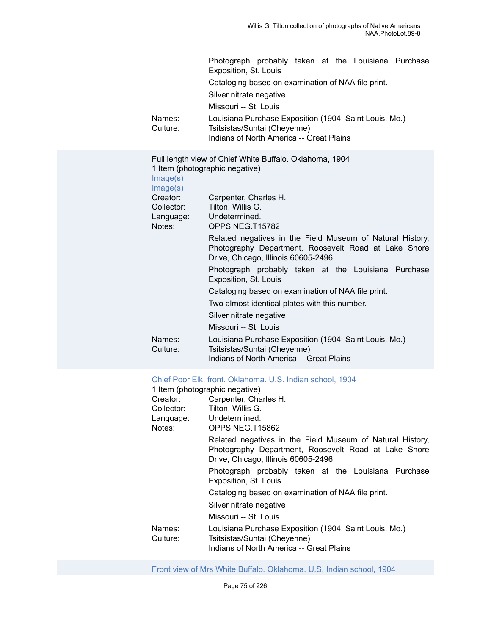|                      | Photograph probably taken at the Louisiana Purchase<br>Exposition, St. Louis                                                                             |
|----------------------|----------------------------------------------------------------------------------------------------------------------------------------------------------|
|                      | Cataloging based on examination of NAA file print.                                                                                                       |
|                      | Silver nitrate negative                                                                                                                                  |
|                      | Missouri -- St. Louis                                                                                                                                    |
| Names:<br>Culture:   | Louisiana Purchase Exposition (1904: Saint Louis, Mo.)<br>Tsitsistas/Suhtai (Cheyenne)<br>Indians of North America -- Great Plains                       |
| Image(s)<br>Image(s) | Full length view of Chief White Buffalo. Oklahoma, 1904<br>1 Item (photographic negative)                                                                |
| Creator:             | Carpenter, Charles H.                                                                                                                                    |
| Collector:           | Tilton, Willis G.                                                                                                                                        |
| Language:<br>Notes:  | Undetermined.<br>OPPS NEG.T15782                                                                                                                         |
|                      | Related negatives in the Field Museum of Natural History,<br>Photography Department, Roosevelt Road at Lake Shore<br>Drive, Chicago, Illinois 60605-2496 |
|                      | Photograph probably taken at the Louisiana Purchase<br>Exposition, St. Louis                                                                             |
|                      | Cataloging based on examination of NAA file print.                                                                                                       |
|                      | Two almost identical plates with this number.                                                                                                            |
|                      | Silver nitrate negative                                                                                                                                  |
|                      | Missouri -- St. Louis                                                                                                                                    |
| Names:<br>Culture:   | Louisiana Purchase Exposition (1904: Saint Louis, Mo.)<br>Tsitsistas/Suhtai (Cheyenne)<br>Indians of North America -- Great Plains                       |

#### [Chief Poor Elk, front. Oklahoma. U.S. Indian school, 1904](https://ids.si.edu/ids/deliveryService?id=NMNH-T15862-000001)

|                    | 1 Item (photographic negative)                                                                                                                           |
|--------------------|----------------------------------------------------------------------------------------------------------------------------------------------------------|
| Creator:           | Carpenter, Charles H.                                                                                                                                    |
| Collector:         | Tilton, Willis G.                                                                                                                                        |
|                    | Language: Undetermined.                                                                                                                                  |
| Notes:             | OPPS NEG.T15862                                                                                                                                          |
|                    | Related negatives in the Field Museum of Natural History,<br>Photography Department, Roosevelt Road at Lake Shore<br>Drive, Chicago, Illinois 60605-2496 |
|                    | Photograph probably taken at the Louisiana Purchase<br>Exposition, St. Louis                                                                             |
|                    | Cataloging based on examination of NAA file print.                                                                                                       |
|                    | Silver nitrate negative                                                                                                                                  |
|                    | Missouri -- St. Louis                                                                                                                                    |
| Names:<br>Culture: | Louisiana Purchase Exposition (1904: Saint Louis, Mo.)<br>Tsitsistas/Suhtai (Cheyenne)                                                                   |
|                    | Indians of North America -- Great Plains                                                                                                                 |

Front view of Mrs White Buffalo. [Oklahoma.](https://ids.si.edu/ids/deliveryService?id=NMNH-T15783-000001) U.S. Indian school, 1904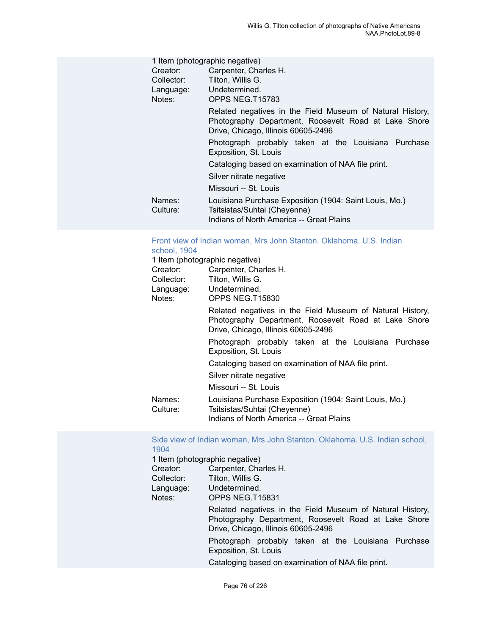| 1 Item (photographic negative) |                                                                                                                                                          |  |
|--------------------------------|----------------------------------------------------------------------------------------------------------------------------------------------------------|--|
| Creator:                       | Carpenter, Charles H.                                                                                                                                    |  |
| Collector:                     | Tilton, Willis G.                                                                                                                                        |  |
| Language:                      | Undetermined.                                                                                                                                            |  |
| Notes:                         | OPPS NEG.T15783                                                                                                                                          |  |
|                                | Related negatives in the Field Museum of Natural History,<br>Photography Department, Roosevelt Road at Lake Shore<br>Drive, Chicago, Illinois 60605-2496 |  |
|                                | Photograph probably taken at the Louisiana Purchase<br>Exposition, St. Louis                                                                             |  |
|                                | Cataloging based on examination of NAA file print.                                                                                                       |  |
|                                | Silver nitrate negative                                                                                                                                  |  |
|                                | Missouri -- St. Louis                                                                                                                                    |  |
| Names:<br>Culture:             | Louisiana Purchase Exposition (1904: Saint Louis, Mo.)<br>Tsitsistas/Suhtai (Cheyenne)                                                                   |  |
|                                | Indians of North America -- Great Plains                                                                                                                 |  |

#### [Front view of Indian woman, Mrs John Stanton. Oklahoma. U.S. Indian](https://ids.si.edu/ids/deliveryService?id=NMNH-T15830-000001) [school, 1904](https://ids.si.edu/ids/deliveryService?id=NMNH-T15830-000001)

|            | 1 Item (photographic negative)                            |
|------------|-----------------------------------------------------------|
| Creator:   | Carpenter, Charles H.                                     |
| Collector: | Tilton, Willis G.                                         |
|            | Language: Undetermined.                                   |
| Notes:     | OPPS NEG.T15830                                           |
|            | Related negatives in the Field Museum of Natural History, |
|            | Photography Department, Roosevelt Road at Lake Shore      |
|            | Drive, Chicago, Illinois 60605-2496                       |
|            | Photograph probably taken at the Louisiana Purchase       |
|            | Exposition, St. Louis                                     |
|            | Cataloging based on examination of NAA file print.        |
|            | Silver nitrate negative                                   |
|            | Missouri -- St. Louis                                     |
| Names:     | Louisiana Purchase Exposition (1904: Saint Louis, Mo.)    |
| Culture:   | Tsitsistas/Suhtai (Cheyenne)                              |
|            | Indians of North America -- Great Plains                  |

[Side view of Indian woman, Mrs John Stanton. Oklahoma. U.S. Indian school,](https://ids.si.edu/ids/deliveryService?id=NMNH-T15831-000001) [1904](https://ids.si.edu/ids/deliveryService?id=NMNH-T15831-000001)

|            | 1 Item (photographic negative)                                                                                                                           |
|------------|----------------------------------------------------------------------------------------------------------------------------------------------------------|
| Creator:   | Carpenter, Charles H.                                                                                                                                    |
| Collector: | Tilton, Willis G.                                                                                                                                        |
| Language:  | Undetermined.                                                                                                                                            |
| Notes:     | OPPS NEG.T15831                                                                                                                                          |
|            | Related negatives in the Field Museum of Natural History,<br>Photography Department, Roosevelt Road at Lake Shore<br>Drive, Chicago, Illinois 60605-2496 |
|            | Photograph probably taken at the Louisiana Purchase<br>Exposition, St. Louis                                                                             |
|            | Cataloging based on examination of NAA file print.                                                                                                       |
|            |                                                                                                                                                          |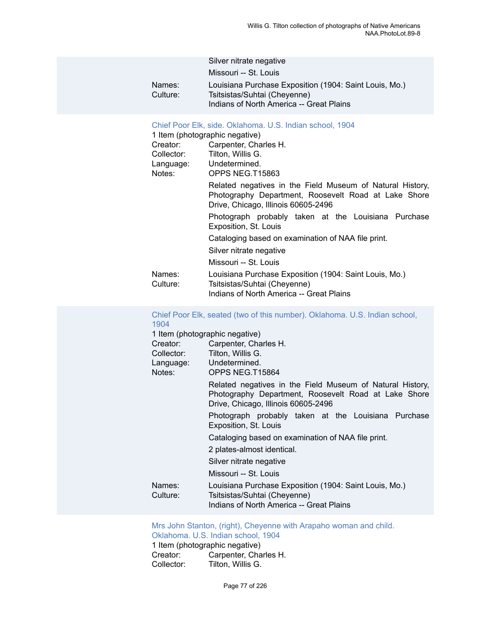| Names:<br>Culture:                                                  | Silver nitrate negative<br>Missouri -- St. Louis<br>Louisiana Purchase Exposition (1904: Saint Louis, Mo.)<br>Tsitsistas/Suhtai (Cheyenne)<br>Indians of North America -- Great Plains                                                                                                                                                                                                                                                                                                                                                                                                                                                                                   |
|---------------------------------------------------------------------|--------------------------------------------------------------------------------------------------------------------------------------------------------------------------------------------------------------------------------------------------------------------------------------------------------------------------------------------------------------------------------------------------------------------------------------------------------------------------------------------------------------------------------------------------------------------------------------------------------------------------------------------------------------------------|
| Creator:<br>Collector:<br>Language:<br>Notes:<br>Names:<br>Culture: | Chief Poor Elk, side. Oklahoma. U.S. Indian school, 1904<br>1 Item (photographic negative)<br>Carpenter, Charles H.<br>Tilton, Willis G.<br>Undetermined.<br>OPPS NEG.T15863<br>Related negatives in the Field Museum of Natural History,<br>Photography Department, Roosevelt Road at Lake Shore<br>Drive, Chicago, Illinois 60605-2496<br>Photograph probably taken at the Louisiana Purchase<br>Exposition, St. Louis<br>Cataloging based on examination of NAA file print.<br>Silver nitrate negative<br>Missouri -- St. Louis<br>Louisiana Purchase Exposition (1904: Saint Louis, Mo.)<br>Tsitsistas/Suhtai (Cheyenne)<br>Indians of North America -- Great Plains |
|                                                                     | Chief Poor Elk, seated (two of this number). Oklahoma. U.S. Indian school,                                                                                                                                                                                                                                                                                                                                                                                                                                                                                                                                                                                               |

| 1904                              |                                                                                                                                                          |
|-----------------------------------|----------------------------------------------------------------------------------------------------------------------------------------------------------|
| 1 Item (photographic negative)    |                                                                                                                                                          |
| Creator:<br>Collector:            | Carpenter, Charles H.<br>Tilton, Willis G.                                                                                                               |
| Language: Undetermined.<br>Notes: | OPPS NEG.T15864                                                                                                                                          |
|                                   | Related negatives in the Field Museum of Natural History,<br>Photography Department, Roosevelt Road at Lake Shore<br>Drive, Chicago, Illinois 60605-2496 |
|                                   | Photograph probably taken at the Louisiana Purchase<br>Exposition, St. Louis                                                                             |
|                                   | Cataloging based on examination of NAA file print.                                                                                                       |
|                                   | 2 plates-almost identical.                                                                                                                               |
|                                   | Silver nitrate negative                                                                                                                                  |
|                                   | Missouri -- St. Louis                                                                                                                                    |
| Names:<br>Culture:                | Louisiana Purchase Exposition (1904: Saint Louis, Mo.)<br>Tsitsistas/Suhtai (Cheyenne)<br>Indians of North America -- Great Plains                       |

[Mrs John Stanton, \(right\), Cheyenne with Arapaho woman and child.](https://ids.si.edu/ids/deliveryService?id=NMNH-T15928-000001) [Oklahoma. U.S. Indian school, 1904](https://ids.si.edu/ids/deliveryService?id=NMNH-T15928-000001)

1 Item (photographic negative)<br>Creator: Carpenter, Cha Creator: Carpenter, Charles H.<br>Collector: Tilton, Willis G. Tilton, Willis G.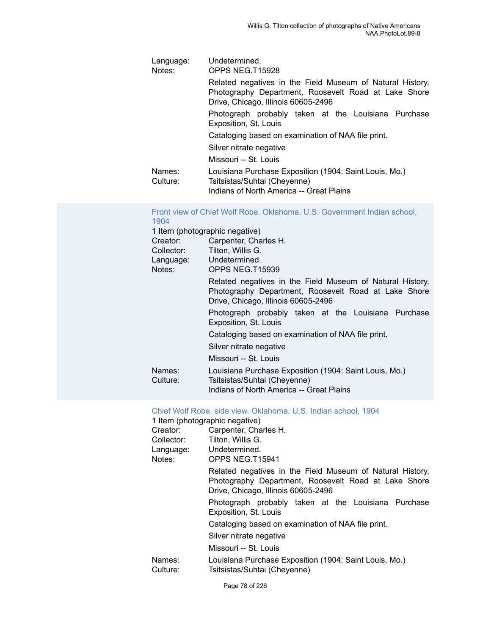| Language:<br>Notes: | Undetermined.<br>OPPS NEG.T15928                                                                                                                         |
|---------------------|----------------------------------------------------------------------------------------------------------------------------------------------------------|
|                     | Related negatives in the Field Museum of Natural History,<br>Photography Department, Roosevelt Road at Lake Shore<br>Drive, Chicago, Illinois 60605-2496 |
|                     | Photograph probably taken at the Louisiana Purchase<br>Exposition, St. Louis                                                                             |
|                     | Cataloging based on examination of NAA file print.                                                                                                       |
|                     | Silver nitrate negative                                                                                                                                  |
|                     | Missouri -- St. Louis                                                                                                                                    |
| Names:<br>Culture:  | Louisiana Purchase Exposition (1904: Saint Louis, Mo.)<br>Tsitsistas/Suhtai (Cheyenne)<br>Indians of North America -- Great Plains                       |

#### Front view of Chief Wolf Robe. Oklahoma. U.S. [Government](https://ids.si.edu/ids/deliveryService?id=NMNH-T15939-000001) Indian school, [1904](https://ids.si.edu/ids/deliveryService?id=NMNH-T15939-000001)

| 1 Item (photographic negative)<br>Creator:<br>Collector:<br>Language:<br>Notes: | Carpenter, Charles H.<br>Tilton, Willis G.<br>Undetermined.<br>OPPS NEG.T15939                                                                           |
|---------------------------------------------------------------------------------|----------------------------------------------------------------------------------------------------------------------------------------------------------|
|                                                                                 | Related negatives in the Field Museum of Natural History,<br>Photography Department, Roosevelt Road at Lake Shore<br>Drive, Chicago, Illinois 60605-2496 |
|                                                                                 | Photograph probably taken at the Louisiana Purchase<br>Exposition, St. Louis                                                                             |
|                                                                                 | Cataloging based on examination of NAA file print.                                                                                                       |
|                                                                                 | Silver nitrate negative                                                                                                                                  |
|                                                                                 | Missouri -- St. Louis                                                                                                                                    |
| Names:<br>Culture:                                                              | Louisiana Purchase Exposition (1904: Saint Louis, Mo.)<br>Tsitsistas/Suhtai (Cheyenne)<br>Indians of North America -- Great Plains                       |

#### Chief Wolf Robe, side view. [Oklahoma.](https://ids.si.edu/ids/deliveryService?id=NMNH-T15941-000001) U.S. Indian school, 1904

|                    | 1 Item (photographic negative)                                                                                                                           |
|--------------------|----------------------------------------------------------------------------------------------------------------------------------------------------------|
| Creator:           | Carpenter, Charles H.                                                                                                                                    |
| Collector:         | Tilton, Willis G.                                                                                                                                        |
| Language:          | Undetermined.                                                                                                                                            |
| Notes:             | OPPS NEG.T15941                                                                                                                                          |
|                    | Related negatives in the Field Museum of Natural History,<br>Photography Department, Roosevelt Road at Lake Shore<br>Drive, Chicago, Illinois 60605-2496 |
|                    | Photograph probably taken at the Louisiana Purchase<br>Exposition, St. Louis                                                                             |
|                    | Cataloging based on examination of NAA file print.                                                                                                       |
|                    | Silver nitrate negative                                                                                                                                  |
|                    | Missouri -- St. Louis                                                                                                                                    |
| Names:<br>Culture: | Louisiana Purchase Exposition (1904: Saint Louis, Mo.)<br>Tsitsistas/Suhtai (Cheyenne)                                                                   |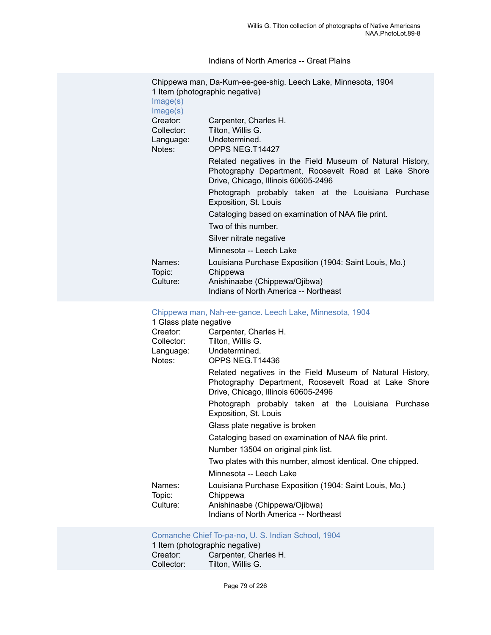Indians of North America -- Great Plains

|                                               | Chippewa man, Da-Kum-ee-gee-shig. Leech Lake, Minnesota, 1904                                                                                            |
|-----------------------------------------------|----------------------------------------------------------------------------------------------------------------------------------------------------------|
| Image(s)<br>Image(s)                          | 1 Item (photographic negative)                                                                                                                           |
| Creator:<br>Collector:<br>Language:<br>Notes: | Carpenter, Charles H.<br>Tilton, Willis G.<br>Undetermined.<br>OPPS NEG.T14427                                                                           |
|                                               | Related negatives in the Field Museum of Natural History,<br>Photography Department, Roosevelt Road at Lake Shore<br>Drive, Chicago, Illinois 60605-2496 |
|                                               | Photograph probably taken at the Louisiana Purchase<br>Exposition, St. Louis                                                                             |
|                                               | Cataloging based on examination of NAA file print.                                                                                                       |
|                                               | Two of this number.                                                                                                                                      |
|                                               | Silver nitrate negative                                                                                                                                  |
|                                               | Minnesota -- Leech Lake                                                                                                                                  |
| Names:<br>Topic:                              | Louisiana Purchase Exposition (1904: Saint Louis, Mo.)<br>Chippewa                                                                                       |
| Culture:                                      | Anishinaabe (Chippewa/Ojibwa)<br>Indians of North America -- Northeast                                                                                   |

[Chippewa man, Nah-ee-gance. Leech Lake, Minnesota, 1904](https://ids.si.edu/ids/deliveryService?id=NMNH-T14436-000001)

| 1 Glass plate negative       |                                                                                                                                                          |
|------------------------------|----------------------------------------------------------------------------------------------------------------------------------------------------------|
| Creator:                     | Carpenter, Charles H.                                                                                                                                    |
| Collector:                   | Tilton, Willis G.                                                                                                                                        |
| Language: Undetermined.      |                                                                                                                                                          |
| Notes:                       | OPPS NEG.T14436                                                                                                                                          |
|                              | Related negatives in the Field Museum of Natural History,<br>Photography Department, Roosevelt Road at Lake Shore<br>Drive, Chicago, Illinois 60605-2496 |
|                              | Photograph probably taken at the Louisiana Purchase<br>Exposition, St. Louis                                                                             |
|                              | Glass plate negative is broken                                                                                                                           |
|                              | Cataloging based on examination of NAA file print.                                                                                                       |
|                              | Number 13504 on original pink list.                                                                                                                      |
|                              | Two plates with this number, almost identical. One chipped.                                                                                              |
|                              | Minnesota -- Leech Lake                                                                                                                                  |
| Names:<br>Topic:<br>Culture: | Louisiana Purchase Exposition (1904: Saint Louis, Mo.)<br>Chippewa<br>Anishinaabe (Chippewa/Ojibwa)                                                      |
|                              | Indians of North America -- Northeast                                                                                                                    |

[Comanche](https://ids.si.edu/ids/deliveryService?id=NMNH-T15343-000001) Chief To-pa-no, U. S. Indian School, 1904

1 Item (photographic negative) Creator: Carpenter, Charles H.<br>Collector: Tilton, Willis G. Tilton, Willis G.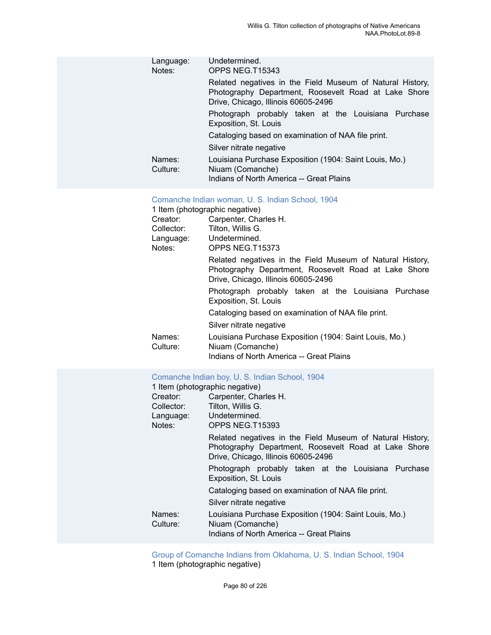| Language:<br>Notes:<br>Names:<br>Culture:                           | Undetermined.<br>OPPS NEG.T15343<br>Related negatives in the Field Museum of Natural History,<br>Photography Department, Roosevelt Road at Lake Shore<br>Drive, Chicago, Illinois 60605-2496<br>Photograph probably taken at the Louisiana Purchase<br>Exposition, St. Louis<br>Cataloging based on examination of NAA file print.<br>Silver nitrate negative<br>Louisiana Purchase Exposition (1904: Saint Louis, Mo.)<br>Niuam (Comanche)<br>Indians of North America -- Great Plains                                                                                                                                     |
|---------------------------------------------------------------------|-----------------------------------------------------------------------------------------------------------------------------------------------------------------------------------------------------------------------------------------------------------------------------------------------------------------------------------------------------------------------------------------------------------------------------------------------------------------------------------------------------------------------------------------------------------------------------------------------------------------------------|
| Creator:<br>Collector:<br>Language:<br>Notes:<br>Names:<br>Culture: | Comanche Indian woman, U. S. Indian School, 1904<br>1 Item (photographic negative)<br>Carpenter, Charles H.<br>Tilton, Willis G.<br>Undetermined.<br>OPPS NEG.T15373<br>Related negatives in the Field Museum of Natural History,<br>Photography Department, Roosevelt Road at Lake Shore<br>Drive, Chicago, Illinois 60605-2496<br>Photograph probably taken at the Louisiana Purchase<br>Exposition, St. Louis<br>Cataloging based on examination of NAA file print.<br>Silver nitrate negative<br>Louisiana Purchase Exposition (1904: Saint Louis, Mo.)<br>Niuam (Comanche)<br>Indians of North America -- Great Plains |
| Creator:<br>Collector:<br>Language:<br>Notes:                       | Comanche Indian boy, U. S. Indian School, 1904<br>1 Item (photographic negative)<br>Carpenter, Charles H.<br>Tilton, Willis G.<br>Undetermined.<br>OPPS NEG.T15393<br>Related negatives in the Field Museum of Natural History,<br>Photography Department, Roosevelt Road at Lake Shore                                                                                                                                                                                                                                                                                                                                     |

Photograph probably taken at the Louisiana Purchase Exposition, St. Louis

Cataloging based on examination of NAA file print.

Silver nitrate negative Names: Louisiana Purchase Exposition (1904: Saint Louis, Mo.)<br>Culture: Niuam (Comanche)

Niuam (Comanche)

Indians of North America -- Great Plains

Drive, Chicago, Illinois 60605-2496

[Group of Comanche Indians from Oklahoma, U. S. Indian School, 1904](https://ids.si.edu/ids/deliveryService?id=NMNH-T15436-000001) 1 Item (photographic negative)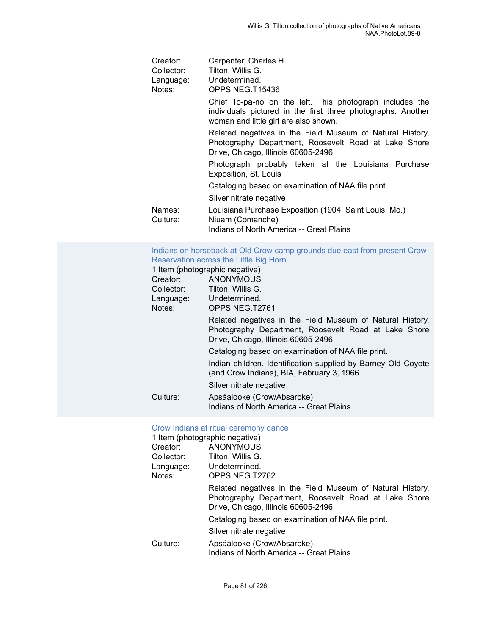| Creator:<br>Collector:<br>Language:<br>Notes: | Carpenter, Charles H.<br>Tilton, Willis G.<br>Undetermined.<br>OPPS NEG.T15436                                                                                    |  |
|-----------------------------------------------|-------------------------------------------------------------------------------------------------------------------------------------------------------------------|--|
|                                               | Chief To-pa-no on the left. This photograph includes the<br>individuals pictured in the first three photographs. Another<br>woman and little girl are also shown. |  |
|                                               | Related negatives in the Field Museum of Natural History,<br>Photography Department, Roosevelt Road at Lake Shore<br>Drive, Chicago, Illinois 60605-2496          |  |
|                                               | Photograph probably taken at the Louisiana Purchase<br>Exposition, St. Louis                                                                                      |  |
|                                               | Cataloging based on examination of NAA file print.                                                                                                                |  |
|                                               | Silver nitrate negative                                                                                                                                           |  |
| Names:<br>Culture:                            | Louisiana Purchase Exposition (1904: Saint Louis, Mo.)<br>Niuam (Comanche)<br>Indians of North America -- Great Plains                                            |  |

#### [Indians on horseback at Old Crow camp grounds due east from present Crow](https://ids.si.edu/ids/deliveryService?id=NMNH-T2761-000001) [Reservation across the Little Big Horn](https://ids.si.edu/ids/deliveryService?id=NMNH-T2761-000001)

|            | 1 Item (photographic negative)                                                                                                                           |
|------------|----------------------------------------------------------------------------------------------------------------------------------------------------------|
| Creator:   | <b>ANONYMOUS</b>                                                                                                                                         |
| Collector: | Tilton, Willis G.                                                                                                                                        |
| Language:  | Undetermined.                                                                                                                                            |
| Notes:     | OPPS NEG.T2761                                                                                                                                           |
|            | Related negatives in the Field Museum of Natural History,<br>Photography Department, Roosevelt Road at Lake Shore<br>Drive, Chicago, Illinois 60605-2496 |
|            | Cataloging based on examination of NAA file print.                                                                                                       |
|            | Indian children. Identification supplied by Barney Old Coyote<br>(and Crow Indians), BIA, February 3, 1966.                                              |
|            | Silver nitrate negative                                                                                                                                  |
| Culture:   | Apsáalooke (Crow/Absaroke)                                                                                                                               |
|            | Indians of North America -- Great Plains                                                                                                                 |

### [Crow Indians at ritual ceremony dance](https://ids.si.edu/ids/deliveryService?id=NMNH-T2762-000001)

| 1 Item (photographic negative) |                                                                                                                                                          |
|--------------------------------|----------------------------------------------------------------------------------------------------------------------------------------------------------|
| Creator:                       | <b>ANONYMOUS</b>                                                                                                                                         |
| Collector:                     | Tilton, Willis G.                                                                                                                                        |
|                                | Language: Undetermined.                                                                                                                                  |
| Notes:                         | OPPS NEG.T2762                                                                                                                                           |
|                                | Related negatives in the Field Museum of Natural History,<br>Photography Department, Roosevelt Road at Lake Shore<br>Drive, Chicago, Illinois 60605-2496 |
|                                | Cataloging based on examination of NAA file print.                                                                                                       |
|                                | Silver nitrate negative                                                                                                                                  |
| Culture:                       | Apsáalooke (Crow/Absaroke)<br>Indians of North America -- Great Plains                                                                                   |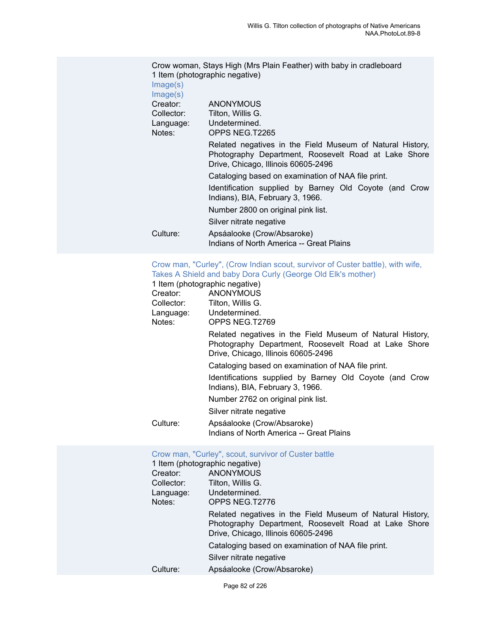|            | Crow woman, Stays High (Mrs Plain Feather) with baby in cradleboard                                                                                      |  |  |
|------------|----------------------------------------------------------------------------------------------------------------------------------------------------------|--|--|
|            | 1 Item (photographic negative)                                                                                                                           |  |  |
| Image(s)   |                                                                                                                                                          |  |  |
| Image(s)   |                                                                                                                                                          |  |  |
| Creator:   | <b>ANONYMOUS</b>                                                                                                                                         |  |  |
| Collector: | Tilton, Willis G.                                                                                                                                        |  |  |
| Language:  | Undetermined.                                                                                                                                            |  |  |
| Notes:     | OPPS NEG.T2265                                                                                                                                           |  |  |
|            | Related negatives in the Field Museum of Natural History,<br>Photography Department, Roosevelt Road at Lake Shore<br>Drive, Chicago, Illinois 60605-2496 |  |  |
|            | Cataloging based on examination of NAA file print.                                                                                                       |  |  |
|            | Identification supplied by Barney Old Coyote (and Crow<br>Indians), BIA, February 3, 1966.                                                               |  |  |
|            | Number 2800 on original pink list.                                                                                                                       |  |  |
|            | Silver nitrate negative                                                                                                                                  |  |  |
| Culture:   | Apsáalooke (Crow/Absaroke)                                                                                                                               |  |  |
|            | Indians of North America -- Great Plains                                                                                                                 |  |  |

#### [Crow man, "Curley", \(Crow Indian scout, survivor of Custer battle\), with wife,](https://ids.si.edu/ids/deliveryService?id=NMNH-T2769-000001) Takes A Shield and baby Dora Curly [\(George](https://ids.si.edu/ids/deliveryService?id=NMNH-T2769-000001) Old Elk's mother)

|            | 1 Item (photographic negative)                                                                                                                           |
|------------|----------------------------------------------------------------------------------------------------------------------------------------------------------|
| Creator:   | ANONYMOUS                                                                                                                                                |
| Collector: | Tilton, Willis G.                                                                                                                                        |
| Language:  | Undetermined.                                                                                                                                            |
| Notes:     | OPPS NEG.T2769                                                                                                                                           |
|            | Related negatives in the Field Museum of Natural History,<br>Photography Department, Roosevelt Road at Lake Shore<br>Drive, Chicago, Illinois 60605-2496 |
|            | Cataloging based on examination of NAA file print.                                                                                                       |
|            | Identifications supplied by Barney Old Coyote (and Crow<br>Indians), BIA, February 3, 1966.                                                              |
|            | Number 2762 on original pink list.                                                                                                                       |
|            | Silver nitrate negative                                                                                                                                  |
| Culture:   | Apsáalooke (Crow/Absaroke)                                                                                                                               |
|            | Indians of North America -- Great Plains                                                                                                                 |

| Crow man, "Curley", scout, survivor of Custer battle<br>1 Item (photographic negative) |                                                                                                                                                          |  |  |
|----------------------------------------------------------------------------------------|----------------------------------------------------------------------------------------------------------------------------------------------------------|--|--|
| Creator:                                                                               | ANONYMOUS                                                                                                                                                |  |  |
| Collector:                                                                             | Tilton, Willis G.                                                                                                                                        |  |  |
| Language:                                                                              | Undetermined.                                                                                                                                            |  |  |
| Notes:<br>OPPS NEG.T2776                                                               |                                                                                                                                                          |  |  |
|                                                                                        | Related negatives in the Field Museum of Natural History,<br>Photography Department, Roosevelt Road at Lake Shore<br>Drive, Chicago, Illinois 60605-2496 |  |  |
|                                                                                        | Cataloging based on examination of NAA file print.                                                                                                       |  |  |
|                                                                                        | Silver nitrate negative                                                                                                                                  |  |  |
| Culture:                                                                               | Apsáalooke (Crow/Absaroke)                                                                                                                               |  |  |
|                                                                                        |                                                                                                                                                          |  |  |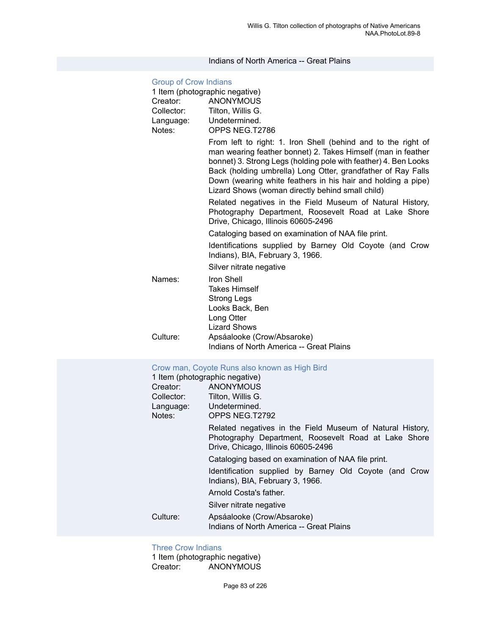#### Indians of North America -- Great Plains

### [Group of Crow Indians](https://ids.si.edu/ids/deliveryService?id=NMNH-T2786-000001) 1 Item (photographic negative) Creator: ANONYMOUS Collector: Tilton, Willis G. Language: Undetermined. Notes: OPPS NEG.T2786 From left to right: 1. Iron Shell (behind and to the right of man wearing feather bonnet) 2. Takes Himself (man in feather bonnet) 3. Strong Legs (holding pole with feather) 4. Ben Looks Back (holding umbrella) Long Otter, grandfather of Ray Falls Down (wearing white feathers in his hair and holding a pipe) Lizard Shows (woman directly behind small child) Related negatives in the Field Museum of Natural History, Photography Department, Roosevelt Road at Lake Shore Drive, Chicago, Illinois 60605-2496 Cataloging based on examination of NAA file print. Identifications supplied by Barney Old Coyote (and Crow Indians), BIA, February 3, 1966. Silver nitrate negative Names: Iron Shell Takes Himself Strong Legs Looks Back, Ben Long Otter Lizard Shows Culture: Apsáalooke (Crow/Absaroke) Indians of North America -- Great Plains [Crow man, Coyote Runs also known as High Bird](https://ids.si.edu/ids/deliveryService?id=NMNH-T2792-000001) 1 Item (photographic negative) Creator: ANONYMOUS Collector: Tilton, Willis G. Language: Undetermined. Notes: OPPS NEG.T2792 Related negatives in the Field Museum of Natural History, Photography Department, Roosevelt Road at Lake Shore Drive, Chicago, Illinois 60605-2496 Cataloging based on examination of NAA file print. Identification supplied by Barney Old Coyote (and Crow Indians), BIA, February 3, 1966. Arnold Costa's father. Silver nitrate negative Culture: Apsáalooke (Crow/Absaroke) Indians of North America -- Great Plains

#### [Three Crow Indians](https://ids.si.edu/ids/deliveryService?id=NMNH-T2793-000001)

1 Item (photographic negative) Creator: ANONYMOUS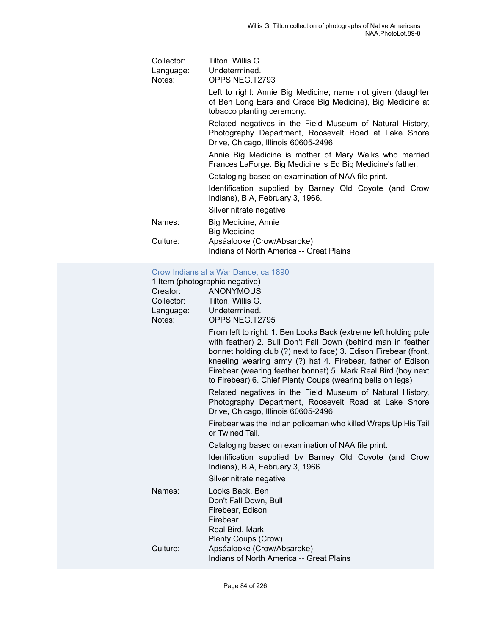| Collector:<br>Language:<br>Notes: | Tilton, Willis G.<br>Undetermined.<br>OPPS NEG.T2793                                                                                                     |  |  |
|-----------------------------------|----------------------------------------------------------------------------------------------------------------------------------------------------------|--|--|
|                                   | Left to right: Annie Big Medicine; name not given (daughter<br>of Ben Long Ears and Grace Big Medicine), Big Medicine at<br>tobacco planting ceremony.   |  |  |
|                                   | Related negatives in the Field Museum of Natural History,<br>Photography Department, Roosevelt Road at Lake Shore<br>Drive, Chicago, Illinois 60605-2496 |  |  |
|                                   | Annie Big Medicine is mother of Mary Walks who married<br>Frances LaForge. Big Medicine is Ed Big Medicine's father.                                     |  |  |
|                                   | Cataloging based on examination of NAA file print.                                                                                                       |  |  |
|                                   | Identification supplied by Barney Old Coyote (and Crow<br>Indians), BIA, February 3, 1966.                                                               |  |  |
|                                   | Silver nitrate negative                                                                                                                                  |  |  |
| Names:                            | Big Medicine, Annie<br><b>Big Medicine</b>                                                                                                               |  |  |
| Culture:                          | Apsáalooke (Crow/Absaroke)<br>Indians of North America -- Great Plains                                                                                   |  |  |

#### Crow [Indians](https://ids.si.edu/ids/deliveryService?id=NMNH-T2795-000001) at a War Dance, ca 1890

|            | 1 Item (photographic negative)                                                                                                                                                                                                                                                                                                                                                                     |  |  |
|------------|----------------------------------------------------------------------------------------------------------------------------------------------------------------------------------------------------------------------------------------------------------------------------------------------------------------------------------------------------------------------------------------------------|--|--|
| Creator:   | <b>ANONYMOUS</b>                                                                                                                                                                                                                                                                                                                                                                                   |  |  |
| Collector: | Tilton, Willis G.                                                                                                                                                                                                                                                                                                                                                                                  |  |  |
| Language:  | Undetermined.                                                                                                                                                                                                                                                                                                                                                                                      |  |  |
| Notes:     | OPPS NEG.T2795                                                                                                                                                                                                                                                                                                                                                                                     |  |  |
|            | From left to right: 1. Ben Looks Back (extreme left holding pole<br>with feather) 2. Bull Don't Fall Down (behind man in feather<br>bonnet holding club (?) next to face) 3. Edison Firebear (front,<br>kneeling wearing army (?) hat 4. Firebear, father of Edison<br>Firebear (wearing feather bonnet) 5. Mark Real Bird (boy next<br>to Firebear) 6. Chief Plenty Coups (wearing bells on legs) |  |  |
|            | Related negatives in the Field Museum of Natural History,<br>Photography Department, Roosevelt Road at Lake Shore<br>Drive, Chicago, Illinois 60605-2496                                                                                                                                                                                                                                           |  |  |
|            | Firebear was the Indian policeman who killed Wraps Up His Tail<br>or Twined Tail.                                                                                                                                                                                                                                                                                                                  |  |  |
|            | Cataloging based on examination of NAA file print.                                                                                                                                                                                                                                                                                                                                                 |  |  |
|            | Identification supplied by Barney Old Coyote (and Crow<br>Indians), BIA, February 3, 1966.                                                                                                                                                                                                                                                                                                         |  |  |
|            | Silver nitrate negative                                                                                                                                                                                                                                                                                                                                                                            |  |  |
| Names:     | Looks Back, Ben<br>Don't Fall Down, Bull                                                                                                                                                                                                                                                                                                                                                           |  |  |
|            | Firebear, Edison                                                                                                                                                                                                                                                                                                                                                                                   |  |  |
|            | Firebear                                                                                                                                                                                                                                                                                                                                                                                           |  |  |
|            | Real Bird, Mark                                                                                                                                                                                                                                                                                                                                                                                    |  |  |
|            | Plenty Coups (Crow)                                                                                                                                                                                                                                                                                                                                                                                |  |  |
| Culture:   | Apsáalooke (Crow/Absaroke)                                                                                                                                                                                                                                                                                                                                                                         |  |  |
|            | Indians of North America -- Great Plains                                                                                                                                                                                                                                                                                                                                                           |  |  |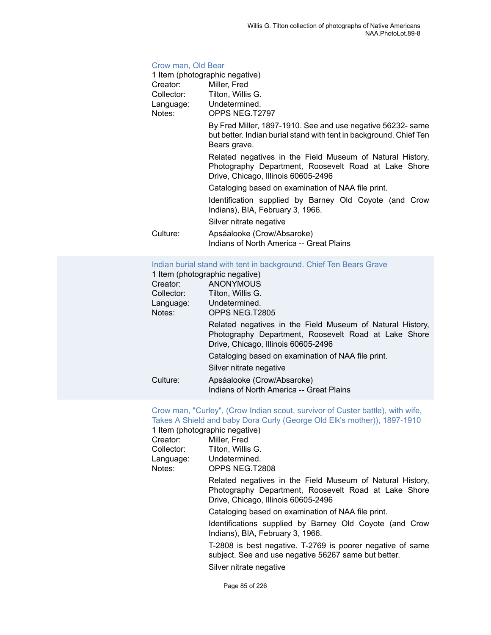#### [Crow man, Old Bear](https://ids.si.edu/ids/deliveryService?id=NMNH-T2797-000001)

|            | 1 Item (photographic negative)                                                                                                                           |
|------------|----------------------------------------------------------------------------------------------------------------------------------------------------------|
| Creator:   | Miller, Fred                                                                                                                                             |
| Collector: | Tilton, Willis G.                                                                                                                                        |
|            | Language: Undetermined.                                                                                                                                  |
| Notes:     | OPPS NEG.T2797                                                                                                                                           |
|            | By Fred Miller, 1897-1910. See and use negative 56232- same<br>but better. Indian burial stand with tent in background. Chief Ten<br>Bears grave.        |
|            | Related negatives in the Field Museum of Natural History,<br>Photography Department, Roosevelt Road at Lake Shore<br>Drive, Chicago, Illinois 60605-2496 |
|            | Cataloging based on examination of NAA file print.                                                                                                       |
|            | Identification supplied by Barney Old Coyote (and Crow<br>Indians), BIA, February 3, 1966.                                                               |
|            | Silver nitrate negative                                                                                                                                  |
| Culture:   | Apsáalooke (Crow/Absaroke)<br>Indians of North America -- Great Plains                                                                                   |

#### Indian burial stand with tent in [background.](https://ids.si.edu/ids/deliveryService?id=NMNH-T2805-000001) Chief Ten Bears Grave

|            | 1 Item (photographic negative)                                                                                                                           |
|------------|----------------------------------------------------------------------------------------------------------------------------------------------------------|
| Creator:   | ANONYMOUS                                                                                                                                                |
| Collector: | Tilton, Willis G.                                                                                                                                        |
| Language:  | Undetermined.                                                                                                                                            |
| Notes:     | OPPS NEG.T2805                                                                                                                                           |
|            | Related negatives in the Field Museum of Natural History,<br>Photography Department, Roosevelt Road at Lake Shore<br>Drive, Chicago, Illinois 60605-2496 |
|            | Cataloging based on examination of NAA file print.                                                                                                       |
|            | Silver nitrate negative                                                                                                                                  |
| Culture:   | Apsáalooke (Crow/Absaroke)<br>Indians of North America -- Great Plains                                                                                   |

#### [Crow man, "Curley", \(Crow Indian scout, survivor of Custer battle\), with wife,](https://ids.si.edu/ids/deliveryService?id=NMNH-T2808-000001) Takes A Shield and baby Dora Curly (George Old Elk's mother)), [1897-1910](https://ids.si.edu/ids/deliveryService?id=NMNH-T2808-000001)

1 Item (photographic negative)

| Creator:   | Miller, Fred      |
|------------|-------------------|
| Collector: | Tilton. Willis G. |
| Language:  | Undetermined.     |
| Notes:     | OPPS NEG.T2808    |
|            |                   |

Related negatives in the Field Museum of Natural History, Photography Department, Roosevelt Road at Lake Shore Drive, Chicago, Illinois 60605-2496

Cataloging based on examination of NAA file print.

Identifications supplied by Barney Old Coyote (and Crow Indians), BIA, February 3, 1966.

T-2808 is best negative. T-2769 is poorer negative of same subject. See and use negative 56267 same but better.

Silver nitrate negative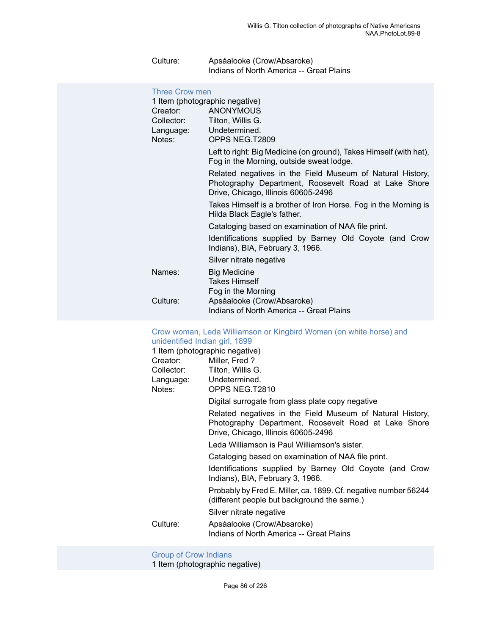| Culture: | Apsáalooke (Crow/Absaroke)               |
|----------|------------------------------------------|
|          | Indians of North America -- Great Plains |

| <b>Three Crow men</b><br>1 Item (photographic negative) |                                                                                                                                                          |
|---------------------------------------------------------|----------------------------------------------------------------------------------------------------------------------------------------------------------|
| Creator:                                                | <b>ANONYMOUS</b>                                                                                                                                         |
|                                                         | Collector: Tilton, Willis G.                                                                                                                             |
| Language:                                               | Undetermined.                                                                                                                                            |
| Notes:                                                  | OPPS NEG.T2809                                                                                                                                           |
|                                                         | Left to right: Big Medicine (on ground), Takes Himself (with hat),<br>Fog in the Morning, outside sweat lodge.                                           |
|                                                         | Related negatives in the Field Museum of Natural History,<br>Photography Department, Roosevelt Road at Lake Shore<br>Drive, Chicago, Illinois 60605-2496 |
|                                                         | Takes Himself is a brother of Iron Horse. Fog in the Morning is<br>Hilda Black Eagle's father.                                                           |
|                                                         | Cataloging based on examination of NAA file print.                                                                                                       |
|                                                         | Identifications supplied by Barney Old Coyote (and Crow<br>Indians), BIA, February 3, 1966.                                                              |
|                                                         | Silver nitrate negative                                                                                                                                  |
| Names:                                                  | <b>Big Medicine</b>                                                                                                                                      |
|                                                         | <b>Takes Himself</b>                                                                                                                                     |
|                                                         | Fog in the Morning                                                                                                                                       |
| Culture:                                                | Apsáalooke (Crow/Absaroke)                                                                                                                               |
|                                                         | Indians of North America -- Great Plains                                                                                                                 |

### Crow woman, Leda [Williamson](https://ids.si.edu/ids/deliveryService?id=NMNH-T2810-000001) or Kingbird Woman (on white horse) and

| unidentified Indian girl, 1899 |                                                                                                                                                          |
|--------------------------------|----------------------------------------------------------------------------------------------------------------------------------------------------------|
|                                | 1 Item (photographic negative)                                                                                                                           |
| Creator:                       | Miller, Fred?                                                                                                                                            |
|                                | Collector: Tilton, Willis G.                                                                                                                             |
|                                | Language: Undetermined.                                                                                                                                  |
| Notes:                         | OPPS NEG.T2810                                                                                                                                           |
|                                | Digital surrogate from glass plate copy negative                                                                                                         |
|                                | Related negatives in the Field Museum of Natural History,<br>Photography Department, Roosevelt Road at Lake Shore<br>Drive, Chicago, Illinois 60605-2496 |
|                                | Leda Williamson is Paul Williamson's sister.                                                                                                             |
|                                | Cataloging based on examination of NAA file print.                                                                                                       |
|                                | Identifications supplied by Barney Old Coyote (and Crow<br>Indians), BIA, February 3, 1966.                                                              |
|                                | Probably by Fred E. Miller, ca. 1899. Cf. negative number 56244<br>(different people but background the same.)                                           |
|                                | Silver nitrate negative                                                                                                                                  |
| Culture:                       | Apsáalooke (Crow/Absaroke)                                                                                                                               |
|                                | Indians of North America -- Great Plains                                                                                                                 |
|                                |                                                                                                                                                          |

[Group of Crow Indians](https://ids.si.edu/ids/deliveryService?id=NMNH-T2813-000001)

1 Item (photographic negative)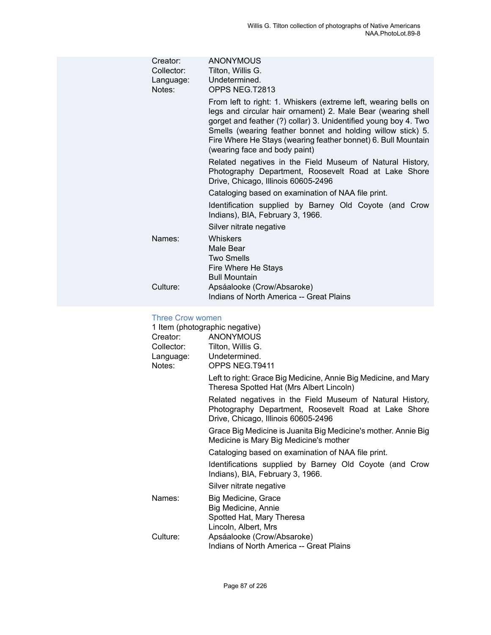| Creator:<br>Collector:<br>Language:<br>Notes: | ANONYMOUS<br>Tilton, Willis G.<br>Undetermined.<br>OPPS NEG.T2813                                                                                                                                                                                                                                                                                                   |
|-----------------------------------------------|---------------------------------------------------------------------------------------------------------------------------------------------------------------------------------------------------------------------------------------------------------------------------------------------------------------------------------------------------------------------|
|                                               | From left to right: 1. Whiskers (extreme left, wearing bells on<br>legs and circular hair ornament) 2. Male Bear (wearing shell<br>gorget and feather (?) collar) 3. Unidentified young boy 4. Two<br>Smells (wearing feather bonnet and holding willow stick) 5.<br>Fire Where He Stays (wearing feather bonnet) 6. Bull Mountain<br>(wearing face and body paint) |
|                                               | Related negatives in the Field Museum of Natural History,<br>Photography Department, Roosevelt Road at Lake Shore<br>Drive, Chicago, Illinois 60605-2496                                                                                                                                                                                                            |
|                                               | Cataloging based on examination of NAA file print.                                                                                                                                                                                                                                                                                                                  |
|                                               | Identification supplied by Barney Old Coyote (and Crow<br>Indians), BIA, February 3, 1966.                                                                                                                                                                                                                                                                          |
|                                               | Silver nitrate negative                                                                                                                                                                                                                                                                                                                                             |
| Names:                                        | Whiskers<br>Male Bear<br><b>Two Smells</b><br>Fire Where He Stays<br><b>Bull Mountain</b>                                                                                                                                                                                                                                                                           |
| Culture:                                      | Apsáalooke (Crow/Absaroke)<br>Indians of North America -- Great Plains                                                                                                                                                                                                                                                                                              |
|                                               |                                                                                                                                                                                                                                                                                                                                                                     |

#### [Three Crow women](https://ids.si.edu/ids/deliveryService?id=NMNH-T9411-000001)

|            | 1 Item (photographic negative)                                                                                                                           |
|------------|----------------------------------------------------------------------------------------------------------------------------------------------------------|
| Creator:   | <b>ANONYMOUS</b>                                                                                                                                         |
| Collector: | Tilton, Willis G.                                                                                                                                        |
| Language:  | Undetermined.                                                                                                                                            |
| Notes:     | OPPS NEG.T9411                                                                                                                                           |
|            | Left to right: Grace Big Medicine, Annie Big Medicine, and Mary<br>Theresa Spotted Hat (Mrs Albert Lincoln)                                              |
|            | Related negatives in the Field Museum of Natural History,<br>Photography Department, Roosevelt Road at Lake Shore<br>Drive, Chicago, Illinois 60605-2496 |
|            | Grace Big Medicine is Juanita Big Medicine's mother. Annie Big<br>Medicine is Mary Big Medicine's mother                                                 |
|            | Cataloging based on examination of NAA file print.                                                                                                       |
|            | Identifications supplied by Barney Old Coyote (and Crow<br>Indians), BIA, February 3, 1966.                                                              |
|            | Silver nitrate negative                                                                                                                                  |
| Names:     | Big Medicine, Grace                                                                                                                                      |
|            | Big Medicine, Annie                                                                                                                                      |
|            | Spotted Hat, Mary Theresa                                                                                                                                |
|            | Lincoln, Albert, Mrs                                                                                                                                     |
| Culture:   | Apsáalooke (Crow/Absaroke)                                                                                                                               |
|            | Indians of North America -- Great Plains                                                                                                                 |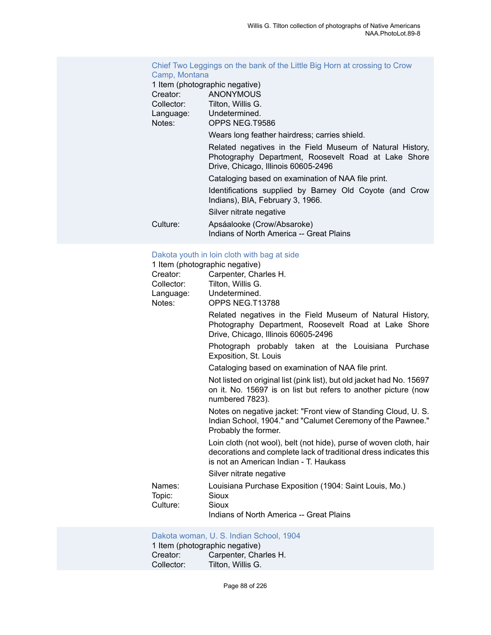#### Chief Two [Leggings](https://ids.si.edu/ids/deliveryService?id=NMNH-T9586-000001) on the bank of the Little Big Horn at crossing to Crow [Camp, Montana](https://ids.si.edu/ids/deliveryService?id=NMNH-T9586-000001)

#### 1 Item (photographic negative)

|            | T Rent (priotographic riegative)                                                                                                                         |
|------------|----------------------------------------------------------------------------------------------------------------------------------------------------------|
| Creator:   | <b>ANONYMOUS</b>                                                                                                                                         |
| Collector: | Tilton. Willis G.                                                                                                                                        |
| Language:  | Undetermined.                                                                                                                                            |
| Notes:     | OPPS NEG.T9586                                                                                                                                           |
|            | Wears long feather hairdress; carries shield.                                                                                                            |
|            | Related negatives in the Field Museum of Natural History,<br>Photography Department, Roosevelt Road at Lake Shore<br>Drive, Chicago, Illinois 60605-2496 |
|            | Cataloging based on examination of NAA file print.                                                                                                       |
|            | Identifications supplied by Barney Old Coyote (and Crow<br>Indians), BIA, February 3, 1966.                                                              |
|            | Silver nitrate negative                                                                                                                                  |
| Culture:   | Apsáalooke (Crow/Absaroke)                                                                                                                               |
|            | Indians of North America -- Great Plains                                                                                                                 |

#### [Dakota youth in loin cloth with bag at side](https://ids.si.edu/ids/deliveryService?id=NMNH-T13788-000001)

| Creator:<br>Collector:       | 1 Item (photographic negative)<br>Carpenter, Charles H.<br>Tilton, Willis G.                                                                                                      |
|------------------------------|-----------------------------------------------------------------------------------------------------------------------------------------------------------------------------------|
| Language:<br>Notes:          | Undetermined.<br>OPPS NEG.T13788                                                                                                                                                  |
|                              | Related negatives in the Field Museum of Natural History,<br>Photography Department, Roosevelt Road at Lake Shore<br>Drive, Chicago, Illinois 60605-2496                          |
|                              | Photograph probably taken at the Louisiana Purchase<br>Exposition, St. Louis                                                                                                      |
|                              | Cataloging based on examination of NAA file print.                                                                                                                                |
|                              | Not listed on original list (pink list), but old jacket had No. 15697<br>on it. No. 15697 is on list but refers to another picture (now<br>numbered 7823).                        |
|                              | Notes on negative jacket: "Front view of Standing Cloud, U.S.<br>Indian School, 1904." and "Calumet Ceremony of the Pawnee."<br>Probably the former.                              |
|                              | Loin cloth (not wool), belt (not hide), purse of woven cloth, hair<br>decorations and complete lack of traditional dress indicates this<br>is not an American Indian - T. Haukass |
|                              | Silver nitrate negative                                                                                                                                                           |
| Names:<br>Topic:<br>Culture: | Louisiana Purchase Exposition (1904: Saint Louis, Mo.)<br>Sioux<br>Sioux                                                                                                          |
|                              | Indians of North America -- Great Plains                                                                                                                                          |

#### [Dakota woman, U. S. Indian School, 1904](https://ids.si.edu/ids/deliveryService?id=NMNH-T15300-000001)

|            | 1 Item (photographic negative) |
|------------|--------------------------------|
| Creator:   | Carpenter, Charles H.          |
| Collector: | Tilton, Willis G.              |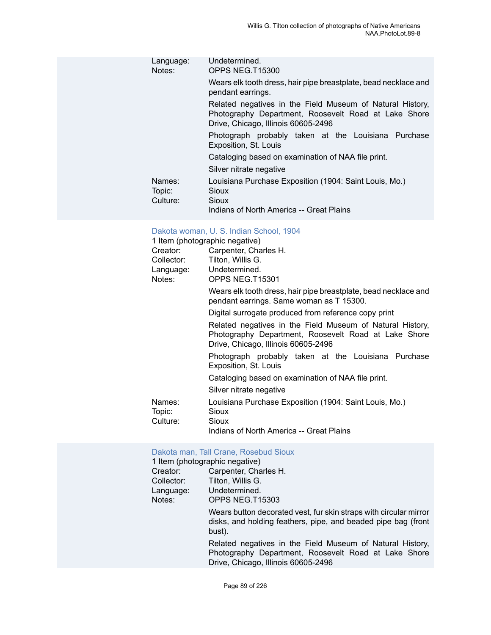| Language:<br>Notes:          | Undetermined.<br>OPPS NEG.T15300                                                                                                                         |
|------------------------------|----------------------------------------------------------------------------------------------------------------------------------------------------------|
|                              | Wears elk tooth dress, hair pipe breastplate, bead necklace and<br>pendant earrings.                                                                     |
|                              | Related negatives in the Field Museum of Natural History,<br>Photography Department, Roosevelt Road at Lake Shore<br>Drive, Chicago, Illinois 60605-2496 |
|                              | Photograph probably taken at the Louisiana Purchase<br>Exposition, St. Louis                                                                             |
|                              | Cataloging based on examination of NAA file print.                                                                                                       |
|                              | Silver nitrate negative                                                                                                                                  |
| Names:<br>Topic:<br>Culture: | Louisiana Purchase Exposition (1904: Saint Louis, Mo.)<br>Sioux<br>Sioux                                                                                 |
|                              | Indians of North America -- Great Plains                                                                                                                 |

## [Dakota woman, U. S. Indian School, 1904](https://ids.si.edu/ids/deliveryService?id=NMNH-T15301-000001)

|            | 1 Item (photographic negative)                                                                                                                           |
|------------|----------------------------------------------------------------------------------------------------------------------------------------------------------|
| Creator:   | Carpenter, Charles H.                                                                                                                                    |
| Collector: | Tilton, Willis G.                                                                                                                                        |
|            | Language: Undetermined.                                                                                                                                  |
| Notes:     | OPPS NEG.T15301                                                                                                                                          |
|            | Wears elk tooth dress, hair pipe breastplate, bead necklace and<br>pendant earrings. Same woman as T 15300.                                              |
|            | Digital surrogate produced from reference copy print                                                                                                     |
|            | Related negatives in the Field Museum of Natural History,<br>Photography Department, Roosevelt Road at Lake Shore<br>Drive, Chicago, Illinois 60605-2496 |
|            | Photograph probably taken at the Louisiana Purchase<br>Exposition, St. Louis                                                                             |
|            | Cataloging based on examination of NAA file print.                                                                                                       |
|            | Silver nitrate negative                                                                                                                                  |
| Names:     | Louisiana Purchase Exposition (1904: Saint Louis, Mo.)                                                                                                   |
| Topic:     | Sioux                                                                                                                                                    |
| Culture:   | Sioux                                                                                                                                                    |
|            | Indians of North America -- Great Plains                                                                                                                 |

#### Dakota man, Tall Crane, [Rosebud](https://ids.si.edu/ids/deliveryService?id=NMNH-T15303-000001) Sioux

|            | 1 Item (photographic negative)                                                                                                                           |
|------------|----------------------------------------------------------------------------------------------------------------------------------------------------------|
| Creator:   | Carpenter, Charles H.                                                                                                                                    |
| Collector: | Tilton, Willis G.                                                                                                                                        |
| Language:  | Undetermined.                                                                                                                                            |
| Notes:     | OPPS NEG.T15303                                                                                                                                          |
|            | Wears button decorated vest, fur skin straps with circular mirror<br>disks, and holding feathers, pipe, and beaded pipe bag (front<br>bust).             |
|            | Related negatives in the Field Museum of Natural History,<br>Photography Department, Roosevelt Road at Lake Shore<br>Drive, Chicago, Illinois 60605-2496 |
|            |                                                                                                                                                          |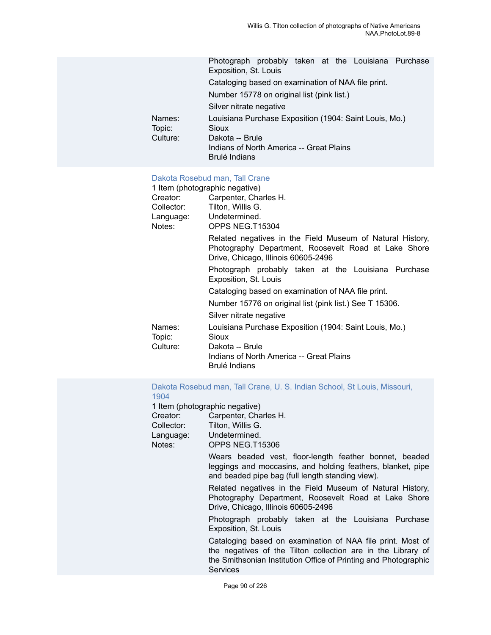|                              | Photograph probably taken at the Louisiana Purchase<br>Exposition, St. Louis              |
|------------------------------|-------------------------------------------------------------------------------------------|
|                              | Cataloging based on examination of NAA file print.                                        |
|                              | Number 15778 on original list (pink list.)                                                |
|                              | Silver nitrate negative                                                                   |
| Names:<br>Topic:<br>Culture: | Louisiana Purchase Exposition (1904: Saint Louis, Mo.)<br><b>Sioux</b><br>Dakota -- Brule |
|                              | Indians of North America -- Great Plains<br>Brulé Indians                                 |

#### Dakota [Rosebud](https://ids.si.edu/ids/deliveryService?id=NMNH-T15304-000001) man, Tall Crane

|                  | 1 Item (photographic negative)                                                                                                                           |
|------------------|----------------------------------------------------------------------------------------------------------------------------------------------------------|
| Creator: Creator | Carpenter, Charles H.                                                                                                                                    |
|                  | Collector: Tilton, Willis G.                                                                                                                             |
|                  | Language: Undetermined.                                                                                                                                  |
| Notes:           | OPPS NEG.T15304                                                                                                                                          |
|                  | Related negatives in the Field Museum of Natural History,<br>Photography Department, Roosevelt Road at Lake Shore<br>Drive, Chicago, Illinois 60605-2496 |
|                  | Photograph probably taken at the Louisiana Purchase<br>Exposition, St. Louis                                                                             |
|                  | Cataloging based on examination of NAA file print.                                                                                                       |
|                  | Number 15776 on original list (pink list.) See T 15306.                                                                                                  |
|                  | Silver nitrate negative                                                                                                                                  |
| Names:<br>Topic: | Louisiana Purchase Exposition (1904: Saint Louis, Mo.)<br>Sioux                                                                                          |
| Culture: .       | Dakota -- Brule<br>Indians of North America -- Great Plains<br>Brulé Indians                                                                             |

Dakota [Rosebud](https://ids.si.edu/ids/deliveryService?id=NMNH-T15306-000001) man, Tall Crane, U. S. Indian School, St Louis, Missouri, [1904](https://ids.si.edu/ids/deliveryService?id=NMNH-T15306-000001)

1 Item (photographic negative)

Creator: Carpenter, Charles H.

Collector: Tilton, Willis G. Language: Undetermined.

Notes: OPPS NEG.T15306

Wears beaded vest, floor-length feather bonnet, beaded leggings and moccasins, and holding feathers, blanket, pipe and beaded pipe bag (full length standing view).

Related negatives in the Field Museum of Natural History, Photography Department, Roosevelt Road at Lake Shore Drive, Chicago, Illinois 60605-2496

Photograph probably taken at the Louisiana Purchase Exposition, St. Louis

Cataloging based on examination of NAA file print. Most of the negatives of the Tilton collection are in the Library of the Smithsonian Institution Office of Printing and Photographic **Services**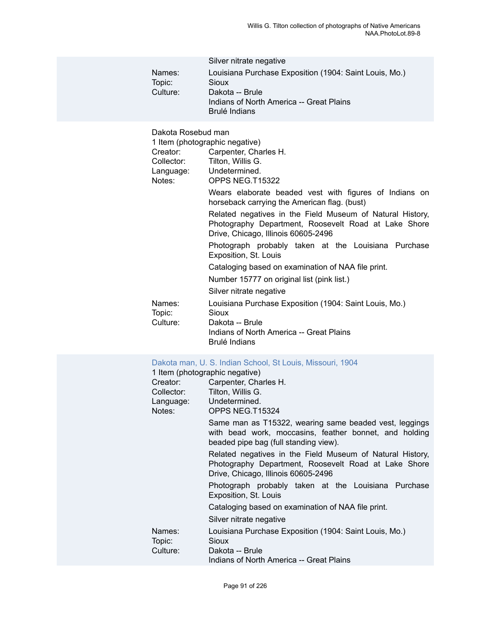| Names:<br>Topic:<br>Culture:                                        | Silver nitrate negative<br>Louisiana Purchase Exposition (1904: Saint Louis, Mo.)<br>Sioux<br>Dakota -- Brule<br>Indians of North America -- Great Plains<br><b>Brulé Indians</b>                                                                                                                                                                                                                                                                                                                                                                                                                     |
|---------------------------------------------------------------------|-------------------------------------------------------------------------------------------------------------------------------------------------------------------------------------------------------------------------------------------------------------------------------------------------------------------------------------------------------------------------------------------------------------------------------------------------------------------------------------------------------------------------------------------------------------------------------------------------------|
| Dakota Rosebud man<br>Creator:<br>Collector:<br>Language:<br>Notes: | 1 Item (photographic negative)<br>Carpenter, Charles H.<br>Tilton, Willis G.<br>Undetermined.<br>OPPS NEG.T15322<br>Wears elaborate beaded vest with figures of Indians on<br>horseback carrying the American flag. (bust)<br>Related negatives in the Field Museum of Natural History,<br>Photography Department, Roosevelt Road at Lake Shore<br>Drive, Chicago, Illinois 60605-2496<br>Photograph probably taken at the Louisiana Purchase<br>Exposition, St. Louis<br>Cataloging based on examination of NAA file print.<br>Number 15777 on original list (pink list.)<br>Silver nitrate negative |
| Names:<br>Topic:<br>Culture:                                        | Louisiana Purchase Exposition (1904: Saint Louis, Mo.)<br>Sioux<br>Dakota -- Brule<br>Indians of North America -- Great Plains<br><b>Brulé Indians</b>                                                                                                                                                                                                                                                                                                                                                                                                                                                |
| Creator:<br>Collector:<br>Language:<br>$N = \{x, y, z\}$            | Dakota man, U. S. Indian School, St Louis, Missouri, 1904<br>1 Item (photographic negative)<br>Carpenter, Charles H.<br>Tilton, Willis G.<br>Undetermined.<br>ODDO NIEO TAE224                                                                                                                                                                                                                                                                                                                                                                                                                        |

| Notes:           | OPPS NEG.T15324                                                                                                                                           |
|------------------|-----------------------------------------------------------------------------------------------------------------------------------------------------------|
|                  | Same man as T15322, wearing same beaded vest, leggings<br>with bead work, moccasins, feather bonnet, and holding<br>beaded pipe bag (full standing view). |
|                  | Related negatives in the Field Museum of Natural History,<br>Photography Department, Roosevelt Road at Lake Shore<br>Drive, Chicago, Illinois 60605-2496  |
|                  | Photograph probably taken at the Louisiana Purchase<br>Exposition, St. Louis                                                                              |
|                  | Cataloging based on examination of NAA file print.                                                                                                        |
|                  | Silver nitrate negative                                                                                                                                   |
| Names:<br>Topic: | Louisiana Purchase Exposition (1904: Saint Louis, Mo.)<br>Sioux                                                                                           |
| Culture:         | Dakota -- Brule                                                                                                                                           |
|                  | Indians of North America -- Great Plains                                                                                                                  |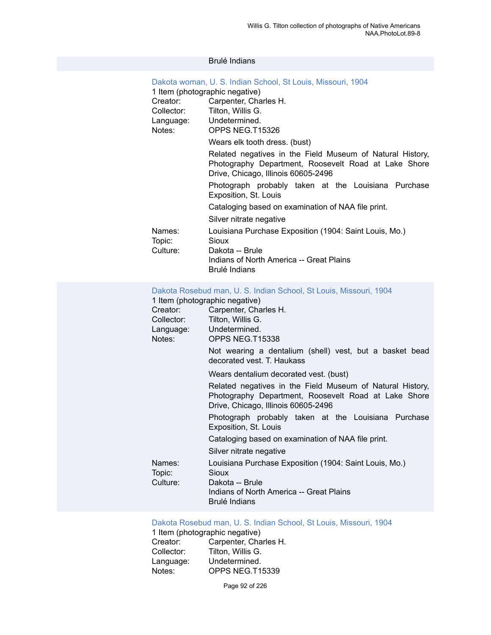#### Brulé Indians

| Dakota woman, U. S. Indian School, St Louis, Missouri, 1904 |                                                                                                                                                          |  |
|-------------------------------------------------------------|----------------------------------------------------------------------------------------------------------------------------------------------------------|--|
|                                                             | 1 Item (photographic negative)                                                                                                                           |  |
|                                                             | Creator: Carpenter, Charles H.                                                                                                                           |  |
|                                                             | Collector: Tilton, Willis G.                                                                                                                             |  |
|                                                             | Language: Undetermined.                                                                                                                                  |  |
| Notes:                                                      | OPPS NEG.T15326                                                                                                                                          |  |
|                                                             | Wears elk tooth dress. (bust)                                                                                                                            |  |
|                                                             | Related negatives in the Field Museum of Natural History,<br>Photography Department, Roosevelt Road at Lake Shore<br>Drive, Chicago, Illinois 60605-2496 |  |
|                                                             | Photograph probably taken at the Louisiana Purchase<br>Exposition, St. Louis                                                                             |  |
|                                                             | Cataloging based on examination of NAA file print.                                                                                                       |  |
|                                                             | Silver nitrate negative                                                                                                                                  |  |
| Names:<br>Topic:<br>Culture:                                | Louisiana Purchase Exposition (1904: Saint Louis, Mo.)<br>Sioux<br>Dakota -- Brule<br>Indians of North America -- Great Plains<br>Brulé Indians          |  |

#### [Dakota Rosebud man, U. S. Indian School, St Louis, Missouri, 1904](https://ids.si.edu/ids/deliveryService?id=NMNH-T15338-000001)

|                  | 1 Item (photographic negative)                                                                                                                           |
|------------------|----------------------------------------------------------------------------------------------------------------------------------------------------------|
| Creator:         | Carpenter, Charles H.                                                                                                                                    |
| Collector:       | Tilton, Willis G.                                                                                                                                        |
|                  | Language: Undetermined.                                                                                                                                  |
| Notes:           | OPPS NEG.T15338                                                                                                                                          |
|                  | Not wearing a dentalium (shell) vest, but a basket bead<br>decorated vest. T. Haukass                                                                    |
|                  | Wears dentalium decorated vest. (bust)                                                                                                                   |
|                  | Related negatives in the Field Museum of Natural History,<br>Photography Department, Roosevelt Road at Lake Shore<br>Drive, Chicago, Illinois 60605-2496 |
|                  | Photograph probably taken at the Louisiana Purchase<br>Exposition, St. Louis                                                                             |
|                  | Cataloging based on examination of NAA file print.                                                                                                       |
|                  | Silver nitrate negative                                                                                                                                  |
| Names:<br>Topic: | Louisiana Purchase Exposition (1904: Saint Louis, Mo.)<br>Sioux                                                                                          |
| Culture:         | Dakota -- Brule                                                                                                                                          |
|                  | Indians of North America -- Great Plains<br><b>Brulé Indians</b>                                                                                         |
|                  |                                                                                                                                                          |

#### [Dakota Rosebud man, U. S. Indian School, St Louis, Missouri, 1904](https://ids.si.edu/ids/deliveryService?id=NMNH-T15339-000001)

| 1 Item (photographic negative) |                       |  |
|--------------------------------|-----------------------|--|
| Creator:                       | Carpenter, Charles H. |  |
| Collector:                     | Tilton, Willis G.     |  |
| Language:                      | Undetermined.         |  |
| Notes:                         | OPPS NEG.T15339       |  |

Page 92 of 226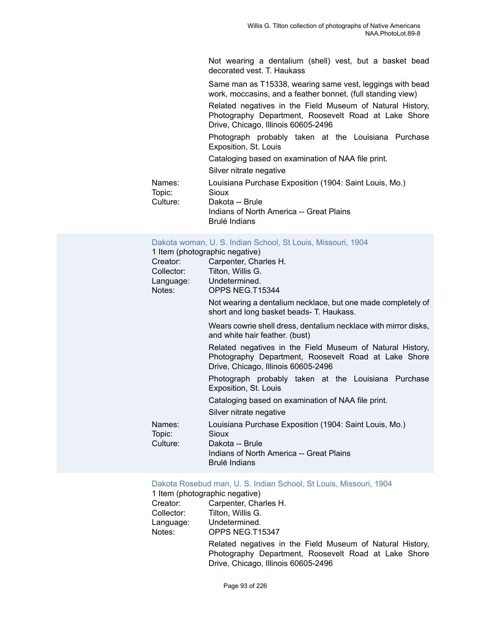Not wearing a dentalium (shell) vest, but a basket bead decorated vest. T. Haukass

Same man as T15338, wearing same vest, leggings with bead work, moccasins, and a feather bonnet. (full standing view)

Related negatives in the Field Museum of Natural History, Photography Department, Roosevelt Road at Lake Shore Drive, Chicago, Illinois 60605-2496

Photograph probably taken at the Louisiana Purchase Exposition, St. Louis

Cataloging based on examination of NAA file print.

Silver nitrate negative

| Names:   | Louisiana Purchase Exposition (1904: Saint Louis, Mo.) |
|----------|--------------------------------------------------------|
| Topic:   | Sioux                                                  |
| Culture: | Dakota -- Brule                                        |
|          | Indians of North America -- Great Plains               |
|          | Brulé Indians                                          |

[Dakota woman, U. S. Indian School, St Louis, Missouri, 1904](https://ids.si.edu/ids/deliveryService?id=NMNH-T15344-000001)

1 Item (photographic negative)

| Creator:         | Carpenter, Charles H.                                                                                                                                    |
|------------------|----------------------------------------------------------------------------------------------------------------------------------------------------------|
| Collector:       | Tilton, Willis G.                                                                                                                                        |
|                  | Language: Undetermined.                                                                                                                                  |
| Notes:           | OPPS NEG.T15344                                                                                                                                          |
|                  | Not wearing a dentalium necklace, but one made completely of<br>short and long basket beads- T. Haukass.                                                 |
|                  | Wears cowrie shell dress, dentalium necklace with mirror disks,<br>and white hair feather. (bust)                                                        |
|                  | Related negatives in the Field Museum of Natural History,<br>Photography Department, Roosevelt Road at Lake Shore<br>Drive, Chicago, Illinois 60605-2496 |
|                  | Photograph probably taken at the Louisiana Purchase<br>Exposition, St. Louis                                                                             |
|                  | Cataloging based on examination of NAA file print.                                                                                                       |
|                  | Silver nitrate negative                                                                                                                                  |
| Names:<br>Topic: | Louisiana Purchase Exposition (1904: Saint Louis, Mo.)<br>Sioux                                                                                          |
| Culture:         | Dakota -- Brule<br>Indians of North America -- Great Plains<br><b>Brulé Indians</b>                                                                      |

[Dakota Rosebud man, U. S. Indian School, St Louis, Missouri, 1904](https://ids.si.edu/ids/deliveryService?id=NMNH-T15347-000001)

1 Item (photographic negative) Creator: Carpenter, Charles H. Collector: Tilton, Willis G. Language: Undetermined. Notes: OPPS NEG.T15347 Related negatives in the Field Museum of Natural History, Photography Department, Roosevelt Road at Lake Shore Drive, Chicago, Illinois 60605-2496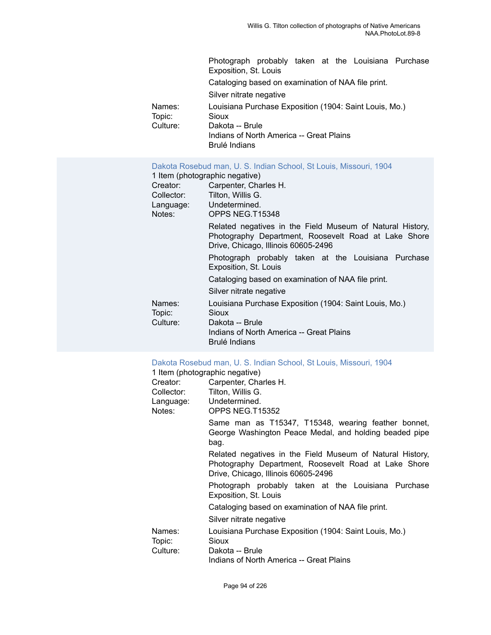|                  | Photograph probably taken at the Louisiana Purchase<br>Exposition, St. Louis        |
|------------------|-------------------------------------------------------------------------------------|
|                  | Cataloging based on examination of NAA file print.                                  |
|                  | Silver nitrate negative                                                             |
| Names:<br>Topic: | Louisiana Purchase Exposition (1904: Saint Louis, Mo.)<br>Sioux                     |
| Culture:         | Dakota -- Brule<br>Indians of North America -- Great Plains<br><b>Brulé Indians</b> |
|                  |                                                                                     |

#### [Dakota Rosebud man, U. S. Indian School, St Louis, Missouri, 1904](https://ids.si.edu/ids/deliveryService?id=NMNH-T15348-000001)

| 1 Item (photographic negative)                                                                                                                           |
|----------------------------------------------------------------------------------------------------------------------------------------------------------|
| Carpenter, Charles H.                                                                                                                                    |
| Tilton, Willis G.                                                                                                                                        |
| Language: Undetermined.                                                                                                                                  |
| OPPS NEG.T15348                                                                                                                                          |
| Related negatives in the Field Museum of Natural History,<br>Photography Department, Roosevelt Road at Lake Shore<br>Drive, Chicago, Illinois 60605-2496 |
| Photograph probably taken at the Louisiana Purchase<br>Exposition, St. Louis                                                                             |
| Cataloging based on examination of NAA file print.                                                                                                       |
| Silver nitrate negative                                                                                                                                  |
| Louisiana Purchase Exposition (1904: Saint Louis, Mo.)<br>Sioux<br>Dakota -- Brule                                                                       |
| Indians of North America -- Great Plains<br>Brulé Indians                                                                                                |
|                                                                                                                                                          |

#### [Dakota Rosebud man, U. S. Indian School, St Louis, Missouri, 1904](https://ids.si.edu/ids/deliveryService?id=NMNH-T15352-000001)

1 Item (photographic negative)

|            | 1 Item (photographic negative)                                                                                                                           |
|------------|----------------------------------------------------------------------------------------------------------------------------------------------------------|
| Creator:   | Carpenter, Charles H.                                                                                                                                    |
| Collector: | Tilton, Willis G.                                                                                                                                        |
| Language:  | Undetermined.                                                                                                                                            |
| Notes:     | OPPS NEG.T15352                                                                                                                                          |
|            | Same man as T15347, T15348, wearing feather bonnet,<br>George Washington Peace Medal, and holding beaded pipe<br>bag.                                    |
|            | Related negatives in the Field Museum of Natural History,<br>Photography Department, Roosevelt Road at Lake Shore<br>Drive, Chicago, Illinois 60605-2496 |
|            | Photograph probably taken at the Louisiana Purchase<br>Exposition, St. Louis                                                                             |
|            | Cataloging based on examination of NAA file print.                                                                                                       |
|            | Silver nitrate negative                                                                                                                                  |
| Names:     | Louisiana Purchase Exposition (1904: Saint Louis, Mo.)                                                                                                   |
| Topic:     | Sioux                                                                                                                                                    |
| Culture:   | Dakota -- Brule                                                                                                                                          |
|            | Indians of North America -- Great Plains                                                                                                                 |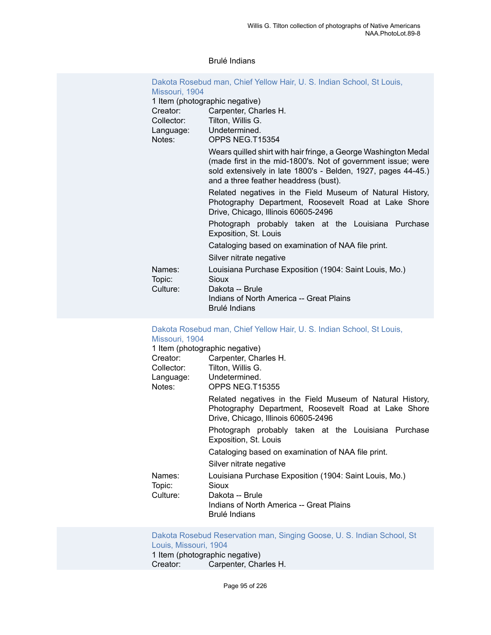#### Brulé Indians

|                                | Dakota Rosebud man, Chief Yellow Hair, U. S. Indian School, St Louis,                                                                                                                                                                     |
|--------------------------------|-------------------------------------------------------------------------------------------------------------------------------------------------------------------------------------------------------------------------------------------|
| Missouri, 1904                 |                                                                                                                                                                                                                                           |
| 1 Item (photographic negative) |                                                                                                                                                                                                                                           |
| Creator:                       | Carpenter, Charles H.                                                                                                                                                                                                                     |
| Collector:                     | Tilton, Willis G.                                                                                                                                                                                                                         |
| Language:                      | Undetermined.                                                                                                                                                                                                                             |
| Notes:                         | OPPS NEG.T15354                                                                                                                                                                                                                           |
|                                | Wears quilled shirt with hair fringe, a George Washington Medal<br>(made first in the mid-1800's. Not of government issue; were<br>sold extensively in late 1800's - Belden, 1927, pages 44-45.)<br>and a three feather headdress (bust). |
|                                | Related negatives in the Field Museum of Natural History,<br>Photography Department, Roosevelt Road at Lake Shore<br>Drive, Chicago, Illinois 60605-2496                                                                                  |
|                                | Photograph probably taken at the Louisiana Purchase<br>Exposition, St. Louis                                                                                                                                                              |
|                                | Cataloging based on examination of NAA file print.                                                                                                                                                                                        |
|                                | Silver nitrate negative                                                                                                                                                                                                                   |
| Names:<br>Topic:<br>Culture:   | Louisiana Purchase Exposition (1904: Saint Louis, Mo.)<br>Sioux<br>Dakota -- Brule<br>Indians of North America -- Great Plains<br><b>Brulé Indians</b>                                                                                    |

### Dakota [Rosebud](https://ids.si.edu/ids/deliveryService?id=NMNH-T15355-000001) man, Chief Yellow Hair, U. S. Indian School, St Louis, [Missouri, 1904](https://ids.si.edu/ids/deliveryService?id=NMNH-T15355-000001)<br>1 Item (photogr

|                              | 1 Item (photographic negative)                                                                                                                           |
|------------------------------|----------------------------------------------------------------------------------------------------------------------------------------------------------|
| Creator: Creator             | Carpenter, Charles H.                                                                                                                                    |
| Collector:                   | Tilton, Willis G.                                                                                                                                        |
|                              | Language: Undetermined.                                                                                                                                  |
| Notes:                       | OPPS NEG.T15355                                                                                                                                          |
|                              | Related negatives in the Field Museum of Natural History,<br>Photography Department, Roosevelt Road at Lake Shore<br>Drive, Chicago, Illinois 60605-2496 |
|                              | Photograph probably taken at the Louisiana Purchase<br>Exposition, St. Louis                                                                             |
|                              | Cataloging based on examination of NAA file print.                                                                                                       |
|                              | Silver nitrate negative                                                                                                                                  |
| Names:<br>Topic:<br>Culture: | Louisiana Purchase Exposition (1904: Saint Louis, Mo.)<br>Sioux<br>Dakota -- Brule<br>Indians of North America -- Great Plains<br><b>Brulé Indians</b>   |
|                              |                                                                                                                                                          |

### [Dakota Rosebud Reservation man, Singing Goose, U. S. Indian School, St](https://ids.si.edu/ids/deliveryService?id=NMNH-T15357-000001) [Louis, Missouri, 1904](https://ids.si.edu/ids/deliveryService?id=NMNH-T15357-000001)

1 Item (photographic negative)<br>Creator: Carpenter, Cha Carpenter, Charles H.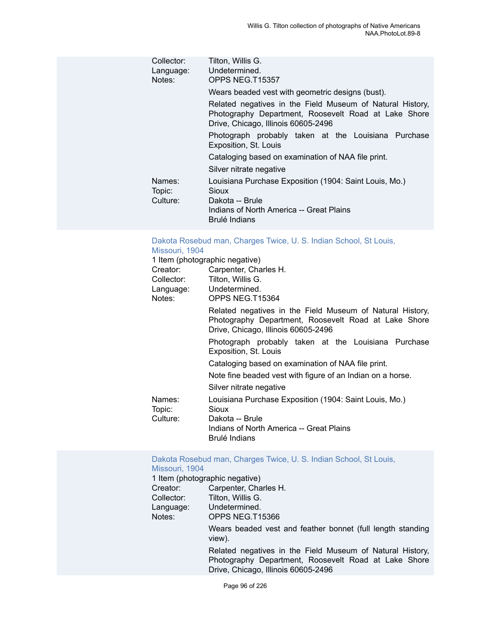| Collector:<br>Language:<br>Notes: | Tilton, Willis G.<br>Undetermined.<br>OPPS NEG.T15357                                                                                                    |
|-----------------------------------|----------------------------------------------------------------------------------------------------------------------------------------------------------|
|                                   | Wears beaded vest with geometric designs (bust).                                                                                                         |
|                                   | Related negatives in the Field Museum of Natural History,<br>Photography Department, Roosevelt Road at Lake Shore<br>Drive, Chicago, Illinois 60605-2496 |
|                                   | Photograph probably taken at the Louisiana Purchase<br>Exposition, St. Louis                                                                             |
|                                   | Cataloging based on examination of NAA file print.                                                                                                       |
|                                   | Silver nitrate negative                                                                                                                                  |
| Names:<br>Topic:                  | Louisiana Purchase Exposition (1904: Saint Louis, Mo.)<br>Sioux                                                                                          |
| Culture:                          | Dakota -- Brule<br>Indians of North America -- Great Plains<br>Brulé Indians                                                                             |

### Dakota [Rosebud](https://ids.si.edu/ids/deliveryService?id=NMNH-T15364-000001) man, Charges Twice, U. S. Indian School, St Louis,

| Missouri, 1904   |                                                                                                                                                          |
|------------------|----------------------------------------------------------------------------------------------------------------------------------------------------------|
|                  | 1 Item (photographic negative)                                                                                                                           |
| Creator:         | Carpenter, Charles H.                                                                                                                                    |
| Collector:       | Tilton, Willis G.                                                                                                                                        |
|                  | Language: Undetermined.                                                                                                                                  |
| Notes:           | OPPS NEG.T15364                                                                                                                                          |
|                  | Related negatives in the Field Museum of Natural History,<br>Photography Department, Roosevelt Road at Lake Shore<br>Drive, Chicago, Illinois 60605-2496 |
|                  | Photograph probably taken at the Louisiana Purchase<br>Exposition, St. Louis                                                                             |
|                  | Cataloging based on examination of NAA file print.                                                                                                       |
|                  | Note fine beaded vest with figure of an Indian on a horse.                                                                                               |
|                  | Silver nitrate negative                                                                                                                                  |
| Names:<br>Topic: | Louisiana Purchase Exposition (1904: Saint Louis, Mo.)<br>Sioux                                                                                          |
| Culture:         | Dakota -- Brule<br>Indians of North America -- Great Plains<br>Brulé Indians                                                                             |

### Dakota [Rosebud](https://ids.si.edu/ids/deliveryService?id=NMNH-T15366-000001) man, Charges Twice, U. S. Indian School, St Louis, [Missouri, 1904](https://ids.si.edu/ids/deliveryService?id=NMNH-T15366-000001)<br>1 Item (photogr

|            | 1 Item (photographic negative)                                                                                                                           |
|------------|----------------------------------------------------------------------------------------------------------------------------------------------------------|
| Creator:   | Carpenter, Charles H.                                                                                                                                    |
| Collector: | Tilton, Willis G.                                                                                                                                        |
| Language:  | Undetermined.                                                                                                                                            |
| Notes:     | OPPS NEG.T15366                                                                                                                                          |
|            | Wears beaded vest and feather bonnet (full length standing<br>view).                                                                                     |
|            | Related negatives in the Field Museum of Natural History,<br>Photography Department, Roosevelt Road at Lake Shore<br>Drive, Chicago, Illinois 60605-2496 |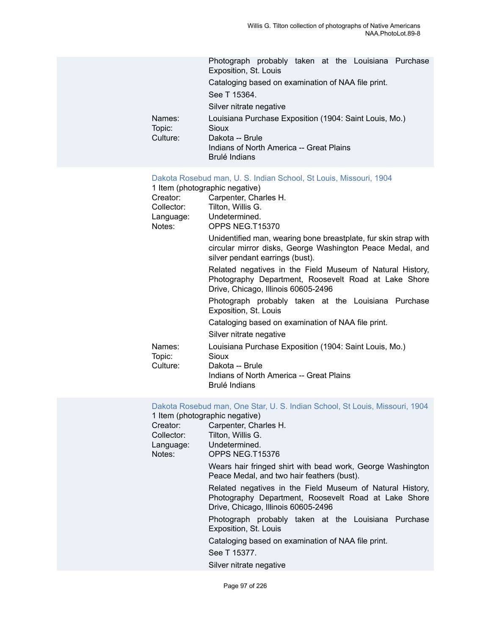|                              | Photograph probably taken at the Louisiana Purchase<br>Exposition, St. Louis                                                                    |  |  |  |
|------------------------------|-------------------------------------------------------------------------------------------------------------------------------------------------|--|--|--|
|                              | Cataloging based on examination of NAA file print.                                                                                              |  |  |  |
|                              | See T 15364.                                                                                                                                    |  |  |  |
|                              | Silver nitrate negative                                                                                                                         |  |  |  |
| Names:<br>Topic:<br>Culture: | Louisiana Purchase Exposition (1904: Saint Louis, Mo.)<br>Sioux<br>Dakota -- Brule<br>Indians of North America -- Great Plains<br>Brulé Indians |  |  |  |

#### [Dakota Rosebud man, U. S. Indian School, St Louis, Missouri, 1904](https://ids.si.edu/ids/deliveryService?id=NMNH-T15370-000001)

|                  | 1 Item (photographic negative)                                                                                                                                  |
|------------------|-----------------------------------------------------------------------------------------------------------------------------------------------------------------|
|                  | Creator: Carpenter, Charles H.                                                                                                                                  |
|                  | Collector: Tilton, Willis G.                                                                                                                                    |
|                  | Language: Undetermined.                                                                                                                                         |
| Notes:           | OPPS NEG.T15370                                                                                                                                                 |
|                  | Unidentified man, wearing bone breastplate, fur skin strap with<br>circular mirror disks, George Washington Peace Medal, and<br>silver pendant earrings (bust). |
|                  | Related negatives in the Field Museum of Natural History,<br>Photography Department, Roosevelt Road at Lake Shore<br>Drive, Chicago, Illinois 60605-2496        |
|                  | Photograph probably taken at the Louisiana Purchase<br>Exposition, St. Louis                                                                                    |
|                  | Cataloging based on examination of NAA file print.                                                                                                              |
|                  | Silver nitrate negative                                                                                                                                         |
| Names:<br>Topic: | Louisiana Purchase Exposition (1904: Saint Louis, Mo.)<br>Sioux                                                                                                 |
| Culture:         | Dakota -- Brule<br>Indians of North America -- Great Plains<br>Brulé Indians                                                                                    |

Dakota [Rosebud](https://ids.si.edu/ids/deliveryService?id=NMNH-T15376-000001) man, One Star, U. S. Indian School, St Louis, Missouri, 1904

|            | 1 Item (photographic negative)                                                                                                                           |
|------------|----------------------------------------------------------------------------------------------------------------------------------------------------------|
| Creator:   | Carpenter, Charles H.                                                                                                                                    |
| Collector: | Tilton, Willis G.                                                                                                                                        |
| Language:  | Undetermined.                                                                                                                                            |
| Notes:     | OPPS NEG.T15376                                                                                                                                          |
|            | Wears hair fringed shirt with bead work, George Washington<br>Peace Medal, and two hair feathers (bust).                                                 |
|            | Related negatives in the Field Museum of Natural History,<br>Photography Department, Roosevelt Road at Lake Shore<br>Drive, Chicago, Illinois 60605-2496 |
|            | Photograph probably taken at the Louisiana Purchase<br>Exposition, St. Louis                                                                             |
|            | Cataloging based on examination of NAA file print.                                                                                                       |
|            | See T 15377.                                                                                                                                             |
|            | Silver nitrate negative                                                                                                                                  |
|            |                                                                                                                                                          |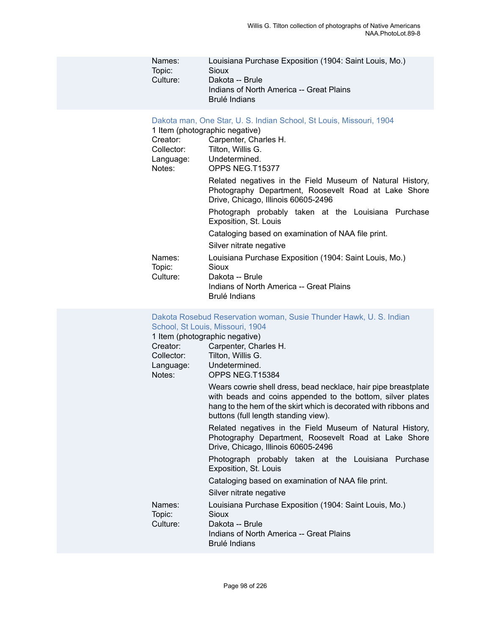| Names:<br>Topic:<br>Culture:                                                  | Louisiana Purchase Exposition (1904: Saint Louis, Mo.)<br>Sioux<br>Dakota -- Brule<br>Indians of North America -- Great Plains<br>Brulé Indians                                                                                                                                                                                                                                                                                                                                                                                                                                                                                                                                                                                                                                                     |
|-------------------------------------------------------------------------------|-----------------------------------------------------------------------------------------------------------------------------------------------------------------------------------------------------------------------------------------------------------------------------------------------------------------------------------------------------------------------------------------------------------------------------------------------------------------------------------------------------------------------------------------------------------------------------------------------------------------------------------------------------------------------------------------------------------------------------------------------------------------------------------------------------|
| Creator:<br>Collector:<br>Language:<br>Notes:<br>Names:<br>Topic:<br>Culture: | Dakota man, One Star, U. S. Indian School, St Louis, Missouri, 1904<br>1 Item (photographic negative)<br>Carpenter, Charles H.<br>Tilton, Willis G.<br>Undetermined.<br>OPPS NEG.T15377<br>Related negatives in the Field Museum of Natural History,<br>Photography Department, Roosevelt Road at Lake Shore<br>Drive, Chicago, Illinois 60605-2496<br>Photograph probably taken at the Louisiana Purchase<br>Exposition, St. Louis<br>Cataloging based on examination of NAA file print.<br>Silver nitrate negative<br>Louisiana Purchase Exposition (1904: Saint Louis, Mo.)<br><b>Sioux</b><br>Dakota -- Brule<br>Indians of North America -- Great Plains<br>Brulé Indians                                                                                                                      |
| Creator:<br>Collector:<br>Language:<br>Notes:                                 | Dakota Rosebud Reservation woman, Susie Thunder Hawk, U. S. Indian<br>School, St Louis, Missouri, 1904<br>1 Item (photographic negative)<br>Carpenter, Charles H.<br>Tilton, Willis G.<br>Undetermined.<br>OPPS NEG.T15384<br>Wears cowrie shell dress, bead necklace, hair pipe breastplate<br>with beads and coins appended to the bottom, silver plates<br>hang to the hem of the skirt which is decorated with ribbons and<br>buttons (full length standing view).<br>Related negatives in the Field Museum of Natural History,<br>Photography Department, Roosevelt Road at Lake Shore<br>Drive, Chicago, Illinois 60605-2496<br>Photograph probably taken at the Louisiana Purchase<br>Exposition, St. Louis<br>Cataloging based on examination of NAA file print.<br>Silver nitrate negative |
| Names:<br>Topic:<br>Culture:                                                  | Louisiana Purchase Exposition (1904: Saint Louis, Mo.)<br><b>Sioux</b><br>Dakota -- Brule                                                                                                                                                                                                                                                                                                                                                                                                                                                                                                                                                                                                                                                                                                           |

Brulé Indians

Indians of North America -- Great Plains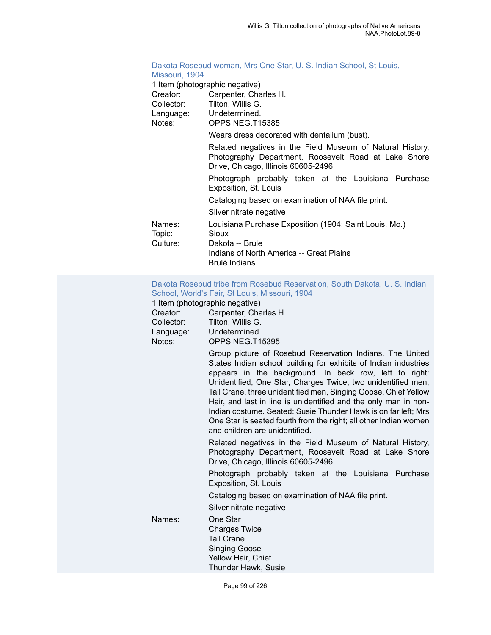### Dakota [Rosebud](https://ids.si.edu/ids/deliveryService?id=NMNH-T15385-000001) woman, Mrs One Star, U. S. Indian School, St Louis, [Missouri, 1904](https://ids.si.edu/ids/deliveryService?id=NMNH-T15385-000001)<br>1 Item (photogr

|  |  |  | 1 Item (photographic negative) |  |
|--|--|--|--------------------------------|--|
|--|--|--|--------------------------------|--|

| <b>TROLL (priotographic ricgative)</b>                                                                                                                   |
|----------------------------------------------------------------------------------------------------------------------------------------------------------|
| Carpenter, Charles H.                                                                                                                                    |
| Tilton, Willis G.                                                                                                                                        |
| Language: Undetermined.                                                                                                                                  |
| OPPS NEG.T15385                                                                                                                                          |
| Wears dress decorated with dentalium (bust).                                                                                                             |
| Related negatives in the Field Museum of Natural History,<br>Photography Department, Roosevelt Road at Lake Shore<br>Drive, Chicago, Illinois 60605-2496 |
| Photograph probably taken at the Louisiana Purchase<br>Exposition, St. Louis                                                                             |
| Cataloging based on examination of NAA file print.                                                                                                       |
| Silver nitrate negative                                                                                                                                  |
| Louisiana Purchase Exposition (1904: Saint Louis, Mo.)<br>Sioux                                                                                          |
| Dakota -- Brule<br>Indians of North America -- Great Plains<br>Brulé Indians                                                                             |
|                                                                                                                                                          |

#### [Dakota Rosebud tribe from Rosebud Reservation, South Dakota, U. S. Indian](https://ids.si.edu/ids/deliveryService?id=NMNH-T15395-000001) School, World's Fair, St Louis, [Missouri,](https://ids.si.edu/ids/deliveryService?id=NMNH-T15395-000001) 1904

|            | 1 Item (photographic negative)                                                                                                                                                                                                                                                                                                                                                                                                                                                                                                                                      |
|------------|---------------------------------------------------------------------------------------------------------------------------------------------------------------------------------------------------------------------------------------------------------------------------------------------------------------------------------------------------------------------------------------------------------------------------------------------------------------------------------------------------------------------------------------------------------------------|
| Creator:   | Carpenter, Charles H.                                                                                                                                                                                                                                                                                                                                                                                                                                                                                                                                               |
| Collector: | Tilton, Willis G.                                                                                                                                                                                                                                                                                                                                                                                                                                                                                                                                                   |
| Language:  | Undetermined.                                                                                                                                                                                                                                                                                                                                                                                                                                                                                                                                                       |
| Notes:     | OPPS NEG.T15395                                                                                                                                                                                                                                                                                                                                                                                                                                                                                                                                                     |
|            | Group picture of Rosebud Reservation Indians. The United<br>States Indian school building for exhibits of Indian industries<br>appears in the background. In back row, left to right:<br>Unidentified, One Star, Charges Twice, two unidentified men,<br>Tall Crane, three unidentified men, Singing Goose, Chief Yellow<br>Hair, and last in line is unidentified and the only man in non-<br>Indian costume. Seated: Susie Thunder Hawk is on far left; Mrs<br>One Star is seated fourth from the right; all other Indian women<br>and children are unidentified. |
|            | Related negatives in the Field Museum of Natural History,<br>Photography Department, Roosevelt Road at Lake Shore<br>Drive, Chicago, Illinois 60605-2496                                                                                                                                                                                                                                                                                                                                                                                                            |
|            | Photograph probably taken at the Louisiana Purchase<br>Exposition, St. Louis                                                                                                                                                                                                                                                                                                                                                                                                                                                                                        |
|            | Cataloging based on examination of NAA file print.                                                                                                                                                                                                                                                                                                                                                                                                                                                                                                                  |
|            | Silver nitrate negative                                                                                                                                                                                                                                                                                                                                                                                                                                                                                                                                             |
| Names:     | One Star<br><b>Charges Twice</b><br><b>Tall Crane</b><br><b>Singing Goose</b><br>Yellow Hair, Chief<br>Thunder Hawk, Susie                                                                                                                                                                                                                                                                                                                                                                                                                                          |
|            |                                                                                                                                                                                                                                                                                                                                                                                                                                                                                                                                                                     |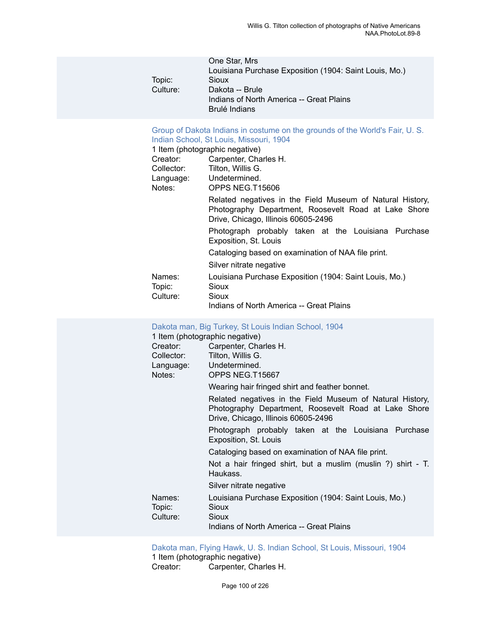| One Star, Mrs                                          |
|--------------------------------------------------------|
| Louisiana Purchase Exposition (1904: Saint Louis, Mo.) |
| Sioux                                                  |
| Dakota -- Brule                                        |
| Indians of North America -- Great Plains               |
| Brulé Indians                                          |
|                                                        |

#### Group of Dakota Indians in [costume](https://ids.si.edu/ids/deliveryService?id=NMNH-T15606-000001) on the grounds of the World's Fair, U. S. [Indian School, St Louis, Missouri, 1904](https://ids.si.edu/ids/deliveryService?id=NMNH-T15606-000001)

|                              | 1 Item (photographic negative)                                                                                                                           |
|------------------------------|----------------------------------------------------------------------------------------------------------------------------------------------------------|
| Creator:                     | Carpenter, Charles H.                                                                                                                                    |
| Collector:                   | Tilton, Willis G.                                                                                                                                        |
|                              | Language: Undetermined.                                                                                                                                  |
| Notes:                       | OPPS NEG.T15606                                                                                                                                          |
|                              | Related negatives in the Field Museum of Natural History,<br>Photography Department, Roosevelt Road at Lake Shore<br>Drive, Chicago, Illinois 60605-2496 |
|                              | Photograph probably taken at the Louisiana Purchase<br>Exposition, St. Louis                                                                             |
|                              | Cataloging based on examination of NAA file print.                                                                                                       |
|                              | Silver nitrate negative                                                                                                                                  |
| Names:<br>Topic:<br>Culture: | Louisiana Purchase Exposition (1904: Saint Louis, Mo.)<br>Sioux<br>Sioux                                                                                 |
|                              | Indians of North America -- Great Plains                                                                                                                 |

# Dakota man, Big Turkey, St Louis Indian [School,](https://ids.si.edu/ids/deliveryService?id=NMNH-T15667-000001) 1904<br>1 Item (photographic negative)

|                              | 1 Item (photographic negative)                                                                                                                           |
|------------------------------|----------------------------------------------------------------------------------------------------------------------------------------------------------|
| Creator:                     | Carpenter, Charles H.                                                                                                                                    |
| Collector:                   | Tilton, Willis G.                                                                                                                                        |
|                              | Language: Undetermined.                                                                                                                                  |
| Notes:                       | OPPS NEG.T15667                                                                                                                                          |
|                              | Wearing hair fringed shirt and feather bonnet.                                                                                                           |
|                              | Related negatives in the Field Museum of Natural History,<br>Photography Department, Roosevelt Road at Lake Shore<br>Drive, Chicago, Illinois 60605-2496 |
|                              | Photograph probably taken at the Louisiana Purchase<br>Exposition, St. Louis                                                                             |
|                              | Cataloging based on examination of NAA file print.                                                                                                       |
|                              | Not a hair fringed shirt, but a muslim (muslin ?) shirt - T.<br>Haukass.                                                                                 |
|                              | Silver nitrate negative                                                                                                                                  |
| Names:<br>Topic:<br>Culture: | Louisiana Purchase Exposition (1904: Saint Louis, Mo.)<br>Sioux<br>Sioux                                                                                 |
|                              | Indians of North America -- Great Plains                                                                                                                 |

[Dakota man, Flying Hawk, U. S. Indian School, St Louis, Missouri, 1904](https://ids.si.edu/ids/deliveryService?id=NMNH-T15685-000001) 1 Item (photographic negative)<br>Creator: Carpenter, Cha Carpenter, Charles H.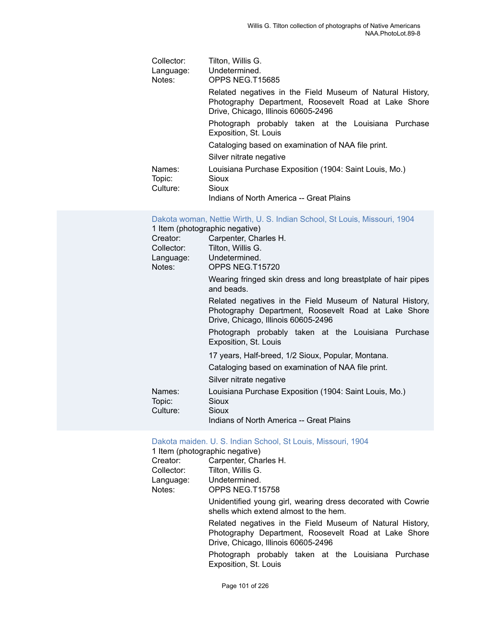| Collector:<br>Language:<br>Notes: | Tilton, Willis G.<br>Undetermined.<br>OPPS NEG.T15685                                                                                                    |
|-----------------------------------|----------------------------------------------------------------------------------------------------------------------------------------------------------|
|                                   | Related negatives in the Field Museum of Natural History,<br>Photography Department, Roosevelt Road at Lake Shore<br>Drive, Chicago, Illinois 60605-2496 |
|                                   | Photograph probably taken at the Louisiana Purchase<br>Exposition, St. Louis                                                                             |
|                                   | Cataloging based on examination of NAA file print.                                                                                                       |
|                                   | Silver nitrate negative                                                                                                                                  |
| Names:<br>Topic:<br>Culture:      | Louisiana Purchase Exposition (1904: Saint Louis, Mo.)<br>Sioux<br>Sioux                                                                                 |
|                                   | Indians of North America -- Great Plains                                                                                                                 |

#### [Dakota woman, Nettie Wirth, U. S. Indian School, St Louis, Missouri, 1904](https://ids.si.edu/ids/deliveryService?id=NMNH-T15720-000001)

|            | 1 Item (photographic negative)                                                                                                                           |
|------------|----------------------------------------------------------------------------------------------------------------------------------------------------------|
| Creator:   | Carpenter, Charles H.                                                                                                                                    |
| Collector: | Tilton, Willis G.                                                                                                                                        |
|            | Language: Undetermined.                                                                                                                                  |
| Notes:     | OPPS NEG.T15720                                                                                                                                          |
|            | Wearing fringed skin dress and long breastplate of hair pipes<br>and beads.                                                                              |
|            | Related negatives in the Field Museum of Natural History,<br>Photography Department, Roosevelt Road at Lake Shore<br>Drive, Chicago, Illinois 60605-2496 |
|            | Photograph probably taken at the Louisiana Purchase<br>Exposition, St. Louis                                                                             |
|            | 17 years, Half-breed, 1/2 Sioux, Popular, Montana.                                                                                                       |
|            | Cataloging based on examination of NAA file print.                                                                                                       |
|            | Silver nitrate negative                                                                                                                                  |
| Names:     | Louisiana Purchase Exposition (1904: Saint Louis, Mo.)                                                                                                   |
| Topic:     | Sioux                                                                                                                                                    |
| Culture:   | Sioux                                                                                                                                                    |
|            | Indians of North America -- Great Plains                                                                                                                 |

| Creator:<br>Collector:<br>Notes: | Dakota maiden. U. S. Indian School, St Louis, Missouri, 1904<br>1 Item (photographic negative)<br>Carpenter, Charles H.<br>Tilton, Willis G.<br>Language: Undetermined.<br>OPPS NEG.T15758 |
|----------------------------------|--------------------------------------------------------------------------------------------------------------------------------------------------------------------------------------------|
|                                  | Unidentified young girl, wearing dress decorated with Cowrie<br>shells which extend almost to the hem.                                                                                     |
|                                  | Related negatives in the Field Museum of Natural History,<br>Photography Department, Roosevelt Road at Lake Shore<br>Drive, Chicago, Illinois 60605-2496                                   |
|                                  | Photograph probably taken at the Louisiana Purchase<br>Exposition, St. Louis                                                                                                               |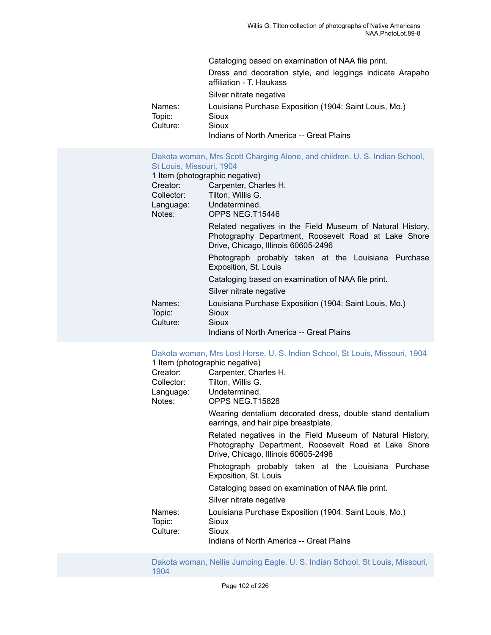|                  | Cataloging based on examination of NAA file print.                                    |
|------------------|---------------------------------------------------------------------------------------|
|                  | Dress and decoration style, and leggings indicate Arapaho<br>affiliation - T. Haukass |
|                  | Silver nitrate negative                                                               |
| Names:<br>Topic: | Louisiana Purchase Exposition (1904: Saint Louis, Mo.)<br><b>Sioux</b>                |
| Culture:         | Sioux<br>Indians of North America -- Great Plains                                     |

[Dakota woman, Mrs Scott Charging Alone, and children. U. S. Indian School,](https://ids.si.edu/ids/deliveryService?id=NMNH-T15446-000001) [St Louis, Missouri, 1904](https://ids.si.edu/ids/deliveryService?id=NMNH-T15446-000001) 1 Item (photographic negative)<br>Creator: Carpenter, Cha Carpenter, Charles H. Collector: Tilton, Willis G. Language: Undetermined. Notes: OPPS NEG.T15446 Related negatives in the Field Museum of Natural History, Photography Department, Roosevelt Road at Lake Shore

> Drive, Chicago, Illinois 60605-2496 Photograph probably taken at the Louisiana Purchase Exposition, St. Louis

Cataloging based on examination of NAA file print.

| Silver nitrate negative      |
|------------------------------|
| Lautetesa Dusakaan Eusanitta |

| Names:   | Louisiana Purchase Exposition (1904: Saint Louis, Mo.) |
|----------|--------------------------------------------------------|
| Topic:   | Sioux                                                  |
| Culture: | Sioux                                                  |

Indians of North America -- Great Plains

[Dakota woman, Mrs Lost Horse. U. S. Indian School, St Louis, Missouri, 1904](https://ids.si.edu/ids/deliveryService?id=NMNH-T15828-000001)

|                  | 1 Item (photographic negative)                                                                                                                           |
|------------------|----------------------------------------------------------------------------------------------------------------------------------------------------------|
| Creator:         | Carpenter, Charles H.                                                                                                                                    |
| Collector:       | Tilton, Willis G.                                                                                                                                        |
|                  | Language: Undetermined.                                                                                                                                  |
| Notes:           | OPPS NEG.T15828                                                                                                                                          |
|                  | Wearing dentalium decorated dress, double stand dentalium<br>earrings, and hair pipe breastplate.                                                        |
|                  | Related negatives in the Field Museum of Natural History,<br>Photography Department, Roosevelt Road at Lake Shore<br>Drive, Chicago, Illinois 60605-2496 |
|                  | Photograph probably taken at the Louisiana Purchase<br>Exposition, St. Louis                                                                             |
|                  | Cataloging based on examination of NAA file print.                                                                                                       |
|                  | Silver nitrate negative                                                                                                                                  |
| Names:<br>Topic: | Louisiana Purchase Exposition (1904: Saint Louis, Mo.)<br>Sioux                                                                                          |
| Culture:         | Sioux                                                                                                                                                    |
|                  | Indians of North America -- Great Plains                                                                                                                 |

[Dakota woman, Nellie Jumping Eagle. U. S. Indian School, St Louis, Missouri,](https://ids.si.edu/ids/deliveryService?id=NMNH-T15836-000001) [1904](https://ids.si.edu/ids/deliveryService?id=NMNH-T15836-000001)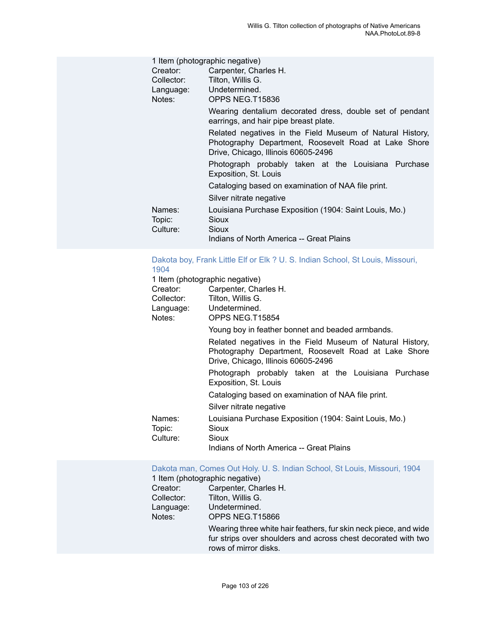|                  | 1 Item (photographic negative)                                                                                                                           |
|------------------|----------------------------------------------------------------------------------------------------------------------------------------------------------|
| Creator:         | Carpenter, Charles H.                                                                                                                                    |
| Collector:       | Tilton, Willis G.                                                                                                                                        |
|                  | Language: Undetermined.                                                                                                                                  |
| Notes:           | OPPS NEG.T15836                                                                                                                                          |
|                  | Wearing dentalium decorated dress, double set of pendant<br>earrings, and hair pipe breast plate.                                                        |
|                  | Related negatives in the Field Museum of Natural History,<br>Photography Department, Roosevelt Road at Lake Shore<br>Drive, Chicago, Illinois 60605-2496 |
|                  | Photograph probably taken at the Louisiana Purchase<br>Exposition, St. Louis                                                                             |
|                  | Cataloging based on examination of NAA file print.                                                                                                       |
|                  | Silver nitrate negative                                                                                                                                  |
| Names:<br>Topic: | Louisiana Purchase Exposition (1904: Saint Louis, Mo.)<br>Sioux                                                                                          |
| Culture:         | <b>Sioux</b>                                                                                                                                             |
|                  | Indians of North America -- Great Plains                                                                                                                 |

#### Dakota boy, Frank Little Elf or Elk ? U. S. Indian School, St Louis, [Missouri,](https://ids.si.edu/ids/deliveryService?id=NMNH-T15854-000001) [1904](https://ids.si.edu/ids/deliveryService?id=NMNH-T15854-000001)

| 1 Item (photographic negative) |                                                                                                                                                          |
|--------------------------------|----------------------------------------------------------------------------------------------------------------------------------------------------------|
| Creator:                       | Carpenter, Charles H.                                                                                                                                    |
| Collector:                     | Tilton, Willis G.                                                                                                                                        |
| Language: Undetermined.        |                                                                                                                                                          |
| Notes:                         | OPPS NEG.T15854                                                                                                                                          |
|                                | Young boy in feather bonnet and beaded armbands.                                                                                                         |
|                                | Related negatives in the Field Museum of Natural History,<br>Photography Department, Roosevelt Road at Lake Shore<br>Drive, Chicago, Illinois 60605-2496 |
|                                | Photograph probably taken at the Louisiana Purchase<br>Exposition, St. Louis                                                                             |
|                                | Cataloging based on examination of NAA file print.                                                                                                       |
|                                | Silver nitrate negative                                                                                                                                  |
| Names:                         | Louisiana Purchase Exposition (1904: Saint Louis, Mo.)                                                                                                   |
| Topic:                         | Sioux                                                                                                                                                    |
| Culture:                       | Sioux                                                                                                                                                    |
|                                | Indians of North America -- Great Plains                                                                                                                 |

Dakota man, Comes Out Holy. U. S. Indian School, St Louis, [Missouri,](https://ids.si.edu/ids/deliveryService?id=NMNH-T15866-000001) 1904 1 Item (photographic negative)

| T Rent (priotographic riegative) |                                                                                                                                                            |  |
|----------------------------------|------------------------------------------------------------------------------------------------------------------------------------------------------------|--|
| Creator:                         | Carpenter, Charles H.                                                                                                                                      |  |
| Collector:                       | Tilton, Willis G.                                                                                                                                          |  |
| Language:                        | Undetermined.                                                                                                                                              |  |
| Notes:                           | OPPS NEG.T15866                                                                                                                                            |  |
|                                  | Wearing three white hair feathers, fur skin neck piece, and wide<br>fur strips over shoulders and across chest decorated with two<br>rows of mirror disks. |  |
|                                  |                                                                                                                                                            |  |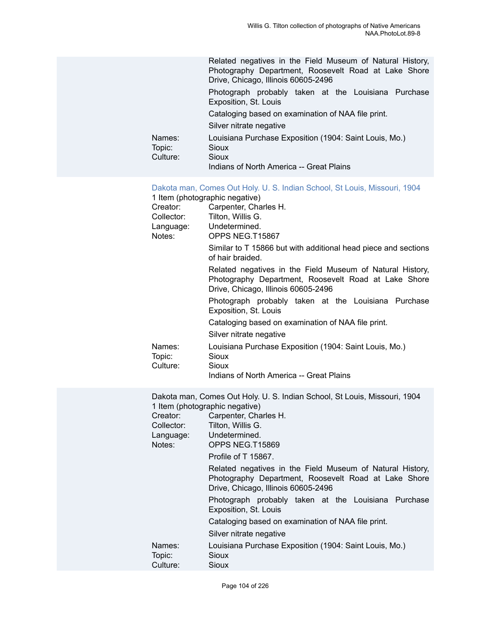#### Dakota man, Comes Out Holy. U. S. Indian School, St Louis, [Missouri,](https://ids.si.edu/ids/deliveryService?id=NMNH-T15867-000001) 1904

1 Item (photographic negative)

| Creator:<br>Collector:<br>Language:<br>Notes: | Carpenter, Charles H.<br>Tilton, Willis G.<br>Undetermined.<br>OPPS NEG.T15867                                                                           |
|-----------------------------------------------|----------------------------------------------------------------------------------------------------------------------------------------------------------|
|                                               | Similar to T 15866 but with additional head piece and sections<br>of hair braided.                                                                       |
|                                               | Related negatives in the Field Museum of Natural History,<br>Photography Department, Roosevelt Road at Lake Shore<br>Drive, Chicago, Illinois 60605-2496 |
|                                               | Photograph probably taken at the Louisiana Purchase<br>Exposition, St. Louis                                                                             |
|                                               | Cataloging based on examination of NAA file print.                                                                                                       |
|                                               | Silver nitrate negative                                                                                                                                  |
| Names:<br>Topic:<br>Culture:                  | Louisiana Purchase Exposition (1904: Saint Louis, Mo.)<br>Sioux<br>Sioux                                                                                 |
|                                               | Indians of North America -- Great Plains                                                                                                                 |

| Collector:<br>Notes:         | Dakota man, Comes Out Holy. U. S. Indian School, St Louis, Missouri, 1904<br>1 Item (photographic negative)<br>Creator: Carpenter, Charles H.<br>Tilton, Willis G.<br>Language: Undetermined.<br>OPPS NEG.T15869 |
|------------------------------|------------------------------------------------------------------------------------------------------------------------------------------------------------------------------------------------------------------|
|                              | Profile of T 15867.                                                                                                                                                                                              |
|                              | Related negatives in the Field Museum of Natural History,<br>Photography Department, Roosevelt Road at Lake Shore<br>Drive, Chicago, Illinois 60605-2496                                                         |
|                              | Photograph probably taken at the Louisiana Purchase<br>Exposition, St. Louis                                                                                                                                     |
|                              | Cataloging based on examination of NAA file print.                                                                                                                                                               |
|                              | Silver nitrate negative                                                                                                                                                                                          |
| Names:<br>Topic:<br>Culture: | Louisiana Purchase Exposition (1904: Saint Louis, Mo.)<br>Sioux<br>Sioux                                                                                                                                         |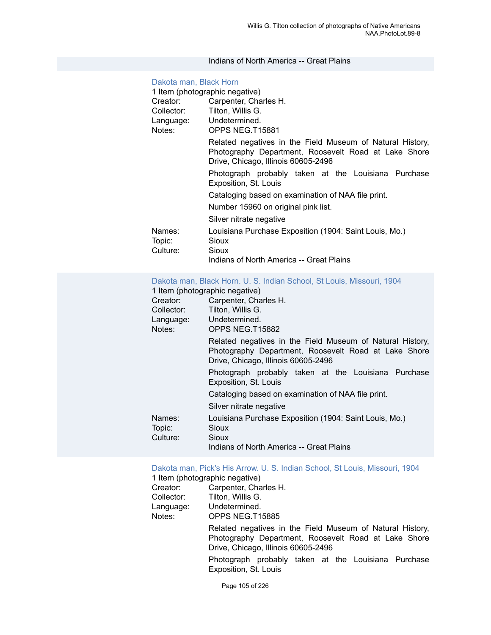#### Indians of North America -- Great Plains

#### [Dakota man, Black Horn](https://ids.si.edu/ids/deliveryService?id=NMNH-T15881-000001)

| 1 Item (photographic negative) |                                                                                                                                                          |
|--------------------------------|----------------------------------------------------------------------------------------------------------------------------------------------------------|
| Creator:                       | Carpenter, Charles H.                                                                                                                                    |
| Collector:                     | Tilton, Willis G.                                                                                                                                        |
| Language: Undetermined.        |                                                                                                                                                          |
| Notes:                         | OPPS NEG.T15881                                                                                                                                          |
|                                | Related negatives in the Field Museum of Natural History,<br>Photography Department, Roosevelt Road at Lake Shore<br>Drive, Chicago, Illinois 60605-2496 |
|                                | Photograph probably taken at the Louisiana Purchase<br>Exposition, St. Louis                                                                             |
|                                | Cataloging based on examination of NAA file print.                                                                                                       |
|                                | Number 15960 on original pink list.                                                                                                                      |
|                                | Silver nitrate negative                                                                                                                                  |
| Names:                         | Louisiana Purchase Exposition (1904: Saint Louis, Mo.)                                                                                                   |
| Topic:                         | Sioux                                                                                                                                                    |
| Culture:                       | Sioux                                                                                                                                                    |
|                                | Indians of North America -- Great Plains                                                                                                                 |

#### [Dakota man, Black Horn. U. S. Indian School, St Louis, Missouri, 1904](https://ids.si.edu/ids/deliveryService?id=NMNH-T15882-000001)

#### 1 Item (photographic negative)

| Creator:         | Carpenter, Charles H.                                                                                                                                    |
|------------------|----------------------------------------------------------------------------------------------------------------------------------------------------------|
| Collector:       | Tilton, Willis G.                                                                                                                                        |
| Language:        | Undetermined.                                                                                                                                            |
| Notes:           | OPPS NEG.T15882                                                                                                                                          |
|                  | Related negatives in the Field Museum of Natural History,<br>Photography Department, Roosevelt Road at Lake Shore<br>Drive, Chicago, Illinois 60605-2496 |
|                  | Photograph probably taken at the Louisiana Purchase<br>Exposition, St. Louis                                                                             |
|                  | Cataloging based on examination of NAA file print.                                                                                                       |
|                  | Silver nitrate negative                                                                                                                                  |
| Names:<br>Topic: | Louisiana Purchase Exposition (1904: Saint Louis, Mo.)<br>Sioux<br>Sioux                                                                                 |
| Culture:         | Indians of North America -- Great Plains                                                                                                                 |
|                  |                                                                                                                                                          |

#### Dakota man, Pick's His Arrow. U. S. Indian School, St Louis, [Missouri,](https://ids.si.edu/ids/deliveryService?id=NMNH-T15885-000001) 1904

1 Item (photographic negative)

| Creator:   | Carpenter, Charles H.      |
|------------|----------------------------|
| Collector: | Tilton, Willis G.          |
| Language:  | Undetermined.              |
| Notes:     | OPPS NEG.T15885            |
|            | Related negatives in the F |

Field Museum of Natural History, Photography Department, Roosevelt Road at Lake Shore Drive, Chicago, Illinois 60605-2496

Photograph probably taken at the Louisiana Purchase Exposition, St. Louis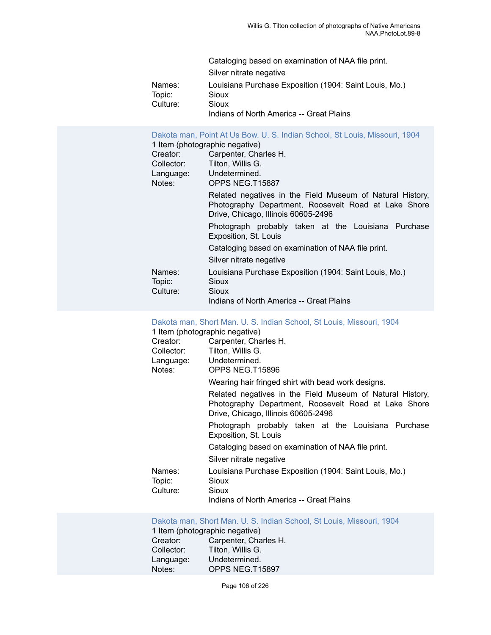|          | Cataloging based on examination of NAA file print.     |
|----------|--------------------------------------------------------|
|          | Silver nitrate negative                                |
| Names:   | Louisiana Purchase Exposition (1904: Saint Louis, Mo.) |
| Topic:   | Sioux                                                  |
| Culture: | Sioux                                                  |
|          | Indians of North America -- Great Plains               |

| Creator:<br>Collector:<br>Notes: | Dakota man, Point At Us Bow. U. S. Indian School, St Louis, Missouri, 1904<br>1 Item (photographic negative)<br>Carpenter, Charles H.<br>Tilton, Willis G.<br>Language: Undetermined.<br>OPPS NEG.T15887 |
|----------------------------------|----------------------------------------------------------------------------------------------------------------------------------------------------------------------------------------------------------|
|                                  | Related negatives in the Field Museum of Natural History,<br>Photography Department, Roosevelt Road at Lake Shore<br>Drive, Chicago, Illinois 60605-2496                                                 |
|                                  | Photograph probably taken at the Louisiana Purchase<br>Exposition, St. Louis                                                                                                                             |
|                                  | Cataloging based on examination of NAA file print.                                                                                                                                                       |
|                                  | Silver nitrate negative                                                                                                                                                                                  |
| Names:<br>Topic:<br>Culture:     | Louisiana Purchase Exposition (1904: Saint Louis, Mo.)<br>Sioux<br>Sioux<br>Indians of North America -- Great Plains                                                                                     |
|                                  |                                                                                                                                                                                                          |

#### [Dakota man, Short Man. U. S. Indian School, St Louis, Missouri, 1904](https://ids.si.edu/ids/deliveryService?id=NMNH-T15896-000001)

| 1 Item (photographic negative) |  |
|--------------------------------|--|
|--------------------------------|--|

|            | $\ldots$                                                                                                                                                 |
|------------|----------------------------------------------------------------------------------------------------------------------------------------------------------|
| Creator:   | Carpenter, Charles H.                                                                                                                                    |
| Collector: | Tilton, Willis G.                                                                                                                                        |
| Language:  | Undetermined.                                                                                                                                            |
| Notes:     | OPPS NEG.T15896                                                                                                                                          |
|            | Wearing hair fringed shirt with bead work designs.                                                                                                       |
|            | Related negatives in the Field Museum of Natural History,<br>Photography Department, Roosevelt Road at Lake Shore<br>Drive, Chicago, Illinois 60605-2496 |
|            | Photograph probably taken at the Louisiana Purchase<br>Exposition, St. Louis                                                                             |
|            | Cataloging based on examination of NAA file print.                                                                                                       |
|            | Silver nitrate negative                                                                                                                                  |
| Names:     | Louisiana Purchase Exposition (1904: Saint Louis, Mo.)                                                                                                   |
| Topic:     | Sioux                                                                                                                                                    |
| Culture:   | Sioux                                                                                                                                                    |
|            | Indians of North America -- Great Plains                                                                                                                 |

[Dakota man, Short Man. U. S. Indian School, St Louis, Missouri, 1904](https://ids.si.edu/ids/deliveryService?id=NMNH-T15897-000001) 1 Item (photographic negative)<br>Creator: Carpenter. Cha Creator: Carpenter, Charles H.<br>Collector: Tilton, Willis G. Collector: Tilton, Willis G.<br>Language: Undetermined. Language: Undetermined.<br>Notes: OPPS NEG.T1 OPPS NEG.T15897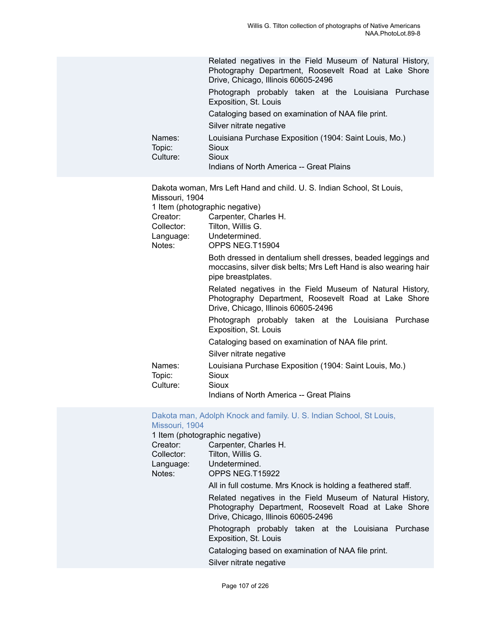|                                                              | Related negatives in the Field Museum of Natural History,<br>Photography Department, Roosevelt Road at Lake Shore<br>Drive, Chicago, Illinois 60605-2496 |
|--------------------------------------------------------------|----------------------------------------------------------------------------------------------------------------------------------------------------------|
|                                                              | Photograph probably taken at the Louisiana Purchase<br>Exposition, St. Louis                                                                             |
|                                                              | Cataloging based on examination of NAA file print.                                                                                                       |
|                                                              | Silver nitrate negative                                                                                                                                  |
| Names:<br>Topic:<br><b>Sioux</b><br>Culture:<br><b>Sioux</b> | Louisiana Purchase Exposition (1904: Saint Louis, Mo.)<br>Indians of North America -- Great Plains                                                       |

Dakota woman, Mrs Left Hand and child. U. S. Indian School, St Louis, Missouri, 1904 1 Item (photographic negative) Creator: Carpenter, Charles H. Collector: Tilton, Willis G. Language: Undetermined. Notes: OPPS NEG.T15904 Both dressed in dentalium shell dresses, beaded leggings and moccasins, silver disk belts; Mrs Left Hand is also wearing hair pipe breastplates. Related negatives in the Field Museum of Natural History, Photography Department, Roosevelt Road at Lake Shore Drive, Chicago, Illinois 60605-2496 Photograph probably taken at the Louisiana Purchase Exposition, St. Louis Cataloging based on examination of NAA file print. Silver nitrate negative Names: Louisiana Purchase Exposition (1904: Saint Louis, Mo.) Topic: Sioux Culture: Sioux Indians of North America -- Great Plains

#### Dakota man, Adolph Knock and family. U. S. Indian [School,](https://ids.si.edu/ids/deliveryService?id=NMNH-T15922-000001) St Louis, [Missouri, 1904](https://ids.si.edu/ids/deliveryService?id=NMNH-T15922-000001)

1 Item (photographic negative) Creator: Carpenter, Charles H. Collector: Tilton, Willis G.<br>Language: Undetermined. Undetermined. Notes: OPPS NEG.T15922 All in full costume. Mrs Knock is holding a feathered staff. Related negatives in the Field Museum of Natural History, Photography Department, Roosevelt Road at Lake Shore Drive, Chicago, Illinois 60605-2496 Photograph probably taken at the Louisiana Purchase Exposition, St. Louis Cataloging based on examination of NAA file print. Silver nitrate negative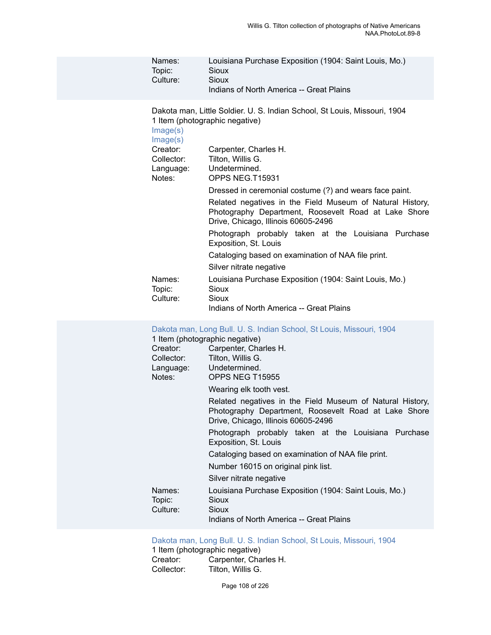| Names:   | Louisiana Purchase Exposition (1904: Saint Louis, Mo.) |
|----------|--------------------------------------------------------|
| Topic:   | Sioux                                                  |
| Culture: | Sioux                                                  |
|          | Indians of North America -- Great Plains               |

Dakota man, Little Soldier. U. S. Indian School, St Louis, Missouri, 1904 1 Item (photographic negative)

| Image(s)<br>Image(s) |                                                                                                                                                          |
|----------------------|----------------------------------------------------------------------------------------------------------------------------------------------------------|
| Creator:             | Carpenter, Charles H.                                                                                                                                    |
| Collector:           | Tilton, Willis G.                                                                                                                                        |
| Language:<br>Notes:  | Undetermined.<br>OPPS NEG.T15931                                                                                                                         |
|                      | Dressed in ceremonial costume (?) and wears face paint.                                                                                                  |
|                      | Related negatives in the Field Museum of Natural History,<br>Photography Department, Roosevelt Road at Lake Shore<br>Drive, Chicago, Illinois 60605-2496 |
|                      | Photograph probably taken at the Louisiana Purchase<br>Exposition, St. Louis                                                                             |
|                      | Cataloging based on examination of NAA file print.                                                                                                       |
|                      | Silver nitrate negative                                                                                                                                  |
| Names:               | Louisiana Purchase Exposition (1904: Saint Louis, Mo.)                                                                                                   |
| Topic:               | Sioux                                                                                                                                                    |
| Culture:             | Sioux<br>Indians of North America -- Great Plains                                                                                                        |
|                      |                                                                                                                                                          |

#### [Dakota man, Long Bull. U. S. Indian School, St Louis, Missouri, 1904](https://ids.si.edu/ids/deliveryService?id=NMNH-T15955-000001)

|            | 1 Item (photographic negative)                                                                                                                           |
|------------|----------------------------------------------------------------------------------------------------------------------------------------------------------|
| Creator:   | Carpenter, Charles H.                                                                                                                                    |
| Collector: | Tilton, Willis G.                                                                                                                                        |
|            | Language: Undetermined.                                                                                                                                  |
| Notes:     | OPPS NEG T15955                                                                                                                                          |
|            | Wearing elk tooth vest.                                                                                                                                  |
|            | Related negatives in the Field Museum of Natural History,<br>Photography Department, Roosevelt Road at Lake Shore<br>Drive, Chicago, Illinois 60605-2496 |
|            | Photograph probably taken at the Louisiana Purchase<br>Exposition, St. Louis                                                                             |
|            | Cataloging based on examination of NAA file print.                                                                                                       |
|            | Number 16015 on original pink list.                                                                                                                      |
|            | Silver nitrate negative                                                                                                                                  |
| Names:     | Louisiana Purchase Exposition (1904: Saint Louis, Mo.)                                                                                                   |
| Topic:     | Sioux                                                                                                                                                    |
| Culture:   | Sioux                                                                                                                                                    |
|            | Indians of North America -- Great Plains                                                                                                                 |

#### [Dakota man, Long Bull. U. S. Indian School, St Louis, Missouri, 1904](https://ids.si.edu/ids/deliveryService?id=NMNH-T15956-000001)

1 Item (photographic negative)<br>Creator: Carpenter, Cha Creator: Carpenter, Charles H.<br>Collector: Tilton, Willis G. Tilton, Willis G.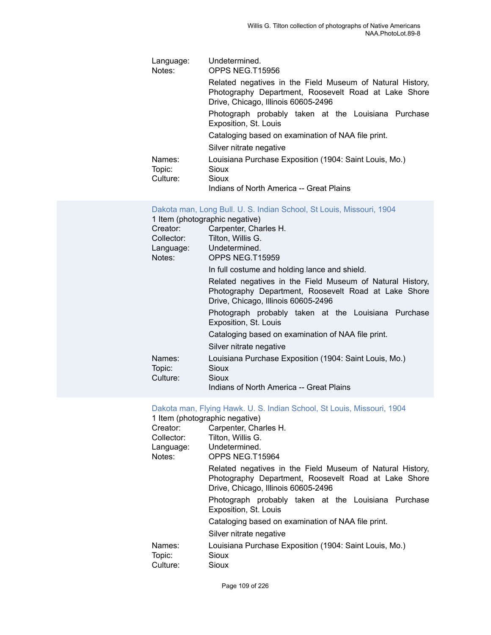| Language:<br>Notes: | Undetermined.<br>OPPS NEG.T15956                                                                                                                         |
|---------------------|----------------------------------------------------------------------------------------------------------------------------------------------------------|
|                     | Related negatives in the Field Museum of Natural History,<br>Photography Department, Roosevelt Road at Lake Shore<br>Drive, Chicago, Illinois 60605-2496 |
|                     | Photograph probably taken at the Louisiana Purchase<br>Exposition, St. Louis                                                                             |
|                     | Cataloging based on examination of NAA file print.                                                                                                       |
|                     | Silver nitrate negative                                                                                                                                  |
| Names:              | Louisiana Purchase Exposition (1904: Saint Louis, Mo.)                                                                                                   |
| Topic:              | Sioux                                                                                                                                                    |
| Culture:            | Sioux                                                                                                                                                    |
|                     | Indians of North America - Creat Plains                                                                                                                  |

Indians of North America -- Great Plains

| 1 Item (photographic negative) | Dakota man, Long Bull. U. S. Indian School, St Louis, Missouri, 1904                                                                                     |
|--------------------------------|----------------------------------------------------------------------------------------------------------------------------------------------------------|
|                                | Creator: Carpenter, Charles H.                                                                                                                           |
|                                | Collector: Tilton, Willis G.                                                                                                                             |
| Language: Undetermined.        |                                                                                                                                                          |
| Notes:                         | OPPS NEG.T15959                                                                                                                                          |
|                                | In full costume and holding lance and shield.                                                                                                            |
|                                | Related negatives in the Field Museum of Natural History,<br>Photography Department, Roosevelt Road at Lake Shore<br>Drive, Chicago, Illinois 60605-2496 |
|                                | Photograph probably taken at the Louisiana Purchase<br>Exposition, St. Louis                                                                             |
|                                | Cataloging based on examination of NAA file print.                                                                                                       |
|                                | Silver nitrate negative                                                                                                                                  |
| Names:<br>Topic:<br>Culture:   | Louisiana Purchase Exposition (1904: Saint Louis, Mo.)<br>Sioux<br>Sioux                                                                                 |
|                                | Indians of North America -- Great Plains                                                                                                                 |

## [Dakota man, Flying Hawk. U. S. Indian School, St Louis, Missouri, 1904](https://ids.si.edu/ids/deliveryService?id=NMNH-T15964-000001)

|            | 1 Item (photographic negative)                                                                                                                           |
|------------|----------------------------------------------------------------------------------------------------------------------------------------------------------|
| Creator:   | Carpenter, Charles H.                                                                                                                                    |
| Collector: | Tilton, Willis G.                                                                                                                                        |
|            | Language: Undetermined.                                                                                                                                  |
| Notes:     | OPPS NEG.T15964                                                                                                                                          |
|            | Related negatives in the Field Museum of Natural History,<br>Photography Department, Roosevelt Road at Lake Shore<br>Drive, Chicago, Illinois 60605-2496 |
|            | Photograph probably taken at the Louisiana Purchase<br>Exposition, St. Louis                                                                             |
|            | Cataloging based on examination of NAA file print.                                                                                                       |
|            | Silver nitrate negative                                                                                                                                  |
| Names:     | Louisiana Purchase Exposition (1904: Saint Louis, Mo.)                                                                                                   |
| Topic:     | Sioux                                                                                                                                                    |
| Culture:   | Sioux                                                                                                                                                    |
|            |                                                                                                                                                          |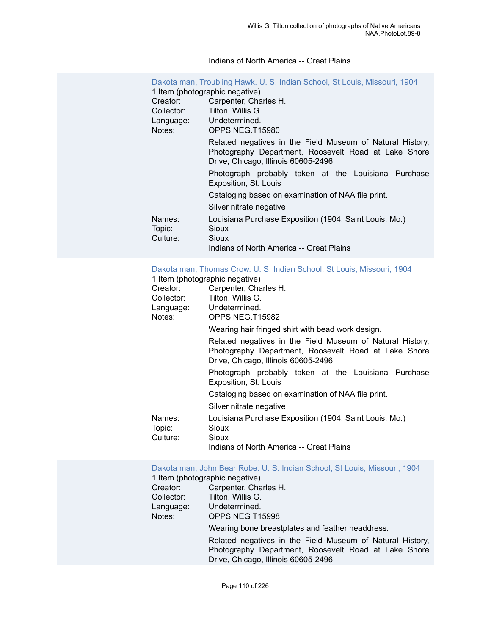#### Indians of North America -- Great Plains

|                              | Dakota man, Troubling Hawk. U. S. Indian School, St Louis, Missouri, 1904                                                                                |
|------------------------------|----------------------------------------------------------------------------------------------------------------------------------------------------------|
|                              | 1 Item (photographic negative)                                                                                                                           |
| Creator:                     | Carpenter, Charles H.                                                                                                                                    |
| Collector:                   | Tilton, Willis G.                                                                                                                                        |
| Language:                    | Undetermined.                                                                                                                                            |
| Notes:                       | OPPS NEG.T15980                                                                                                                                          |
|                              | Related negatives in the Field Museum of Natural History,<br>Photography Department, Roosevelt Road at Lake Shore<br>Drive, Chicago, Illinois 60605-2496 |
|                              | Photograph probably taken at the Louisiana Purchase<br>Exposition, St. Louis                                                                             |
|                              | Cataloging based on examination of NAA file print.                                                                                                       |
|                              | Silver nitrate negative                                                                                                                                  |
| Names:<br>Topic:<br>Culture: | Louisiana Purchase Exposition (1904: Saint Louis, Mo.)<br>Sioux<br>Sioux<br>Indians of North America -- Great Plains                                     |

#### Dakota man, Thomas Crow. U. S. Indian School, St Louis, [Missouri,](https://ids.si.edu/ids/deliveryService?id=NMNH-T15982-000001) 1904

1 Item (photographic negative)

| Creator:                     | Carpenter, Charles H.                                                                                                                                    |
|------------------------------|----------------------------------------------------------------------------------------------------------------------------------------------------------|
| Collector:                   | Tilton, Willis G.                                                                                                                                        |
| Language:<br>Notes:          | Undetermined.<br>OPPS NEG.T15982                                                                                                                         |
|                              | Wearing hair fringed shirt with bead work design.                                                                                                        |
|                              | Related negatives in the Field Museum of Natural History,<br>Photography Department, Roosevelt Road at Lake Shore<br>Drive, Chicago, Illinois 60605-2496 |
|                              | Photograph probably taken at the Louisiana Purchase<br>Exposition, St. Louis                                                                             |
|                              | Cataloging based on examination of NAA file print.                                                                                                       |
|                              | Silver nitrate negative                                                                                                                                  |
| Names:<br>Topic:<br>Culture: | Louisiana Purchase Exposition (1904: Saint Louis, Mo.)<br>Sioux<br>Sioux                                                                                 |
|                              | Indians of North America -- Great Plains                                                                                                                 |

[Dakota man, John Bear Robe. U. S. Indian School, St Louis, Missouri, 1904](https://ids.si.edu/ids/deliveryService?id=NMNH-T15998-000001) 1 Item (photographic negative) Creator: Carpenter, Charles H. Collector: Tilton, Willis G. Language: Undetermined. Notes: OPPS NEG T15998 Wearing bone breastplates and feather headdress. Related negatives in the Field Museum of Natural History,

Photography Department, Roosevelt Road at Lake Shore

Drive, Chicago, Illinois 60605-2496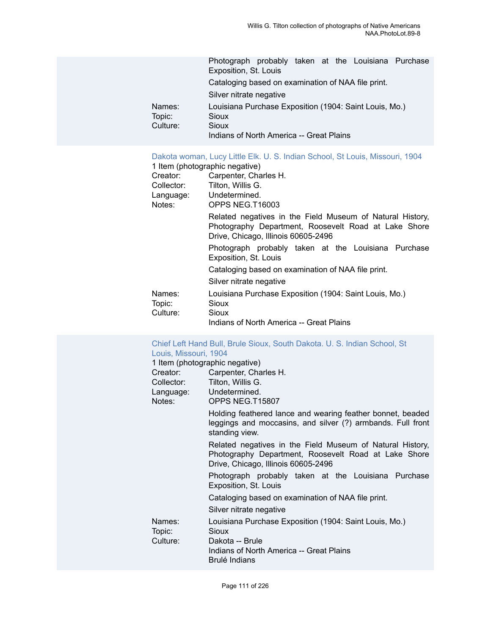|                  | Photograph probably taken at the Louisiana Purchase<br>Exposition, St. Louis |
|------------------|------------------------------------------------------------------------------|
|                  | Cataloging based on examination of NAA file print.                           |
|                  | Silver nitrate negative                                                      |
| Names:<br>Topic: | Louisiana Purchase Exposition (1904: Saint Louis, Mo.)<br>Sioux              |
| Culture:         | Sioux                                                                        |
|                  | Indians of North America -- Great Plains                                     |

#### [Dakota woman, Lucy Little Elk. U. S. Indian School, St Louis, Missouri, 1904](https://ids.si.edu/ids/deliveryService?id=NMNH-T16003-000001)

|            | 1 Item (photographic negative)                                                                                                                           |
|------------|----------------------------------------------------------------------------------------------------------------------------------------------------------|
| Creator:   | Carpenter, Charles H.                                                                                                                                    |
| Collector: | Tilton, Willis G.                                                                                                                                        |
|            | Language: Undetermined.                                                                                                                                  |
| Notes:     | OPPS NEG.T16003                                                                                                                                          |
|            | Related negatives in the Field Museum of Natural History,<br>Photography Department, Roosevelt Road at Lake Shore<br>Drive, Chicago, Illinois 60605-2496 |
|            | Photograph probably taken at the Louisiana Purchase<br>Exposition, St. Louis                                                                             |
|            | Cataloging based on examination of NAA file print.                                                                                                       |
|            | Silver nitrate negative                                                                                                                                  |
| Names:     | Louisiana Purchase Exposition (1904: Saint Louis, Mo.)                                                                                                   |
| Topic:     | Sioux                                                                                                                                                    |
| Culture:   | Sioux                                                                                                                                                    |
|            | Indians of North America -- Great Plains                                                                                                                 |

#### [Chief Left Hand Bull, Brule Sioux, South Dakota. U. S. Indian School, St](https://ids.si.edu/ids/deliveryService?id=NMNH-T15807-000001) [Louis, Missouri, 1904](https://ids.si.edu/ids/deliveryService?id=NMNH-T15807-000001)

| 1 Item (photographic negative)                                                                                                                           |
|----------------------------------------------------------------------------------------------------------------------------------------------------------|
|                                                                                                                                                          |
| Creator: Carpenter, Charles H.                                                                                                                           |
| Collector: Tilton, Willis G.                                                                                                                             |
| Language: Undetermined.                                                                                                                                  |
| OPPS NEG.T15807                                                                                                                                          |
| Holding feathered lance and wearing feather bonnet, beaded<br>leggings and moccasins, and silver (?) armbands. Full front<br>standing view.              |
| Related negatives in the Field Museum of Natural History,<br>Photography Department, Roosevelt Road at Lake Shore<br>Drive, Chicago, Illinois 60605-2496 |
| Photograph probably taken at the Louisiana Purchase<br>Exposition, St. Louis                                                                             |
| Cataloging based on examination of NAA file print.                                                                                                       |
| Silver nitrate negative                                                                                                                                  |
| Louisiana Purchase Exposition (1904: Saint Louis, Mo.)<br>Sioux                                                                                          |
| Dakota -- Brule<br>Indians of North America -- Great Plains<br>Brulé Indians                                                                             |
|                                                                                                                                                          |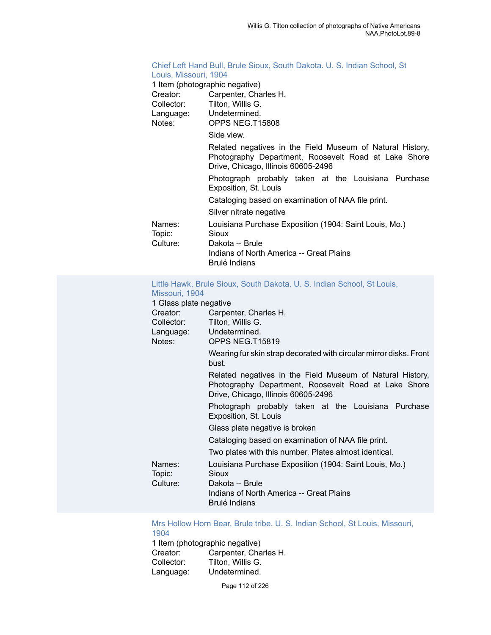## [Chief Left Hand Bull, Brule Sioux, South Dakota. U. S. Indian School, St](https://ids.si.edu/ids/deliveryService?id=NMNH-T15808-000001) [Louis, Missouri, 1904](https://ids.si.edu/ids/deliveryService?id=NMNH-T15808-000001)

| 1 Item (photographic negative)                                                                                                                           |  |
|----------------------------------------------------------------------------------------------------------------------------------------------------------|--|
| Carpenter, Charles H.                                                                                                                                    |  |
| Collector: Tilton, Willis G.                                                                                                                             |  |
| Language: Undetermined.                                                                                                                                  |  |
| OPPS NEG.T15808                                                                                                                                          |  |
| Side view.                                                                                                                                               |  |
| Related negatives in the Field Museum of Natural History,<br>Photography Department, Roosevelt Road at Lake Shore<br>Drive, Chicago, Illinois 60605-2496 |  |
| Photograph probably taken at the Louisiana Purchase<br>Exposition, St. Louis                                                                             |  |
| Cataloging based on examination of NAA file print.                                                                                                       |  |
| Silver nitrate negative                                                                                                                                  |  |
| Louisiana Purchase Exposition (1904: Saint Louis, Mo.)<br>Sioux                                                                                          |  |
| Dakota -- Brule<br>Indians of North America -- Great Plains<br>Brulé Indians                                                                             |  |
|                                                                                                                                                          |  |

#### [Little Hawk, Brule Sioux, South Dakota. U. S. Indian School, St Louis,](https://ids.si.edu/ids/deliveryService?id=NMNH-T15819-000001) [Missouri, 1904](https://ids.si.edu/ids/deliveryService?id=NMNH-T15819-000001)

| 1 Glass plate negative |                                                                                                                                                          |
|------------------------|----------------------------------------------------------------------------------------------------------------------------------------------------------|
| Creator:               | Carpenter, Charles H.                                                                                                                                    |
| Collector:             | Tilton, Willis G.                                                                                                                                        |
|                        | Language: Undetermined.                                                                                                                                  |
| Notes:                 | OPPS NEG.T15819                                                                                                                                          |
|                        | Wearing fur skin strap decorated with circular mirror disks. Front<br>bust.                                                                              |
|                        | Related negatives in the Field Museum of Natural History,<br>Photography Department, Roosevelt Road at Lake Shore<br>Drive, Chicago, Illinois 60605-2496 |
|                        | Photograph probably taken at the Louisiana Purchase<br>Exposition, St. Louis                                                                             |
|                        | Glass plate negative is broken                                                                                                                           |
|                        | Cataloging based on examination of NAA file print.                                                                                                       |
|                        | Two plates with this number. Plates almost identical.                                                                                                    |
| Names:<br>Topic:       | Louisiana Purchase Exposition (1904: Saint Louis, Mo.)<br>Sioux                                                                                          |
| Culture:               | Dakota -- Brule<br>Indians of North America -- Great Plains<br>Brulé Indians                                                                             |

## Mrs Hollow Horn Bear, Brule tribe. U. S. Indian School, St Louis, [Missouri,](https://ids.si.edu/ids/deliveryService?id=NMNH-T15821-000001) [1904](https://ids.si.edu/ids/deliveryService?id=NMNH-T15821-000001)<br>1 Iten

| Carpenter, Charles H. |
|-----------------------|
|                       |
|                       |
|                       |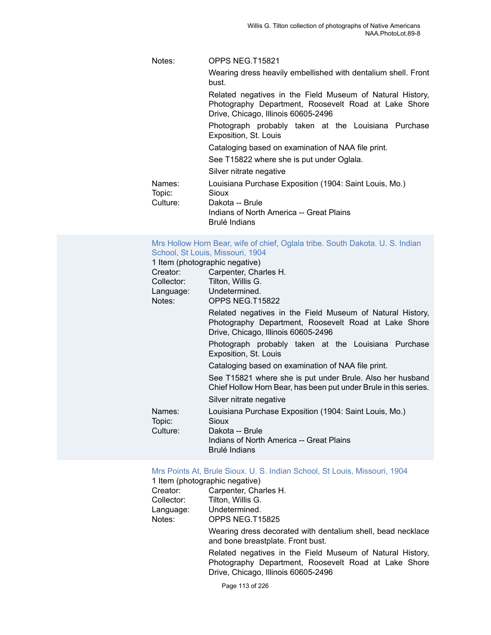## Notes: OPPS NEG.T15821 Wearing dress heavily embellished with dentalium shell. Front bust. Related negatives in the Field Museum of Natural History, Photography Department, Roosevelt Road at Lake Shore Drive, Chicago, Illinois 60605-2496 Photograph probably taken at the Louisiana Purchase Exposition, St. Louis Cataloging based on examination of NAA file print. See T15822 where she is put under Oglala. Silver nitrate negative Names: Louisiana Purchase Exposition (1904: Saint Louis, Mo.) Topic: Sioux Culture: Dakota -- Brule Indians of North America -- Great Plains Brulé Indians

#### Mrs Hollow Horn Bear, wife of chief, Oglala tribe. South [Dakota.](https://ids.si.edu/ids/deliveryService?id=NMNH-T15822-000001) U. S. Indian [School, St Louis, Missouri, 1904](https://ids.si.edu/ids/deliveryService?id=NMNH-T15822-000001)

#### 1 Item (photographic negative)

| Carpenter, Charles H.                                                                                                                                    |
|----------------------------------------------------------------------------------------------------------------------------------------------------------|
| Tilton, Willis G.                                                                                                                                        |
| Language: Undetermined.                                                                                                                                  |
| OPPS NEG.T15822                                                                                                                                          |
| Related negatives in the Field Museum of Natural History,<br>Photography Department, Roosevelt Road at Lake Shore<br>Drive, Chicago, Illinois 60605-2496 |
| Photograph probably taken at the Louisiana Purchase<br>Exposition, St. Louis                                                                             |
| Cataloging based on examination of NAA file print.                                                                                                       |
| See T15821 where she is put under Brule. Also her husband<br>Chief Hollow Horn Bear, has been put under Brule in this series.                            |
| Silver nitrate negative                                                                                                                                  |
| Louisiana Purchase Exposition (1904: Saint Louis, Mo.)<br>Sioux                                                                                          |
| Dakota -- Brule<br>Indians of North America -- Great Plains<br>Brulé Indians                                                                             |
|                                                                                                                                                          |

#### [Mrs Points At, Brule Sioux. U. S. Indian School, St Louis, Missouri, 1904](https://ids.si.edu/ids/deliveryService?id=NMNH-T15825-000001)

| 1 Item (photographic negative) |                       |  |
|--------------------------------|-----------------------|--|
| Creator:                       | Carpenter, Charles H. |  |
| Collector:                     | Tilton, Willis G.     |  |
| Language:                      | Undetermined.         |  |
| Notes:                         | OPPS NEG.T15825       |  |

Wearing dress decorated with dentalium shell, bead necklace and bone breastplate. Front bust.

Related negatives in the Field Museum of Natural History, Photography Department, Roosevelt Road at Lake Shore Drive, Chicago, Illinois 60605-2496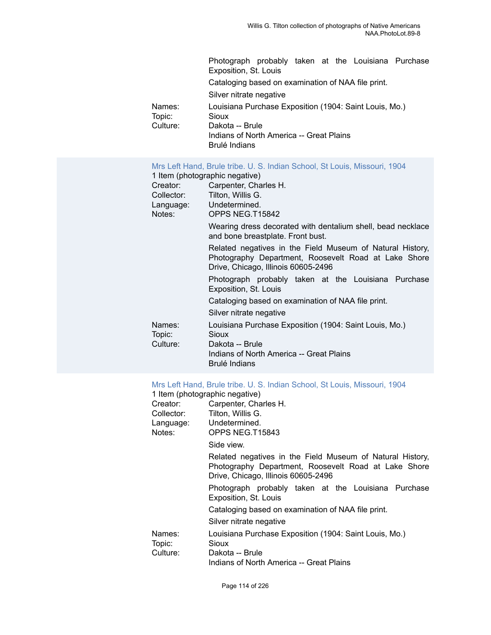|                  | Photograph probably taken at the Louisiana Purchase<br>Exposition, St. Louis |
|------------------|------------------------------------------------------------------------------|
|                  | Cataloging based on examination of NAA file print.                           |
|                  | Silver nitrate negative                                                      |
| Names:<br>Topic: | Louisiana Purchase Exposition (1904: Saint Louis, Mo.)<br>Sioux              |
| Culture:         | Dakota -- Brule                                                              |
|                  | Indians of North America -- Great Plains<br>Brulé Indians                    |
|                  |                                                                              |

#### [Mrs Left Hand, Brule tribe. U. S. Indian School, St Louis, Missouri, 1904](https://ids.si.edu/ids/deliveryService?id=NMNH-T15842-000001)

| 1 Item (photographic negative)                                                                                                                           |
|----------------------------------------------------------------------------------------------------------------------------------------------------------|
| Carpenter, Charles H.                                                                                                                                    |
| Tilton, Willis G.                                                                                                                                        |
| Language: Undetermined.                                                                                                                                  |
| OPPS NEG.T15842                                                                                                                                          |
| Wearing dress decorated with dentalium shell, bead necklace<br>and bone breastplate. Front bust.                                                         |
| Related negatives in the Field Museum of Natural History,<br>Photography Department, Roosevelt Road at Lake Shore<br>Drive, Chicago, Illinois 60605-2496 |
| Photograph probably taken at the Louisiana Purchase<br>Exposition, St. Louis                                                                             |
| Cataloging based on examination of NAA file print.                                                                                                       |
| Silver nitrate negative                                                                                                                                  |
| Louisiana Purchase Exposition (1904: Saint Louis, Mo.)<br>Sioux                                                                                          |
| Dakota -- Brule<br>Indians of North America -- Great Plains<br>Brulé Indians                                                                             |
|                                                                                                                                                          |

## [Mrs Left Hand, Brule tribe. U. S. Indian School, St Louis, Missouri, 1904](https://ids.si.edu/ids/deliveryService?id=NMNH-T15843-000001)

|            | 1 Item (photographic negative)                                                                                                                           |
|------------|----------------------------------------------------------------------------------------------------------------------------------------------------------|
| Creator:   | Carpenter, Charles H.                                                                                                                                    |
| Collector: | Tilton, Willis G.                                                                                                                                        |
|            | Language: Undetermined.                                                                                                                                  |
| Notes:     | OPPS NEG.T15843                                                                                                                                          |
|            | Side view.                                                                                                                                               |
|            | Related negatives in the Field Museum of Natural History,<br>Photography Department, Roosevelt Road at Lake Shore<br>Drive, Chicago, Illinois 60605-2496 |
|            | Photograph probably taken at the Louisiana Purchase<br>Exposition, St. Louis                                                                             |
|            | Cataloging based on examination of NAA file print.                                                                                                       |
|            | Silver nitrate negative                                                                                                                                  |
| Names:     | Louisiana Purchase Exposition (1904: Saint Louis, Mo.)                                                                                                   |
| Topic:     | Sioux                                                                                                                                                    |
| Culture:   | Dakota -- Brule                                                                                                                                          |
|            | Indians of North America -- Great Plains                                                                                                                 |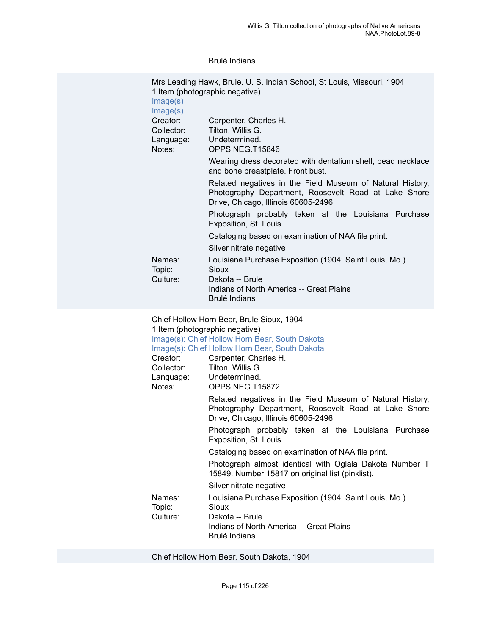#### Brulé Indians

| Mrs Leading Hawk, Brule. U. S. Indian School, St Louis, Missouri, 1904<br>1 Item (photographic negative)                                                                                                                                                          |
|-------------------------------------------------------------------------------------------------------------------------------------------------------------------------------------------------------------------------------------------------------------------|
| Carpenter, Charles H.<br>Tilton, Willis G.<br>Undetermined.<br>OPPS NEG.T15846                                                                                                                                                                                    |
| Wearing dress decorated with dentalium shell, bead necklace<br>and bone breastplate. Front bust.                                                                                                                                                                  |
| Related negatives in the Field Museum of Natural History,<br>Photography Department, Roosevelt Road at Lake Shore<br>Drive, Chicago, Illinois 60605-2496                                                                                                          |
| Photograph probably taken at the Louisiana Purchase<br>Exposition, St. Louis                                                                                                                                                                                      |
| Cataloging based on examination of NAA file print.<br>Silver nitrate negative                                                                                                                                                                                     |
| Louisiana Purchase Exposition (1904: Saint Louis, Mo.)<br>Sioux                                                                                                                                                                                                   |
| Dakota -- Brule<br>Indians of North America -- Great Plains<br>Brulé Indians                                                                                                                                                                                      |
| Chief Hollow Horn Bear, Brule Sioux, 1904<br>1 Item (photographic negative)<br>Image(s): Chief Hollow Horn Bear, South Dakota<br>Image(s): Chief Hollow Horn Bear, South Dakota<br>Carpenter, Charles H.<br>Tilton, Willis G.<br>Undetermined.<br>OPPS NEG.T15872 |
| Related negatives in the Field Museum of Natural History,<br>Photography Department, Roosevelt Road at Lake Shore<br>Drive, Chicago, Illinois 60605-2496                                                                                                          |
| Photograph probably taken at the Louisiana<br>Purchase<br>Exposition, St. Louis                                                                                                                                                                                   |
| Cataloging based on examination of NAA file print.                                                                                                                                                                                                                |
| Photograph almost identical with Oglala Dakota Number T<br>15849. Number 15817 on original list (pinklist).                                                                                                                                                       |
| Silver nitrate negative                                                                                                                                                                                                                                           |
| Louisiana Purchase Exposition (1904: Saint Louis, Mo.)<br>Sioux<br>Dakota -- Brule<br>Indians of North America -- Great Plains<br>Brulé Indians                                                                                                                   |
|                                                                                                                                                                                                                                                                   |

Chief Hollow Horn Bear, South Dakota, 1904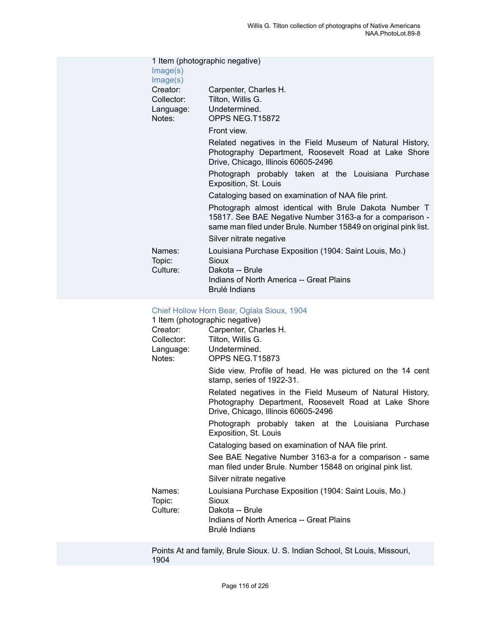| Image(s)<br>Image(s)                          | 1 Item (photographic negative)                                                                                                                                                        |
|-----------------------------------------------|---------------------------------------------------------------------------------------------------------------------------------------------------------------------------------------|
| Creator:<br>Collector:<br>Language:<br>Notes: | Carpenter, Charles H.<br>Tilton, Willis G.<br>Undetermined.<br>OPPS NEG.T15872                                                                                                        |
|                                               | Front view.                                                                                                                                                                           |
|                                               | Related negatives in the Field Museum of Natural History,<br>Photography Department, Roosevelt Road at Lake Shore<br>Drive, Chicago, Illinois 60605-2496                              |
|                                               | Photograph probably taken at the Louisiana Purchase<br>Exposition, St. Louis                                                                                                          |
|                                               | Cataloging based on examination of NAA file print.                                                                                                                                    |
|                                               | Photograph almost identical with Brule Dakota Number T<br>15817. See BAE Negative Number 3163-a for a comparison -<br>same man filed under Brule. Number 15849 on original pink list. |
|                                               | Silver nitrate negative                                                                                                                                                               |
| Names:<br>Topic:<br>Culture:                  | Louisiana Purchase Exposition (1904: Saint Louis, Mo.)<br>Sioux<br>Dakota -- Brule<br>Indians of North America -- Great Plains<br>Brulé Indians                                       |
|                                               |                                                                                                                                                                                       |

#### Chief [Hollow](https://ids.si.edu/ids/deliveryService?id=NMNH-T15873-000001) Horn Bear, Oglala Sioux, 1904

1 Item (photographic negative)

|                              | 1 Item (photographic negative)                                                                                                                           |
|------------------------------|----------------------------------------------------------------------------------------------------------------------------------------------------------|
| Creator:                     | Carpenter, Charles H.                                                                                                                                    |
| Collector:                   | Tilton, Willis G.                                                                                                                                        |
|                              | Language: Undetermined.                                                                                                                                  |
| Notes:                       | OPPS NEG.T15873                                                                                                                                          |
|                              | Side view. Profile of head. He was pictured on the 14 cent<br>stamp, series of 1922-31.                                                                  |
|                              | Related negatives in the Field Museum of Natural History,<br>Photography Department, Roosevelt Road at Lake Shore<br>Drive, Chicago, Illinois 60605-2496 |
|                              | Photograph probably taken at the Louisiana Purchase<br>Exposition, St. Louis                                                                             |
|                              | Cataloging based on examination of NAA file print.                                                                                                       |
|                              | See BAE Negative Number 3163-a for a comparison - same<br>man filed under Brule. Number 15848 on original pink list.                                     |
|                              | Silver nitrate negative                                                                                                                                  |
| Names:<br>Topic:<br>Culture: | Louisiana Purchase Exposition (1904: Saint Louis, Mo.)<br>Sioux<br>Dakota -- Brule<br>Indians of North America -- Great Plains                           |
|                              | Brulé Indians                                                                                                                                            |

Points At and family, Brule Sioux. U. S. Indian School, St Louis, Missouri, 1904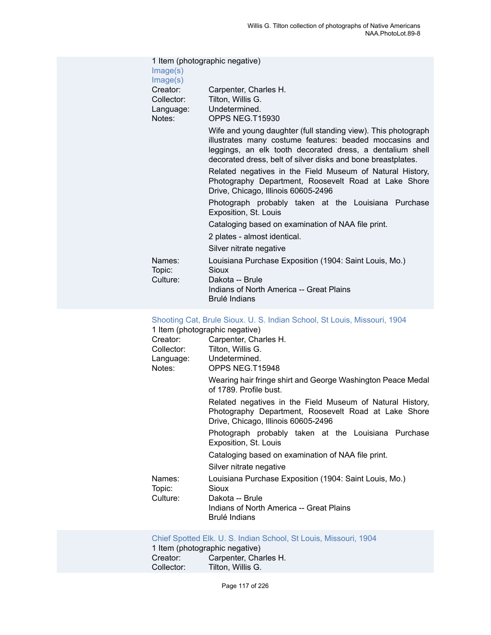| Image(s)<br>Image(s)                          | 1 Item (photographic negative)                                                                                                                                                                                                                        |
|-----------------------------------------------|-------------------------------------------------------------------------------------------------------------------------------------------------------------------------------------------------------------------------------------------------------|
| Creator:<br>Collector:<br>Language:<br>Notes: | Carpenter, Charles H.<br>Tilton, Willis G.<br>Undetermined.<br>OPPS NEG.T15930                                                                                                                                                                        |
|                                               | Wife and young daughter (full standing view). This photograph<br>illustrates many costume features: beaded moccasins and<br>leggings, an elk tooth decorated dress, a dentalium shell<br>decorated dress, belt of silver disks and bone breastplates. |
|                                               | Related negatives in the Field Museum of Natural History,<br>Photography Department, Roosevelt Road at Lake Shore<br>Drive, Chicago, Illinois 60605-2496                                                                                              |
|                                               | Photograph probably taken at the Louisiana Purchase<br>Exposition, St. Louis                                                                                                                                                                          |
|                                               | Cataloging based on examination of NAA file print.<br>2 plates - almost identical.                                                                                                                                                                    |
|                                               | Silver nitrate negative                                                                                                                                                                                                                               |
| Names:<br>Topic:                              | Louisiana Purchase Exposition (1904: Saint Louis, Mo.)<br>Sioux                                                                                                                                                                                       |
| Culture:                                      | Dakota -- Brule<br>Indians of North America -- Great Plains<br><b>Brulé Indians</b>                                                                                                                                                                   |

#### [Shooting Cat, Brule Sioux. U. S. Indian School, St Louis, Missouri, 1904](https://ids.si.edu/ids/deliveryService?id=NMNH-T15948-000001)

| 1 Item (photographic negative) |  |
|--------------------------------|--|
|--------------------------------|--|

| Creator:<br>Collector:<br>Language:<br>Notes: | Carpenter, Charles H.<br>Tilton, Willis G.<br>Undetermined.<br>OPPS NEG.T15948                                                                           |
|-----------------------------------------------|----------------------------------------------------------------------------------------------------------------------------------------------------------|
|                                               | Wearing hair fringe shirt and George Washington Peace Medal<br>of 1789. Profile bust.                                                                    |
|                                               | Related negatives in the Field Museum of Natural History,<br>Photography Department, Roosevelt Road at Lake Shore<br>Drive, Chicago, Illinois 60605-2496 |
|                                               | Photograph probably taken at the Louisiana Purchase<br>Exposition, St. Louis                                                                             |
|                                               | Cataloging based on examination of NAA file print.                                                                                                       |
|                                               | Silver nitrate negative                                                                                                                                  |
| Names:<br>Topic:<br>Culture:                  | Louisiana Purchase Exposition (1904: Saint Louis, Mo.)<br>Sioux<br>Dakota -- Brule<br>Indians of North America -- Great Plains<br>Brulé Indians          |
|                                               |                                                                                                                                                          |

#### [Chief Spotted Elk. U. S. Indian School, St Louis, Missouri, 1904](https://ids.si.edu/ids/deliveryService?id=NMNH-T16013-000001)

1 Item (photographic negative)<br>Creator: Carpenter, Chai Creator: Carpenter, Charles H.<br>Collector: Tilton, Willis G. Tilton, Willis G.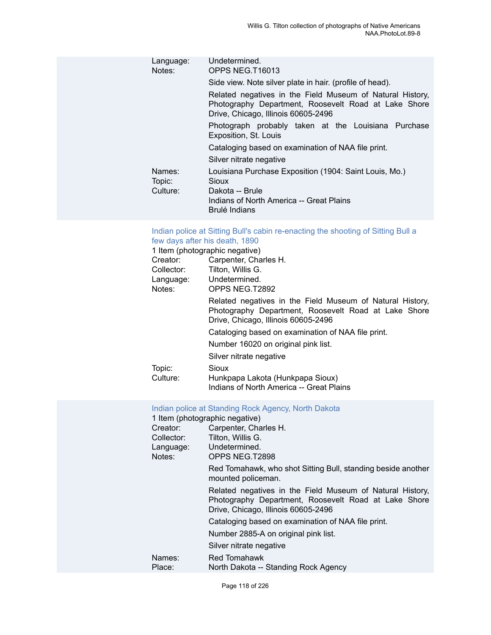| Language:<br>Notes:          | Undetermined.<br>OPPS NEG.T16013                                                                                                                         |
|------------------------------|----------------------------------------------------------------------------------------------------------------------------------------------------------|
|                              | Side view. Note silver plate in hair. (profile of head).                                                                                                 |
|                              | Related negatives in the Field Museum of Natural History,<br>Photography Department, Roosevelt Road at Lake Shore<br>Drive, Chicago, Illinois 60605-2496 |
|                              | Photograph probably taken at the Louisiana Purchase<br>Exposition, St. Louis                                                                             |
|                              | Cataloging based on examination of NAA file print.                                                                                                       |
|                              | Silver nitrate negative                                                                                                                                  |
| Names:<br>Topic:<br>Culture: | Louisiana Purchase Exposition (1904: Saint Louis, Mo.)<br>Sioux<br>Dakota -- Brule<br>Indians of North America -- Great Plains                           |
|                              | Brulé Indians                                                                                                                                            |

### [Indian police at Sitting Bull's cabin re-enacting the shooting of Sitting Bull a](https://ids.si.edu/ids/deliveryService?id=NMNH-T2892-000001) [few days after his death, 1890](https://ids.si.edu/ids/deliveryService?id=NMNH-T2892-000001)

|            | 1 Item (photographic negative)                                                                                                                           |
|------------|----------------------------------------------------------------------------------------------------------------------------------------------------------|
| Creator:   | Carpenter, Charles H.                                                                                                                                    |
| Collector: | Tilton, Willis G.                                                                                                                                        |
| Language:  | Undetermined.                                                                                                                                            |
| Notes:     | OPPS NEG.T2892                                                                                                                                           |
|            | Related negatives in the Field Museum of Natural History,<br>Photography Department, Roosevelt Road at Lake Shore<br>Drive, Chicago, Illinois 60605-2496 |
|            | Cataloging based on examination of NAA file print.                                                                                                       |
|            | Number 16020 on original pink list.                                                                                                                      |
|            | Silver nitrate negative                                                                                                                                  |
| Topic:     | Sioux                                                                                                                                                    |
| Culture:   | Hunkpapa Lakota (Hunkpapa Sioux)                                                                                                                         |
|            | Indians of North America -- Great Plains                                                                                                                 |

## Indian police at [Standing](https://ids.si.edu/ids/deliveryService?id=NMNH-T2898-000001) Rock Agency, North Dakota

|            | 1 Item (photographic negative)                                                                                                                           |
|------------|----------------------------------------------------------------------------------------------------------------------------------------------------------|
| Creator:   | Carpenter, Charles H.                                                                                                                                    |
| Collector: | Tilton, Willis G.                                                                                                                                        |
| Language:  | Undetermined.                                                                                                                                            |
| Notes:     | OPPS NEG.T2898                                                                                                                                           |
|            | Red Tomahawk, who shot Sitting Bull, standing beside another<br>mounted policeman.                                                                       |
|            | Related negatives in the Field Museum of Natural History,<br>Photography Department, Roosevelt Road at Lake Shore<br>Drive, Chicago, Illinois 60605-2496 |
|            | Cataloging based on examination of NAA file print.                                                                                                       |
|            | Number 2885-A on original pink list.                                                                                                                     |
|            | Silver nitrate negative                                                                                                                                  |
| Names:     | Red Tomahawk                                                                                                                                             |
| Place:     | North Dakota -- Standing Rock Agency                                                                                                                     |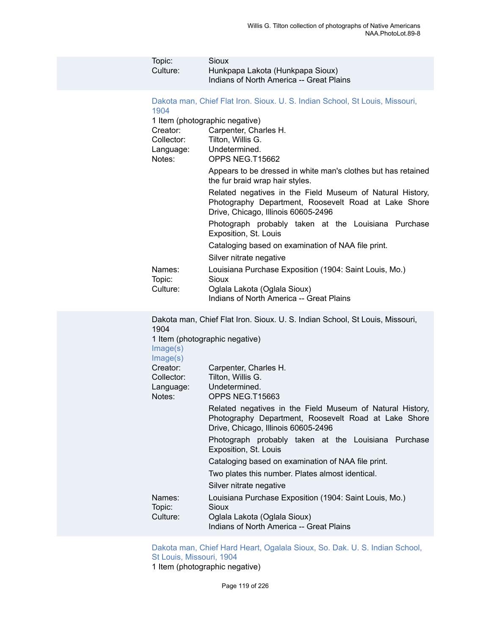| Topic:<br>Culture:                            | Sioux<br>Hunkpapa Lakota (Hunkpapa Sioux)<br>Indians of North America -- Great Plains                                                                    |
|-----------------------------------------------|----------------------------------------------------------------------------------------------------------------------------------------------------------|
| 1904                                          | Dakota man, Chief Flat Iron. Sioux. U. S. Indian School, St Louis, Missouri,                                                                             |
| Creator:<br>Collector:<br>Language:<br>Notes: | 1 Item (photographic negative)<br>Carpenter, Charles H.<br>Tilton, Willis G.<br>Undetermined.<br>OPPS NEG.T15662                                         |
|                                               | Appears to be dressed in white man's clothes but has retained<br>the fur braid wrap hair styles.                                                         |
|                                               | Related negatives in the Field Museum of Natural History,<br>Photography Department, Roosevelt Road at Lake Shore<br>Drive, Chicago, Illinois 60605-2496 |
|                                               | Photograph probably taken at the Louisiana Purchase<br>Exposition, St. Louis                                                                             |
|                                               | Cataloging based on examination of NAA file print.<br>Silver nitrate negative                                                                            |
| Names:                                        | Louisiana Purchase Exposition (1904: Saint Louis, Mo.)<br><b>Sioux</b>                                                                                   |
| Topic:<br>Culture:                            | Oglala Lakota (Oglala Sioux)<br>Indians of North America -- Great Plains                                                                                 |
| 1904                                          | Dakota man, Chief Flat Iron. Sioux. U. S. Indian School, St Louis, Missouri,                                                                             |
| Image(s)<br>Image(s)                          | 1 Item (photographic negative)                                                                                                                           |
| Creator:<br>Collector:<br>Language:<br>Notes: | Carpenter, Charles H.<br>Tilton, Willis G.<br>Undetermined.<br>OPPS NEG.T15663                                                                           |
|                                               | Related negatives in the Field Museum of Natural History,<br>Photography Department, Roosevelt Road at Lake Shore<br>Drive, Chicago, Illinois 60605-2496 |
|                                               | Photograph probably taken at the Louisiana Purchase<br>Exposition, St. Louis                                                                             |
|                                               | Cataloging based on examination of NAA file print.                                                                                                       |
|                                               | Two plates this number. Plates almost identical.                                                                                                         |
|                                               | Silver nitrate negative                                                                                                                                  |
| Names:<br>Topic:                              | Louisiana Purchase Exposition (1904: Saint Louis, Mo.)<br>Sioux                                                                                          |
| Culture:                                      | Oglala Lakota (Oglala Sioux)<br>Indians of North America -- Great Plains                                                                                 |

[Dakota man, Chief Hard Heart, Ogalala Sioux, So. Dak. U. S. Indian School,](https://ids.si.edu/ids/deliveryService?id=NMNH-T15678-000001) [St Louis, Missouri, 1904](https://ids.si.edu/ids/deliveryService?id=NMNH-T15678-000001) 1 Item (photographic negative)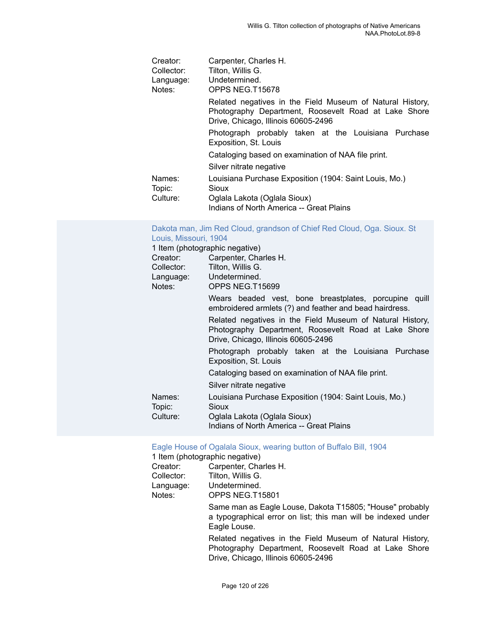| Creator:         | Carpenter, Charles H.                                                                                                                                    |
|------------------|----------------------------------------------------------------------------------------------------------------------------------------------------------|
| Collector:       | Tilton, Willis G.                                                                                                                                        |
| Language:        | Undetermined.                                                                                                                                            |
| Notes:           | OPPS NEG.T15678                                                                                                                                          |
|                  | Related negatives in the Field Museum of Natural History,<br>Photography Department, Roosevelt Road at Lake Shore<br>Drive, Chicago, Illinois 60605-2496 |
|                  | Photograph probably taken at the Louisiana Purchase<br>Exposition, St. Louis                                                                             |
|                  | Cataloging based on examination of NAA file print.                                                                                                       |
|                  | Silver nitrate negative                                                                                                                                  |
| Names:<br>Topic: | Louisiana Purchase Exposition (1904: Saint Louis, Mo.)<br>Sioux                                                                                          |
| Culture:         | Oglala Lakota (Oglala Sioux)                                                                                                                             |
|                  | Indians of North America -- Great Plains                                                                                                                 |

#### [Dakota man, Jim Red Cloud, grandson of Chief Red Cloud, Oga. Sioux. St](https://ids.si.edu/ids/deliveryService?id=NMNH-T15699-000001) [Louis, Missouri, 1904](https://ids.si.edu/ids/deliveryService?id=NMNH-T15699-000001)

|            | 1 Item (photographic negative)                                                                                                                           |
|------------|----------------------------------------------------------------------------------------------------------------------------------------------------------|
| Creator:   | Carpenter, Charles H.                                                                                                                                    |
| Collector: | Tilton, Willis G.                                                                                                                                        |
|            | Language: Undetermined.                                                                                                                                  |
| Notes:     | OPPS NEG.T15699                                                                                                                                          |
|            | Wears beaded vest, bone breastplates, porcupine quill<br>embroidered armlets (?) and feather and bead hairdress.                                         |
|            | Related negatives in the Field Museum of Natural History,<br>Photography Department, Roosevelt Road at Lake Shore<br>Drive, Chicago, Illinois 60605-2496 |
|            | Photograph probably taken at the Louisiana Purchase<br>Exposition, St. Louis                                                                             |
|            | Cataloging based on examination of NAA file print.                                                                                                       |
|            | Silver nitrate negative                                                                                                                                  |
| Names:     | Louisiana Purchase Exposition (1904: Saint Louis, Mo.)                                                                                                   |
| Topic:     | Sioux                                                                                                                                                    |
| Culture:   | Oglala Lakota (Oglala Sioux)                                                                                                                             |
|            | Indians of North America -- Great Plains                                                                                                                 |

# Eagle House of Ogalala Sioux, [wearing](https://ids.si.edu/ids/deliveryService?id=NMNH-T15801-000001) button of Buffalo Bill, 1904

|            | 1 Item (photographic negative)                                                                                                                           |
|------------|----------------------------------------------------------------------------------------------------------------------------------------------------------|
| Creator:   | Carpenter, Charles H.                                                                                                                                    |
| Collector: | Tilton, Willis G.                                                                                                                                        |
| Language:  | Undetermined.                                                                                                                                            |
| Notes:     | OPPS NEG.T15801                                                                                                                                          |
|            | Same man as Eagle Louse, Dakota T15805; "House" probably<br>a typographical error on list; this man will be indexed under<br>Eagle Louse.                |
|            | Related negatives in the Field Museum of Natural History,<br>Photography Department, Roosevelt Road at Lake Shore<br>Drive, Chicago, Illinois 60605-2496 |
|            |                                                                                                                                                          |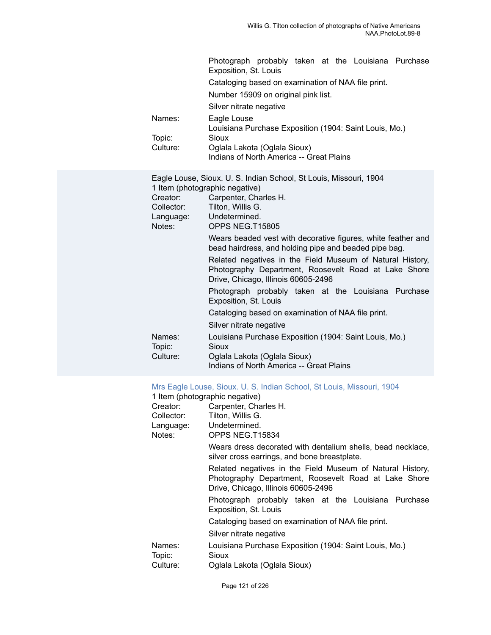|                     | Photograph probably taken at the Louisiana Purchase<br>Exposition, St. Louis                                                                             |
|---------------------|----------------------------------------------------------------------------------------------------------------------------------------------------------|
|                     | Cataloging based on examination of NAA file print.                                                                                                       |
|                     | Number 15909 on original pink list.                                                                                                                      |
|                     | Silver nitrate negative                                                                                                                                  |
| Names:              | Eagle Louse<br>Louisiana Purchase Exposition (1904: Saint Louis, Mo.)                                                                                    |
| Topic:              | Sioux                                                                                                                                                    |
| Culture:            | Oglala Lakota (Oglala Sioux)<br>Indians of North America -- Great Plains                                                                                 |
| Creator:            | Eagle Louse, Sioux. U. S. Indian School, St Louis, Missouri, 1904<br>1 Item (photographic negative)<br>Carpenter, Charles H.                             |
| Collector:          | Tilton, Willis G.                                                                                                                                        |
| Language:<br>Notes: | Undetermined.<br>OPPS NEG.T15805                                                                                                                         |
|                     | Wears beaded vest with decorative figures, white feather and<br>bead hairdress, and holding pipe and beaded pipe bag.                                    |
|                     | Related negatives in the Field Museum of Natural History,<br>Photography Department, Roosevelt Road at Lake Shore<br>Drive, Chicago, Illinois 60605-2496 |
|                     | Photograph probably taken at the Louisiana Purchase<br>Exposition, St. Louis                                                                             |
|                     | Cataloging based on examination of NAA file print.                                                                                                       |
|                     | Silver nitrate negative                                                                                                                                  |
| Names:<br>Topic:    | Louisiana Purchase Exposition (1904: Saint Louis, Mo.)<br>Sioux                                                                                          |
| Culture:            | Oglala Lakota (Oglala Sioux)<br>Indians of North America -- Great Plains                                                                                 |

## [Mrs Eagle Louse, Sioux. U. S. Indian School, St Louis, Missouri, 1904](https://ids.si.edu/ids/deliveryService?id=NMNH-T15834-000001)<br>1 Item (photographic negative)

|                  | 1 Item (photographic negative)                                                                                                                           |
|------------------|----------------------------------------------------------------------------------------------------------------------------------------------------------|
| Creator:         | Carpenter, Charles H.                                                                                                                                    |
| Collector:       | Tilton, Willis G.                                                                                                                                        |
|                  | Language: Undetermined.                                                                                                                                  |
| Notes:           | OPPS NEG.T15834                                                                                                                                          |
|                  | Wears dress decorated with dentalium shells, bead necklace,<br>silver cross earrings, and bone breastplate.                                              |
|                  | Related negatives in the Field Museum of Natural History,<br>Photography Department, Roosevelt Road at Lake Shore<br>Drive, Chicago, Illinois 60605-2496 |
|                  | Photograph probably taken at the Louisiana Purchase<br>Exposition, St. Louis                                                                             |
|                  | Cataloging based on examination of NAA file print.                                                                                                       |
|                  | Silver nitrate negative                                                                                                                                  |
| Names:<br>Topic: | Louisiana Purchase Exposition (1904: Saint Louis, Mo.)<br>Sioux                                                                                          |
| Culture:         | Oglala Lakota (Oglala Sioux)                                                                                                                             |
|                  |                                                                                                                                                          |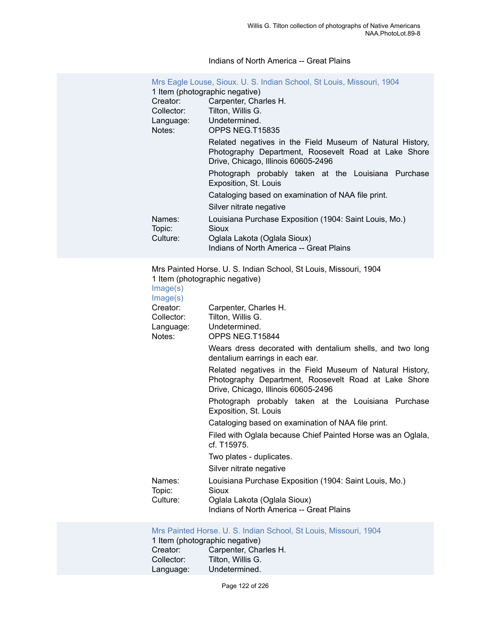#### Indians of North America -- Great Plains

| Mrs Eagle Louse, Sioux. U. S. Indian School, St Louis, Missouri, 1904 |                                                                                                                                                          |  |
|-----------------------------------------------------------------------|----------------------------------------------------------------------------------------------------------------------------------------------------------|--|
| 1 Item (photographic negative)                                        |                                                                                                                                                          |  |
| Creator:                                                              | Carpenter, Charles H.                                                                                                                                    |  |
| Collector:                                                            | Tilton, Willis G.                                                                                                                                        |  |
| Language:                                                             | Undetermined.                                                                                                                                            |  |
| Notes:                                                                | OPPS NEG.T15835                                                                                                                                          |  |
|                                                                       | Related negatives in the Field Museum of Natural History,<br>Photography Department, Roosevelt Road at Lake Shore<br>Drive, Chicago, Illinois 60605-2496 |  |
|                                                                       | Photograph probably taken at the Louisiana Purchase<br>Exposition, St. Louis                                                                             |  |
|                                                                       | Cataloging based on examination of NAA file print.                                                                                                       |  |
|                                                                       | Silver nitrate negative                                                                                                                                  |  |
| Names:<br>Topic:<br>Culture:                                          | Louisiana Purchase Exposition (1904: Saint Louis, Mo.)<br>Sioux<br>Oglala Lakota (Oglala Sioux)<br>Indians of North America -- Great Plains              |  |

Mrs Painted Horse. U. S. Indian School, St Louis, Missouri, 1904 1 Item (photographic negative)

| Image(s)<br>Image(s) |                                                                                                                                                          |
|----------------------|----------------------------------------------------------------------------------------------------------------------------------------------------------|
| Creator:             | Carpenter, Charles H.                                                                                                                                    |
| Collector:           | Tilton, Willis G.                                                                                                                                        |
| Language:<br>Notes:  | Undetermined.<br>OPPS NEG.T15844                                                                                                                         |
|                      | Wears dress decorated with dentalium shells, and two long<br>dentalium earrings in each ear.                                                             |
|                      | Related negatives in the Field Museum of Natural History,<br>Photography Department, Roosevelt Road at Lake Shore<br>Drive, Chicago, Illinois 60605-2496 |
|                      | Photograph probably taken at the Louisiana Purchase<br>Exposition, St. Louis                                                                             |
|                      | Cataloging based on examination of NAA file print.                                                                                                       |
|                      | Filed with Oglala because Chief Painted Horse was an Oglala,<br>cf. T15975.                                                                              |
|                      | Two plates - duplicates.                                                                                                                                 |
|                      | Silver nitrate negative                                                                                                                                  |
| Names:<br>Topic:     | Louisiana Purchase Exposition (1904: Saint Louis, Mo.)<br>Sioux                                                                                          |
| Culture:             | Oglala Lakota (Oglala Sioux)                                                                                                                             |
|                      | Indians of North America -- Great Plains                                                                                                                 |

## [Mrs Painted Horse. U. S. Indian School, St Louis, Missouri, 1904](https://ids.si.edu/ids/deliveryService?id=NMNH-T15845-000001)

| 1 Item (photographic negative) |                       |  |
|--------------------------------|-----------------------|--|
| Creator:                       | Carpenter, Charles H. |  |
| Collector:                     | Tilton, Willis G.     |  |
| Language:                      | Undetermined.         |  |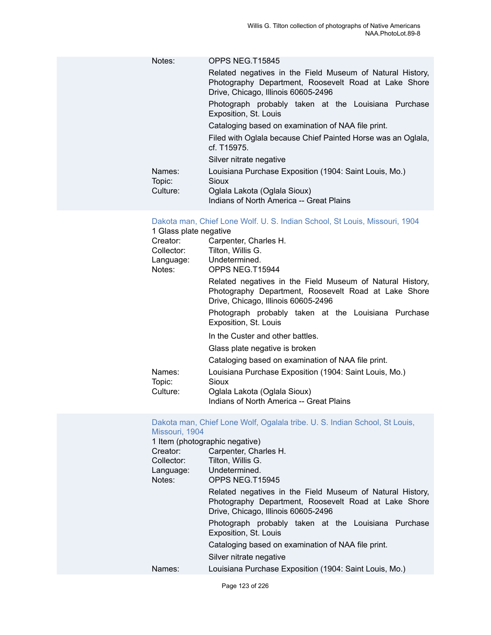| Notes:           | OPPS NEG.T15845                                                                                                                                          |
|------------------|----------------------------------------------------------------------------------------------------------------------------------------------------------|
|                  | Related negatives in the Field Museum of Natural History,<br>Photography Department, Roosevelt Road at Lake Shore<br>Drive, Chicago, Illinois 60605-2496 |
|                  | Photograph probably taken at the Louisiana Purchase<br>Exposition, St. Louis                                                                             |
|                  | Cataloging based on examination of NAA file print.                                                                                                       |
|                  | Filed with Oglala because Chief Painted Horse was an Oglala,<br>cf. T15975.                                                                              |
|                  | Silver nitrate negative                                                                                                                                  |
| Names:<br>Topic: | Louisiana Purchase Exposition (1904: Saint Louis, Mo.)<br>Sioux                                                                                          |
| Culture:         | Oglala Lakota (Oglala Sioux)                                                                                                                             |
|                  | Indians of North America -- Great Plains                                                                                                                 |

## Dakota man, Chief Lone Wolf. U. S. Indian School, St Louis, [Missouri,](https://ids.si.edu/ids/deliveryService?id=NMNH-T15944-000001) 1904

| 1 Glass plate negative |                                                                                                                                                          |
|------------------------|----------------------------------------------------------------------------------------------------------------------------------------------------------|
| Creator:               | Carpenter, Charles H.                                                                                                                                    |
| Collector:             | Tilton, Willis G.                                                                                                                                        |
| Language:              | Undetermined.                                                                                                                                            |
| Notes:                 | OPPS NEG.T15944                                                                                                                                          |
|                        | Related negatives in the Field Museum of Natural History,<br>Photography Department, Roosevelt Road at Lake Shore<br>Drive, Chicago, Illinois 60605-2496 |
|                        | Photograph probably taken at the Louisiana Purchase<br>Exposition, St. Louis                                                                             |
|                        | In the Custer and other battles.                                                                                                                         |
|                        | Glass plate negative is broken                                                                                                                           |
|                        | Cataloging based on examination of NAA file print.                                                                                                       |
| Names:<br>Topic:       | Louisiana Purchase Exposition (1904: Saint Louis, Mo.)<br>Sioux                                                                                          |
| Culture:               | Oglala Lakota (Oglala Sioux)                                                                                                                             |
|                        | Indians of North America -- Great Plains                                                                                                                 |

#### Dakota man, Chief Lone Wolf, [Ogalala](https://ids.si.edu/ids/deliveryService?id=NMNH-T15945-000001) tribe. U. S. Indian School, St Louis, [Missouri, 1904](https://ids.si.edu/ids/deliveryService?id=NMNH-T15945-000001)

|            | 1 Item (photographic negative)                                                                                                                           |
|------------|----------------------------------------------------------------------------------------------------------------------------------------------------------|
| Creator:   | Carpenter, Charles H.                                                                                                                                    |
| Collector: | Tilton, Willis G.                                                                                                                                        |
| Language:  | Undetermined.                                                                                                                                            |
| Notes:     | OPPS NEG.T15945                                                                                                                                          |
|            | Related negatives in the Field Museum of Natural History,<br>Photography Department, Roosevelt Road at Lake Shore<br>Drive, Chicago, Illinois 60605-2496 |
|            | Photograph probably taken at the Louisiana Purchase<br>Exposition, St. Louis                                                                             |
|            | Cataloging based on examination of NAA file print.                                                                                                       |
|            | Silver nitrate negative                                                                                                                                  |
| Names:     | Louisiana Purchase Exposition (1904: Saint Louis, Mo.)                                                                                                   |
|            |                                                                                                                                                          |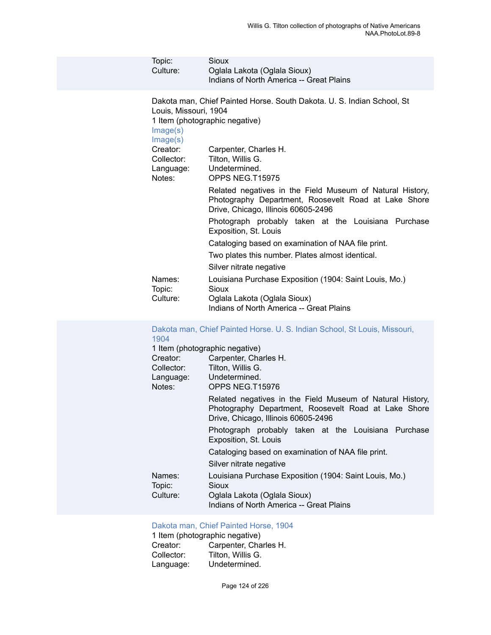| Topic:<br>Culture:                                                                             | <b>Sioux</b><br>Oglala Lakota (Oglala Sioux)<br>Indians of North America -- Great Plains                                                                                                                                                                                                                                                                                                                                                                                                                                   |
|------------------------------------------------------------------------------------------------|----------------------------------------------------------------------------------------------------------------------------------------------------------------------------------------------------------------------------------------------------------------------------------------------------------------------------------------------------------------------------------------------------------------------------------------------------------------------------------------------------------------------------|
| Louis, Missouri, 1904<br>Image(s)<br>Image(s)<br>Creator:<br>Collector:<br>Language:<br>Notes: | Dakota man, Chief Painted Horse. South Dakota. U. S. Indian School, St<br>1 Item (photographic negative)<br>Carpenter, Charles H.<br>Tilton, Willis G.<br>Undetermined.<br>OPPS NEG.T15975<br>Related negatives in the Field Museum of Natural History,                                                                                                                                                                                                                                                                    |
| Names:<br>Topic:<br>Culture:                                                                   | Photography Department, Roosevelt Road at Lake Shore<br>Drive, Chicago, Illinois 60605-2496<br>Photograph probably taken at the Louisiana Purchase<br>Exposition, St. Louis<br>Cataloging based on examination of NAA file print.<br>Two plates this number. Plates almost identical.<br>Silver nitrate negative<br>Louisiana Purchase Exposition (1904: Saint Louis, Mo.)<br>Sioux<br>Oglala Lakota (Oglala Sioux)<br>Indians of North America -- Great Plains                                                            |
| 1904<br>Creator:<br>Collector:<br>Language:<br>Notes:                                          | Dakota man, Chief Painted Horse. U. S. Indian School, St Louis, Missouri,<br>1 Item (photographic negative)<br>Carpenter, Charles H.<br>Tilton, Willis G.<br>Undetermined.<br>OPPS NEG.T15976<br>Related negatives in the Field Museum of Natural History,<br>Photography Department, Roosevelt Road at Lake Shore<br>Drive, Chicago, Illinois 60605-2496<br>Photograph probably taken at the Louisiana Purchase<br>Exposition, St. Louis<br>Cataloging based on examination of NAA file print.<br>Silver nitrate negative |
| Names:<br>Topic:<br>Culture:                                                                   | Louisiana Purchase Exposition (1904: Saint Louis, Mo.)<br>Sioux<br>Oglala Lakota (Oglala Sioux)                                                                                                                                                                                                                                                                                                                                                                                                                            |

## [Dakota man, Chief Painted Horse, 1904](https://ids.si.edu/ids/deliveryService?id=NMNH-T15987-000001)

| 1 Item (photographic negative) |                       |  |
|--------------------------------|-----------------------|--|
| Creator:                       | Carpenter, Charles H. |  |
| Collector:                     | Tilton, Willis G.     |  |
| Language:                      | Undetermined.         |  |

Indians of North America -- Great Plains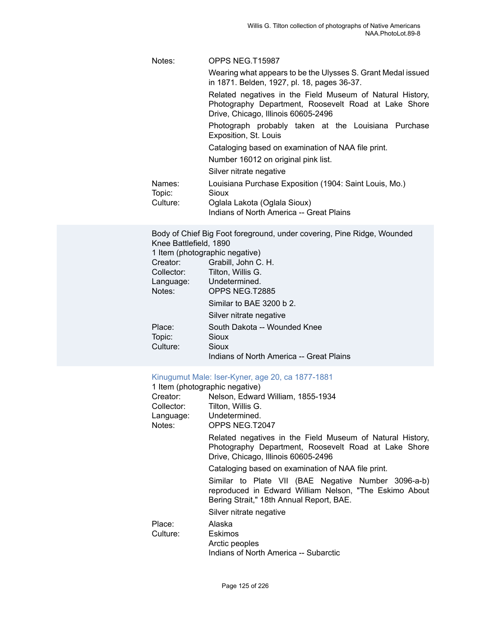| Notes:           | OPPS NEG.T15987                                                                                                                                          |
|------------------|----------------------------------------------------------------------------------------------------------------------------------------------------------|
|                  | Wearing what appears to be the Ulysses S. Grant Medal issued<br>in 1871. Belden, 1927, pl. 18, pages 36-37.                                              |
|                  | Related negatives in the Field Museum of Natural History,<br>Photography Department, Roosevelt Road at Lake Shore<br>Drive, Chicago, Illinois 60605-2496 |
|                  | Photograph probably taken at the Louisiana Purchase<br>Exposition, St. Louis                                                                             |
|                  | Cataloging based on examination of NAA file print.                                                                                                       |
|                  | Number 16012 on original pink list.                                                                                                                      |
|                  | Silver nitrate negative                                                                                                                                  |
| Names:<br>Topic: | Louisiana Purchase Exposition (1904: Saint Louis, Mo.)<br>Sioux                                                                                          |
| Culture:         | Oglala Lakota (Oglala Sioux)                                                                                                                             |
|                  | Indians of North America -- Great Plains                                                                                                                 |

Body of Chief Big Foot foreground, under covering, Pine Ridge, Wounded Knee Battlefield, 1890 1 Item (photographic negative) Creator: Grabill, John C. H.<br>Collector: Tilton, Willis G. Tilton, Willis G. Language: Undetermined.<br>
Notes: OPPS NEG T2 ODDS NEG. T2885

| indles.  | UPPS NEG. IZ009                          |
|----------|------------------------------------------|
|          | Similar to BAE 3200 b 2.                 |
|          | Silver nitrate negative                  |
| Place:   | South Dakota -- Wounded Knee             |
| Topic:   | Sioux                                    |
| Culture: | Sioux                                    |
|          | Indians of North America -- Great Plains |
|          |                                          |

#### Kinugumut Male: [Iser-Kyner,](https://ids.si.edu/ids/deliveryService?id=NMNH-T2047-000001) age 20, ca 1877-1881

|            | 1 Item (photographic negative)                                                                                                                            |
|------------|-----------------------------------------------------------------------------------------------------------------------------------------------------------|
| Creator:   | Nelson, Edward William, 1855-1934                                                                                                                         |
| Collector: | Tilton, Willis G.                                                                                                                                         |
|            | Language: Undetermined.                                                                                                                                   |
| Notes:     | OPPS NEG.T2047                                                                                                                                            |
|            | Related negatives in the Field Museum of Natural History,<br>Photography Department, Roosevelt Road at Lake Shore<br>Drive, Chicago, Illinois 60605-2496  |
|            | Cataloging based on examination of NAA file print.                                                                                                        |
|            | Similar to Plate VII (BAE Negative Number 3096-a-b)<br>reproduced in Edward William Nelson, "The Eskimo About<br>Bering Strait," 18th Annual Report, BAE. |
|            | Silver nitrate negative                                                                                                                                   |
| Place:     | Alaska                                                                                                                                                    |
| Culture:   | <b>Eskimos</b>                                                                                                                                            |
|            | Arctic peoples                                                                                                                                            |
|            | Indians of North America -- Subarctic                                                                                                                     |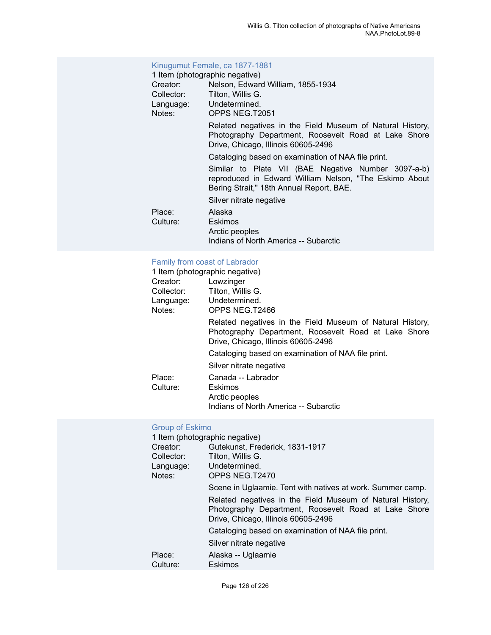### [Kinugumut Female, ca 1877-1881](https://ids.si.edu/ids/deliveryService?id=NMNH-T2051-000001)

| 1 Item (photographic negative) |                                                                                                                                                           |
|--------------------------------|-----------------------------------------------------------------------------------------------------------------------------------------------------------|
| Creator:                       | Nelson, Edward William, 1855-1934                                                                                                                         |
| Collector:                     | Tilton, Willis G.                                                                                                                                         |
|                                | Language: Undetermined.                                                                                                                                   |
| Notes:                         | OPPS NEG.T2051                                                                                                                                            |
|                                | Related negatives in the Field Museum of Natural History,<br>Photography Department, Roosevelt Road at Lake Shore<br>Drive, Chicago, Illinois 60605-2496  |
|                                | Cataloging based on examination of NAA file print.                                                                                                        |
|                                | Similar to Plate VII (BAE Negative Number 3097-a-b)<br>reproduced in Edward William Nelson, "The Eskimo About<br>Bering Strait," 18th Annual Report, BAE. |
|                                | Silver nitrate negative                                                                                                                                   |
| Place:                         | Alaska                                                                                                                                                    |
| Culture:                       | Eskimos                                                                                                                                                   |
|                                | Arctic peoples                                                                                                                                            |
|                                | Indians of North America -- Subarctic                                                                                                                     |
|                                |                                                                                                                                                           |

## [Family from coast of Labrador](https://ids.si.edu/ids/deliveryService?id=NMNH-T2466-000001)

|            | 1 Item (photographic negative)                                                                                                                           |
|------------|----------------------------------------------------------------------------------------------------------------------------------------------------------|
| Creator:   | Lowzinger                                                                                                                                                |
| Collector: | Tilton, Willis G.                                                                                                                                        |
|            | Language: Undetermined.                                                                                                                                  |
| Notes:     | OPPS NEG.T2466                                                                                                                                           |
|            | Related negatives in the Field Museum of Natural History,<br>Photography Department, Roosevelt Road at Lake Shore<br>Drive, Chicago, Illinois 60605-2496 |
|            | Cataloging based on examination of NAA file print.                                                                                                       |
|            | Silver nitrate negative                                                                                                                                  |
| Place:     | Canada -- Labrador                                                                                                                                       |
| Culture:   | Eskimos                                                                                                                                                  |
|            | Arctic peoples                                                                                                                                           |
|            | Indians of North America -- Subarctic                                                                                                                    |

## [Group of Eskimo](https://ids.si.edu/ids/deliveryService?id=NMNH-T2470-000001)

| 1 Item (photographic negative) |                                                                                                                                                          |
|--------------------------------|----------------------------------------------------------------------------------------------------------------------------------------------------------|
| Creator:                       | Gutekunst, Frederick, 1831-1917                                                                                                                          |
| Collector:                     | Tilton, Willis G.                                                                                                                                        |
| Language:                      | Undetermined.                                                                                                                                            |
| Notes:                         | OPPS NEG.T2470                                                                                                                                           |
|                                | Scene in Uglaamie. Tent with natives at work. Summer camp.                                                                                               |
|                                | Related negatives in the Field Museum of Natural History,<br>Photography Department, Roosevelt Road at Lake Shore<br>Drive, Chicago, Illinois 60605-2496 |
|                                | Cataloging based on examination of NAA file print.                                                                                                       |
|                                | Silver nitrate negative                                                                                                                                  |
| Place:<br>Culture:             | Alaska -- Uglaamie<br>Eskimos                                                                                                                            |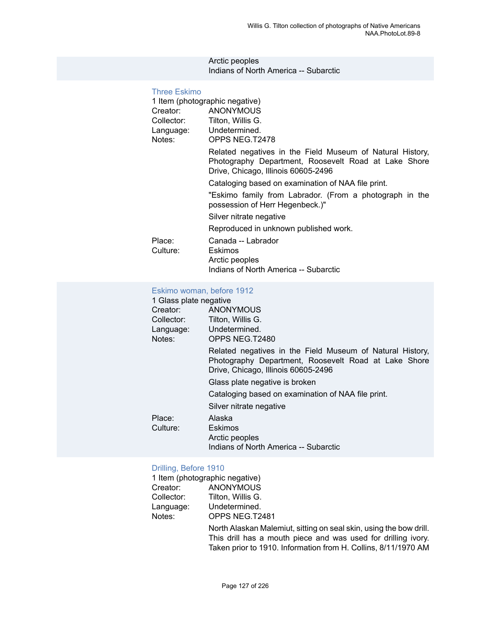#### Arctic peoples Indians of North America -- Subarctic

| <b>Three Eskimo</b> |                                                                                                                                                          |
|---------------------|----------------------------------------------------------------------------------------------------------------------------------------------------------|
|                     | 1 Item (photographic negative)                                                                                                                           |
|                     | Creator: ANONYMOUS                                                                                                                                       |
|                     | Collector: Tilton, Willis G.                                                                                                                             |
|                     | Language: Undetermined.                                                                                                                                  |
| Notes:              | OPPS NEG.T2478                                                                                                                                           |
|                     | Related negatives in the Field Museum of Natural History,<br>Photography Department, Roosevelt Road at Lake Shore<br>Drive, Chicago, Illinois 60605-2496 |
|                     | Cataloging based on examination of NAA file print.                                                                                                       |
|                     | "Eskimo family from Labrador. (From a photograph in the<br>possession of Herr Hegenbeck.)"                                                               |
|                     | Silver nitrate negative                                                                                                                                  |
|                     | Reproduced in unknown published work.                                                                                                                    |
| Place:              | Canada -- Labrador                                                                                                                                       |
| Culture:            | Eskimos                                                                                                                                                  |
|                     | Arctic peoples                                                                                                                                           |
|                     | Indians of North America -- Subarctic                                                                                                                    |

## [Eskimo woman, before 1912](https://ids.si.edu/ids/deliveryService?id=NMNH-T2480-000001)

| 1 Glass plate negative  |                                                                                                                                                          |
|-------------------------|----------------------------------------------------------------------------------------------------------------------------------------------------------|
| Creator:                | ANONYMOUS                                                                                                                                                |
| Collector:              | Tilton, Willis G.                                                                                                                                        |
| Language: Undetermined. |                                                                                                                                                          |
| Notes:                  | OPPS NEG.T2480                                                                                                                                           |
|                         | Related negatives in the Field Museum of Natural History,<br>Photography Department, Roosevelt Road at Lake Shore<br>Drive, Chicago, Illinois 60605-2496 |
|                         | Glass plate negative is broken                                                                                                                           |
|                         | Cataloging based on examination of NAA file print.                                                                                                       |
|                         | Silver nitrate negative                                                                                                                                  |
| Place:                  | Alaska                                                                                                                                                   |
| Culture:                | Eskimos                                                                                                                                                  |
|                         | Arctic peoples                                                                                                                                           |
|                         | Indians of North America -- Subarctic                                                                                                                    |

# [Drilling, Before 1910](https://ids.si.edu/ids/deliveryService?id=NMNH-T2481-000001)<br>1 Item (photographic

|            | 1 Item (photographic negative)                                     |
|------------|--------------------------------------------------------------------|
| Creator:   | ANONYMOUS                                                          |
| Collector: | Tilton, Willis G.                                                  |
| Language:  | Undetermined.                                                      |
| Notes:     | OPPS NEG.T2481                                                     |
|            | North Alaskan Malemiut, sitting on seal skin, using the bow drill. |
|            | This drill has a mouth piece and was used for drilling ivory.      |
|            | Taken prior to 1910. Information from H. Collins, 8/11/1970 AM     |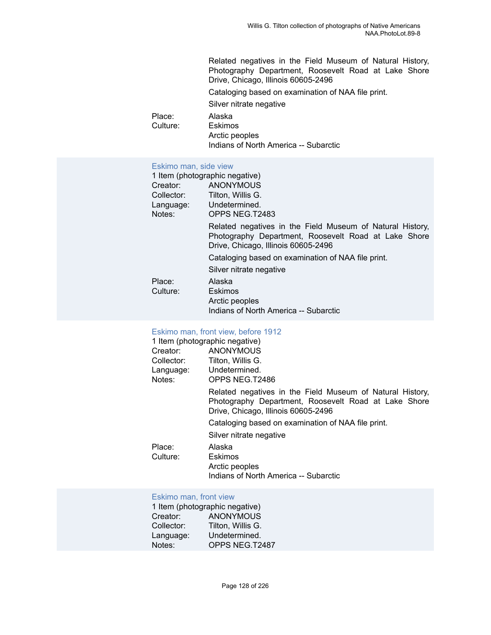Related negatives in the Field Museum of Natural History, Photography Department, Roosevelt Road at Lake Shore Drive, Chicago, Illinois 60605-2496 Cataloging based on examination of NAA file print. Silver nitrate negative Place: Alaska<br>Culture: Eskimo Eskimos Arctic peoples Indians of North America -- Subarctic

#### [Eskimo man, side view](https://ids.si.edu/ids/deliveryService?id=NMNH-T2483-000001)

|            | 1 Item (photographic negative)                                                                                                                           |
|------------|----------------------------------------------------------------------------------------------------------------------------------------------------------|
| Creator:   | ANONYMOUS                                                                                                                                                |
| Collector: | Tilton, Willis G.                                                                                                                                        |
|            | Language: Undetermined.                                                                                                                                  |
| Notes:     | OPPS NEG.T2483                                                                                                                                           |
|            | Related negatives in the Field Museum of Natural History,<br>Photography Department, Roosevelt Road at Lake Shore<br>Drive, Chicago, Illinois 60605-2496 |
|            | Cataloging based on examination of NAA file print.                                                                                                       |
|            | Silver nitrate negative                                                                                                                                  |
| Place:     | Alaska                                                                                                                                                   |
| Culture:   | Eskimos                                                                                                                                                  |
|            | Arctic peoples                                                                                                                                           |
|            | Indians of North America -- Subarctic                                                                                                                    |

#### [Eskimo](https://ids.si.edu/ids/deliveryService?id=NMNH-T2486-000001) man, front view, before 1912

| Related negatives in the Field Museum of Natural History,<br>Photography Department, Roosevelt Road at Lake Shore |
|-------------------------------------------------------------------------------------------------------------------|
|                                                                                                                   |
|                                                                                                                   |
|                                                                                                                   |
|                                                                                                                   |

#### [Eskimo man, front view](https://ids.si.edu/ids/deliveryService?id=NMNH-T2487-000001)

|            | 1 Item (photographic negative) |
|------------|--------------------------------|
| Creator:   | <b>ANONYMOUS</b>               |
| Collector: | Tilton, Willis G.              |
| Language:  | Undetermined.                  |
| Notes:     | OPPS NEG.T2487                 |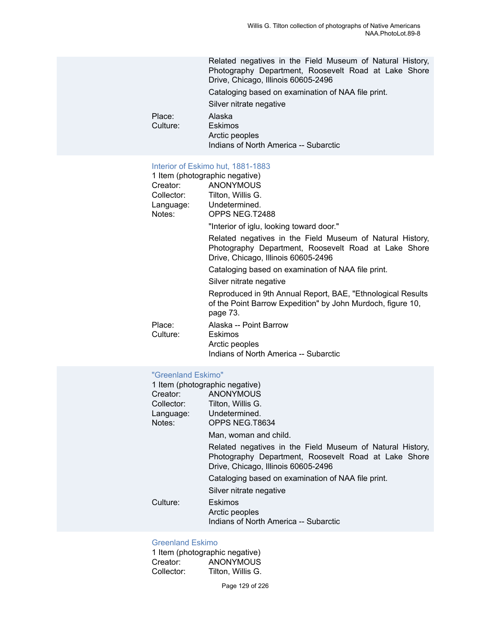Related negatives in the Field Museum of Natural History, Photography Department, Roosevelt Road at Lake Shore Drive, Chicago, Illinois 60605-2496 Cataloging based on examination of NAA file print. Silver nitrate negative Place: Alaska<br>Culture: Eskimos Culture: Arctic peoples Indians of North America -- Subarctic

#### [Interior of Eskimo hut, 1881-1883](https://ids.si.edu/ids/deliveryService?id=NMNH-T2488-000001)

|            | 1 Item (photographic negative)                                                                                                                           |
|------------|----------------------------------------------------------------------------------------------------------------------------------------------------------|
| Creator:   | ANONYMOUS                                                                                                                                                |
| Collector: | Tilton, Willis G.                                                                                                                                        |
|            | Language: Undetermined.                                                                                                                                  |
| Notes:     | OPPS NEG.T2488                                                                                                                                           |
|            | "Interior of iglu, looking toward door."                                                                                                                 |
|            | Related negatives in the Field Museum of Natural History,<br>Photography Department, Roosevelt Road at Lake Shore<br>Drive, Chicago, Illinois 60605-2496 |
|            | Cataloging based on examination of NAA file print.                                                                                                       |
|            | Silver nitrate negative                                                                                                                                  |
|            | Reproduced in 9th Annual Report, BAE, "Ethnological Results<br>of the Point Barrow Expedition" by John Murdoch, figure 10,<br>page 73.                   |
| Place:     | Alaska -- Point Barrow                                                                                                                                   |
| Culture:   | Eskimos                                                                                                                                                  |
|            | Arctic peoples                                                                                                                                           |
|            | Indians of North America -- Subarctic                                                                                                                    |

#### ["Greenland Eskimo"](https://ids.si.edu/ids/deliveryService?id=NMNH-T8634-000001)

| Creator:<br>Collector:<br>Notes: | 1 Item (photographic negative)<br>ANONYMOUS<br>Tilton, Willis G.<br>Language: Undetermined.                                                              |
|----------------------------------|----------------------------------------------------------------------------------------------------------------------------------------------------------|
|                                  | OPPS NEG.T8634<br>Man, woman and child.                                                                                                                  |
|                                  | Related negatives in the Field Museum of Natural History,<br>Photography Department, Roosevelt Road at Lake Shore<br>Drive, Chicago, Illinois 60605-2496 |
|                                  | Cataloging based on examination of NAA file print.                                                                                                       |
|                                  | Silver nitrate negative                                                                                                                                  |
| Culture:                         | <b>Eskimos</b><br>Arctic peoples<br>Indians of North America -- Subarctic                                                                                |

## [Greenland Eskimo](https://ids.si.edu/ids/deliveryService?id=NMNH-T8678-000001)

|            | 1 Item (photographic negative) |
|------------|--------------------------------|
| Creator:   | <b>ANONYMOUS</b>               |
| Collector: | Tilton. Willis G.              |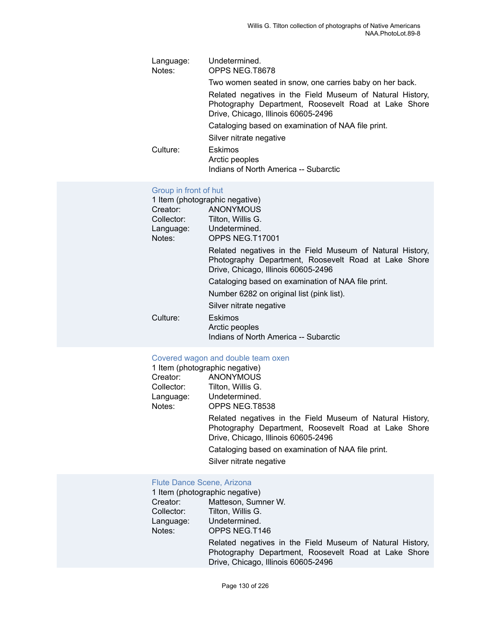| Language:<br>Notes: | Undetermined.<br>OPPS NEG.T8678                                                                                                                          |
|---------------------|----------------------------------------------------------------------------------------------------------------------------------------------------------|
|                     | Two women seated in snow, one carries baby on her back.                                                                                                  |
|                     | Related negatives in the Field Museum of Natural History,<br>Photography Department, Roosevelt Road at Lake Shore<br>Drive, Chicago, Illinois 60605-2496 |
|                     | Cataloging based on examination of NAA file print.                                                                                                       |
|                     | Silver nitrate negative                                                                                                                                  |
| Culture:            | Eskimos<br>Arctic peoples<br>Indians of North America -- Subarctic                                                                                       |

## [Group in front of hut](https://ids.si.edu/ids/deliveryService?id=NMNH-T17001-000001)

| 1 Item (photographic negative) |                                                                                                                                                          |
|--------------------------------|----------------------------------------------------------------------------------------------------------------------------------------------------------|
| Creator:                       | ANONYMOUS                                                                                                                                                |
| Collector:                     | Tilton, Willis G.                                                                                                                                        |
| Language:                      | Undetermined.                                                                                                                                            |
| Notes:                         | OPPS NEG.T17001                                                                                                                                          |
|                                | Related negatives in the Field Museum of Natural History,<br>Photography Department, Roosevelt Road at Lake Shore<br>Drive, Chicago, Illinois 60605-2496 |
|                                | Cataloging based on examination of NAA file print.                                                                                                       |
|                                | Number 6282 on original list (pink list).                                                                                                                |
|                                | Silver nitrate negative                                                                                                                                  |
| Culture:                       | <b>Eskimos</b>                                                                                                                                           |
|                                | Arctic peoples                                                                                                                                           |
|                                | Indians of North America -- Subarctic                                                                                                                    |

## [Covered wagon and double team oxen](https://ids.si.edu/ids/deliveryService?id=NMNH-T8538-000001)

|            | 1 Item (photographic negative)                                                                                                                           |  |  |  |
|------------|----------------------------------------------------------------------------------------------------------------------------------------------------------|--|--|--|
| Creator:   | <b>ANONYMOUS</b>                                                                                                                                         |  |  |  |
| Collector: | Tilton, Willis G.                                                                                                                                        |  |  |  |
|            | Language: Undetermined.                                                                                                                                  |  |  |  |
| Notes:     | OPPS NEG.T8538                                                                                                                                           |  |  |  |
|            | Related negatives in the Field Museum of Natural History,<br>Photography Department, Roosevelt Road at Lake Shore<br>Drive, Chicago, Illinois 60605-2496 |  |  |  |
|            | Cataloging based on examination of NAA file print.                                                                                                       |  |  |  |
|            | Silver nitrate negative                                                                                                                                  |  |  |  |
|            |                                                                                                                                                          |  |  |  |

## [Flute Dance Scene, Arizona](https://ids.si.edu/ids/deliveryService?id=NMNH-T146-000001)

|            | 1 Item (photographic negative)                                                                                                                           |  |  |  |
|------------|----------------------------------------------------------------------------------------------------------------------------------------------------------|--|--|--|
| Creator:   | Matteson, Sumner W.                                                                                                                                      |  |  |  |
| Collector: | Tilton, Willis G.                                                                                                                                        |  |  |  |
| Language:  | Undetermined.                                                                                                                                            |  |  |  |
| Notes:     | OPPS NEG.T146                                                                                                                                            |  |  |  |
|            | Related negatives in the Field Museum of Natural History,<br>Photography Department, Roosevelt Road at Lake Shore<br>Drive, Chicago, Illinois 60605-2496 |  |  |  |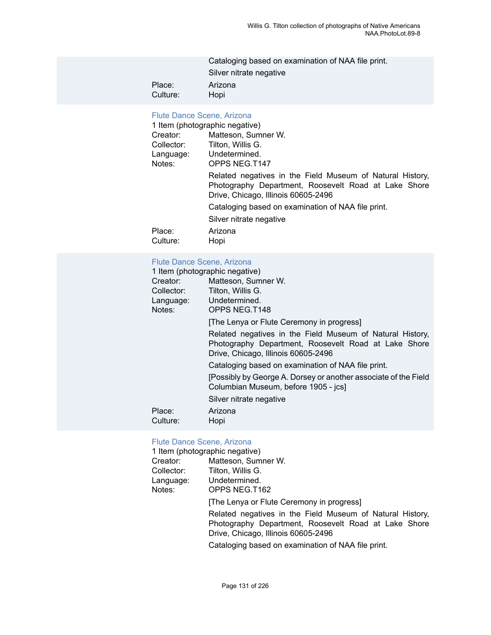|          | Cataloging based on examination of NAA file print. |
|----------|----------------------------------------------------|
|          | Silver nitrate negative                            |
| Place:   | Arizona                                            |
| Culture: | Hopi                                               |

### [Flute Dance Scene, Arizona](https://ids.si.edu/ids/deliveryService?id=NMNH-T147-000001)

|                                 | 1 Item (photographic negative)                                                                                                                           |  |  |
|---------------------------------|----------------------------------------------------------------------------------------------------------------------------------------------------------|--|--|
| Creator:                        | Matteson, Sumner W.                                                                                                                                      |  |  |
| Tilton, Willis G.<br>Collector: |                                                                                                                                                          |  |  |
| Undetermined.<br>Language:      |                                                                                                                                                          |  |  |
| Notes:                          | OPPS NEG.T147                                                                                                                                            |  |  |
|                                 | Related negatives in the Field Museum of Natural History,<br>Photography Department, Roosevelt Road at Lake Shore<br>Drive, Chicago, Illinois 60605-2496 |  |  |
|                                 | Cataloging based on examination of NAA file print.                                                                                                       |  |  |
|                                 | Silver nitrate negative                                                                                                                                  |  |  |
| Place:<br>Culture:              | Arizona<br>Hopi                                                                                                                                          |  |  |

## [Flute Dance Scene, Arizona](https://ids.si.edu/ids/deliveryService?id=NMNH-T148-000001)

| 1 Item (photographic negative)                                                                                                                           |  |  |  |
|----------------------------------------------------------------------------------------------------------------------------------------------------------|--|--|--|
| Matteson, Sumner W.                                                                                                                                      |  |  |  |
| Tilton, Willis G.                                                                                                                                        |  |  |  |
| Undetermined.                                                                                                                                            |  |  |  |
| OPPS NEG.T148                                                                                                                                            |  |  |  |
| [The Lenya or Flute Ceremony in progress]                                                                                                                |  |  |  |
| Related negatives in the Field Museum of Natural History,<br>Photography Department, Roosevelt Road at Lake Shore<br>Drive, Chicago, Illinois 60605-2496 |  |  |  |
| Cataloging based on examination of NAA file print.                                                                                                       |  |  |  |
| [Possibly by George A. Dorsey or another associate of the Field<br>Columbian Museum, before 1905 - jcs]                                                  |  |  |  |
| Silver nitrate negative                                                                                                                                  |  |  |  |
| Arizona                                                                                                                                                  |  |  |  |
| Hopi                                                                                                                                                     |  |  |  |
|                                                                                                                                                          |  |  |  |

# [Flute Dance Scene, Arizona](https://ids.si.edu/ids/deliveryService?id=NMNH-T162-000001)<br>1 Item (photographic negative

|            | 1 Item (photographic negative)                                                                                                                           |  |  |  |
|------------|----------------------------------------------------------------------------------------------------------------------------------------------------------|--|--|--|
| Creator:   | Matteson, Sumner W.                                                                                                                                      |  |  |  |
| Collector: | Tilton, Willis G.                                                                                                                                        |  |  |  |
| Language:  | Undetermined.                                                                                                                                            |  |  |  |
| Notes:     | OPPS NEG.T162                                                                                                                                            |  |  |  |
|            | [The Lenya or Flute Ceremony in progress]                                                                                                                |  |  |  |
|            | Related negatives in the Field Museum of Natural History,<br>Photography Department, Roosevelt Road at Lake Shore<br>Drive, Chicago, Illinois 60605-2496 |  |  |  |
|            | Cataloging based on examination of NAA file print.                                                                                                       |  |  |  |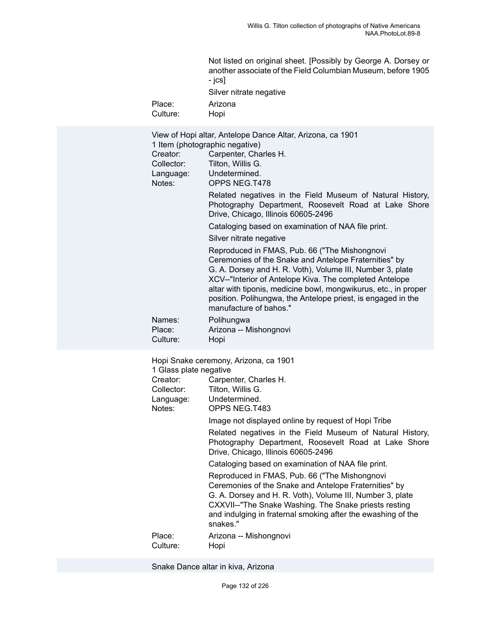| Not listed on original sheet. [Possibly by George A. Dorsey or |
|----------------------------------------------------------------|
| another associate of the Field Columbian Museum, before 1905   |
| - ics1                                                         |
| Silver nitrate negative                                        |

Place: Arizona<br>Culture: Hopi Culture:

| Creator:<br>Collector:<br>Language:<br>Notes:                           | View of Hopi altar, Antelope Dance Altar, Arizona, ca 1901<br>1 Item (photographic negative)<br>Carpenter, Charles H.<br>Tilton, Willis G.<br>Undetermined.<br>OPPS NEG.T478                                                                                                                                                                                                                |  |  |  |
|-------------------------------------------------------------------------|---------------------------------------------------------------------------------------------------------------------------------------------------------------------------------------------------------------------------------------------------------------------------------------------------------------------------------------------------------------------------------------------|--|--|--|
|                                                                         | Related negatives in the Field Museum of Natural History,<br>Photography Department, Roosevelt Road at Lake Shore<br>Drive, Chicago, Illinois 60605-2496                                                                                                                                                                                                                                    |  |  |  |
|                                                                         | Cataloging based on examination of NAA file print.                                                                                                                                                                                                                                                                                                                                          |  |  |  |
|                                                                         | Silver nitrate negative                                                                                                                                                                                                                                                                                                                                                                     |  |  |  |
|                                                                         | Reproduced in FMAS, Pub. 66 ("The Mishongnovi<br>Ceremonies of the Snake and Antelope Fraternities" by<br>G. A. Dorsey and H. R. Voth), Volume III, Number 3, plate<br>XCV--"Interior of Antelope Kiva. The completed Antelope<br>altar with tiponis, medicine bowl, mongwikurus, etc., in proper<br>position. Polihungwa, the Antelope priest, is engaged in the<br>manufacture of bahos." |  |  |  |
| Names:<br>Place:<br>Culture:                                            | Polihungwa<br>Arizona -- Mishongnovi<br>Hopi                                                                                                                                                                                                                                                                                                                                                |  |  |  |
| 1 Glass plate negative<br>Creator:<br>Collector:<br>Language:<br>Notes: | Hopi Snake ceremony, Arizona, ca 1901<br>Carpenter, Charles H.<br>Tilton, Willis G.<br>Undetermined.<br>OPPS NEG.T483                                                                                                                                                                                                                                                                       |  |  |  |
|                                                                         | Image not displayed online by request of Hopi Tribe                                                                                                                                                                                                                                                                                                                                         |  |  |  |
|                                                                         | Related negatives in the Field Museum of Natural History,<br>Photography Department, Roosevelt Road at Lake Shore<br>Drive, Chicago, Illinois 60605-2496                                                                                                                                                                                                                                    |  |  |  |
|                                                                         | Cataloging based on examination of NAA file print.                                                                                                                                                                                                                                                                                                                                          |  |  |  |
|                                                                         | Reproduced in FMAS, Pub. 66 ("The Mishongnovi<br>Coromonica of the Craig and Antolone Exclaration by                                                                                                                                                                                                                                                                                        |  |  |  |

Ceremonies of the Snake and Antelope Fraternities" by G. A. Dorsey and H. R. Voth), Volume III, Number 3, plate CXXVII--"The Snake Washing. The Snake priests resting and indulging in fraternal smoking after the ewashing of the snakes."

Place: Arizona -- Mishongnovi Culture: Hopi

Snake Dance altar in kiva, Arizona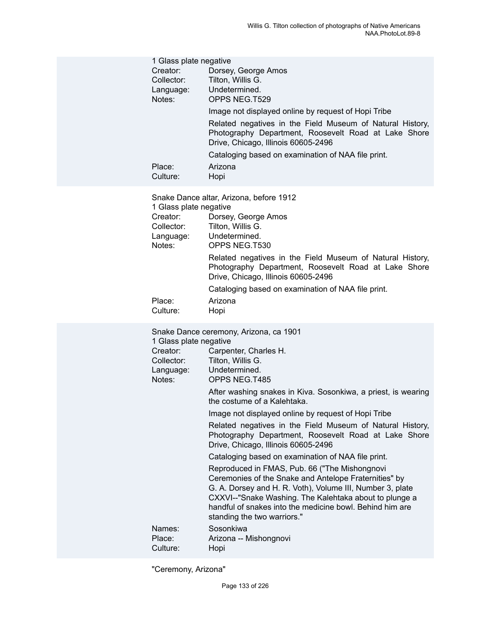| 1 Glass plate negative<br>Creator:<br>Collector:<br>Language:<br>Notes:<br>Place:<br>Culture: | Dorsey, George Amos<br>Tilton, Willis G.<br>Undetermined.<br>OPPS NEG.T529<br>Image not displayed online by request of Hopi Tribe<br>Related negatives in the Field Museum of Natural History,<br>Photography Department, Roosevelt Road at Lake Shore<br>Drive, Chicago, Illinois 60605-2496<br>Cataloging based on examination of NAA file print.<br>Arizona<br>Hopi                                                                                                                                                                                                                                                                                                                                                                                                                                                      |
|-----------------------------------------------------------------------------------------------|-----------------------------------------------------------------------------------------------------------------------------------------------------------------------------------------------------------------------------------------------------------------------------------------------------------------------------------------------------------------------------------------------------------------------------------------------------------------------------------------------------------------------------------------------------------------------------------------------------------------------------------------------------------------------------------------------------------------------------------------------------------------------------------------------------------------------------|
| 1 Glass plate negative<br>Creator:<br>Collector:<br>Language:<br>Notes:<br>Place:             | Snake Dance altar, Arizona, before 1912<br>Dorsey, George Amos<br>Tilton, Willis G.<br>Undetermined.<br>OPPS NEG.T530<br>Related negatives in the Field Museum of Natural History,<br>Photography Department, Roosevelt Road at Lake Shore<br>Drive, Chicago, Illinois 60605-2496<br>Cataloging based on examination of NAA file print.<br>Arizona                                                                                                                                                                                                                                                                                                                                                                                                                                                                          |
| Culture:                                                                                      | Hopi                                                                                                                                                                                                                                                                                                                                                                                                                                                                                                                                                                                                                                                                                                                                                                                                                        |
| 1 Glass plate negative<br>Creator:<br>Collector:<br>Language:<br>Notes:                       | Snake Dance ceremony, Arizona, ca 1901<br>Carpenter, Charles H.<br>Tilton, Willis G.<br>Undetermined.<br>OPPS NEG.T485<br>After washing snakes in Kiva. Sosonkiwa, a priest, is wearing<br>the costume of a Kalehtaka.<br>Image not displayed online by request of Hopi Tribe<br>Related negatives in the Field Museum of Natural History,<br>Photography Department, Roosevelt Road at Lake Shore<br>Drive, Chicago, Illinois 60605-2496<br>Cataloging based on examination of NAA file print.<br>Reproduced in FMAS, Pub. 66 ("The Mishongnovi<br>Ceremonies of the Snake and Antelope Fraternities" by<br>G. A. Dorsey and H. R. Voth), Volume III, Number 3, plate<br>CXXVI--"Snake Washing. The Kalehtaka about to plunge a<br>handful of snakes into the medicine bowl. Behind him are<br>standing the two warriors." |
| Names:<br>Place:<br>Culture:                                                                  | Sosonkiwa<br>Arizona -- Mishongnovi<br>Hopi                                                                                                                                                                                                                                                                                                                                                                                                                                                                                                                                                                                                                                                                                                                                                                                 |

"Ceremony, Arizona"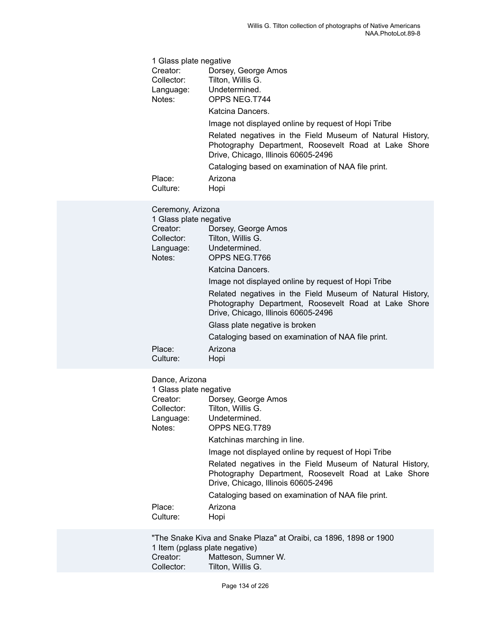|        | 1 Glass plate negative             |                                                                                                                                                          |  |
|--------|------------------------------------|----------------------------------------------------------------------------------------------------------------------------------------------------------|--|
|        | Creator:                           | Dorsey, George Amos                                                                                                                                      |  |
|        | Collector:                         | Tilton, Willis G.                                                                                                                                        |  |
|        | Language:                          | Undetermined.                                                                                                                                            |  |
| Notes: |                                    | OPPS NEG.T744                                                                                                                                            |  |
|        |                                    | Katcina Dancers.                                                                                                                                         |  |
|        |                                    | Image not displayed online by request of Hopi Tribe                                                                                                      |  |
|        |                                    | Related negatives in the Field Museum of Natural History,<br>Photography Department, Roosevelt Road at Lake Shore<br>Drive, Chicago, Illinois 60605-2496 |  |
|        |                                    | Cataloging based on examination of NAA file print.                                                                                                       |  |
|        | Place:                             | Arizona                                                                                                                                                  |  |
|        | Culture:                           | Hopi                                                                                                                                                     |  |
|        |                                    |                                                                                                                                                          |  |
|        | Ceremony, Arizona                  |                                                                                                                                                          |  |
|        | 1 Glass plate negative<br>Creator: |                                                                                                                                                          |  |
|        | Collector:                         | Dorsey, George Amos<br>Tilton, Willis G.                                                                                                                 |  |
|        | Language:                          | Undetermined.                                                                                                                                            |  |
|        | Notes:                             | OPPS NEG.T766                                                                                                                                            |  |
|        |                                    | Katcina Dancers.                                                                                                                                         |  |
|        |                                    | Image not displayed online by request of Hopi Tribe                                                                                                      |  |
|        |                                    | Related negatives in the Field Museum of Natural History,<br>Photography Department, Roosevelt Road at Lake Shore<br>Drive, Chicago, Illinois 60605-2496 |  |
|        |                                    | Glass plate negative is broken                                                                                                                           |  |
|        |                                    | Cataloging based on examination of NAA file print.                                                                                                       |  |
|        | Place:                             | Arizona                                                                                                                                                  |  |
|        | Culture:                           | Hopi                                                                                                                                                     |  |
|        |                                    |                                                                                                                                                          |  |
|        |                                    |                                                                                                                                                          |  |

## Dance, Arizona

| 1 Glass plate negative |                                                                                                                                                          |  |  |  |
|------------------------|----------------------------------------------------------------------------------------------------------------------------------------------------------|--|--|--|
| Creator:               | Dorsey, George Amos                                                                                                                                      |  |  |  |
| Collector:             | Tilton, Willis G.                                                                                                                                        |  |  |  |
|                        | Language: Undetermined.                                                                                                                                  |  |  |  |
| Notes:                 | OPPS NEG.T789                                                                                                                                            |  |  |  |
|                        | Katchinas marching in line.                                                                                                                              |  |  |  |
|                        | Image not displayed online by request of Hopi Tribe                                                                                                      |  |  |  |
|                        | Related negatives in the Field Museum of Natural History,<br>Photography Department, Roosevelt Road at Lake Shore<br>Drive, Chicago, Illinois 60605-2496 |  |  |  |
|                        | Cataloging based on examination of NAA file print.                                                                                                       |  |  |  |
| Place:                 | Arizona                                                                                                                                                  |  |  |  |
| Culture:               | Hopi                                                                                                                                                     |  |  |  |
|                        |                                                                                                                                                          |  |  |  |

"The Snake Kiva and Snake Plaza" at Oraibi, ca 1896, 1898 or 1900 1 Item (pglass plate negative)<br>Creator: Matteson, Sum Creator: Matteson, Sumner W.<br>Collector: Tilton, Willis G. Tilton, Willis G.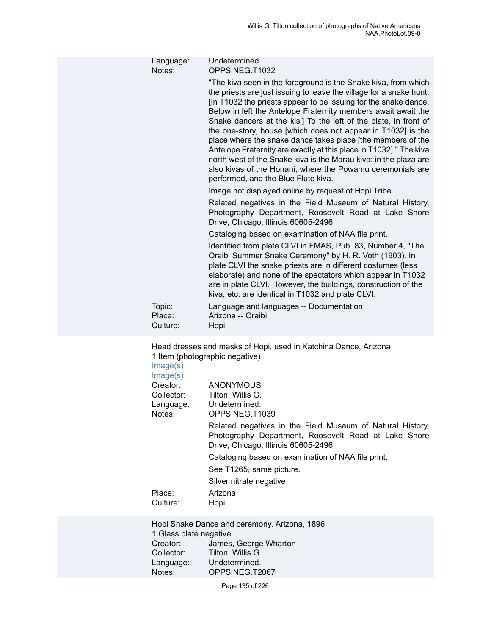| Language:<br>Notes:                                                                               | Undetermined.<br>OPPS NEG.T1032                                                                                                                                                                                                                                                                                                                                                                                                                                                                                                                                                                                                                                                                                             |  |
|---------------------------------------------------------------------------------------------------|-----------------------------------------------------------------------------------------------------------------------------------------------------------------------------------------------------------------------------------------------------------------------------------------------------------------------------------------------------------------------------------------------------------------------------------------------------------------------------------------------------------------------------------------------------------------------------------------------------------------------------------------------------------------------------------------------------------------------------|--|
|                                                                                                   | "The kiva seen in the foreground is the Snake kiva, from which<br>the priests are just issuing to leave the village for a snake hunt.<br>[In T1032 the priests appear to be issuing for the snake dance.<br>Below in left the Antelope Fraternity members await await the<br>Snake dancers at the kisi] To the left of the plate, in front of<br>the one-story, house [which does not appear in T1032] is the<br>place where the snake dance takes place [the members of the<br>Antelope Fraternity are exactly at this place in T1032]." The kiva<br>north west of the Snake kiva is the Marau kiva; in the plaza are<br>also kivas of the Honani, where the Powamu ceremonials are<br>performed, and the Blue Flute kiva. |  |
|                                                                                                   | Image not displayed online by request of Hopi Tribe                                                                                                                                                                                                                                                                                                                                                                                                                                                                                                                                                                                                                                                                         |  |
|                                                                                                   | Related negatives in the Field Museum of Natural History,<br>Photography Department, Roosevelt Road at Lake Shore<br>Drive, Chicago, Illinois 60605-2496                                                                                                                                                                                                                                                                                                                                                                                                                                                                                                                                                                    |  |
|                                                                                                   | Cataloging based on examination of NAA file print.                                                                                                                                                                                                                                                                                                                                                                                                                                                                                                                                                                                                                                                                          |  |
|                                                                                                   | Identified from plate CLVI in FMAS, Pub. 83, Number 4, "The<br>Oraibi Summer Snake Ceremony" by H. R. Voth (1903). In<br>plate CLVI the snake priests are in different costumes (less<br>elaborate) and none of the spectators which appear in T1032<br>are in plate CLVI. However, the buildings, construction of the<br>kiva, etc. are identical in T1032 and plate CLVI.                                                                                                                                                                                                                                                                                                                                                 |  |
| Topic:<br>Place:<br>Culture:                                                                      | Language and languages -- Documentation<br>Arizona -- Oraibi<br>Hopi                                                                                                                                                                                                                                                                                                                                                                                                                                                                                                                                                                                                                                                        |  |
| Head dresses and masks of Hopi, used in Katchina Dance, Arizona<br>1 Item (photographic negative) |                                                                                                                                                                                                                                                                                                                                                                                                                                                                                                                                                                                                                                                                                                                             |  |

1 Item (photographic negative) [Image\(s\)](https://ids.si.edu/ids/deliveryService?id=NMNH-T1039-000001)

| Image(s)   |                                                                                                                                                          |
|------------|----------------------------------------------------------------------------------------------------------------------------------------------------------|
| Creator:   | <b>ANONYMOUS</b>                                                                                                                                         |
| Collector: | Tilton, Willis G.                                                                                                                                        |
| Language:  | Undetermined.                                                                                                                                            |
| Notes:     | OPPS NEG.T1039                                                                                                                                           |
|            | Related negatives in the Field Museum of Natural History,<br>Photography Department, Roosevelt Road at Lake Shore<br>Drive, Chicago, Illinois 60605-2496 |
|            | Cataloging based on examination of NAA file print.                                                                                                       |
|            | See T1265, same picture.                                                                                                                                 |
|            | Silver nitrate negative                                                                                                                                  |
| Place:     | Arizona                                                                                                                                                  |
| Culture:   | Hopi                                                                                                                                                     |

Hopi Snake Dance and ceremony, Arizona, 1896 1 Glass plate negative<br>Creator: James. Creator: James, George Wharton<br>Collector: Tilton, Willis G. Collector: Tilton, Willis G.<br>Language: Undetermined. Language: Undetermined.<br>Notes: OPPS NEG.T2 OPPS NEG.T2067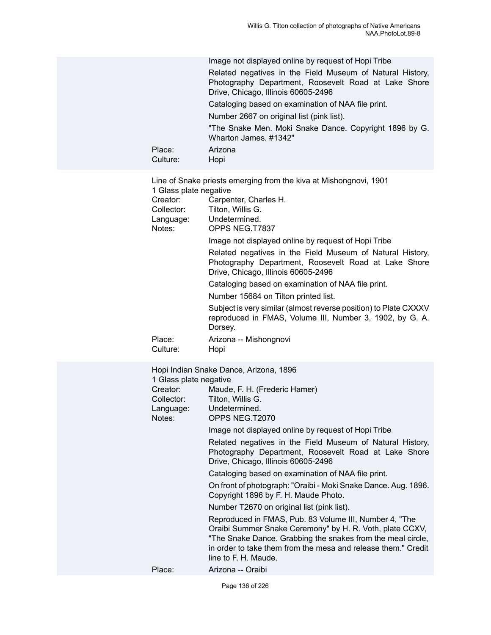| Place:<br>Culture:                                                      | Image not displayed online by request of Hopi Tribe<br>Related negatives in the Field Museum of Natural History,<br>Photography Department, Roosevelt Road at Lake Shore<br>Drive, Chicago, Illinois 60605-2496<br>Cataloging based on examination of NAA file print.<br>Number 2667 on original list (pink list).<br>"The Snake Men. Moki Snake Dance. Copyright 1896 by G.<br>Wharton James, #1342"<br>Arizona<br>Hopi                                                                                                                                                                                                                                                                                                                                                                                                                       |
|-------------------------------------------------------------------------|------------------------------------------------------------------------------------------------------------------------------------------------------------------------------------------------------------------------------------------------------------------------------------------------------------------------------------------------------------------------------------------------------------------------------------------------------------------------------------------------------------------------------------------------------------------------------------------------------------------------------------------------------------------------------------------------------------------------------------------------------------------------------------------------------------------------------------------------|
| 1 Glass plate negative<br>Creator:<br>Collector:<br>Language:<br>Notes: | Line of Snake priests emerging from the kiva at Mishongnovi, 1901<br>Carpenter, Charles H.<br>Tilton, Willis G.<br>Undetermined.<br>OPPS NEG.T7837<br>Image not displayed online by request of Hopi Tribe<br>Related negatives in the Field Museum of Natural History,<br>Photography Department, Roosevelt Road at Lake Shore<br>Drive, Chicago, Illinois 60605-2496<br>Cataloging based on examination of NAA file print.<br>Number 15684 on Tilton printed list.<br>Subject is very similar (almost reverse position) to Plate CXXXV<br>reproduced in FMAS, Volume III, Number 3, 1902, by G. A.<br>Dorsey.                                                                                                                                                                                                                                 |
| Place:<br>Culture:                                                      | Arizona -- Mishongnovi<br>Hopi                                                                                                                                                                                                                                                                                                                                                                                                                                                                                                                                                                                                                                                                                                                                                                                                                 |
| 1 Glass plate negative<br>Creator:<br>Collector:<br>Language:<br>Notes: | Hopi Indian Snake Dance, Arizona, 1896<br>Maude, F. H. (Frederic Hamer)<br>Tilton, Willis G.<br>Undetermined.<br>OPPS NEG.T2070<br>Image not displayed online by request of Hopi Tribe<br>Related negatives in the Field Museum of Natural History,<br>Photography Department, Roosevelt Road at Lake Shore<br>Drive, Chicago, Illinois 60605-2496<br>Cataloging based on examination of NAA file print.<br>On front of photograph: "Oraibi - Moki Snake Dance. Aug. 1896.<br>Copyright 1896 by F. H. Maude Photo.<br>Number T2670 on original list (pink list).<br>Reproduced in FMAS, Pub. 83 Volume III, Number 4, "The<br>Oraibi Summer Snake Ceremony" by H. R. Voth, plate CCXV,<br>"The Snake Dance. Grabbing the snakes from the meal circle,<br>in order to take them from the mesa and release them." Credit<br>line to F. H. Maude. |
| Place:                                                                  | Arizona -- Oraibi                                                                                                                                                                                                                                                                                                                                                                                                                                                                                                                                                                                                                                                                                                                                                                                                                              |
|                                                                         |                                                                                                                                                                                                                                                                                                                                                                                                                                                                                                                                                                                                                                                                                                                                                                                                                                                |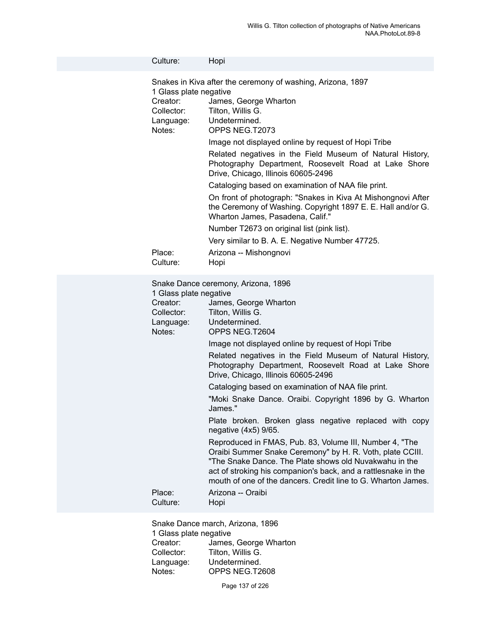| Culture:                                                                          | Hopi                                                                                                                                                                                                                                                                                                                                                                                                                                                                                                                                                                                                                                                                                                                                                                                                                                                                                            |
|-----------------------------------------------------------------------------------|-------------------------------------------------------------------------------------------------------------------------------------------------------------------------------------------------------------------------------------------------------------------------------------------------------------------------------------------------------------------------------------------------------------------------------------------------------------------------------------------------------------------------------------------------------------------------------------------------------------------------------------------------------------------------------------------------------------------------------------------------------------------------------------------------------------------------------------------------------------------------------------------------|
| 1 Glass plate negative<br>Creator:<br>Collector:<br>Language:<br>Notes:           | Snakes in Kiva after the ceremony of washing, Arizona, 1897<br>James, George Wharton<br>Tilton, Willis G.<br>Undetermined.<br>OPPS NEG.T2073<br>Image not displayed online by request of Hopi Tribe<br>Related negatives in the Field Museum of Natural History,<br>Photography Department, Roosevelt Road at Lake Shore<br>Drive, Chicago, Illinois 60605-2496<br>Cataloging based on examination of NAA file print.<br>On front of photograph: "Snakes in Kiva At Mishongnovi After<br>the Ceremony of Washing. Copyright 1897 E. E. Hall and/or G.<br>Wharton James, Pasadena, Calif."<br>Number T2673 on original list (pink list).<br>Very similar to B. A. E. Negative Number 47725.                                                                                                                                                                                                      |
| Place:<br>Culture:                                                                | Arizona -- Mishongnovi<br>Hopi                                                                                                                                                                                                                                                                                                                                                                                                                                                                                                                                                                                                                                                                                                                                                                                                                                                                  |
| 1 Glass plate negative<br>Creator:<br>Collector:<br>Language:<br>Notes:<br>Place: | Snake Dance ceremony, Arizona, 1896<br>James, George Wharton<br>Tilton, Willis G.<br>Undetermined.<br>OPPS NEG.T2604<br>Image not displayed online by request of Hopi Tribe<br>Related negatives in the Field Museum of Natural History,<br>Photography Department, Roosevelt Road at Lake Shore<br>Drive, Chicago, Illinois 60605-2496<br>Cataloging based on examination of NAA file print.<br>"Moki Snake Dance. Oraibi. Copyright 1896 by G. Wharton<br>James."<br>Plate broken. Broken glass negative replaced with copy<br>negative (4x5) 9/65.<br>Reproduced in FMAS, Pub. 83, Volume III, Number 4, "The<br>Oraibi Summer Snake Ceremony" by H. R. Voth, plate CCIII.<br>"The Snake Dance. The Plate shows old Nuvakwahu in the<br>act of stroking his companion's back, and a rattlesnake in the<br>mouth of one of the dancers. Credit line to G. Wharton James.<br>Arizona -- Oraibi |
| Culture:                                                                          | Hopi                                                                                                                                                                                                                                                                                                                                                                                                                                                                                                                                                                                                                                                                                                                                                                                                                                                                                            |

Snake Dance march, Arizona, 1896 1 Glass plate negative<br>Creator: James Creator: James, George Wharton<br>Collector: Tilton, Willis G. Collector: Tilton, Willis G.<br>Language: Undetermined. Language: Undetermined.<br>Notes: OPPS NEG.T2 OPPS NEG.T2608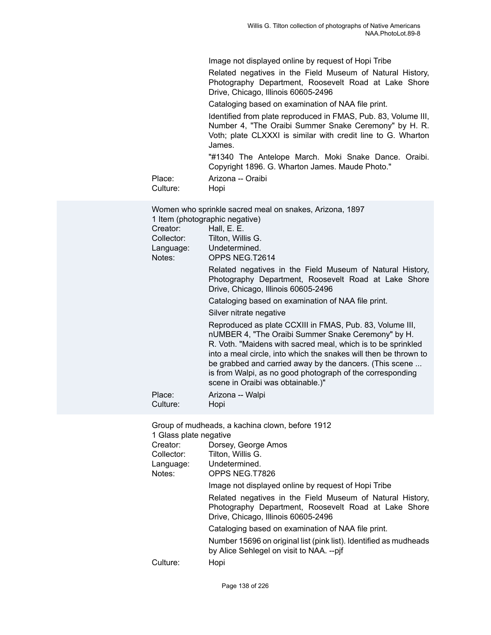Image not displayed online by request of Hopi Tribe

Related negatives in the Field Museum of Natural History, Photography Department, Roosevelt Road at Lake Shore Drive, Chicago, Illinois 60605-2496

Cataloging based on examination of NAA file print.

Identified from plate reproduced in FMAS, Pub. 83, Volume III, Number 4, "The Oraibi Summer Snake Ceremony" by H. R. Voth; plate CLXXXI is similar with credit line to G. Wharton James.

"#1340 The Antelope March. Moki Snake Dance. Oraibi. Copyright 1896. G. Wharton James. Maude Photo."

Place: Arizona -- Oraibi Culture: Hopi

| Women who sprinkle sacred meal on snakes, Arizona, 1897<br>1 Item (photographic negative) |                                                                                                                                                                                                                                                                                                                                                                                                                 |  |
|-------------------------------------------------------------------------------------------|-----------------------------------------------------------------------------------------------------------------------------------------------------------------------------------------------------------------------------------------------------------------------------------------------------------------------------------------------------------------------------------------------------------------|--|
| Creator:                                                                                  | Hall, E. E.                                                                                                                                                                                                                                                                                                                                                                                                     |  |
| Collector:                                                                                | Tilton, Willis G.                                                                                                                                                                                                                                                                                                                                                                                               |  |
| Language:                                                                                 | Undetermined.                                                                                                                                                                                                                                                                                                                                                                                                   |  |
| Notes:                                                                                    | OPPS NEG.T2614                                                                                                                                                                                                                                                                                                                                                                                                  |  |
|                                                                                           | Related negatives in the Field Museum of Natural History,<br>Photography Department, Roosevelt Road at Lake Shore<br>Drive, Chicago, Illinois 60605-2496                                                                                                                                                                                                                                                        |  |
|                                                                                           | Cataloging based on examination of NAA file print.                                                                                                                                                                                                                                                                                                                                                              |  |
|                                                                                           | Silver nitrate negative                                                                                                                                                                                                                                                                                                                                                                                         |  |
|                                                                                           | Reproduced as plate CCXIII in FMAS, Pub. 83, Volume III,<br>nUMBER 4, "The Oraibi Summer Snake Ceremony" by H.<br>R. Voth. "Maidens with sacred meal, which is to be sprinkled<br>into a meal circle, into which the snakes will then be thrown to<br>be grabbed and carried away by the dancers. (This scene<br>is from Walpi, as no good photograph of the corresponding<br>scene in Oraibi was obtainable.)" |  |
| Place:<br>Culture:                                                                        | Arizona -- Walpi<br>Hopi                                                                                                                                                                                                                                                                                                                                                                                        |  |
| Group of mudheads, a kachina clown, before 1912<br>1 Glass nlate negative                 |                                                                                                                                                                                                                                                                                                                                                                                                                 |  |

1 Glass plate negative

| Creator:   | Dorsey, George Amos                                                                                                                                      |
|------------|----------------------------------------------------------------------------------------------------------------------------------------------------------|
| Collector: | Tilton, Willis G.                                                                                                                                        |
| Language:  | Undetermined.                                                                                                                                            |
| Notes:     | OPPS NEG.T7826                                                                                                                                           |
|            | Image not displayed online by request of Hopi Tribe                                                                                                      |
|            | Related negatives in the Field Museum of Natural History,<br>Photography Department, Roosevelt Road at Lake Shore<br>Drive, Chicago, Illinois 60605-2496 |
|            | Cataloging based on examination of NAA file print.                                                                                                       |
|            | Number 15696 on original list (pink list). Identified as mudheads<br>by Alice Sehlegel on visit to NAA. --pjf                                            |
| Culture:   | Hopi                                                                                                                                                     |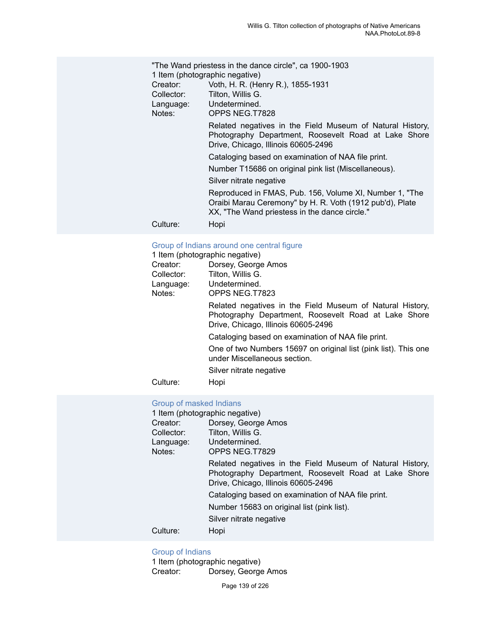|            | "The Wand priestess in the dance circle", ca 1900-1903                                                                                                               |
|------------|----------------------------------------------------------------------------------------------------------------------------------------------------------------------|
|            | 1 Item (photographic negative)                                                                                                                                       |
| Creator:   | Voth, H. R. (Henry R.), 1855-1931                                                                                                                                    |
| Collector: | Tilton, Willis G.                                                                                                                                                    |
| Language:  | Undetermined.                                                                                                                                                        |
| Notes:     | OPPS NEG.T7828                                                                                                                                                       |
|            | Related negatives in the Field Museum of Natural History,<br>Photography Department, Roosevelt Road at Lake Shore<br>Drive, Chicago, Illinois 60605-2496             |
|            | Cataloging based on examination of NAA file print.                                                                                                                   |
|            | Number T15686 on original pink list (Miscellaneous).                                                                                                                 |
|            | Silver nitrate negative                                                                                                                                              |
|            | Reproduced in FMAS, Pub. 156, Volume XI, Number 1, "The<br>Oraibi Marau Ceremony" by H. R. Voth (1912 pub'd), Plate<br>XX, "The Wand priestess in the dance circle." |
| Culture:   | Hopi                                                                                                                                                                 |

## [Group of Indians around one central figure](https://ids.si.edu/ids/deliveryService?id=NMNH-T7823-000001)

| 1 Item (photographic negative) |                                                                                                                                                          |
|--------------------------------|----------------------------------------------------------------------------------------------------------------------------------------------------------|
| Creator:                       | Dorsey, George Amos                                                                                                                                      |
| Collector:                     | Tilton, Willis G.                                                                                                                                        |
| Language:                      | Undetermined.                                                                                                                                            |
| Notes:                         | OPPS NEG.T7823                                                                                                                                           |
|                                | Related negatives in the Field Museum of Natural History,<br>Photography Department, Roosevelt Road at Lake Shore<br>Drive, Chicago, Illinois 60605-2496 |
|                                | Cataloging based on examination of NAA file print.                                                                                                       |
|                                | One of two Numbers 15697 on original list (pink list). This one<br>under Miscellaneous section.                                                          |
|                                | Silver nitrate negative                                                                                                                                  |
| Culture:                       | Hopi                                                                                                                                                     |

## [Group of masked Indians](https://ids.si.edu/ids/deliveryService?id=NMNH-T7829-000001)

| 1 Item (photographic negative) |                                                                                                                                                          |  |
|--------------------------------|----------------------------------------------------------------------------------------------------------------------------------------------------------|--|
| Creator:                       | Dorsey, George Amos                                                                                                                                      |  |
| Collector:                     | Tilton, Willis G.                                                                                                                                        |  |
| Language:                      | Undetermined.                                                                                                                                            |  |
| Notes:                         | OPPS NEG.T7829                                                                                                                                           |  |
|                                | Related negatives in the Field Museum of Natural History,<br>Photography Department, Roosevelt Road at Lake Shore<br>Drive, Chicago, Illinois 60605-2496 |  |
|                                | Cataloging based on examination of NAA file print.                                                                                                       |  |
|                                | Number 15683 on original list (pink list).                                                                                                               |  |
|                                | Silver nitrate negative                                                                                                                                  |  |
| Culture:                       | Hopi                                                                                                                                                     |  |
|                                |                                                                                                                                                          |  |

## [Group of Indians](https://ids.si.edu/ids/deliveryService?id=NMNH-T7830-000001)

1 Item (photographic negative)<br>Creator: Dorsey, George Dorsey, George Amos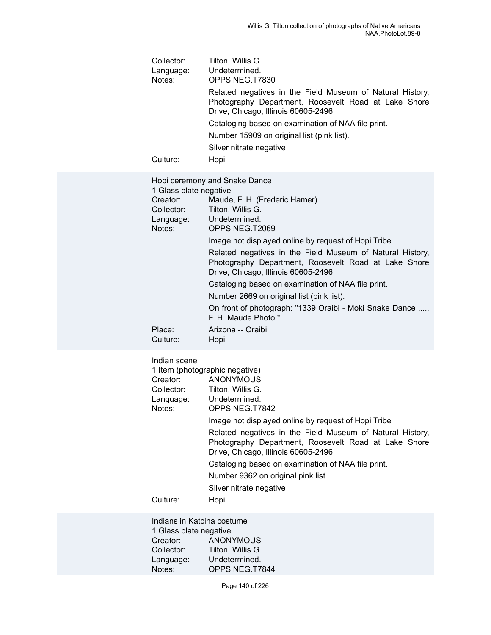| Collector:<br>Language:<br>Notes: | Tilton, Willis G.<br>Undetermined.<br>OPPS NEG.T7830                                                                                                     |
|-----------------------------------|----------------------------------------------------------------------------------------------------------------------------------------------------------|
|                                   | Related negatives in the Field Museum of Natural History,<br>Photography Department, Roosevelt Road at Lake Shore<br>Drive, Chicago, Illinois 60605-2496 |
|                                   | Cataloging based on examination of NAA file print.<br>Number 15909 on original list (pink list).<br>Silver nitrate negative                              |
| Culture:                          | Hopi                                                                                                                                                     |
| 1 Glass plate negative            | Hopi ceremony and Snake Dance                                                                                                                            |
| Creator:<br>Collector:            | Maude, F. H. (Frederic Hamer)<br>Tilton, Willis G.                                                                                                       |
| Language:                         | Undetermined.                                                                                                                                            |
| Notes:                            | OPPS NEG.T2069<br>Image not displayed online by request of Hopi Tribe                                                                                    |
|                                   | Related negatives in the Field Museum of Natural History,<br>Photography Department, Roosevelt Road at Lake Shore<br>Drive, Chicago, Illinois 60605-2496 |
|                                   | Cataloging based on examination of NAA file print.<br>Number 2669 on original list (pink list).                                                          |
|                                   | On front of photograph: "1339 Oraibi - Moki Snake Dance<br>F. H. Maude Photo."                                                                           |
| Place:<br>Culture:                | Arizona -- Oraibi<br>Hopi                                                                                                                                |
| Indian scene                      | 1 Item (photographic negative)                                                                                                                           |

|            | 1 Item (photographic negative)                                                                                                                           |
|------------|----------------------------------------------------------------------------------------------------------------------------------------------------------|
| Creator:   | <b>ANONYMOUS</b>                                                                                                                                         |
| Collector: | Tilton, Willis G.                                                                                                                                        |
| Language:  | Undetermined.                                                                                                                                            |
| Notes:     | OPPS NEG.T7842                                                                                                                                           |
|            | Image not displayed online by request of Hopi Tribe                                                                                                      |
|            | Related negatives in the Field Museum of Natural History,<br>Photography Department, Roosevelt Road at Lake Shore<br>Drive, Chicago, Illinois 60605-2496 |
|            | Cataloging based on examination of NAA file print.                                                                                                       |
|            | Number 9362 on original pink list.                                                                                                                       |
|            | Silver nitrate negative                                                                                                                                  |
| Culture:   | Hopi                                                                                                                                                     |
|            |                                                                                                                                                          |

Indians in Katcina costume 1 Glass plate negative<br>Creator: ANON' Creator: ANONYMOUS<br>Collector: Tilton, Willis G. Collector: Tilton, Willis G.<br>Language: Undetermined. Language: Undetermined.<br>Notes: OPPS NEG.T7 OPPS NEG.T7844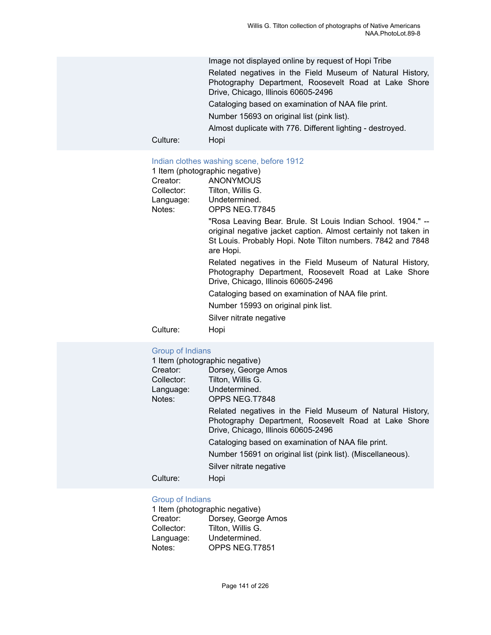Image not displayed online by request of Hopi Tribe

Related negatives in the Field Museum of Natural History, Photography Department, Roosevelt Road at Lake Shore Drive, Chicago, Illinois 60605-2496

Cataloging based on examination of NAA file print.

Number 15693 on original list (pink list).

Almost duplicate with 776. Different lighting - destroyed.

Culture: Hopi

#### [Indian clothes washing scene, before 1912](https://ids.si.edu/ids/deliveryService?id=NMNH-T7845-000001)

|            | 1 Item (photographic negative)                                                                                                                                                                              |
|------------|-------------------------------------------------------------------------------------------------------------------------------------------------------------------------------------------------------------|
| Creator:   | <b>ANONYMOUS</b>                                                                                                                                                                                            |
| Collector: | Tilton, Willis G.                                                                                                                                                                                           |
| Language:  | Undetermined.                                                                                                                                                                                               |
| Notes:     | OPPS NEG.T7845                                                                                                                                                                                              |
|            | "Rosa Leaving Bear. Brule. St Louis Indian School. 1904." --<br>original negative jacket caption. Almost certainly not taken in<br>St Louis. Probably Hopi. Note Tilton numbers. 7842 and 7848<br>are Hopi. |
|            | Related negatives in the Field Museum of Natural History,<br>Photography Department, Roosevelt Road at Lake Shore<br>Drive, Chicago, Illinois 60605-2496                                                    |
|            | Cataloging based on examination of NAA file print.                                                                                                                                                          |
|            | Number 15993 on original pink list.                                                                                                                                                                         |
|            | Silver nitrate negative                                                                                                                                                                                     |
| Culture:   | Hopi                                                                                                                                                                                                        |

#### [Group of Indians](https://ids.si.edu/ids/deliveryService?id=NMNH-T7848-000001)

| 1 Item (photographic negative) |                                                                                                                                                          |
|--------------------------------|----------------------------------------------------------------------------------------------------------------------------------------------------------|
| Creator:                       | Dorsey, George Amos                                                                                                                                      |
| Collector:                     | Tilton, Willis G.                                                                                                                                        |
| Language:                      | Undetermined.                                                                                                                                            |
| Notes:                         | OPPS NEG.T7848                                                                                                                                           |
|                                | Related negatives in the Field Museum of Natural History,<br>Photography Department, Roosevelt Road at Lake Shore<br>Drive, Chicago, Illinois 60605-2496 |
|                                | Cataloging based on examination of NAA file print.                                                                                                       |
|                                | Number 15691 on original list (pink list). (Miscellaneous).                                                                                              |
|                                | Silver nitrate negative                                                                                                                                  |
| Culture:                       | Hopi                                                                                                                                                     |

#### [Group of Indians](https://ids.si.edu/ids/deliveryService?id=NMNH-T7851-000001)

| 1 Item (photographic negative) |                     |  |
|--------------------------------|---------------------|--|
| Creator:                       | Dorsey, George Amos |  |
| Collector:                     | Tilton, Willis G.   |  |
| Language:                      | Undetermined.       |  |
| Notes:                         | OPPS NEG.T7851      |  |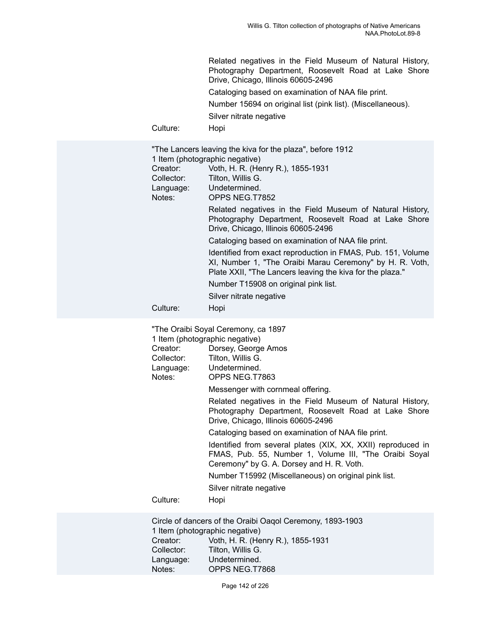Related negatives in the Field Museum of Natural History, Photography Department, Roosevelt Road at Lake Shore Drive, Chicago, Illinois 60605-2496

Cataloging based on examination of NAA file print.

Number 15694 on original list (pink list). (Miscellaneous).

Silver nitrate negative

Culture: Hopi

|                                | "The Lancers leaving the kiva for the plaza", before 1912                                                                                                                             |
|--------------------------------|---------------------------------------------------------------------------------------------------------------------------------------------------------------------------------------|
| 1 Item (photographic negative) |                                                                                                                                                                                       |
| Creator:                       | Voth, H. R. (Henry R.), 1855-1931                                                                                                                                                     |
| Collector:                     | Tilton, Willis G.                                                                                                                                                                     |
| Language:                      | Undetermined.                                                                                                                                                                         |
| Notes:                         | OPPS NEG.T7852                                                                                                                                                                        |
|                                | Related negatives in the Field Museum of Natural History,<br>Photography Department, Roosevelt Road at Lake Shore<br>Drive, Chicago, Illinois 60605-2496                              |
|                                | Cataloging based on examination of NAA file print.                                                                                                                                    |
|                                | Identified from exact reproduction in FMAS, Pub. 151, Volume<br>XI, Number 1, "The Oraibi Marau Ceremony" by H. R. Voth,<br>Plate XXII, "The Lancers leaving the kiva for the plaza." |
|                                | Number T15908 on original pink list.                                                                                                                                                  |
|                                | Silver nitrate negative                                                                                                                                                               |
| Culture:                       | Hopi                                                                                                                                                                                  |

"The Oraibi Soyal Ceremony, ca 1897 1 Item (photographic negative) Creator: Dorsey, George Amos Collector: Tilton, Willis G. Language: Undetermined. Notes: OPPS NEG.T7863 Messenger with cornmeal offering. Related negatives in the Field Museum of Natural History, Photography Department, Roosevelt Road at Lake Shore Drive, Chicago, Illinois 60605-2496 Cataloging based on examination of NAA file print. Identified from several plates (XIX, XX, XXII) reproduced in FMAS, Pub. 55, Number 1, Volume III, "The Oraibi Soyal Ceremony" by G. A. Dorsey and H. R. Voth. Number T15992 (Miscellaneous) on original pink list. Silver nitrate negative Culture: Hopi Circle of dancers of the Oraibi Oaqol Ceremony, 1893-1903 1 Item (photographic negative)

| 1 item (pnotographic negative) |                                   |  |
|--------------------------------|-----------------------------------|--|
| Creator:                       | Voth, H. R. (Henry R.), 1855-1931 |  |
| Collector:                     | Tilton. Willis G.                 |  |
| Language:                      | Undetermined.                     |  |
| Notes:                         | OPPS NEG.T7868                    |  |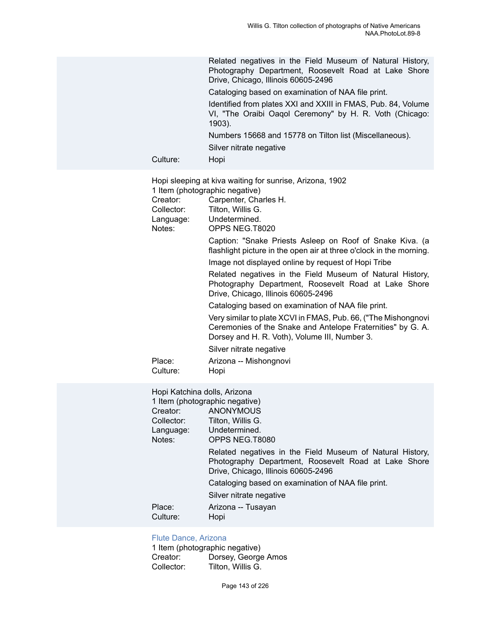Related negatives in the Field Museum of Natural History, Photography Department, Roosevelt Road at Lake Shore Drive, Chicago, Illinois 60605-2496

Cataloging based on examination of NAA file print.

Identified from plates XXI and XXIII in FMAS, Pub. 84, Volume VI, "The Oraibi Oaqol Ceremony" by H. R. Voth (Chicago: 1903).

Numbers 15668 and 15778 on Tilton list (Miscellaneous).

Silver nitrate negative

Culture: Hopi

Hopi sleeping at kiva waiting for sunrise, Arizona, 1902 1 Item (photographic negative)

|            | $\ldots$                                                                                                                                                                       |
|------------|--------------------------------------------------------------------------------------------------------------------------------------------------------------------------------|
| Creator:   | Carpenter, Charles H.                                                                                                                                                          |
| Collector: | Tilton, Willis G.                                                                                                                                                              |
| Language:  | Undetermined.                                                                                                                                                                  |
| Notes:     | OPPS NEG.T8020                                                                                                                                                                 |
|            | Caption: "Snake Priests Asleep on Roof of Snake Kiva. (a<br>flashlight picture in the open air at three o'clock in the morning.                                                |
|            | Image not displayed online by request of Hopi Tribe                                                                                                                            |
|            | Related negatives in the Field Museum of Natural History,<br>Photography Department, Roosevelt Road at Lake Shore<br>Drive, Chicago, Illinois 60605-2496                       |
|            | Cataloging based on examination of NAA file print.                                                                                                                             |
|            | Very similar to plate XCVI in FMAS, Pub. 66, ("The Mishongnovi<br>Ceremonies of the Snake and Antelope Fraternities" by G. A.<br>Dorsey and H. R. Voth), Volume III, Number 3. |
|            | Silver nitrate negative                                                                                                                                                        |
| Place:     | Arizona -- Mishongnovi                                                                                                                                                         |
| Culture:   | Hopi                                                                                                                                                                           |
|            |                                                                                                                                                                                |

Hopi Katchina dolls, Arizona

| 1 Item (photographic negative) |                                                                                                                                                          |
|--------------------------------|----------------------------------------------------------------------------------------------------------------------------------------------------------|
| Creator:                       | <b>ANONYMOUS</b>                                                                                                                                         |
| Collector:                     | Tilton, Willis G.                                                                                                                                        |
| Language:                      | Undetermined.                                                                                                                                            |
| Notes:                         | OPPS NEG.T8080                                                                                                                                           |
|                                | Related negatives in the Field Museum of Natural History,<br>Photography Department, Roosevelt Road at Lake Shore<br>Drive, Chicago, Illinois 60605-2496 |
|                                | Cataloging based on examination of NAA file print.                                                                                                       |
|                                | Silver nitrate negative                                                                                                                                  |
| Place:<br>Culture:             | Arizona -- Tusayan<br>Hopi                                                                                                                               |

#### [Flute Dance, Arizona](https://ids.si.edu/ids/deliveryService?id=NMNH-T9993-000001)

1 Item (photographic negative) Creator: Dorsey, George Amos<br>Collector: Tilton. Willis G. Tilton, Willis G.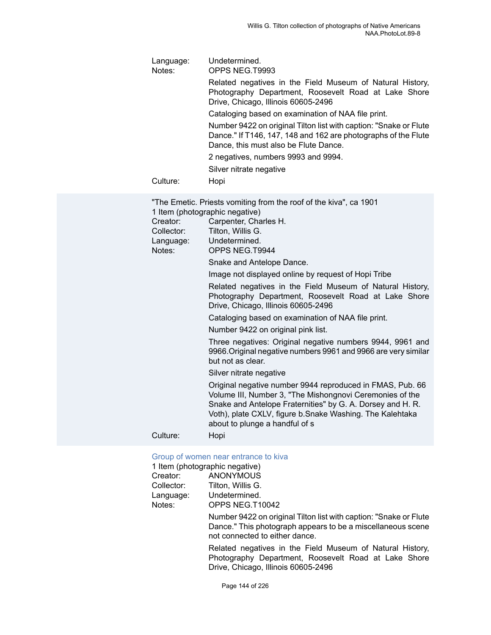| Language:<br>Notes: | Undetermined.<br>OPPS NEG.T9993                                                                                                                                              |
|---------------------|------------------------------------------------------------------------------------------------------------------------------------------------------------------------------|
|                     | Related negatives in the Field Museum of Natural History,<br>Photography Department, Roosevelt Road at Lake Shore<br>Drive, Chicago, Illinois 60605-2496                     |
|                     | Cataloging based on examination of NAA file print.                                                                                                                           |
|                     | Number 9422 on original Tilton list with caption: "Snake or Flute<br>Dance." If T146, 147, 148 and 162 are photographs of the Flute<br>Dance, this must also be Flute Dance. |
|                     | 2 negatives, numbers 9993 and 9994.                                                                                                                                          |
|                     | Silver nitrate negative                                                                                                                                                      |
| Culture:            | Hopi                                                                                                                                                                         |
|                     |                                                                                                                                                                              |

"The Emetic. Priests vomiting from the roof of the kiva", ca 1901 1 Item (photographic negative)<br>Creator: Carpenter. Cha Carpenter, Charles H.

| <b>Uurpontor</b> , Undrius in. |
|--------------------------------|
| Tilton. Willis G.              |
| Undetermined.                  |
| OPPS NEG.T9944                 |
|                                |

Snake and Antelope Dance.

Image not displayed online by request of Hopi Tribe

Related negatives in the Field Museum of Natural History, Photography Department, Roosevelt Road at Lake Shore Drive, Chicago, Illinois 60605-2496

Cataloging based on examination of NAA file print.

Number 9422 on original pink list.

Three negatives: Original negative numbers 9944, 9961 and 9966.Original negative numbers 9961 and 9966 are very similar but not as clear.

Silver nitrate negative

Original negative number 9944 reproduced in FMAS, Pub. 66 Volume III, Number 3, "The Mishongnovi Ceremonies of the Snake and Antelope Fraternities" by G. A. Dorsey and H. R. Voth), plate CXLV, figure b.Snake Washing. The Kalehtaka about to plunge a handful of s

Culture: Hopi

#### [Group of women near entrance to kiva](https://ids.si.edu/ids/deliveryService?id=NMNH-T10042-000001)

|            | 1 Item (photographic negative)                                    |
|------------|-------------------------------------------------------------------|
| Creator:   | <b>ANONYMOUS</b>                                                  |
| Collector: | Tilton. Willis G.                                                 |
| Language:  | Undetermined.                                                     |
| Notes:     | OPPS NEG.T10042                                                   |
|            | Number 9422 on original Tilton list with caption: "Snake or Flute |

Dance." This photograph appears to be a miscellaneous scene not connected to either dance.

Related negatives in the Field Museum of Natural History, Photography Department, Roosevelt Road at Lake Shore Drive, Chicago, Illinois 60605-2496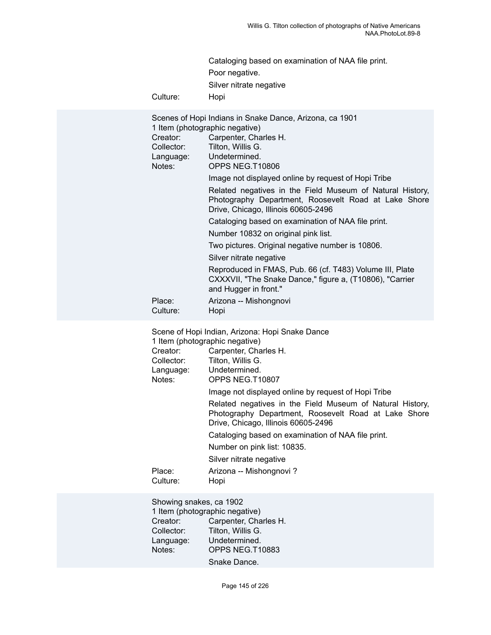| Cataloging based on examination of NAA file print. |
|----------------------------------------------------|
| Poor negative.                                     |
| Silver nitrate negative                            |

Culture: Hopi

| Creator:<br>Collector:<br>Notes:                                                                                                                                                  | Scenes of Hopi Indians in Snake Dance, Arizona, ca 1901<br>1 Item (photographic negative)<br>Carpenter, Charles H.<br>Tilton, Willis G.<br>Language: Undetermined.<br>OPPS NEG.T10806 |
|-----------------------------------------------------------------------------------------------------------------------------------------------------------------------------------|---------------------------------------------------------------------------------------------------------------------------------------------------------------------------------------|
|                                                                                                                                                                                   | Image not displayed online by request of Hopi Tribe                                                                                                                                   |
|                                                                                                                                                                                   | Related negatives in the Field Museum of Natural History,<br>Photography Department, Roosevelt Road at Lake Shore<br>Drive, Chicago, Illinois 60605-2496                              |
|                                                                                                                                                                                   | Cataloging based on examination of NAA file print.                                                                                                                                    |
|                                                                                                                                                                                   | Number 10832 on original pink list.                                                                                                                                                   |
|                                                                                                                                                                                   | Two pictures. Original negative number is 10806.                                                                                                                                      |
|                                                                                                                                                                                   | Silver nitrate negative                                                                                                                                                               |
|                                                                                                                                                                                   | Reproduced in FMAS, Pub. 66 (cf. T483) Volume III, Plate<br>CXXXVII, "The Snake Dance," figure a, (T10806), "Carrier<br>and Hugger in front."                                         |
| Place:<br>Culture:                                                                                                                                                                | Arizona -- Mishongnovi<br>Hopi                                                                                                                                                        |
| Scene of Hopi Indian, Arizona: Hopi Snake Dance<br>1 Item (photographic negative)<br>Creator:<br>Carpenter, Charles H.<br>Collector: Tilton, Willis G.<br>Language: Undetermined. |                                                                                                                                                                                       |
| Notes:                                                                                                                                                                            | OPPS NEG.T10807                                                                                                                                                                       |

Image not displayed online by request of Hopi Tribe

Related negatives in the Field Museum of Natural History, Photography Department, Roosevelt Road at Lake Shore Drive, Chicago, Illinois 60605-2496

Cataloging based on examination of NAA file print.

Number on pink list: 10835.

Silver nitrate negative

Place: Arizona -- Mishongnovi? Culture: Hopi

Showing snakes, ca 1902 1 Item (photographic negative) Creator: Carpenter, Charles H.<br>Collector: Tilton, Willis G. Tilton, Willis G. Language: Undetermined. Notes: OPPS NEG.T10883 Snake Dance.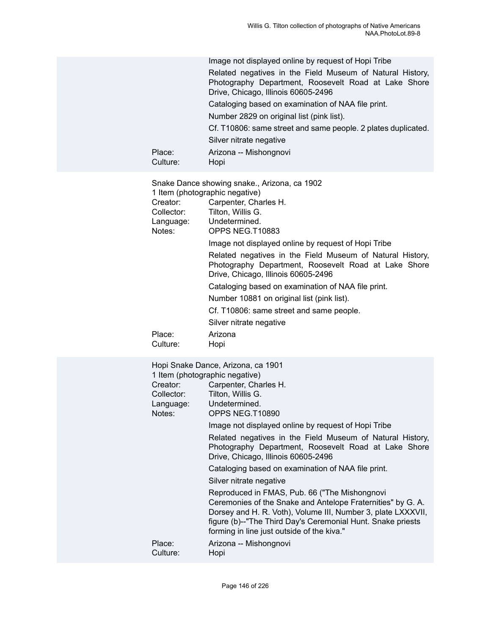| Place:<br>Culture:                            | Image not displayed online by request of Hopi Tribe<br>Related negatives in the Field Museum of Natural History,<br>Photography Department, Roosevelt Road at Lake Shore<br>Drive, Chicago, Illinois 60605-2496<br>Cataloging based on examination of NAA file print.<br>Number 2829 on original list (pink list).<br>Cf. T10806: same street and same people. 2 plates duplicated.<br>Silver nitrate negative<br>Arizona -- Mishongnovi<br>Hopi                                                                                                               |
|-----------------------------------------------|----------------------------------------------------------------------------------------------------------------------------------------------------------------------------------------------------------------------------------------------------------------------------------------------------------------------------------------------------------------------------------------------------------------------------------------------------------------------------------------------------------------------------------------------------------------|
| Creator:<br>Collector:<br>Language:<br>Notes: | Snake Dance showing snake., Arizona, ca 1902<br>1 Item (photographic negative)<br>Carpenter, Charles H.<br>Tilton, Willis G.<br>Undetermined.<br>OPPS NEG.T10883<br>Image not displayed online by request of Hopi Tribe<br>Related negatives in the Field Museum of Natural History,<br>Photography Department, Roosevelt Road at Lake Shore<br>Drive, Chicago, Illinois 60605-2496<br>Cataloging based on examination of NAA file print.<br>Number 10881 on original list (pink list).<br>Cf. T10806: same street and same people.<br>Silver nitrate negative |
| Place:<br>Culture:                            | Arizona<br>Hopi                                                                                                                                                                                                                                                                                                                                                                                                                                                                                                                                                |
| Creator:<br>Collector:<br>Language:<br>Notes: | Hopi Snake Dance, Arizona, ca 1901<br>1 Item (photographic negative)<br>Carpenter, Charles H.<br>Tilton, Willis G.<br>Undetermined.<br>OPPS NEG.T10890<br>Image not displayed online by request of Hopi Tribe                                                                                                                                                                                                                                                                                                                                                  |

Related negatives in the Field Museum of Natural History, Photography Department, Roosevelt Road at Lake Shore Drive, Chicago, Illinois 60605-2496

Cataloging based on examination of NAA file print.

Silver nitrate negative

Reproduced in FMAS, Pub. 66 ("The Mishongnovi Ceremonies of the Snake and Antelope Fraternities" by G. A. Dorsey and H. R. Voth), Volume III, Number 3, plate LXXXVII, figure (b)--"The Third Day's Ceremonial Hunt. Snake priests forming in line just outside of the kiva."

Place: Arizona -- Mishongnovi Culture: Hopi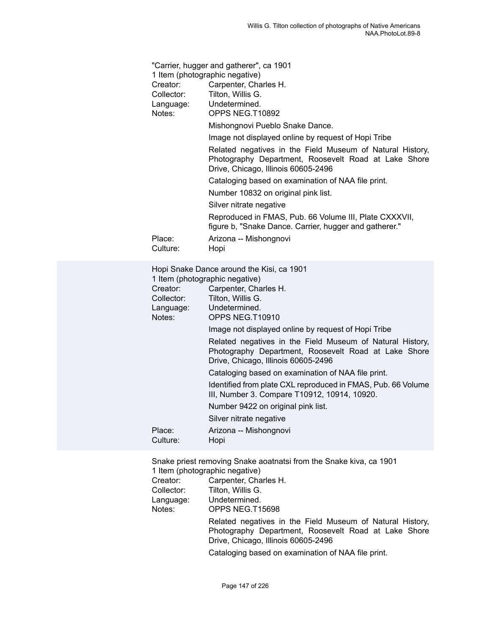| "Carrier, hugger and gatherer", ca 1901<br>1 Item (photographic negative) |                                                                                                                                                          |
|---------------------------------------------------------------------------|----------------------------------------------------------------------------------------------------------------------------------------------------------|
| Creator:                                                                  | Carpenter, Charles H.                                                                                                                                    |
| Collector:                                                                | Tilton, Willis G.                                                                                                                                        |
|                                                                           | Language: Undetermined.                                                                                                                                  |
| Notes:                                                                    | OPPS NEG.T10892                                                                                                                                          |
|                                                                           | Mishongnovi Pueblo Snake Dance.                                                                                                                          |
|                                                                           | Image not displayed online by request of Hopi Tribe                                                                                                      |
|                                                                           | Related negatives in the Field Museum of Natural History,<br>Photography Department, Roosevelt Road at Lake Shore<br>Drive, Chicago, Illinois 60605-2496 |
|                                                                           | Cataloging based on examination of NAA file print.                                                                                                       |
|                                                                           | Number 10832 on original pink list.                                                                                                                      |
|                                                                           | Silver nitrate negative                                                                                                                                  |
|                                                                           | Reproduced in FMAS, Pub. 66 Volume III, Plate CXXXVII,<br>figure b, "Snake Dance. Carrier, hugger and gatherer."                                         |
| Place:<br>Culture:                                                        | Arizona -- Mishongnovi<br>Hopi                                                                                                                           |
|                                                                           |                                                                                                                                                          |

|            | Hopi Snake Dance around the Kisi, ca 1901<br>1 Item (photographic negative)                                                                              |
|------------|----------------------------------------------------------------------------------------------------------------------------------------------------------|
| Creator:   | Carpenter, Charles H.                                                                                                                                    |
| Collector: | Tilton, Willis G.                                                                                                                                        |
| Language:  | Undetermined.                                                                                                                                            |
| Notes:     | OPPS NEG.T10910                                                                                                                                          |
|            | Image not displayed online by request of Hopi Tribe                                                                                                      |
|            | Related negatives in the Field Museum of Natural History,<br>Photography Department, Roosevelt Road at Lake Shore<br>Drive, Chicago, Illinois 60605-2496 |
|            | Cataloging based on examination of NAA file print.                                                                                                       |
|            | Identified from plate CXL reproduced in FMAS, Pub. 66 Volume<br>III, Number 3. Compare T10912, 10914, 10920.                                             |
|            | Number 9422 on original pink list.                                                                                                                       |
|            | Silver nitrate negative                                                                                                                                  |
| Place:     | Arizona -- Mishongnovi                                                                                                                                   |
| Culture:   | Hopi                                                                                                                                                     |

Snake priest removing Snake aoatnatsi from the Snake kiva, ca 1901 1 Item (photographic negative)

| Creator:   | Carpenter, Charles H.                                                                                                                                    |
|------------|----------------------------------------------------------------------------------------------------------------------------------------------------------|
| Collector: | Tilton, Willis G.                                                                                                                                        |
| Language:  | Undetermined.                                                                                                                                            |
| Notes:     | OPPS NEG.T15698                                                                                                                                          |
|            | Related negatives in the Field Museum of Natural History,<br>Photography Department, Roosevelt Road at Lake Shore<br>Drive, Chicago, Illinois 60605-2496 |
|            | Cataloging based on examination of NAA file print.                                                                                                       |
|            |                                                                                                                                                          |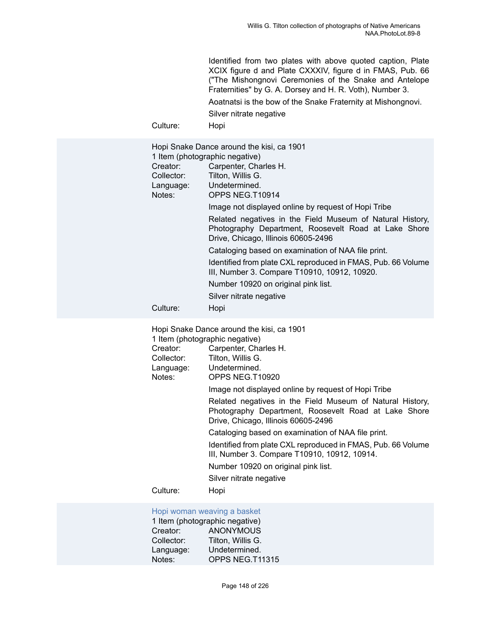Identified from two plates with above quoted caption, Plate XCIX figure d and Plate CXXXIV, figure d in FMAS, Pub. 66 ("The Mishongnovi Ceremonies of the Snake and Antelope Fraternities" by G. A. Dorsey and H. R. Voth), Number 3.

Aoatnatsi is the bow of the Snake Fraternity at Mishongnovi.

Silver nitrate negative

Culture: Hopi

| Hopi Snake Dance around the kisi, ca 1901 |                                                                                                                                                          |
|-------------------------------------------|----------------------------------------------------------------------------------------------------------------------------------------------------------|
| 1 Item (photographic negative)            |                                                                                                                                                          |
| Creator:                                  | Carpenter, Charles H.                                                                                                                                    |
| Collector:                                | Tilton, Willis G.                                                                                                                                        |
|                                           | Language: Undetermined.                                                                                                                                  |
| Notes:                                    | OPPS NEG.T10914                                                                                                                                          |
|                                           | Image not displayed online by request of Hopi Tribe                                                                                                      |
|                                           | Related negatives in the Field Museum of Natural History,<br>Photography Department, Roosevelt Road at Lake Shore<br>Drive, Chicago, Illinois 60605-2496 |
|                                           | Cataloging based on examination of NAA file print.                                                                                                       |
|                                           | Identified from plate CXL reproduced in FMAS, Pub. 66 Volume<br>III, Number 3. Compare T10910, 10912, 10920.                                             |
|                                           | Number 10920 on original pink list.                                                                                                                      |
|                                           | Silver nitrate negative                                                                                                                                  |
| Culture:                                  | Hopi                                                                                                                                                     |

| Hopi Snake Dance around the kisi, ca 1901 |                                                                                                                                                          |  |
|-------------------------------------------|----------------------------------------------------------------------------------------------------------------------------------------------------------|--|
| 1 Item (photographic negative)            |                                                                                                                                                          |  |
| Creator:                                  | Carpenter, Charles H.                                                                                                                                    |  |
| Collector:                                | Tilton, Willis G.                                                                                                                                        |  |
|                                           | Language: Undetermined.                                                                                                                                  |  |
| Notes:                                    | OPPS NEG.T10920                                                                                                                                          |  |
|                                           | Image not displayed online by request of Hopi Tribe                                                                                                      |  |
|                                           | Related negatives in the Field Museum of Natural History,<br>Photography Department, Roosevelt Road at Lake Shore<br>Drive, Chicago, Illinois 60605-2496 |  |
|                                           | Cataloging based on examination of NAA file print.                                                                                                       |  |
|                                           | Identified from plate CXL reproduced in FMAS, Pub. 66 Volume<br>III, Number 3. Compare T10910, 10912, 10914.                                             |  |
|                                           | Number 10920 on original pink list.                                                                                                                      |  |
|                                           | Silver nitrate negative                                                                                                                                  |  |
| Culture:                                  | Hopi                                                                                                                                                     |  |
|                                           |                                                                                                                                                          |  |

# [Hopi woman weaving a basket](https://ids.si.edu/ids/deliveryService?id=NMNH-T11315-000001)

|            | 1 Item (photographic negative) |
|------------|--------------------------------|
| Creator:   | <b>ANONYMOUS</b>               |
| Collector: | Tilton, Willis G.              |
| Language:  | Undetermined.                  |
| Notes:     | OPPS NEG.T11315                |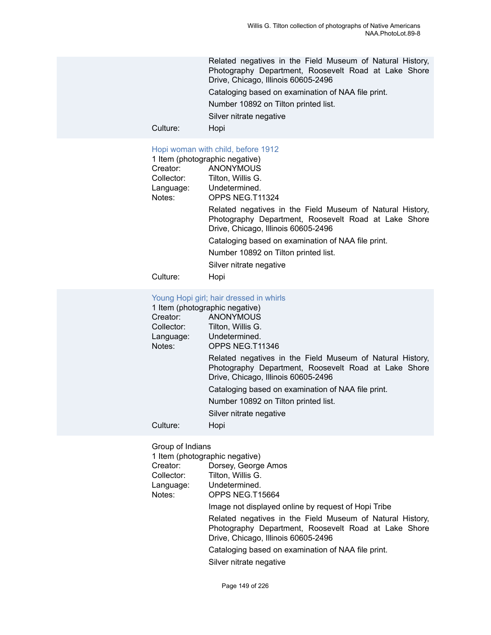Related negatives in the Field Museum of Natural History, Photography Department, Roosevelt Road at Lake Shore Drive, Chicago, Illinois 60605-2496

Cataloging based on examination of NAA file print.

Number 10892 on Tilton printed list.

Silver nitrate negative

Culture: Hopi

#### [Hopi woman with child, before 1912](https://ids.si.edu/ids/deliveryService?id=NMNH-T11324-000001)

|            | 1 Item (photographic negative)                                                                                                                           |
|------------|----------------------------------------------------------------------------------------------------------------------------------------------------------|
| Creator:   | ANONYMOUS                                                                                                                                                |
| Collector: | Tilton, Willis G.                                                                                                                                        |
| Language:  | Undetermined.                                                                                                                                            |
| Notes:     | OPPS NEG.T11324                                                                                                                                          |
|            | Related negatives in the Field Museum of Natural History,<br>Photography Department, Roosevelt Road at Lake Shore<br>Drive, Chicago, Illinois 60605-2496 |
|            | Cataloging based on examination of NAA file print.                                                                                                       |
|            | Number 10892 on Tilton printed list.                                                                                                                     |
|            | Silver nitrate negative                                                                                                                                  |
| Culture:   | Hopi                                                                                                                                                     |

# Young Hopi girl; hair [dressed](https://ids.si.edu/ids/deliveryService?id=NMNH-T11346-000001) in whirls

| 1 Item (photographic negative) |                                                                                                                                                          |  |
|--------------------------------|----------------------------------------------------------------------------------------------------------------------------------------------------------|--|
| Creator:                       | <b>ANONYMOUS</b>                                                                                                                                         |  |
| Collector:                     | Tilton, Willis G.                                                                                                                                        |  |
| Language:                      | Undetermined.                                                                                                                                            |  |
| Notes:                         | OPPS NEG.T11346                                                                                                                                          |  |
|                                | Related negatives in the Field Museum of Natural History,<br>Photography Department, Roosevelt Road at Lake Shore<br>Drive, Chicago, Illinois 60605-2496 |  |
|                                | Cataloging based on examination of NAA file print.                                                                                                       |  |
|                                | Number 10892 on Tilton printed list.                                                                                                                     |  |
|                                | Silver nitrate negative                                                                                                                                  |  |
| Culture:                       | Hopi                                                                                                                                                     |  |

Group of Indians<br>1 Item (photograp

|            | 1 Item (photographic negative)                                                                                                                           |
|------------|----------------------------------------------------------------------------------------------------------------------------------------------------------|
| Creator:   | Dorsey, George Amos                                                                                                                                      |
| Collector: | Tilton, Willis G.                                                                                                                                        |
| Language:  | Undetermined.                                                                                                                                            |
| Notes:     | OPPS NEG.T15664                                                                                                                                          |
|            | Image not displayed online by request of Hopi Tribe                                                                                                      |
|            | Related negatives in the Field Museum of Natural History,<br>Photography Department, Roosevelt Road at Lake Shore<br>Drive, Chicago, Illinois 60605-2496 |
|            | Cataloging based on examination of NAA file print.                                                                                                       |
|            | Silver nitrate negative                                                                                                                                  |
|            |                                                                                                                                                          |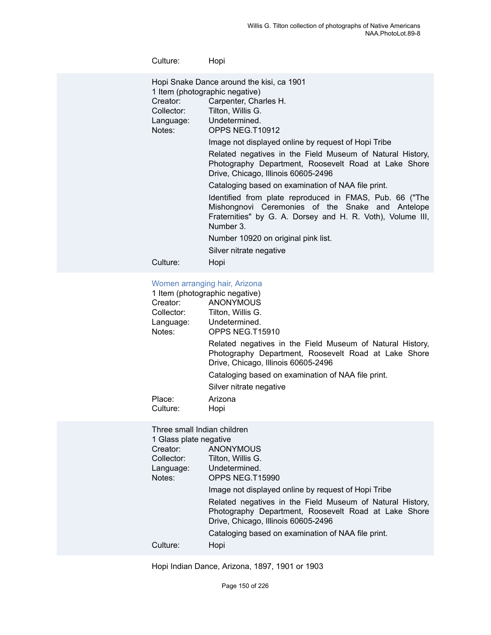| Culture:                         | Hopi                                                                                                                                                                                   |
|----------------------------------|----------------------------------------------------------------------------------------------------------------------------------------------------------------------------------------|
| Creator:<br>Collector:<br>Notes: | Hopi Snake Dance around the kisi, ca 1901<br>1 Item (photographic negative)<br>Carpenter, Charles H.<br>Tilton, Willis G.<br>Language: Undetermined.<br>OPPS NEG.T10912                |
|                                  | Image not displayed online by request of Hopi Tribe                                                                                                                                    |
|                                  | Related negatives in the Field Museum of Natural History,<br>Photography Department, Roosevelt Road at Lake Shore<br>Drive, Chicago, Illinois 60605-2496                               |
|                                  | Cataloging based on examination of NAA file print.                                                                                                                                     |
|                                  | Identified from plate reproduced in FMAS, Pub. 66 ("The<br>Mishongnovi Ceremonies of the Snake and Antelope<br>Fraternities" by G. A. Dorsey and H. R. Voth), Volume III,<br>Number 3. |
|                                  | Number 10920 on original pink list.                                                                                                                                                    |
|                                  | Silver nitrate negative                                                                                                                                                                |
| Culture:                         | Hopi                                                                                                                                                                                   |

# Women [arranging](https://ids.si.edu/ids/deliveryService?id=NMNH-T15910-000001) hair, Arizona

|                    | $1.0111011$ and an ignition than $1.0111$                                                                                                                |
|--------------------|----------------------------------------------------------------------------------------------------------------------------------------------------------|
|                    | 1 Item (photographic negative)                                                                                                                           |
| Creator:           | ANONYMOUS                                                                                                                                                |
| Collector:         | Tilton, Willis G.                                                                                                                                        |
| Language:          | Undetermined.                                                                                                                                            |
| Notes:             | OPPS NEG.T15910                                                                                                                                          |
|                    | Related negatives in the Field Museum of Natural History,<br>Photography Department, Roosevelt Road at Lake Shore<br>Drive, Chicago, Illinois 60605-2496 |
|                    | Cataloging based on examination of NAA file print.                                                                                                       |
|                    | Silver nitrate negative                                                                                                                                  |
| Place:<br>Culture: | Arizona<br>Hopi                                                                                                                                          |
|                    |                                                                                                                                                          |

| Three small Indian children |                                                                                                                                                          |  |
|-----------------------------|----------------------------------------------------------------------------------------------------------------------------------------------------------|--|
| 1 Glass plate negative      |                                                                                                                                                          |  |
| Creator:                    | <b>ANONYMOUS</b>                                                                                                                                         |  |
| Collector:                  | Tilton, Willis G.                                                                                                                                        |  |
| Language:                   | Undetermined.                                                                                                                                            |  |
| Notes:                      | OPPS NEG.T15990                                                                                                                                          |  |
|                             | Image not displayed online by request of Hopi Tribe                                                                                                      |  |
|                             | Related negatives in the Field Museum of Natural History,<br>Photography Department, Roosevelt Road at Lake Shore<br>Drive, Chicago, Illinois 60605-2496 |  |
|                             | Cataloging based on examination of NAA file print.                                                                                                       |  |
| Culture:                    | Hopi                                                                                                                                                     |  |

Hopi Indian Dance, Arizona, 1897, 1901 or 1903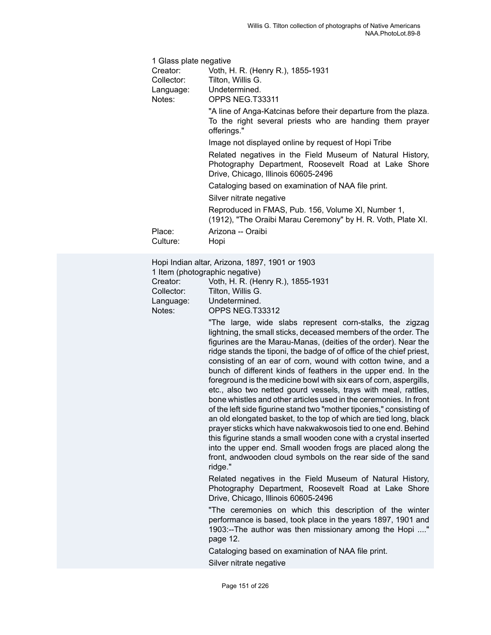| 1 Glass plate negative  |                                                                                                                                                          |  |
|-------------------------|----------------------------------------------------------------------------------------------------------------------------------------------------------|--|
| Creator:                | Voth, H. R. (Henry R.), 1855-1931                                                                                                                        |  |
| Collector:              | Tilton, Willis G.                                                                                                                                        |  |
| Language: Undetermined. |                                                                                                                                                          |  |
| Notes:                  | OPPS NEG.T33311                                                                                                                                          |  |
|                         | "A line of Anga-Katcinas before their departure from the plaza.<br>To the right several priests who are handing them prayer<br>offerings."               |  |
|                         | Image not displayed online by request of Hopi Tribe                                                                                                      |  |
|                         | Related negatives in the Field Museum of Natural History,<br>Photography Department, Roosevelt Road at Lake Shore<br>Drive, Chicago, Illinois 60605-2496 |  |
|                         | Cataloging based on examination of NAA file print.                                                                                                       |  |
|                         | Silver nitrate negative                                                                                                                                  |  |
|                         | Reproduced in FMAS, Pub. 156, Volume XI, Number 1,<br>(1912), "The Oraibi Marau Ceremony" by H. R. Voth, Plate XI.                                       |  |
| Place:                  | Arizona -- Oraibi                                                                                                                                        |  |
| Culture:                | Hopi                                                                                                                                                     |  |

Hopi Indian altar, Arizona, 1897, 1901 or 1903

1 Item (photographic negative)

Creator: Voth, H. R. (Henry R.), 1855-1931

Collector: Tilton, Willis G.

Language: Undetermined.

Notes: OPPS NEG.T33312

"The large, wide slabs represent corn-stalks, the zigzag lightning, the small sticks, deceased members of the order. The figurines are the Marau-Manas, (deities of the order). Near the ridge stands the tiponi, the badge of of office of the chief priest, consisting of an ear of corn, wound with cotton twine, and a bunch of different kinds of feathers in the upper end. In the foreground is the medicine bowl with six ears of corn, aspergills, etc., also two netted gourd vessels, trays with meal, rattles, bone whistles and other articles used in the ceremonies. In front of the left side figurine stand two "mother tiponies," consisting of an old elongated basket, to the top of which are tied long, black prayer sticks which have nakwakwosois tied to one end. Behind this figurine stands a small wooden cone with a crystal inserted into the upper end. Small wooden frogs are placed along the front, andwooden cloud symbols on the rear side of the sand ridge."

Related negatives in the Field Museum of Natural History, Photography Department, Roosevelt Road at Lake Shore Drive, Chicago, Illinois 60605-2496

"The ceremonies on which this description of the winter performance is based, took place in the years 1897, 1901 and 1903:--The author was then missionary among the Hopi ...." page 12.

Cataloging based on examination of NAA file print.

Silver nitrate negative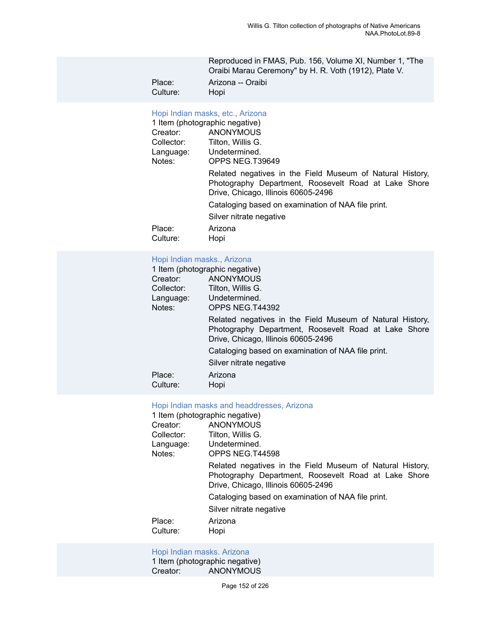Reproduced in FMAS, Pub. 156, Volume XI, Number 1, "The Oraibi Marau Ceremony" by H. R. Voth (1912), Plate V.

Place: Arizona -- Oraibi<br>Culture: Hopi Culture:

# [Hopi Indian masks, etc., Arizona](https://ids.si.edu/ids/deliveryService?id=NMNH-T39649-000001)

| 1 Item (photographic negative) |                                                                                                                                                          |  |
|--------------------------------|----------------------------------------------------------------------------------------------------------------------------------------------------------|--|
| Creator:                       | <b>ANONYMOUS</b>                                                                                                                                         |  |
| Collector:                     | Tilton, Willis G.                                                                                                                                        |  |
| Language:                      | Undetermined.                                                                                                                                            |  |
| Notes:                         | OPPS NEG.T39649                                                                                                                                          |  |
|                                | Related negatives in the Field Museum of Natural History,<br>Photography Department, Roosevelt Road at Lake Shore<br>Drive, Chicago, Illinois 60605-2496 |  |
|                                | Cataloging based on examination of NAA file print.                                                                                                       |  |
|                                | Silver nitrate negative                                                                                                                                  |  |
| Place:<br>Culture:             | Arizona<br>Hopi                                                                                                                                          |  |

#### [Hopi Indian masks., Arizona](https://ids.si.edu/ids/deliveryService?id=NMNH-T44392-000001)

| 1 Item (photographic negative) |                                                                                                                                                          |  |
|--------------------------------|----------------------------------------------------------------------------------------------------------------------------------------------------------|--|
| Creator:                       | <b>ANONYMOUS</b>                                                                                                                                         |  |
| Collector:                     | Tilton, Willis G.                                                                                                                                        |  |
| Language:                      | Undetermined.                                                                                                                                            |  |
| Notes:                         | OPPS NEG.T44392                                                                                                                                          |  |
|                                | Related negatives in the Field Museum of Natural History,<br>Photography Department, Roosevelt Road at Lake Shore<br>Drive, Chicago, Illinois 60605-2496 |  |
|                                | Cataloging based on examination of NAA file print.                                                                                                       |  |
|                                | Silver nitrate negative                                                                                                                                  |  |
| Place:<br>Culture:             | Arizona<br>Hopi                                                                                                                                          |  |
|                                |                                                                                                                                                          |  |

### [Hopi Indian masks and headdresses, Arizona](https://ids.si.edu/ids/deliveryService?id=NMNH-T44598-000001)

| 1 Item (photographic negative) |                                                                                                                                                          |  |
|--------------------------------|----------------------------------------------------------------------------------------------------------------------------------------------------------|--|
| Creator:                       | <b>ANONYMOUS</b>                                                                                                                                         |  |
| Collector:                     | Tilton, Willis G.                                                                                                                                        |  |
| Language:                      | Undetermined.                                                                                                                                            |  |
| Notes:                         | OPPS NEG.T44598                                                                                                                                          |  |
|                                | Related negatives in the Field Museum of Natural History,<br>Photography Department, Roosevelt Road at Lake Shore<br>Drive, Chicago, Illinois 60605-2496 |  |
|                                | Cataloging based on examination of NAA file print.                                                                                                       |  |
|                                | Silver nitrate negative                                                                                                                                  |  |
| Place:<br>Culture:             | Arizona<br>Hopi                                                                                                                                          |  |

# [Hopi Indian masks. Arizona](https://ids.si.edu/ids/deliveryService?id=NMNH-T44599-000001)

1 Item (photographic negative)<br>Creator: ANONYMOUS ANONYMOUS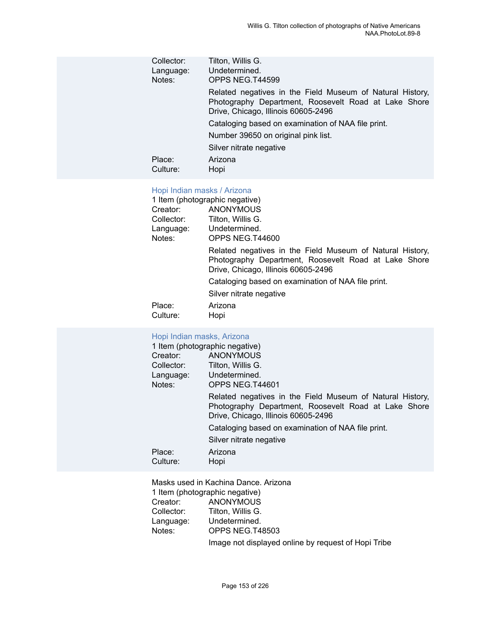| Collector:<br>Language:<br>Notes: | Tilton, Willis G.<br>Undetermined.<br>OPPS NEG.T44599                                                                                                    |
|-----------------------------------|----------------------------------------------------------------------------------------------------------------------------------------------------------|
|                                   | Related negatives in the Field Museum of Natural History,<br>Photography Department, Roosevelt Road at Lake Shore<br>Drive, Chicago, Illinois 60605-2496 |
|                                   | Cataloging based on examination of NAA file print.                                                                                                       |
|                                   | Number 39650 on original pink list.                                                                                                                      |
|                                   | Silver nitrate negative                                                                                                                                  |
| Place:<br>Culture:                | Arizona<br>Hopi                                                                                                                                          |
|                                   |                                                                                                                                                          |

# [Hopi Indian masks / Arizona](https://ids.si.edu/ids/deliveryService?id=NMNH-T44600-000001)

|                    | 1 Item (photographic negative)                                                                                                                           |
|--------------------|----------------------------------------------------------------------------------------------------------------------------------------------------------|
| Creator:           | <b>ANONYMOUS</b>                                                                                                                                         |
| Collector:         | Tilton, Willis G.                                                                                                                                        |
| Language:          | Undetermined.                                                                                                                                            |
| Notes:             | OPPS NEG.T44600                                                                                                                                          |
|                    | Related negatives in the Field Museum of Natural History,<br>Photography Department, Roosevelt Road at Lake Shore<br>Drive, Chicago, Illinois 60605-2496 |
|                    | Cataloging based on examination of NAA file print.                                                                                                       |
|                    | Silver nitrate negative                                                                                                                                  |
| Place:<br>Culture: | Arizona<br>Hopi                                                                                                                                          |

| Hopi Indian masks, Arizona<br>1 Item (photographic negative) |                                                                                                                                                          |
|--------------------------------------------------------------|----------------------------------------------------------------------------------------------------------------------------------------------------------|
| Creator: ANONYMOUS                                           |                                                                                                                                                          |
| Collector:                                                   | Tilton, Willis G.                                                                                                                                        |
| Language: Undetermined.                                      |                                                                                                                                                          |
| Notes:                                                       | OPPS NEG.T44601                                                                                                                                          |
|                                                              | Related negatives in the Field Museum of Natural History,<br>Photography Department, Roosevelt Road at Lake Shore<br>Drive, Chicago, Illinois 60605-2496 |
|                                                              | Cataloging based on examination of NAA file print.                                                                                                       |
|                                                              | Silver nitrate negative                                                                                                                                  |
| Place:<br>Culture:                                           | Arizona<br>Hopi                                                                                                                                          |

Masks used in Kachina Dance. Arizona 1 Item (photographic negative)<br>Creator: ANONYMOUS Creator: ANONYMOUS<br>Collector: Tilton, Willis G. Collector: Tilton, Willis G.<br>Language: Undetermined. Language: Undetermined.<br>Notes: OPPS NEG.T4 OPPS NEG.T48503 Image not displayed online by request of Hopi Tribe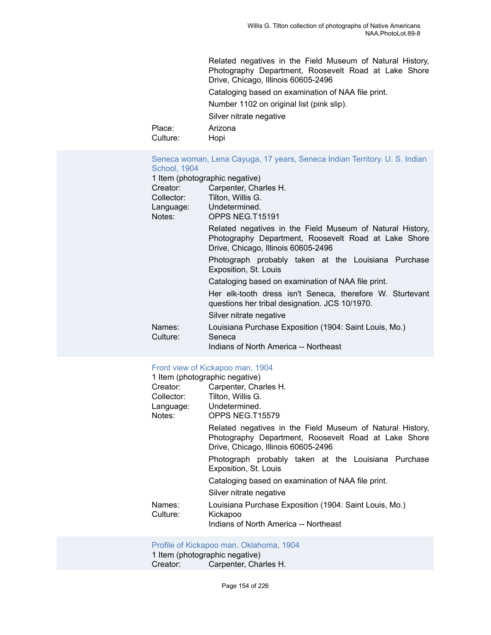Related negatives in the Field Museum of Natural History, Photography Department, Roosevelt Road at Lake Shore Drive, Chicago, Illinois 60605-2496 Cataloging based on examination of NAA file print. Number 1102 on original list (pink slip). Silver nitrate negative Place: Arizona Culture: Hopi

Seneca woman, Lena Cayuga, 17 years, Seneca Indian [Territory.](https://ids.si.edu/ids/deliveryService?id=NMNH-T15191-000001) U. S. Indian [School, 1904](https://ids.si.edu/ids/deliveryService?id=NMNH-T15191-000001)

|                    | 1 Item (photographic negative)                                                                                                                           |
|--------------------|----------------------------------------------------------------------------------------------------------------------------------------------------------|
| Creator:           | Carpenter, Charles H.                                                                                                                                    |
| Collector:         | Tilton, Willis G.                                                                                                                                        |
|                    | Language: Undetermined.                                                                                                                                  |
| Notes:             | OPPS NEG.T15191                                                                                                                                          |
|                    | Related negatives in the Field Museum of Natural History,<br>Photography Department, Roosevelt Road at Lake Shore<br>Drive, Chicago, Illinois 60605-2496 |
|                    | Photograph probably taken at the Louisiana Purchase<br>Exposition, St. Louis                                                                             |
|                    | Cataloging based on examination of NAA file print.                                                                                                       |
|                    | Her elk-tooth dress isn't Seneca, therefore W. Sturtevant<br>questions her tribal designation. JCS 10/1970.                                              |
|                    | Silver nitrate negative                                                                                                                                  |
| Names:<br>Culture: | Louisiana Purchase Exposition (1904: Saint Louis, Mo.)<br>Seneca                                                                                         |
|                    | Indians of North America -- Northeast                                                                                                                    |

#### [Front view of Kickapoo man, 1904](https://ids.si.edu/ids/deliveryService?id=NMNH-T15579-000001)

|                    | 1 Item (photographic negative)                                                                                                                           |
|--------------------|----------------------------------------------------------------------------------------------------------------------------------------------------------|
| Creator:           | Carpenter, Charles H.                                                                                                                                    |
| Collector:         | Tilton, Willis G.                                                                                                                                        |
| Language:          | Undetermined.                                                                                                                                            |
| Notes:             | OPPS NEG.T15579                                                                                                                                          |
|                    | Related negatives in the Field Museum of Natural History,<br>Photography Department, Roosevelt Road at Lake Shore<br>Drive, Chicago, Illinois 60605-2496 |
|                    | Photograph probably taken at the Louisiana Purchase<br>Exposition, St. Louis                                                                             |
|                    | Cataloging based on examination of NAA file print.                                                                                                       |
|                    | Silver nitrate negative                                                                                                                                  |
| Names:<br>Culture: | Louisiana Purchase Exposition (1904: Saint Louis, Mo.)<br>Kickapoo                                                                                       |
|                    | Indians of North America -- Northeast                                                                                                                    |

[Profile of Kickapoo man. Oklahoma, 1904](https://ids.si.edu/ids/deliveryService?id=NMNH-T15580-000001)

1 Item (photographic negative)<br>Creator: Carpenter, Cha Carpenter, Charles H.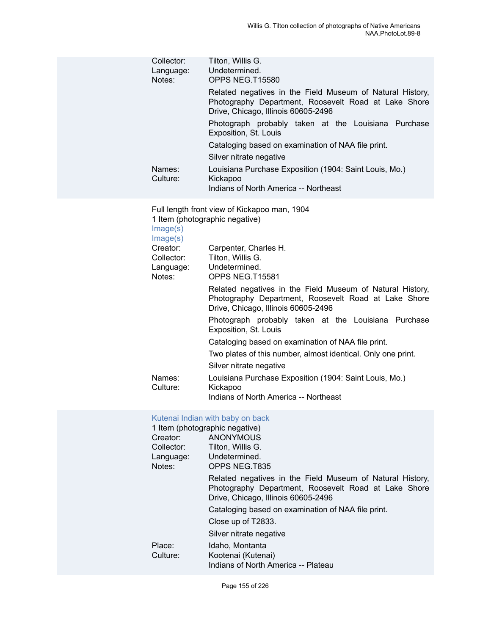| Collector:<br>Language:<br>Notes:             | Tilton, Willis G.<br>Undetermined.<br>OPPS NEG.T15580                                                                                                    |
|-----------------------------------------------|----------------------------------------------------------------------------------------------------------------------------------------------------------|
|                                               | Related negatives in the Field Museum of Natural History,<br>Photography Department, Roosevelt Road at Lake Shore<br>Drive, Chicago, Illinois 60605-2496 |
|                                               | Photograph probably taken at the Louisiana Purchase<br>Exposition, St. Louis                                                                             |
|                                               | Cataloging based on examination of NAA file print.<br>Silver nitrate negative                                                                            |
| Names:<br>Culture:                            | Louisiana Purchase Exposition (1904: Saint Louis, Mo.)<br>Kickapoo<br>Indians of North America -- Northeast                                              |
| Image(s)<br>Image(s)                          | Full length front view of Kickapoo man, 1904<br>1 Item (photographic negative)                                                                           |
| Creator:<br>Collector:<br>Language:<br>Notes: | Carpenter, Charles H.<br>Tilton, Willis G.<br>Undetermined.<br>OPPS NEG.T15581                                                                           |
|                                               | Related negatives in the Field Museum of Natural History,<br>Photography Department, Roosevelt Road at Lake Shore<br>Drive, Chicago, Illinois 60605-2496 |
|                                               | Photograph probably taken at the Louisiana Purchase<br>Exposition, St. Louis                                                                             |
|                                               | Cataloging based on examination of NAA file print.                                                                                                       |
|                                               | Two plates of this number, almost identical. Only one print.<br>Silver nitrate negative                                                                  |
| Names:<br>Culture:                            | Louisiana Purchase Exposition (1904: Saint Louis, Mo.)<br>Kickapoo<br>Indians of North America -- Northeast                                              |
| Creator:                                      | Kutenai Indian with baby on back<br>1 Item (photographic negative)<br><b>ANONYMOUS</b>                                                                   |

| Tilton, Willis G.                                                                                                                                        |
|----------------------------------------------------------------------------------------------------------------------------------------------------------|
| Undetermined.                                                                                                                                            |
| OPPS NEG.T835                                                                                                                                            |
| Related negatives in the Field Museum of Natural History,<br>Photography Department, Roosevelt Road at Lake Shore<br>Drive, Chicago, Illinois 60605-2496 |
| Cataloging based on examination of NAA file print.                                                                                                       |
| Close up of T2833.                                                                                                                                       |
| Silver nitrate negative                                                                                                                                  |
| Idaho, Montanta                                                                                                                                          |
| Kootenai (Kutenai)                                                                                                                                       |
| Indians of North America -- Plateau                                                                                                                      |
|                                                                                                                                                          |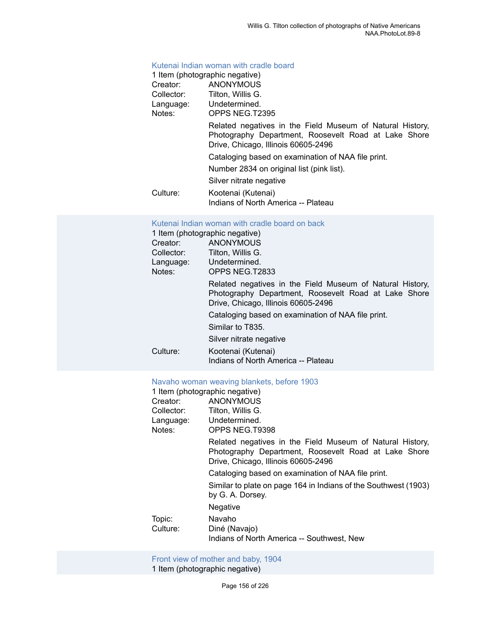#### [Kutenai Indian woman with cradle board](https://ids.si.edu/ids/deliveryService?id=NMNH-T2395-000001)

|            | 1 Item (photographic negative)                                                                                                                           |
|------------|----------------------------------------------------------------------------------------------------------------------------------------------------------|
| Creator:   | <b>ANONYMOUS</b>                                                                                                                                         |
| Collector: | Tilton, Willis G.                                                                                                                                        |
| Language:  | Undetermined.                                                                                                                                            |
| Notes:     | OPPS NEG.T2395                                                                                                                                           |
|            | Related negatives in the Field Museum of Natural History,<br>Photography Department, Roosevelt Road at Lake Shore<br>Drive, Chicago, Illinois 60605-2496 |
|            | Cataloging based on examination of NAA file print.                                                                                                       |
|            | Number 2834 on original list (pink list).                                                                                                                |
|            | Silver nitrate negative                                                                                                                                  |
| Culture:   | Kootenai (Kutenai)                                                                                                                                       |
|            | Indians of North America -- Plateau                                                                                                                      |

#### [Kutenai Indian woman with cradle board on back](https://ids.si.edu/ids/deliveryService?id=NMNH-T2833-000001)

|            | 1 Item (photographic negative)                                                                                                                           |
|------------|----------------------------------------------------------------------------------------------------------------------------------------------------------|
| Creator:   | <b>ANONYMOUS</b>                                                                                                                                         |
| Collector: | Tilton. Willis G.                                                                                                                                        |
| Language:  | Undetermined.                                                                                                                                            |
| Notes:     | OPPS NEG.T2833                                                                                                                                           |
|            | Related negatives in the Field Museum of Natural History,<br>Photography Department, Roosevelt Road at Lake Shore<br>Drive, Chicago, Illinois 60605-2496 |
|            | Cataloging based on examination of NAA file print.                                                                                                       |
|            | Similar to T835.                                                                                                                                         |
|            | Silver nitrate negative                                                                                                                                  |
| Culture:   | Kootenai (Kutenai)                                                                                                                                       |
|            | Indians of North America -- Plateau                                                                                                                      |

#### [Navaho woman weaving blankets, before 1903](https://ids.si.edu/ids/deliveryService?id=NMNH-T9398-000001)

| 1 Item (photographic negative)                                                                                                                           |
|----------------------------------------------------------------------------------------------------------------------------------------------------------|
| ANONYMOUS                                                                                                                                                |
| Tilton, Willis G.                                                                                                                                        |
| Undetermined.                                                                                                                                            |
| OPPS NEG.T9398                                                                                                                                           |
| Related negatives in the Field Museum of Natural History,<br>Photography Department, Roosevelt Road at Lake Shore<br>Drive, Chicago, Illinois 60605-2496 |
| Cataloging based on examination of NAA file print.                                                                                                       |
| Similar to plate on page 164 in Indians of the Southwest (1903)<br>by G. A. Dorsey.                                                                      |
| Negative                                                                                                                                                 |
| Navaho                                                                                                                                                   |
| Diné (Navajo)                                                                                                                                            |
| Indians of North America -- Southwest, New                                                                                                               |
|                                                                                                                                                          |

#### Front view of [mother](https://ids.si.edu/ids/deliveryService?id=NMNH-T15441-000001) and baby, 1904 1 Item (photographic negative)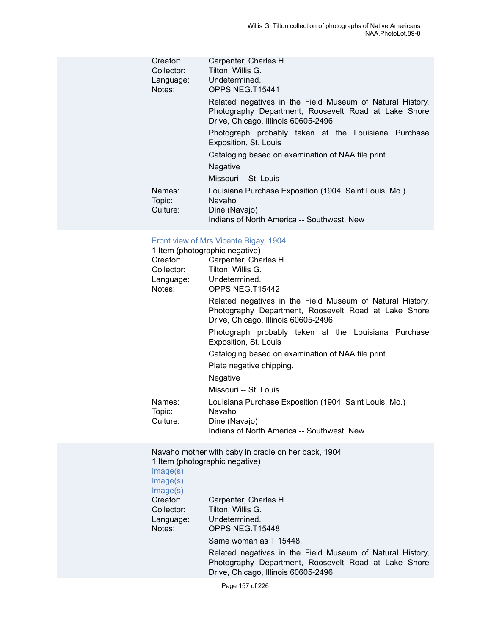| Creator:<br>Collector:<br>Language:<br>Notes: | Carpenter, Charles H.<br>Tilton, Willis G.<br>Undetermined.<br>OPPS NEG.T15441                                                                           |
|-----------------------------------------------|----------------------------------------------------------------------------------------------------------------------------------------------------------|
|                                               | Related negatives in the Field Museum of Natural History,<br>Photography Department, Roosevelt Road at Lake Shore<br>Drive, Chicago, Illinois 60605-2496 |
|                                               | Photograph probably taken at the Louisiana Purchase<br>Exposition, St. Louis                                                                             |
|                                               | Cataloging based on examination of NAA file print.<br><b>Negative</b>                                                                                    |
|                                               | Missouri -- St. Louis                                                                                                                                    |
| Names:<br>Topic:<br>Culture:                  | Louisiana Purchase Exposition (1904: Saint Louis, Mo.)<br>Navaho<br>Diné (Navajo)                                                                        |
|                                               | Indians of North America -- Southwest, New                                                                                                               |

# Front view of Mrs [Vicente](https://ids.si.edu/ids/deliveryService?id=NMNH-T15442-000001) Bigay, 1904

|            | 1 Item (photographic negative)                                                                                                                           |
|------------|----------------------------------------------------------------------------------------------------------------------------------------------------------|
| Creator:   | Carpenter, Charles H.                                                                                                                                    |
| Collector: | Tilton, Willis G.                                                                                                                                        |
|            | Language: Undetermined.                                                                                                                                  |
| Notes:     | OPPS NEG.T15442                                                                                                                                          |
|            | Related negatives in the Field Museum of Natural History,<br>Photography Department, Roosevelt Road at Lake Shore<br>Drive, Chicago, Illinois 60605-2496 |
|            | Photograph probably taken at the Louisiana Purchase<br>Exposition, St. Louis                                                                             |
|            | Cataloging based on examination of NAA file print.                                                                                                       |
|            | Plate negative chipping.                                                                                                                                 |
|            | <b>Negative</b>                                                                                                                                          |
|            | Missouri -- St. Louis                                                                                                                                    |
| Names:     | Louisiana Purchase Exposition (1904: Saint Louis, Mo.)                                                                                                   |
| Topic:     | Navaho                                                                                                                                                   |
| Culture:   | Diné (Navajo)                                                                                                                                            |
|            | Indians of North America -- Southwest, New                                                                                                               |

Navaho mother with baby in cradle on her back, 1904 1 Item (photographic negative)

[Image\(s\)](https://ids.si.edu/ids/deliveryService?id=NMNH-T15448-000001) [Image\(s\)](https://ids.si.edu/ids/deliveryService?id=NMNH-T15448no2-000001) [Image\(s\)](https://ids.si.edu/ids/deliveryService?id=NMNH-T15448no3-000001) Creator: Carpenter, Charles H. Collector: Tilton, Willis G. Language: Undetermined.<br>Notes: OPPS NEG.T1 OPPS NEG.T15448 Same woman as T 15448. Related negatives in the Field Museum of Natural History, Photography Department, Roosevelt Road at Lake Shore Drive, Chicago, Illinois 60605-2496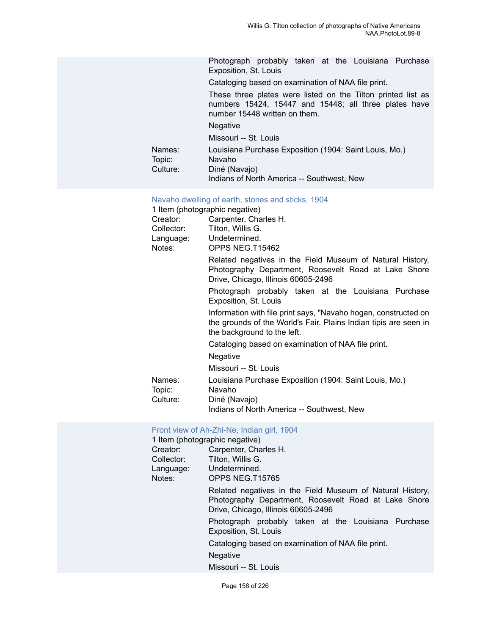Photograph probably taken at the Louisiana Purchase Exposition, St. Louis

Cataloging based on examination of NAA file print.

These three plates were listed on the Tilton printed list as numbers 15424, 15447 and 15448; all three plates have number 15448 written on them.

Negative

Missouri -- St. Louis

Names: Louisiana Purchase Exposition (1904: Saint Louis, Mo.)

| TOPIC.   | ivavario      |
|----------|---------------|
| Culture: | Diné (Navajo) |

Indians of North America -- Southwest, New

#### [Navaho dwelling of earth, stones and sticks, 1904](https://ids.si.edu/ids/deliveryService?id=NMNH-T15462-000001)

1 Item (photographic negative)

Topic:

| Creator:   | Carpenter, Charles H. |  |
|------------|-----------------------|--|
| Collector: | Tilton. Willis G.     |  |
| Language:  | Undetermined.         |  |
| Notes:     | OPPS NEG.T15462       |  |
|            |                       |  |

Related negatives in the Field Museum of Natural History, Photography Department, Roosevelt Road at Lake Shore Drive, Chicago, Illinois 60605-2496

Photograph probably taken at the Louisiana Purchase Exposition, St. Louis

Information with file print says, "Navaho hogan, constructed on the grounds of the World's Fair. Plains Indian tipis are seen in the background to the left.

Cataloging based on examination of NAA file print.

**Negative** 

Missouri -- St. Louis

Names: Louisiana Purchase Exposition (1904: Saint Louis, Mo.)

Topic: Navaho

Culture: Diné (Navajo)

Indians of North America -- Southwest, New

#### [Front view of Ah-Zhi-Ne, Indian girl, 1904](https://ids.si.edu/ids/deliveryService?id=NMNH-T15765-000001)

|            | 1 Item (photographic negative)                                                                                                                           |  |  |
|------------|----------------------------------------------------------------------------------------------------------------------------------------------------------|--|--|
| Creator:   | Carpenter, Charles H.                                                                                                                                    |  |  |
| Collector: | Tilton, Willis G.                                                                                                                                        |  |  |
|            | Language: Undetermined.                                                                                                                                  |  |  |
| Notes:     | OPPS NEG.T15765                                                                                                                                          |  |  |
|            | Related negatives in the Field Museum of Natural History,<br>Photography Department, Roosevelt Road at Lake Shore<br>Drive, Chicago, Illinois 60605-2496 |  |  |
|            | Photograph probably taken at the Louisiana Purchase<br>Exposition, St. Louis                                                                             |  |  |
|            | Cataloging based on examination of NAA file print.                                                                                                       |  |  |
|            | <b>Negative</b>                                                                                                                                          |  |  |
|            | Missouri -- St. Louis                                                                                                                                    |  |  |
|            |                                                                                                                                                          |  |  |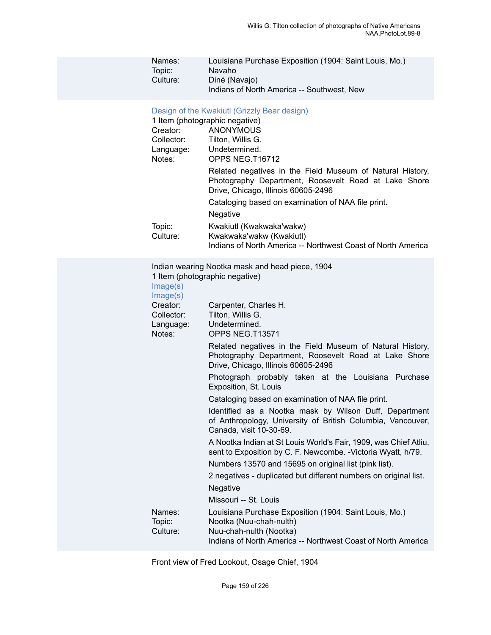| Louisiana Purchase Exposition (1904: Saint Louis, Mo.) |
|--------------------------------------------------------|
| Navaho                                                 |
| Diné (Navajo)                                          |
| Indians of North America -- Southwest, New             |
|                                                        |

### [Design of the Kwakiutl \(Grizzly Bear design\)](https://ids.si.edu/ids/deliveryService?id=NMNH-T16712-000001)

|                    | 1 Item (photographic negative)                                                                                                                                                                                             |
|--------------------|----------------------------------------------------------------------------------------------------------------------------------------------------------------------------------------------------------------------------|
| Creator:           | <b>ANONYMOUS</b>                                                                                                                                                                                                           |
| Collector:         | Tilton, Willis G.                                                                                                                                                                                                          |
| Language:          | Undetermined.                                                                                                                                                                                                              |
| Notes:             | OPPS NEG.T16712                                                                                                                                                                                                            |
|                    | Related negatives in the Field Museum of Natural History,<br>Photography Department, Roosevelt Road at Lake Shore<br>Drive, Chicago, Illinois 60605-2496<br>Cataloging based on examination of NAA file print.<br>Negative |
| Topic:<br>Culture: | Kwakiutl (Kwakwaka'wakw)<br>Kwakwaka'wakw (Kwakiutl)<br>Indians of North America -- Northwest Coast of North America                                                                                                       |
| Image(s)           | Indian wearing Nootka mask and head piece, 1904                                                                                                                                                                            |
| Image(s)           | 1 Item (photographic negative)                                                                                                                                                                                             |
| Creator:           | Carpenter, Charles H.                                                                                                                                                                                                      |
| Collector:         | Tilton, Willis G.                                                                                                                                                                                                          |
| Language:          | Undetermined.                                                                                                                                                                                                              |
| Notes:             | OPPS NEG.T13571                                                                                                                                                                                                            |

Related negatives in the Field Museum of Natural History, Photography Department, Roosevelt Road at Lake Shore Drive, Chicago, Illinois 60605-2496

Photograph probably taken at the Louisiana Purchase Exposition, St. Louis

Cataloging based on examination of NAA file print.

Identified as a Nootka mask by Wilson Duff, Department of Anthropology, University of British Columbia, Vancouver, Canada, visit 10-30-69.

A Nootka Indian at St Louis World's Fair, 1909, was Chief Atliu, sent to Exposition by C. F. Newcombe. -Victoria Wyatt, h/79.

Numbers 13570 and 15695 on original list (pink list).

2 negatives - duplicated but different numbers on original list. Negative

Missouri -- St. Louis

| Names:   | Louisiana Purchase Exposition (1904: Saint Louis, Mo.)       |
|----------|--------------------------------------------------------------|
| Topic:   | Nootka (Nuu-chah-nulth)                                      |
| Culture: | Nuu-chah-nulth (Nootka)                                      |
|          | Indians of North America -- Northwest Coast of North America |

Front view of Fred Lookout, Osage Chief, 1904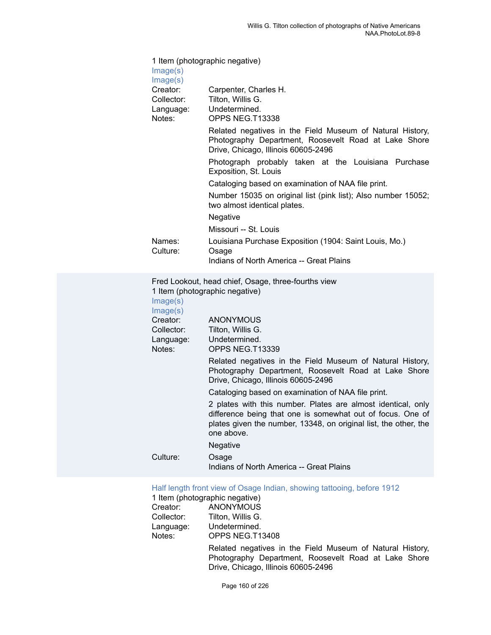| Image(s)<br>Image(s)                                                                              | 1 Item (photographic negative)                                                                                                                                                                               |  |
|---------------------------------------------------------------------------------------------------|--------------------------------------------------------------------------------------------------------------------------------------------------------------------------------------------------------------|--|
| Creator:<br>Collector:<br>Language:                                                               | Carpenter, Charles H.<br>Tilton, Willis G.<br>Undetermined.                                                                                                                                                  |  |
| Notes:                                                                                            | OPPS NEG.T13338                                                                                                                                                                                              |  |
|                                                                                                   | Related negatives in the Field Museum of Natural History,<br>Photography Department, Roosevelt Road at Lake Shore<br>Drive, Chicago, Illinois 60605-2496                                                     |  |
|                                                                                                   | Photograph probably taken at the Louisiana Purchase<br>Exposition, St. Louis                                                                                                                                 |  |
|                                                                                                   | Cataloging based on examination of NAA file print.                                                                                                                                                           |  |
|                                                                                                   | Number 15035 on original list (pink list); Also number 15052;<br>two almost identical plates.                                                                                                                |  |
|                                                                                                   | Negative                                                                                                                                                                                                     |  |
|                                                                                                   | Missouri -- St. Louis                                                                                                                                                                                        |  |
| Names:<br>Culture:                                                                                | Louisiana Purchase Exposition (1904: Saint Louis, Mo.)<br>Osage                                                                                                                                              |  |
|                                                                                                   | Indians of North America -- Great Plains                                                                                                                                                                     |  |
| Fred Lookout, head chief, Osage, three-fourths view<br>1 Item (photographic negative)<br>Image(s) |                                                                                                                                                                                                              |  |
| Image(s)                                                                                          |                                                                                                                                                                                                              |  |
| Creator:<br>Collector:                                                                            | <b>ANONYMOUS</b><br>Tilton, Willis G.                                                                                                                                                                        |  |
| Language:                                                                                         | Undetermined.                                                                                                                                                                                                |  |
| Notes:                                                                                            | OPPS NEG.T13339                                                                                                                                                                                              |  |
|                                                                                                   | Related negatives in the Field Museum of Natural History,<br>Photography Department, Roosevelt Road at Lake Shore<br>Drive, Chicago, Illinois 60605-2496                                                     |  |
|                                                                                                   | Cataloging based on examination of NAA file print.                                                                                                                                                           |  |
|                                                                                                   | 2 plates with this number. Plates are almost identical, only<br>difference being that one is somewhat out of focus. One of<br>plates given the number, 13348, on original list, the other, the<br>one above. |  |

Negative

| Culture: | Osage                                    |
|----------|------------------------------------------|
|          | Indians of North America -- Great Plains |

[Half length front view of Osage Indian, showing tattooing, before 1912](https://ids.si.edu/ids/deliveryService?id=NMNH-T13408-000001)

1 Item (photographic negative)<br>Creator: ANONYMOUS Creator: ANONYMOUS<br>Collector: Tilton, Willis G. Collector: Tilton, Willis G.<br>Language: Undetermined. Language: Undetermined.<br>
Notes: OPPS NEG.T1 OPPS NEG.T13408 Related negatives in the Field Museum of Natural History, Photography Department, Roosevelt Road at Lake Shore Drive, Chicago, Illinois 60605-2496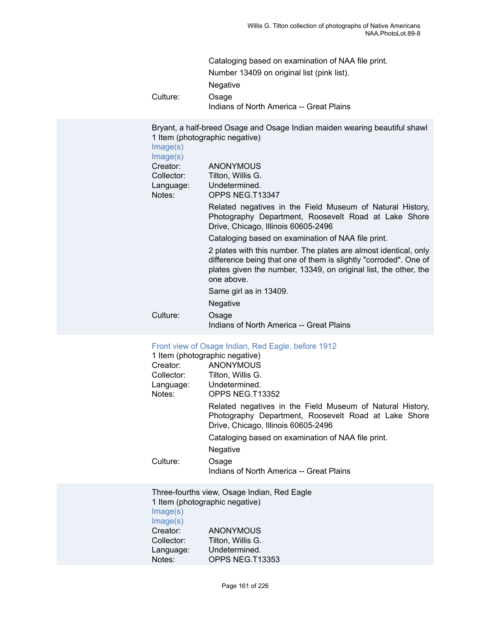| Cataloging based on examination of NAA file print. |
|----------------------------------------------------|
| Number 13409 on original list (pink list).         |
| <b>Negative</b>                                    |
| Osage                                              |

Culture: Osage Indians of North America -- Great Plains

Bryant, a half-breed Osage and Osage Indian maiden wearing beautiful shawl 1 Item (photographic negative)

[Image\(s\)](https://ids.si.edu/ids/deliveryService?id=NMNH-T13347-000001)

| Image(s)   |                                                                                                                                                                                                                        |
|------------|------------------------------------------------------------------------------------------------------------------------------------------------------------------------------------------------------------------------|
| Creator:   | <b>ANONYMOUS</b>                                                                                                                                                                                                       |
| Collector: | Tilton, Willis G.                                                                                                                                                                                                      |
| Language:  | Undetermined.                                                                                                                                                                                                          |
| Notes:     | OPPS NEG.T13347                                                                                                                                                                                                        |
|            | Related negatives in the Field Museum of Natural History,<br>Photography Department, Roosevelt Road at Lake Shore<br>Drive, Chicago, Illinois 60605-2496                                                               |
|            | Cataloging based on examination of NAA file print.                                                                                                                                                                     |
|            | 2 plates with this number. The plates are almost identical, only<br>difference being that one of them is slightly "corroded". One of<br>plates given the number, 13349, on original list, the other, the<br>one above. |
|            | Same girl as in 13409.                                                                                                                                                                                                 |
|            | Negative                                                                                                                                                                                                               |
| Culture:   | Osage                                                                                                                                                                                                                  |
|            | Indians of North America -- Great Plains                                                                                                                                                                               |

# [Front view of Osage Indian, Red Eagle, before 1912](https://ids.si.edu/ids/deliveryService?id=NMNH-T13352-000001)

|                      | 1 Item (photographic negative)                                                                                                                           |
|----------------------|----------------------------------------------------------------------------------------------------------------------------------------------------------|
| Creator:             | ANONYMOUS                                                                                                                                                |
| Collector:           | Tilton, Willis G.                                                                                                                                        |
|                      | Language: Undetermined.                                                                                                                                  |
| Notes:               | OPPS NEG.T13352                                                                                                                                          |
|                      | Related negatives in the Field Museum of Natural History,<br>Photography Department, Roosevelt Road at Lake Shore<br>Drive, Chicago, Illinois 60605-2496 |
|                      | Cataloging based on examination of NAA file print.                                                                                                       |
|                      | <b>Negative</b>                                                                                                                                          |
| Culture:             | Osage                                                                                                                                                    |
|                      | Indians of North America -- Great Plains                                                                                                                 |
| Image(s)             | Three-fourths view, Osage Indian, Red Eagle<br>1 Item (photographic negative)                                                                            |
| Image(s)<br>Creator: | ANONYMOUS                                                                                                                                                |
|                      |                                                                                                                                                          |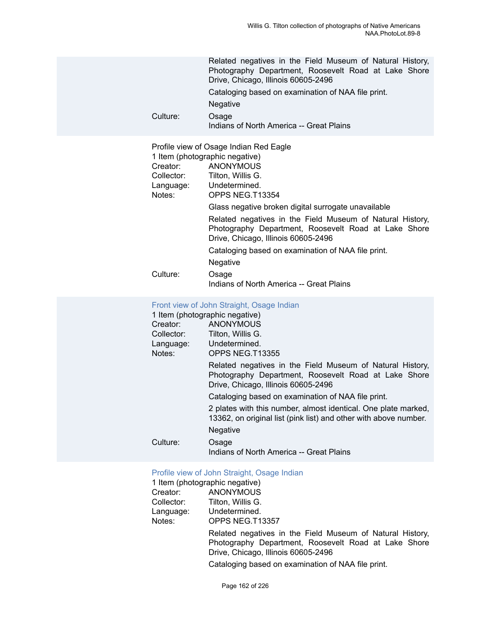| Culture:                                      | Related negatives in the Field Museum of Natural History,<br>Photography Department, Roosevelt Road at Lake Shore<br>Drive, Chicago, Illinois 60605-2496<br>Cataloging based on examination of NAA file print.<br>Negative<br>Osage<br>Indians of North America -- Great Plains                                                                                                                                                                                                                                              |
|-----------------------------------------------|------------------------------------------------------------------------------------------------------------------------------------------------------------------------------------------------------------------------------------------------------------------------------------------------------------------------------------------------------------------------------------------------------------------------------------------------------------------------------------------------------------------------------|
| Creator:<br>Collector:<br>Language:<br>Notes: | Profile view of Osage Indian Red Eagle<br>1 Item (photographic negative)<br><b>ANONYMOUS</b><br>Tilton, Willis G.<br>Undetermined.<br>OPPS NEG.T13354<br>Glass negative broken digital surrogate unavailable<br>Related negatives in the Field Museum of Natural History,<br>Photography Department, Roosevelt Road at Lake Shore<br>Drive, Chicago, Illinois 60605-2496<br>Cataloging based on examination of NAA file print.<br>Negative                                                                                   |
| Culture:                                      | Osage<br>Indians of North America -- Great Plains                                                                                                                                                                                                                                                                                                                                                                                                                                                                            |
| Creator:<br>Collector:<br>Language:<br>Notes: | Front view of John Straight, Osage Indian<br>1 Item (photographic negative)<br><b>ANONYMOUS</b><br>Tilton, Willis G.<br>Undetermined.<br>OPPS NEG.T13355<br>Related negatives in the Field Museum of Natural History,<br>Photography Department, Roosevelt Road at Lake Shore<br>Drive, Chicago, Illinois 60605-2496<br>Cataloging based on examination of NAA file print.<br>2 plates with this number, almost identical. One plate marked,<br>13362, on original list (pink list) and other with above number.<br>Negative |
| Culture:                                      | Osage<br>Indians of North America -- Great Plains                                                                                                                                                                                                                                                                                                                                                                                                                                                                            |
|                                               | Profile view of John Straight, Osage Indian<br>1 Item (photographic negative)                                                                                                                                                                                                                                                                                                                                                                                                                                                |

|            | 1 Item (photographic negative)                                                                                                                           |
|------------|----------------------------------------------------------------------------------------------------------------------------------------------------------|
| Creator:   | ANONYMOUS                                                                                                                                                |
| Collector: | Tilton, Willis G.                                                                                                                                        |
| Language:  | Undetermined.                                                                                                                                            |
| Notes:     | OPPS NEG.T13357                                                                                                                                          |
|            | Related negatives in the Field Museum of Natural History,<br>Photography Department, Roosevelt Road at Lake Shore<br>Drive, Chicago, Illinois 60605-2496 |
|            |                                                                                                                                                          |

Cataloging based on examination of NAA file print.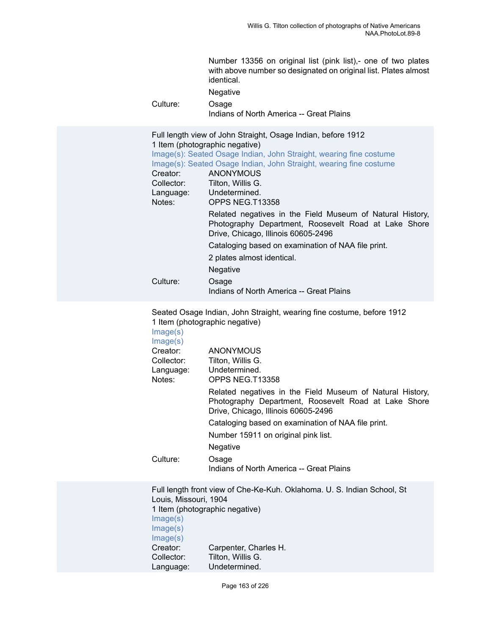| Culture:                                                                          | Number 13356 on original list (pink list),- one of two plates<br>with above number so designated on original list. Plates almost<br>identical.<br>Negative<br>Osage<br>Indians of North America -- Great Plains                                                                                                                                                                                                                                                                                                                                                                              |
|-----------------------------------------------------------------------------------|----------------------------------------------------------------------------------------------------------------------------------------------------------------------------------------------------------------------------------------------------------------------------------------------------------------------------------------------------------------------------------------------------------------------------------------------------------------------------------------------------------------------------------------------------------------------------------------------|
| Creator:<br>Collector:<br>Language:<br>Notes:<br>Culture:                         | Full length view of John Straight, Osage Indian, before 1912<br>1 Item (photographic negative)<br>Image(s): Seated Osage Indian, John Straight, wearing fine costume<br>Image(s): Seated Osage Indian, John Straight, wearing fine costume<br><b>ANONYMOUS</b><br>Tilton, Willis G.<br>Undetermined.<br>OPPS NEG.T13358<br>Related negatives in the Field Museum of Natural History,<br>Photography Department, Roosevelt Road at Lake Shore<br>Drive, Chicago, Illinois 60605-2496<br>Cataloging based on examination of NAA file print.<br>2 plates almost identical.<br>Negative<br>Osage |
|                                                                                   | Indians of North America -- Great Plains                                                                                                                                                                                                                                                                                                                                                                                                                                                                                                                                                     |
| Image(s)<br>Image(s)<br>Creator:<br>Collector:<br>Language:<br>Notes:<br>Culture: | Seated Osage Indian, John Straight, wearing fine costume, before 1912<br>1 Item (photographic negative)<br><b>ANONYMOUS</b><br>Tilton, Willis G.<br>Undetermined.<br>OPPS NEG.T13358<br>Related negatives in the Field Museum of Natural History,<br>Photography Department, Roosevelt Road at Lake Shore<br>Drive, Chicago, Illinois 60605-2496<br>Cataloging based on examination of NAA file print.<br>Number 15911 on original pink list.<br>Negative<br>Osage<br>Indians of North America -- Great Plains                                                                               |
|                                                                                   |                                                                                                                                                                                                                                                                                                                                                                                                                                                                                                                                                                                              |
| Louis, Missouri, 1904<br>Image(s)                                                 | Full length front view of Che-Ke-Kuh. Oklahoma. U. S. Indian School, St<br>1 Item (photographic negative)                                                                                                                                                                                                                                                                                                                                                                                                                                                                                    |

[Image\(s\)](https://ids.si.edu/ids/deliveryService?id=NMNH-T13363-000001) [Image\(s\)](https://ids.si.edu/ids/deliveryService?id=NMNH-T13363no2-000001) Creator: Carpenter, Charles H. Collector: Tilton, Willis G. Language: Undetermined.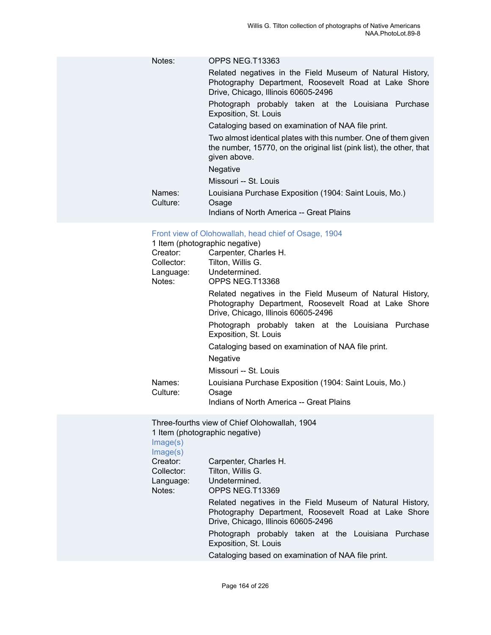|                    | Notes: | OPPS NEG.T13363                                                                                                                                          |
|--------------------|--------|----------------------------------------------------------------------------------------------------------------------------------------------------------|
|                    |        | Related negatives in the Field Museum of Natural History,<br>Photography Department, Roosevelt Road at Lake Shore<br>Drive, Chicago, Illinois 60605-2496 |
|                    |        | Photograph probably taken at the Louisiana Purchase<br>Exposition, St. Louis                                                                             |
|                    |        | Cataloging based on examination of NAA file print.                                                                                                       |
|                    |        | Two almost identical plates with this number. One of them given<br>the number, 15770, on the original list (pink list), the other, that<br>given above.  |
|                    |        | <b>Negative</b>                                                                                                                                          |
|                    |        | Missouri -- St. Louis                                                                                                                                    |
| Names:<br>Culture: |        | Louisiana Purchase Exposition (1904: Saint Louis, Mo.)<br>Osage                                                                                          |
|                    |        | Indians of North America -- Great Plains                                                                                                                 |

# [Front view of Olohowallah, head chief of Osage, 1904](https://ids.si.edu/ids/deliveryService?id=NMNH-T13368-000001)

|                    | 1 Item (photographic negative)                                                                                                                           |  |
|--------------------|----------------------------------------------------------------------------------------------------------------------------------------------------------|--|
| Creator:           | Carpenter, Charles H.                                                                                                                                    |  |
| Collector:         | Tilton, Willis G.                                                                                                                                        |  |
|                    | Language: Undetermined.                                                                                                                                  |  |
| Notes:             | OPPS NEG.T13368                                                                                                                                          |  |
|                    | Related negatives in the Field Museum of Natural History,<br>Photography Department, Roosevelt Road at Lake Shore<br>Drive, Chicago, Illinois 60605-2496 |  |
|                    | Photograph probably taken at the Louisiana Purchase<br>Exposition, St. Louis                                                                             |  |
|                    | Cataloging based on examination of NAA file print.                                                                                                       |  |
|                    | <b>Negative</b>                                                                                                                                          |  |
|                    | Missouri -- St. Louis                                                                                                                                    |  |
| Names:<br>Culture: | Louisiana Purchase Exposition (1904: Saint Louis, Mo.)<br>Osage                                                                                          |  |
|                    | Indians of North America -- Great Plains                                                                                                                 |  |

Three-fourths view of Chief Olohowallah, 1904 1 Item (photographic negative)

[Image\(s\)](https://ids.si.edu/ids/deliveryService?id=NMNH-T13369-000001)

# [Image\(s\)](https://ids.si.edu/ids/deliveryService?id=NMNH-T13369no2-000001)<br>Creator:

| Creator:<br>Collector:<br>Language:<br>Notes: | Carpenter, Charles H.<br>Tilton, Willis G.<br>Undetermined.<br>OPPS NEG.T13369                                                                           |
|-----------------------------------------------|----------------------------------------------------------------------------------------------------------------------------------------------------------|
|                                               | Related negatives in the Field Museum of Natural History,<br>Photography Department, Roosevelt Road at Lake Shore<br>Drive, Chicago, Illinois 60605-2496 |
|                                               | Photograph probably taken at the Louisiana Purchase<br>Exposition, St. Louis                                                                             |
|                                               | Cataloging based on examination of NAA file print.                                                                                                       |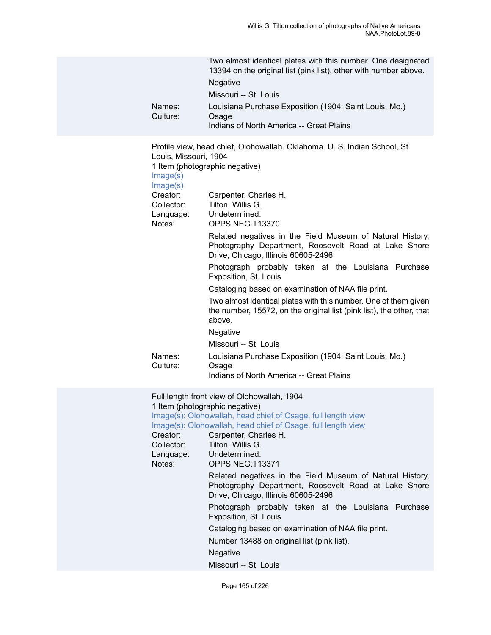| Names:<br>Culture:                                                                                                   | Two almost identical plates with this number. One designated<br>13394 on the original list (pink list), other with number above.<br>Negative<br>Missouri -- St. Louis<br>Louisiana Purchase Exposition (1904: Saint Louis, Mo.)<br>Osage<br>Indians of North America -- Great Plains                                                                                                                                                                                                                                                                                                                                                                                                                                                                                                                    |
|----------------------------------------------------------------------------------------------------------------------|---------------------------------------------------------------------------------------------------------------------------------------------------------------------------------------------------------------------------------------------------------------------------------------------------------------------------------------------------------------------------------------------------------------------------------------------------------------------------------------------------------------------------------------------------------------------------------------------------------------------------------------------------------------------------------------------------------------------------------------------------------------------------------------------------------|
| Louis, Missouri, 1904<br>Image(s)<br>Image(s)<br>Creator:<br>Collector:<br>Language:<br>Notes:<br>Names:<br>Culture: | Profile view, head chief, Olohowallah. Oklahoma. U. S. Indian School, St<br>1 Item (photographic negative)<br>Carpenter, Charles H.<br>Tilton, Willis G.<br>Undetermined.<br>OPPS NEG.T13370<br>Related negatives in the Field Museum of Natural History,<br>Photography Department, Roosevelt Road at Lake Shore<br>Drive, Chicago, Illinois 60605-2496<br>Photograph probably taken at the Louisiana Purchase<br>Exposition, St. Louis<br>Cataloging based on examination of NAA file print.<br>Two almost identical plates with this number. One of them given<br>the number, 15572, on the original list (pink list), the other, that<br>above.<br>Negative<br>Missouri -- St. Louis<br>Louisiana Purchase Exposition (1904: Saint Louis, Mo.)<br>Osage<br>Indians of North America -- Great Plains |
| Creator:<br>Collector:<br>Language:<br>Notes:                                                                        | Full length front view of Olohowallah, 1904<br>1 Item (photographic negative)<br>Image(s): Olohowallah, head chief of Osage, full length view<br>Image(s): Olohowallah, head chief of Osage, full length view<br>Carpenter, Charles H.<br>Tilton, Willis G.<br>Undetermined.<br>OPPS NEG.T13371<br>Related negatives in the Field Museum of Natural History,                                                                                                                                                                                                                                                                                                                                                                                                                                            |

Photography Department, Roosevelt Road at Lake Shore Drive, Chicago, Illinois 60605-2496

Photograph probably taken at the Louisiana Purchase Exposition, St. Louis

Cataloging based on examination of NAA file print.

Number 13488 on original list (pink list).

Negative

Missouri -- St. Louis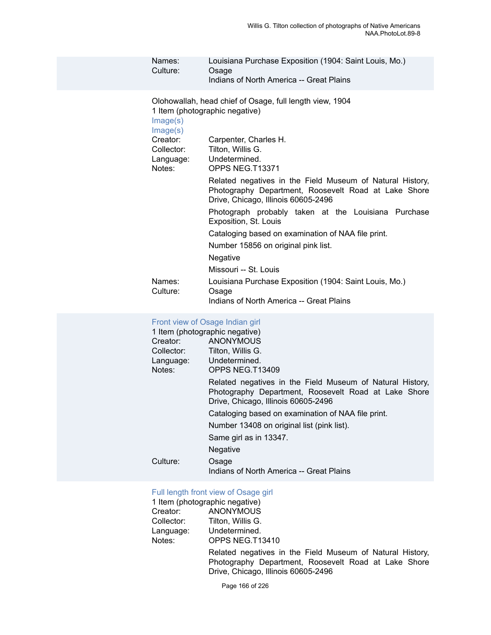| Names:<br>Culture:                                                                           | Louisiana Purchase Exposition (1904: Saint Louis, Mo.)<br>Osage<br>Indians of North America -- Great Plains                                                                                                                                                                                                                                                                                                                                                                                                                                                                                                          |
|----------------------------------------------------------------------------------------------|----------------------------------------------------------------------------------------------------------------------------------------------------------------------------------------------------------------------------------------------------------------------------------------------------------------------------------------------------------------------------------------------------------------------------------------------------------------------------------------------------------------------------------------------------------------------------------------------------------------------|
| Image(s)<br>Image(s)<br>Creator:<br>Collector:<br>Language:<br>Notes:<br>Names:<br>Culture:  | Olohowallah, head chief of Osage, full length view, 1904<br>1 Item (photographic negative)<br>Carpenter, Charles H.<br>Tilton, Willis G.<br>Undetermined.<br>OPPS NEG.T13371<br>Related negatives in the Field Museum of Natural History,<br>Photography Department, Roosevelt Road at Lake Shore<br>Drive, Chicago, Illinois 60605-2496<br>Photograph probably taken at the Louisiana Purchase<br>Exposition, St. Louis<br>Cataloging based on examination of NAA file print.<br>Number 15856 on original pink list.<br>Negative<br>Missouri -- St. Louis<br>Louisiana Purchase Exposition (1904: Saint Louis, Mo.) |
|                                                                                              | Osage<br>Indians of North America -- Great Plains                                                                                                                                                                                                                                                                                                                                                                                                                                                                                                                                                                    |
| Front view of Osage Indian girl<br>Creator:<br>Collector:<br>Language:<br>Notes:<br>Culture: | 1 Item (photographic negative)<br><b>ANONYMOUS</b><br>Tilton, Willis G.<br>Undetermined.<br>OPPS NEG.T13409<br>Related negatives in the Field Museum of Natural History,<br>Photography Department, Roosevelt Road at Lake Shore<br>Drive, Chicago, Illinois 60605-2496<br>Cataloging based on examination of NAA file print.<br>Number 13408 on original list (pink list).<br>Same girl as in 13347.<br>Negative                                                                                                                                                                                                    |
|                                                                                              | Osage<br>Indians of North America -- Great Plains                                                                                                                                                                                                                                                                                                                                                                                                                                                                                                                                                                    |

# [Full length front view of Osage girl](https://ids.si.edu/ids/deliveryService?id=NMNH-T13410-000001)

|            | 1 Item (photographic negative)                                                                                                                           |
|------------|----------------------------------------------------------------------------------------------------------------------------------------------------------|
| Creator:   | ANONYMOUS                                                                                                                                                |
| Collector: | Tilton, Willis G.                                                                                                                                        |
| Language:  | Undetermined.                                                                                                                                            |
| Notes:     | OPPS NEG.T13410                                                                                                                                          |
|            | Related negatives in the Field Museum of Natural History,<br>Photography Department, Roosevelt Road at Lake Shore<br>Drive, Chicago, Illinois 60605-2496 |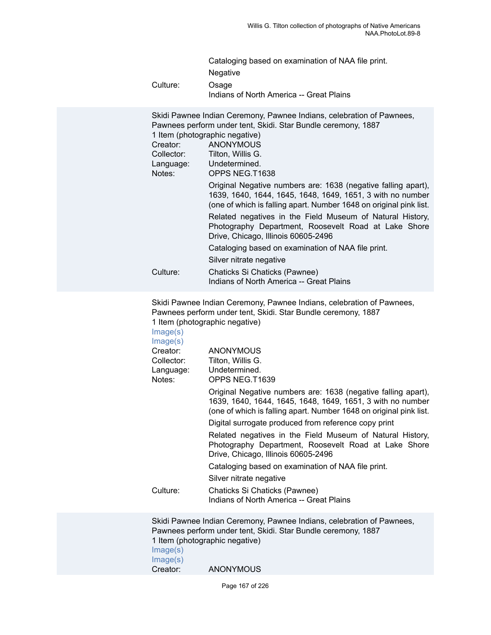|          | Cataloging based on examination of NAA file print. |
|----------|----------------------------------------------------|
|          | <b>Negative</b>                                    |
| Culture: | Osage<br>Indians of North America -- Great Plains  |

| Skidi Pawnee Indian Ceremony, Pawnee Indians, celebration of Pawnees,<br>Pawnees perform under tent, Skidi. Star Bundle ceremony, 1887                                                            |  |  |
|---------------------------------------------------------------------------------------------------------------------------------------------------------------------------------------------------|--|--|
| 1 Item (photographic negative)                                                                                                                                                                    |  |  |
| <b>ANONYMOUS</b>                                                                                                                                                                                  |  |  |
| Tilton, Willis G.                                                                                                                                                                                 |  |  |
| Undetermined.<br>Language:                                                                                                                                                                        |  |  |
| OPPS NEG.T1638                                                                                                                                                                                    |  |  |
| Original Negative numbers are: 1638 (negative falling apart),<br>1639, 1640, 1644, 1645, 1648, 1649, 1651, 3 with no number<br>(one of which is falling apart. Number 1648 on original pink list. |  |  |
| Related negatives in the Field Museum of Natural History,<br>Photography Department, Roosevelt Road at Lake Shore<br>Drive, Chicago, Illinois 60605-2496                                          |  |  |
| Cataloging based on examination of NAA file print.                                                                                                                                                |  |  |
| Silver nitrate negative                                                                                                                                                                           |  |  |
| Chaticks Si Chaticks (Pawnee)<br>Indians of North America -- Great Plains                                                                                                                         |  |  |
|                                                                                                                                                                                                   |  |  |

Skidi Pawnee Indian Ceremony, Pawnee Indians, celebration of Pawnees, Pawnees perform under tent, Skidi. Star Bundle ceremony, 1887 1 Item (photographic negative)

| Image(s)<br>Image(s) |                                                                                                                                                                                                   |
|----------------------|---------------------------------------------------------------------------------------------------------------------------------------------------------------------------------------------------|
| Creator:             | <b>ANONYMOUS</b>                                                                                                                                                                                  |
| Collector:           | Tilton, Willis G.                                                                                                                                                                                 |
| Language:            | Undetermined.                                                                                                                                                                                     |
| Notes:               | OPPS NEG.T1639                                                                                                                                                                                    |
|                      | Original Negative numbers are: 1638 (negative falling apart),<br>1639, 1640, 1644, 1645, 1648, 1649, 1651, 3 with no number<br>(one of which is falling apart. Number 1648 on original pink list. |
|                      | Digital surrogate produced from reference copy print                                                                                                                                              |
|                      | Related negatives in the Field Museum of Natural History,<br>Photography Department, Roosevelt Road at Lake Shore<br>Drive, Chicago, Illinois 60605-2496                                          |
|                      | Cataloging based on examination of NAA file print.                                                                                                                                                |
|                      | Silver nitrate negative                                                                                                                                                                           |
| Culture:             | Chaticks Si Chaticks (Pawnee)<br>Indians of North America -- Great Plains                                                                                                                         |

Skidi Pawnee Indian Ceremony, Pawnee Indians, celebration of Pawnees, Pawnees perform under tent, Skidi. Star Bundle ceremony, 1887 1 Item (photographic negative) [Image\(s\)](https://ids.si.edu/ids/deliveryService?id=NMNH-T1640-000001) [Image\(s\)](https://ids.si.edu/ids/deliveryService?id=NMNH-T1640-000004)<br>Creator: **ANONYMOUS**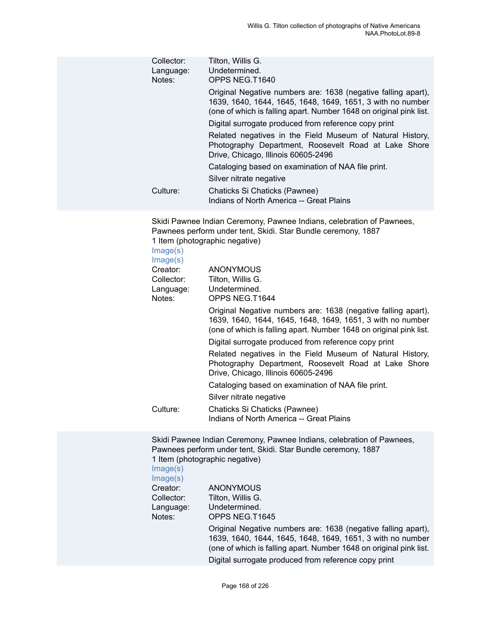| Collector:<br>Language:<br>Notes: | Tilton, Willis G.<br>Undetermined.<br>OPPS NEG.T1640                                                                                                                                              |
|-----------------------------------|---------------------------------------------------------------------------------------------------------------------------------------------------------------------------------------------------|
|                                   | Original Negative numbers are: 1638 (negative falling apart),<br>1639, 1640, 1644, 1645, 1648, 1649, 1651, 3 with no number<br>(one of which is falling apart. Number 1648 on original pink list. |
|                                   | Digital surrogate produced from reference copy print                                                                                                                                              |
|                                   | Related negatives in the Field Museum of Natural History,<br>Photography Department, Roosevelt Road at Lake Shore<br>Drive, Chicago, Illinois 60605-2496                                          |
|                                   | Cataloging based on examination of NAA file print.                                                                                                                                                |
|                                   | Silver nitrate negative                                                                                                                                                                           |
| Culture:                          | Chaticks Si Chaticks (Pawnee)<br>Indians of North America -- Great Plains                                                                                                                         |

Skidi Pawnee Indian Ceremony, Pawnee Indians, celebration of Pawnees, Pawnees perform under tent, Skidi. Star Bundle ceremony, 1887 1 Item (photographic negative)

| Image(s)<br>Image(s) |                                                                                                                                                                                                   |
|----------------------|---------------------------------------------------------------------------------------------------------------------------------------------------------------------------------------------------|
| Creator:             | <b>ANONYMOUS</b>                                                                                                                                                                                  |
| Collector:           | Tilton, Willis G.                                                                                                                                                                                 |
| Language:            | Undetermined.                                                                                                                                                                                     |
| Notes:               | OPPS NEG.T1644                                                                                                                                                                                    |
|                      | Original Negative numbers are: 1638 (negative falling apart),<br>1639, 1640, 1644, 1645, 1648, 1649, 1651, 3 with no number<br>(one of which is falling apart. Number 1648 on original pink list. |
|                      | Digital surrogate produced from reference copy print                                                                                                                                              |
|                      | Related negatives in the Field Museum of Natural History,<br>Photography Department, Roosevelt Road at Lake Shore<br>Drive, Chicago, Illinois 60605-2496                                          |
|                      | Cataloging based on examination of NAA file print.                                                                                                                                                |
|                      | Silver nitrate negative                                                                                                                                                                           |
| Culture:             | Chaticks Si Chaticks (Pawnee)<br>Indians of North America -- Great Plains                                                                                                                         |

Skidi Pawnee Indian Ceremony, Pawnee Indians, celebration of Pawnees, Pawnees perform under tent, Skidi. Star Bundle ceremony, 1887 1 Item (photographic negative)

[Image\(s\)](https://ids.si.edu/ids/deliveryService?id=NMNH-T1645-000001)

| Image(s) |  |
|----------|--|
| Creator: |  |

**ANONYMOUS** Collector: Tilton, Willis G.<br>Language: Undetermined. Undetermined. Notes: OPPS NEG.T1645 Original Negative numbers are: 1638 (negative falling apart), 1639, 1640, 1644, 1645, 1648, 1649, 1651, 3 with no number (one of which is falling apart. Number 1648 on original pink list. Digital surrogate produced from reference copy print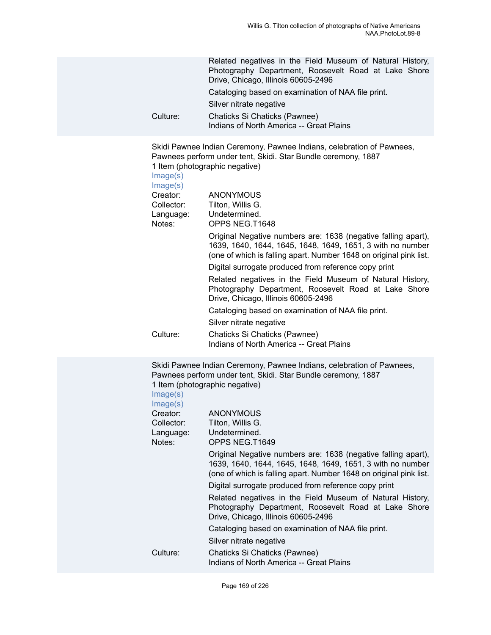|          | Related negatives in the Field Museum of Natural History,<br>Photography Department, Roosevelt Road at Lake Shore<br>Drive, Chicago, Illinois 60605-2496 |
|----------|----------------------------------------------------------------------------------------------------------------------------------------------------------|
|          | Cataloging based on examination of NAA file print.                                                                                                       |
|          | Silver nitrate negative                                                                                                                                  |
| Culture: | Chaticks Si Chaticks (Pawnee)<br>Indians of North America -- Great Plains                                                                                |

Skidi Pawnee Indian Ceremony, Pawnee Indians, celebration of Pawnees, Pawnees perform under tent, Skidi. Star Bundle ceremony, 1887 1 Item (photographic negative)

| Image(s)<br>Image(s) |                                                                                                                                                                                                   |
|----------------------|---------------------------------------------------------------------------------------------------------------------------------------------------------------------------------------------------|
| Creator:             | <b>ANONYMOUS</b>                                                                                                                                                                                  |
| Collector:           | Tilton, Willis G.                                                                                                                                                                                 |
| Language:            | Undetermined.                                                                                                                                                                                     |
| Notes:               | OPPS NEG.T1648                                                                                                                                                                                    |
|                      | Original Negative numbers are: 1638 (negative falling apart),<br>1639, 1640, 1644, 1645, 1648, 1649, 1651, 3 with no number<br>(one of which is falling apart. Number 1648 on original pink list. |
|                      | Digital surrogate produced from reference copy print                                                                                                                                              |
|                      | Related negatives in the Field Museum of Natural History,<br>Photography Department, Roosevelt Road at Lake Shore<br>Drive, Chicago, Illinois 60605-2496                                          |
|                      | Cataloging based on examination of NAA file print.                                                                                                                                                |
|                      | Silver nitrate negative                                                                                                                                                                           |
| Culture:             | Chaticks Si Chaticks (Pawnee)<br>Indians of North America -- Great Plains                                                                                                                         |

Skidi Pawnee Indian Ceremony, Pawnee Indians, celebration of Pawnees, Pawnees perform under tent, Skidi. Star Bundle ceremony, 1887 1 Item (photographic negative)

| <b>ANONYMOUS</b>                                                                                                                                                                                  |
|---------------------------------------------------------------------------------------------------------------------------------------------------------------------------------------------------|
| Tilton, Willis G.                                                                                                                                                                                 |
| Undetermined.                                                                                                                                                                                     |
| OPPS NEG.T1649                                                                                                                                                                                    |
| Original Negative numbers are: 1638 (negative falling apart),<br>1639, 1640, 1644, 1645, 1648, 1649, 1651, 3 with no number<br>(one of which is falling apart. Number 1648 on original pink list. |
| Digital surrogate produced from reference copy print                                                                                                                                              |
| Related negatives in the Field Museum of Natural History,<br>Photography Department, Roosevelt Road at Lake Shore<br>Drive, Chicago, Illinois 60605-2496                                          |
| Cataloging based on examination of NAA file print.                                                                                                                                                |
| Silver nitrate negative                                                                                                                                                                           |
| Chaticks Si Chaticks (Pawnee)<br>Indians of North America -- Great Plains                                                                                                                         |
|                                                                                                                                                                                                   |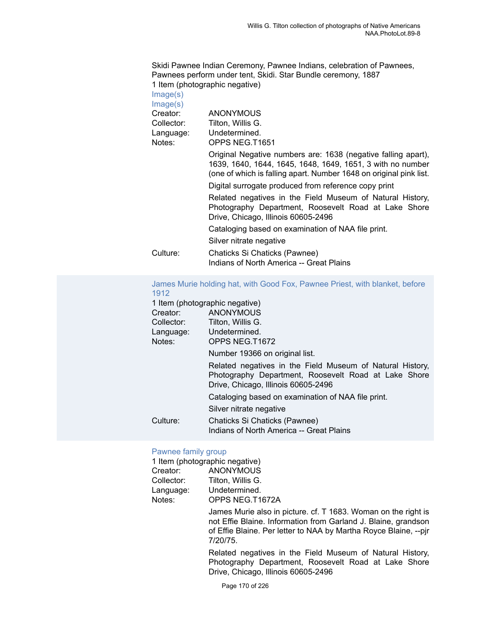Skidi Pawnee Indian Ceremony, Pawnee Indians, celebration of Pawnees, Pawnees perform under tent, Skidi. Star Bundle ceremony, 1887 1 Item (photographic negative) [Image\(s\)](https://ids.si.edu/ids/deliveryService?id=NMNH-T1651-000001)

[Image\(s\)](https://ids.si.edu/ids/deliveryService?id=NMNH-T1651-000004)<br>Creator:

| $m = 5$    |                                                                                                                                                                                                   |
|------------|---------------------------------------------------------------------------------------------------------------------------------------------------------------------------------------------------|
| Creator:   | <b>ANONYMOUS</b>                                                                                                                                                                                  |
| Collector: | Tilton. Willis G.                                                                                                                                                                                 |
| Language:  | Undetermined.                                                                                                                                                                                     |
| Notes:     | OPPS NEG.T1651                                                                                                                                                                                    |
|            | Original Negative numbers are: 1638 (negative falling apart),<br>1639, 1640, 1644, 1645, 1648, 1649, 1651, 3 with no number<br>(one of which is falling apart. Number 1648 on original pink list. |
|            | Digital surrogate produced from reference copy print                                                                                                                                              |
|            | Related negatives in the Field Museum of Natural History,<br>Photography Department, Roosevelt Road at Lake Shore<br>Drive, Chicago, Illinois 60605-2496                                          |
|            | Cataloging based on examination of NAA file print.                                                                                                                                                |
|            | Silver nitrate negative                                                                                                                                                                           |
| Culture:   | Chaticks Si Chaticks (Pawnee)                                                                                                                                                                     |
|            | Indians of North America -- Great Plains                                                                                                                                                          |

[James Murie holding hat, with Good Fox, Pawnee Priest, with blanket, before](https://ids.si.edu/ids/deliveryService?id=NMNH-T1672-000001) [1912](https://ids.si.edu/ids/deliveryService?id=NMNH-T1672-000001)

|            | 1 Item (photographic negative)                                                                                                                           |
|------------|----------------------------------------------------------------------------------------------------------------------------------------------------------|
| Creator:   | ANONYMOUS                                                                                                                                                |
| Collector: | Tilton, Willis G.                                                                                                                                        |
| Language:  | Undetermined.                                                                                                                                            |
| Notes:     | OPPS NEG.T1672                                                                                                                                           |
|            | Number 19366 on original list.                                                                                                                           |
|            | Related negatives in the Field Museum of Natural History,<br>Photography Department, Roosevelt Road at Lake Shore<br>Drive, Chicago, Illinois 60605-2496 |
|            | Cataloging based on examination of NAA file print.                                                                                                       |
|            | Silver nitrate negative                                                                                                                                  |
| Culture:   | Chaticks Si Chaticks (Pawnee)<br>Indians of North America -- Great Plains                                                                                |

# [Pawnee family group](https://ids.si.edu/ids/deliveryService?id=NMNH-T1672a-000001)

|            | 1 Item (photographic negative)                                                                                                                                                                                   |
|------------|------------------------------------------------------------------------------------------------------------------------------------------------------------------------------------------------------------------|
| Creator:   | <b>ANONYMOUS</b>                                                                                                                                                                                                 |
| Collector: | Tilton, Willis G.                                                                                                                                                                                                |
| Language:  | Undetermined.                                                                                                                                                                                                    |
| Notes:     | OPPS NEG.T1672A                                                                                                                                                                                                  |
|            | James Murie also in picture. cf. T 1683. Woman on the right is<br>not Effie Blaine. Information from Garland J. Blaine, grandson<br>of Effie Blaine. Per letter to NAA by Martha Royce Blaine, --pir<br>7/20/75. |
|            | Related negatives in the Field Museum of Natural History,<br>Photography Department, Roosevelt Road at Lake Shore                                                                                                |

Drive, Chicago, Illinois 60605-2496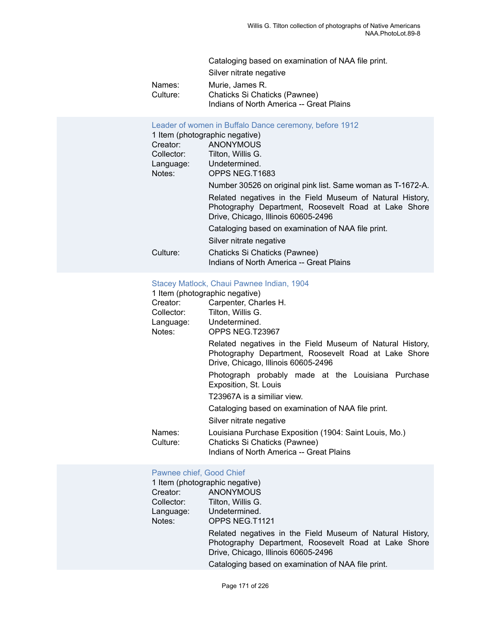| Cataloging based on examination of NAA file print. |  |
|----------------------------------------------------|--|
| Silver nitrate negative                            |  |
| Murie, James R.<br>Names:                          |  |
| Chaticks Si Chaticks (Pawnee)<br>Culture:          |  |
| Indians of North America -- Great Plains           |  |

|            | Leader of women in Buffalo Dance ceremony, before 1912<br>1 Item (photographic negative)                                                                 |
|------------|----------------------------------------------------------------------------------------------------------------------------------------------------------|
| Creator:   | ANONYMOUS                                                                                                                                                |
| Collector: | Tilton, Willis G.                                                                                                                                        |
|            | Language: Undetermined.                                                                                                                                  |
| Notes:     | OPPS NEG.T1683                                                                                                                                           |
|            | Number 30526 on original pink list. Same woman as T-1672-A.                                                                                              |
|            | Related negatives in the Field Museum of Natural History,<br>Photography Department, Roosevelt Road at Lake Shore<br>Drive, Chicago, Illinois 60605-2496 |
|            | Cataloging based on examination of NAA file print.                                                                                                       |
|            | Silver nitrate negative                                                                                                                                  |
| Culture:   | Chaticks Si Chaticks (Pawnee)<br>Indians of North America -- Great Plains                                                                                |

# [Stacey Matlock, Chaui Pawnee Indian, 1904](https://ids.si.edu/ids/deliveryService?id=NMNH-T23967-000001)<br>1 Item (photographic negative)

|                    | 1 Item (photographic negative)                                                                                                                           |
|--------------------|----------------------------------------------------------------------------------------------------------------------------------------------------------|
| Creator:           | Carpenter, Charles H.                                                                                                                                    |
| Collector:         | Tilton, Willis G.                                                                                                                                        |
|                    | Language: Undetermined.                                                                                                                                  |
| Notes:             | OPPS NEG.T23967                                                                                                                                          |
|                    | Related negatives in the Field Museum of Natural History,<br>Photography Department, Roosevelt Road at Lake Shore<br>Drive, Chicago, Illinois 60605-2496 |
|                    | Photograph probably made at the Louisiana Purchase<br>Exposition, St. Louis                                                                              |
|                    | T23967A is a similiar view.                                                                                                                              |
|                    | Cataloging based on examination of NAA file print.                                                                                                       |
|                    | Silver nitrate negative                                                                                                                                  |
| Names:<br>Culture: | Louisiana Purchase Exposition (1904: Saint Louis, Mo.)<br>Chaticks Si Chaticks (Pawnee)<br>Indians of North America -- Great Plains                      |

#### [Pawnee chief, Good Chief](https://ids.si.edu/ids/deliveryService?id=NMNH-T1121-000001)

| 1 Item (photographic negative) |                                                                                                                                                          |
|--------------------------------|----------------------------------------------------------------------------------------------------------------------------------------------------------|
| Creator:                       | <b>ANONYMOUS</b>                                                                                                                                         |
| Collector:                     | Tilton, Willis G.                                                                                                                                        |
| Language:                      | Undetermined.                                                                                                                                            |
| Notes:                         | OPPS NEG.T1121                                                                                                                                           |
|                                | Related negatives in the Field Museum of Natural History,<br>Photography Department, Roosevelt Road at Lake Shore<br>Drive, Chicago, Illinois 60605-2496 |
|                                | Cataloging based on examination of NAA file print.                                                                                                       |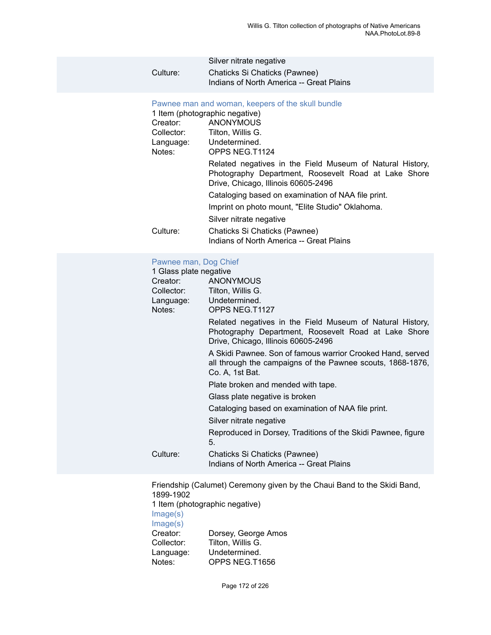|          | Silver nitrate negative                  |
|----------|------------------------------------------|
| Culture: | Chaticks Si Chaticks (Pawnee)            |
|          | Indians of North America -- Great Plains |

#### [Pawnee man and woman, keepers of the skull bundle](https://ids.si.edu/ids/deliveryService?id=NMNH-T1124-000001)

|            | 1 Item (photographic negative)                                                                                                                           |
|------------|----------------------------------------------------------------------------------------------------------------------------------------------------------|
| Creator:   | <b>ANONYMOUS</b>                                                                                                                                         |
| Collector: | Tilton, Willis G.                                                                                                                                        |
|            | Language: Undetermined.                                                                                                                                  |
| Notes:     | OPPS NEG.T1124                                                                                                                                           |
|            | Related negatives in the Field Museum of Natural History,<br>Photography Department, Roosevelt Road at Lake Shore<br>Drive, Chicago, Illinois 60605-2496 |
|            | Cataloging based on examination of NAA file print.                                                                                                       |
|            | Imprint on photo mount, "Elite Studio" Oklahoma.                                                                                                         |
|            | Silver nitrate negative                                                                                                                                  |
| Culture:   | Chaticks Si Chaticks (Pawnee)<br>Indians of North America -- Great Plains                                                                                |

# [Pawnee man, Dog Chief](https://ids.si.edu/ids/deliveryService?id=NMNH-T1127-000001)

| i amice man, Dog Omer  |                                                                                                                                                          |
|------------------------|----------------------------------------------------------------------------------------------------------------------------------------------------------|
| 1 Glass plate negative |                                                                                                                                                          |
| Creator:               | <b>ANONYMOUS</b>                                                                                                                                         |
| Collector:             | Tilton, Willis G.                                                                                                                                        |
|                        | Language: Undetermined.                                                                                                                                  |
| Notes:                 | OPPS NEG.T1127                                                                                                                                           |
|                        | Related negatives in the Field Museum of Natural History,<br>Photography Department, Roosevelt Road at Lake Shore<br>Drive, Chicago, Illinois 60605-2496 |
|                        | A Skidi Pawnee. Son of famous warrior Crooked Hand, served<br>all through the campaigns of the Pawnee scouts, 1868-1876,<br>Co. A, 1st Bat.              |
|                        | Plate broken and mended with tape.                                                                                                                       |
|                        | Glass plate negative is broken                                                                                                                           |
|                        | Cataloging based on examination of NAA file print.                                                                                                       |
|                        | Silver nitrate negative                                                                                                                                  |
|                        | Reproduced in Dorsey, Traditions of the Skidi Pawnee, figure<br>5.                                                                                       |
| Culture:               | Chaticks Si Chaticks (Pawnee)                                                                                                                            |
|                        | Indians of North America -- Great Plains                                                                                                                 |

Friendship (Calumet) Ceremony given by the Chaui Band to the Skidi Band, 1899-1902 1 Item (photographic negative) [Image\(s\)](https://ids.si.edu/ids/deliveryService?id=NMNH-T1656-000001) [Image\(s\)](https://ids.si.edu/ids/deliveryService?id=NMNH-T1656-000004)<br>Creator: Creator: Dorsey, George Amos<br>Collector: Tilton, Willis G. Tilton, Willis G. Language: Undetermined.<br>Notes: OPPS NEG.T1 OPPS NEG.T1656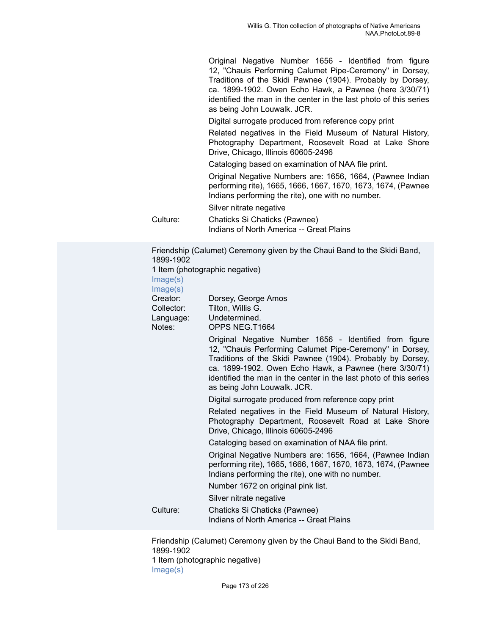Original Negative Number 1656 - Identified from figure 12, "Chauis Performing Calumet Pipe-Ceremony" in Dorsey, Traditions of the Skidi Pawnee (1904). Probably by Dorsey, ca. 1899-1902. Owen Echo Hawk, a Pawnee (here 3/30/71) identified the man in the center in the last photo of this series as being John Louwalk. JCR.

Digital surrogate produced from reference copy print

Related negatives in the Field Museum of Natural History, Photography Department, Roosevelt Road at Lake Shore Drive, Chicago, Illinois 60605-2496

Cataloging based on examination of NAA file print.

Original Negative Numbers are: 1656, 1664, (Pawnee Indian performing rite), 1665, 1666, 1667, 1670, 1673, 1674, (Pawnee Indians performing the rite), one with no number.

Silver nitrate negative

Culture: Chaticks Si Chaticks (Pawnee) Indians of North America -- Great Plains

Friendship (Calumet) Ceremony given by the Chaui Band to the Skidi Band, 1899-1902 1 Item (photographic negative) [Image\(s\)](https://ids.si.edu/ids/deliveryService?id=NMNH-T1664-000001) [Image\(s\)](https://ids.si.edu/ids/deliveryService?id=NMNH-T1664-000004) Creator: Dorsey, George Amos Collector: Tilton, Willis G. Language: Undetermined.

Notes: OPPS NEG.T1664

Original Negative Number 1656 - Identified from figure 12, "Chauis Performing Calumet Pipe-Ceremony" in Dorsey, Traditions of the Skidi Pawnee (1904). Probably by Dorsey, ca. 1899-1902. Owen Echo Hawk, a Pawnee (here 3/30/71) identified the man in the center in the last photo of this series as being John Louwalk. JCR.

Digital surrogate produced from reference copy print

Related negatives in the Field Museum of Natural History, Photography Department, Roosevelt Road at Lake Shore Drive, Chicago, Illinois 60605-2496

Cataloging based on examination of NAA file print.

Original Negative Numbers are: 1656, 1664, (Pawnee Indian performing rite), 1665, 1666, 1667, 1670, 1673, 1674, (Pawnee Indians performing the rite), one with no number.

Number 1672 on original pink list.

Silver nitrate negative

Culture: Chaticks Si Chaticks (Pawnee) Indians of North America -- Great Plains

Friendship (Calumet) Ceremony given by the Chaui Band to the Skidi Band, 1899-1902 1 Item (photographic negative) [Image\(s\)](https://ids.si.edu/ids/deliveryService?id=NMNH-T1665-000001)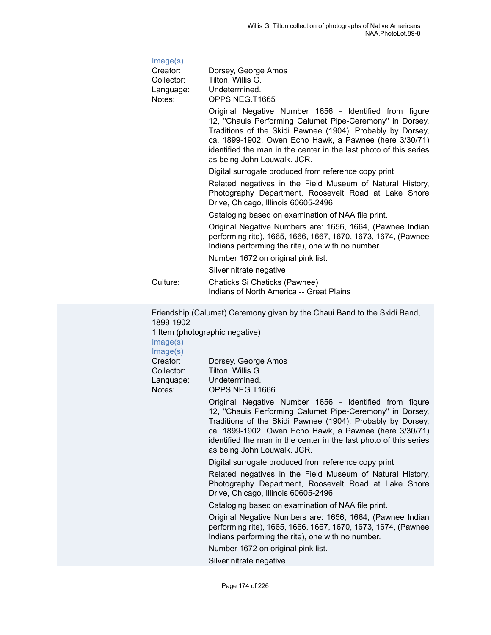| Image(s)                                      |                                                                                                                                                                                                                                                                                                                                                |
|-----------------------------------------------|------------------------------------------------------------------------------------------------------------------------------------------------------------------------------------------------------------------------------------------------------------------------------------------------------------------------------------------------|
| Creator:<br>Collector:<br>Language:<br>Notes: | Dorsey, George Amos<br>Tilton, Willis G.<br>Undetermined.<br>OPPS NEG.T1665                                                                                                                                                                                                                                                                    |
|                                               | Original Negative Number 1656 - Identified from figure<br>12, "Chauis Performing Calumet Pipe-Ceremony" in Dorsey,<br>Traditions of the Skidi Pawnee (1904). Probably by Dorsey,<br>ca. 1899-1902. Owen Echo Hawk, a Pawnee (here 3/30/71)<br>identified the man in the center in the last photo of this series<br>as being John Louwalk. JCR. |
|                                               | Digital surrogate produced from reference copy print                                                                                                                                                                                                                                                                                           |
|                                               | Related negatives in the Field Museum of Natural History,<br>Photography Department, Roosevelt Road at Lake Shore<br>Drive, Chicago, Illinois 60605-2496                                                                                                                                                                                       |
|                                               | Cataloging based on examination of NAA file print.                                                                                                                                                                                                                                                                                             |
|                                               | Original Negative Numbers are: 1656, 1664, (Pawnee Indian<br>performing rite), 1665, 1666, 1667, 1670, 1673, 1674, (Pawnee<br>Indians performing the rite), one with no number.                                                                                                                                                                |
|                                               | Number 1672 on original pink list.<br>Silver nitrate negative                                                                                                                                                                                                                                                                                  |
| Culture:                                      | Chaticks Si Chaticks (Pawnee)<br>Indians of North America -- Great Plains                                                                                                                                                                                                                                                                      |
| 1899-1902                                     | Friendship (Calumet) Ceremony given by the Chaui Band to the Skidi Band,                                                                                                                                                                                                                                                                       |

1 Item (photographic negative)

[Image\(s\)](https://ids.si.edu/ids/deliveryService?id=NMNH-T1666-000001)

[Image\(s\)](https://ids.si.edu/ids/deliveryService?id=NMNH-T1666-000004) Creator: Dorsey, George Amos Collector: Tilton, Willis G. Language: Undetermined.

Notes: OPPS NEG.T1666

Original Negative Number 1656 - Identified from figure 12, "Chauis Performing Calumet Pipe-Ceremony" in Dorsey, Traditions of the Skidi Pawnee (1904). Probably by Dorsey, ca. 1899-1902. Owen Echo Hawk, a Pawnee (here 3/30/71) identified the man in the center in the last photo of this series as being John Louwalk. JCR.

Digital surrogate produced from reference copy print

Related negatives in the Field Museum of Natural History, Photography Department, Roosevelt Road at Lake Shore Drive, Chicago, Illinois 60605-2496

Cataloging based on examination of NAA file print.

Original Negative Numbers are: 1656, 1664, (Pawnee Indian performing rite), 1665, 1666, 1667, 1670, 1673, 1674, (Pawnee Indians performing the rite), one with no number.

Number 1672 on original pink list.

Silver nitrate negative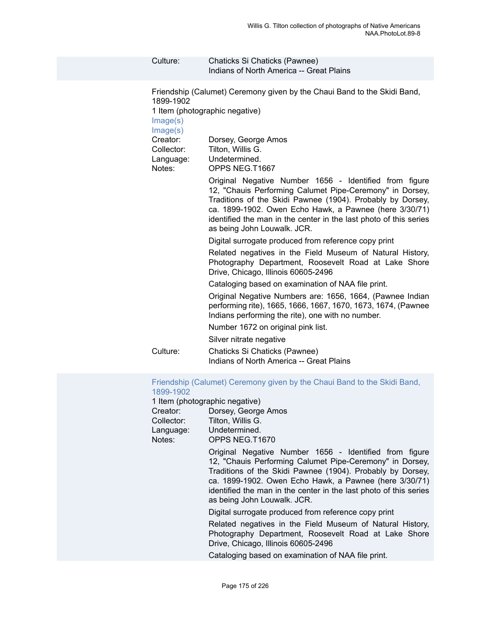| Culture:                                                                                       | Chaticks Si Chaticks (Pawnee)<br>Indians of North America -- Great Plains                                                                                                                                                                                                                                                                                                                                                                                                                                                                                                                                                                                                                                                                                                                                                                                                                                                                                                                                                                                                                                                                              |
|------------------------------------------------------------------------------------------------|--------------------------------------------------------------------------------------------------------------------------------------------------------------------------------------------------------------------------------------------------------------------------------------------------------------------------------------------------------------------------------------------------------------------------------------------------------------------------------------------------------------------------------------------------------------------------------------------------------------------------------------------------------------------------------------------------------------------------------------------------------------------------------------------------------------------------------------------------------------------------------------------------------------------------------------------------------------------------------------------------------------------------------------------------------------------------------------------------------------------------------------------------------|
| 1899-1902<br>Image(s)<br>Image(s)<br>Creator:<br>Collector:<br>Language:<br>Notes:<br>Culture: | Friendship (Calumet) Ceremony given by the Chaui Band to the Skidi Band,<br>1 Item (photographic negative)<br>Dorsey, George Amos<br>Tilton, Willis G.<br>Undetermined.<br>OPPS NEG.T1667<br>Original Negative Number 1656 - Identified from figure<br>12, "Chauis Performing Calumet Pipe-Ceremony" in Dorsey,<br>Traditions of the Skidi Pawnee (1904). Probably by Dorsey,<br>ca. 1899-1902. Owen Echo Hawk, a Pawnee (here 3/30/71)<br>identified the man in the center in the last photo of this series<br>as being John Louwalk. JCR.<br>Digital surrogate produced from reference copy print<br>Related negatives in the Field Museum of Natural History,<br>Photography Department, Roosevelt Road at Lake Shore<br>Drive, Chicago, Illinois 60605-2496<br>Cataloging based on examination of NAA file print.<br>Original Negative Numbers are: 1656, 1664, (Pawnee Indian<br>performing rite), 1665, 1666, 1667, 1670, 1673, 1674, (Pawnee<br>Indians performing the rite), one with no number.<br>Number 1672 on original pink list.<br>Silver nitrate negative<br>Chaticks Si Chaticks (Pawnee)<br>Indians of North America -- Great Plains |
|                                                                                                | Friendship (Calumet) Ceremony given by the Chaui Band to the Skidi Band,                                                                                                                                                                                                                                                                                                                                                                                                                                                                                                                                                                                                                                                                                                                                                                                                                                                                                                                                                                                                                                                                               |

# [1899-1902](https://ids.si.edu/ids/deliveryService?id=NMNH-T1670-000001)

1 Item (photographic negative)

| Creator:   | Dorsey, George Amos |
|------------|---------------------|
| Collector: | Tilton, Willis G.   |
| Language:  | Undetermined.       |
| Notes:     | OPPS NEG.T1670      |
|            |                     |

Original Negative Number 1656 - Identified from figure 12, "Chauis Performing Calumet Pipe-Ceremony" in Dorsey, Traditions of the Skidi Pawnee (1904). Probably by Dorsey, ca. 1899-1902. Owen Echo Hawk, a Pawnee (here 3/30/71) identified the man in the center in the last photo of this series as being John Louwalk. JCR.

Digital surrogate produced from reference copy print

Related negatives in the Field Museum of Natural History, Photography Department, Roosevelt Road at Lake Shore Drive, Chicago, Illinois 60605-2496

Cataloging based on examination of NAA file print.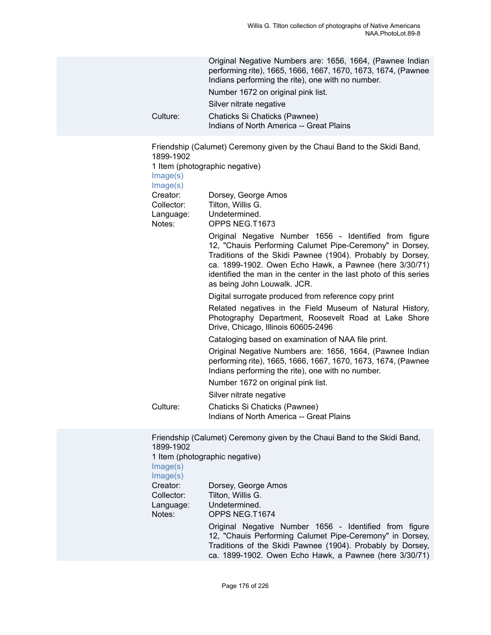|          | Original Negative Numbers are: 1656, 1664, (Pawnee Indian<br>performing rite), 1665, 1666, 1667, 1670, 1673, 1674, (Pawnee<br>Indians performing the rite), one with no number. |
|----------|---------------------------------------------------------------------------------------------------------------------------------------------------------------------------------|
|          | Number 1672 on original pink list.                                                                                                                                              |
|          | Silver nitrate negative                                                                                                                                                         |
| Culture: | Chaticks Si Chaticks (Pawnee)<br>Indians of North America -- Great Plains                                                                                                       |

Friendship (Calumet) Ceremony given by the Chaui Band to the Skidi Band, 1899-1902

1 Item (photographic negative)

[Image\(s\)](https://ids.si.edu/ids/deliveryService?id=NMNH-T1673-000001)

[Image\(s\)](https://ids.si.edu/ids/deliveryService?id=NMNH-T1673-000004)

Creator: Dorsey, George Amos Collector: Tilton, Willis G. Language: Undetermined.

Notes: OPPS NEG.T1673

Original Negative Number 1656 - Identified from figure 12, "Chauis Performing Calumet Pipe-Ceremony" in Dorsey, Traditions of the Skidi Pawnee (1904). Probably by Dorsey, ca. 1899-1902. Owen Echo Hawk, a Pawnee (here 3/30/71) identified the man in the center in the last photo of this series as being John Louwalk. JCR.

Digital surrogate produced from reference copy print

Related negatives in the Field Museum of Natural History, Photography Department, Roosevelt Road at Lake Shore Drive, Chicago, Illinois 60605-2496

Cataloging based on examination of NAA file print.

Original Negative Numbers are: 1656, 1664, (Pawnee Indian performing rite), 1665, 1666, 1667, 1670, 1673, 1674, (Pawnee Indians performing the rite), one with no number.

Number 1672 on original pink list.

Silver nitrate negative

Culture: Chaticks Si Chaticks (Pawnee) Indians of North America -- Great Plains

Friendship (Calumet) Ceremony given by the Chaui Band to the Skidi Band, 1899-1902 1 Item (photographic negative) [Image\(s\)](https://ids.si.edu/ids/deliveryService?id=NMNH-T1674-000001) [Image\(s\)](https://ids.si.edu/ids/deliveryService?id=NMNH-T1674-000004) Creator: Dorsey, George Amos Collector: Tilton, Willis G. Language: Undetermined. Notes: OPPS NEG.T1674 Original Negative Number 1656 - Identified from figure 12, "Chauis Performing Calumet Pipe-Ceremony" in Dorsey, Traditions of the Skidi Pawnee (1904). Probably by Dorsey, ca. 1899-1902. Owen Echo Hawk, a Pawnee (here 3/30/71)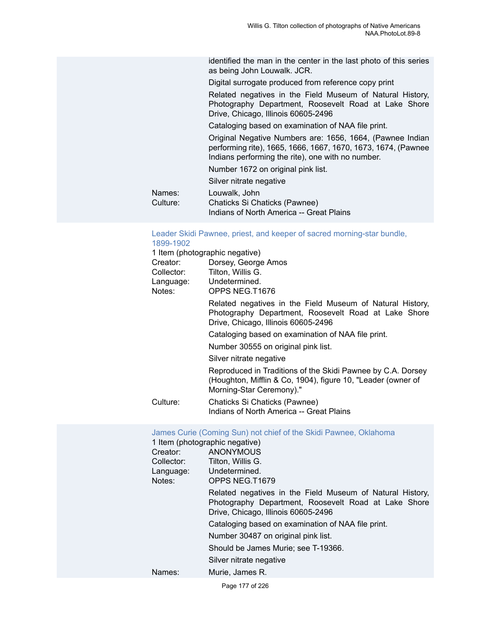identified the man in the center in the last photo of this series as being John Louwalk. JCR.

Digital surrogate produced from reference copy print

Related negatives in the Field Museum of Natural History, Photography Department, Roosevelt Road at Lake Shore Drive, Chicago, Illinois 60605-2496

Cataloging based on examination of NAA file print.

Original Negative Numbers are: 1656, 1664, (Pawnee Indian performing rite), 1665, 1666, 1667, 1670, 1673, 1674, (Pawnee Indians performing the rite), one with no number.

Number 1672 on original pink list.

Silver nitrate negative

Names: Louwalk, John<br>Culture: Chaticks Si Ch

Chaticks Si Chaticks (Pawnee) Indians of North America -- Great Plains

### [Leader Skidi Pawnee, priest, and keeper of sacred morning-star bundle,](https://ids.si.edu/ids/deliveryService?id=NMNH-T1676-000001) [1899-1902](https://ids.si.edu/ids/deliveryService?id=NMNH-T1676-000001)

|            | 1 Item (photographic negative)                                                                                                                           |
|------------|----------------------------------------------------------------------------------------------------------------------------------------------------------|
| Creator:   | Dorsey, George Amos                                                                                                                                      |
| Collector: | Tilton, Willis G.                                                                                                                                        |
| Language:  | Undetermined.                                                                                                                                            |
| Notes:     | OPPS NEG.T1676                                                                                                                                           |
|            | Related negatives in the Field Museum of Natural History,<br>Photography Department, Roosevelt Road at Lake Shore<br>Drive, Chicago, Illinois 60605-2496 |
|            | Cataloging based on examination of NAA file print.                                                                                                       |
|            | Number 30555 on original pink list.                                                                                                                      |
|            | Silver nitrate negative                                                                                                                                  |
|            | Reproduced in Traditions of the Skidi Pawnee by C.A. Dorsey<br>(Houghton, Mifflin & Co, 1904), figure 10, "Leader (owner of<br>Morning-Star Ceremony)."  |
| Culture:   | Chaticks Si Chaticks (Pawnee)<br>Indians of North America -- Great Plains                                                                                |

| Creator:<br>Collector:<br>Language:<br>Notes: | James Curie (Coming Sun) not chief of the Skidi Pawnee, Oklahoma<br>1 Item (photographic negative)<br>ANONYMOUS<br>Tilton, Willis G.<br>Undetermined.<br>OPPS NEG.T1679 |
|-----------------------------------------------|-------------------------------------------------------------------------------------------------------------------------------------------------------------------------|
|                                               | Related negatives in the Field Museum of Natural History,<br>Photography Department, Roosevelt Road at Lake Shore<br>Drive, Chicago, Illinois 60605-2496                |
|                                               | Cataloging based on examination of NAA file print.                                                                                                                      |
|                                               | Number 30487 on original pink list.                                                                                                                                     |
|                                               | Should be James Murie; see T-19366.                                                                                                                                     |
|                                               | Silver nitrate negative                                                                                                                                                 |
| Names:                                        | Murie, James R.                                                                                                                                                         |

Page 177 of 226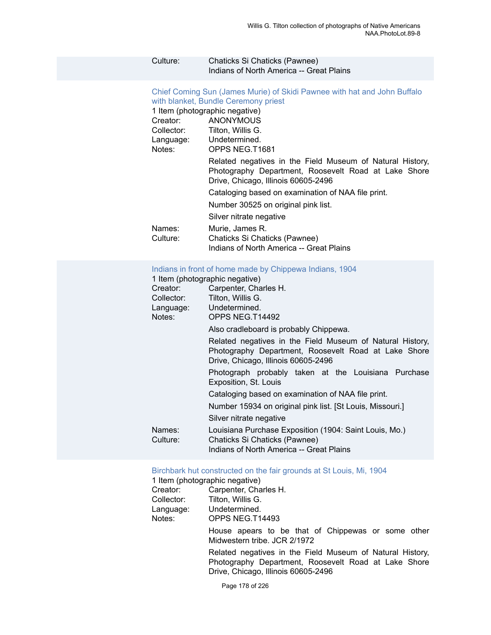#### Culture: Chaticks Si Chaticks (Pawnee) Indians of North America -- Great Plains

Chief Coming Sun (James Murie) of Skidi [Pawnee](https://ids.si.edu/ids/deliveryService?id=NMNH-T1681-000001) with hat and John Buffalo [with blanket, Bundle Ceremony priest](https://ids.si.edu/ids/deliveryService?id=NMNH-T1681-000001) 1 Item (photographic negative) Creator: ANONYMOUS Collector: Tilton, Willis G. Language: Undetermined.<br>Notes: OPPS NEG.T1 OPPS NEG.T1681 Related negatives in the Field Museum of Natural History, Photography Department, Roosevelt Road at Lake Shore Drive, Chicago, Illinois 60605-2496 Cataloging based on examination of NAA file print. Number 30525 on original pink list. Silver nitrate negative Names: Murie, James R.<br>Culture: Chaticks Si Chat Chaticks Si Chaticks (Pawnee) Indians of North America -- Great Plains

#### [Indians in front of home made by Chippewa Indians, 1904](https://ids.si.edu/ids/deliveryService?id=NMNH-T14492-000001)

1 Item (photographic negative)

| Creator:           | Carpenter, Charles H.                                                                                                                                    |  |  |
|--------------------|----------------------------------------------------------------------------------------------------------------------------------------------------------|--|--|
| Collector:         | Tilton, Willis G.                                                                                                                                        |  |  |
| Language:          | Undetermined.                                                                                                                                            |  |  |
| Notes:             | OPPS NEG.T14492                                                                                                                                          |  |  |
|                    | Also cradleboard is probably Chippewa.                                                                                                                   |  |  |
|                    | Related negatives in the Field Museum of Natural History,<br>Photography Department, Roosevelt Road at Lake Shore<br>Drive, Chicago, Illinois 60605-2496 |  |  |
|                    | Photograph probably taken at the Louisiana Purchase<br>Exposition, St. Louis                                                                             |  |  |
|                    | Cataloging based on examination of NAA file print.                                                                                                       |  |  |
|                    | Number 15934 on original pink list. [St Louis, Missouri.]                                                                                                |  |  |
|                    | Silver nitrate negative                                                                                                                                  |  |  |
| Names:<br>Culture: | Louisiana Purchase Exposition (1904: Saint Louis, Mo.)<br>Chaticks Si Chaticks (Pawnee)<br>Indians of North America -- Great Plains                      |  |  |

#### [Birchbark hut constructed on the fair grounds at St Louis, Mi, 1904](https://ids.si.edu/ids/deliveryService?id=NMNH-T14493-000001)

1 Item (photographic negative)

| Creator:   | Carpenter, Charles H. |
|------------|-----------------------|
| Collector: | Tilton, Willis G.     |
| Language:  | Undetermined.         |
| Notes:     | OPPS NEG.T14493       |
|            |                       |

House apears to be that of Chippewas or some other Midwestern tribe. JCR 2/1972

Related negatives in the Field Museum of Natural History, Photography Department, Roosevelt Road at Lake Shore Drive, Chicago, Illinois 60605-2496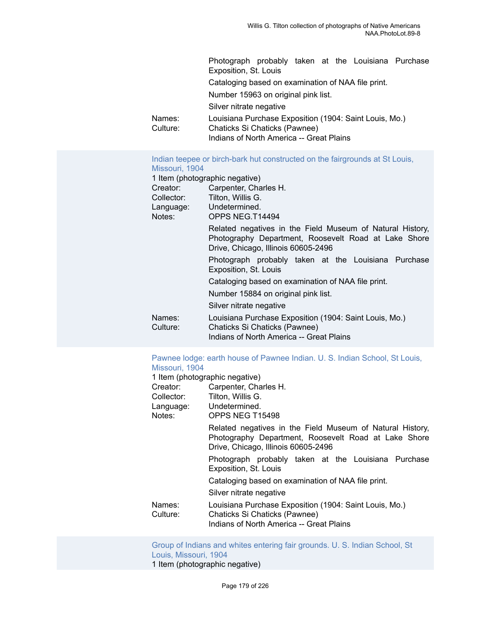Photograph probably taken at the Louisiana Purchase Exposition, St. Louis Cataloging based on examination of NAA file print. Number 15963 on original pink list. Silver nitrate negative Names: Louisiana Purchase Exposition (1904: Saint Louis, Mo.)<br>Culture: Chaticks Si Chaticks (Pawnee) Chaticks Si Chaticks (Pawnee) Indians of North America -- Great Plains

#### [Indian teepee or birch-bark hut constructed on the fairgrounds at St Louis,](https://ids.si.edu/ids/deliveryService?id=NMNH-T14494-000001) [Missouri, 1904](https://ids.si.edu/ids/deliveryService?id=NMNH-T14494-000001)

| 1 Item (photographic negative)      |                                                           |  |
|-------------------------------------|-----------------------------------------------------------|--|
| Creator:                            | Carpenter, Charles H.                                     |  |
| Tilton, Willis G.<br>Collector:     |                                                           |  |
| Language:                           | Undetermined.                                             |  |
| Notes:                              | OPPS NEG.T14494                                           |  |
|                                     | Related negatives in the Field Museum of Natural History, |  |
|                                     | Photography Department, Roosevelt Road at Lake Shore      |  |
|                                     | Drive, Chicago, Illinois 60605-2496                       |  |
|                                     | Photograph probably taken at the Louisiana Purchase       |  |
|                                     | Exposition, St. Louis                                     |  |
|                                     | Cataloging based on examination of NAA file print.        |  |
| Number 15884 on original pink list. |                                                           |  |
|                                     | Silver nitrate negative                                   |  |
| Names:                              | Louisiana Purchase Exposition (1904: Saint Louis, Mo.)    |  |
| Culture:                            | Chaticks Si Chaticks (Pawnee)                             |  |
|                                     | Indians of North America -- Great Plains                  |  |
|                                     |                                                           |  |

# [Pawnee lodge: earth house of Pawnee Indian. U. S. Indian School, St Louis,](https://ids.si.edu/ids/deliveryService?id=NMNH-T15498-000001) Missouri 1904

| Missouri, 1904     |                                                                                                                                                          |  |
|--------------------|----------------------------------------------------------------------------------------------------------------------------------------------------------|--|
|                    | 1 Item (photographic negative)                                                                                                                           |  |
| Creator:           | Carpenter, Charles H.                                                                                                                                    |  |
| Collector:         | Tilton, Willis G.                                                                                                                                        |  |
|                    | Language: Undetermined.                                                                                                                                  |  |
| Notes:             | OPPS NEG T15498                                                                                                                                          |  |
|                    | Related negatives in the Field Museum of Natural History,<br>Photography Department, Roosevelt Road at Lake Shore<br>Drive, Chicago, Illinois 60605-2496 |  |
|                    | Photograph probably taken at the Louisiana Purchase<br>Exposition, St. Louis                                                                             |  |
|                    | Cataloging based on examination of NAA file print.                                                                                                       |  |
|                    | Silver nitrate negative                                                                                                                                  |  |
| Names:<br>Culture: | Louisiana Purchase Exposition (1904: Saint Louis, Mo.)<br>Chaticks Si Chaticks (Pawnee)<br>Indians of North America -- Great Plains                      |  |

[Group of Indians and whites entering fair grounds. U. S. Indian School, St](https://ids.si.edu/ids/deliveryService?id=NMNH-T15610-000001) [Louis, Missouri, 1904](https://ids.si.edu/ids/deliveryService?id=NMNH-T15610-000001) 1 Item (photographic negative)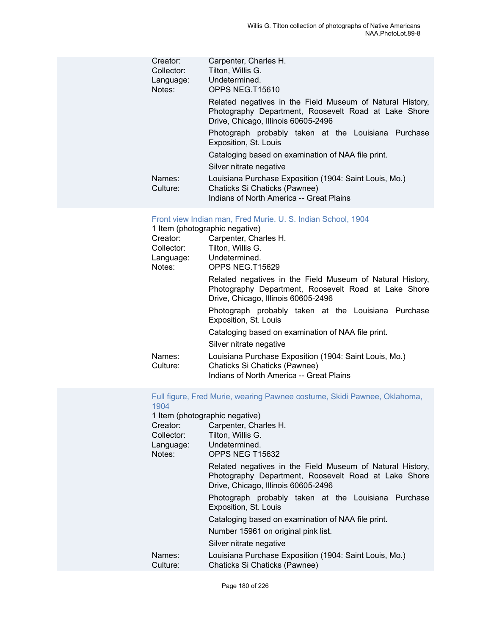| Creator:   | Carpenter, Charles H.                                                                                                                                    |  |  |
|------------|----------------------------------------------------------------------------------------------------------------------------------------------------------|--|--|
| Collector: | Tilton, Willis G.                                                                                                                                        |  |  |
| Language:  | Undetermined.                                                                                                                                            |  |  |
| Notes:     | OPPS NEG.T15610                                                                                                                                          |  |  |
|            | Related negatives in the Field Museum of Natural History,<br>Photography Department, Roosevelt Road at Lake Shore<br>Drive, Chicago, Illinois 60605-2496 |  |  |
|            | Photograph probably taken at the Louisiana Purchase<br>Exposition, St. Louis                                                                             |  |  |
|            | Cataloging based on examination of NAA file print.                                                                                                       |  |  |
|            | Silver nitrate negative                                                                                                                                  |  |  |
| Names:     | Louisiana Purchase Exposition (1904: Saint Louis, Mo.)                                                                                                   |  |  |
| Culture:   | Chaticks Si Chaticks (Pawnee)                                                                                                                            |  |  |
|            | Indians of North America -- Great Plains                                                                                                                 |  |  |

## [Front view Indian man, Fred Murie. U. S. Indian School, 1904](https://ids.si.edu/ids/deliveryService?id=NMNH-T15629-000001)

| 1 Item (photographic negative)        |                                                                                                                                                          |  |
|---------------------------------------|----------------------------------------------------------------------------------------------------------------------------------------------------------|--|
| Creator:                              | Carpenter, Charles H.                                                                                                                                    |  |
| Collector:<br>Language: Undetermined. | Tilton, Willis G.                                                                                                                                        |  |
| Notes:                                | OPPS NEG.T15629                                                                                                                                          |  |
|                                       | Related negatives in the Field Museum of Natural History,<br>Photography Department, Roosevelt Road at Lake Shore<br>Drive, Chicago, Illinois 60605-2496 |  |
|                                       | Photograph probably taken at the Louisiana Purchase<br>Exposition, St. Louis                                                                             |  |
|                                       | Cataloging based on examination of NAA file print.                                                                                                       |  |
|                                       | Silver nitrate negative                                                                                                                                  |  |
| Names:<br>Culture:                    | Louisiana Purchase Exposition (1904: Saint Louis, Mo.)<br>Chaticks Si Chaticks (Pawnee)<br>Indians of North America -- Great Plains                      |  |

# [Full figure, Fred Murie, wearing Pawnee costume, Skidi Pawnee, Oklahoma,](https://ids.si.edu/ids/deliveryService?id=NMNH-T15632-000001) [1904](https://ids.si.edu/ids/deliveryService?id=NMNH-T15632-000001)

|                    | 1 Item (photographic negative)                                                                                                                           |  |
|--------------------|----------------------------------------------------------------------------------------------------------------------------------------------------------|--|
| Creator:           | Carpenter, Charles H.                                                                                                                                    |  |
| Collector:         | Tilton, Willis G.                                                                                                                                        |  |
| Language:          | Undetermined.                                                                                                                                            |  |
| Notes:             | OPPS NEG T15632                                                                                                                                          |  |
|                    | Related negatives in the Field Museum of Natural History,<br>Photography Department, Roosevelt Road at Lake Shore<br>Drive, Chicago, Illinois 60605-2496 |  |
|                    | Photograph probably taken at the Louisiana Purchase<br>Exposition, St. Louis                                                                             |  |
|                    | Cataloging based on examination of NAA file print.                                                                                                       |  |
|                    | Number 15961 on original pink list.                                                                                                                      |  |
|                    | Silver nitrate negative                                                                                                                                  |  |
| Names:<br>Culture: | Louisiana Purchase Exposition (1904: Saint Louis, Mo.)<br>Chaticks Si Chaticks (Pawnee)                                                                  |  |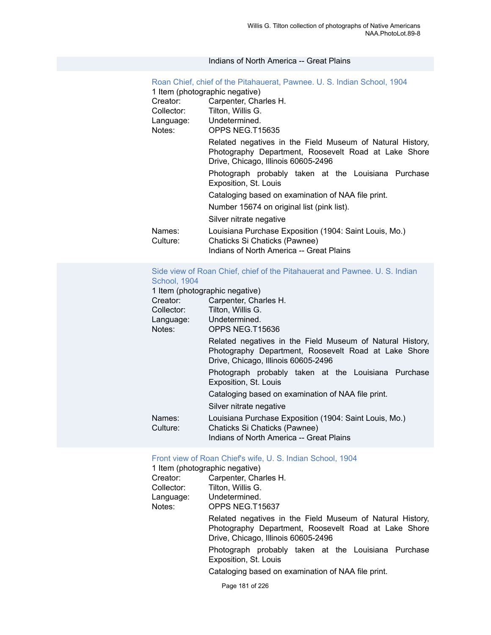#### Indians of North America -- Great Plains

| Roan Chief, chief of the Pitahauerat, Pawnee. U. S. Indian School, 1904                                                                                  |                                                                                                                                     |  |
|----------------------------------------------------------------------------------------------------------------------------------------------------------|-------------------------------------------------------------------------------------------------------------------------------------|--|
| 1 Item (photographic negative)                                                                                                                           |                                                                                                                                     |  |
| Creator:                                                                                                                                                 | Carpenter, Charles H.                                                                                                               |  |
| Collector:                                                                                                                                               | Tilton, Willis G.                                                                                                                   |  |
|                                                                                                                                                          | Language: Undetermined.                                                                                                             |  |
| Notes:<br>OPPS NEG.T15635                                                                                                                                |                                                                                                                                     |  |
| Related negatives in the Field Museum of Natural History,<br>Photography Department, Roosevelt Road at Lake Shore<br>Drive, Chicago, Illinois 60605-2496 |                                                                                                                                     |  |
| Photograph probably taken at the Louisiana Purchase<br>Exposition, St. Louis                                                                             |                                                                                                                                     |  |
| Cataloging based on examination of NAA file print.<br>Number 15674 on original list (pink list).                                                         |                                                                                                                                     |  |
|                                                                                                                                                          |                                                                                                                                     |  |
| Names:<br>Culture:                                                                                                                                       | Louisiana Purchase Exposition (1904: Saint Louis, Mo.)<br>Chaticks Si Chaticks (Pawnee)<br>Indians of North America -- Great Plains |  |

# [Side view of Roan Chief, chief of the Pitahauerat and Pawnee. U. S. Indian](https://ids.si.edu/ids/deliveryService?id=NMNH-T15636-000001) [School, 1904](https://ids.si.edu/ids/deliveryService?id=NMNH-T15636-000001)

1 Item (photographic negative)

| <u>I Item (priotographic Hegative)</u> |                                                                                                                                                          |  |  |
|----------------------------------------|----------------------------------------------------------------------------------------------------------------------------------------------------------|--|--|
| Creator:                               | Carpenter, Charles H.                                                                                                                                    |  |  |
| Collector:                             | Tilton, Willis G.                                                                                                                                        |  |  |
| Language:                              | Undetermined.                                                                                                                                            |  |  |
| Notes:                                 | OPPS NEG.T15636                                                                                                                                          |  |  |
|                                        | Related negatives in the Field Museum of Natural History,<br>Photography Department, Roosevelt Road at Lake Shore<br>Drive, Chicago, Illinois 60605-2496 |  |  |
|                                        | Photograph probably taken at the Louisiana Purchase<br>Exposition, St. Louis                                                                             |  |  |
|                                        | Cataloging based on examination of NAA file print.                                                                                                       |  |  |
|                                        | Silver nitrate negative                                                                                                                                  |  |  |
| Names:<br>Culture:                     | Louisiana Purchase Exposition (1904: Saint Louis, Mo.)<br>Chaticks Si Chaticks (Pawnee)<br>Indians of North America -- Great Plains                      |  |  |

## [Front view of Roan Chief's wife, U. S. Indian School, 1904](https://ids.si.edu/ids/deliveryService?id=NMNH-T15637-000001)

1 Item (photographic negative)<br>Creator: Carpenter, Cha

| Creator:   | Carpenter, Charles H.                                                                                                                                    |  |  |  |
|------------|----------------------------------------------------------------------------------------------------------------------------------------------------------|--|--|--|
| Collector: | Tilton, Willis G.                                                                                                                                        |  |  |  |
| Language:  | Undetermined.                                                                                                                                            |  |  |  |
| Notes:     | OPPS NEG.T15637                                                                                                                                          |  |  |  |
|            | Related negatives in the Field Museum of Natural History,<br>Photography Department, Roosevelt Road at Lake Shore<br>Drive, Chicago, Illinois 60605-2496 |  |  |  |
|            | Photograph probably taken at the Louisiana Purchase                                                                                                      |  |  |  |

Photograph probably taken at the Louisiana Purchase Exposition, St. Louis

Cataloging based on examination of NAA file print.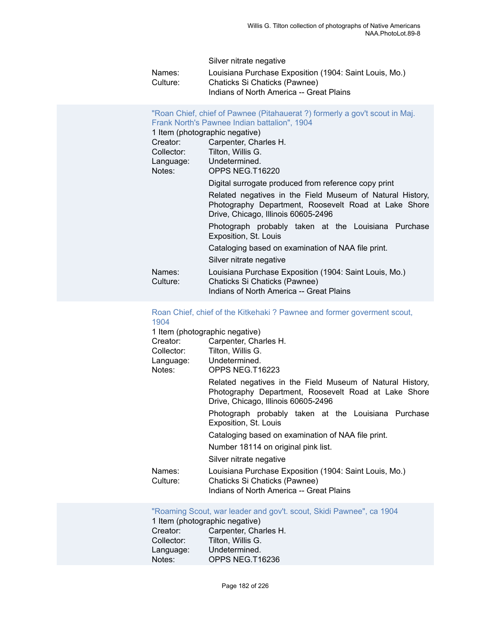Silver nitrate negative

| Names:   | Louisiana Purchase Exposition (1904: Saint Louis, Mo.) |
|----------|--------------------------------------------------------|
| Culture: | Chaticks Si Chaticks (Pawnee)                          |
|          | Indians of North America -- Great Plains               |

| "Roan Chief, chief of Pawnee (Pitahauerat ?) formerly a gov't scout in Maj.<br>Frank North's Pawnee Indian battalion", 1904 |                                                                                                                                                          |  |
|-----------------------------------------------------------------------------------------------------------------------------|----------------------------------------------------------------------------------------------------------------------------------------------------------|--|
| 1 Item (photographic negative)                                                                                              |                                                                                                                                                          |  |
| Creator:                                                                                                                    | Carpenter, Charles H.                                                                                                                                    |  |
| Collector:                                                                                                                  | Tilton, Willis G.                                                                                                                                        |  |
| Language: Undetermined.                                                                                                     |                                                                                                                                                          |  |
| Notes:                                                                                                                      | OPPS NEG.T16220                                                                                                                                          |  |
|                                                                                                                             | Digital surrogate produced from reference copy print                                                                                                     |  |
|                                                                                                                             | Related negatives in the Field Museum of Natural History,<br>Photography Department, Roosevelt Road at Lake Shore<br>Drive, Chicago, Illinois 60605-2496 |  |
|                                                                                                                             | Photograph probably taken at the Louisiana Purchase<br>Exposition, St. Louis                                                                             |  |
|                                                                                                                             | Cataloging based on examination of NAA file print.                                                                                                       |  |
|                                                                                                                             | Silver nitrate negative                                                                                                                                  |  |
| Names:<br>Culture:                                                                                                          | Louisiana Purchase Exposition (1904: Saint Louis, Mo.)<br>Chaticks Si Chaticks (Pawnee)<br>Indians of North America -- Great Plains                      |  |

# [Roan Chief, chief of the Kitkehaki ? Pawnee and former goverment scout,](https://ids.si.edu/ids/deliveryService?id=NMNH-T16223-000001) [1904](https://ids.si.edu/ids/deliveryService?id=NMNH-T16223-000001)<br>1 Iten

| Creator:                                                 | 1 Item (photographic negative)                                                                                                                           |
|----------------------------------------------------------|----------------------------------------------------------------------------------------------------------------------------------------------------------|
| Carpenter, Charles H.<br>Tilton, Willis G.<br>Collector: |                                                                                                                                                          |
|                                                          | Language: Undetermined.                                                                                                                                  |
| Notes:                                                   | OPPS NEG.T16223                                                                                                                                          |
|                                                          | Related negatives in the Field Museum of Natural History,<br>Photography Department, Roosevelt Road at Lake Shore<br>Drive, Chicago, Illinois 60605-2496 |
|                                                          | Photograph probably taken at the Louisiana Purchase<br>Exposition, St. Louis                                                                             |
|                                                          | Cataloging based on examination of NAA file print.                                                                                                       |
|                                                          | Number 18114 on original pink list.                                                                                                                      |
|                                                          | Silver nitrate negative                                                                                                                                  |
| Names:<br>Culture:                                       | Louisiana Purchase Exposition (1904: Saint Louis, Mo.)<br>Chaticks Si Chaticks (Pawnee)<br>Indians of North America -- Great Plains                      |
|                                                          |                                                                                                                                                          |

["Roaming Scout, war leader and gov't. scout, Skidi Pawnee", ca 1904](https://ids.si.edu/ids/deliveryService?id=NMNH-T16236-000001)

1 Item (photographic negative)<br>Creator: Carpenter, Cha Creator: Carpenter, Charles H.<br>Collector: Tilton, Willis G. Tilton, Willis G. Language: Undetermined. Notes: OPPS NEG.T16236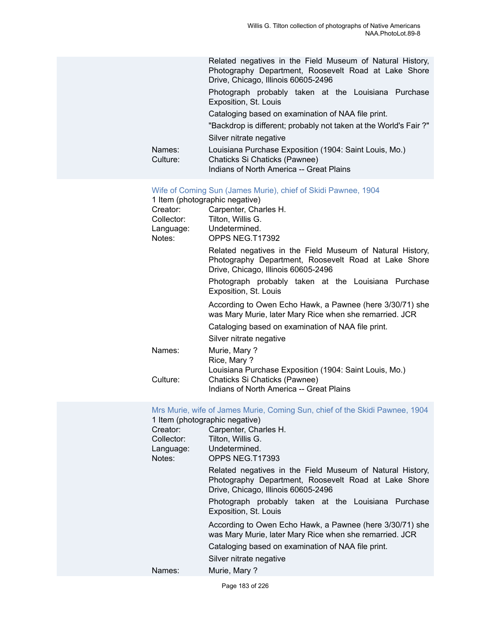|                    | Related negatives in the Field Museum of Natural History,<br>Photography Department, Roosevelt Road at Lake Shore<br>Drive, Chicago, Illinois 60605-2496 |
|--------------------|----------------------------------------------------------------------------------------------------------------------------------------------------------|
|                    | Photograph probably taken at the Louisiana Purchase<br>Exposition, St. Louis                                                                             |
|                    | Cataloging based on examination of NAA file print.                                                                                                       |
|                    | "Backdrop is different; probably not taken at the World's Fair ?"                                                                                        |
|                    | Silver nitrate negative                                                                                                                                  |
| Names:<br>Culture: | Louisiana Purchase Exposition (1904: Saint Louis, Mo.)<br>Chaticks Si Chaticks (Pawnee)<br>Indians of North America -- Great Plains                      |

[Wife of Coming Sun \(James Murie\), chief of Skidi Pawnee, 1904](https://ids.si.edu/ids/deliveryService?id=NMNH-T17392-000001)

1 Item (photographic negative)

|            | $\ldots$                                                                                                                                                 |
|------------|----------------------------------------------------------------------------------------------------------------------------------------------------------|
| Creator:   | Carpenter, Charles H.                                                                                                                                    |
| Collector: | Tilton, Willis G.                                                                                                                                        |
| Language:  | Undetermined.                                                                                                                                            |
| Notes:     | OPPS NEG.T17392                                                                                                                                          |
|            | Related negatives in the Field Museum of Natural History,<br>Photography Department, Roosevelt Road at Lake Shore<br>Drive, Chicago, Illinois 60605-2496 |
|            | Photograph probably taken at the Louisiana Purchase<br>Exposition, St. Louis                                                                             |
|            | According to Owen Echo Hawk, a Pawnee (here 3/30/71) she<br>was Mary Murie, later Mary Rice when she remarried. JCR                                      |
|            | Cataloging based on examination of NAA file print.                                                                                                       |
|            | Silver nitrate negative                                                                                                                                  |
| Names:     | Murie, Mary?                                                                                                                                             |
|            | Rice, Mary?                                                                                                                                              |
|            | Louisiana Purchase Exposition (1904: Saint Louis, Mo.)                                                                                                   |
| Culture:   | Chaticks Si Chaticks (Pawnee)                                                                                                                            |
|            | Indians of North America -- Great Plains                                                                                                                 |
|            |                                                                                                                                                          |

#### [Mrs Murie, wife of James Murie, Coming Sun, chief of the Skidi Pawnee, 1904](https://ids.si.edu/ids/deliveryService?id=NMNH-T17393-000001) 1 Item (photographic negative)

|            | T Rent (priotographic riegative)                                                                                                                         |
|------------|----------------------------------------------------------------------------------------------------------------------------------------------------------|
| Creator:   | Carpenter, Charles H.                                                                                                                                    |
| Collector: | Tilton, Willis G.                                                                                                                                        |
| Language:  | Undetermined.                                                                                                                                            |
| Notes:     | OPPS NEG.T17393                                                                                                                                          |
|            | Related negatives in the Field Museum of Natural History,<br>Photography Department, Roosevelt Road at Lake Shore<br>Drive, Chicago, Illinois 60605-2496 |
|            | Photograph probably taken at the Louisiana Purchase<br>Exposition, St. Louis                                                                             |
|            | According to Owen Echo Hawk, a Pawnee (here 3/30/71) she<br>was Mary Murie, later Mary Rice when she remarried. JCR                                      |
|            | Cataloging based on examination of NAA file print.                                                                                                       |
|            | Silver nitrate negative                                                                                                                                  |
| Names:     | Murie, Mary?                                                                                                                                             |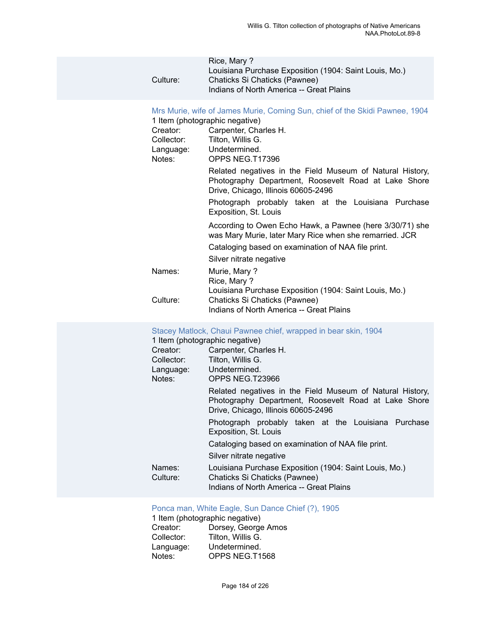|          | Rice, Mary?                                            |  |
|----------|--------------------------------------------------------|--|
|          | Louisiana Purchase Exposition (1904: Saint Louis, Mo.) |  |
| Culture: | Chaticks Si Chaticks (Pawnee)                          |  |
|          | Indians of North America -- Great Plains               |  |
|          |                                                        |  |

# [Mrs Murie, wife of James Murie, Coming Sun, chief of the Skidi Pawnee, 1904](https://ids.si.edu/ids/deliveryService?id=NMNH-T17396-000001)

|                         | into marie, who or barried marie, Ooming Oan, unclidi the Okia Flawned, Too-Fl                                                                           |
|-------------------------|----------------------------------------------------------------------------------------------------------------------------------------------------------|
|                         | 1 Item (photographic negative)                                                                                                                           |
| Creator:                | Carpenter, Charles H.                                                                                                                                    |
| Collector:              | Tilton, Willis G.                                                                                                                                        |
| Language: Undetermined. |                                                                                                                                                          |
| Notes:                  | OPPS NEG.T17396                                                                                                                                          |
|                         | Related negatives in the Field Museum of Natural History,<br>Photography Department, Roosevelt Road at Lake Shore<br>Drive, Chicago, Illinois 60605-2496 |
|                         | Photograph probably taken at the Louisiana Purchase<br>Exposition, St. Louis                                                                             |
|                         | According to Owen Echo Hawk, a Pawnee (here 3/30/71) she<br>was Mary Murie, later Mary Rice when she remarried. JCR                                      |
|                         | Cataloging based on examination of NAA file print.                                                                                                       |
|                         | Silver nitrate negative                                                                                                                                  |
| Names:                  | Murie, Mary?<br>Rice, Mary?                                                                                                                              |
|                         | Louisiana Purchase Exposition (1904: Saint Louis, Mo.)                                                                                                   |
| Culture:                | Chaticks Si Chaticks (Pawnee)                                                                                                                            |
|                         | Indians of North America -- Great Plains                                                                                                                 |

# [Stacey Matlock, Chaui Pawnee chief, wrapped in bear skin, 1904](https://ids.si.edu/ids/deliveryService?id=NMNH-T23966-000001)

|            | 1 Item (photographic negative)                                                                                                                           |
|------------|----------------------------------------------------------------------------------------------------------------------------------------------------------|
| Creator:   | Carpenter, Charles H.                                                                                                                                    |
| Collector: | Tilton, Willis G.                                                                                                                                        |
| Language:  | Undetermined.                                                                                                                                            |
| Notes:     | OPPS NEG.T23966                                                                                                                                          |
|            | Related negatives in the Field Museum of Natural History,<br>Photography Department, Roosevelt Road at Lake Shore<br>Drive, Chicago, Illinois 60605-2496 |
|            | Photograph probably taken at the Louisiana Purchase<br>Exposition, St. Louis                                                                             |
|            | Cataloging based on examination of NAA file print.                                                                                                       |
|            | Silver nitrate negative                                                                                                                                  |
| Names:     | Louisiana Purchase Exposition (1904: Saint Louis, Mo.)                                                                                                   |
| Culture:   | Chaticks Si Chaticks (Pawnee)                                                                                                                            |
|            | Indians of North America -- Great Plains                                                                                                                 |

# [Ponca man, White Eagle, Sun Dance Chief \(?\), 1905](https://ids.si.edu/ids/deliveryService?id=NMNH-T1568-000001)

1 Item (photographic negative)<br>Creator: Dorsey, George Creator: Dorsey, George Amos<br>Collector: Tilton, Willis G. Collector: Tilton, Willis G.<br>Language: Undetermined. Language: Undetermined.<br>Notes: OPPS NEG.T1 OPPS NEG.T1568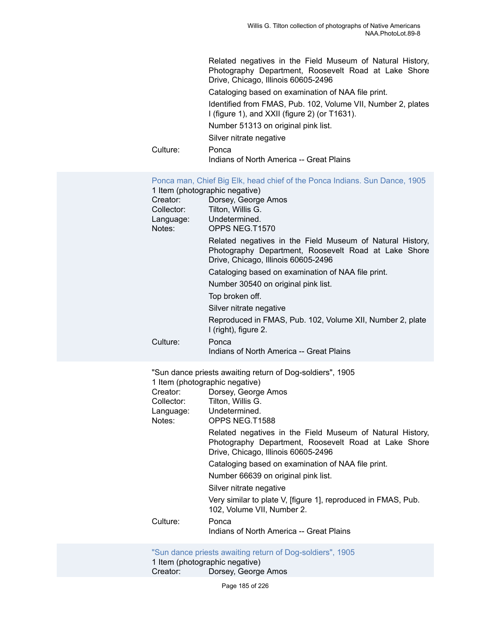|                                                                                 | Related negatives in the Field Museum of Natural History,<br>Photography Department, Roosevelt Road at Lake Shore<br>Drive, Chicago, Illinois 60605-2496<br>Cataloging based on examination of NAA file print.<br>Identified from FMAS, Pub. 102, Volume VII, Number 2, plates<br>I (figure 1), and XXII (figure 2) (or T1631).<br>Number 51313 on original pink list.<br>Silver nitrate negative                                                                                                                                               |
|---------------------------------------------------------------------------------|-------------------------------------------------------------------------------------------------------------------------------------------------------------------------------------------------------------------------------------------------------------------------------------------------------------------------------------------------------------------------------------------------------------------------------------------------------------------------------------------------------------------------------------------------|
| Culture:                                                                        | Ponca<br>Indians of North America -- Great Plains                                                                                                                                                                                                                                                                                                                                                                                                                                                                                               |
| 1 Item (photographic negative)<br>Creator:<br>Language: Undetermined.<br>Notes: | Ponca man, Chief Big Elk, head chief of the Ponca Indians. Sun Dance, 1905<br>Dorsey, George Amos<br>Collector: Tilton, Willis G.<br>OPPS NEG.T1570<br>Related negatives in the Field Museum of Natural History,<br>Photography Department, Roosevelt Road at Lake Shore<br>Drive, Chicago, Illinois 60605-2496<br>Cataloging based on examination of NAA file print.<br>Number 30540 on original pink list.<br>Top broken off.<br>Silver nitrate negative<br>Reproduced in FMAS, Pub. 102, Volume XII, Number 2, plate<br>I (right), figure 2. |
| Culture:                                                                        | Ponca<br>Indians of North America -- Great Plains                                                                                                                                                                                                                                                                                                                                                                                                                                                                                               |
|                                                                                 |                                                                                                                                                                                                                                                                                                                                                                                                                                                                                                                                                 |

"Sun dance priests awaiting return of Dog-soldiers", 1905 1 Item (photographic negative)

|            | $\ldots$                                                                                                                                                 |
|------------|----------------------------------------------------------------------------------------------------------------------------------------------------------|
| Creator:   | Dorsey, George Amos                                                                                                                                      |
| Collector: | Tilton, Willis G.                                                                                                                                        |
| Language:  | Undetermined.                                                                                                                                            |
| Notes:     | OPPS NEG.T1588                                                                                                                                           |
|            | Related negatives in the Field Museum of Natural History,<br>Photography Department, Roosevelt Road at Lake Shore<br>Drive, Chicago, Illinois 60605-2496 |
|            | Cataloging based on examination of NAA file print.                                                                                                       |
|            | Number 66639 on original pink list.                                                                                                                      |
|            | Silver nitrate negative                                                                                                                                  |
|            | Very similar to plate V, [figure 1], reproduced in FMAS, Pub.<br>102, Volume VII, Number 2.                                                              |
| Culture:   | Ponca<br>Indians of North America -- Great Plains                                                                                                        |
|            |                                                                                                                                                          |

["Sun dance priests awaiting return of Dog-soldiers", 1905](https://ids.si.edu/ids/deliveryService?id=NMNH-T1589-000001) 1 Item (photographic negative) Creator: Dorsey, George Amos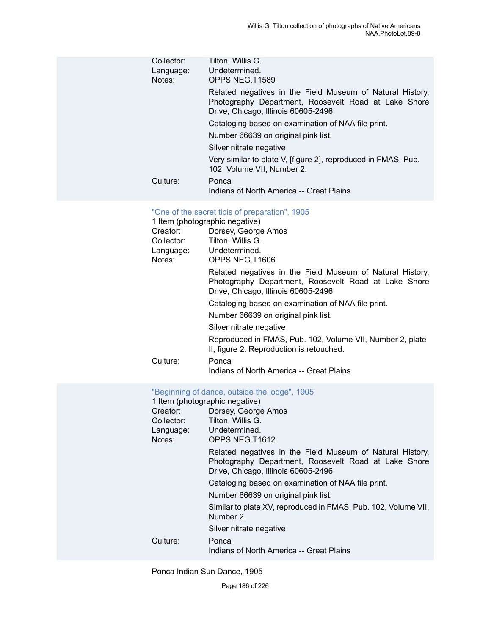| Collector:<br>Language:<br>Notes: | Tilton, Willis G.<br>Undetermined.<br>OPPS NEG.T1589                                                                                                     |
|-----------------------------------|----------------------------------------------------------------------------------------------------------------------------------------------------------|
|                                   | Related negatives in the Field Museum of Natural History,<br>Photography Department, Roosevelt Road at Lake Shore<br>Drive, Chicago, Illinois 60605-2496 |
|                                   | Cataloging based on examination of NAA file print.                                                                                                       |
|                                   | Number 66639 on original pink list.                                                                                                                      |
|                                   | Silver nitrate negative                                                                                                                                  |
|                                   | Very similar to plate V, [figure 2], reproduced in FMAS, Pub.<br>102, Volume VII, Number 2.                                                              |
| Culture:                          | Ponca<br>Indians of North America -- Great Plains                                                                                                        |

# ["One of the secret tipis of preparation", 1905](https://ids.si.edu/ids/deliveryService?id=NMNH-T1606-000001)

|            | 1 Item (photographic negative)                                                                                                                           |
|------------|----------------------------------------------------------------------------------------------------------------------------------------------------------|
| Creator:   | Dorsey, George Amos                                                                                                                                      |
| Collector: | Tilton, Willis G.                                                                                                                                        |
| Language:  | Undetermined.                                                                                                                                            |
| Notes:     | OPPS NEG.T1606                                                                                                                                           |
|            | Related negatives in the Field Museum of Natural History,<br>Photography Department, Roosevelt Road at Lake Shore<br>Drive, Chicago, Illinois 60605-2496 |
|            | Cataloging based on examination of NAA file print.                                                                                                       |
|            | Number 66639 on original pink list.                                                                                                                      |
|            | Silver nitrate negative                                                                                                                                  |
|            | Reproduced in FMAS, Pub. 102, Volume VII, Number 2, plate<br>II, figure 2. Reproduction is retouched.                                                    |
| Culture:   | Ponca                                                                                                                                                    |
|            | Indians of North America -- Great Plains                                                                                                                 |

#### ["Beginning of dance, outside the lodge", 1905](https://ids.si.edu/ids/deliveryService?id=NMNH-T1612-000001)

|            | 1 Item (photographic negative)                                                                                                                           |
|------------|----------------------------------------------------------------------------------------------------------------------------------------------------------|
| Creator:   | Dorsey, George Amos                                                                                                                                      |
| Collector: | Tilton, Willis G.                                                                                                                                        |
| Language:  | Undetermined.                                                                                                                                            |
| Notes:     | OPPS NEG.T1612                                                                                                                                           |
|            | Related negatives in the Field Museum of Natural History,<br>Photography Department, Roosevelt Road at Lake Shore<br>Drive, Chicago, Illinois 60605-2496 |
|            | Cataloging based on examination of NAA file print.                                                                                                       |
|            | Number 66639 on original pink list.                                                                                                                      |
|            | Similar to plate XV, reproduced in FMAS, Pub. 102, Volume VII,<br>Number 2.                                                                              |
|            | Silver nitrate negative                                                                                                                                  |
| Culture:   | Ponca                                                                                                                                                    |
|            | Indians of North America -- Great Plains                                                                                                                 |

Ponca Indian Sun Dance, 1905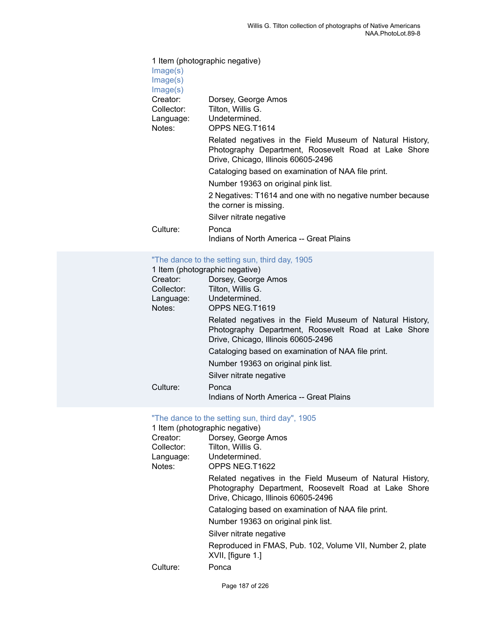| Image(s)                         | 1 Item (photographic negative)                                                                                                                           |
|----------------------------------|----------------------------------------------------------------------------------------------------------------------------------------------------------|
| Image(s)<br>Image(s)             |                                                                                                                                                          |
| Creator:<br>Collector:<br>Notes: | Dorsey, George Amos<br>Tilton, Willis G.<br>Language: Undetermined.<br>OPPS NEG.T1614                                                                    |
|                                  | Related negatives in the Field Museum of Natural History,<br>Photography Department, Roosevelt Road at Lake Shore<br>Drive, Chicago, Illinois 60605-2496 |
|                                  | Cataloging based on examination of NAA file print.                                                                                                       |
|                                  | Number 19363 on original pink list.                                                                                                                      |
|                                  | 2 Negatives: T1614 and one with no negative number because<br>the corner is missing.                                                                     |
|                                  | Silver nitrate negative                                                                                                                                  |
| Culture:                         | Ponca<br>Indians of North America -- Great Plains                                                                                                        |

## "The dance to the [setting](https://ids.si.edu/ids/deliveryService?id=NMNH-T1619-000001) sun, third day, 1905

| 1 Item (photographic negative) |                                                                                                                                                          |
|--------------------------------|----------------------------------------------------------------------------------------------------------------------------------------------------------|
| Creator:                       | Dorsey, George Amos                                                                                                                                      |
| Collector:                     | Tilton, Willis G.                                                                                                                                        |
| Language:                      | Undetermined.                                                                                                                                            |
| Notes:                         | OPPS NEG.T1619                                                                                                                                           |
|                                | Related negatives in the Field Museum of Natural History,<br>Photography Department, Roosevelt Road at Lake Shore<br>Drive, Chicago, Illinois 60605-2496 |
|                                | Cataloging based on examination of NAA file print.                                                                                                       |
|                                | Number 19363 on original pink list.                                                                                                                      |
|                                | Silver nitrate negative                                                                                                                                  |
| Culture:                       | Ponca<br>Indians of North America -- Great Plains                                                                                                        |

# ["The dance to the setting sun, third day", 1905](https://ids.si.edu/ids/deliveryService?id=NMNH-T1622-000001)

|            | 1 Item (photographic negative)                                                                                                                           |
|------------|----------------------------------------------------------------------------------------------------------------------------------------------------------|
| Creator:   | Dorsey, George Amos                                                                                                                                      |
| Collector: | Tilton, Willis G.                                                                                                                                        |
| Language:  | Undetermined.                                                                                                                                            |
| Notes:     | OPPS NEG.T1622                                                                                                                                           |
|            | Related negatives in the Field Museum of Natural History,<br>Photography Department, Roosevelt Road at Lake Shore<br>Drive, Chicago, Illinois 60605-2496 |
|            | Cataloging based on examination of NAA file print.                                                                                                       |
|            | Number 19363 on original pink list.                                                                                                                      |
|            | Silver nitrate negative                                                                                                                                  |
|            | Reproduced in FMAS, Pub. 102, Volume VII, Number 2, plate<br>XVII, [figure 1.]                                                                           |
| Culture:   | Ponca                                                                                                                                                    |
|            |                                                                                                                                                          |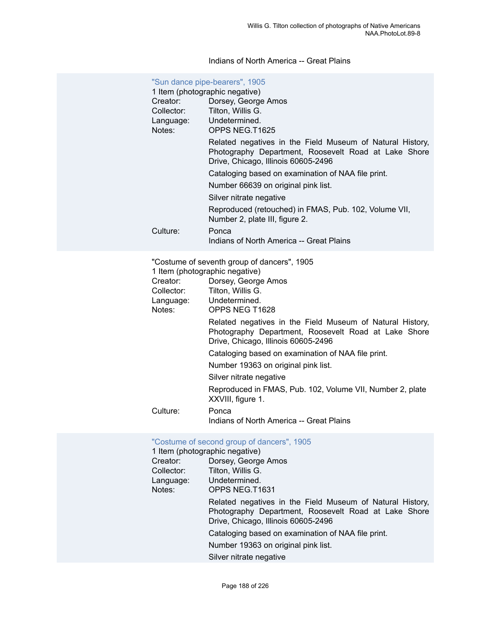# Indians of North America -- Great Plains

| Creator:<br>Collector:<br>Language:<br>Notes: | "Sun dance pipe-bearers", 1905<br>1 Item (photographic negative)<br>Dorsey, George Amos<br>Tilton, Willis G.<br>Undetermined.<br>OPPS NEG.T1625<br>Related negatives in the Field Museum of Natural History,<br>Photography Department, Roosevelt Road at Lake Shore<br>Drive, Chicago, Illinois 60605-2496<br>Cataloging based on examination of NAA file print.<br>Number 66639 on original pink list.<br>Silver nitrate negative<br>Reproduced (retouched) in FMAS, Pub. 102, Volume VII,                                       |
|-----------------------------------------------|------------------------------------------------------------------------------------------------------------------------------------------------------------------------------------------------------------------------------------------------------------------------------------------------------------------------------------------------------------------------------------------------------------------------------------------------------------------------------------------------------------------------------------|
| Culture:                                      | Number 2, plate III, figure 2.<br>Ponca<br>Indians of North America -- Great Plains                                                                                                                                                                                                                                                                                                                                                                                                                                                |
| Creator:<br>Collector:<br>Language:<br>Notes: | "Costume of seventh group of dancers", 1905<br>1 Item (photographic negative)<br>Dorsey, George Amos<br>Tilton, Willis G.<br>Undetermined.<br>OPPS NEG T1628<br>Related negatives in the Field Museum of Natural History,<br>Photography Department, Roosevelt Road at Lake Shore<br>Drive, Chicago, Illinois 60605-2496<br>Cataloging based on examination of NAA file print.<br>Number 19363 on original pink list.<br>Silver nitrate negative<br>Reproduced in FMAS, Pub. 102, Volume VII, Number 2, plate<br>XXVIII, figure 1. |
| Culture:                                      | Ponca<br>Indians of North America -- Great Plains                                                                                                                                                                                                                                                                                                                                                                                                                                                                                  |
|                                               | "Costume of second group of dancers", 1905<br>$1$ ltam (phatagraphia nogativa)                                                                                                                                                                                                                                                                                                                                                                                                                                                     |

|            | 1 Item (photographic negative)                                                                                                                           |
|------------|----------------------------------------------------------------------------------------------------------------------------------------------------------|
| Creator:   | Dorsey, George Amos                                                                                                                                      |
| Collector: | Tilton, Willis G.                                                                                                                                        |
| Language:  | Undetermined.                                                                                                                                            |
| Notes:     | OPPS NEG.T1631                                                                                                                                           |
|            | Related negatives in the Field Museum of Natural History,<br>Photography Department, Roosevelt Road at Lake Shore<br>Drive, Chicago, Illinois 60605-2496 |
|            | Cataloging based on examination of NAA file print.                                                                                                       |
|            | Number 19363 on original pink list.                                                                                                                      |
|            | Silver nitrate negative                                                                                                                                  |
|            |                                                                                                                                                          |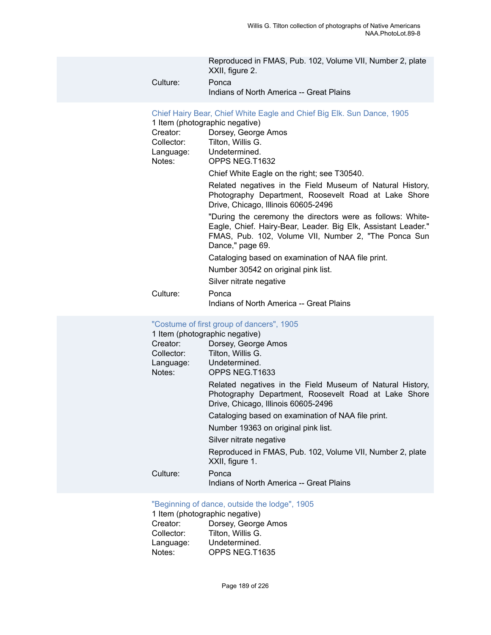|          | Reproduced in FMAS, Pub. 102, Volume VII, Number 2, plate<br>XXII, figure 2. |
|----------|------------------------------------------------------------------------------|
| Culture: | Ponca<br>Indians of North America -- Great Plains                            |

# Chief Hairy Bear, Chief White Eagle and Chief Big Elk. Sun [Dance,](https://ids.si.edu/ids/deliveryService?id=NMNH-T1632-000001) 1905

|            | $\frac{1}{2}$ . The state $\frac{1}{2}$ is the state of the state of the state $\frac{1}{2}$                                                                                                            |
|------------|---------------------------------------------------------------------------------------------------------------------------------------------------------------------------------------------------------|
|            | 1 Item (photographic negative)                                                                                                                                                                          |
| Creator:   | Dorsey, George Amos                                                                                                                                                                                     |
| Collector: | Tilton, Willis G.                                                                                                                                                                                       |
|            | Language: Undetermined.                                                                                                                                                                                 |
| Notes:     | OPPS NEG.T1632                                                                                                                                                                                          |
|            | Chief White Eagle on the right; see T30540.                                                                                                                                                             |
|            | Related negatives in the Field Museum of Natural History,<br>Photography Department, Roosevelt Road at Lake Shore<br>Drive, Chicago, Illinois 60605-2496                                                |
|            | "During the ceremony the directors were as follows: White-<br>Eagle, Chief. Hairy-Bear, Leader. Big Elk, Assistant Leader."<br>FMAS, Pub. 102, Volume VII, Number 2, "The Ponca Sun<br>Dance," page 69. |
|            | Cataloging based on examination of NAA file print.                                                                                                                                                      |
|            | Number 30542 on original pink list.                                                                                                                                                                     |
|            | Silver nitrate negative                                                                                                                                                                                 |
| Culture:   | Ponca                                                                                                                                                                                                   |
|            | Indians of North America -- Great Plains                                                                                                                                                                |

# ["Costume of first group of dancers", 1905](https://ids.si.edu/ids/deliveryService?id=NMNH-T1633-000001)

| 1 Item (photographic negative) |                                                                                                                                                          |
|--------------------------------|----------------------------------------------------------------------------------------------------------------------------------------------------------|
| Creator:                       | Dorsey, George Amos                                                                                                                                      |
| Collector:                     | Tilton, Willis G.                                                                                                                                        |
| Language:                      | Undetermined.                                                                                                                                            |
| Notes:                         | OPPS NEG.T1633                                                                                                                                           |
|                                | Related negatives in the Field Museum of Natural History,<br>Photography Department, Roosevelt Road at Lake Shore<br>Drive, Chicago, Illinois 60605-2496 |
|                                | Cataloging based on examination of NAA file print.                                                                                                       |
|                                | Number 19363 on original pink list.                                                                                                                      |
|                                | Silver nitrate negative                                                                                                                                  |
|                                | Reproduced in FMAS, Pub. 102, Volume VII, Number 2, plate<br>XXII, figure 1.                                                                             |
| Culture:                       | Ponca<br>Indians of North America -- Great Plains                                                                                                        |

# ["Beginning of dance, outside the lodge", 1905](https://ids.si.edu/ids/deliveryService?id=NMNH-T1635-000001)

1 Item (photographic negative)<br>Creator: Dorsey, George Creator: Dorsey, George Amos<br>Collector: Tilton, Willis G. Collector: Tilton, Willis G.<br>Language: Undetermined. Language: Undetermined.<br>Notes: OPPS NEG.T1 OPPS NEG.T1635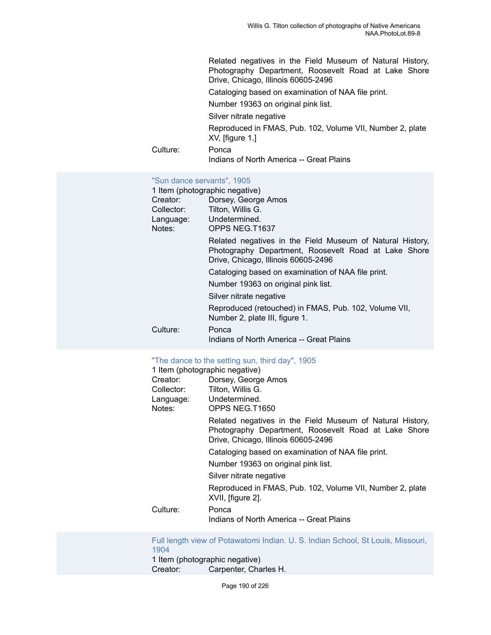Related negatives in the Field Museum of Natural History, Photography Department, Roosevelt Road at Lake Shore Drive, Chicago, Illinois 60605-2496

Cataloging based on examination of NAA file print.

Number 19363 on original pink list.

Silver nitrate negative

Reproduced in FMAS, Pub. 102, Volume VII, Number 2, plate XV, [figure 1.]

Culture: Ponca

Indians of North America -- Great Plains

# ["Sun dance servants", 1905](https://ids.si.edu/ids/deliveryService?id=NMNH-T1637-000001)

|            | 1 Item (photographic negative)                                                                                                                           |
|------------|----------------------------------------------------------------------------------------------------------------------------------------------------------|
| Creator:   | Dorsey, George Amos                                                                                                                                      |
| Collector: | Tilton, Willis G.                                                                                                                                        |
| Language:  | Undetermined.                                                                                                                                            |
| Notes:     | OPPS NEG.T1637                                                                                                                                           |
|            | Related negatives in the Field Museum of Natural History,<br>Photography Department, Roosevelt Road at Lake Shore<br>Drive, Chicago, Illinois 60605-2496 |
|            | Cataloging based on examination of NAA file print.                                                                                                       |
|            | Number 19363 on original pink list.                                                                                                                      |
|            | Silver nitrate negative                                                                                                                                  |
|            | Reproduced (retouched) in FMAS, Pub. 102, Volume VII,<br>Number 2, plate III, figure 1.                                                                  |
| Culture:   | Ponca                                                                                                                                                    |
|            | Indians of North America -- Great Plains                                                                                                                 |

# ["The dance to the setting sun, third day", 1905](https://ids.si.edu/ids/deliveryService?id=NMNH-T1650-000001)

1 Item (photographic negative)

| Creator:<br>Collector:<br>Language:<br>Notes: | Dorsey, George Amos<br>Tilton, Willis G.<br>Undetermined.<br>OPPS NEG.T1650                                                                              |
|-----------------------------------------------|----------------------------------------------------------------------------------------------------------------------------------------------------------|
|                                               | Related negatives in the Field Museum of Natural History,<br>Photography Department, Roosevelt Road at Lake Shore<br>Drive, Chicago, Illinois 60605-2496 |
|                                               | Cataloging based on examination of NAA file print.                                                                                                       |
|                                               | Number 19363 on original pink list.<br>Silver nitrate negative                                                                                           |
|                                               | Reproduced in FMAS, Pub. 102, Volume VII, Number 2, plate<br>XVII, [figure 2].                                                                           |
| Culture:                                      | Ponca<br>Indians of North America -- Great Plains                                                                                                        |

[Full length view of Potawatomi Indian. U. S. Indian School, St Louis, Missouri,](https://ids.si.edu/ids/deliveryService?id=NMNH-T15196-000001) [1904](https://ids.si.edu/ids/deliveryService?id=NMNH-T15196-000001) 1 Item (photographic negative)<br>Creator: Carpenter, Cha Carpenter, Charles H.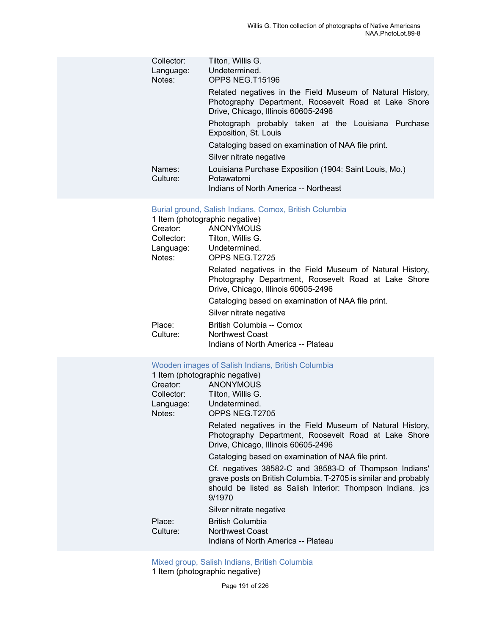| Collector:<br>Language:<br>Notes: | Tilton, Willis G.<br>Undetermined.<br>OPPS NEG.T15196                                                                                                    |
|-----------------------------------|----------------------------------------------------------------------------------------------------------------------------------------------------------|
|                                   | Related negatives in the Field Museum of Natural History,<br>Photography Department, Roosevelt Road at Lake Shore<br>Drive, Chicago, Illinois 60605-2496 |
|                                   | Photograph probably taken at the Louisiana Purchase<br>Exposition, St. Louis                                                                             |
|                                   | Cataloging based on examination of NAA file print.                                                                                                       |
|                                   | Silver nitrate negative                                                                                                                                  |
| Names:<br>Culture:                | Louisiana Purchase Exposition (1904: Saint Louis, Mo.)<br>Potawatomi<br>Indians of North America -- Northeast                                            |

# [Burial ground, Salish Indians, Comox, British Columbia](https://ids.si.edu/ids/deliveryService?id=NMNH-T2725-000001)

|            | 1 Item (photographic negative)                                                                                                                           |
|------------|----------------------------------------------------------------------------------------------------------------------------------------------------------|
| Creator:   | ANONYMOUS                                                                                                                                                |
| Collector: | Tilton, Willis G.                                                                                                                                        |
|            | Language: Undetermined.                                                                                                                                  |
| Notes:     | OPPS NEG.T2725                                                                                                                                           |
|            | Related negatives in the Field Museum of Natural History,<br>Photography Department, Roosevelt Road at Lake Shore<br>Drive, Chicago, Illinois 60605-2496 |
|            | Cataloging based on examination of NAA file print.                                                                                                       |
|            | Silver nitrate negative                                                                                                                                  |
| Place:     | British Columbia -- Comox                                                                                                                                |
| Culture:   | Northwest Coast                                                                                                                                          |
|            | Indians of North America -- Plateau                                                                                                                      |

# Wooden images of Salish Indians, British [Columbia](https://ids.si.edu/ids/deliveryService?id=NMNH-T2705-000001)

| 1 Item (photographic negative) |                                                                                                                                                                                                   |
|--------------------------------|---------------------------------------------------------------------------------------------------------------------------------------------------------------------------------------------------|
| Creator:                       | ANONYMOUS                                                                                                                                                                                         |
| Collector:                     | Tilton, Willis G.                                                                                                                                                                                 |
|                                | Language: Undetermined.                                                                                                                                                                           |
| Notes:                         | OPPS NEG.T2705                                                                                                                                                                                    |
|                                | Related negatives in the Field Museum of Natural History,<br>Photography Department, Roosevelt Road at Lake Shore<br>Drive, Chicago, Illinois 60605-2496                                          |
|                                | Cataloging based on examination of NAA file print.                                                                                                                                                |
|                                | Cf. negatives 38582-C and 38583-D of Thompson Indians'<br>grave posts on British Columbia. T-2705 is similar and probably<br>should be listed as Salish Interior: Thompson Indians. jcs<br>9/1970 |
|                                | Silver nitrate negative                                                                                                                                                                           |
| Place:                         | <b>British Columbia</b>                                                                                                                                                                           |
| Culture:                       | <b>Northwest Coast</b>                                                                                                                                                                            |
|                                | Indians of North America -- Plateau                                                                                                                                                               |

[Mixed group, Salish Indians, British Columbia](https://ids.si.edu/ids/deliveryService?id=NMNH-T2706-000001)

1 Item (photographic negative)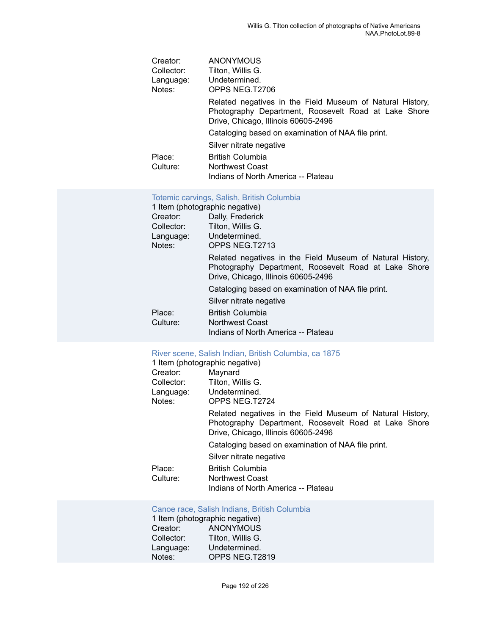| Creator:   | <b>ANONYMOUS</b>                                                                                                                                         |
|------------|----------------------------------------------------------------------------------------------------------------------------------------------------------|
| Collector: | Tilton, Willis G.                                                                                                                                        |
| Language:  | Undetermined.                                                                                                                                            |
| Notes:     | OPPS NEG.T2706                                                                                                                                           |
|            | Related negatives in the Field Museum of Natural History,<br>Photography Department, Roosevelt Road at Lake Shore<br>Drive, Chicago, Illinois 60605-2496 |
|            | Cataloging based on examination of NAA file print.                                                                                                       |
|            | Silver nitrate negative                                                                                                                                  |
| Place:     | <b>British Columbia</b>                                                                                                                                  |
| Culture:   | Northwest Coast                                                                                                                                          |
|            | Indians of North America -- Plateau                                                                                                                      |

# Totemic carvings, Salish, British [Columbia](https://ids.si.edu/ids/deliveryService?id=NMNH-T2713-000001)

|            | 1 Item (photographic negative)                                                                                                                           |
|------------|----------------------------------------------------------------------------------------------------------------------------------------------------------|
| Creator:   | Dally, Frederick                                                                                                                                         |
| Collector: | Tilton, Willis G.                                                                                                                                        |
| Language:  | Undetermined.                                                                                                                                            |
| Notes:     | OPPS NEG.T2713                                                                                                                                           |
|            | Related negatives in the Field Museum of Natural History,<br>Photography Department, Roosevelt Road at Lake Shore<br>Drive, Chicago, Illinois 60605-2496 |
|            | Cataloging based on examination of NAA file print.                                                                                                       |
|            | Silver nitrate negative                                                                                                                                  |
| Place:     | <b>British Columbia</b>                                                                                                                                  |
| Culture:   | <b>Northwest Coast</b>                                                                                                                                   |
|            | Indians of North America -- Plateau                                                                                                                      |

# [River scene, Salish Indian, British Columbia, ca 1875](https://ids.si.edu/ids/deliveryService?id=NMNH-T2724-000001)

| 1 Item (photographic negative) |                                                                                                                                                          |
|--------------------------------|----------------------------------------------------------------------------------------------------------------------------------------------------------|
| Creator:                       | Maynard                                                                                                                                                  |
| Collector:                     | Tilton, Willis G.                                                                                                                                        |
| Language: Undetermined.        |                                                                                                                                                          |
| Notes:                         | OPPS NEG.T2724                                                                                                                                           |
|                                | Related negatives in the Field Museum of Natural History,<br>Photography Department, Roosevelt Road at Lake Shore<br>Drive, Chicago, Illinois 60605-2496 |
|                                | Cataloging based on examination of NAA file print.                                                                                                       |
|                                | Silver nitrate negative                                                                                                                                  |
| Place:                         | <b>British Columbia</b>                                                                                                                                  |
| Culture:                       | Northwest Coast                                                                                                                                          |
|                                | Indians of North America -- Plateau                                                                                                                      |

## [Canoe race, Salish Indians, British Columbia](https://ids.si.edu/ids/deliveryService?id=NMNH-T2819-000001)

|            | 1 Item (photographic negative) |
|------------|--------------------------------|
| Creator:   | <b>ANONYMOUS</b>               |
| Collector: | Tilton, Willis G.              |
| Language:  | Undetermined.                  |
| Notes:     | OPPS NEG.T2819                 |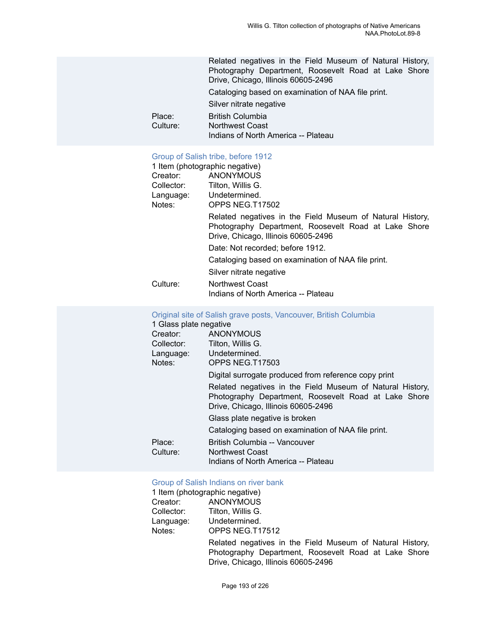Related negatives in the Field Museum of Natural History, Photography Department, Roosevelt Road at Lake Shore Drive, Chicago, Illinois 60605-2496 Cataloging based on examination of NAA file print. Silver nitrate negative Place: British Columbia<br>
Culture: Northwest Coast Northwest Coast Indians of North America -- Plateau

## [Group of Salish tribe, before 1912](https://ids.si.edu/ids/deliveryService?id=NMNH-T17502-000001)

|            | 1 Item (photographic negative)                                                                                                                           |
|------------|----------------------------------------------------------------------------------------------------------------------------------------------------------|
| Creator:   | ANONYMOUS                                                                                                                                                |
| Collector: | Tilton. Willis G.                                                                                                                                        |
| Language:  | Undetermined.                                                                                                                                            |
| Notes:     | OPPS NEG.T17502                                                                                                                                          |
|            | Related negatives in the Field Museum of Natural History,<br>Photography Department, Roosevelt Road at Lake Shore<br>Drive, Chicago, Illinois 60605-2496 |
|            | Date: Not recorded: before 1912.                                                                                                                         |
|            | Cataloging based on examination of NAA file print.                                                                                                       |
|            | Silver nitrate negative                                                                                                                                  |
| Culture:   | Northwest Coast                                                                                                                                          |
|            | Indians of North America -- Plateau                                                                                                                      |

# Original site of Salish grave posts, [Vancouver,](https://ids.si.edu/ids/deliveryService?id=NMNH-T17503-000001) British Columbia

| 1 Glass plate negative |                                                           |
|------------------------|-----------------------------------------------------------|
| Creator:               | <b>ANONYMOUS</b>                                          |
| Collector:             | Tilton, Willis G.                                         |
|                        | Language: Undetermined.                                   |
| Notes:                 | OPPS NEG.T17503                                           |
|                        | Digital surrogate produced from reference copy print      |
|                        | Related negatives in the Field Museum of Natural History, |
|                        | Photography Department, Roosevelt Road at Lake Shore      |
|                        | Drive, Chicago, Illinois 60605-2496                       |
|                        | Glass plate negative is broken                            |
|                        | Cataloging based on examination of NAA file print.        |
| Place:                 | British Columbia -- Vancouver                             |
| Culture:               | <b>Northwest Coast</b>                                    |
|                        | Indians of North America -- Plateau                       |
|                        |                                                           |

#### [Group of Salish Indians on river bank](https://ids.si.edu/ids/deliveryService?id=NMNH-T17512-000001)

| 1 Item (photographic negative) |                   |  |
|--------------------------------|-------------------|--|
| Creator:                       | <b>ANONYMOUS</b>  |  |
| Collector:                     | Tilton, Willis G. |  |
| Language:                      | Undetermined.     |  |
| Notes:                         | OPPS NEG.T17512   |  |
|                                |                   |  |

Related negatives in the Field Museum of Natural History, Photography Department, Roosevelt Road at Lake Shore Drive, Chicago, Illinois 60605-2496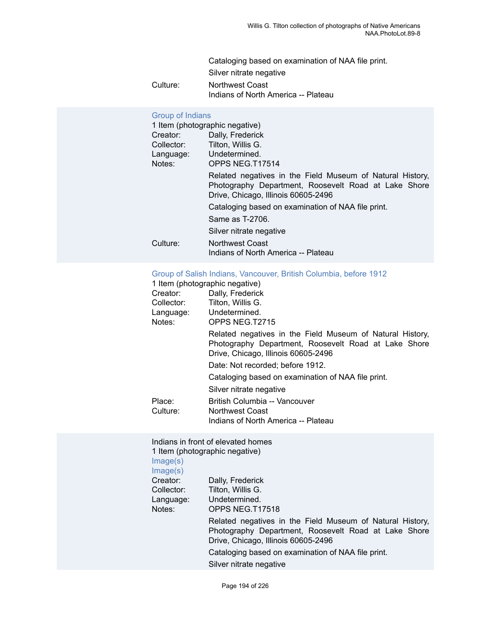Cataloging based on examination of NAA file print. Silver nitrate negative Culture: Northwest Coast Indians of North America -- Plateau

# [Group of Indians](https://ids.si.edu/ids/deliveryService?id=NMNH-T17514-000001)

|            | 1 Item (photographic negative)                                                                                                                           |
|------------|----------------------------------------------------------------------------------------------------------------------------------------------------------|
| Creator:   | Dally, Frederick                                                                                                                                         |
| Collector: | Tilton, Willis G.                                                                                                                                        |
| Language:  | Undetermined.                                                                                                                                            |
| Notes:     | OPPS NEG.T17514                                                                                                                                          |
|            | Related negatives in the Field Museum of Natural History,<br>Photography Department, Roosevelt Road at Lake Shore<br>Drive, Chicago, Illinois 60605-2496 |
|            | Cataloging based on examination of NAA file print.                                                                                                       |
|            | Same as T-2706.                                                                                                                                          |
|            | Silver nitrate negative                                                                                                                                  |
| Culture:   | Northwest Coast                                                                                                                                          |
|            | Indians of North America -- Plateau                                                                                                                      |

# Group of Salish Indians, [Vancouver,](https://ids.si.edu/ids/deliveryService?id=NMNH-T2715-000001) British Columbia, before 1912

|            | 1 Item (photographic negative)                                                                                                                           |
|------------|----------------------------------------------------------------------------------------------------------------------------------------------------------|
| Creator:   | Dally, Frederick                                                                                                                                         |
| Collector: | Tilton, Willis G.                                                                                                                                        |
|            | Language: Undetermined.                                                                                                                                  |
| Notes:     | OPPS NEG.T2715                                                                                                                                           |
|            | Related negatives in the Field Museum of Natural History,<br>Photography Department, Roosevelt Road at Lake Shore<br>Drive, Chicago, Illinois 60605-2496 |
|            | Date: Not recorded; before 1912.                                                                                                                         |
|            | Cataloging based on examination of NAA file print.                                                                                                       |
|            | Silver nitrate negative                                                                                                                                  |
| Place:     | British Columbia -- Vancouver                                                                                                                            |
| Culture:   | Northwest Coast                                                                                                                                          |
|            | Indians of North America -- Plateau                                                                                                                      |

Indians in front of elevated homes 1 Item (photographic negative)

[Image\(s\)](https://ids.si.edu/ids/deliveryService?id=NMNH-T17518-000001)  $Image(s)$ 

| $m$ $u$ $g$ $v$ $v$ |                                                                                                                                                          |
|---------------------|----------------------------------------------------------------------------------------------------------------------------------------------------------|
| Creator:            | Dally, Frederick                                                                                                                                         |
| Collector:          | Tilton, Willis G.                                                                                                                                        |
| Language:           | Undetermined.                                                                                                                                            |
| Notes:              | OPPS NEG.T17518                                                                                                                                          |
|                     | Related negatives in the Field Museum of Natural History,<br>Photography Department, Roosevelt Road at Lake Shore<br>Drive, Chicago, Illinois 60605-2496 |
|                     | Cataloging based on examination of NAA file print.                                                                                                       |
|                     | Silver nitrate negative                                                                                                                                  |
|                     |                                                                                                                                                          |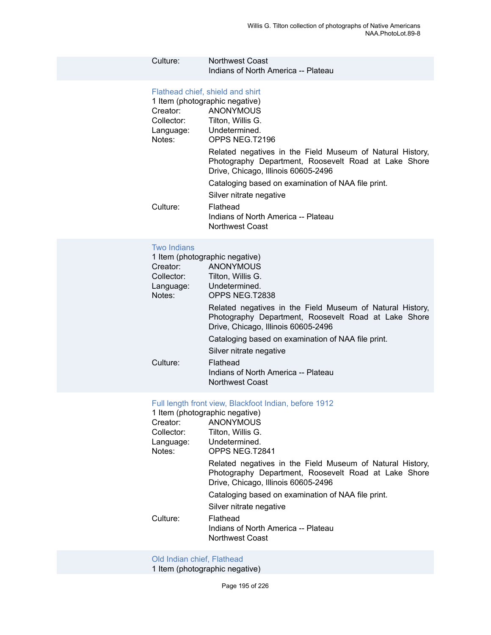# Culture: Northwest Coast Indians of North America -- Plateau

# [Flathead chief, shield and shirt](https://ids.si.edu/ids/deliveryService?id=NMNH-T2196-000001)

| 1 Item (photographic negative)                                                                                                                           |
|----------------------------------------------------------------------------------------------------------------------------------------------------------|
| ANONYMOUS                                                                                                                                                |
| Tilton, Willis G.                                                                                                                                        |
| Language: Undetermined.                                                                                                                                  |
| OPPS NEG.T2196                                                                                                                                           |
| Related negatives in the Field Museum of Natural History,<br>Photography Department, Roosevelt Road at Lake Shore<br>Drive, Chicago, Illinois 60605-2496 |
| Cataloging based on examination of NAA file print.                                                                                                       |
| Silver nitrate negative                                                                                                                                  |
| Flathead                                                                                                                                                 |
| Indians of North America -- Plateau                                                                                                                      |
| Northwest Coast                                                                                                                                          |
|                                                                                                                                                          |

#### Two [Indians](https://ids.si.edu/ids/deliveryService?id=NMNH-T2838-000001)

| Creator:<br>Collector:<br>Language:<br>Notes: | 1 Item (photographic negative)<br>ANONYMOUS<br>Tilton, Willis G.<br>Undetermined.<br>OPPS NEG.T2838                                                      |
|-----------------------------------------------|----------------------------------------------------------------------------------------------------------------------------------------------------------|
|                                               | Related negatives in the Field Museum of Natural History,<br>Photography Department, Roosevelt Road at Lake Shore<br>Drive, Chicago, Illinois 60605-2496 |
|                                               | Cataloging based on examination of NAA file print.                                                                                                       |
|                                               | Silver nitrate negative                                                                                                                                  |
| Culture:                                      | Flathead<br>Indians of North America -- Plateau<br><b>Northwest Coast</b>                                                                                |

# Full length front view, [Blackfoot](https://ids.si.edu/ids/deliveryService?id=NMNH-T2841-000001) Indian, before 1912

| 1 Item (photographic negative) |                                                                                                                                                          |
|--------------------------------|----------------------------------------------------------------------------------------------------------------------------------------------------------|
| Creator:                       | ANONYMOUS                                                                                                                                                |
| Collector:                     | Tilton, Willis G.                                                                                                                                        |
|                                | Language: Undetermined.                                                                                                                                  |
| Notes:                         | OPPS NEG.T2841                                                                                                                                           |
|                                | Related negatives in the Field Museum of Natural History,<br>Photography Department, Roosevelt Road at Lake Shore<br>Drive, Chicago, Illinois 60605-2496 |
|                                | Cataloging based on examination of NAA file print.                                                                                                       |
|                                | Silver nitrate negative                                                                                                                                  |
| Culture:                       | Flathead<br>Indians of North America -- Plateau<br>Northwest Coast                                                                                       |
|                                |                                                                                                                                                          |

#### [Old Indian chief, Flathead](https://ids.si.edu/ids/deliveryService?id=NMNH-T2895-000001)

1 Item (photographic negative)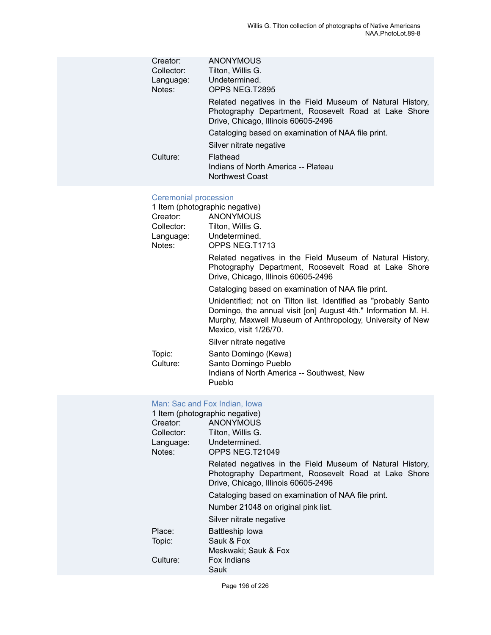| Creator:   | <b>ANONYMOUS</b>                                                                                                                                         |
|------------|----------------------------------------------------------------------------------------------------------------------------------------------------------|
| Collector: | Tilton, Willis G.                                                                                                                                        |
| Language:  | Undetermined.                                                                                                                                            |
| Notes:     | OPPS NEG.T2895                                                                                                                                           |
|            | Related negatives in the Field Museum of Natural History,<br>Photography Department, Roosevelt Road at Lake Shore<br>Drive, Chicago, Illinois 60605-2496 |
|            | Cataloging based on examination of NAA file print.                                                                                                       |
|            | Silver nitrate negative                                                                                                                                  |
| Culture:   | Flathead<br>Indians of North America -- Plateau<br><b>Northwest Coast</b>                                                                                |
|            |                                                                                                                                                          |

# [Ceremonial procession](https://ids.si.edu/ids/deliveryService?id=NMNH-T1713-000001)

|            | 1 Item (photographic negative)                                                                                                                                                                                           |
|------------|--------------------------------------------------------------------------------------------------------------------------------------------------------------------------------------------------------------------------|
| Creator:   | ANONYMOUS                                                                                                                                                                                                                |
| Collector: | Tilton, Willis G.                                                                                                                                                                                                        |
| Language:  | Undetermined.                                                                                                                                                                                                            |
| Notes:     | OPPS NEG.T1713                                                                                                                                                                                                           |
|            | Related negatives in the Field Museum of Natural History,<br>Photography Department, Roosevelt Road at Lake Shore<br>Drive, Chicago, Illinois 60605-2496                                                                 |
|            | Cataloging based on examination of NAA file print.                                                                                                                                                                       |
|            | Unidentified; not on Tilton list. Identified as "probably Santo"<br>Domingo, the annual visit [on] August 4th." Information M. H.<br>Murphy, Maxwell Museum of Anthropology, University of New<br>Mexico, visit 1/26/70. |
|            | Silver nitrate negative                                                                                                                                                                                                  |
| Topic:     | Santo Domingo (Kewa)                                                                                                                                                                                                     |
| Culture:   | Santo Domingo Pueblo                                                                                                                                                                                                     |
|            | Indians of North America -- Southwest, New<br>Pueblo                                                                                                                                                                     |

# [Man: Sac and Fox Indian, Iowa](https://ids.si.edu/ids/deliveryService?id=NMNH-T21049-000001)

| 1 Item (photographic negative) |                                                                                                                                                          |  |
|--------------------------------|----------------------------------------------------------------------------------------------------------------------------------------------------------|--|
| Creator:                       | <b>ANONYMOUS</b>                                                                                                                                         |  |
| Collector:                     | Tilton, Willis G.                                                                                                                                        |  |
| Language:                      | Undetermined.                                                                                                                                            |  |
| Notes:                         | OPPS NEG.T21049                                                                                                                                          |  |
|                                | Related negatives in the Field Museum of Natural History,<br>Photography Department, Roosevelt Road at Lake Shore<br>Drive, Chicago, Illinois 60605-2496 |  |
|                                | Cataloging based on examination of NAA file print.                                                                                                       |  |
|                                | Number 21048 on original pink list.                                                                                                                      |  |
|                                | Silver nitrate negative                                                                                                                                  |  |
| Place:                         | Battleship Iowa                                                                                                                                          |  |
| Topic:                         | Sauk & Fox                                                                                                                                               |  |
|                                | Meskwaki; Sauk & Fox                                                                                                                                     |  |
| Culture:                       | Fox Indians                                                                                                                                              |  |
|                                | Sauk                                                                                                                                                     |  |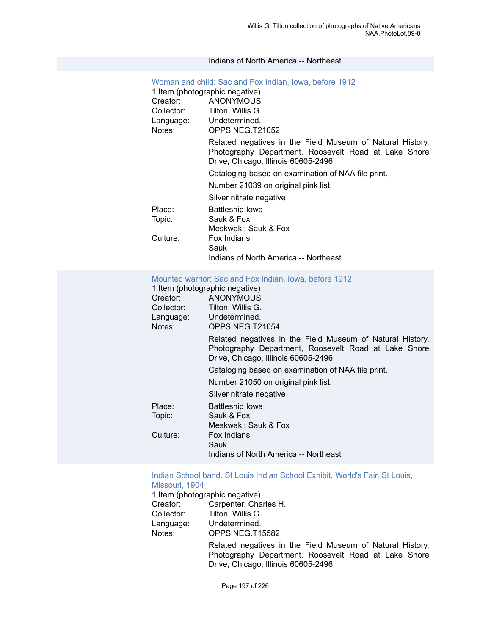#### Indians of North America -- Northeast

| Woman and child: Sac and Fox Indian, Iowa, before 1912 |                                                                                                                                                          |
|--------------------------------------------------------|----------------------------------------------------------------------------------------------------------------------------------------------------------|
| 1 Item (photographic negative)                         |                                                                                                                                                          |
| Creator:                                               | <b>ANONYMOUS</b>                                                                                                                                         |
| Collector:                                             | Tilton, Willis G.                                                                                                                                        |
| Language: Undetermined.                                |                                                                                                                                                          |
| Notes:                                                 | OPPS NEG.T21052                                                                                                                                          |
|                                                        | Related negatives in the Field Museum of Natural History,<br>Photography Department, Roosevelt Road at Lake Shore<br>Drive, Chicago, Illinois 60605-2496 |
|                                                        | Cataloging based on examination of NAA file print.                                                                                                       |
|                                                        | Number 21039 on original pink list.                                                                                                                      |
|                                                        | Silver nitrate negative                                                                                                                                  |
| Place:                                                 | Battleship Iowa                                                                                                                                          |
| Topic:                                                 | Sauk & Fox                                                                                                                                               |
|                                                        | Meskwaki; Sauk & Fox                                                                                                                                     |
| Culture:                                               | Fox Indians                                                                                                                                              |
|                                                        | Sauk                                                                                                                                                     |
|                                                        | Indians of North America -- Northeast                                                                                                                    |

#### [Mounted warrior: Sac and Fox Indian, Iowa, before 1912](https://ids.si.edu/ids/deliveryService?id=NMNH-T21054-000001)

| 1 Item (photographic negative)                                                                                                                           |
|----------------------------------------------------------------------------------------------------------------------------------------------------------|
| ANONYMOUS                                                                                                                                                |
| Tilton, Willis G.                                                                                                                                        |
| Language: Undetermined.                                                                                                                                  |
| OPPS NEG.T21054                                                                                                                                          |
| Related negatives in the Field Museum of Natural History,<br>Photography Department, Roosevelt Road at Lake Shore<br>Drive, Chicago, Illinois 60605-2496 |
| Cataloging based on examination of NAA file print.                                                                                                       |
| Number 21050 on original pink list.                                                                                                                      |
| Silver nitrate negative                                                                                                                                  |
| <b>Battleship lowa</b>                                                                                                                                   |
| Sauk & Fox                                                                                                                                               |
| Meskwaki; Sauk & Fox                                                                                                                                     |
| Fox Indians                                                                                                                                              |
| Sauk                                                                                                                                                     |
| Indians of North America -- Northeast                                                                                                                    |
|                                                                                                                                                          |

#### Indian School band. St Louis Indian School Exhibit, [World's](https://ids.si.edu/ids/deliveryService?id=NMNH-T15582-000001) Fair, St Louis, [Missouri, 1904](https://ids.si.edu/ids/deliveryService?id=NMNH-T15582-000001)

1 Item (photographic negative)

| Creator:            | Carpenter, Charles H.                                                                                                                                    |
|---------------------|----------------------------------------------------------------------------------------------------------------------------------------------------------|
| Collector:          | Tilton, Willis G.                                                                                                                                        |
| Language:<br>Notes: | Undetermined.<br>OPPS NEG.T15582                                                                                                                         |
|                     | Related negatives in the Field Museum of Natural History,<br>Photography Department, Roosevelt Road at Lake Shore<br>Drive, Chicago, Illinois 60605-2496 |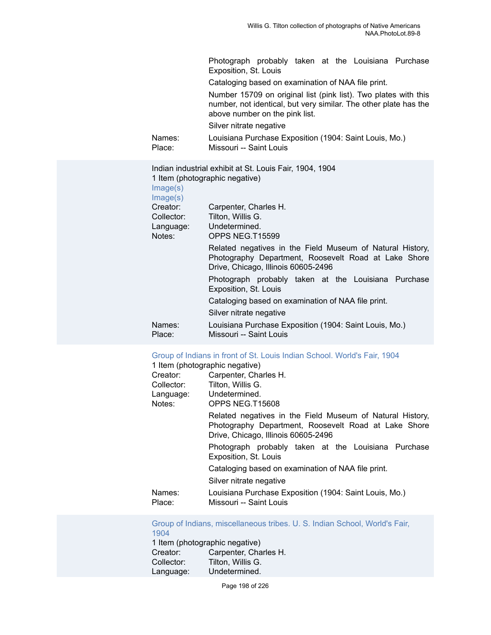|                  | Photograph probably taken at the Louisiana Purchase<br>Exposition, St. Louis                                                                                          |
|------------------|-----------------------------------------------------------------------------------------------------------------------------------------------------------------------|
|                  | Cataloging based on examination of NAA file print.                                                                                                                    |
|                  | Number 15709 on original list (pink list). Two plates with this<br>number, not identical, but very similar. The other plate has the<br>above number on the pink list. |
|                  | Silver nitrate negative                                                                                                                                               |
| Names:<br>Place: | Louisiana Purchase Exposition (1904: Saint Louis, Mo.)<br>Missouri -- Saint Louis                                                                                     |
|                  |                                                                                                                                                                       |

| Image(s)<br>Image(s) | Indian industrial exhibit at St. Louis Fair, 1904, 1904<br>1 Item (photographic negative)                                                                |
|----------------------|----------------------------------------------------------------------------------------------------------------------------------------------------------|
| Creator:             | Carpenter, Charles H.                                                                                                                                    |
| Collector:           | Tilton, Willis G.                                                                                                                                        |
| Language:            | Undetermined.                                                                                                                                            |
| Notes:               | OPPS NEG.T15599                                                                                                                                          |
|                      | Related negatives in the Field Museum of Natural History,<br>Photography Department, Roosevelt Road at Lake Shore<br>Drive, Chicago, Illinois 60605-2496 |
|                      | Photograph probably taken at the Louisiana Purchase<br>Exposition, St. Louis                                                                             |
|                      | Cataloging based on examination of NAA file print.                                                                                                       |
|                      | Silver nitrate negative                                                                                                                                  |
| Names:<br>Place:     | Louisiana Purchase Exposition (1904: Saint Louis, Mo.)<br>Missouri -- Saint Louis                                                                        |
|                      |                                                                                                                                                          |

# Group of Indians in front of St. Louis Indian [School.](https://ids.si.edu/ids/deliveryService?id=NMNH-T15608-000001) World's Fair, 1904

|                  | 1 Item (photographic negative)                                                                                                                           |
|------------------|----------------------------------------------------------------------------------------------------------------------------------------------------------|
| Creator:         | Carpenter, Charles H.                                                                                                                                    |
| Collector:       | Tilton, Willis G.                                                                                                                                        |
| Language:        | Undetermined.                                                                                                                                            |
| Notes:           | OPPS NEG.T15608                                                                                                                                          |
|                  | Related negatives in the Field Museum of Natural History,<br>Photography Department, Roosevelt Road at Lake Shore<br>Drive, Chicago, Illinois 60605-2496 |
|                  | Photograph probably taken at the Louisiana Purchase<br>Exposition, St. Louis                                                                             |
|                  | Cataloging based on examination of NAA file print.                                                                                                       |
|                  | Silver nitrate negative                                                                                                                                  |
| Names:<br>Place: | Louisiana Purchase Exposition (1904: Saint Louis, Mo.)<br>Missouri -- Saint Louis                                                                        |

Group of Indians, [miscellaneous](https://ids.si.edu/ids/deliveryService?id=NMNH-T15615-000001) tribes. U. S. Indian School, World's Fair, [1904](https://ids.si.edu/ids/deliveryService?id=NMNH-T15615-000001)<sup>1</sup><br>1 Item

| 1 Item (photographic negative) |
|--------------------------------|
| Carpenter, Charles H.          |
| Tilton, Willis G.              |
| Undetermined.                  |
|                                |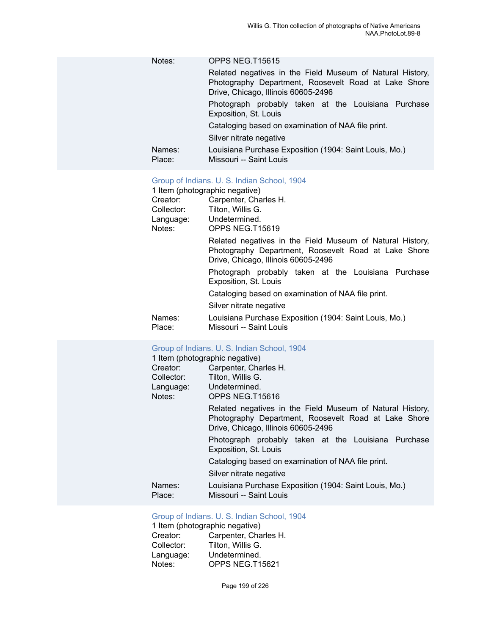| Notes:           | OPPS NEG.T15615                                                                                                                                          |
|------------------|----------------------------------------------------------------------------------------------------------------------------------------------------------|
|                  | Related negatives in the Field Museum of Natural History,<br>Photography Department, Roosevelt Road at Lake Shore<br>Drive, Chicago, Illinois 60605-2496 |
|                  | Photograph probably taken at the Louisiana Purchase<br>Exposition, St. Louis                                                                             |
|                  | Cataloging based on examination of NAA file print.                                                                                                       |
|                  | Silver nitrate negative                                                                                                                                  |
| Names:<br>Place: | Louisiana Purchase Exposition (1904: Saint Louis, Mo.)<br>Missouri -- Saint Louis                                                                        |

# [Group of Indians. U. S. Indian School, 1904](https://ids.si.edu/ids/deliveryService?id=NMNH-T15619-000001)

|                  | 1 Item (photographic negative)                                                                                                                           |
|------------------|----------------------------------------------------------------------------------------------------------------------------------------------------------|
| Creator:         | Carpenter, Charles H.                                                                                                                                    |
| Collector:       | Tilton, Willis G.                                                                                                                                        |
| Language:        | Undetermined.                                                                                                                                            |
| Notes:           | OPPS NEG.T15619                                                                                                                                          |
|                  | Related negatives in the Field Museum of Natural History,<br>Photography Department, Roosevelt Road at Lake Shore<br>Drive, Chicago, Illinois 60605-2496 |
|                  | Photograph probably taken at the Louisiana Purchase<br>Exposition, St. Louis                                                                             |
|                  | Cataloging based on examination of NAA file print.                                                                                                       |
|                  | Silver nitrate negative                                                                                                                                  |
| Names:<br>Place: | Louisiana Purchase Exposition (1904: Saint Louis, Mo.)<br>Missouri -- Saint Louis                                                                        |

# [Group of Indians. U. S. Indian School, 1904](https://ids.si.edu/ids/deliveryService?id=NMNH-T15616-000001)

|                  | 1 Item (photographic negative)                                                                                                                           |
|------------------|----------------------------------------------------------------------------------------------------------------------------------------------------------|
| Creator:         | Carpenter, Charles H.                                                                                                                                    |
| Collector:       | Tilton, Willis G.                                                                                                                                        |
| Language:        | Undetermined.                                                                                                                                            |
| Notes:           | OPPS NEG.T15616                                                                                                                                          |
|                  | Related negatives in the Field Museum of Natural History,<br>Photography Department, Roosevelt Road at Lake Shore<br>Drive, Chicago, Illinois 60605-2496 |
|                  | Photograph probably taken at the Louisiana Purchase<br>Exposition, St. Louis                                                                             |
|                  | Cataloging based on examination of NAA file print.                                                                                                       |
|                  | Silver nitrate negative                                                                                                                                  |
| Names:<br>Place: | Louisiana Purchase Exposition (1904: Saint Louis, Mo.)<br>Missouri -- Saint Louis                                                                        |
|                  |                                                                                                                                                          |

# [Group of Indians. U. S. Indian School, 1904](https://ids.si.edu/ids/deliveryService?id=NMNH-T15621-000001)

1 Item (photographic negative)<br>Creator: Carpenter, Cha Creator: Carpenter, Charles H.<br>Collector: Tilton, Willis G. Tilton, Willis G. Language: Undetermined.<br>Notes: OPPS NEG.T1 OPPS NEG.T15621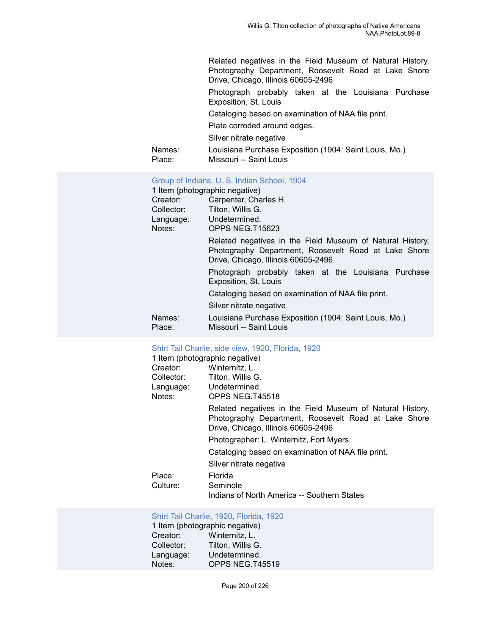Related negatives in the Field Museum of Natural History, Photography Department, Roosevelt Road at Lake Shore Drive, Chicago, Illinois 60605-2496 Photograph probably taken at the Louisiana Purchase Exposition, St. Louis Cataloging based on examination of NAA file print.

Plate corroded around edges.

Silver nitrate negative

| Names: | Louisiana Purchase Exposition (1904: Saint Louis, Mo.) |
|--------|--------------------------------------------------------|
| Place: | Missouri -- Saint Louis                                |

## [Group of Indians. U. S. Indian School, 1904](https://ids.si.edu/ids/deliveryService?id=NMNH-T15623-000001)

| 1 Item (photographic negative) |                                                                                                                                                          |
|--------------------------------|----------------------------------------------------------------------------------------------------------------------------------------------------------|
| Creator:                       | Carpenter, Charles H.                                                                                                                                    |
| Collector:                     | Tilton, Willis G.                                                                                                                                        |
| Language:                      | Undetermined.                                                                                                                                            |
| Notes:                         | OPPS NEG.T15623                                                                                                                                          |
|                                | Related negatives in the Field Museum of Natural History,<br>Photography Department, Roosevelt Road at Lake Shore<br>Drive, Chicago, Illinois 60605-2496 |
|                                | Photograph probably taken at the Louisiana Purchase<br>Exposition, St. Louis                                                                             |
|                                | Cataloging based on examination of NAA file print.                                                                                                       |
|                                | Silver nitrate negative                                                                                                                                  |
| Names:<br>Place:               | Louisiana Purchase Exposition (1904: Saint Louis, Mo.)<br>Missouri -- Saint Louis                                                                        |

# Shirt Tail [Charlie,](https://ids.si.edu/ids/deliveryService?id=NMNH-T45518-000001) side view, 1920, Florida, 1920

|            | 1 Item (photographic negative)                                                                                                                           |
|------------|----------------------------------------------------------------------------------------------------------------------------------------------------------|
| Creator:   | Winternitz, L.                                                                                                                                           |
| Collector: | Tilton. Willis G.                                                                                                                                        |
| Language:  | Undetermined.                                                                                                                                            |
| Notes:     | OPPS NEG.T45518                                                                                                                                          |
|            | Related negatives in the Field Museum of Natural History,<br>Photography Department, Roosevelt Road at Lake Shore<br>Drive, Chicago, Illinois 60605-2496 |
|            | Photographer: L. Winternitz, Fort Myers.                                                                                                                 |
|            | Cataloging based on examination of NAA file print.                                                                                                       |
|            | Silver nitrate negative                                                                                                                                  |
| Place:     | Florida                                                                                                                                                  |
| Culture:   | Seminole                                                                                                                                                 |
|            | Indians of North America -- Southern States                                                                                                              |

# Shirt Tail [Charlie,](https://ids.si.edu/ids/deliveryService?id=NMNH-T45519-000001) 1920, Florida, 1920

1 Item (photographic negative) Creator: Winternitz, L. Collector: Tilton, Willis G. Language: Undetermined.<br>Notes: OPPS NEG.T4 OPPS NEG.T45519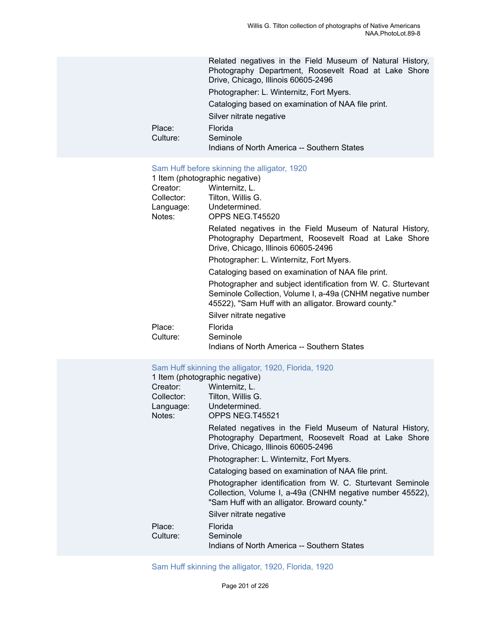|          | Related negatives in the Field Museum of Natural History,<br>Photography Department, Roosevelt Road at Lake Shore<br>Drive, Chicago, Illinois 60605-2496 |
|----------|----------------------------------------------------------------------------------------------------------------------------------------------------------|
|          | Photographer: L. Winternitz, Fort Myers.                                                                                                                 |
|          | Cataloging based on examination of NAA file print.                                                                                                       |
|          | Silver nitrate negative                                                                                                                                  |
| Place:   | Florida                                                                                                                                                  |
| Culture: | Seminole<br>Indians of North America -- Southern States                                                                                                  |
|          |                                                                                                                                                          |

# Sam Huff before skinning the [alligator,](https://ids.si.edu/ids/deliveryService?id=NMNH-T45520-000001) 1920

| <b>Uditi Half DUIDIU UKimiing the angator, TUZU</b> |                                                                                                                                                                                      |  |
|-----------------------------------------------------|--------------------------------------------------------------------------------------------------------------------------------------------------------------------------------------|--|
|                                                     | 1 Item (photographic negative)                                                                                                                                                       |  |
| Creator:                                            | Winternitz, L.                                                                                                                                                                       |  |
| Collector:                                          | Tilton, Willis G.                                                                                                                                                                    |  |
| Language:                                           | Undetermined.                                                                                                                                                                        |  |
| Notes:                                              | OPPS NEG.T45520                                                                                                                                                                      |  |
|                                                     | Related negatives in the Field Museum of Natural History,<br>Photography Department, Roosevelt Road at Lake Shore<br>Drive, Chicago, Illinois 60605-2496                             |  |
|                                                     | Photographer: L. Winternitz, Fort Myers.                                                                                                                                             |  |
|                                                     | Cataloging based on examination of NAA file print.                                                                                                                                   |  |
|                                                     | Photographer and subject identification from W. C. Sturtevant<br>Seminole Collection, Volume I, a-49a (CNHM negative number<br>45522), "Sam Huff with an alligator. Broward county." |  |
|                                                     | Silver nitrate negative                                                                                                                                                              |  |
| Place:                                              | Florida                                                                                                                                                                              |  |
| Culture:                                            | Seminole                                                                                                                                                                             |  |
|                                                     | Indians of North America -- Southern States                                                                                                                                          |  |
|                                                     | Sam Huff skinning the alligator, 1920, Florida, 1920                                                                                                                                 |  |
|                                                     | 1 Item (photographic negative)                                                                                                                                                       |  |
| Creator:                                            | Winternitz, L.                                                                                                                                                                       |  |
| Collector:                                          | Tilton, Willis G.                                                                                                                                                                    |  |
| Language:                                           | Undetermined.                                                                                                                                                                        |  |
| Notes:                                              | OPPS NEG.T45521                                                                                                                                                                      |  |
|                                                     | Related negatives in the Field Museum of Natural History,<br>Photography Department, Roosevelt Road at Lake Shore<br>Drive, Chicago, Illinois 60605-2496                             |  |
|                                                     | Photographer: L. Winternitz, Fort Myers.                                                                                                                                             |  |
|                                                     | Cataloging based on examination of NAA file print.                                                                                                                                   |  |
|                                                     | Photographer identification from W. C. Sturtevant Seminole<br>Collection, Volume I, a-49a (CNHM negative number 45522),<br>"Sam Huff with an alligator. Broward county."             |  |

Silver nitrate negative

| Place:   | Florida                                     |
|----------|---------------------------------------------|
| Culture: | Seminole                                    |
|          | Indians of North America -- Southern States |

Sam Huff skinning the [alligator,](https://ids.si.edu/ids/deliveryService?id=NMNH-T45523-000001) 1920, Florida, 1920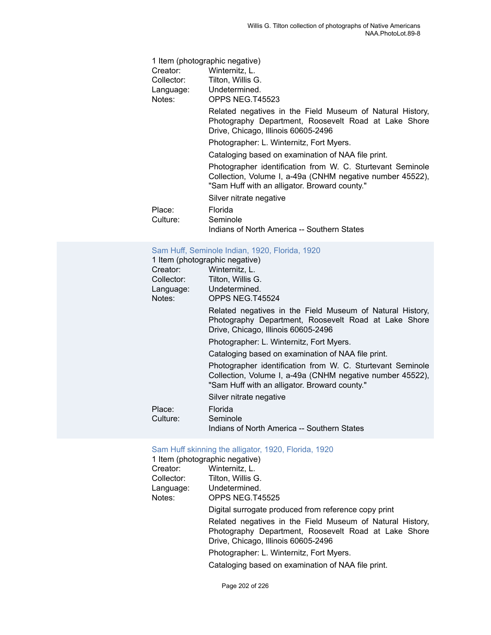| 1 Item (photographic negative) |                                                                                                                                                                          |
|--------------------------------|--------------------------------------------------------------------------------------------------------------------------------------------------------------------------|
| Creator:                       | Winternitz, L.                                                                                                                                                           |
| Collector:                     | Tilton, Willis G.                                                                                                                                                        |
|                                | Language: Undetermined.                                                                                                                                                  |
| Notes:                         | OPPS NEG.T45523                                                                                                                                                          |
|                                | Related negatives in the Field Museum of Natural History,<br>Photography Department, Roosevelt Road at Lake Shore<br>Drive, Chicago, Illinois 60605-2496                 |
|                                | Photographer: L. Winternitz, Fort Myers.                                                                                                                                 |
|                                | Cataloging based on examination of NAA file print.                                                                                                                       |
|                                | Photographer identification from W. C. Sturtevant Seminole<br>Collection, Volume I, a-49a (CNHM negative number 45522),<br>"Sam Huff with an alligator. Broward county." |
|                                | Silver nitrate negative                                                                                                                                                  |
| Place:<br>Culture:             | Florida<br>Seminole<br>Indians of North America -- Southern States                                                                                                       |
|                                |                                                                                                                                                                          |

# Sam Huff, [Seminole](https://ids.si.edu/ids/deliveryService?id=NMNH-T45524-000001) Indian, 1920, Florida, 1920

|            | 1 Item (photographic negative)                                                                                                                                           |
|------------|--------------------------------------------------------------------------------------------------------------------------------------------------------------------------|
| Creator:   | Winternitz, L.                                                                                                                                                           |
| Collector: | Tilton, Willis G.                                                                                                                                                        |
| Language:  | Undetermined.                                                                                                                                                            |
| Notes:     | OPPS NEG.T45524                                                                                                                                                          |
|            | Related negatives in the Field Museum of Natural History,<br>Photography Department, Roosevelt Road at Lake Shore<br>Drive, Chicago, Illinois 60605-2496                 |
|            | Photographer: L. Winternitz, Fort Myers.                                                                                                                                 |
|            | Cataloging based on examination of NAA file print.                                                                                                                       |
|            | Photographer identification from W. C. Sturtevant Seminole<br>Collection, Volume I, a-49a (CNHM negative number 45522),<br>"Sam Huff with an alligator. Broward county." |
|            | Silver nitrate negative                                                                                                                                                  |
| Place:     | Florida                                                                                                                                                                  |
| Culture:   | Seminole                                                                                                                                                                 |
|            | Indians of North America -- Southern States                                                                                                                              |
|            |                                                                                                                                                                          |

# Sam Huff skinning the [alligator,](https://ids.si.edu/ids/deliveryService?id=NMNH-T45525-000001) 1920, Florida, 1920

|            | 1 Item (photographic negative)                                                                                                                           |
|------------|----------------------------------------------------------------------------------------------------------------------------------------------------------|
| Creator:   | Winternitz, L.                                                                                                                                           |
| Collector: | Tilton, Willis G.                                                                                                                                        |
|            | Language: Undetermined.                                                                                                                                  |
| Notes:     | OPPS NEG.T45525                                                                                                                                          |
|            | Digital surrogate produced from reference copy print                                                                                                     |
|            | Related negatives in the Field Museum of Natural History,<br>Photography Department, Roosevelt Road at Lake Shore<br>Drive, Chicago, Illinois 60605-2496 |
|            | Photographer: L. Winternitz, Fort Myers.                                                                                                                 |
|            | Cataloging based on examination of NAA file print.                                                                                                       |
|            |                                                                                                                                                          |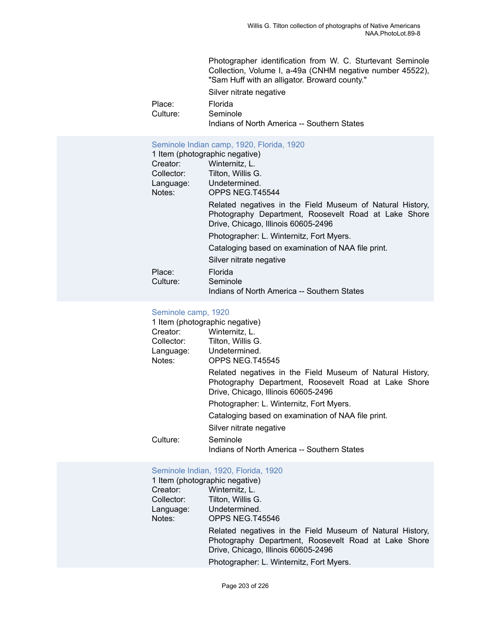Photographer identification from W. C. Sturtevant Seminole Collection, Volume I, a-49a (CNHM negative number 45522), "Sam Huff with an alligator. Broward county."

Silver nitrate negative

Place: Florida<br>Culture: Semino Seminole

Indians of North America -- Southern States

## [Seminole Indian camp, 1920, Florida, 1920](https://ids.si.edu/ids/deliveryService?id=NMNH-T45544-000001)

|            | 1 Item (photographic negative)                                                                                                                           |
|------------|----------------------------------------------------------------------------------------------------------------------------------------------------------|
| Creator:   | Winternitz, L.                                                                                                                                           |
| Collector: | Tilton, Willis G.                                                                                                                                        |
| Language:  | Undetermined.                                                                                                                                            |
| Notes:     | OPPS NEG.T45544                                                                                                                                          |
|            | Related negatives in the Field Museum of Natural History,<br>Photography Department, Roosevelt Road at Lake Shore<br>Drive, Chicago, Illinois 60605-2496 |
|            | Photographer: L. Winternitz, Fort Myers.                                                                                                                 |
|            | Cataloging based on examination of NAA file print.                                                                                                       |
|            | Silver nitrate negative                                                                                                                                  |
| Place:     | Florida                                                                                                                                                  |
| Culture:   | Seminole                                                                                                                                                 |
|            | Indians of North America -- Southern States                                                                                                              |

#### [Seminole camp, 1920](https://ids.si.edu/ids/deliveryService?id=NMNH-T45545-000001)

|            | 1 Item (photographic negative)                                                                                                                           |
|------------|----------------------------------------------------------------------------------------------------------------------------------------------------------|
| Creator:   | Winternitz, L.                                                                                                                                           |
| Collector: | Tilton, Willis G.                                                                                                                                        |
|            | Language: Undetermined.                                                                                                                                  |
| Notes:     | OPPS NEG.T45545                                                                                                                                          |
|            | Related negatives in the Field Museum of Natural History,<br>Photography Department, Roosevelt Road at Lake Shore<br>Drive, Chicago, Illinois 60605-2496 |
|            | Photographer: L. Winternitz, Fort Myers.                                                                                                                 |
|            | Cataloging based on examination of NAA file print.                                                                                                       |
|            | Silver nitrate negative                                                                                                                                  |
| Culture:   | Seminole                                                                                                                                                 |
|            | Indians of North America -- Southern States                                                                                                              |

#### [Seminole Indian, 1920, Florida, 1920](https://ids.si.edu/ids/deliveryService?id=NMNH-T45546-000001)

|            | 1 Item (photographic negative)                                                                                                                           |
|------------|----------------------------------------------------------------------------------------------------------------------------------------------------------|
| Creator:   | Winternitz, L.                                                                                                                                           |
| Collector: | Tilton, Willis G.                                                                                                                                        |
| Language:  | Undetermined.                                                                                                                                            |
| Notes:     | OPPS NEG.T45546                                                                                                                                          |
|            | Related negatives in the Field Museum of Natural History,<br>Photography Department, Roosevelt Road at Lake Shore<br>Drive, Chicago, Illinois 60605-2496 |
|            | Photographer: L. Winternitz, Fort Myers.                                                                                                                 |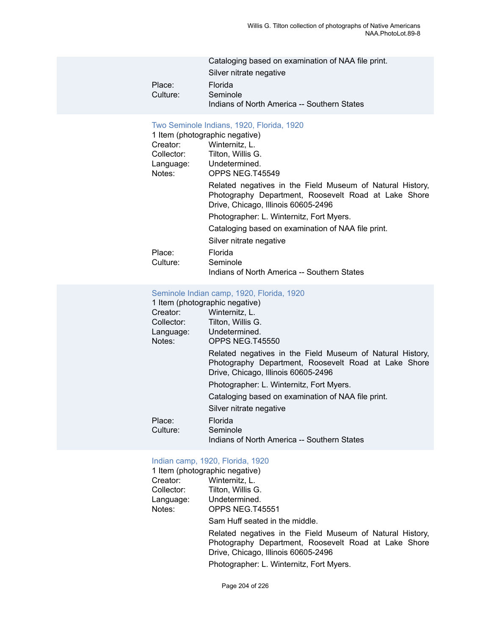|          | Cataloging based on examination of NAA file print. |
|----------|----------------------------------------------------|
|          | Silver nitrate negative                            |
| Place:   | Florida                                            |
| Culture: | Seminole                                           |
|          | Indians of North America -- Southern States        |

# Two [Seminole](https://ids.si.edu/ids/deliveryService?id=NMNH-T45549-000001) Indians, 1920, Florida, 1920

|            | TWO OCHILIOIS THUIGHS, TUZU, I TUHUG, TUZU                                                                                                               |
|------------|----------------------------------------------------------------------------------------------------------------------------------------------------------|
|            | 1 Item (photographic negative)                                                                                                                           |
| Creator:   | Winternitz, L.                                                                                                                                           |
| Collector: | Tilton, Willis G.                                                                                                                                        |
| Language:  | Undetermined.                                                                                                                                            |
| Notes:     | OPPS NEG.T45549                                                                                                                                          |
|            | Related negatives in the Field Museum of Natural History,<br>Photography Department, Roosevelt Road at Lake Shore<br>Drive, Chicago, Illinois 60605-2496 |
|            | Photographer: L. Winternitz, Fort Myers.                                                                                                                 |
|            | Cataloging based on examination of NAA file print.                                                                                                       |
|            | Silver nitrate negative                                                                                                                                  |
| Place:     | Florida                                                                                                                                                  |
| Culture:   | Seminole                                                                                                                                                 |
|            | Indians of North America -- Southern States                                                                                                              |

## [Seminole Indian camp, 1920, Florida, 1920](https://ids.si.edu/ids/deliveryService?id=NMNH-T45550-000001)

| 1 Item (photographic negative) |                                                                                                                                                          |
|--------------------------------|----------------------------------------------------------------------------------------------------------------------------------------------------------|
| Creator:                       | Winternitz, L.                                                                                                                                           |
| Collector:                     | Tilton, Willis G.                                                                                                                                        |
| Language:                      | Undetermined.                                                                                                                                            |
| Notes:                         | <b>OPPS NEG.T45550</b>                                                                                                                                   |
|                                | Related negatives in the Field Museum of Natural History,<br>Photography Department, Roosevelt Road at Lake Shore<br>Drive, Chicago, Illinois 60605-2496 |
|                                | Photographer: L. Winternitz, Fort Myers.                                                                                                                 |
|                                | Cataloging based on examination of NAA file print.                                                                                                       |
|                                | Silver nitrate negative                                                                                                                                  |
| Place:<br>Culture:             | Florida<br>Seminole                                                                                                                                      |
|                                | Indians of North America -- Southern States                                                                                                              |

# [Indian camp, 1920, Florida, 1920](https://ids.si.edu/ids/deliveryService?id=NMNH-T45551-000001)

|            | 1 Item (photographic negative)                                                                                                                           |
|------------|----------------------------------------------------------------------------------------------------------------------------------------------------------|
| Creator:   | Winternitz, L.                                                                                                                                           |
| Collector: | Tilton, Willis G.                                                                                                                                        |
| Language:  | Undetermined.                                                                                                                                            |
| Notes:     | OPPS NEG.T45551                                                                                                                                          |
|            | Sam Huff seated in the middle.                                                                                                                           |
|            | Related negatives in the Field Museum of Natural History,<br>Photography Department, Roosevelt Road at Lake Shore<br>Drive, Chicago, Illinois 60605-2496 |
|            | Photographer: L. Winternitz, Fort Myers.                                                                                                                 |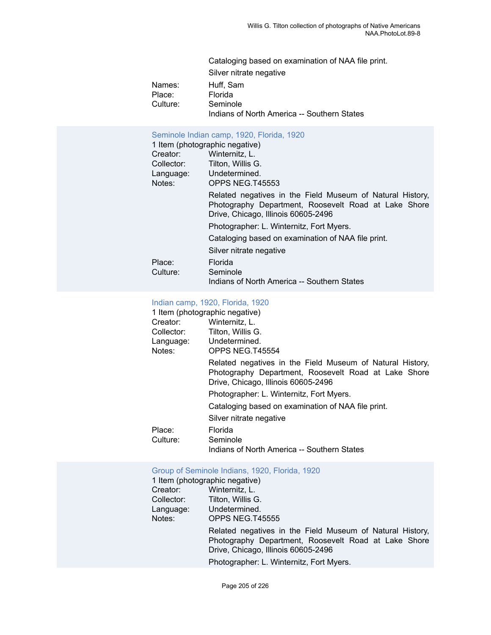Cataloging based on examination of NAA file print.

Silver nitrate negative

Names: Huff, Sam<br>Place: Florida Florida Culture: Seminole Indians of North America -- Southern States

# [Seminole Indian camp, 1920, Florida, 1920](https://ids.si.edu/ids/deliveryService?id=NMNH-T45553-000001)

|            | 1 Item (photographic negative)                                                                                                                           |
|------------|----------------------------------------------------------------------------------------------------------------------------------------------------------|
| Creator:   | Winternitz, L.                                                                                                                                           |
| Collector: | Tilton, Willis G.                                                                                                                                        |
| Language:  | Undetermined.                                                                                                                                            |
| Notes:     | OPPS NEG.T45553                                                                                                                                          |
|            | Related negatives in the Field Museum of Natural History,<br>Photography Department, Roosevelt Road at Lake Shore<br>Drive, Chicago, Illinois 60605-2496 |
|            | Photographer: L. Winternitz, Fort Myers.                                                                                                                 |
|            | Cataloging based on examination of NAA file print.                                                                                                       |
|            | Silver nitrate negative                                                                                                                                  |
| Place:     | Florida                                                                                                                                                  |
| Culture:   | Seminole                                                                                                                                                 |
|            | Indians of North America -- Southern States                                                                                                              |

## [Indian camp, 1920, Florida, 1920](https://ids.si.edu/ids/deliveryService?id=NMNH-T45554-000001)

|            | 1 Item (photographic negative)                                                                                                                           |
|------------|----------------------------------------------------------------------------------------------------------------------------------------------------------|
| Creator:   | Winternitz, L.                                                                                                                                           |
| Collector: | Tilton, Willis G.                                                                                                                                        |
| Language:  | Undetermined.                                                                                                                                            |
| Notes:     | OPPS NEG.T45554                                                                                                                                          |
|            | Related negatives in the Field Museum of Natural History,<br>Photography Department, Roosevelt Road at Lake Shore<br>Drive, Chicago, Illinois 60605-2496 |
|            | Photographer: L. Winternitz, Fort Myers.                                                                                                                 |
|            | Cataloging based on examination of NAA file print.                                                                                                       |
|            | Silver nitrate negative                                                                                                                                  |
| Place:     | Florida                                                                                                                                                  |
| Culture:   | Seminole                                                                                                                                                 |
|            | Indians of North America -- Southern States                                                                                                              |

# [Group of Seminole Indians, 1920, Florida, 1920](https://ids.si.edu/ids/deliveryService?id=NMNH-T45555-000001)

|            | 1 Item (photographic negative)                                                                                                                           |
|------------|----------------------------------------------------------------------------------------------------------------------------------------------------------|
| Creator:   | Winternitz, L.                                                                                                                                           |
| Collector: | Tilton, Willis G.                                                                                                                                        |
| Language:  | Undetermined.                                                                                                                                            |
| Notes:     | OPPS NEG.T45555                                                                                                                                          |
|            | Related negatives in the Field Museum of Natural History,<br>Photography Department, Roosevelt Road at Lake Shore<br>Drive, Chicago, Illinois 60605-2496 |
|            | Photographer: L. Winternitz, Fort Myers.                                                                                                                 |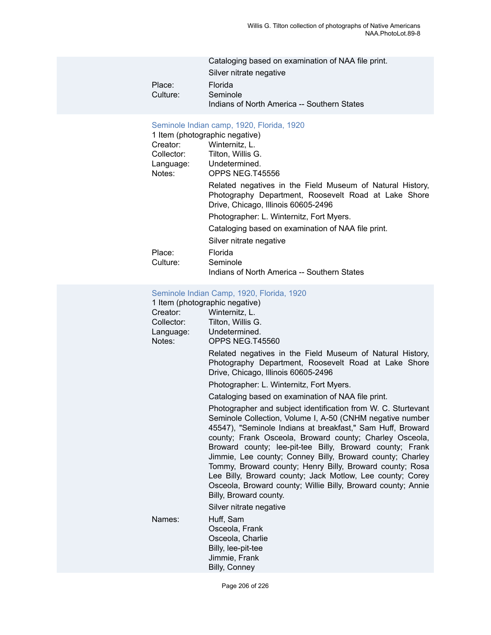|          | Cataloging based on examination of NAA file print. |
|----------|----------------------------------------------------|
|          | Silver nitrate negative                            |
| Place:   | Florida                                            |
| Culture: | Seminole                                           |
|          | Indians of North America -- Southern States        |

# [Seminole Indian camp, 1920, Florida, 1920](https://ids.si.edu/ids/deliveryService?id=NMNH-T45556-000001)

| OCHIMOIC MURICII CAMID, TUZU, FIONUA, TUZU                                                                                                               |
|----------------------------------------------------------------------------------------------------------------------------------------------------------|
| 1 Item (photographic negative)                                                                                                                           |
| Winternitz, L.                                                                                                                                           |
| Tilton, Willis G.                                                                                                                                        |
| Language: Undetermined.                                                                                                                                  |
| OPPS NEG.T45556                                                                                                                                          |
| Related negatives in the Field Museum of Natural History,<br>Photography Department, Roosevelt Road at Lake Shore<br>Drive, Chicago, Illinois 60605-2496 |
| Photographer: L. Winternitz, Fort Myers.                                                                                                                 |
| Cataloging based on examination of NAA file print.                                                                                                       |
| Silver nitrate negative                                                                                                                                  |
| Florida                                                                                                                                                  |
| Seminole                                                                                                                                                 |
| Indians of North America -- Southern States                                                                                                              |
|                                                                                                                                                          |

# [Seminole Indian Camp, 1920, Florida, 1920](https://ids.si.edu/ids/deliveryService?id=NMNH-T45560-000001)

| Creator:<br>Collector:<br>Language:<br>Notes: | 1 Item (photographic negative)<br>Winternitz, L.<br>Tilton, Willis G.<br>Undetermined.<br>OPPS NEG.T45560                                                                                                                                                                                                                                                                                                                                                                                                                                                                                       |
|-----------------------------------------------|-------------------------------------------------------------------------------------------------------------------------------------------------------------------------------------------------------------------------------------------------------------------------------------------------------------------------------------------------------------------------------------------------------------------------------------------------------------------------------------------------------------------------------------------------------------------------------------------------|
|                                               | Related negatives in the Field Museum of Natural History,<br>Photography Department, Roosevelt Road at Lake Shore<br>Drive, Chicago, Illinois 60605-2496                                                                                                                                                                                                                                                                                                                                                                                                                                        |
|                                               | Photographer: L. Winternitz, Fort Myers.                                                                                                                                                                                                                                                                                                                                                                                                                                                                                                                                                        |
|                                               | Cataloging based on examination of NAA file print.                                                                                                                                                                                                                                                                                                                                                                                                                                                                                                                                              |
|                                               | Photographer and subject identification from W. C. Sturtevant<br>Seminole Collection, Volume I, A-50 (CNHM negative number<br>45547), "Seminole Indians at breakfast," Sam Huff, Broward<br>county; Frank Osceola, Broward county; Charley Osceola,<br>Broward county; lee-pit-tee Billy, Broward county; Frank<br>Jimmie, Lee county; Conney Billy, Broward county; Charley<br>Tommy, Broward county; Henry Billy, Broward county; Rosa<br>Lee Billy, Broward county; Jack Motlow, Lee county; Corey<br>Osceola, Broward county; Willie Billy, Broward county; Annie<br>Billy, Broward county. |
|                                               | Silver nitrate negative                                                                                                                                                                                                                                                                                                                                                                                                                                                                                                                                                                         |
| Names:                                        | Huff, Sam<br>Osceola, Frank<br>Osceola, Charlie<br>Billy, lee-pit-tee                                                                                                                                                                                                                                                                                                                                                                                                                                                                                                                           |

Jimmie, Frank Billy, Conney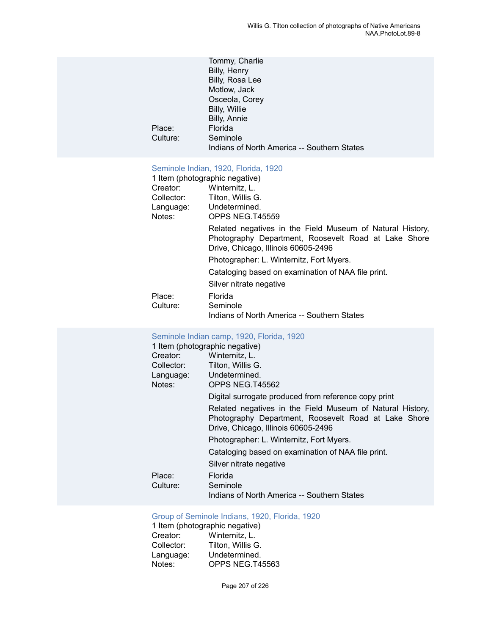|          | Tommy, Charlie                              |
|----------|---------------------------------------------|
|          | Billy, Henry                                |
|          | Billy, Rosa Lee                             |
|          | Motlow, Jack                                |
|          | Osceola, Corey                              |
|          | Billy, Willie                               |
|          | Billy, Annie                                |
| Place:   | Florida                                     |
| Culture: | Seminole                                    |
|          | Indians of North America -- Southern States |
|          |                                             |

# [Seminole Indian, 1920, Florida, 1920](https://ids.si.edu/ids/deliveryService?id=NMNH-T45559-000001)

|            | 1 Item (photographic negative)                                                                                                                           |
|------------|----------------------------------------------------------------------------------------------------------------------------------------------------------|
| Creator:   | Winternitz, L.                                                                                                                                           |
| Collector: | Tilton, Willis G.                                                                                                                                        |
| Language:  | Undetermined.                                                                                                                                            |
| Notes:     | OPPS NEG.T45559                                                                                                                                          |
|            | Related negatives in the Field Museum of Natural History,<br>Photography Department, Roosevelt Road at Lake Shore<br>Drive, Chicago, Illinois 60605-2496 |
|            | Photographer: L. Winternitz, Fort Myers.                                                                                                                 |
|            | Cataloging based on examination of NAA file print.                                                                                                       |
|            | Silver nitrate negative                                                                                                                                  |
| Place:     | Florida                                                                                                                                                  |
| Culture:   | Seminole                                                                                                                                                 |
|            | Indians of North America -- Southern States                                                                                                              |

# [Seminole Indian camp, 1920, Florida, 1920](https://ids.si.edu/ids/deliveryService?id=NMNH-T45562-000001)

|                                | OCHIMOIC MIGHT COMP, TUZU, TIONGG, TUZU                                                                                                                  |  |
|--------------------------------|----------------------------------------------------------------------------------------------------------------------------------------------------------|--|
| 1 Item (photographic negative) |                                                                                                                                                          |  |
| Creator:                       | Winternitz, L.                                                                                                                                           |  |
| Collector:                     | Tilton, Willis G.                                                                                                                                        |  |
|                                | Language: Undetermined.                                                                                                                                  |  |
| Notes:                         | OPPS NEG.T45562                                                                                                                                          |  |
|                                | Digital surrogate produced from reference copy print                                                                                                     |  |
|                                | Related negatives in the Field Museum of Natural History,<br>Photography Department, Roosevelt Road at Lake Shore<br>Drive, Chicago, Illinois 60605-2496 |  |
|                                | Photographer: L. Winternitz, Fort Myers.                                                                                                                 |  |
|                                | Cataloging based on examination of NAA file print.                                                                                                       |  |
|                                | Silver nitrate negative                                                                                                                                  |  |
| Place:<br>Culture:             | Florida<br>Seminole<br>Indians of North America -- Southern States                                                                                       |  |
|                                |                                                                                                                                                          |  |

# [Group of Seminole Indians, 1920, Florida, 1920](https://ids.si.edu/ids/deliveryService?id=NMNH-T45563-000001)

1 Item (photographic negative)<br>Creator: Winternitz, L. Creator: Winternitz, L.<br>Collector: Tilton, Willis G Tilton, Willis G. Language: Undetermined.<br>Notes: OPPS NEG.T4 OPPS NEG.T45563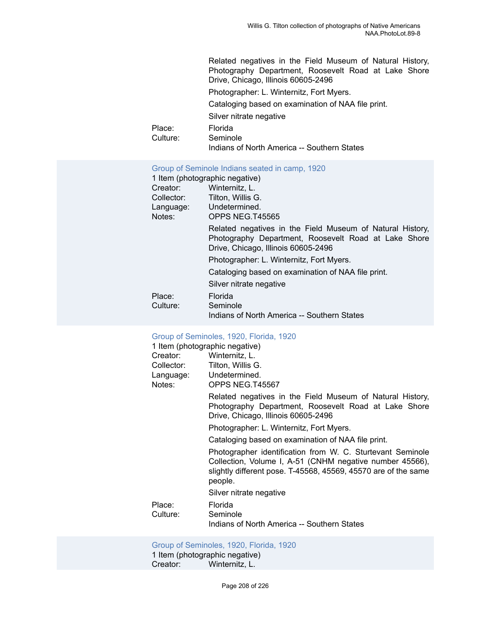Related negatives in the Field Museum of Natural History, Photography Department, Roosevelt Road at Lake Shore Drive, Chicago, Illinois 60605-2496 Photographer: L. Winternitz, Fort Myers. Cataloging based on examination of NAA file print. Silver nitrate negative Place: Florida Culture: Seminole Indians of North America -- Southern States

#### [Group of Seminole Indians seated in camp, 1920](https://ids.si.edu/ids/deliveryService?id=NMNH-T45565-000001)

|            | 1 Item (photographic negative)                                                                                                                           |
|------------|----------------------------------------------------------------------------------------------------------------------------------------------------------|
| Creator:   | Winternitz, L.                                                                                                                                           |
| Collector: | Tilton, Willis G.                                                                                                                                        |
| Language:  | Undetermined.                                                                                                                                            |
| Notes:     | OPPS NEG.T45565                                                                                                                                          |
|            | Related negatives in the Field Museum of Natural History,<br>Photography Department, Roosevelt Road at Lake Shore<br>Drive, Chicago, Illinois 60605-2496 |
|            | Photographer: L. Winternitz, Fort Myers.                                                                                                                 |
|            | Cataloging based on examination of NAA file print.                                                                                                       |
|            | Silver nitrate negative                                                                                                                                  |
| Place:     | Florida                                                                                                                                                  |
| Culture:   | Seminole                                                                                                                                                 |
|            | Indians of North America -- Southern States                                                                                                              |

| Group of Seminoles, 1920, Florida, 1920 |                                                                                                                                                                                                     |  |
|-----------------------------------------|-----------------------------------------------------------------------------------------------------------------------------------------------------------------------------------------------------|--|
| 1 Item (photographic negative)          |                                                                                                                                                                                                     |  |
| Creator:                                | Winternitz, L.                                                                                                                                                                                      |  |
| Collector: Tilton, Willis G.            |                                                                                                                                                                                                     |  |
| Language: Undetermined.                 |                                                                                                                                                                                                     |  |
| Notes:                                  | OPPS NEG.T45567                                                                                                                                                                                     |  |
|                                         | Related negatives in the Field Museum of Natural History,<br>Photography Department, Roosevelt Road at Lake Shore<br>Drive, Chicago, Illinois 60605-2496                                            |  |
|                                         | Photographer: L. Winternitz, Fort Myers.                                                                                                                                                            |  |
|                                         | Cataloging based on examination of NAA file print.                                                                                                                                                  |  |
|                                         | Photographer identification from W. C. Sturtevant Seminole<br>Collection, Volume I, A-51 (CNHM negative number 45566),<br>slightly different pose. T-45568, 45569, 45570 are of the same<br>people. |  |
|                                         | Silver nitrate negative                                                                                                                                                                             |  |
| Place:                                  | Florida                                                                                                                                                                                             |  |
| Culture:                                | Seminole                                                                                                                                                                                            |  |
|                                         | Indians of North America -- Southern States                                                                                                                                                         |  |

# [Group of Seminoles, 1920, Florida, 1920](https://ids.si.edu/ids/deliveryService?id=NMNH-T45568-000001)

1 Item (photographic negative)<br>Creator: Winternitz, L. Winternitz, L.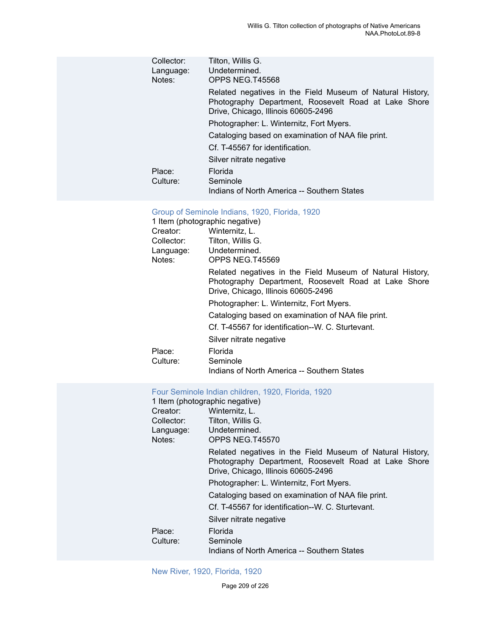| Collector:<br>Language:<br>Notes: | Tilton, Willis G.<br>Undetermined.<br>OPPS NEG.T45568                                                                                                    |
|-----------------------------------|----------------------------------------------------------------------------------------------------------------------------------------------------------|
|                                   | Related negatives in the Field Museum of Natural History,<br>Photography Department, Roosevelt Road at Lake Shore<br>Drive, Chicago, Illinois 60605-2496 |
|                                   | Photographer: L. Winternitz, Fort Myers.                                                                                                                 |
|                                   | Cataloging based on examination of NAA file print.                                                                                                       |
|                                   | Cf. T-45567 for identification.                                                                                                                          |
|                                   | Silver nitrate negative                                                                                                                                  |
| Place:<br>Culture:                | Florida<br>Seminole<br>Indians of North America -- Southern States                                                                                       |
|                                   |                                                                                                                                                          |

# [Group of Seminole Indians, 1920, Florida, 1920](https://ids.si.edu/ids/deliveryService?id=NMNH-T45569-000001)

|            | 1 Item (photographic negative)                                                                                                                           |
|------------|----------------------------------------------------------------------------------------------------------------------------------------------------------|
| Creator:   | Winternitz, L.                                                                                                                                           |
| Collector: | Tilton, Willis G.                                                                                                                                        |
|            | Language: Undetermined.                                                                                                                                  |
| Notes:     | OPPS NEG.T45569                                                                                                                                          |
|            | Related negatives in the Field Museum of Natural History,<br>Photography Department, Roosevelt Road at Lake Shore<br>Drive, Chicago, Illinois 60605-2496 |
|            | Photographer: L. Winternitz, Fort Myers.                                                                                                                 |
|            | Cataloging based on examination of NAA file print.                                                                                                       |
|            | Cf. T-45567 for identification--W. C. Sturtevant.                                                                                                        |
|            | Silver nitrate negative                                                                                                                                  |
| Place:     | Florida                                                                                                                                                  |
| Culture:   | Seminole                                                                                                                                                 |
|            | Indians of North America -- Southern States                                                                                                              |

# [Four Seminole Indian children, 1920, Florida, 1920](https://ids.si.edu/ids/deliveryService?id=NMNH-T45570-000001)

|            | 1 Item (photographic negative)                                                                                                                           |
|------------|----------------------------------------------------------------------------------------------------------------------------------------------------------|
| Creator:   | Winternitz, L.                                                                                                                                           |
| Collector: | Tilton, Willis G.                                                                                                                                        |
| Language:  | Undetermined.                                                                                                                                            |
| Notes:     | OPPS NEG.T45570                                                                                                                                          |
|            | Related negatives in the Field Museum of Natural History,<br>Photography Department, Roosevelt Road at Lake Shore<br>Drive, Chicago, Illinois 60605-2496 |
|            | Photographer: L. Winternitz, Fort Myers.                                                                                                                 |
|            | Cataloging based on examination of NAA file print.                                                                                                       |
|            | Cf. T-45567 for identification--W. C. Sturtevant.                                                                                                        |
|            | Silver nitrate negative                                                                                                                                  |
| Place:     | Florida                                                                                                                                                  |
| Culture:   | Seminole                                                                                                                                                 |
|            | Indians of North America -- Southern States                                                                                                              |

## New River, 1920, [Florida,](https://ids.si.edu/ids/deliveryService?id=NMNH-T45585-000001) 1920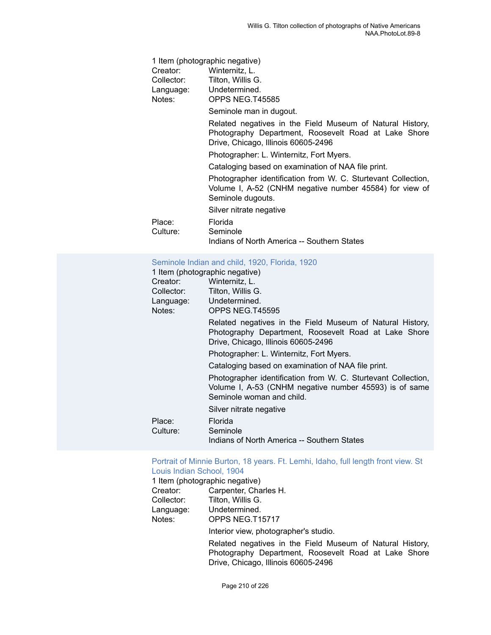|            | 1 Item (photographic negative)                                                                                                                           |
|------------|----------------------------------------------------------------------------------------------------------------------------------------------------------|
| Creator:   | Winternitz, L.                                                                                                                                           |
| Collector: | Tilton, Willis G.                                                                                                                                        |
|            | Language: Undetermined.                                                                                                                                  |
| Notes:     | OPPS NEG.T45585                                                                                                                                          |
|            | Seminole man in dugout.                                                                                                                                  |
|            | Related negatives in the Field Museum of Natural History,<br>Photography Department, Roosevelt Road at Lake Shore<br>Drive, Chicago, Illinois 60605-2496 |
|            | Photographer: L. Winternitz, Fort Myers.                                                                                                                 |
|            | Cataloging based on examination of NAA file print.                                                                                                       |
|            | Photographer identification from W. C. Sturtevant Collection,<br>Volume I, A-52 (CNHM negative number 45584) for view of<br>Seminole dugouts.            |
|            | Silver nitrate negative                                                                                                                                  |
| Place:     | Florida                                                                                                                                                  |
| Culture:   | Seminole                                                                                                                                                 |
|            | Indians of North America -- Southern States                                                                                                              |
|            |                                                                                                                                                          |

# [Seminole Indian and child, 1920, Florida, 1920](https://ids.si.edu/ids/deliveryService?id=NMNH-T45595-000001)

| 1 Item (photographic negative) |                                                                                                                                                          |  |
|--------------------------------|----------------------------------------------------------------------------------------------------------------------------------------------------------|--|
| Creator:                       | Winternitz, L.                                                                                                                                           |  |
| Collector:                     | Tilton, Willis G.                                                                                                                                        |  |
| Language:                      | Undetermined.                                                                                                                                            |  |
| Notes:                         | OPPS NEG.T45595                                                                                                                                          |  |
|                                | Related negatives in the Field Museum of Natural History,<br>Photography Department, Roosevelt Road at Lake Shore<br>Drive, Chicago, Illinois 60605-2496 |  |
|                                | Photographer: L. Winternitz, Fort Myers.                                                                                                                 |  |
|                                | Cataloging based on examination of NAA file print.                                                                                                       |  |
|                                | Photographer identification from W. C. Sturtevant Collection,<br>Volume I, A-53 (CNHM negative number 45593) is of same<br>Seminole woman and child.     |  |
|                                | Silver nitrate negative                                                                                                                                  |  |
| Place:<br>Culture:             | Florida<br>Seminole<br>Indians of North America -- Southern States                                                                                       |  |

#### Portrait of Minnie [Burton,](https://ids.si.edu/ids/deliveryService?id=NMNH-T15717-000001) 18 years. Ft. Lemhi, Idaho, full length front view. St [Louis Indian School, 1904](https://ids.si.edu/ids/deliveryService?id=NMNH-T15717-000001)

1 Item (photographic negative)<br>Creator: Carpenter, Cha Creator: Carpenter, Charles H.<br>Collector: Tilton, Willis G. Tilton, Willis G. Language: Undetermined. Notes: OPPS NEG.T15717 Interior view, photographer's studio.

> Related negatives in the Field Museum of Natural History, Photography Department, Roosevelt Road at Lake Shore Drive, Chicago, Illinois 60605-2496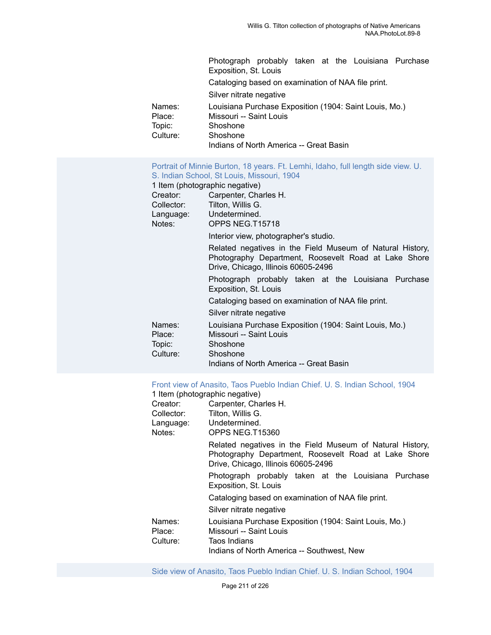|                  | Photograph probably taken at the Louisiana Purchase<br>Exposition, St. Louis      |
|------------------|-----------------------------------------------------------------------------------|
|                  | Cataloging based on examination of NAA file print.                                |
|                  | Silver nitrate negative                                                           |
| Names:<br>Place: | Louisiana Purchase Exposition (1904: Saint Louis, Mo.)<br>Missouri -- Saint Louis |
| Topic:           | Shoshone                                                                          |
| Culture:         | Shoshone                                                                          |
|                  | Indians of North America -- Great Basin                                           |

# Portrait of Minnie [Burton,](https://ids.si.edu/ids/deliveryService?id=NMNH-T15718-000001) 18 years. Ft. Lemhi, Idaho, full length side view. U. [S. Indian School, St Louis, Missouri, 1904](https://ids.si.edu/ids/deliveryService?id=NMNH-T15718-000001)

|            | 1 Item (photographic negative)                                                                                                                           |
|------------|----------------------------------------------------------------------------------------------------------------------------------------------------------|
| Creator:   | Carpenter, Charles H.                                                                                                                                    |
| Collector: | Tilton, Willis G.                                                                                                                                        |
|            | Language: Undetermined.                                                                                                                                  |
| Notes:     | OPPS NEG.T15718                                                                                                                                          |
|            | Interior view, photographer's studio.                                                                                                                    |
|            | Related negatives in the Field Museum of Natural History,<br>Photography Department, Roosevelt Road at Lake Shore<br>Drive, Chicago, Illinois 60605-2496 |
|            | Photograph probably taken at the Louisiana Purchase<br>Exposition, St. Louis                                                                             |
|            | Cataloging based on examination of NAA file print.                                                                                                       |
|            | Silver nitrate negative                                                                                                                                  |
| Names:     | Louisiana Purchase Exposition (1904: Saint Louis, Mo.)                                                                                                   |
| Place:     | Missouri -- Saint Louis                                                                                                                                  |
| Topic:     | Shoshone                                                                                                                                                 |
| Culture:   | Shoshone                                                                                                                                                 |
|            | Indians of North America -- Great Basin                                                                                                                  |

# Front view of [Anasito,](https://ids.si.edu/ids/deliveryService?id=NMNH-T15360-000001) Taos Pueblo Indian Chief. U. S. Indian School, 1904

|                  | 1 Item (photographic negative)                                                                                                                           |
|------------------|----------------------------------------------------------------------------------------------------------------------------------------------------------|
| Creator:         | Carpenter, Charles H.                                                                                                                                    |
| Collector:       | Tilton, Willis G.                                                                                                                                        |
|                  | Language: Undetermined.                                                                                                                                  |
| Notes:           | OPPS NEG.T15360                                                                                                                                          |
|                  | Related negatives in the Field Museum of Natural History,<br>Photography Department, Roosevelt Road at Lake Shore<br>Drive, Chicago, Illinois 60605-2496 |
|                  | Photograph probably taken at the Louisiana Purchase<br>Exposition, St. Louis                                                                             |
|                  | Cataloging based on examination of NAA file print.                                                                                                       |
|                  | Silver nitrate negative                                                                                                                                  |
| Names:<br>Place: | Louisiana Purchase Exposition (1904: Saint Louis, Mo.)<br>Missouri -- Saint Louis                                                                        |
| Culture:         | Taos Indians                                                                                                                                             |
|                  | Indians of North America -- Southwest, New                                                                                                               |

Side view of [Anasito,](https://ids.si.edu/ids/deliveryService?id=NMNH-T15361-000001) Taos Pueblo Indian Chief. U. S. Indian School, 1904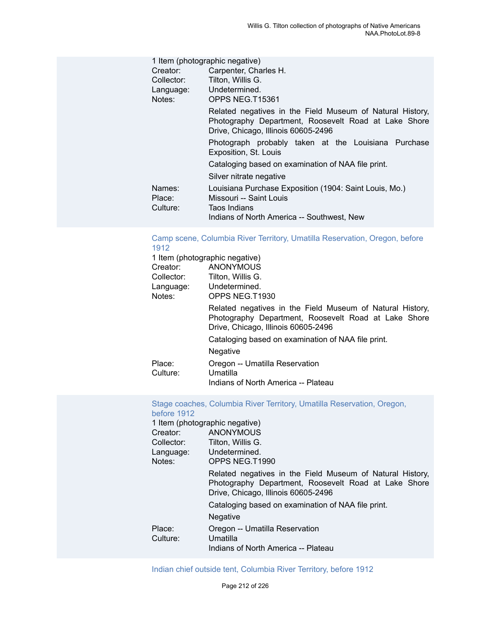|                              | 1 Item (photographic negative)                                                                                                                           |  |  |
|------------------------------|----------------------------------------------------------------------------------------------------------------------------------------------------------|--|--|
| Creator:                     | Carpenter, Charles H.                                                                                                                                    |  |  |
| Collector:                   | Tilton, Willis G.                                                                                                                                        |  |  |
| Language:                    | Undetermined.                                                                                                                                            |  |  |
| Notes:                       | OPPS NEG.T15361                                                                                                                                          |  |  |
|                              | Related negatives in the Field Museum of Natural History,<br>Photography Department, Roosevelt Road at Lake Shore<br>Drive, Chicago, Illinois 60605-2496 |  |  |
|                              | Photograph probably taken at the Louisiana Purchase<br>Exposition, St. Louis                                                                             |  |  |
|                              | Cataloging based on examination of NAA file print.                                                                                                       |  |  |
|                              | Silver nitrate negative                                                                                                                                  |  |  |
| Names:<br>Place:<br>Culture: | Louisiana Purchase Exposition (1904: Saint Louis, Mo.)<br>Missouri -- Saint Louis<br>Taos Indians                                                        |  |  |
|                              | Indians of North America -- Southwest, New                                                                                                               |  |  |

# Camp scene, Columbia River Territory, Umatilla [Reservation,](https://ids.si.edu/ids/deliveryService?id=NMNH-T1930-000001) Oregon, before [1912](https://ids.si.edu/ids/deliveryService?id=NMNH-T1930-000001)

| 1 Item (photographic negative) |                                                                                                                                                          |
|--------------------------------|----------------------------------------------------------------------------------------------------------------------------------------------------------|
| Creator:                       | ANONYMOUS                                                                                                                                                |
| Collector:                     | Tilton, Willis G.                                                                                                                                        |
| Language: Undetermined.        |                                                                                                                                                          |
| Notes:                         | OPPS NEG.T1930                                                                                                                                           |
|                                | Related negatives in the Field Museum of Natural History,<br>Photography Department, Roosevelt Road at Lake Shore<br>Drive, Chicago, Illinois 60605-2496 |
|                                | Cataloging based on examination of NAA file print.                                                                                                       |
|                                | <b>Negative</b>                                                                                                                                          |
| Place:<br>Culture:             | Oregon -- Umatilla Reservation<br>Umatilla<br>Indians of North America -- Plateau                                                                        |

# Stage coaches, Columbia River Territory, Umatilla [Reservation,](https://ids.si.edu/ids/deliveryService?id=NMNH-T1990-000001) Oregon, [before 1912](https://ids.si.edu/ids/deliveryService?id=NMNH-T1990-000001)

|                    | 1 Item (photographic negative)                                                                                                                           |
|--------------------|----------------------------------------------------------------------------------------------------------------------------------------------------------|
| Creator:           | <b>ANONYMOUS</b>                                                                                                                                         |
| Collector:         | Tilton, Willis G.                                                                                                                                        |
| Language:          | Undetermined.                                                                                                                                            |
| Notes:             | OPPS NEG.T1990                                                                                                                                           |
|                    | Related negatives in the Field Museum of Natural History,<br>Photography Department, Roosevelt Road at Lake Shore<br>Drive, Chicago, Illinois 60605-2496 |
|                    | Cataloging based on examination of NAA file print.                                                                                                       |
|                    | Negative                                                                                                                                                 |
| Place:<br>Culture: | Oregon -- Umatilla Reservation<br>Umatilla                                                                                                               |
|                    | Indians of North America -- Plateau                                                                                                                      |

Indian chief outside tent, [Columbia](https://ids.si.edu/ids/deliveryService?id=NMNH-T2038-000001) River Territory, before 1912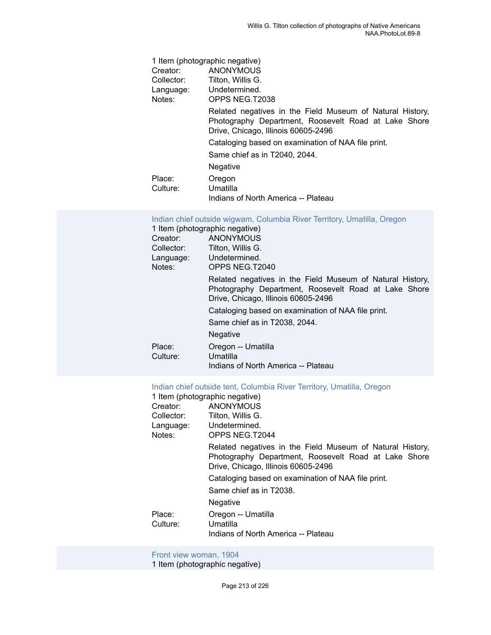|                    | 1 Item (photographic negative)                                                                                                                           |
|--------------------|----------------------------------------------------------------------------------------------------------------------------------------------------------|
| Creator:           | <b>ANONYMOUS</b>                                                                                                                                         |
| Collector:         | Tilton, Willis G.                                                                                                                                        |
|                    | Language: Undetermined.                                                                                                                                  |
| Notes:             | OPPS NEG.T2038                                                                                                                                           |
|                    | Related negatives in the Field Museum of Natural History,<br>Photography Department, Roosevelt Road at Lake Shore<br>Drive, Chicago, Illinois 60605-2496 |
|                    | Cataloging based on examination of NAA file print.                                                                                                       |
|                    | Same chief as in T2040, 2044.                                                                                                                            |
|                    | Negative                                                                                                                                                 |
| Place:<br>Culture: | Oregon<br>Umatilla                                                                                                                                       |
|                    |                                                                                                                                                          |

Indians of North America -- Plateau

|  |  |  |  | Indian chief outside wigwam, Columbia River Territory, Umatilla, Oregon |  |  |  |  |
|--|--|--|--|-------------------------------------------------------------------------|--|--|--|--|
|--|--|--|--|-------------------------------------------------------------------------|--|--|--|--|

|            | 1 Item (photographic negative)                                                                                                                           |
|------------|----------------------------------------------------------------------------------------------------------------------------------------------------------|
| Creator:   | ANONYMOUS                                                                                                                                                |
| Collector: | Tilton, Willis G.                                                                                                                                        |
| Language:  | Undetermined.                                                                                                                                            |
| Notes:     | OPPS NEG.T2040                                                                                                                                           |
|            | Related negatives in the Field Museum of Natural History,<br>Photography Department, Roosevelt Road at Lake Shore<br>Drive, Chicago, Illinois 60605-2496 |
|            | Cataloging based on examination of NAA file print.                                                                                                       |
|            | Same chief as in T2038, 2044.                                                                                                                            |
|            | <b>Negative</b>                                                                                                                                          |
| Place:     | Oregon -- Umatilla                                                                                                                                       |
| Culture:   | Umatilla                                                                                                                                                 |
|            | Indians of North America -- Plateau                                                                                                                      |

#### Indian chief outside tent, [Columbia](https://ids.si.edu/ids/deliveryService?id=NMNH-T2044-000001) River Territory, Umatilla, Oregon

|            | 1 Item (photographic negative)                                                                                                                           |
|------------|----------------------------------------------------------------------------------------------------------------------------------------------------------|
| Creator:   | ANONYMOUS                                                                                                                                                |
| Collector: | Tilton, Willis G.                                                                                                                                        |
|            | Language: Undetermined.                                                                                                                                  |
| Notes:     | OPPS NEG.T2044                                                                                                                                           |
|            | Related negatives in the Field Museum of Natural History,<br>Photography Department, Roosevelt Road at Lake Shore<br>Drive, Chicago, Illinois 60605-2496 |
|            | Cataloging based on examination of NAA file print.                                                                                                       |
|            | Same chief as in T2038.                                                                                                                                  |
|            | <b>Negative</b>                                                                                                                                          |
| Place:     | Oregon -- Umatilla                                                                                                                                       |
| Culture:   | Umatilla                                                                                                                                                 |
|            | Indians of North America -- Plateau                                                                                                                      |

[Front view woman, 1904](https://ids.si.edu/ids/deliveryService?id=NMNH-T14927-000001)

1 Item (photographic negative)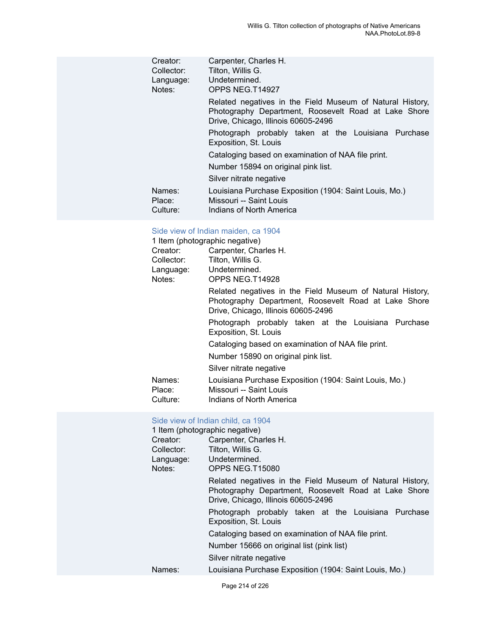| Creator:<br>Collector:<br>Language:<br>Notes: | Carpenter, Charles H.<br>Tilton, Willis G.<br>Undetermined.<br>OPPS NEG.T14927                                                                           |
|-----------------------------------------------|----------------------------------------------------------------------------------------------------------------------------------------------------------|
|                                               | Related negatives in the Field Museum of Natural History,<br>Photography Department, Roosevelt Road at Lake Shore<br>Drive, Chicago, Illinois 60605-2496 |
|                                               | Photograph probably taken at the Louisiana Purchase<br>Exposition, St. Louis                                                                             |
|                                               | Cataloging based on examination of NAA file print.                                                                                                       |
|                                               | Number 15894 on original pink list.                                                                                                                      |
|                                               | Silver nitrate negative                                                                                                                                  |
| Names:<br>Place:<br>Culture:                  | Louisiana Purchase Exposition (1904: Saint Louis, Mo.)<br>Missouri -- Saint Louis<br>Indians of North America                                            |

#### [Side view of Indian maiden, ca 1904](https://ids.si.edu/ids/deliveryService?id=NMNH-T14928-000001)

|            | 1 Item (photographic negative)                                                                                                                           |  |  |
|------------|----------------------------------------------------------------------------------------------------------------------------------------------------------|--|--|
| Creator:   | Carpenter, Charles H.                                                                                                                                    |  |  |
| Collector: | Tilton, Willis G.                                                                                                                                        |  |  |
|            | Language: Undetermined.                                                                                                                                  |  |  |
| Notes:     | OPPS NEG.T14928                                                                                                                                          |  |  |
|            | Related negatives in the Field Museum of Natural History,<br>Photography Department, Roosevelt Road at Lake Shore<br>Drive, Chicago, Illinois 60605-2496 |  |  |
|            | Photograph probably taken at the Louisiana Purchase<br>Exposition, St. Louis                                                                             |  |  |
|            | Cataloging based on examination of NAA file print.                                                                                                       |  |  |
|            | Number 15890 on original pink list.                                                                                                                      |  |  |
|            | Silver nitrate negative                                                                                                                                  |  |  |
| Names:     | Louisiana Purchase Exposition (1904: Saint Louis, Mo.)                                                                                                   |  |  |
| Place:     | Missouri -- Saint Louis                                                                                                                                  |  |  |
| Culture:   | Indians of North America                                                                                                                                 |  |  |

# [Side view of Indian child, ca 1904](https://ids.si.edu/ids/deliveryService?id=NMNH-T15080-000001)

| 1 Item (photographic negative) |                                                                                                                                                          |  |  |
|--------------------------------|----------------------------------------------------------------------------------------------------------------------------------------------------------|--|--|
| Creator:                       | Carpenter, Charles H.                                                                                                                                    |  |  |
| Collector:                     | Tilton, Willis G.                                                                                                                                        |  |  |
| Language:                      | Undetermined.                                                                                                                                            |  |  |
| Notes:                         | OPPS NEG.T15080                                                                                                                                          |  |  |
|                                | Related negatives in the Field Museum of Natural History,<br>Photography Department, Roosevelt Road at Lake Shore<br>Drive, Chicago, Illinois 60605-2496 |  |  |
|                                | Photograph probably taken at the Louisiana Purchase<br>Exposition, St. Louis                                                                             |  |  |
|                                | Cataloging based on examination of NAA file print.                                                                                                       |  |  |
|                                | Number 15666 on original list (pink list)                                                                                                                |  |  |
|                                | Silver nitrate negative                                                                                                                                  |  |  |
| Names:                         | Louisiana Purchase Exposition (1904: Saint Louis, Mo.)                                                                                                   |  |  |
|                                |                                                                                                                                                          |  |  |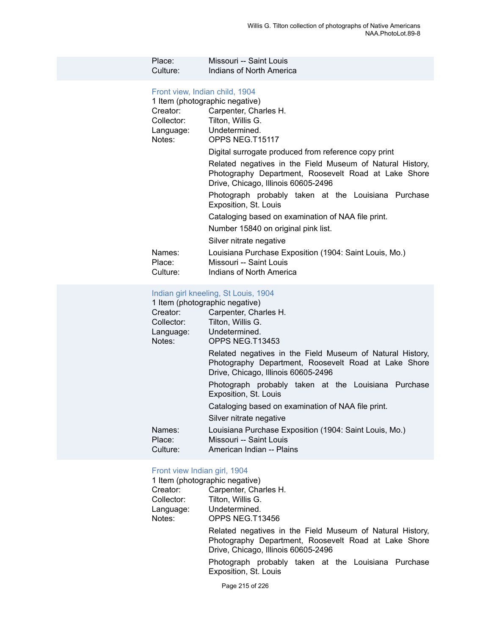| Place:   | Missouri -- Saint Louis  |
|----------|--------------------------|
| Culture: | Indians of North America |

# Front view, [Indian](https://ids.si.edu/ids/deliveryService?id=NMNH-T15117-000001) child, 1904

|                              | 1 Item (photographic negative)                                                                                                                           |
|------------------------------|----------------------------------------------------------------------------------------------------------------------------------------------------------|
| Creator:                     | Carpenter, Charles H.                                                                                                                                    |
| Collector:                   | Tilton, Willis G.                                                                                                                                        |
|                              | Language: Undetermined.                                                                                                                                  |
| Notes:                       | OPPS NEG.T15117                                                                                                                                          |
|                              | Digital surrogate produced from reference copy print                                                                                                     |
|                              | Related negatives in the Field Museum of Natural History,<br>Photography Department, Roosevelt Road at Lake Shore<br>Drive, Chicago, Illinois 60605-2496 |
|                              | Photograph probably taken at the Louisiana Purchase<br>Exposition, St. Louis                                                                             |
|                              | Cataloging based on examination of NAA file print.                                                                                                       |
|                              | Number 15840 on original pink list.                                                                                                                      |
|                              | Silver nitrate negative                                                                                                                                  |
| Names:<br>Place:<br>Culture: | Louisiana Purchase Exposition (1904: Saint Louis, Mo.)<br>Missouri -- Saint Louis<br>Indians of North America                                            |

# [Indian girl kneeling, St Louis, 1904](https://ids.si.edu/ids/deliveryService?id=NMNH-T13453-000001)

| 1 Item (photographic negative)                                                                                                                           |  |
|----------------------------------------------------------------------------------------------------------------------------------------------------------|--|
| Carpenter, Charles H.                                                                                                                                    |  |
| Tilton, Willis G.                                                                                                                                        |  |
| Undetermined.                                                                                                                                            |  |
| OPPS NEG.T13453                                                                                                                                          |  |
| Related negatives in the Field Museum of Natural History,<br>Photography Department, Roosevelt Road at Lake Shore<br>Drive, Chicago, Illinois 60605-2496 |  |
| Photograph probably taken at the Louisiana Purchase<br>Exposition, St. Louis                                                                             |  |
| Cataloging based on examination of NAA file print.                                                                                                       |  |
| Silver nitrate negative                                                                                                                                  |  |
| Louisiana Purchase Exposition (1904: Saint Louis, Mo.)<br>Missouri -- Saint Louis<br>American Indian -- Plains                                           |  |
|                                                                                                                                                          |  |

# [Front view Indian girl, 1904](https://ids.si.edu/ids/deliveryService?id=NMNH-T13456-000001)<br>1 Item (photographic negati

|            | 1 Item (photographic negative)                                                                                                                           |
|------------|----------------------------------------------------------------------------------------------------------------------------------------------------------|
| Creator:   | Carpenter, Charles H.                                                                                                                                    |
| Collector: | Tilton, Willis G.                                                                                                                                        |
| Language:  | Undetermined.                                                                                                                                            |
| Notes:     | OPPS NEG.T13456                                                                                                                                          |
|            | Related negatives in the Field Museum of Natural History,<br>Photography Department, Roosevelt Road at Lake Shore<br>Drive, Chicago, Illinois 60605-2496 |
|            | Photograph probably taken at the Louisiana Purchase<br>Exposition, St. Louis                                                                             |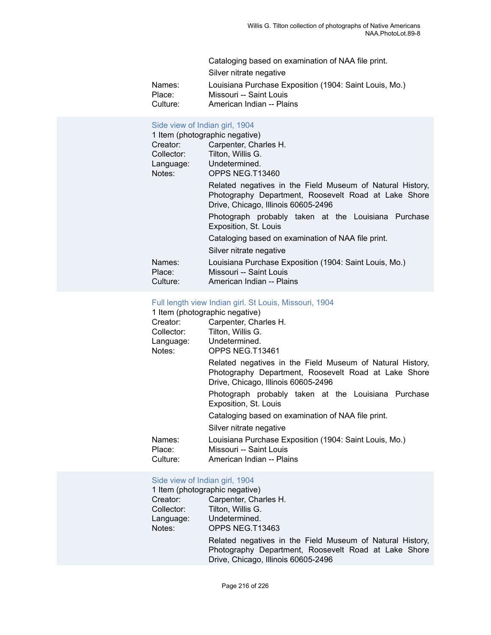| Cataloging based on examination of NAA file print.               |  |
|------------------------------------------------------------------|--|
| Silver nitrate negative                                          |  |
| Louisiana Purchase Exposition (1904: Saint Louis, Mo.)<br>Names: |  |
| Missouri -- Saint Louis<br>Place:                                |  |
| Culture:<br>American Indian -- Plains                            |  |

## [Side view of Indian girl, 1904](https://ids.si.edu/ids/deliveryService?id=NMNH-T13460-000001)

| 1 Item (photographic negative) |                                                                                                                                                          |
|--------------------------------|----------------------------------------------------------------------------------------------------------------------------------------------------------|
| Creator:                       | Carpenter, Charles H.                                                                                                                                    |
| Collector:                     | Tilton, Willis G.                                                                                                                                        |
| Language:                      | Undetermined.                                                                                                                                            |
| Notes:                         | OPPS NEG.T13460                                                                                                                                          |
|                                | Related negatives in the Field Museum of Natural History,<br>Photography Department, Roosevelt Road at Lake Shore<br>Drive, Chicago, Illinois 60605-2496 |
|                                | Photograph probably taken at the Louisiana Purchase<br>Exposition, St. Louis                                                                             |
|                                | Cataloging based on examination of NAA file print.                                                                                                       |
|                                | Silver nitrate negative                                                                                                                                  |
| Names:<br>Place:<br>Culture:   | Louisiana Purchase Exposition (1904: Saint Louis, Mo.)<br>Missouri -- Saint Louis<br>American Indian -- Plains                                           |

# [Full length view Indian girl. St Louis, Missouri, 1904](https://ids.si.edu/ids/deliveryService?id=NMNH-T13461-000001)<br>1 Item (photographic negative)

|            | 1 Item (photographic negative)                                                                                                                           |
|------------|----------------------------------------------------------------------------------------------------------------------------------------------------------|
| Creator:   | Carpenter, Charles H.                                                                                                                                    |
| Collector: | Tilton, Willis G.                                                                                                                                        |
| Language:  | Undetermined.                                                                                                                                            |
| Notes:     | OPPS NEG.T13461                                                                                                                                          |
|            | Related negatives in the Field Museum of Natural History,<br>Photography Department, Roosevelt Road at Lake Shore<br>Drive, Chicago, Illinois 60605-2496 |
|            | Photograph probably taken at the Louisiana Purchase<br>Exposition, St. Louis                                                                             |
|            | Cataloging based on examination of NAA file print.                                                                                                       |
|            | Silver nitrate negative                                                                                                                                  |
| Names:     | Louisiana Purchase Exposition (1904: Saint Louis, Mo.)                                                                                                   |
| Place:     | Missouri -- Saint Louis                                                                                                                                  |
| Culture:   | American Indian -- Plains                                                                                                                                |

# [Side view of Indian girl, 1904](https://ids.si.edu/ids/deliveryService?id=NMNH-T13463-000001)

|            | 1 Item (photographic negative)                                                                                                                           |
|------------|----------------------------------------------------------------------------------------------------------------------------------------------------------|
| Creator:   | Carpenter, Charles H.                                                                                                                                    |
| Collector: | Tilton, Willis G.                                                                                                                                        |
| Language:  | Undetermined.                                                                                                                                            |
| Notes:     | OPPS NEG.T13463                                                                                                                                          |
|            | Related negatives in the Field Museum of Natural History,<br>Photography Department, Roosevelt Road at Lake Shore<br>Drive, Chicago, Illinois 60605-2496 |
|            |                                                                                                                                                          |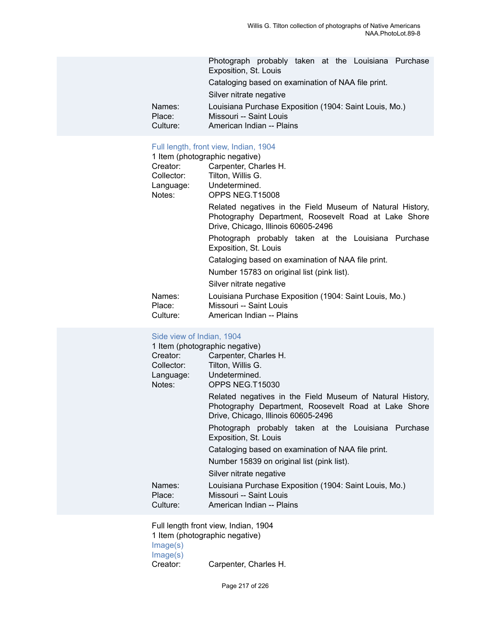|          | Photograph probably taken at the Louisiana Purchase    |
|----------|--------------------------------------------------------|
|          | Exposition, St. Louis                                  |
|          | Cataloging based on examination of NAA file print.     |
|          | Silver nitrate negative                                |
| Names:   | Louisiana Purchase Exposition (1904: Saint Louis, Mo.) |
| Place:   | Missouri -- Saint Louis                                |
| Culture: | American Indian -- Plains                              |

# Full [length,](https://ids.si.edu/ids/deliveryService?id=NMNH-T15008-000001) front view, Indian, 1904

|                              | 1 Item (photographic negative)                                                                                                                           |
|------------------------------|----------------------------------------------------------------------------------------------------------------------------------------------------------|
| Creator:                     | Carpenter, Charles H.                                                                                                                                    |
| Collector:                   | Tilton, Willis G.                                                                                                                                        |
|                              | Language: Undetermined.                                                                                                                                  |
| Notes:                       | OPPS NEG.T15008                                                                                                                                          |
|                              | Related negatives in the Field Museum of Natural History,<br>Photography Department, Roosevelt Road at Lake Shore<br>Drive, Chicago, Illinois 60605-2496 |
|                              | Photograph probably taken at the Louisiana Purchase<br>Exposition, St. Louis                                                                             |
|                              | Cataloging based on examination of NAA file print.                                                                                                       |
|                              | Number 15783 on original list (pink list).                                                                                                               |
|                              | Silver nitrate negative                                                                                                                                  |
| Names:<br>Place:<br>Culture: | Louisiana Purchase Exposition (1904: Saint Louis, Mo.)<br>Missouri -- Saint Louis<br>American Indian -- Plains                                           |

## [Side view of Indian, 1904](https://ids.si.edu/ids/deliveryService?id=NMNH-T15030-000001)

| 1 Item (photographic negative)<br>Creator:<br>Collector:<br>Language: Undetermined.<br>Notes: | Carpenter, Charles H.<br>Tilton, Willis G.<br>OPPS NEG.T15030                                                                                            |
|-----------------------------------------------------------------------------------------------|----------------------------------------------------------------------------------------------------------------------------------------------------------|
|                                                                                               | Related negatives in the Field Museum of Natural History,<br>Photography Department, Roosevelt Road at Lake Shore<br>Drive, Chicago, Illinois 60605-2496 |
|                                                                                               | Photograph probably taken at the Louisiana Purchase<br>Exposition, St. Louis                                                                             |
|                                                                                               | Cataloging based on examination of NAA file print.                                                                                                       |
|                                                                                               | Number 15839 on original list (pink list).                                                                                                               |
|                                                                                               | Silver nitrate negative                                                                                                                                  |
| Names:<br>Place:<br>Culture:                                                                  | Louisiana Purchase Exposition (1904: Saint Louis, Mo.)<br>Missouri -- Saint Louis<br>American Indian -- Plains                                           |

Full length front view, Indian, 1904 1 Item (photographic negative) [Image\(s\)](https://ids.si.edu/ids/deliveryService?id=NMNH-T15031-000001) [Image\(s\)](https://ids.si.edu/ids/deliveryService?id=NMNH-T15031no2-000001)<br>Creator: Carpenter, Charles H.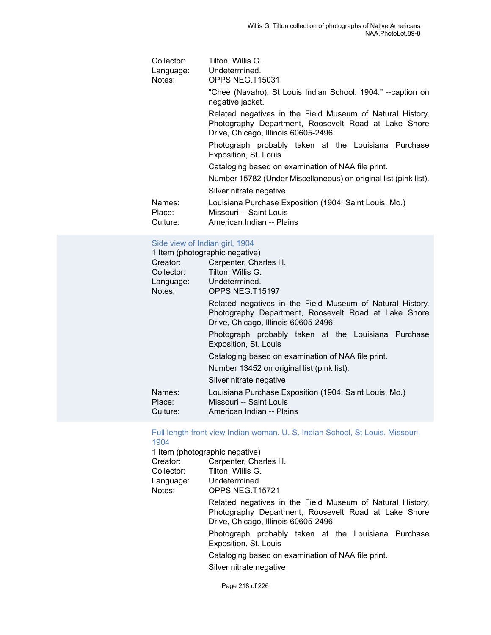| Collector:<br>Language:<br>Notes: | Tilton, Willis G.<br>Undetermined.<br>OPPS NEG.T15031                                                                                                    |
|-----------------------------------|----------------------------------------------------------------------------------------------------------------------------------------------------------|
|                                   | "Chee (Navaho). St Louis Indian School. 1904." --caption on<br>negative jacket.                                                                          |
|                                   | Related negatives in the Field Museum of Natural History,<br>Photography Department, Roosevelt Road at Lake Shore<br>Drive, Chicago, Illinois 60605-2496 |
|                                   | Photograph probably taken at the Louisiana Purchase<br>Exposition, St. Louis                                                                             |
|                                   | Cataloging based on examination of NAA file print.                                                                                                       |
|                                   | Number 15782 (Under Miscellaneous) on original list (pink list).                                                                                         |
|                                   | Silver nitrate negative                                                                                                                                  |
| Names:<br>Place:<br>Culture:      | Louisiana Purchase Exposition (1904: Saint Louis, Mo.)<br>Missouri -- Saint Louis<br>American Indian -- Plains                                           |

### [Side view of Indian girl, 1904](https://ids.si.edu/ids/deliveryService?id=NMNH-T15197-000001)

| 1 Item (photographic negative) |                                                                                                                                                          |
|--------------------------------|----------------------------------------------------------------------------------------------------------------------------------------------------------|
| Creator:                       | Carpenter, Charles H.                                                                                                                                    |
| Collector:                     | Tilton, Willis G.                                                                                                                                        |
|                                | Language: Undetermined.                                                                                                                                  |
| Notes:                         | OPPS NEG.T15197                                                                                                                                          |
|                                | Related negatives in the Field Museum of Natural History,<br>Photography Department, Roosevelt Road at Lake Shore<br>Drive, Chicago, Illinois 60605-2496 |
|                                | Photograph probably taken at the Louisiana Purchase<br>Exposition, St. Louis                                                                             |
|                                | Cataloging based on examination of NAA file print.                                                                                                       |
|                                | Number 13452 on original list (pink list).                                                                                                               |
|                                | Silver nitrate negative                                                                                                                                  |
| Names:<br>Place:               | Louisiana Purchase Exposition (1904: Saint Louis, Mo.)<br>Missouri -- Saint Louis                                                                        |
| Culture:                       | American Indian -- Plains                                                                                                                                |

## [Full length front view Indian woman. U. S. Indian School, St Louis, Missouri,](https://ids.si.edu/ids/deliveryService?id=NMNH-T15721-000001) [1904](https://ids.si.edu/ids/deliveryService?id=NMNH-T15721-000001)

1 Item (photographic negative) Creator: Carpenter, Charles H. Collector: Tilton, Willis G. Language: Undetermined.<br>Notes: OPPS NEG.T1 OPPS NEG.T15721 Related negatives in the Field Museum of Natural History, Photography Department, Roosevelt Road at Lake Shore Drive, Chicago, Illinois 60605-2496 Photograph probably taken at the Louisiana Purchase Exposition, St. Louis Cataloging based on examination of NAA file print. Silver nitrate negative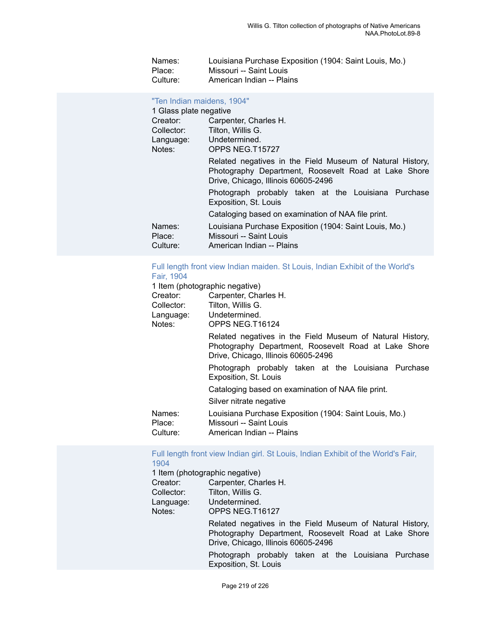| Names:   | Louisiana Purchase Exposition (1904: Saint Louis, Mo.) |
|----------|--------------------------------------------------------|
| Place:   | Missouri -- Saint Louis                                |
| Culture: | American Indian -- Plains                              |

#### "Ten Indian [maidens,](https://ids.si.edu/ids/deliveryService?id=NMNH-T15727-000001) 1904"

| 1 Glass plate negative       |                                                                                                                                                          |
|------------------------------|----------------------------------------------------------------------------------------------------------------------------------------------------------|
| Creator:                     | Carpenter, Charles H.                                                                                                                                    |
| Collector:                   | Tilton, Willis G.                                                                                                                                        |
| Language:                    | Undetermined.                                                                                                                                            |
| Notes:                       | OPPS NEG.T15727                                                                                                                                          |
|                              | Related negatives in the Field Museum of Natural History,<br>Photography Department, Roosevelt Road at Lake Shore<br>Drive, Chicago, Illinois 60605-2496 |
|                              | Photograph probably taken at the Louisiana Purchase<br>Exposition, St. Louis                                                                             |
|                              | Cataloging based on examination of NAA file print.                                                                                                       |
| Names:<br>Place:<br>Culture: | Louisiana Purchase Exposition (1904: Saint Louis, Mo.)<br>Missouri -- Saint Louis<br>American Indian -- Plains                                           |
|                              |                                                                                                                                                          |

# Full length front view Indian [maiden.](https://ids.si.edu/ids/deliveryService?id=NMNH-T16124-000001) St Louis, Indian Exhibit of the World's Fair, [1904](https://ids.si.edu/ids/deliveryService?id=NMNH-T16124-000001)

| 1 Item (photographic negative)<br>Creator: | Carpenter, Charles H.                                                                                                                                    |
|--------------------------------------------|----------------------------------------------------------------------------------------------------------------------------------------------------------|
| Collector:                                 | Tilton, Willis G.                                                                                                                                        |
| Language:                                  | Undetermined.                                                                                                                                            |
| Notes:                                     | OPPS NEG.T16124                                                                                                                                          |
|                                            | Related negatives in the Field Museum of Natural History,<br>Photography Department, Roosevelt Road at Lake Shore<br>Drive, Chicago, Illinois 60605-2496 |
|                                            | Photograph probably taken at the Louisiana Purchase<br>Exposition, St. Louis                                                                             |
|                                            | Cataloging based on examination of NAA file print.                                                                                                       |
|                                            | Silver nitrate negative                                                                                                                                  |
| Names:                                     | Louisiana Purchase Exposition (1904: Saint Louis, Mo.)                                                                                                   |
| Place:                                     | Missouri -- Saint Louis                                                                                                                                  |
| Culture:                                   | American Indian -- Plains                                                                                                                                |

#### Full length front view Indian girl. St Louis, Indian Exhibit of the [World's](https://ids.si.edu/ids/deliveryService?id=NMNH-T16127-000001) Fair, [1904](https://ids.si.edu/ids/deliveryService?id=NMNH-T16127-000001)

| 1 Item (photographic negative) |                                                                                                                                                          |
|--------------------------------|----------------------------------------------------------------------------------------------------------------------------------------------------------|
| Creator:                       | Carpenter, Charles H.                                                                                                                                    |
| Collector:                     | Tilton, Willis G.                                                                                                                                        |
| Language:                      | Undetermined.                                                                                                                                            |
| Notes:                         | OPPS NEG.T16127                                                                                                                                          |
|                                | Related negatives in the Field Museum of Natural History,<br>Photography Department, Roosevelt Road at Lake Shore<br>Drive, Chicago, Illinois 60605-2496 |
|                                | Photograph probably taken at the Louisiana Purchase<br>Exposition, St. Louis                                                                             |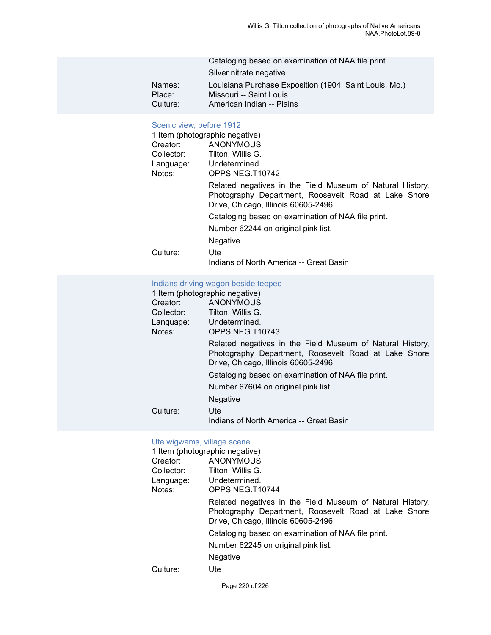|          | Cataloging based on examination of NAA file print.     |
|----------|--------------------------------------------------------|
|          | Silver nitrate negative                                |
| Names:   | Louisiana Purchase Exposition (1904: Saint Louis, Mo.) |
| Place:   | Missouri -- Saint Louis                                |
| Culture: | American Indian -- Plains                              |

# [Scenic](https://ids.si.edu/ids/deliveryService?id=NMNH-T10742-000001) view, before 1912

| 1 Item (photographic negative)<br>Creator:<br>Collector:<br>Notes: | <b>ANONYMOUS</b><br>Tilton, Willis G.<br>Language: Undetermined.<br>OPPS NEG.T10742                                                                      |
|--------------------------------------------------------------------|----------------------------------------------------------------------------------------------------------------------------------------------------------|
|                                                                    | Related negatives in the Field Museum of Natural History,<br>Photography Department, Roosevelt Road at Lake Shore<br>Drive, Chicago, Illinois 60605-2496 |
|                                                                    | Cataloging based on examination of NAA file print.                                                                                                       |
|                                                                    | Number 62244 on original pink list.                                                                                                                      |
|                                                                    | Negative                                                                                                                                                 |
| Culture:                                                           | Ute<br>Indians of North America -- Great Basin                                                                                                           |

# [Indians driving wagon beside teepee](https://ids.si.edu/ids/deliveryService?id=NMNH-T10743-000001)

| 1 Item (photographic negative)                                                                                                                           |  |  |
|----------------------------------------------------------------------------------------------------------------------------------------------------------|--|--|
| ANONYMOUS                                                                                                                                                |  |  |
| Tilton, Willis G.                                                                                                                                        |  |  |
| Undetermined.                                                                                                                                            |  |  |
| OPPS NEG.T10743                                                                                                                                          |  |  |
| Related negatives in the Field Museum of Natural History,<br>Photography Department, Roosevelt Road at Lake Shore<br>Drive, Chicago, Illinois 60605-2496 |  |  |
| Cataloging based on examination of NAA file print.                                                                                                       |  |  |
| Number 67604 on original pink list.                                                                                                                      |  |  |
| Negative                                                                                                                                                 |  |  |
| Ute:                                                                                                                                                     |  |  |
| Indians of North America -- Great Basin                                                                                                                  |  |  |
|                                                                                                                                                          |  |  |

## [Ute wigwams, village scene](https://ids.si.edu/ids/deliveryService?id=NMNH-T10744-000001)

| 1 Item (photographic negative) |                                                                                                                                                          |
|--------------------------------|----------------------------------------------------------------------------------------------------------------------------------------------------------|
| Creator:                       | ANONYMOUS                                                                                                                                                |
| Collector:                     | Tilton, Willis G.                                                                                                                                        |
| Language:                      | Undetermined.                                                                                                                                            |
| Notes:                         | OPPS NEG.T10744                                                                                                                                          |
|                                | Related negatives in the Field Museum of Natural History,<br>Photography Department, Roosevelt Road at Lake Shore<br>Drive, Chicago, Illinois 60605-2496 |
|                                | Cataloging based on examination of NAA file print.                                                                                                       |
|                                | Number 62245 on original pink list.                                                                                                                      |
|                                | <b>Negative</b>                                                                                                                                          |
| Culture:                       | <b>Ute</b>                                                                                                                                               |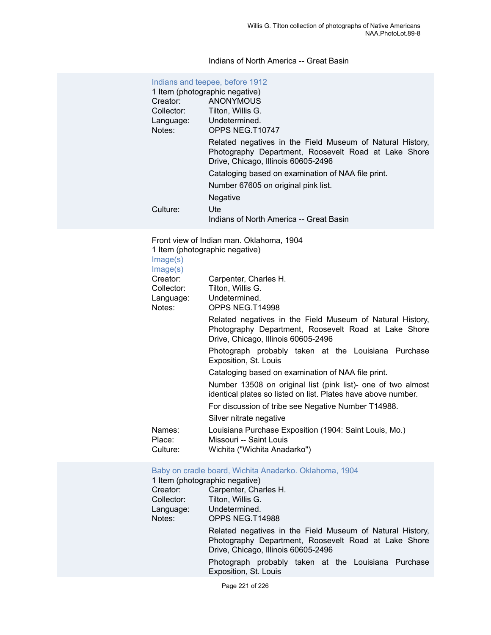# Indians of North America -- Great Basin

| Indians and teepee, before 1912<br>1 Item (photographic negative) |                                                                                                                                                          |  |
|-------------------------------------------------------------------|----------------------------------------------------------------------------------------------------------------------------------------------------------|--|
| Creator:                                                          | ANONYMOUS                                                                                                                                                |  |
| Collector:                                                        | Tilton, Willis G.                                                                                                                                        |  |
| Language:                                                         | Undetermined.                                                                                                                                            |  |
| Notes:                                                            | OPPS NEG.T10747                                                                                                                                          |  |
|                                                                   | Related negatives in the Field Museum of Natural History,<br>Photography Department, Roosevelt Road at Lake Shore<br>Drive, Chicago, Illinois 60605-2496 |  |
|                                                                   | Cataloging based on examination of NAA file print.                                                                                                       |  |
|                                                                   | Number 67605 on original pink list.                                                                                                                      |  |
|                                                                   | <b>Negative</b>                                                                                                                                          |  |
| Culture:                                                          | Ute                                                                                                                                                      |  |
|                                                                   | Indians of North America -- Great Basin                                                                                                                  |  |

Front view of Indian man. Oklahoma, 1904 1 Item (photographic negative)

[Image\(s\)](https://ids.si.edu/ids/deliveryService?id=NMNH-T14998-000001)

| Image(s)                     |                                                                                                                                                          |
|------------------------------|----------------------------------------------------------------------------------------------------------------------------------------------------------|
| Creator:                     | Carpenter, Charles H.                                                                                                                                    |
| Collector:                   | Tilton, Willis G.                                                                                                                                        |
| Language:                    | Undetermined.                                                                                                                                            |
| Notes:                       | OPPS NEG.T14998                                                                                                                                          |
|                              | Related negatives in the Field Museum of Natural History,<br>Photography Department, Roosevelt Road at Lake Shore<br>Drive, Chicago, Illinois 60605-2496 |
|                              | Photograph probably taken at the Louisiana Purchase<br>Exposition, St. Louis                                                                             |
|                              | Cataloging based on examination of NAA file print.                                                                                                       |
|                              | Number 13508 on original list (pink list)- one of two almost<br>identical plates so listed on list. Plates have above number.                            |
|                              | For discussion of tribe see Negative Number T14988.                                                                                                      |
|                              | Silver nitrate negative                                                                                                                                  |
| Names:<br>Place:<br>Culture: | Louisiana Purchase Exposition (1904: Saint Louis, Mo.)<br>Missouri -- Saint Louis<br>Wichita ("Wichita Anadarko")                                        |

#### [Baby on cradle board, Wichita Anadarko. Oklahoma, 1904](https://ids.si.edu/ids/deliveryService?id=NMNH-T14988-000001)

| 1 Item (photographic negative) |                                                                                                                                                          |
|--------------------------------|----------------------------------------------------------------------------------------------------------------------------------------------------------|
| Creator:                       | Carpenter, Charles H.                                                                                                                                    |
| Collector:                     | Tilton, Willis G.                                                                                                                                        |
| Language:                      | Undetermined.                                                                                                                                            |
| Notes:                         | OPPS NEG.T14988                                                                                                                                          |
|                                | Related negatives in the Field Museum of Natural History,<br>Photography Department, Roosevelt Road at Lake Shore<br>Drive, Chicago, Illinois 60605-2496 |
|                                | Photograph probably taken at the Louisiana Purchase<br>Exposition, St. Louis                                                                             |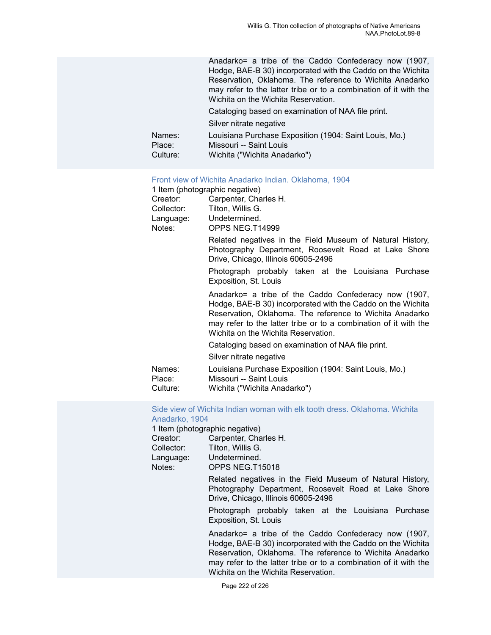|                              | Anadarko= a tribe of the Caddo Confederacy now (1907,<br>Hodge, BAE-B 30) incorporated with the Caddo on the Wichita<br>Reservation, Oklahoma. The reference to Wichita Anadarko<br>may refer to the latter tribe or to a combination of it with the<br>Wichita on the Wichita Reservation. |
|------------------------------|---------------------------------------------------------------------------------------------------------------------------------------------------------------------------------------------------------------------------------------------------------------------------------------------|
|                              | Cataloging based on examination of NAA file print.                                                                                                                                                                                                                                          |
|                              | Silver nitrate negative                                                                                                                                                                                                                                                                     |
| Names:<br>Place:<br>Culture: | Louisiana Purchase Exposition (1904: Saint Louis, Mo.)<br>Missouri -- Saint Louis<br>Wichita ("Wichita Anadarko")                                                                                                                                                                           |

#### [Front view of Wichita Anadarko Indian. Oklahoma, 1904](https://ids.si.edu/ids/deliveryService?id=NMNH-T14999-000001)

|                              | 1 Item (photographic negative)                                                                                                                                                                                                                                                              |
|------------------------------|---------------------------------------------------------------------------------------------------------------------------------------------------------------------------------------------------------------------------------------------------------------------------------------------|
| Creator:<br>Collector:       | Carpenter, Charles H.<br>Tilton, Willis G.<br>Language: Undetermined.<br>OPPS NEG.T14999                                                                                                                                                                                                    |
| Notes:                       | Related negatives in the Field Museum of Natural History,<br>Photography Department, Roosevelt Road at Lake Shore<br>Drive, Chicago, Illinois 60605-2496                                                                                                                                    |
|                              | Photograph probably taken at the Louisiana Purchase<br>Exposition, St. Louis                                                                                                                                                                                                                |
|                              | Anadarko= a tribe of the Caddo Confederacy now (1907,<br>Hodge, BAE-B 30) incorporated with the Caddo on the Wichita<br>Reservation, Oklahoma. The reference to Wichita Anadarko<br>may refer to the latter tribe or to a combination of it with the<br>Wichita on the Wichita Reservation. |
|                              | Cataloging based on examination of NAA file print.                                                                                                                                                                                                                                          |
|                              | Silver nitrate negative                                                                                                                                                                                                                                                                     |
| Names:<br>Place:<br>Culture: | Louisiana Purchase Exposition (1904: Saint Louis, Mo.)<br>Missouri -- Saint Louis<br>Wichita ("Wichita Anadarko")                                                                                                                                                                           |

[Side view of Wichita Indian woman with elk tooth dress. Oklahoma. Wichita](https://ids.si.edu/ids/deliveryService?id=NMNH-T15018-000001) [Anadarko, 1904](https://ids.si.edu/ids/deliveryService?id=NMNH-T15018-000001)

1 Item (photographic negative)

| Creator:   | Carpenter, Charles H. |
|------------|-----------------------|
| Collector: | Tilton, Willis G.     |
| Language:  | Undetermined.         |
| Notes:     | OPPS NEG.T15018       |
|            |                       |

Related negatives in the Field Museum of Natural History, Photography Department, Roosevelt Road at Lake Shore Drive, Chicago, Illinois 60605-2496

Photograph probably taken at the Louisiana Purchase Exposition, St. Louis

Anadarko= a tribe of the Caddo Confederacy now (1907, Hodge, BAE-B 30) incorporated with the Caddo on the Wichita Reservation, Oklahoma. The reference to Wichita Anadarko may refer to the latter tribe or to a combination of it with the Wichita on the Wichita Reservation.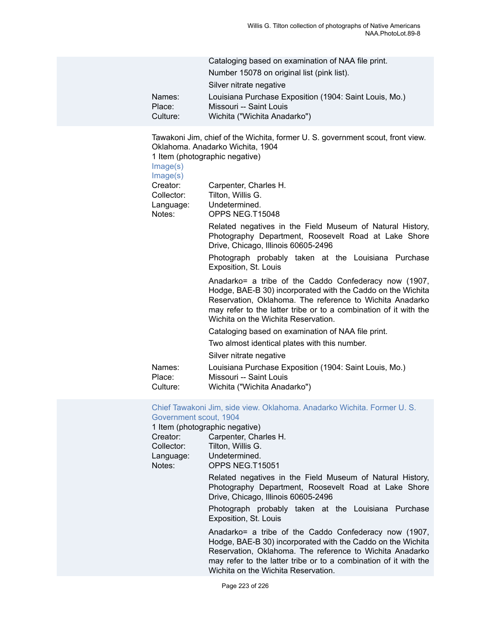|          | Cataloging based on examination of NAA file print.     |
|----------|--------------------------------------------------------|
|          | Number 15078 on original list (pink list).             |
|          | Silver nitrate negative                                |
| Names:   | Louisiana Purchase Exposition (1904: Saint Louis, Mo.) |
| Place:   | Missouri -- Saint Louis                                |
| Culture: | Wichita ("Wichita Anadarko")                           |

Tawakoni Jim, chief of the Wichita, former U. S. government scout, front view. Oklahoma. Anadarko Wichita, 1904

1 Item (photographic negative)

[Image\(s\)](https://ids.si.edu/ids/deliveryService?id=NMNH-T15048-000001)

| Image(s)                                      |                                                                                                                                                                                                                                                                                             |
|-----------------------------------------------|---------------------------------------------------------------------------------------------------------------------------------------------------------------------------------------------------------------------------------------------------------------------------------------------|
| Creator:<br>Collector:<br>Language:<br>Notes: | Carpenter, Charles H.<br>Tilton, Willis G.<br>Undetermined.<br>OPPS NEG.T15048                                                                                                                                                                                                              |
|                                               | Related negatives in the Field Museum of Natural History,<br>Photography Department, Roosevelt Road at Lake Shore<br>Drive, Chicago, Illinois 60605-2496<br>Photograph probably taken at the Louisiana Purchase<br>Exposition, St. Louis                                                    |
|                                               | Anadarko= a tribe of the Caddo Confederacy now (1907,<br>Hodge, BAE-B 30) incorporated with the Caddo on the Wichita<br>Reservation, Oklahoma. The reference to Wichita Anadarko<br>may refer to the latter tribe or to a combination of it with the<br>Wichita on the Wichita Reservation. |
|                                               | Cataloging based on examination of NAA file print.                                                                                                                                                                                                                                          |
|                                               | Two almost identical plates with this number.                                                                                                                                                                                                                                               |
|                                               | Silver nitrate negative                                                                                                                                                                                                                                                                     |
| Names:<br>Place:<br>Culture:                  | Louisiana Purchase Exposition (1904: Saint Louis, Mo.)<br>Missouri -- Saint Louis<br>Wichita ("Wichita Anadarko")                                                                                                                                                                           |

#### Chief Tawakoni Jim, side view. [Oklahoma.](https://ids.si.edu/ids/deliveryService?id=NMNH-T15051-000001) Anadarko Wichita. Former U. S. [Government scout, 1904](https://ids.si.edu/ids/deliveryService?id=NMNH-T15051-000001)

1 Item (photographic negative)<br>Creator: Carpenter. Cha

| Creator:   | Carpenter, Charles H. |
|------------|-----------------------|
| Collector: | Tilton, Willis G.     |
| Language:  | Undetermined.         |
| Notes:     | OPPS NEG.T15051       |
|            |                       |

Related negatives in the Field Museum of Natural History, Photography Department, Roosevelt Road at Lake Shore Drive, Chicago, Illinois 60605-2496

Photograph probably taken at the Louisiana Purchase Exposition, St. Louis

Anadarko= a tribe of the Caddo Confederacy now (1907, Hodge, BAE-B 30) incorporated with the Caddo on the Wichita Reservation, Oklahoma. The reference to Wichita Anadarko may refer to the latter tribe or to a combination of it with the Wichita on the Wichita Reservation.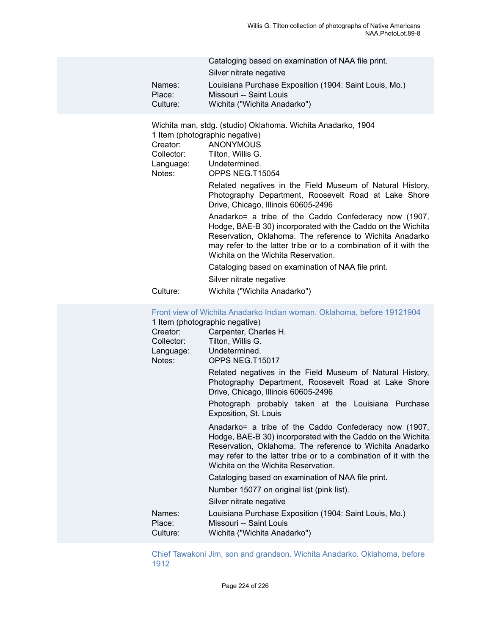| Names:<br>Place:<br>Culture:   | Cataloging based on examination of NAA file print.<br>Silver nitrate negative<br>Louisiana Purchase Exposition (1904: Saint Louis, Mo.)<br>Missouri -- Saint Louis<br>Wichita ("Wichita Anadarko")                                                                                                                                                                                                                                                                                                                                                                                                                                                                                                                                                                    |
|--------------------------------|-----------------------------------------------------------------------------------------------------------------------------------------------------------------------------------------------------------------------------------------------------------------------------------------------------------------------------------------------------------------------------------------------------------------------------------------------------------------------------------------------------------------------------------------------------------------------------------------------------------------------------------------------------------------------------------------------------------------------------------------------------------------------|
| Creator:<br>Notes:<br>Culture: | Wichita man, stdg. (studio) Oklahoma. Wichita Anadarko, 1904<br>1 Item (photographic negative)<br>ANONYMOUS<br>Collector: Tilton, Willis G.<br>Language: Undetermined.<br>OPPS NEG.T15054<br>Related negatives in the Field Museum of Natural History,<br>Photography Department, Roosevelt Road at Lake Shore<br>Drive, Chicago, Illinois 60605-2496<br>Anadarko= a tribe of the Caddo Confederacy now (1907,<br>Hodge, BAE-B 30) incorporated with the Caddo on the Wichita<br>Reservation, Oklahoma. The reference to Wichita Anadarko<br>may refer to the latter tribe or to a combination of it with the<br>Wichita on the Wichita Reservation.<br>Cataloging based on examination of NAA file print.<br>Silver nitrate negative<br>Wichita ("Wichita Anadarko") |
|                                |                                                                                                                                                                                                                                                                                                                                                                                                                                                                                                                                                                                                                                                                                                                                                                       |

[Front view of Wichita Anadarko Indian woman. Oklahoma, before 19121904](https://ids.si.edu/ids/deliveryService?id=NMNH-T15017-000001) 1 Item (photographic negative) Creator: Carpenter, Charles H. Collector: Tilton, Willis G. Language: Undetermined. Notes: OPPS NEG.T15017 Related negatives in the Field Museum of Natural History, Photography Department, Roosevelt Road at Lake Shore Drive, Chicago, Illinois 60605-2496 Photograph probably taken at the Louisiana Purchase Exposition, St. Louis Anadarko= a tribe of the Caddo Confederacy now (1907, Hodge, BAE-B 30) incorporated with the Caddo on the Wichita Reservation, Oklahoma. The reference to Wichita Anadarko may refer to the latter tribe or to a combination of it with the Wichita on the Wichita Reservation. Cataloging based on examination of NAA file print. Number 15077 on original list (pink list). Silver nitrate negative Names: Louisiana Purchase Exposition (1904: Saint Louis, Mo.) Place: Missouri -- Saint Louis Culture: Wichita ("Wichita Anadarko")

Chief Tawakoni Jim, son and grandson. Wichita Anadarko. [Oklahoma,](https://ids.si.edu/ids/deliveryService?id=NMNH-T15058-000001) before [1912](https://ids.si.edu/ids/deliveryService?id=NMNH-T15058-000001)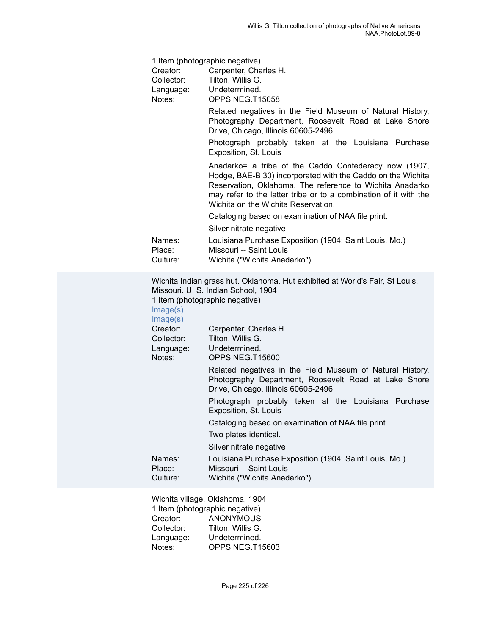|                              | 1 Item (photographic negative)                                                                                                                                                                                                                                                              |
|------------------------------|---------------------------------------------------------------------------------------------------------------------------------------------------------------------------------------------------------------------------------------------------------------------------------------------|
| Creator:                     | Carpenter, Charles H.                                                                                                                                                                                                                                                                       |
| Collector:                   | Tilton, Willis G.                                                                                                                                                                                                                                                                           |
| Language:                    | Undetermined.                                                                                                                                                                                                                                                                               |
| Notes:                       | OPPS NEG.T15058                                                                                                                                                                                                                                                                             |
|                              | Related negatives in the Field Museum of Natural History,<br>Photography Department, Roosevelt Road at Lake Shore<br>Drive, Chicago, Illinois 60605-2496                                                                                                                                    |
|                              | Photograph probably taken at the Louisiana Purchase<br>Exposition, St. Louis                                                                                                                                                                                                                |
|                              | Anadarko= a tribe of the Caddo Confederacy now (1907,<br>Hodge, BAE-B 30) incorporated with the Caddo on the Wichita<br>Reservation, Oklahoma. The reference to Wichita Anadarko<br>may refer to the latter tribe or to a combination of it with the<br>Wichita on the Wichita Reservation. |
|                              | Cataloging based on examination of NAA file print.                                                                                                                                                                                                                                          |
|                              | Silver nitrate negative                                                                                                                                                                                                                                                                     |
| Names:<br>Place:<br>Culture: | Louisiana Purchase Exposition (1904: Saint Louis, Mo.)<br>Missouri -- Saint Louis<br>Wichita ("Wichita Anadarko")                                                                                                                                                                           |
|                              | Wichita Indian grass hut. Oklahoma. Hut exhibited at World's Fair, St Louis,<br>Missouri, U. S. Indian School, 1904                                                                                                                                                                         |

Missouri. U. S. Indian School, 1904

1 Item (photographic negative) Ima

| Image(s)<br>Image(s)                          |                                                                                                                                                          |
|-----------------------------------------------|----------------------------------------------------------------------------------------------------------------------------------------------------------|
| Creator:<br>Collector:<br>Language:<br>Notes: | Carpenter, Charles H.<br>Tilton, Willis G.<br>Undetermined.<br>OPPS NEG.T15600                                                                           |
|                                               | Related negatives in the Field Museum of Natural History,<br>Photography Department, Roosevelt Road at Lake Shore<br>Drive, Chicago, Illinois 60605-2496 |
|                                               | Photograph probably taken at the Louisiana Purchase<br>Exposition, St. Louis                                                                             |
|                                               | Cataloging based on examination of NAA file print.                                                                                                       |
|                                               | Two plates identical.                                                                                                                                    |
|                                               | Silver nitrate negative                                                                                                                                  |
| Names:<br>Place:<br>Culture:                  | Louisiana Purchase Exposition (1904: Saint Louis, Mo.)<br>Missouri -- Saint Louis<br>Wichita ("Wichita Anadarko")                                        |

Wichita village. Oklahoma, 1904 1 Item (photographic negative)<br>Creator: ANONYMOUS Creator: ANONYMOUS<br>Collector: Tilton, Willis G. Collector: Tilton, Willis G.<br>Language: Undetermined. Language: Undetermined.<br>Notes: OPPS NEG.T1 OPPS NEG.T15603